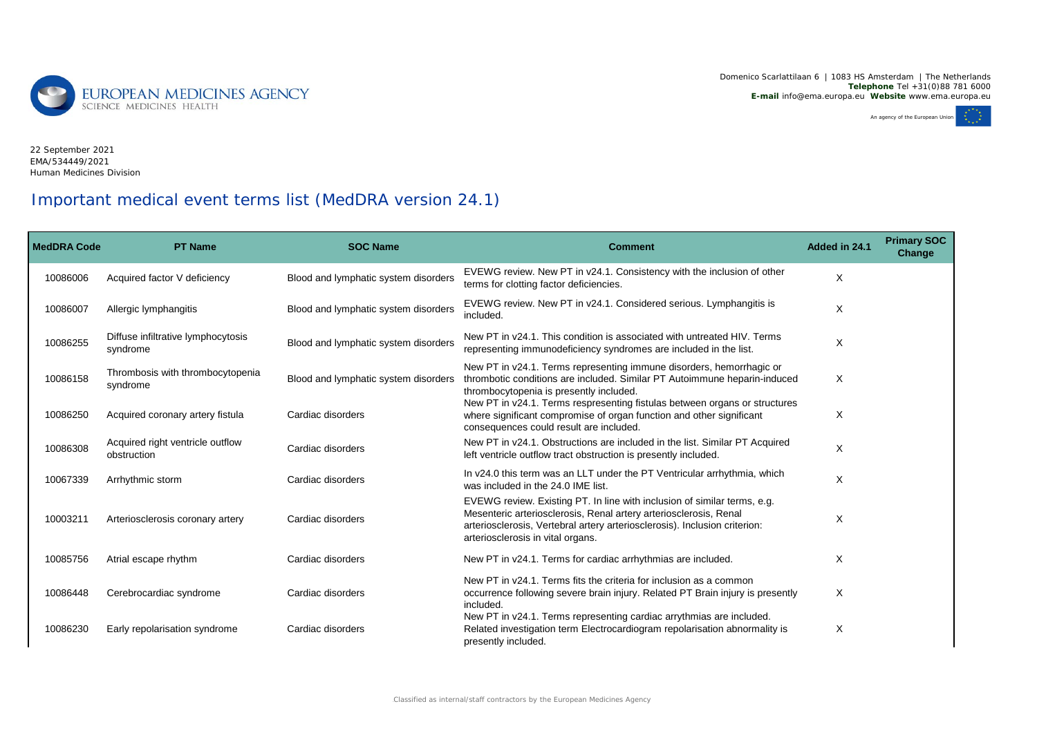Domenico Scarlattilaan 6 | 1083 HS Amsterdam | The Netherlands **Telephone** Tel +31(0)88 781 6000 **E-mail** info@ema.europa.eu **Website** www.ema.europa.eu



EMA/534449/2021 Human Medicines Division22 September 2021

## Important medical event terms list (MedDRA version 24.1)

| <b>MedDRA Code</b> | <b>PT Name</b>                                  | <b>SOC Name</b>                      | <b>Comment</b>                                                                                                                                                                                                                                                   | Added in 24.1 | <b>Primary SOC</b><br>Change |
|--------------------|-------------------------------------------------|--------------------------------------|------------------------------------------------------------------------------------------------------------------------------------------------------------------------------------------------------------------------------------------------------------------|---------------|------------------------------|
| 10086006           | Acquired factor V deficiency                    | Blood and lymphatic system disorders | EVEWG review. New PT in v24.1. Consistency with the inclusion of other<br>terms for clotting factor deficiencies.                                                                                                                                                | X             |                              |
| 10086007           | Allergic lymphangitis                           | Blood and lymphatic system disorders | EVEWG review. New PT in v24.1. Considered serious. Lymphangitis is<br>included.                                                                                                                                                                                  | X             |                              |
| 10086255           | Diffuse infiltrative lymphocytosis<br>syndrome  | Blood and lymphatic system disorders | New PT in v24.1. This condition is associated with untreated HIV. Terms<br>representing immunodeficiency syndromes are included in the list.                                                                                                                     | X             |                              |
| 10086158           | Thrombosis with thrombocytopenia<br>syndrome    | Blood and lymphatic system disorders | New PT in v24.1. Terms representing immune disorders, hemorrhagic or<br>thrombotic conditions are included. Similar PT Autoimmune heparin-induced<br>thrombocytopenia is presently included.                                                                     | X             |                              |
| 10086250           | Acquired coronary artery fistula                | Cardiac disorders                    | New PT in v24.1. Terms respresenting fistulas between organs or structures<br>where significant compromise of organ function and other significant<br>consequences could result are included.                                                                    | X             |                              |
| 10086308           | Acquired right ventricle outflow<br>obstruction | Cardiac disorders                    | New PT in v24.1. Obstructions are included in the list. Similar PT Acquired<br>left ventricle outflow tract obstruction is presently included.                                                                                                                   | X             |                              |
| 10067339           | Arrhythmic storm                                | Cardiac disorders                    | In v24.0 this term was an LLT under the PT Ventricular arrhythmia, which<br>was included in the 24.0 IME list.                                                                                                                                                   | X             |                              |
| 10003211           | Arteriosclerosis coronary artery                | Cardiac disorders                    | EVEWG review. Existing PT. In line with inclusion of similar terms, e.g.<br>Mesenteric arteriosclerosis, Renal artery arteriosclerosis, Renal<br>arteriosclerosis, Vertebral artery arteriosclerosis). Inclusion criterion:<br>arteriosclerosis in vital organs. | X             |                              |
| 10085756           | Atrial escape rhythm                            | Cardiac disorders                    | New PT in $v24.1$ . Terms for cardiac arrhythmias are included.                                                                                                                                                                                                  | X             |                              |
| 10086448           | Cerebrocardiac syndrome                         | Cardiac disorders                    | New PT in y24.1. Terms fits the criteria for inclusion as a common<br>occurrence following severe brain injury. Related PT Brain injury is presently<br>included.<br>New PT in v24.1. Terms representing cardiac arrythmias are included.                        | Χ             |                              |
| 10086230           | Early repolarisation syndrome                   | Cardiac disorders                    | Related investigation term Electrocardiogram repolarisation abnormality is<br>presently included.                                                                                                                                                                | X             |                              |

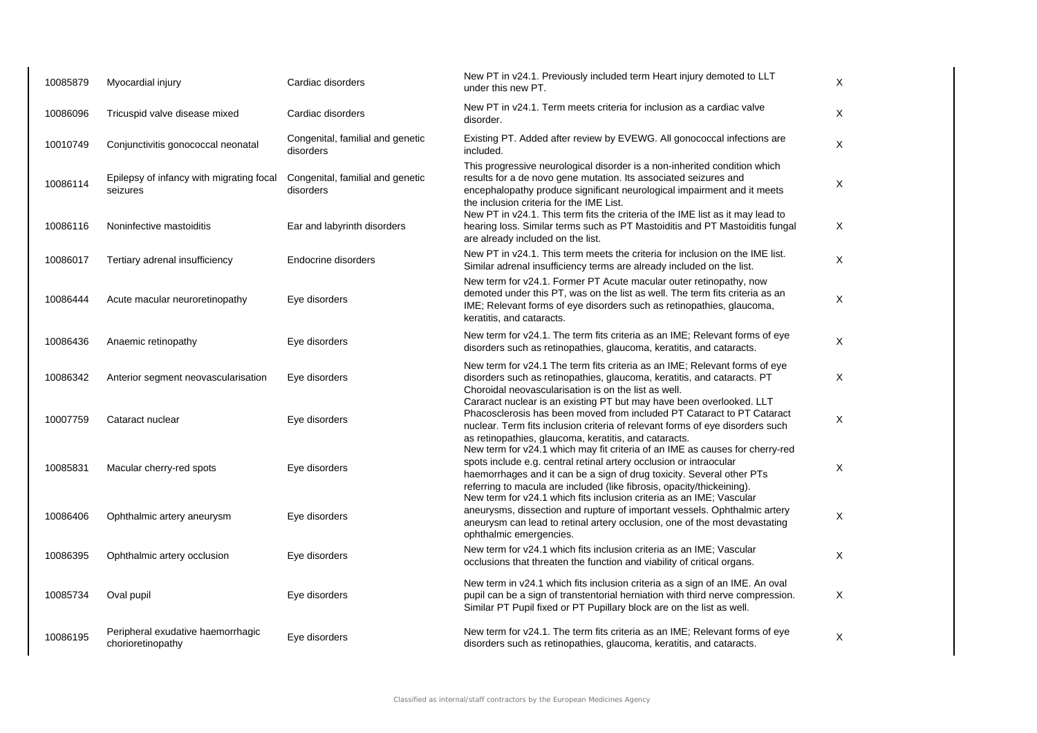| 10085879 | Myocardial injury                                      | Cardiac disorders                             | New PT in v24.1. Previously included term Heart injury demoted to LLT<br>under this new PT.                                                                                                                                                                                                                                                                    | X |
|----------|--------------------------------------------------------|-----------------------------------------------|----------------------------------------------------------------------------------------------------------------------------------------------------------------------------------------------------------------------------------------------------------------------------------------------------------------------------------------------------------------|---|
| 10086096 | Tricuspid valve disease mixed                          | Cardiac disorders                             | New PT in v24.1. Term meets criteria for inclusion as a cardiac valve<br>disorder.                                                                                                                                                                                                                                                                             | Χ |
| 10010749 | Conjunctivitis gonococcal neonatal                     | Congenital, familial and genetic<br>disorders | Existing PT. Added after review by EVEWG. All gonococcal infections are<br>included.                                                                                                                                                                                                                                                                           | X |
| 10086114 | Epilepsy of infancy with migrating focal<br>seizures   | Congenital, familial and genetic<br>disorders | This progressive neurological disorder is a non-inherited condition which<br>results for a de novo gene mutation. Its associated seizures and<br>encephalopathy produce significant neurological impairment and it meets<br>the inclusion criteria for the IME List.                                                                                           | Χ |
| 10086116 | Noninfective mastoiditis                               | Ear and labyrinth disorders                   | New PT in v24.1. This term fits the criteria of the IME list as it may lead to<br>hearing loss. Similar terms such as PT Mastoiditis and PT Mastoiditis fungal<br>are already included on the list.                                                                                                                                                            | X |
| 10086017 | Tertiary adrenal insufficiency                         | Endocrine disorders                           | New PT in v24.1. This term meets the criteria for inclusion on the IME list.<br>Similar adrenal insufficiency terms are already included on the list.                                                                                                                                                                                                          | X |
| 10086444 | Acute macular neuroretinopathy                         | Eye disorders                                 | New term for v24.1. Former PT Acute macular outer retinopathy, now<br>demoted under this PT, was on the list as well. The term fits criteria as an<br>IME; Relevant forms of eye disorders such as retinopathies, glaucoma,<br>keratitis, and cataracts.                                                                                                       | X |
| 10086436 | Anaemic retinopathy                                    | Eye disorders                                 | New term for v24.1. The term fits criteria as an IME; Relevant forms of eye<br>disorders such as retinopathies, glaucoma, keratitis, and cataracts.                                                                                                                                                                                                            | Χ |
| 10086342 | Anterior segment neovascularisation                    | Eye disorders                                 | New term for v24.1 The term fits criteria as an IME; Relevant forms of eye<br>disorders such as retinopathies, glaucoma, keratitis, and cataracts. PT<br>Choroidal neovascularisation is on the list as well.                                                                                                                                                  | X |
| 10007759 | Cataract nuclear                                       | Eye disorders                                 | Cararact nuclear is an existing PT but may have been overlooked. LLT<br>Phacosclerosis has been moved from included PT Cataract to PT Cataract<br>nuclear. Term fits inclusion criteria of relevant forms of eye disorders such                                                                                                                                | Χ |
| 10085831 | Macular cherry-red spots                               | Eye disorders                                 | as retinopathies, glaucoma, keratitis, and cataracts.<br>New term for v24.1 which may fit criteria of an IME as causes for cherry-red<br>spots include e.g. central retinal artery occlusion or intraocular<br>haemorrhages and it can be a sign of drug toxicity. Several other PTs<br>referring to macula are included (like fibrosis, opacity/thickeining). | Χ |
| 10086406 | Ophthalmic artery aneurysm                             | Eye disorders                                 | New term for v24.1 which fits inclusion criteria as an IME; Vascular<br>aneurysms, dissection and rupture of important vessels. Ophthalmic artery<br>aneurysm can lead to retinal artery occlusion, one of the most devastating<br>ophthalmic emergencies.                                                                                                     | X |
| 10086395 | Ophthalmic artery occlusion                            | Eye disorders                                 | New term for v24.1 which fits inclusion criteria as an IME; Vascular<br>occlusions that threaten the function and viability of critical organs.                                                                                                                                                                                                                | X |
| 10085734 | Oval pupil                                             | Eye disorders                                 | New term in v24.1 which fits inclusion criteria as a sign of an IME. An oval<br>pupil can be a sign of transtentorial herniation with third nerve compression.<br>Similar PT Pupil fixed or PT Pupillary block are on the list as well.                                                                                                                        | Χ |
| 10086195 | Peripheral exudative haemorrhagic<br>chorioretinopathy | Eye disorders                                 | New term for v24.1. The term fits criteria as an IME; Relevant forms of eye<br>disorders such as retinopathies, glaucoma, keratitis, and cataracts.                                                                                                                                                                                                            | Χ |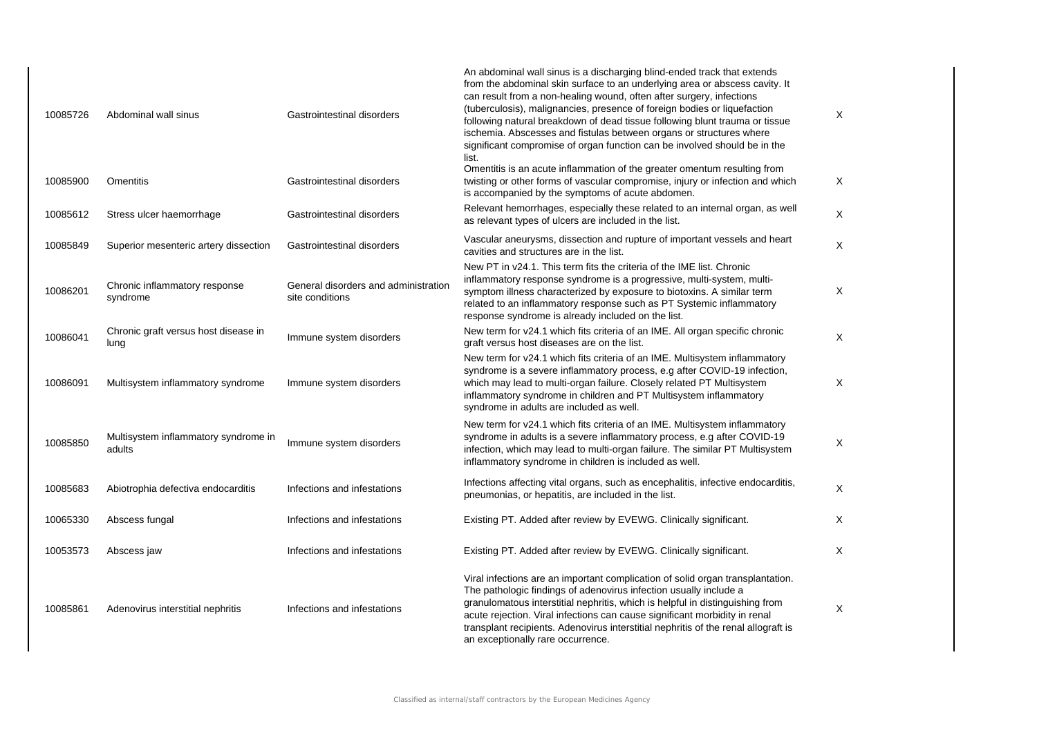| 10085726 | Abdominal wall sinus                           | Gastrointestinal disorders                              | An abdominal wall sinus is a discharging blind-ended track that extends<br>from the abdominal skin surface to an underlying area or abscess cavity. It<br>can result from a non-healing wound, often after surgery, infections<br>(tuberculosis), malignancies, presence of foreign bodies or liquefaction<br>following natural breakdown of dead tissue following blunt trauma or tissue<br>ischemia. Abscesses and fistulas between organs or structures where<br>significant compromise of organ function can be involved should be in the<br>list. | Χ |
|----------|------------------------------------------------|---------------------------------------------------------|--------------------------------------------------------------------------------------------------------------------------------------------------------------------------------------------------------------------------------------------------------------------------------------------------------------------------------------------------------------------------------------------------------------------------------------------------------------------------------------------------------------------------------------------------------|---|
| 10085900 | Omentitis                                      | Gastrointestinal disorders                              | Omentitis is an acute inflammation of the greater omentum resulting from<br>twisting or other forms of vascular compromise, injury or infection and which<br>is accompanied by the symptoms of acute abdomen.                                                                                                                                                                                                                                                                                                                                          | X |
| 10085612 | Stress ulcer haemorrhage                       | Gastrointestinal disorders                              | Relevant hemorrhages, especially these related to an internal organ, as well<br>as relevant types of ulcers are included in the list.                                                                                                                                                                                                                                                                                                                                                                                                                  | X |
| 10085849 | Superior mesenteric artery dissection          | Gastrointestinal disorders                              | Vascular aneurysms, dissection and rupture of important vessels and heart<br>cavities and structures are in the list.                                                                                                                                                                                                                                                                                                                                                                                                                                  | X |
| 10086201 | Chronic inflammatory response<br>syndrome      | General disorders and administration<br>site conditions | New PT in y24.1. This term fits the criteria of the IME list. Chronic<br>inflammatory response syndrome is a progressive, multi-system, multi-<br>symptom illness characterized by exposure to biotoxins. A similar term<br>related to an inflammatory response such as PT Systemic inflammatory<br>response syndrome is already included on the list.                                                                                                                                                                                                 | X |
| 10086041 | Chronic graft versus host disease in<br>lung   | Immune system disorders                                 | New term for v24.1 which fits criteria of an IME. All organ specific chronic<br>graft versus host diseases are on the list.                                                                                                                                                                                                                                                                                                                                                                                                                            | X |
| 10086091 | Multisystem inflammatory syndrome              | Immune system disorders                                 | New term for v24.1 which fits criteria of an IME. Multisystem inflammatory<br>syndrome is a severe inflammatory process, e.g after COVID-19 infection,<br>which may lead to multi-organ failure. Closely related PT Multisystem<br>inflammatory syndrome in children and PT Multisystem inflammatory<br>syndrome in adults are included as well.                                                                                                                                                                                                       | X |
| 10085850 | Multisystem inflammatory syndrome in<br>adults | Immune system disorders                                 | New term for v24.1 which fits criteria of an IME. Multisystem inflammatory<br>syndrome in adults is a severe inflammatory process, e.g after COVID-19<br>infection, which may lead to multi-organ failure. The similar PT Multisystem<br>inflammatory syndrome in children is included as well.                                                                                                                                                                                                                                                        | X |
| 10085683 | Abiotrophia defectiva endocarditis             | Infections and infestations                             | Infections affecting vital organs, such as encephalitis, infective endocarditis,<br>pneumonias, or hepatitis, are included in the list.                                                                                                                                                                                                                                                                                                                                                                                                                | X |
| 10065330 | Abscess fungal                                 | Infections and infestations                             | Existing PT. Added after review by EVEWG. Clinically significant.                                                                                                                                                                                                                                                                                                                                                                                                                                                                                      | Χ |
| 10053573 | Abscess jaw                                    | Infections and infestations                             | Existing PT. Added after review by EVEWG. Clinically significant.                                                                                                                                                                                                                                                                                                                                                                                                                                                                                      | Χ |
| 10085861 | Adenovirus interstitial nephritis              | Infections and infestations                             | Viral infections are an important complication of solid organ transplantation.<br>The pathologic findings of adenovirus infection usually include a<br>granulomatous interstitial nephritis, which is helpful in distinguishing from<br>acute rejection. Viral infections can cause significant morbidity in renal<br>transplant recipients. Adenovirus interstitial nephritis of the renal allograft is<br>an exceptionally rare occurrence.                                                                                                          | X |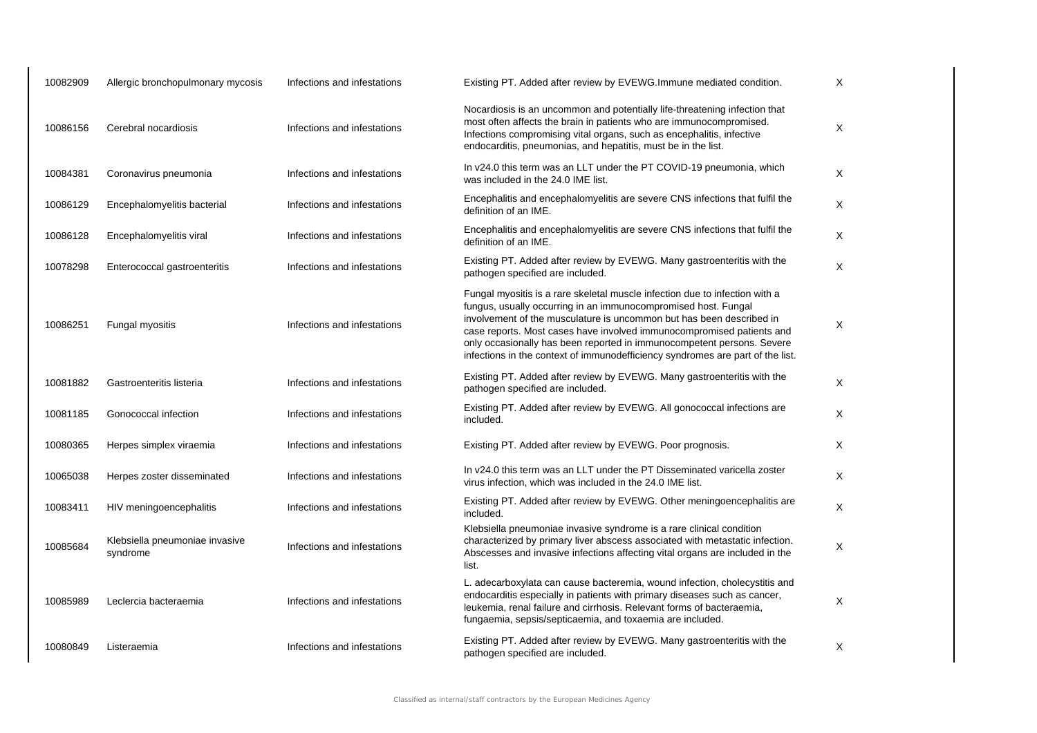| 10082909 | Allergic bronchopulmonary mycosis          | Infections and infestations | Existing PT. Added after review by EVEWG. Immune mediated condition.                                                                                                                                                                                                                                                                                                                                                                                       | X            |
|----------|--------------------------------------------|-----------------------------|------------------------------------------------------------------------------------------------------------------------------------------------------------------------------------------------------------------------------------------------------------------------------------------------------------------------------------------------------------------------------------------------------------------------------------------------------------|--------------|
| 10086156 | Cerebral nocardiosis                       | Infections and infestations | Nocardiosis is an uncommon and potentially life-threatening infection that<br>most often affects the brain in patients who are immunocompromised.<br>Infections compromising vital organs, such as encephalitis, infective<br>endocarditis, pneumonias, and hepatitis, must be in the list.                                                                                                                                                                | X            |
| 10084381 | Coronavirus pneumonia                      | Infections and infestations | In v24.0 this term was an LLT under the PT COVID-19 pneumonia, which<br>was included in the 24.0 IME list.                                                                                                                                                                                                                                                                                                                                                 | X            |
| 10086129 | Encephalomyelitis bacterial                | Infections and infestations | Encephalitis and encephalomyelitis are severe CNS infections that fulfil the<br>definition of an IME.                                                                                                                                                                                                                                                                                                                                                      | X            |
| 10086128 | Encephalomyelitis viral                    | Infections and infestations | Encephalitis and encephalomyelitis are severe CNS infections that fulfil the<br>definition of an IME.                                                                                                                                                                                                                                                                                                                                                      | X            |
| 10078298 | Enterococcal gastroenteritis               | Infections and infestations | Existing PT. Added after review by EVEWG. Many gastroenteritis with the<br>pathogen specified are included.                                                                                                                                                                                                                                                                                                                                                | X            |
| 10086251 | Fungal myositis                            | Infections and infestations | Fungal myositis is a rare skeletal muscle infection due to infection with a<br>fungus, usually occurring in an immunocompromised host. Fungal<br>involvement of the musculature is uncommon but has been described in<br>case reports. Most cases have involved immunocompromised patients and<br>only occasionally has been reported in immunocompetent persons. Severe<br>infections in the context of immunodefficiency syndromes are part of the list. | X            |
| 10081882 | Gastroenteritis listeria                   | Infections and infestations | Existing PT. Added after review by EVEWG. Many gastroenteritis with the<br>pathogen specified are included.                                                                                                                                                                                                                                                                                                                                                | X            |
| 10081185 | Gonococcal infection                       | Infections and infestations | Existing PT. Added after review by EVEWG. All gonococcal infections are<br>included.                                                                                                                                                                                                                                                                                                                                                                       | X            |
| 10080365 | Herpes simplex viraemia                    | Infections and infestations | Existing PT. Added after review by EVEWG. Poor prognosis.                                                                                                                                                                                                                                                                                                                                                                                                  | X            |
| 10065038 | Herpes zoster disseminated                 | Infections and infestations | In v24.0 this term was an LLT under the PT Disseminated varicella zoster<br>virus infection, which was included in the 24.0 IME list.                                                                                                                                                                                                                                                                                                                      | $\mathsf{X}$ |
| 10083411 | HIV meningoencephalitis                    | Infections and infestations | Existing PT. Added after review by EVEWG. Other meningoencephalitis are<br>included.                                                                                                                                                                                                                                                                                                                                                                       | $\mathsf{X}$ |
| 10085684 | Klebsiella pneumoniae invasive<br>syndrome | Infections and infestations | Klebsiella pneumoniae invasive syndrome is a rare clinical condition<br>characterized by primary liver abscess associated with metastatic infection.<br>Abscesses and invasive infections affecting vital organs are included in the<br>list.                                                                                                                                                                                                              | X            |
| 10085989 | Leclercia bacteraemia                      | Infections and infestations | L. adecarboxylata can cause bacteremia, wound infection, cholecystitis and<br>endocarditis especially in patients with primary diseases such as cancer,<br>leukemia, renal failure and cirrhosis. Relevant forms of bacteraemia,<br>fungaemia, sepsis/septicaemia, and toxaemia are included.                                                                                                                                                              | X            |
| 10080849 | Listeraemia                                | Infections and infestations | Existing PT. Added after review by EVEWG. Many gastroenteritis with the<br>pathogen specified are included.                                                                                                                                                                                                                                                                                                                                                | X            |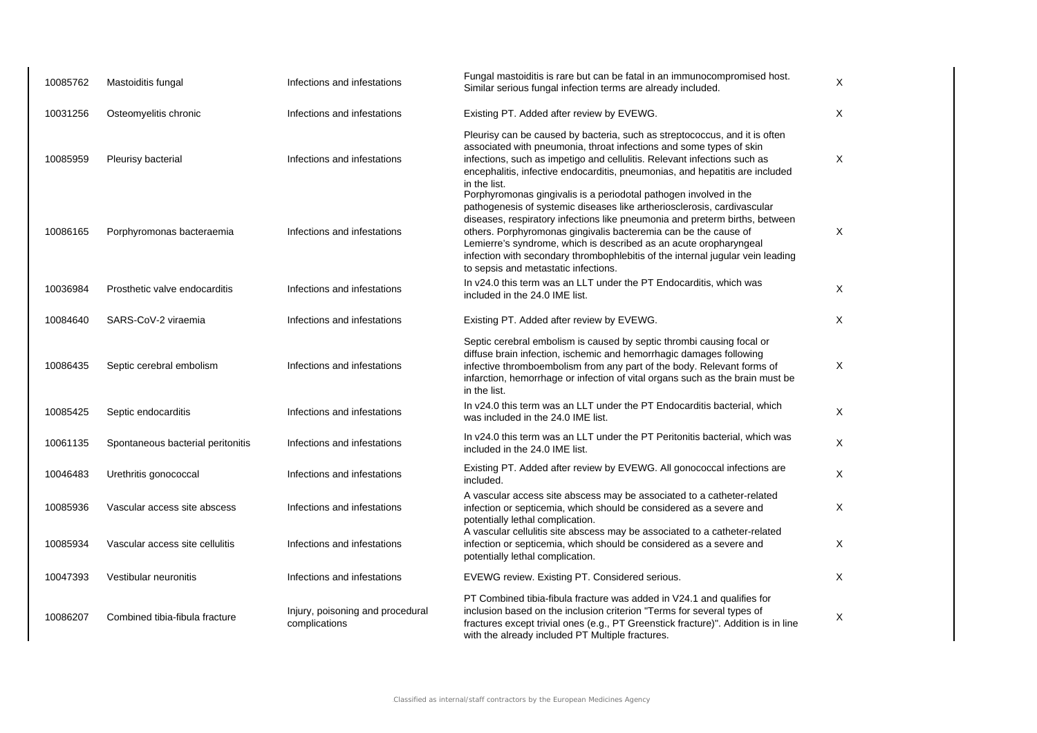| 10085762 | Mastoiditis fungal                | Infections and infestations                       | Fungal mastoiditis is rare but can be fatal in an immunocompromised host.<br>Similar serious fungal infection terms are already included.                                                                                                                                                                                                                                                                                                                                                     | X            |
|----------|-----------------------------------|---------------------------------------------------|-----------------------------------------------------------------------------------------------------------------------------------------------------------------------------------------------------------------------------------------------------------------------------------------------------------------------------------------------------------------------------------------------------------------------------------------------------------------------------------------------|--------------|
| 10031256 | Osteomyelitis chronic             | Infections and infestations                       | Existing PT. Added after review by EVEWG.                                                                                                                                                                                                                                                                                                                                                                                                                                                     | $\times$     |
| 10085959 | Pleurisy bacterial                | Infections and infestations                       | Pleurisy can be caused by bacteria, such as streptococcus, and it is often<br>associated with pneumonia, throat infections and some types of skin<br>infections, such as impetigo and cellulitis. Relevant infections such as<br>encephalitis, infective endocarditis, pneumonias, and hepatitis are included<br>in the list.                                                                                                                                                                 | X            |
| 10086165 | Porphyromonas bacteraemia         | Infections and infestations                       | Porphyromonas gingivalis is a periodotal pathogen involved in the<br>pathogenesis of systemic diseases like artheriosclerosis, cardivascular<br>diseases, respiratory infections like pneumonia and preterm births, between<br>others. Porphyromonas gingivalis bacteremia can be the cause of<br>Lemierre's syndrome, which is described as an acute oropharyngeal<br>infection with secondary thrombophlebitis of the internal jugular vein leading<br>to sepsis and metastatic infections. | $\mathsf{X}$ |
| 10036984 | Prosthetic valve endocarditis     | Infections and infestations                       | In v24.0 this term was an LLT under the PT Endocarditis, which was<br>included in the 24.0 IME list.                                                                                                                                                                                                                                                                                                                                                                                          | X            |
| 10084640 | SARS-CoV-2 viraemia               | Infections and infestations                       | Existing PT. Added after review by EVEWG.                                                                                                                                                                                                                                                                                                                                                                                                                                                     | X            |
| 10086435 | Septic cerebral embolism          | Infections and infestations                       | Septic cerebral embolism is caused by septic thrombi causing focal or<br>diffuse brain infection, ischemic and hemorrhagic damages following<br>infective thromboembolism from any part of the body. Relevant forms of<br>infarction, hemorrhage or infection of vital organs such as the brain must be<br>in the list.                                                                                                                                                                       | $\times$     |
| 10085425 | Septic endocarditis               | Infections and infestations                       | In v24.0 this term was an LLT under the PT Endocarditis bacterial, which<br>was included in the 24.0 IME list.                                                                                                                                                                                                                                                                                                                                                                                | $\times$     |
| 10061135 | Spontaneous bacterial peritonitis | Infections and infestations                       | In v24.0 this term was an LLT under the PT Peritonitis bacterial, which was<br>included in the 24.0 IME list.                                                                                                                                                                                                                                                                                                                                                                                 | X            |
| 10046483 | Urethritis gonococcal             | Infections and infestations                       | Existing PT. Added after review by EVEWG. All gonococcal infections are<br>included.                                                                                                                                                                                                                                                                                                                                                                                                          | X            |
| 10085936 | Vascular access site abscess      | Infections and infestations                       | A vascular access site abscess may be associated to a catheter-related<br>infection or septicemia, which should be considered as a severe and<br>potentially lethal complication.                                                                                                                                                                                                                                                                                                             | X            |
| 10085934 | Vascular access site cellulitis   | Infections and infestations                       | A vascular cellulitis site abscess may be associated to a catheter-related<br>infection or septicemia, which should be considered as a severe and<br>potentially lethal complication.                                                                                                                                                                                                                                                                                                         | X            |
| 10047393 | Vestibular neuronitis             | Infections and infestations                       | EVEWG review. Existing PT. Considered serious.                                                                                                                                                                                                                                                                                                                                                                                                                                                | X            |
| 10086207 | Combined tibia-fibula fracture    | Injury, poisoning and procedural<br>complications | PT Combined tibia-fibula fracture was added in V24.1 and qualifies for<br>inclusion based on the inclusion criterion "Terms for several types of<br>fractures except trivial ones (e.g., PT Greenstick fracture)". Addition is in line<br>with the already included PT Multiple fractures.                                                                                                                                                                                                    | X            |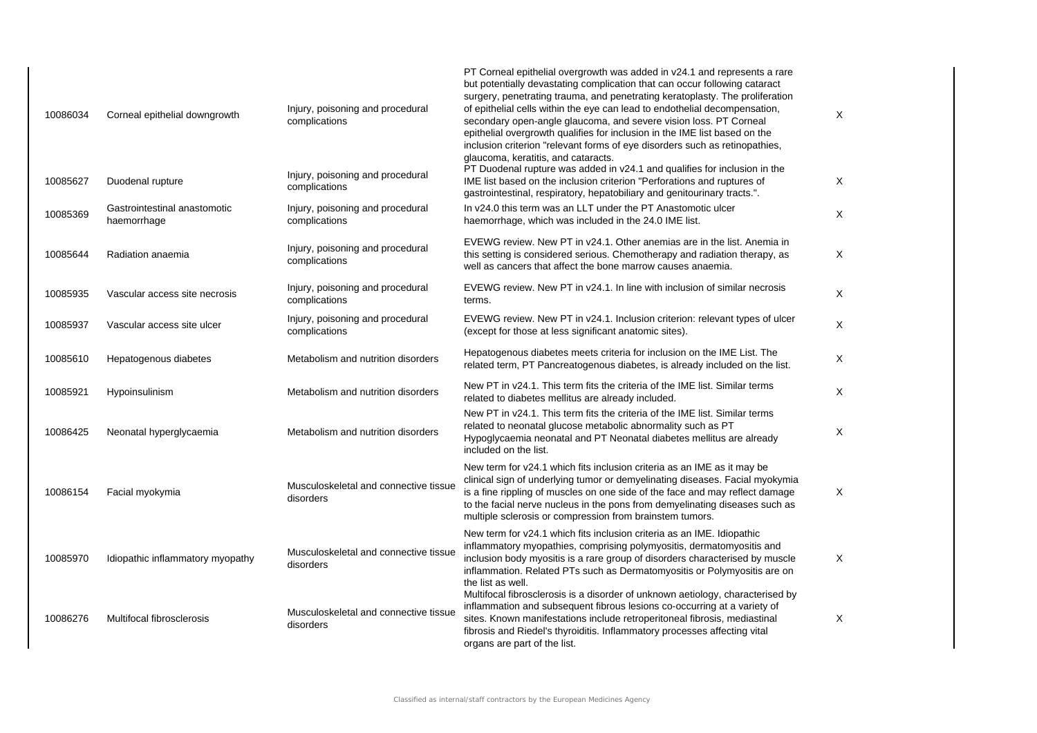| 10086034 | Corneal epithelial downgrowth               | Injury, poisoning and procedural<br>complications  | PT Corneal epithelial overgrowth was added in v24.1 and represents a rare<br>but potentially devastating complication that can occur following cataract<br>surgery, penetrating trauma, and penetrating keratoplasty. The proliferation<br>of epithelial cells within the eye can lead to endothelial decompensation,<br>secondary open-angle glaucoma, and severe vision loss. PT Corneal<br>epithelial overgrowth qualifies for inclusion in the IME list based on the<br>inclusion criterion "relevant forms of eye disorders such as retinopathies,<br>glaucoma, keratitis, and cataracts.<br>PT Duodenal rupture was added in v24.1 and qualifies for inclusion in the | X |
|----------|---------------------------------------------|----------------------------------------------------|-----------------------------------------------------------------------------------------------------------------------------------------------------------------------------------------------------------------------------------------------------------------------------------------------------------------------------------------------------------------------------------------------------------------------------------------------------------------------------------------------------------------------------------------------------------------------------------------------------------------------------------------------------------------------------|---|
| 10085627 | Duodenal rupture                            | Injury, poisoning and procedural<br>complications  | IME list based on the inclusion criterion "Perforations and ruptures of<br>gastrointestinal, respiratory, hepatobiliary and genitourinary tracts.".                                                                                                                                                                                                                                                                                                                                                                                                                                                                                                                         | X |
| 10085369 | Gastrointestinal anastomotic<br>haemorrhage | Injury, poisoning and procedural<br>complications  | In v24.0 this term was an LLT under the PT Anastomotic ulcer<br>haemorrhage, which was included in the 24.0 IME list.                                                                                                                                                                                                                                                                                                                                                                                                                                                                                                                                                       | X |
| 10085644 | Radiation anaemia                           | Injury, poisoning and procedural<br>complications  | EVEWG review. New PT in v24.1. Other anemias are in the list. Anemia in<br>this setting is considered serious. Chemotherapy and radiation therapy, as<br>well as cancers that affect the bone marrow causes anaemia.                                                                                                                                                                                                                                                                                                                                                                                                                                                        | X |
| 10085935 | Vascular access site necrosis               | Injury, poisoning and procedural<br>complications  | EVEWG review. New PT in v24.1. In line with inclusion of similar necrosis<br>terms.                                                                                                                                                                                                                                                                                                                                                                                                                                                                                                                                                                                         | X |
| 10085937 | Vascular access site ulcer                  | Injury, poisoning and procedural<br>complications  | EVEWG review. New PT in v24.1. Inclusion criterion: relevant types of ulcer<br>(except for those at less significant anatomic sites).                                                                                                                                                                                                                                                                                                                                                                                                                                                                                                                                       | X |
| 10085610 | Hepatogenous diabetes                       | Metabolism and nutrition disorders                 | Hepatogenous diabetes meets criteria for inclusion on the IME List. The<br>related term, PT Pancreatogenous diabetes, is already included on the list.                                                                                                                                                                                                                                                                                                                                                                                                                                                                                                                      | X |
| 10085921 | Hypoinsulinism                              | Metabolism and nutrition disorders                 | New PT in $v24.1$ . This term fits the criteria of the IME list. Similar terms<br>related to diabetes mellitus are already included.                                                                                                                                                                                                                                                                                                                                                                                                                                                                                                                                        | X |
| 10086425 | Neonatal hyperglycaemia                     | Metabolism and nutrition disorders                 | New PT in y24.1. This term fits the criteria of the IME list. Similar terms<br>related to neonatal glucose metabolic abnormality such as PT<br>Hypoglycaemia neonatal and PT Neonatal diabetes mellitus are already<br>included on the list.                                                                                                                                                                                                                                                                                                                                                                                                                                | X |
| 10086154 | Facial myokymia                             | Musculoskeletal and connective tissue<br>disorders | New term for v24.1 which fits inclusion criteria as an IME as it may be<br>clinical sign of underlying tumor or demyelinating diseases. Facial myokymia<br>is a fine rippling of muscles on one side of the face and may reflect damage<br>to the facial nerve nucleus in the pons from demyelinating diseases such as<br>multiple sclerosis or compression from brainstem tumors.                                                                                                                                                                                                                                                                                          | X |
| 10085970 | Idiopathic inflammatory myopathy            | Musculoskeletal and connective tissue<br>disorders | New term for v24.1 which fits inclusion criteria as an IME. Idiopathic<br>inflammatory myopathies, comprising polymyositis, dermatomyositis and<br>inclusion body myositis is a rare group of disorders characterised by muscle<br>inflammation. Related PTs such as Dermatomyositis or Polymyositis are on<br>the list as well.                                                                                                                                                                                                                                                                                                                                            | Χ |
| 10086276 | Multifocal fibrosclerosis                   | Musculoskeletal and connective tissue<br>disorders | Multifocal fibrosclerosis is a disorder of unknown aetiology, characterised by<br>inflammation and subsequent fibrous lesions co-occurring at a variety of<br>sites. Known manifestations include retroperitoneal fibrosis, mediastinal<br>fibrosis and Riedel's thyroiditis. Inflammatory processes affecting vital<br>organs are part of the list.                                                                                                                                                                                                                                                                                                                        | X |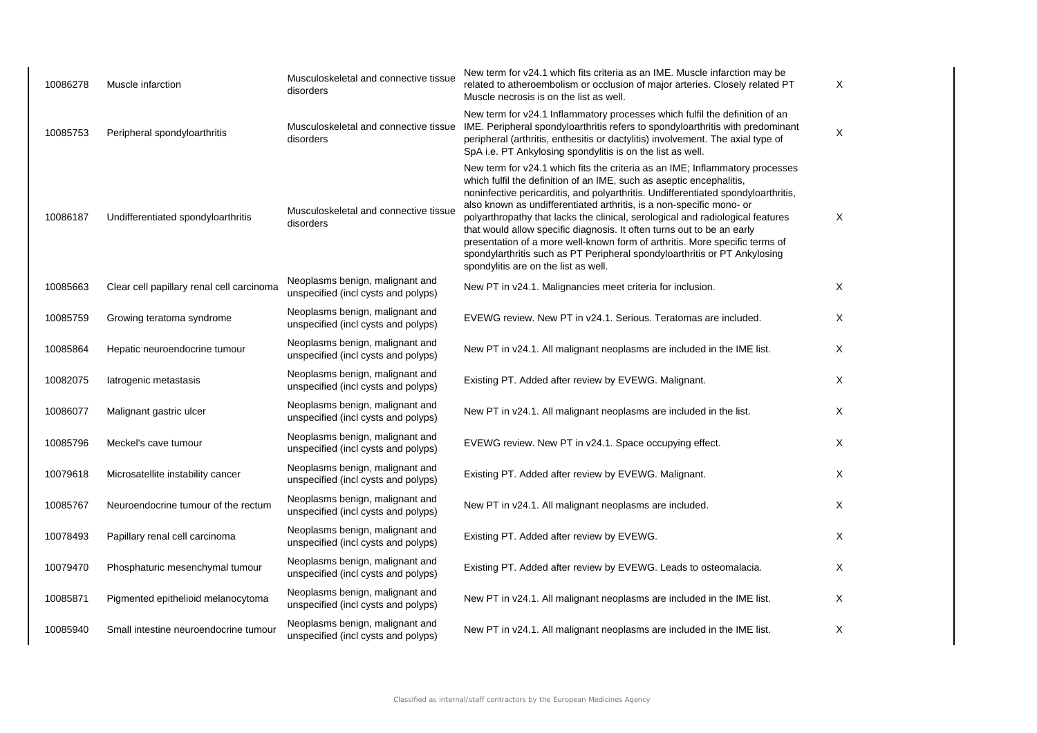| 10086278 | Muscle infarction                         | Musculoskeletal and connective tissue<br>disorders                     | New term for v24.1 which fits criteria as an IME. Muscle infarction may be<br>related to atheroembolism or occlusion of major arteries. Closely related PT<br>Muscle necrosis is on the list as well.                                                                                                                                                                                                                                                                                                                                                                                                                                                                             | X        |
|----------|-------------------------------------------|------------------------------------------------------------------------|-----------------------------------------------------------------------------------------------------------------------------------------------------------------------------------------------------------------------------------------------------------------------------------------------------------------------------------------------------------------------------------------------------------------------------------------------------------------------------------------------------------------------------------------------------------------------------------------------------------------------------------------------------------------------------------|----------|
| 10085753 | Peripheral spondyloarthritis              | Musculoskeletal and connective tissue<br>disorders                     | New term for v24.1 Inflammatory processes which fulfil the definition of an<br>IME. Peripheral spondyloarthritis refers to spondyloarthritis with predominant<br>peripheral (arthritis, enthesitis or dactylitis) involvement. The axial type of<br>SpA i.e. PT Ankylosing spondylitis is on the list as well.                                                                                                                                                                                                                                                                                                                                                                    | X        |
| 10086187 | Undifferentiated spondyloarthritis        | Musculoskeletal and connective tissue<br>disorders                     | New term for v24.1 which fits the criteria as an IME; Inflammatory processes<br>which fulfil the definition of an IME, such as aseptic encephalitis,<br>noninfective pericarditis, and polyarthritis. Undifferentiated spondyloarthritis,<br>also known as undifferentiated arthritis, is a non-specific mono- or<br>polyarthropathy that lacks the clinical, serological and radiological features<br>that would allow specific diagnosis. It often turns out to be an early<br>presentation of a more well-known form of arthritis. More specific terms of<br>spondylarthritis such as PT Peripheral spondyloarthritis or PT Ankylosing<br>spondylitis are on the list as well. | X        |
| 10085663 | Clear cell papillary renal cell carcinoma | Neoplasms benign, malignant and<br>unspecified (incl cysts and polyps) | New PT in v24.1. Malignancies meet criteria for inclusion.                                                                                                                                                                                                                                                                                                                                                                                                                                                                                                                                                                                                                        | Χ        |
| 10085759 | Growing teratoma syndrome                 | Neoplasms benign, malignant and<br>unspecified (incl cysts and polyps) | EVEWG review. New PT in v24.1. Serious. Teratomas are included.                                                                                                                                                                                                                                                                                                                                                                                                                                                                                                                                                                                                                   | X        |
| 10085864 | Hepatic neuroendocrine tumour             | Neoplasms benign, malignant and<br>unspecified (incl cysts and polyps) | New PT in v24.1. All malignant neoplasms are included in the IME list.                                                                                                                                                                                                                                                                                                                                                                                                                                                                                                                                                                                                            | $\times$ |
| 10082075 | latrogenic metastasis                     | Neoplasms benign, malignant and<br>unspecified (incl cysts and polyps) | Existing PT. Added after review by EVEWG. Malignant.                                                                                                                                                                                                                                                                                                                                                                                                                                                                                                                                                                                                                              | Χ        |
| 10086077 | Malignant gastric ulcer                   | Neoplasms benign, malignant and<br>unspecified (incl cysts and polyps) | New PT in v24.1. All malignant neoplasms are included in the list.                                                                                                                                                                                                                                                                                                                                                                                                                                                                                                                                                                                                                | Χ        |
| 10085796 | Meckel's cave tumour                      | Neoplasms benign, malignant and<br>unspecified (incl cysts and polyps) | EVEWG review. New PT in v24.1. Space occupying effect.                                                                                                                                                                                                                                                                                                                                                                                                                                                                                                                                                                                                                            | Χ        |
| 10079618 | Microsatellite instability cancer         | Neoplasms benign, malignant and<br>unspecified (incl cysts and polyps) | Existing PT. Added after review by EVEWG. Malignant.                                                                                                                                                                                                                                                                                                                                                                                                                                                                                                                                                                                                                              | $\times$ |
| 10085767 | Neuroendocrine tumour of the rectum       | Neoplasms benign, malignant and<br>unspecified (incl cysts and polyps) | New PT in v24.1. All malignant neoplasms are included.                                                                                                                                                                                                                                                                                                                                                                                                                                                                                                                                                                                                                            | Χ        |
| 10078493 | Papillary renal cell carcinoma            | Neoplasms benign, malignant and<br>unspecified (incl cysts and polyps) | Existing PT. Added after review by EVEWG.                                                                                                                                                                                                                                                                                                                                                                                                                                                                                                                                                                                                                                         | X        |
| 10079470 | Phosphaturic mesenchymal tumour           | Neoplasms benign, malignant and<br>unspecified (incl cysts and polyps) | Existing PT. Added after review by EVEWG. Leads to osteomalacia.                                                                                                                                                                                                                                                                                                                                                                                                                                                                                                                                                                                                                  | $\times$ |
| 10085871 | Pigmented epithelioid melanocytoma        | Neoplasms benign, malignant and<br>unspecified (incl cysts and polyps) | New PT in v24.1. All malignant neoplasms are included in the IME list.                                                                                                                                                                                                                                                                                                                                                                                                                                                                                                                                                                                                            | Χ        |
| 10085940 | Small intestine neuroendocrine tumour     | Neoplasms benign, malignant and<br>unspecified (incl cysts and polyps) | New PT in v24.1. All malignant neoplasms are included in the IME list.                                                                                                                                                                                                                                                                                                                                                                                                                                                                                                                                                                                                            | Χ        |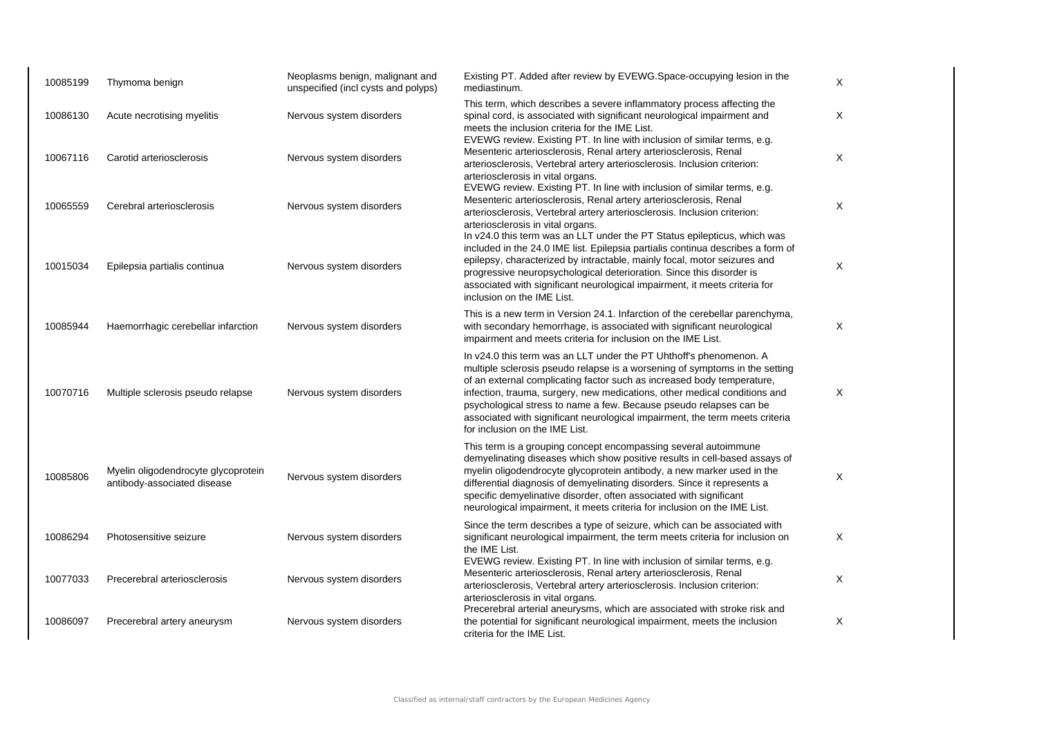| 10085199 | Thymoma benign                                                     | Neoplasms benign, malignant and<br>unspecified (incl cysts and polyps) | Existing PT. Added after review by EVEWG.Space-occupying lesion in the<br>mediastinum.                                                                                                                                                                                                                                                                                                                                                                                                           | Χ |
|----------|--------------------------------------------------------------------|------------------------------------------------------------------------|--------------------------------------------------------------------------------------------------------------------------------------------------------------------------------------------------------------------------------------------------------------------------------------------------------------------------------------------------------------------------------------------------------------------------------------------------------------------------------------------------|---|
| 10086130 | Acute necrotising myelitis                                         | Nervous system disorders                                               | This term, which describes a severe inflammatory process affecting the<br>spinal cord, is associated with significant neurological impairment and<br>meets the inclusion criteria for the IME List.<br>EVEWG review. Existing PT. In line with inclusion of similar terms, e.g.                                                                                                                                                                                                                  | X |
| 10067116 | Carotid arteriosclerosis                                           | Nervous system disorders                                               | Mesenteric arteriosclerosis, Renal artery arteriosclerosis, Renal<br>arteriosclerosis, Vertebral artery arteriosclerosis. Inclusion criterion:<br>arteriosclerosis in vital organs.                                                                                                                                                                                                                                                                                                              | Χ |
| 10065559 | Cerebral arteriosclerosis                                          | Nervous system disorders                                               | EVEWG review. Existing PT. In line with inclusion of similar terms, e.g.<br>Mesenteric arteriosclerosis, Renal artery arteriosclerosis, Renal<br>arteriosclerosis, Vertebral artery arteriosclerosis. Inclusion criterion:<br>arteriosclerosis in vital organs.                                                                                                                                                                                                                                  | X |
| 10015034 | Epilepsia partialis continua                                       | Nervous system disorders                                               | In v24.0 this term was an LLT under the PT Status epilepticus, which was<br>included in the 24.0 IME list. Epilepsia partialis continua describes a form of<br>epilepsy, characterized by intractable, mainly focal, motor seizures and<br>progressive neuropsychological deterioration. Since this disorder is<br>associated with significant neurological impairment, it meets criteria for<br>inclusion on the IME List.                                                                      | X |
| 10085944 | Haemorrhagic cerebellar infarction                                 | Nervous system disorders                                               | This is a new term in Version 24.1. Infarction of the cerebellar parenchyma,<br>with secondary hemorrhage, is associated with significant neurological<br>impairment and meets criteria for inclusion on the IME List.                                                                                                                                                                                                                                                                           | X |
| 10070716 | Multiple sclerosis pseudo relapse                                  | Nervous system disorders                                               | In v24.0 this term was an LLT under the PT Uhthoff's phenomenon. A<br>multiple sclerosis pseudo relapse is a worsening of symptoms in the setting<br>of an external complicating factor such as increased body temperature,<br>infection, trauma, surgery, new medications, other medical conditions and<br>psychological stress to name a few. Because pseudo relapses can be<br>associated with significant neurological impairment, the term meets criteria<br>for inclusion on the IME List. | X |
| 10085806 | Myelin oligodendrocyte glycoprotein<br>antibody-associated disease | Nervous system disorders                                               | This term is a grouping concept encompassing several autoimmune<br>demyelinating diseases which show positive results in cell-based assays of<br>myelin oligodendrocyte glycoprotein antibody, a new marker used in the<br>differential diagnosis of demyelinating disorders. Since it represents a<br>specific demyelinative disorder, often associated with significant<br>neurological impairment, it meets criteria for inclusion on the IME List.                                           | X |
| 10086294 | Photosensitive seizure                                             | Nervous system disorders                                               | Since the term describes a type of seizure, which can be associated with<br>significant neurological impairment, the term meets criteria for inclusion on<br>the IME List.                                                                                                                                                                                                                                                                                                                       | X |
| 10077033 | Precerebral arteriosclerosis                                       | Nervous system disorders                                               | EVEWG review. Existing PT. In line with inclusion of similar terms, e.g.<br>Mesenteric arteriosclerosis, Renal artery arteriosclerosis, Renal<br>arteriosclerosis, Vertebral artery arteriosclerosis. Inclusion criterion:<br>arteriosclerosis in vital organs.                                                                                                                                                                                                                                  | X |
| 10086097 | Precerebral artery aneurysm                                        | Nervous system disorders                                               | Precerebral arterial aneurysms, which are associated with stroke risk and<br>the potential for significant neurological impairment, meets the inclusion<br>criteria for the IME List.                                                                                                                                                                                                                                                                                                            | X |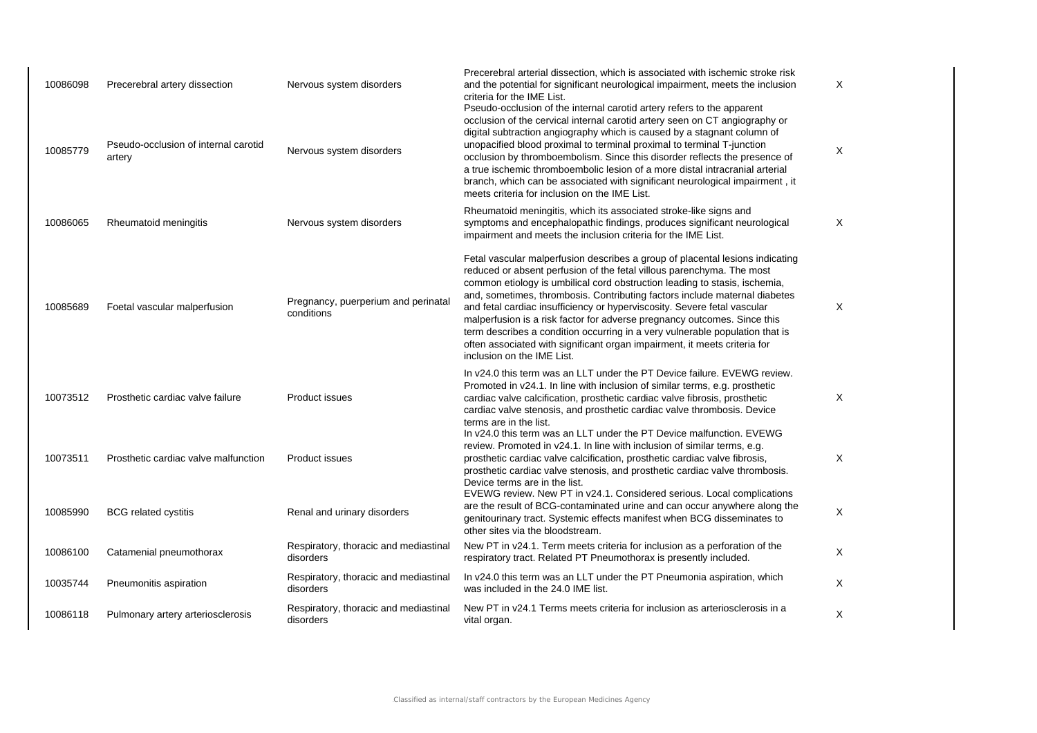| 10086098<br>10085779 | Precerebral artery dissection<br>Pseudo-occlusion of internal carotid<br>artery | Nervous system disorders<br>Nervous system disorders | Precerebral arterial dissection, which is associated with ischemic stroke risk<br>and the potential for significant neurological impairment, meets the inclusion<br>criteria for the IME List.<br>Pseudo-occlusion of the internal carotid artery refers to the apparent<br>occlusion of the cervical internal carotid artery seen on CT angiography or<br>digital subtraction angiography which is caused by a stagnant column of<br>unopacified blood proximal to terminal proximal to terminal T-junction<br>occlusion by thromboembolism. Since this disorder reflects the presence of<br>a true ischemic thromboembolic lesion of a more distal intracranial arterial<br>branch, which can be associated with significant neurological impairment, it<br>meets criteria for inclusion on the IME List. | X<br>X |
|----------------------|---------------------------------------------------------------------------------|------------------------------------------------------|-------------------------------------------------------------------------------------------------------------------------------------------------------------------------------------------------------------------------------------------------------------------------------------------------------------------------------------------------------------------------------------------------------------------------------------------------------------------------------------------------------------------------------------------------------------------------------------------------------------------------------------------------------------------------------------------------------------------------------------------------------------------------------------------------------------|--------|
| 10086065             | Rheumatoid meningitis                                                           | Nervous system disorders                             | Rheumatoid meningitis, which its associated stroke-like signs and<br>symptoms and encephalopathic findings, produces significant neurological<br>impairment and meets the inclusion criteria for the IME List.                                                                                                                                                                                                                                                                                                                                                                                                                                                                                                                                                                                              | X      |
| 10085689             | Foetal vascular malperfusion                                                    | Pregnancy, puerperium and perinatal<br>conditions    | Fetal vascular malperfusion describes a group of placental lesions indicating<br>reduced or absent perfusion of the fetal villous parenchyma. The most<br>common etiology is umbilical cord obstruction leading to stasis, ischemia,<br>and, sometimes, thrombosis. Contributing factors include maternal diabetes<br>and fetal cardiac insufficiency or hyperviscosity. Severe fetal vascular<br>malperfusion is a risk factor for adverse pregnancy outcomes. Since this<br>term describes a condition occurring in a very vulnerable population that is<br>often associated with significant organ impairment, it meets criteria for<br>inclusion on the IME List.                                                                                                                                       | X      |
| 10073512             | Prosthetic cardiac valve failure                                                | <b>Product issues</b>                                | In v24.0 this term was an LLT under the PT Device failure. EVEWG review.<br>Promoted in v24.1. In line with inclusion of similar terms, e.g. prosthetic<br>cardiac valve calcification, prosthetic cardiac valve fibrosis, prosthetic<br>cardiac valve stenosis, and prosthetic cardiac valve thrombosis. Device<br>terms are in the list.                                                                                                                                                                                                                                                                                                                                                                                                                                                                  | X      |
| 10073511             | Prosthetic cardiac valve malfunction                                            | <b>Product issues</b>                                | In v24.0 this term was an LLT under the PT Device malfunction. EVEWG<br>review. Promoted in v24.1. In line with inclusion of similar terms, e.g.<br>prosthetic cardiac valve calcification, prosthetic cardiac valve fibrosis,<br>prosthetic cardiac valve stenosis, and prosthetic cardiac valve thrombosis.<br>Device terms are in the list.                                                                                                                                                                                                                                                                                                                                                                                                                                                              | Χ      |
| 10085990             | <b>BCG</b> related cystitis                                                     | Renal and urinary disorders                          | EVEWG review. New PT in v24.1. Considered serious. Local complications<br>are the result of BCG-contaminated urine and can occur anywhere along the<br>genitourinary tract. Systemic effects manifest when BCG disseminates to<br>other sites via the bloodstream.                                                                                                                                                                                                                                                                                                                                                                                                                                                                                                                                          | X      |
| 10086100             | Catamenial pneumothorax                                                         | Respiratory, thoracic and mediastinal<br>disorders   | New PT in v24.1. Term meets criteria for inclusion as a perforation of the<br>respiratory tract. Related PT Pneumothorax is presently included.                                                                                                                                                                                                                                                                                                                                                                                                                                                                                                                                                                                                                                                             | X      |
| 10035744             | Pneumonitis aspiration                                                          | Respiratory, thoracic and mediastinal<br>disorders   | In v24.0 this term was an LLT under the PT Pneumonia aspiration, which<br>was included in the 24.0 IME list.                                                                                                                                                                                                                                                                                                                                                                                                                                                                                                                                                                                                                                                                                                | X      |
| 10086118             | Pulmonary artery arteriosclerosis                                               | Respiratory, thoracic and mediastinal<br>disorders   | New PT in v24.1 Terms meets criteria for inclusion as arteriosclerosis in a<br>vital organ.                                                                                                                                                                                                                                                                                                                                                                                                                                                                                                                                                                                                                                                                                                                 | X      |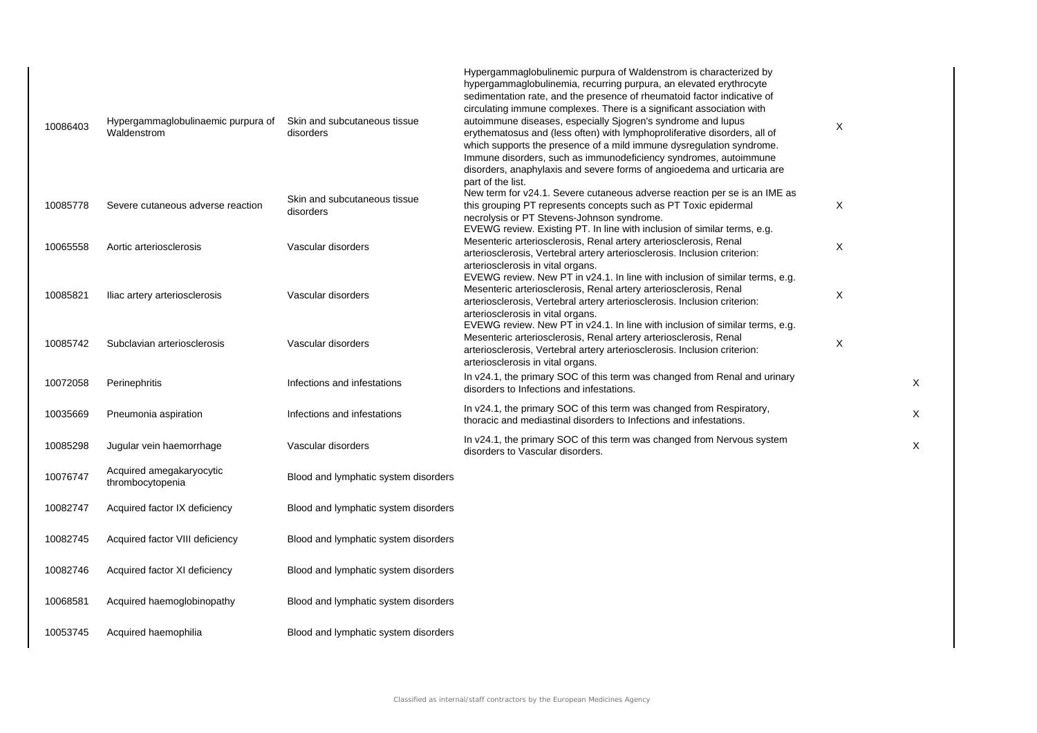| 10086403 | Hypergammaglobulinaemic purpura of<br>Waldenstrom | Skin and subcutaneous tissue<br>disorders | Hypergammaglobulinemic purpura of Waldenstrom is characterized by<br>hypergammaglobulinemia, recurring purpura, an elevated erythrocyte<br>sedimentation rate, and the presence of rheumatoid factor indicative of<br>circulating immune complexes. There is a significant association with<br>autoimmune diseases, especially Sjogren's syndrome and lupus<br>erythematosus and (less often) with lymphoproliferative disorders, all of<br>which supports the presence of a mild immune dysregulation syndrome.<br>Immune disorders, such as immunodeficiency syndromes, autoimmune<br>disorders, anaphylaxis and severe forms of angioedema and urticaria are | X |          |
|----------|---------------------------------------------------|-------------------------------------------|-----------------------------------------------------------------------------------------------------------------------------------------------------------------------------------------------------------------------------------------------------------------------------------------------------------------------------------------------------------------------------------------------------------------------------------------------------------------------------------------------------------------------------------------------------------------------------------------------------------------------------------------------------------------|---|----------|
| 10085778 | Severe cutaneous adverse reaction                 | Skin and subcutaneous tissue<br>disorders | part of the list.<br>New term for v24.1. Severe cutaneous adverse reaction per se is an IME as<br>this grouping PT represents concepts such as PT Toxic epidermal<br>necrolysis or PT Stevens-Johnson syndrome.                                                                                                                                                                                                                                                                                                                                                                                                                                                 | Χ |          |
| 10065558 | Aortic arteriosclerosis                           | Vascular disorders                        | EVEWG review. Existing PT. In line with inclusion of similar terms, e.g.<br>Mesenteric arteriosclerosis, Renal artery arteriosclerosis, Renal<br>arteriosclerosis, Vertebral artery arteriosclerosis. Inclusion criterion:<br>arteriosclerosis in vital organs.                                                                                                                                                                                                                                                                                                                                                                                                 | X |          |
| 10085821 | Iliac artery arteriosclerosis                     | Vascular disorders                        | EVEWG review. New PT in v24.1. In line with inclusion of similar terms, e.g.<br>Mesenteric arteriosclerosis, Renal artery arteriosclerosis, Renal<br>arteriosclerosis, Vertebral artery arteriosclerosis. Inclusion criterion:<br>arteriosclerosis in vital organs.                                                                                                                                                                                                                                                                                                                                                                                             | X |          |
| 10085742 | Subclavian arteriosclerosis                       | Vascular disorders                        | EVEWG review. New PT in v24.1. In line with inclusion of similar terms, e.g.<br>Mesenteric arteriosclerosis, Renal artery arteriosclerosis, Renal<br>arteriosclerosis, Vertebral artery arteriosclerosis. Inclusion criterion:<br>arteriosclerosis in vital organs.                                                                                                                                                                                                                                                                                                                                                                                             | X |          |
| 10072058 | Perinephritis                                     | Infections and infestations               | In v24.1, the primary SOC of this term was changed from Renal and urinary<br>disorders to Infections and infestations.                                                                                                                                                                                                                                                                                                                                                                                                                                                                                                                                          |   | $\times$ |
| 10035669 | Pneumonia aspiration                              | Infections and infestations               | In v24.1, the primary SOC of this term was changed from Respiratory,<br>thoracic and mediastinal disorders to Infections and infestations.                                                                                                                                                                                                                                                                                                                                                                                                                                                                                                                      |   | $\times$ |
| 10085298 | Jugular vein haemorrhage                          | Vascular disorders                        | In v24.1, the primary SOC of this term was changed from Nervous system<br>disorders to Vascular disorders.                                                                                                                                                                                                                                                                                                                                                                                                                                                                                                                                                      |   | $\times$ |
| 10076747 | Acquired amegakaryocytic<br>thrombocytopenia      | Blood and lymphatic system disorders      |                                                                                                                                                                                                                                                                                                                                                                                                                                                                                                                                                                                                                                                                 |   |          |
| 10082747 | Acquired factor IX deficiency                     | Blood and lymphatic system disorders      |                                                                                                                                                                                                                                                                                                                                                                                                                                                                                                                                                                                                                                                                 |   |          |
| 10082745 | Acquired factor VIII deficiency                   | Blood and lymphatic system disorders      |                                                                                                                                                                                                                                                                                                                                                                                                                                                                                                                                                                                                                                                                 |   |          |
| 10082746 | Acquired factor XI deficiency                     | Blood and lymphatic system disorders      |                                                                                                                                                                                                                                                                                                                                                                                                                                                                                                                                                                                                                                                                 |   |          |
| 10068581 | Acquired haemoglobinopathy                        | Blood and lymphatic system disorders      |                                                                                                                                                                                                                                                                                                                                                                                                                                                                                                                                                                                                                                                                 |   |          |
| 10053745 | Acquired haemophilia                              | Blood and lymphatic system disorders      |                                                                                                                                                                                                                                                                                                                                                                                                                                                                                                                                                                                                                                                                 |   |          |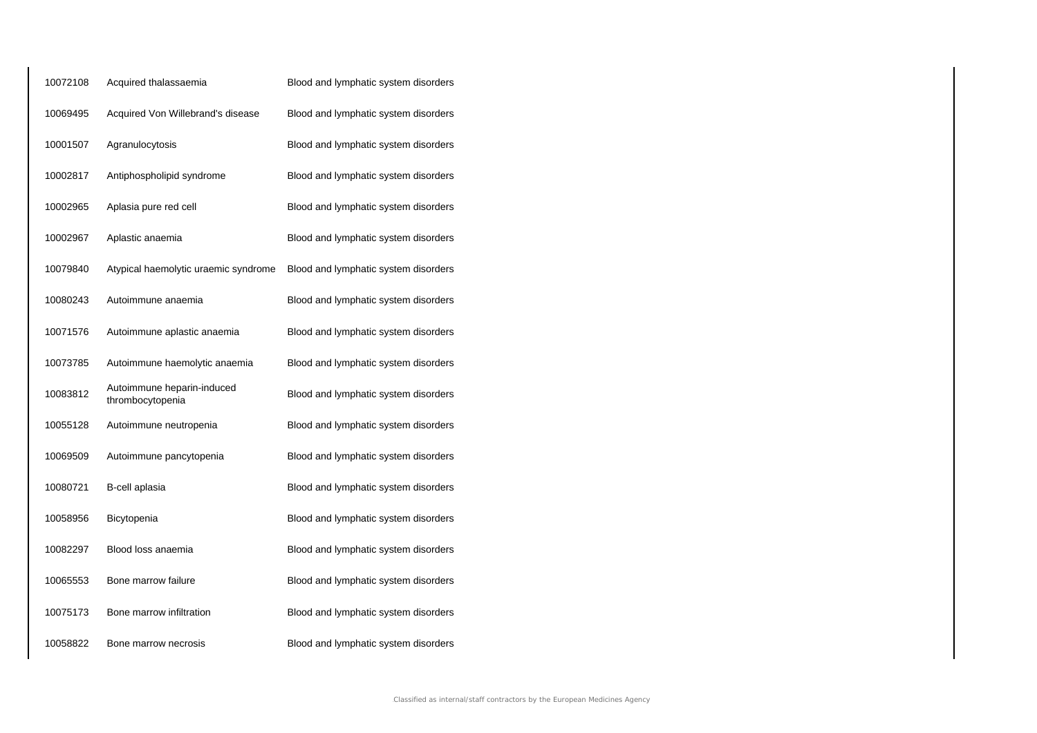| 10072108 | Acquired thalassaemia                          | Blood and lymphatic system disorders |
|----------|------------------------------------------------|--------------------------------------|
| 10069495 | Acquired Von Willebrand's disease              | Blood and lymphatic system disorders |
| 10001507 | Agranulocytosis                                | Blood and lymphatic system disorders |
| 10002817 | Antiphospholipid syndrome                      | Blood and lymphatic system disorders |
| 10002965 | Aplasia pure red cell                          | Blood and lymphatic system disorders |
| 10002967 | Aplastic anaemia                               | Blood and lymphatic system disorders |
| 10079840 | Atypical haemolytic uraemic syndrome           | Blood and lymphatic system disorders |
| 10080243 | Autoimmune anaemia                             | Blood and lymphatic system disorders |
| 10071576 | Autoimmune aplastic anaemia                    | Blood and lymphatic system disorders |
| 10073785 | Autoimmune haemolytic anaemia                  | Blood and lymphatic system disorders |
| 10083812 | Autoimmune heparin-induced<br>thrombocytopenia | Blood and lymphatic system disorders |
| 10055128 | Autoimmune neutropenia                         | Blood and lymphatic system disorders |
| 10069509 | Autoimmune pancytopenia                        | Blood and lymphatic system disorders |
| 10080721 | B-cell aplasia                                 | Blood and lymphatic system disorders |
| 10058956 | Bicytopenia                                    | Blood and lymphatic system disorders |
| 10082297 | Blood loss anaemia                             | Blood and lymphatic system disorders |
| 10065553 | Bone marrow failure                            | Blood and lymphatic system disorders |
| 10075173 | Bone marrow infiltration                       | Blood and lymphatic system disorders |
| 10058822 | Bone marrow necrosis                           | Blood and lymphatic system disorders |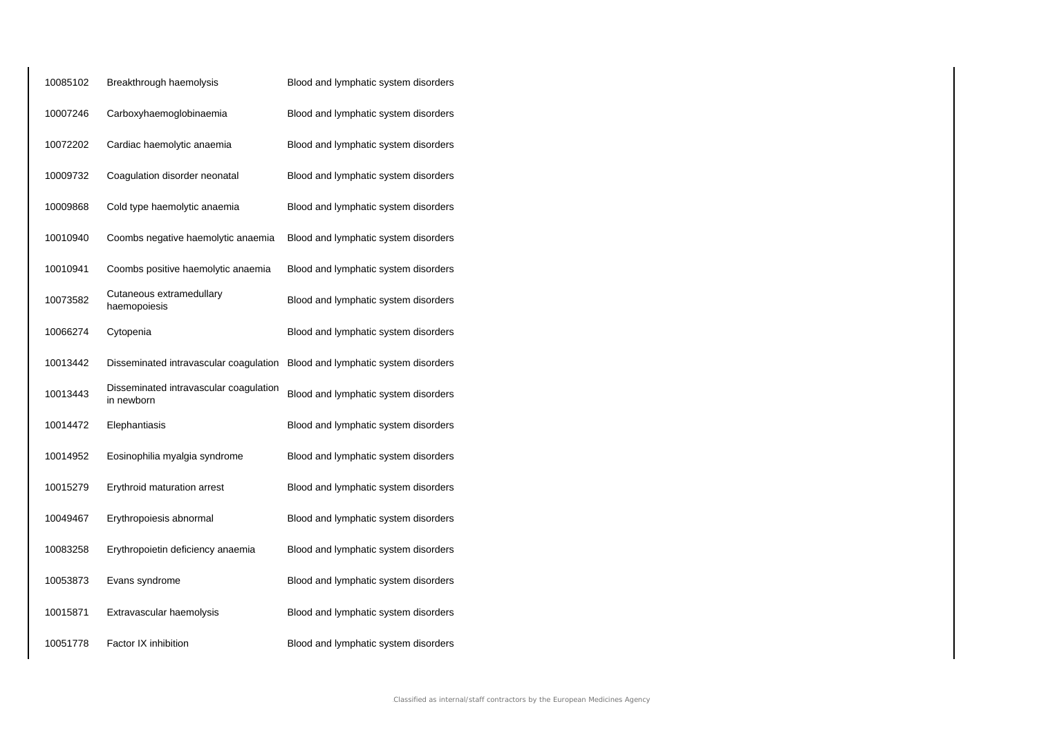| 10085102 | Breakthrough haemolysis                              | Blood and lymphatic system disorders |
|----------|------------------------------------------------------|--------------------------------------|
| 10007246 | Carboxyhaemoglobinaemia                              | Blood and lymphatic system disorders |
| 10072202 | Cardiac haemolytic anaemia                           | Blood and lymphatic system disorders |
| 10009732 | Coagulation disorder neonatal                        | Blood and lymphatic system disorders |
| 10009868 | Cold type haemolytic anaemia                         | Blood and lymphatic system disorders |
| 10010940 | Coombs negative haemolytic anaemia                   | Blood and lymphatic system disorders |
| 10010941 | Coombs positive haemolytic anaemia                   | Blood and lymphatic system disorders |
| 10073582 | Cutaneous extramedullary<br>haemopoiesis             | Blood and lymphatic system disorders |
| 10066274 | Cytopenia                                            | Blood and lymphatic system disorders |
| 10013442 | Disseminated intravascular coagulation               | Blood and lymphatic system disorders |
| 10013443 | Disseminated intravascular coagulation<br>in newborn | Blood and lymphatic system disorders |
| 10014472 | Elephantiasis                                        | Blood and lymphatic system disorders |
| 10014952 | Eosinophilia myalgia syndrome                        | Blood and lymphatic system disorders |
| 10015279 | Erythroid maturation arrest                          | Blood and lymphatic system disorders |
| 10049467 | Erythropoiesis abnormal                              | Blood and lymphatic system disorders |
| 10083258 | Erythropoietin deficiency anaemia                    | Blood and lymphatic system disorders |
| 10053873 | Evans syndrome                                       | Blood and lymphatic system disorders |
| 10015871 | Extravascular haemolysis                             | Blood and lymphatic system disorders |
| 10051778 | Factor IX inhibition                                 | Blood and lymphatic system disorders |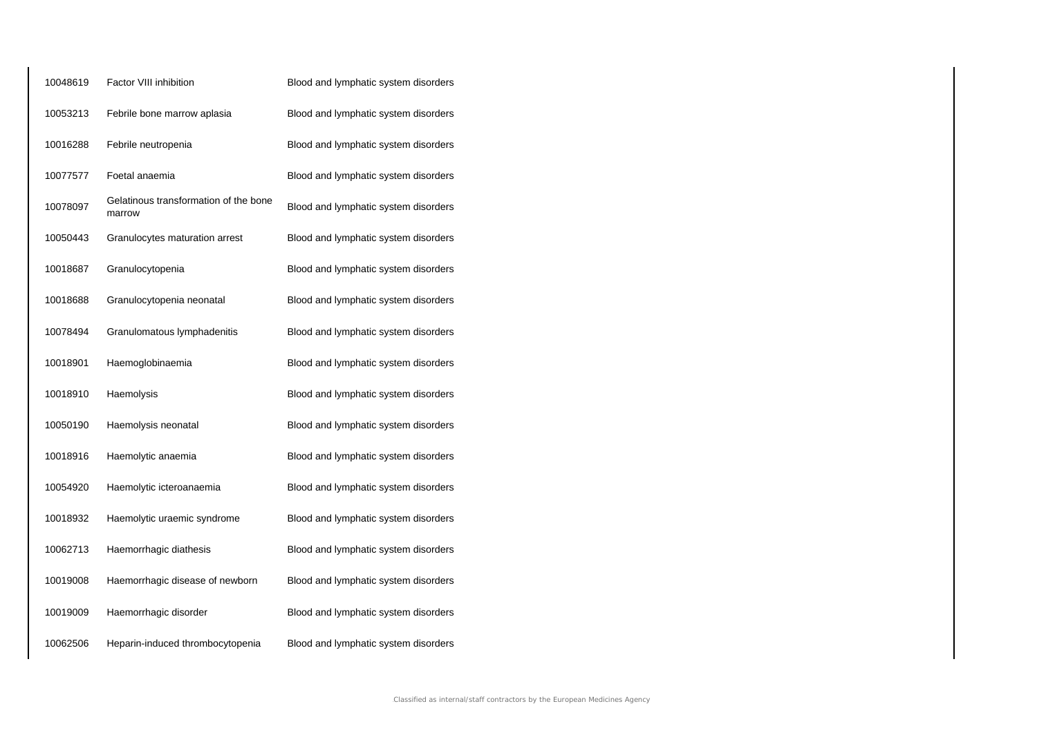| 10048619 | <b>Factor VIII inhibition</b>                   | Blood and lymphatic system disorders |
|----------|-------------------------------------------------|--------------------------------------|
| 10053213 | Febrile bone marrow aplasia                     | Blood and lymphatic system disorders |
| 10016288 | Febrile neutropenia                             | Blood and lymphatic system disorders |
| 10077577 | Foetal anaemia                                  | Blood and lymphatic system disorders |
| 10078097 | Gelatinous transformation of the bone<br>marrow | Blood and lymphatic system disorders |
| 10050443 | Granulocytes maturation arrest                  | Blood and lymphatic system disorders |
| 10018687 | Granulocytopenia                                | Blood and lymphatic system disorders |
| 10018688 | Granulocytopenia neonatal                       | Blood and lymphatic system disorders |
| 10078494 | Granulomatous lymphadenitis                     | Blood and lymphatic system disorders |
| 10018901 | Haemoglobinaemia                                | Blood and lymphatic system disorders |
| 10018910 | Haemolysis                                      | Blood and lymphatic system disorders |
| 10050190 | Haemolysis neonatal                             | Blood and lymphatic system disorders |
| 10018916 | Haemolytic anaemia                              | Blood and lymphatic system disorders |
| 10054920 | Haemolytic icteroanaemia                        | Blood and lymphatic system disorders |
| 10018932 | Haemolytic uraemic syndrome                     | Blood and lymphatic system disorders |
| 10062713 | Haemorrhagic diathesis                          | Blood and lymphatic system disorders |
| 10019008 | Haemorrhagic disease of newborn                 | Blood and lymphatic system disorders |
| 10019009 | Haemorrhagic disorder                           | Blood and lymphatic system disorders |
| 10062506 | Heparin-induced thrombocytopenia                | Blood and lymphatic system disorders |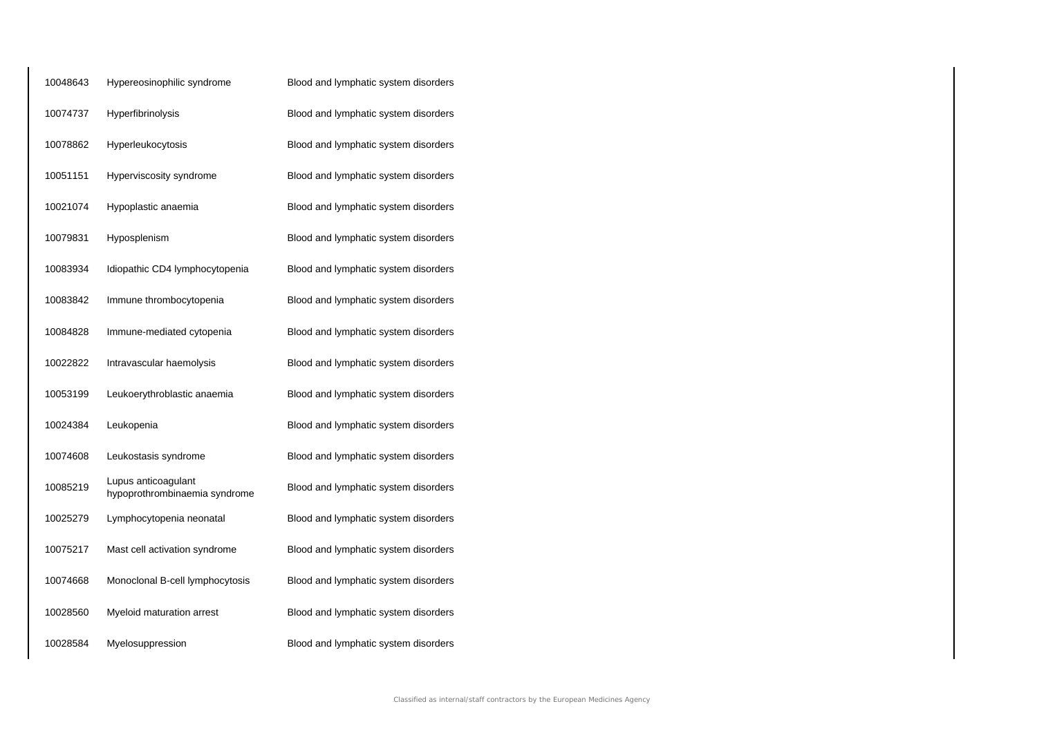| 10048643 | Hypereosinophilic syndrome                           | Blood and lymphatic system disorders |
|----------|------------------------------------------------------|--------------------------------------|
| 10074737 | Hyperfibrinolysis                                    | Blood and lymphatic system disorders |
| 10078862 | Hyperleukocytosis                                    | Blood and lymphatic system disorders |
| 10051151 | Hyperviscosity syndrome                              | Blood and lymphatic system disorders |
| 10021074 | Hypoplastic anaemia                                  | Blood and lymphatic system disorders |
| 10079831 | Hyposplenism                                         | Blood and lymphatic system disorders |
| 10083934 | Idiopathic CD4 lymphocytopenia                       | Blood and lymphatic system disorders |
| 10083842 | Immune thrombocytopenia                              | Blood and lymphatic system disorders |
| 10084828 | Immune-mediated cytopenia                            | Blood and lymphatic system disorders |
| 10022822 | Intravascular haemolysis                             | Blood and lymphatic system disorders |
| 10053199 | Leukoerythroblastic anaemia                          | Blood and lymphatic system disorders |
| 10024384 | Leukopenia                                           | Blood and lymphatic system disorders |
| 10074608 | Leukostasis syndrome                                 | Blood and lymphatic system disorders |
| 10085219 | Lupus anticoagulant<br>hypoprothrombinaemia syndrome | Blood and lymphatic system disorders |
| 10025279 | Lymphocytopenia neonatal                             | Blood and lymphatic system disorders |
| 10075217 | Mast cell activation syndrome                        | Blood and lymphatic system disorders |
| 10074668 | Monoclonal B-cell lymphocytosis                      | Blood and lymphatic system disorders |
| 10028560 | Myeloid maturation arrest                            | Blood and lymphatic system disorders |
| 10028584 | Myelosuppression                                     | Blood and lymphatic system disorders |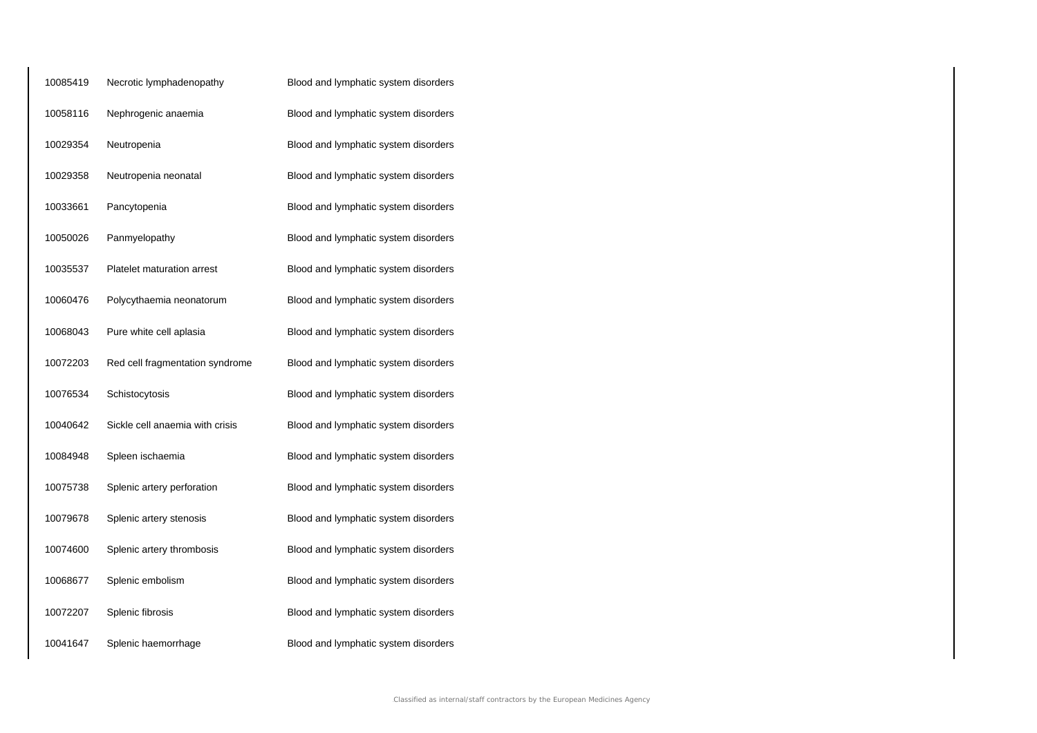| 10085419 | Necrotic lymphadenopathy          | Blood and lymphatic system disorders |
|----------|-----------------------------------|--------------------------------------|
| 10058116 | Nephrogenic anaemia               | Blood and lymphatic system disorders |
| 10029354 | Neutropenia                       | Blood and lymphatic system disorders |
| 10029358 | Neutropenia neonatal              | Blood and lymphatic system disorders |
| 10033661 | Pancytopenia                      | Blood and lymphatic system disorders |
| 10050026 | Panmyelopathy                     | Blood and lymphatic system disorders |
| 10035537 | <b>Platelet maturation arrest</b> | Blood and lymphatic system disorders |
| 10060476 | Polycythaemia neonatorum          | Blood and lymphatic system disorders |
| 10068043 | Pure white cell aplasia           | Blood and lymphatic system disorders |
| 10072203 | Red cell fragmentation syndrome   | Blood and lymphatic system disorders |
| 10076534 | Schistocytosis                    | Blood and lymphatic system disorders |
| 10040642 | Sickle cell anaemia with crisis   | Blood and lymphatic system disorders |
| 10084948 | Spleen ischaemia                  | Blood and lymphatic system disorders |
| 10075738 | Splenic artery perforation        | Blood and lymphatic system disorders |
| 10079678 | Splenic artery stenosis           | Blood and lymphatic system disorders |
| 10074600 | Splenic artery thrombosis         | Blood and lymphatic system disorders |
| 10068677 | Splenic embolism                  | Blood and lymphatic system disorders |
| 10072207 | Splenic fibrosis                  | Blood and lymphatic system disorders |
| 10041647 | Splenic haemorrhage               | Blood and lymphatic system disorders |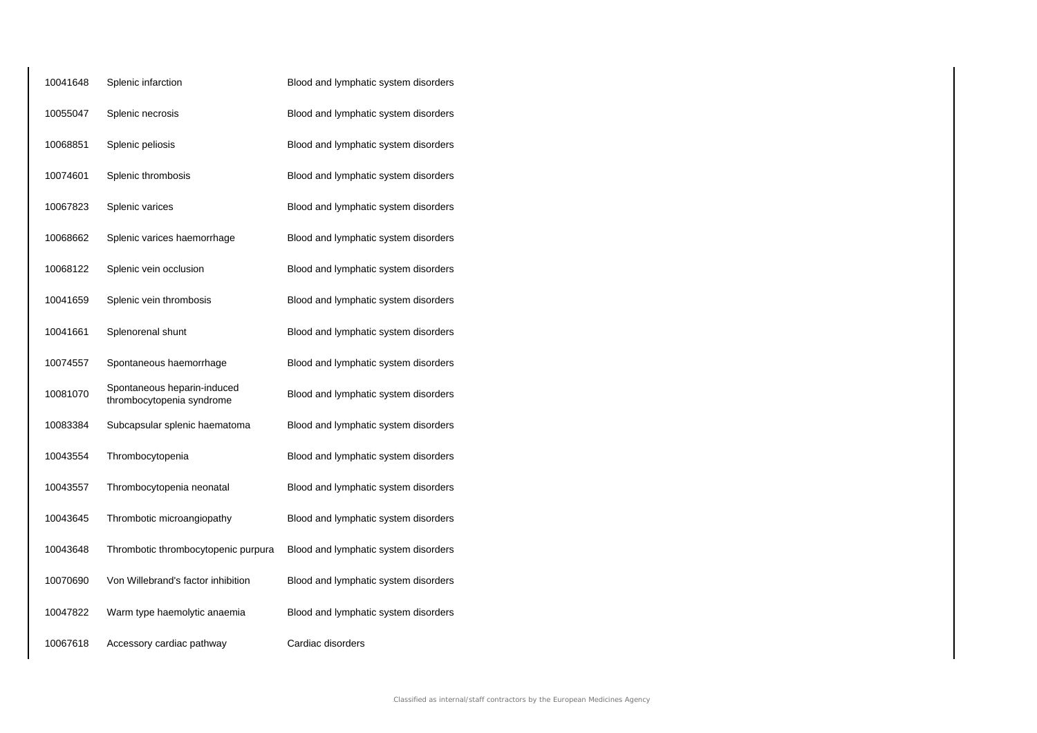| 10041648 | Splenic infarction                                       | Blood and lymphatic system disorders |
|----------|----------------------------------------------------------|--------------------------------------|
| 10055047 | Splenic necrosis                                         | Blood and lymphatic system disorders |
| 10068851 | Splenic peliosis                                         | Blood and lymphatic system disorders |
| 10074601 | Splenic thrombosis                                       | Blood and lymphatic system disorders |
| 10067823 | Splenic varices                                          | Blood and lymphatic system disorders |
| 10068662 | Splenic varices haemorrhage                              | Blood and lymphatic system disorders |
| 10068122 | Splenic vein occlusion                                   | Blood and lymphatic system disorders |
| 10041659 | Splenic vein thrombosis                                  | Blood and lymphatic system disorders |
| 10041661 | Splenorenal shunt                                        | Blood and lymphatic system disorders |
| 10074557 | Spontaneous haemorrhage                                  | Blood and lymphatic system disorders |
| 10081070 | Spontaneous heparin-induced<br>thrombocytopenia syndrome | Blood and lymphatic system disorders |
| 10083384 | Subcapsular splenic haematoma                            | Blood and lymphatic system disorders |
| 10043554 | Thrombocytopenia                                         | Blood and lymphatic system disorders |
| 10043557 | Thrombocytopenia neonatal                                | Blood and lymphatic system disorders |
| 10043645 | Thrombotic microangiopathy                               | Blood and lymphatic system disorders |
| 10043648 | Thrombotic thrombocytopenic purpura                      | Blood and lymphatic system disorders |
| 10070690 | Von Willebrand's factor inhibition                       | Blood and lymphatic system disorders |
| 10047822 | Warm type haemolytic anaemia                             | Blood and lymphatic system disorders |
| 10067618 | Accessory cardiac pathway                                | Cardiac disorders                    |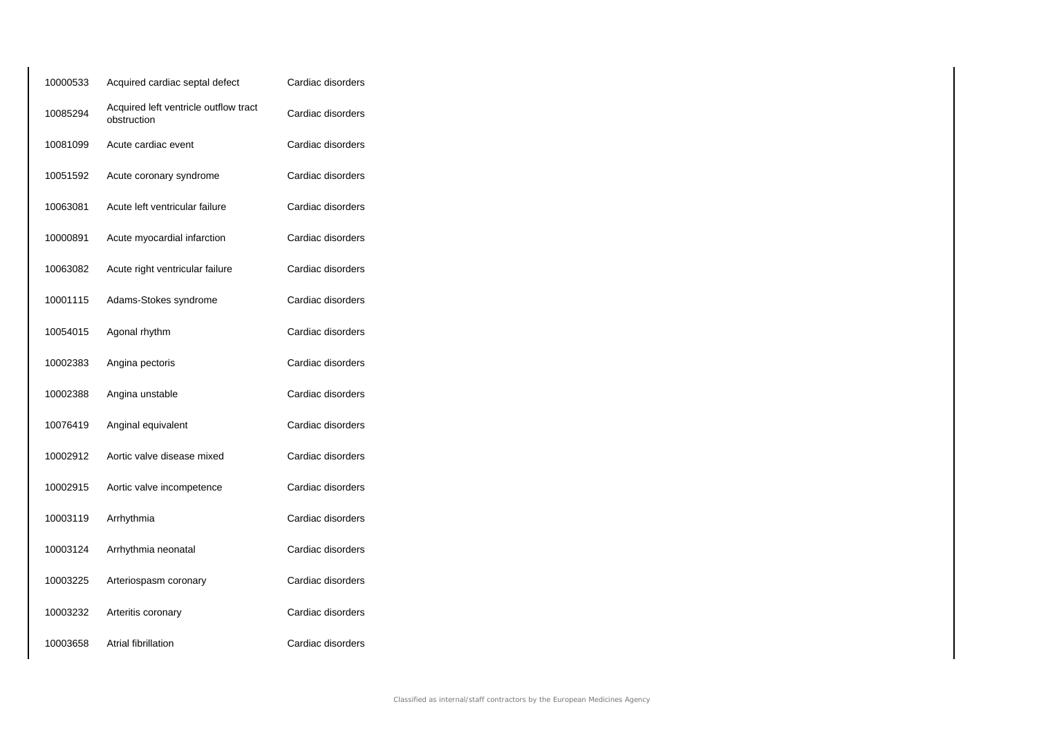| 10000533 | Acquired cardiac septal defect                       | Cardiac disorders |
|----------|------------------------------------------------------|-------------------|
| 10085294 | Acquired left ventricle outflow tract<br>obstruction | Cardiac disorders |
| 10081099 | Acute cardiac event                                  | Cardiac disorders |
| 10051592 | Acute coronary syndrome                              | Cardiac disorders |
| 10063081 | Acute left ventricular failure                       | Cardiac disorders |
| 10000891 | Acute myocardial infarction                          | Cardiac disorders |
| 10063082 | Acute right ventricular failure                      | Cardiac disorders |
| 10001115 | Adams-Stokes syndrome                                | Cardiac disorders |
| 10054015 | Agonal rhythm                                        | Cardiac disorders |
| 10002383 | Angina pectoris                                      | Cardiac disorders |
| 10002388 | Angina unstable                                      | Cardiac disorders |
| 10076419 | Anginal equivalent                                   | Cardiac disorders |
| 10002912 | Aortic valve disease mixed                           | Cardiac disorders |
| 10002915 | Aortic valve incompetence                            | Cardiac disorders |
| 10003119 | Arrhythmia                                           | Cardiac disorders |
| 10003124 | Arrhythmia neonatal                                  | Cardiac disorders |
| 10003225 | Arteriospasm coronary                                | Cardiac disorders |
| 10003232 | Arteritis coronary                                   | Cardiac disorders |
| 10003658 | Atrial fibrillation                                  | Cardiac disorders |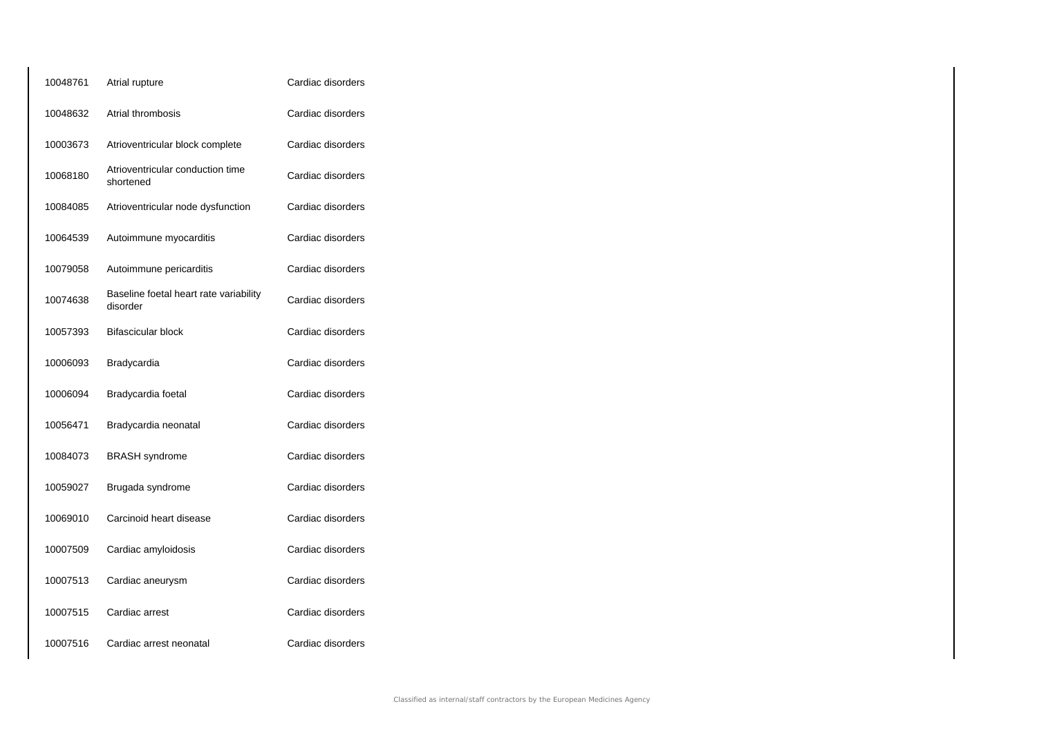| 10048761 | Atrial rupture                                     | Cardiac disorders |
|----------|----------------------------------------------------|-------------------|
| 10048632 | Atrial thrombosis                                  | Cardiac disorders |
| 10003673 | Atrioventricular block complete                    | Cardiac disorders |
| 10068180 | Atrioventricular conduction time<br>shortened      | Cardiac disorders |
| 10084085 | Atrioventricular node dysfunction                  | Cardiac disorders |
| 10064539 | Autoimmune myocarditis                             | Cardiac disorders |
| 10079058 | Autoimmune pericarditis                            | Cardiac disorders |
| 10074638 | Baseline foetal heart rate variability<br>disorder | Cardiac disorders |
| 10057393 | <b>Bifascicular block</b>                          | Cardiac disorders |
| 10006093 | Bradycardia                                        | Cardiac disorders |
| 10006094 | Bradycardia foetal                                 | Cardiac disorders |
| 10056471 | Bradycardia neonatal                               | Cardiac disorders |
| 10084073 | <b>BRASH</b> syndrome                              | Cardiac disorders |
| 10059027 | Brugada syndrome                                   | Cardiac disorders |
| 10069010 | Carcinoid heart disease                            | Cardiac disorders |
| 10007509 | Cardiac amyloidosis                                | Cardiac disorders |
| 10007513 | Cardiac aneurysm                                   | Cardiac disorders |
| 10007515 | Cardiac arrest                                     | Cardiac disorders |
| 10007516 | Cardiac arrest neonatal                            | Cardiac disorders |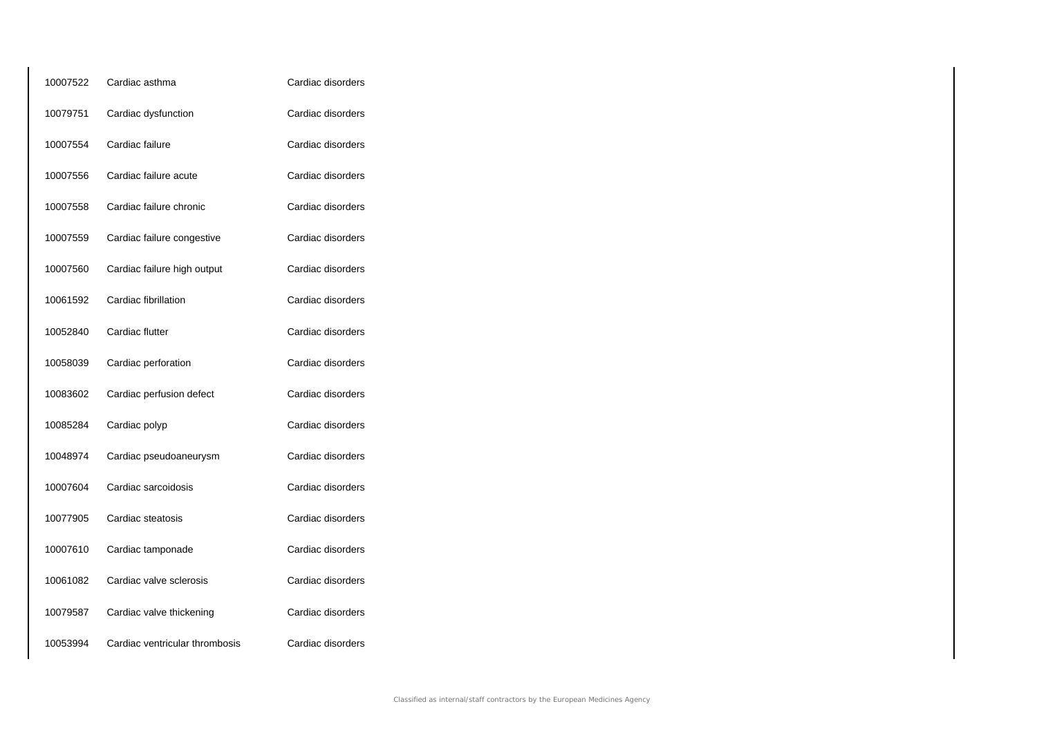| 10007522 | Cardiac asthma                 | Cardiac disorders |
|----------|--------------------------------|-------------------|
| 10079751 | Cardiac dysfunction            | Cardiac disorders |
| 10007554 | Cardiac failure                | Cardiac disorders |
| 10007556 | Cardiac failure acute          | Cardiac disorders |
| 10007558 | Cardiac failure chronic        | Cardiac disorders |
| 10007559 | Cardiac failure congestive     | Cardiac disorders |
| 10007560 | Cardiac failure high output    | Cardiac disorders |
| 10061592 | Cardiac fibrillation           | Cardiac disorders |
| 10052840 | Cardiac flutter                | Cardiac disorders |
| 10058039 | Cardiac perforation            | Cardiac disorders |
| 10083602 | Cardiac perfusion defect       | Cardiac disorders |
| 10085284 | Cardiac polyp                  | Cardiac disorders |
| 10048974 | Cardiac pseudoaneurysm         | Cardiac disorders |
| 10007604 | Cardiac sarcoidosis            | Cardiac disorders |
| 10077905 | Cardiac steatosis              | Cardiac disorders |
| 10007610 | Cardiac tamponade              | Cardiac disorders |
| 10061082 | Cardiac valve sclerosis        | Cardiac disorders |
| 10079587 | Cardiac valve thickening       | Cardiac disorders |
| 10053994 | Cardiac ventricular thrombosis | Cardiac disorders |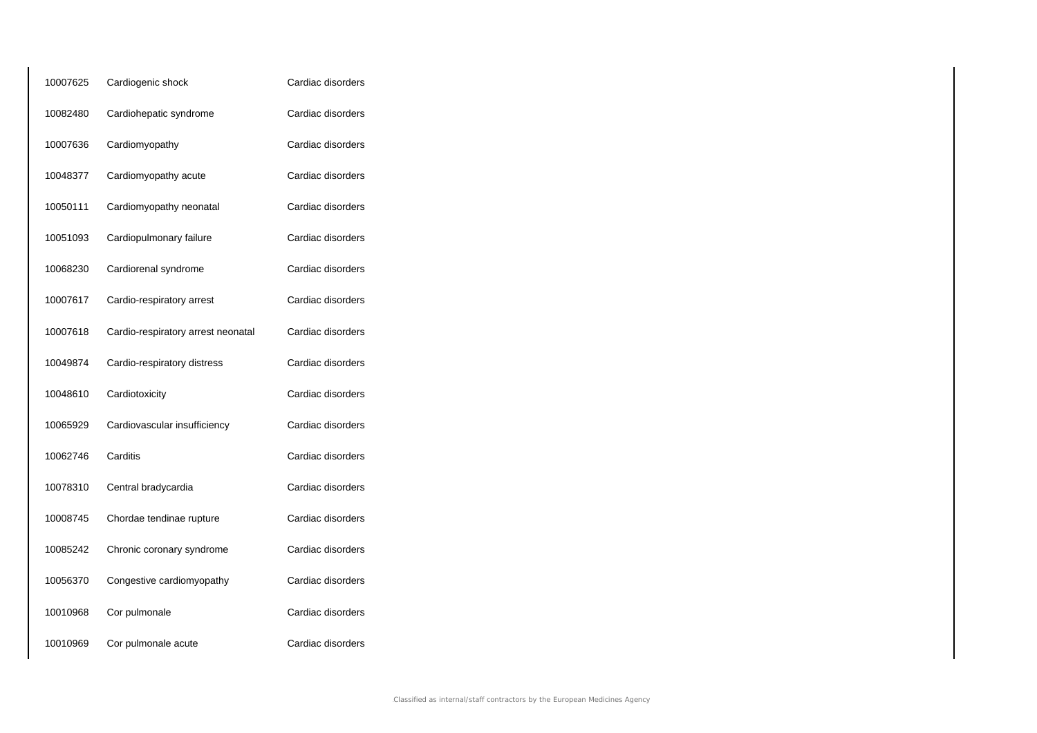| 10007625 | Cardiogenic shock                  | Cardiac disorders |
|----------|------------------------------------|-------------------|
| 10082480 | Cardiohepatic syndrome             | Cardiac disorders |
| 10007636 | Cardiomyopathy                     | Cardiac disorders |
| 10048377 | Cardiomyopathy acute               | Cardiac disorders |
| 10050111 | Cardiomyopathy neonatal            | Cardiac disorders |
| 10051093 | Cardiopulmonary failure            | Cardiac disorders |
| 10068230 | Cardiorenal syndrome               | Cardiac disorders |
| 10007617 | Cardio-respiratory arrest          | Cardiac disorders |
| 10007618 | Cardio-respiratory arrest neonatal | Cardiac disorders |
| 10049874 | Cardio-respiratory distress        | Cardiac disorders |
| 10048610 | Cardiotoxicity                     | Cardiac disorders |
| 10065929 | Cardiovascular insufficiency       | Cardiac disorders |
| 10062746 | Carditis                           | Cardiac disorders |
| 10078310 | Central bradycardia                | Cardiac disorders |
| 10008745 | Chordae tendinae rupture           | Cardiac disorders |
| 10085242 | Chronic coronary syndrome          | Cardiac disorders |
| 10056370 | Congestive cardiomyopathy          | Cardiac disorders |
| 10010968 | Cor pulmonale                      | Cardiac disorders |
| 10010969 | Cor pulmonale acute                | Cardiac disorders |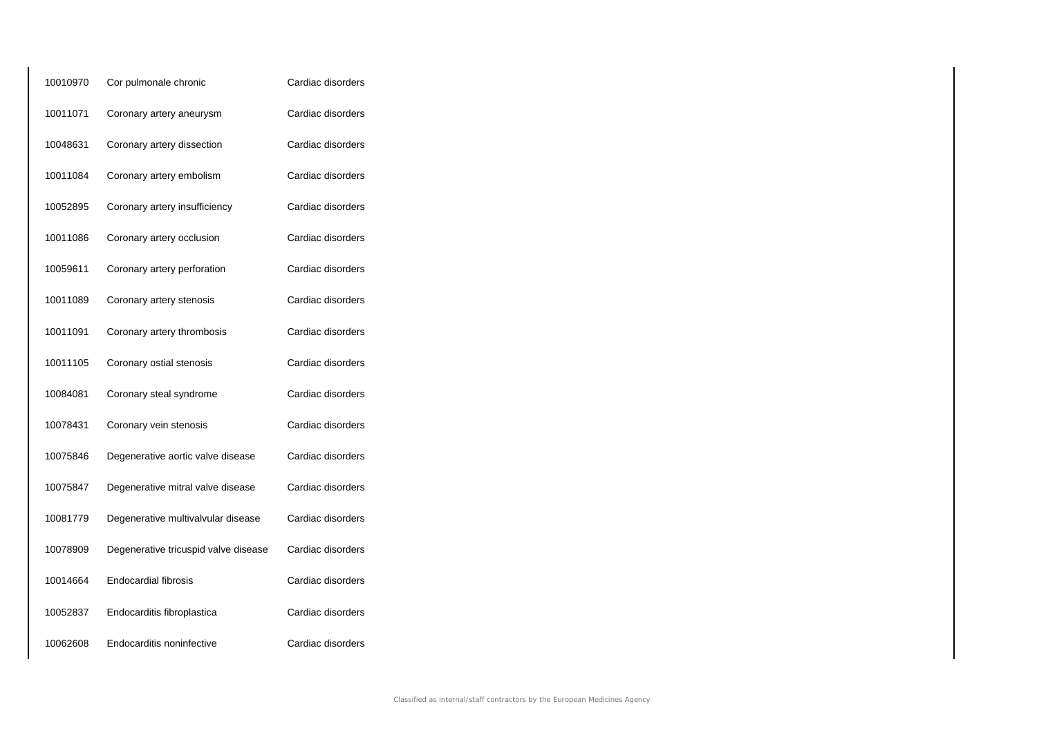| 10010970 | Cor pulmonale chronic                | Cardiac disorders |
|----------|--------------------------------------|-------------------|
| 10011071 | Coronary artery aneurysm             | Cardiac disorders |
| 10048631 | Coronary artery dissection           | Cardiac disorders |
| 10011084 | Coronary artery embolism             | Cardiac disorders |
| 10052895 | Coronary artery insufficiency        | Cardiac disorders |
| 10011086 | Coronary artery occlusion            | Cardiac disorders |
| 10059611 | Coronary artery perforation          | Cardiac disorders |
| 10011089 | Coronary artery stenosis             | Cardiac disorders |
| 10011091 | Coronary artery thrombosis           | Cardiac disorders |
| 10011105 | Coronary ostial stenosis             | Cardiac disorders |
| 10084081 | Coronary steal syndrome              | Cardiac disorders |
| 10078431 | Coronary vein stenosis               | Cardiac disorders |
| 10075846 | Degenerative aortic valve disease    | Cardiac disorders |
| 10075847 | Degenerative mitral valve disease    | Cardiac disorders |
| 10081779 | Degenerative multivalvular disease   | Cardiac disorders |
| 10078909 | Degenerative tricuspid valve disease | Cardiac disorders |
| 10014664 | Endocardial fibrosis                 | Cardiac disorders |
| 10052837 | Endocarditis fibroplastica           | Cardiac disorders |
| 10062608 | Endocarditis noninfective            | Cardiac disorders |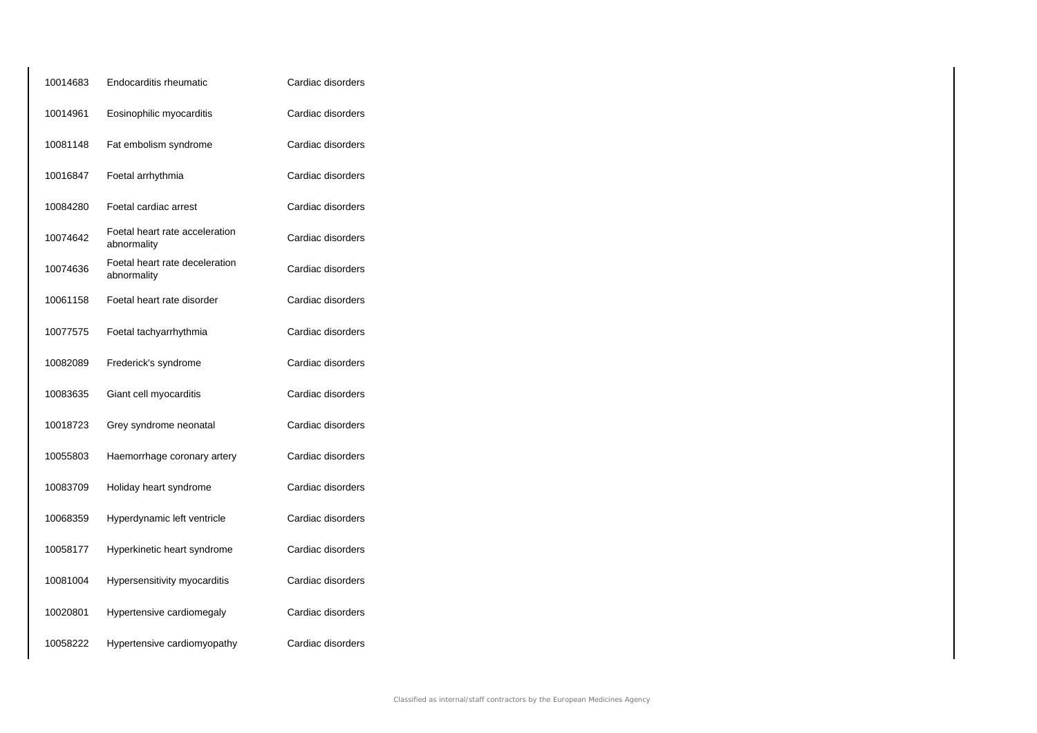| 10014683 | Endocarditis rheumatic                        | Cardiac disorders |
|----------|-----------------------------------------------|-------------------|
| 10014961 | Eosinophilic myocarditis                      | Cardiac disorders |
| 10081148 | Fat embolism syndrome                         | Cardiac disorders |
| 10016847 | Foetal arrhythmia                             | Cardiac disorders |
| 10084280 | Foetal cardiac arrest                         | Cardiac disorders |
| 10074642 | Foetal heart rate acceleration<br>abnormality | Cardiac disorders |
| 10074636 | Foetal heart rate deceleration<br>abnormality | Cardiac disorders |
| 10061158 | Foetal heart rate disorder                    | Cardiac disorders |
| 10077575 | Foetal tachyarrhythmia                        | Cardiac disorders |
| 10082089 | Frederick's syndrome                          | Cardiac disorders |
| 10083635 | Giant cell myocarditis                        | Cardiac disorders |
| 10018723 | Grey syndrome neonatal                        | Cardiac disorders |
| 10055803 | Haemorrhage coronary artery                   | Cardiac disorders |
| 10083709 | Holiday heart syndrome                        | Cardiac disorders |
| 10068359 | Hyperdynamic left ventricle                   | Cardiac disorders |
| 10058177 | Hyperkinetic heart syndrome                   | Cardiac disorders |
| 10081004 | Hypersensitivity myocarditis                  | Cardiac disorders |
| 10020801 | Hypertensive cardiomegaly                     | Cardiac disorders |
| 10058222 | Hypertensive cardiomyopathy                   | Cardiac disorders |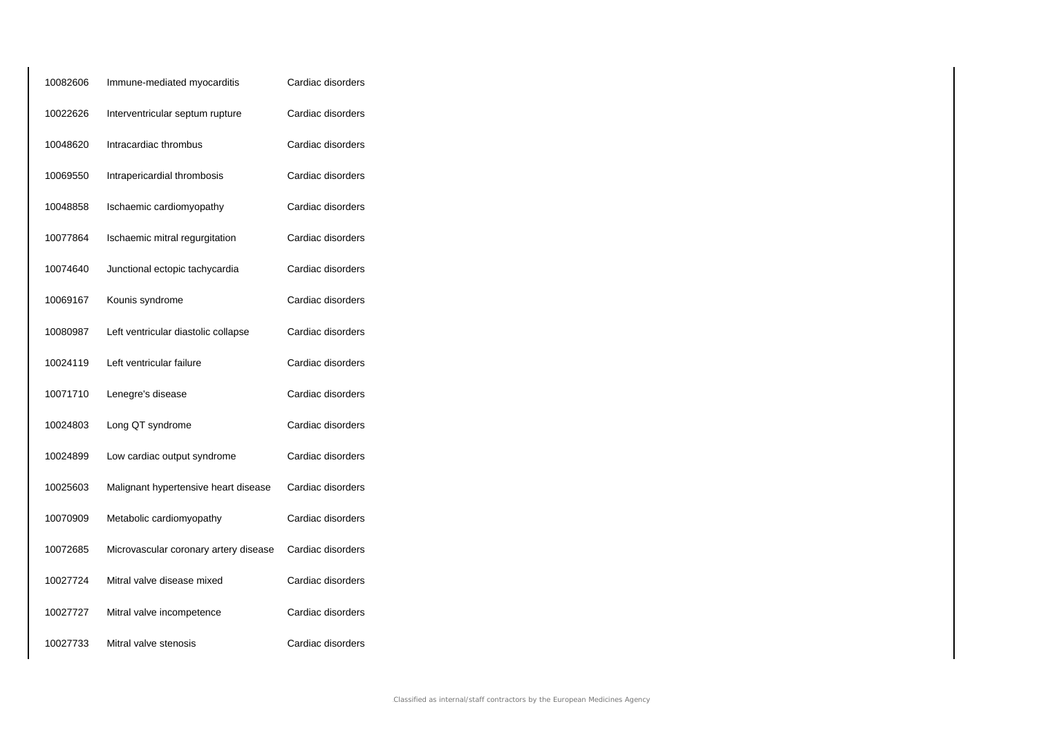| 10082606 | Immune-mediated myocarditis           | Cardiac disorders |
|----------|---------------------------------------|-------------------|
| 10022626 | Interventricular septum rupture       | Cardiac disorders |
| 10048620 | Intracardiac thrombus                 | Cardiac disorders |
| 10069550 | Intrapericardial thrombosis           | Cardiac disorders |
| 10048858 | Ischaemic cardiomyopathy              | Cardiac disorders |
| 10077864 | Ischaemic mitral regurgitation        | Cardiac disorders |
| 10074640 | Junctional ectopic tachycardia        | Cardiac disorders |
| 10069167 | Kounis syndrome                       | Cardiac disorders |
| 10080987 | Left ventricular diastolic collapse   | Cardiac disorders |
| 10024119 | Left ventricular failure              | Cardiac disorders |
| 10071710 | Lenegre's disease                     | Cardiac disorders |
| 10024803 | Long QT syndrome                      | Cardiac disorders |
| 10024899 | Low cardiac output syndrome           | Cardiac disorders |
| 10025603 | Malignant hypertensive heart disease  | Cardiac disorders |
| 10070909 | Metabolic cardiomyopathy              | Cardiac disorders |
| 10072685 | Microvascular coronary artery disease | Cardiac disorders |
| 10027724 | Mitral valve disease mixed            | Cardiac disorders |
| 10027727 | Mitral valve incompetence             | Cardiac disorders |
| 10027733 | Mitral valve stenosis                 | Cardiac disorders |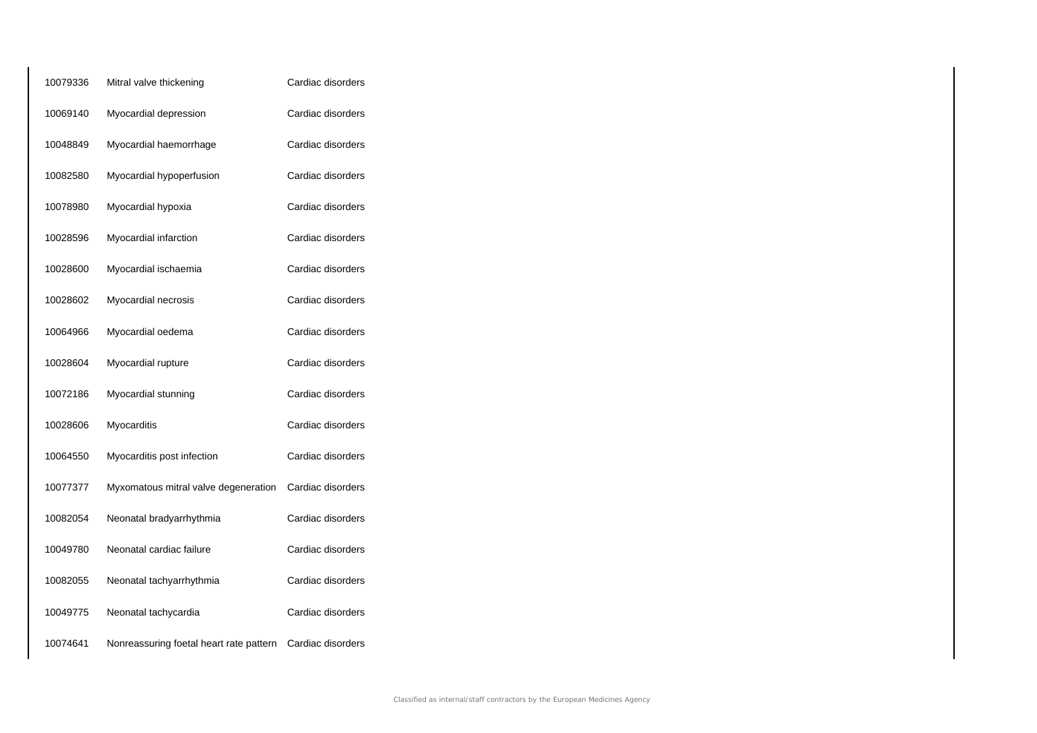| 10079336 | Mitral valve thickening                 | Cardiac disorders |
|----------|-----------------------------------------|-------------------|
| 10069140 | Myocardial depression                   | Cardiac disorders |
| 10048849 | Myocardial haemorrhage                  | Cardiac disorders |
| 10082580 | Myocardial hypoperfusion                | Cardiac disorders |
| 10078980 | Myocardial hypoxia                      | Cardiac disorders |
| 10028596 | Myocardial infarction                   | Cardiac disorders |
| 10028600 | Myocardial ischaemia                    | Cardiac disorders |
| 10028602 | Myocardial necrosis                     | Cardiac disorders |
| 10064966 | Myocardial oedema                       | Cardiac disorders |
| 10028604 | Myocardial rupture                      | Cardiac disorders |
| 10072186 | Myocardial stunning                     | Cardiac disorders |
| 10028606 | Myocarditis                             | Cardiac disorders |
| 10064550 | Myocarditis post infection              | Cardiac disorders |
| 10077377 | Myxomatous mitral valve degeneration    | Cardiac disorders |
| 10082054 | Neonatal bradyarrhythmia                | Cardiac disorders |
| 10049780 | Neonatal cardiac failure                | Cardiac disorders |
| 10082055 | Neonatal tachyarrhythmia                | Cardiac disorders |
| 10049775 | Neonatal tachycardia                    | Cardiac disorders |
| 10074641 | Nonreassuring foetal heart rate pattern | Cardiac disorders |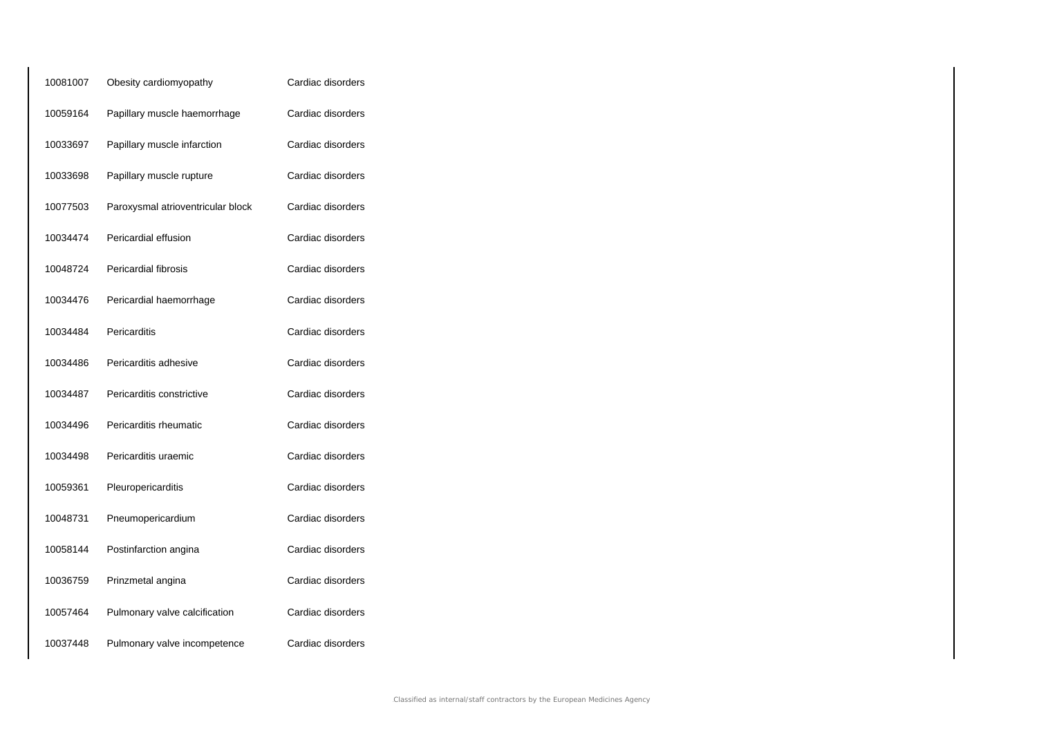| 10081007 | Obesity cardiomyopathy            | Cardiac disorders |
|----------|-----------------------------------|-------------------|
| 10059164 | Papillary muscle haemorrhage      | Cardiac disorders |
| 10033697 | Papillary muscle infarction       | Cardiac disorders |
| 10033698 | Papillary muscle rupture          | Cardiac disorders |
| 10077503 | Paroxysmal atrioventricular block | Cardiac disorders |
| 10034474 | Pericardial effusion              | Cardiac disorders |
| 10048724 | Pericardial fibrosis              | Cardiac disorders |
| 10034476 | Pericardial haemorrhage           | Cardiac disorders |
| 10034484 | Pericarditis                      | Cardiac disorders |
| 10034486 | Pericarditis adhesive             | Cardiac disorders |
| 10034487 | Pericarditis constrictive         | Cardiac disorders |
| 10034496 | Pericarditis rheumatic            | Cardiac disorders |
| 10034498 | Pericarditis uraemic              | Cardiac disorders |
| 10059361 | Pleuropericarditis                | Cardiac disorders |
| 10048731 | Pneumopericardium                 | Cardiac disorders |
| 10058144 | Postinfarction angina             | Cardiac disorders |
| 10036759 | Prinzmetal angina                 | Cardiac disorders |
| 10057464 | Pulmonary valve calcification     | Cardiac disorders |
| 10037448 | Pulmonary valve incompetence      | Cardiac disorders |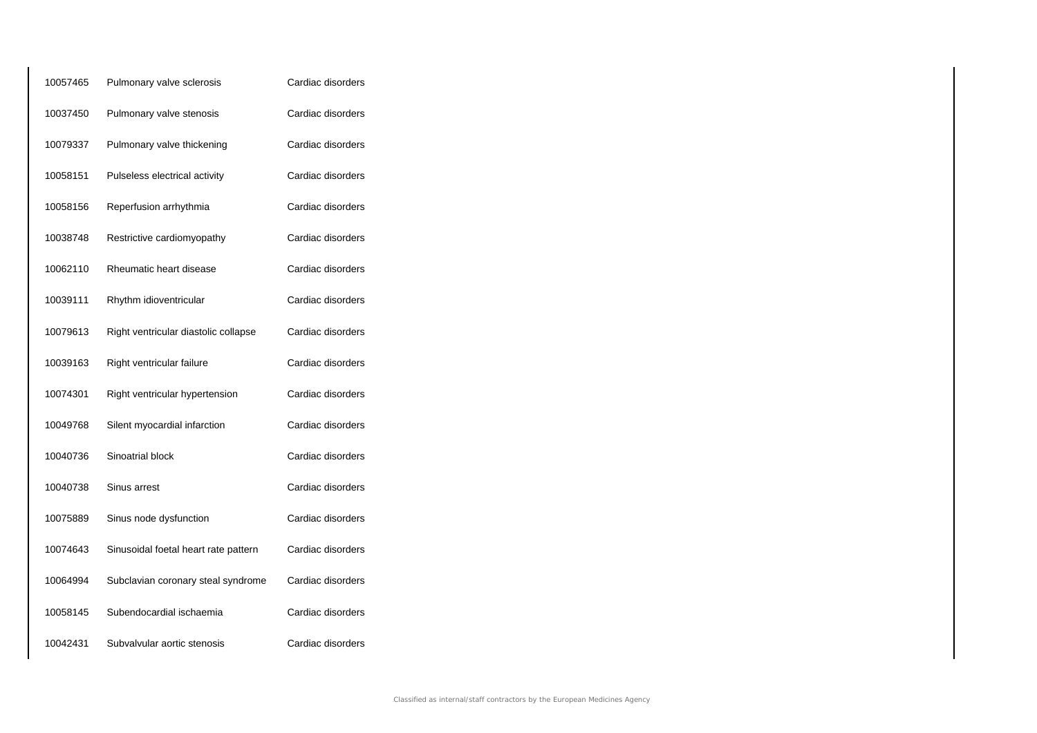| 10057465 | Pulmonary valve sclerosis            | Cardiac disorders |
|----------|--------------------------------------|-------------------|
| 10037450 | Pulmonary valve stenosis             | Cardiac disorders |
| 10079337 | Pulmonary valve thickening           | Cardiac disorders |
| 10058151 | Pulseless electrical activity        | Cardiac disorders |
| 10058156 | Reperfusion arrhythmia               | Cardiac disorders |
| 10038748 | Restrictive cardiomyopathy           | Cardiac disorders |
| 10062110 | Rheumatic heart disease              | Cardiac disorders |
| 10039111 | Rhythm idioventricular               | Cardiac disorders |
| 10079613 | Right ventricular diastolic collapse | Cardiac disorders |
| 10039163 | Right ventricular failure            | Cardiac disorders |
| 10074301 | Right ventricular hypertension       | Cardiac disorders |
| 10049768 | Silent myocardial infarction         | Cardiac disorders |
| 10040736 | Sinoatrial block                     | Cardiac disorders |
| 10040738 | Sinus arrest                         | Cardiac disorders |
| 10075889 | Sinus node dysfunction               | Cardiac disorders |
| 10074643 | Sinusoidal foetal heart rate pattern | Cardiac disorders |
| 10064994 | Subclavian coronary steal syndrome   | Cardiac disorders |
| 10058145 | Subendocardial ischaemia             | Cardiac disorders |
| 10042431 | Subvalvular aortic stenosis          | Cardiac disorders |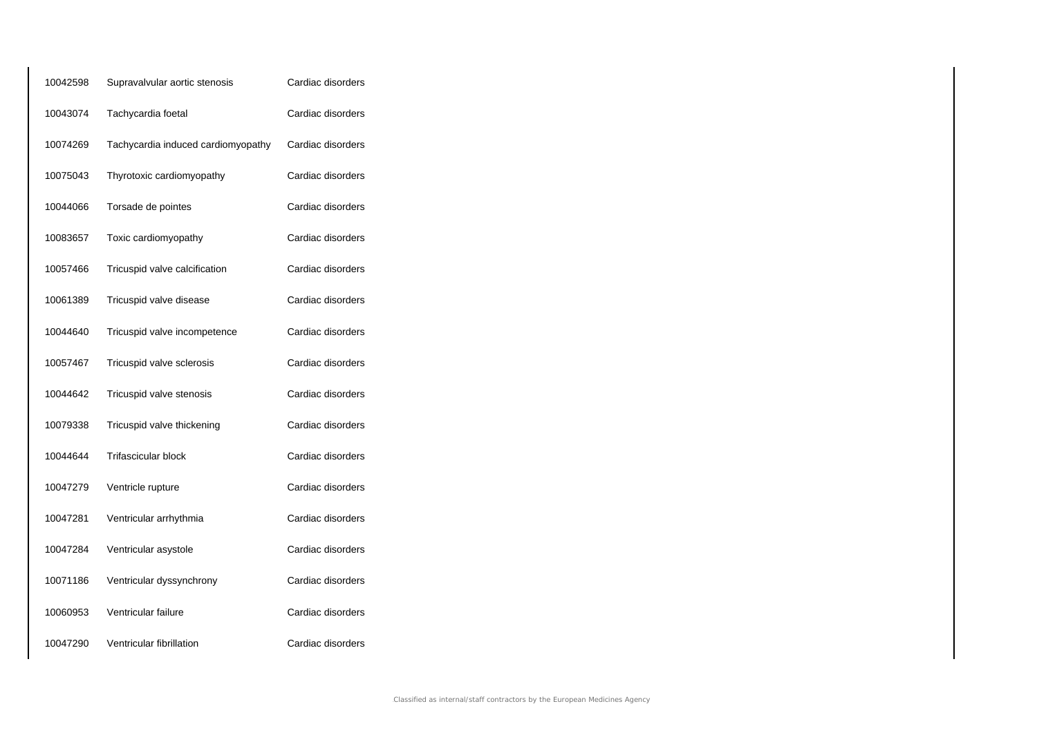| 10042598 | Supravalvular aortic stenosis      | Cardiac disorders |
|----------|------------------------------------|-------------------|
| 10043074 | Tachycardia foetal                 | Cardiac disorders |
| 10074269 | Tachycardia induced cardiomyopathy | Cardiac disorders |
| 10075043 | Thyrotoxic cardiomyopathy          | Cardiac disorders |
| 10044066 | Torsade de pointes                 | Cardiac disorders |
| 10083657 | Toxic cardiomyopathy               | Cardiac disorders |
| 10057466 | Tricuspid valve calcification      | Cardiac disorders |
| 10061389 | Tricuspid valve disease            | Cardiac disorders |
| 10044640 | Tricuspid valve incompetence       | Cardiac disorders |
| 10057467 | Tricuspid valve sclerosis          | Cardiac disorders |
| 10044642 | Tricuspid valve stenosis           | Cardiac disorders |
| 10079338 | Tricuspid valve thickening         | Cardiac disorders |
| 10044644 | <b>Trifascicular block</b>         | Cardiac disorders |
| 10047279 | Ventricle rupture                  | Cardiac disorders |
| 10047281 | Ventricular arrhythmia             | Cardiac disorders |
| 10047284 | Ventricular asystole               | Cardiac disorders |
| 10071186 | Ventricular dyssynchrony           | Cardiac disorders |
| 10060953 | Ventricular failure                | Cardiac disorders |
| 10047290 | Ventricular fibrillation           | Cardiac disorders |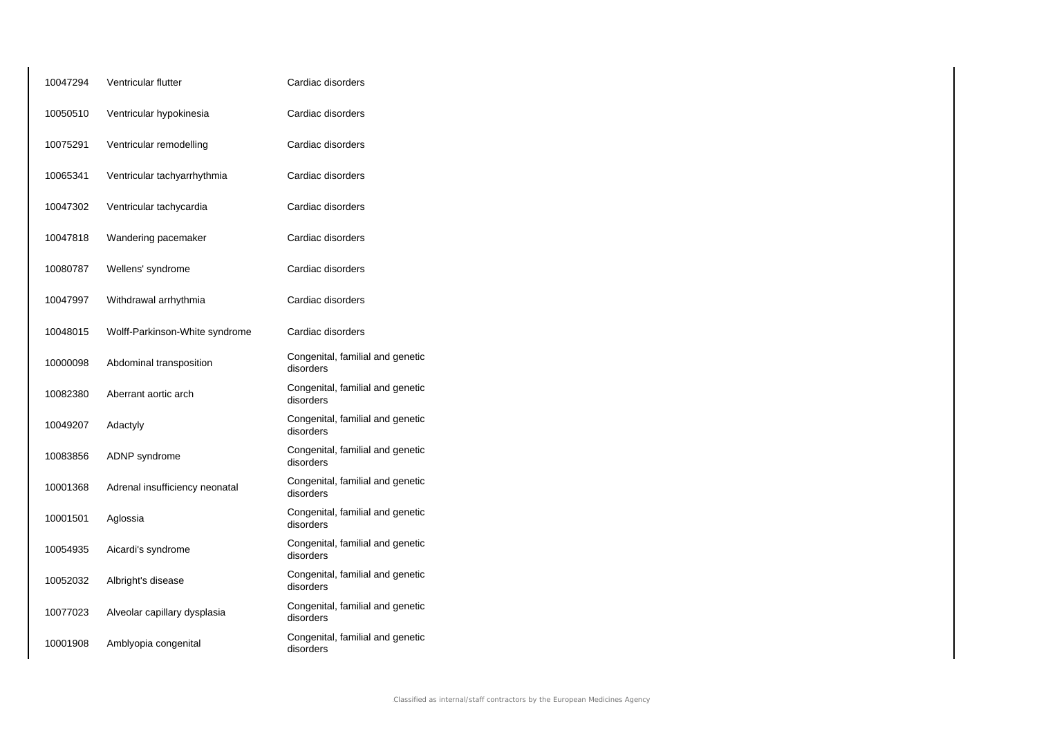| 10047294 | Ventricular flutter            | Cardiac disorders                             |
|----------|--------------------------------|-----------------------------------------------|
| 10050510 | Ventricular hypokinesia        | Cardiac disorders                             |
| 10075291 | Ventricular remodelling        | Cardiac disorders                             |
| 10065341 | Ventricular tachyarrhythmia    | Cardiac disorders                             |
| 10047302 | Ventricular tachycardia        | Cardiac disorders                             |
| 10047818 | Wandering pacemaker            | Cardiac disorders                             |
| 10080787 | Wellens' syndrome              | Cardiac disorders                             |
| 10047997 | Withdrawal arrhythmia          | Cardiac disorders                             |
| 10048015 | Wolff-Parkinson-White syndrome | Cardiac disorders                             |
| 10000098 | Abdominal transposition        | Congenital, familial and genetic<br>disorders |
| 10082380 | Aberrant aortic arch           | Congenital, familial and genetic<br>disorders |
| 10049207 | Adactyly                       | Congenital, familial and genetic<br>disorders |
| 10083856 | <b>ADNP</b> syndrome           | Congenital, familial and genetic<br>disorders |
| 10001368 | Adrenal insufficiency neonatal | Congenital, familial and genetic<br>disorders |
| 10001501 | Aglossia                       | Congenital, familial and genetic<br>disorders |
| 10054935 | Aicardi's syndrome             | Congenital, familial and genetic<br>disorders |
| 10052032 | Albright's disease             | Congenital, familial and genetic<br>disorders |
| 10077023 | Alveolar capillary dysplasia   | Congenital, familial and genetic<br>disorders |
| 10001908 | Amblyopia congenital           | Congenital, familial and genetic<br>disorders |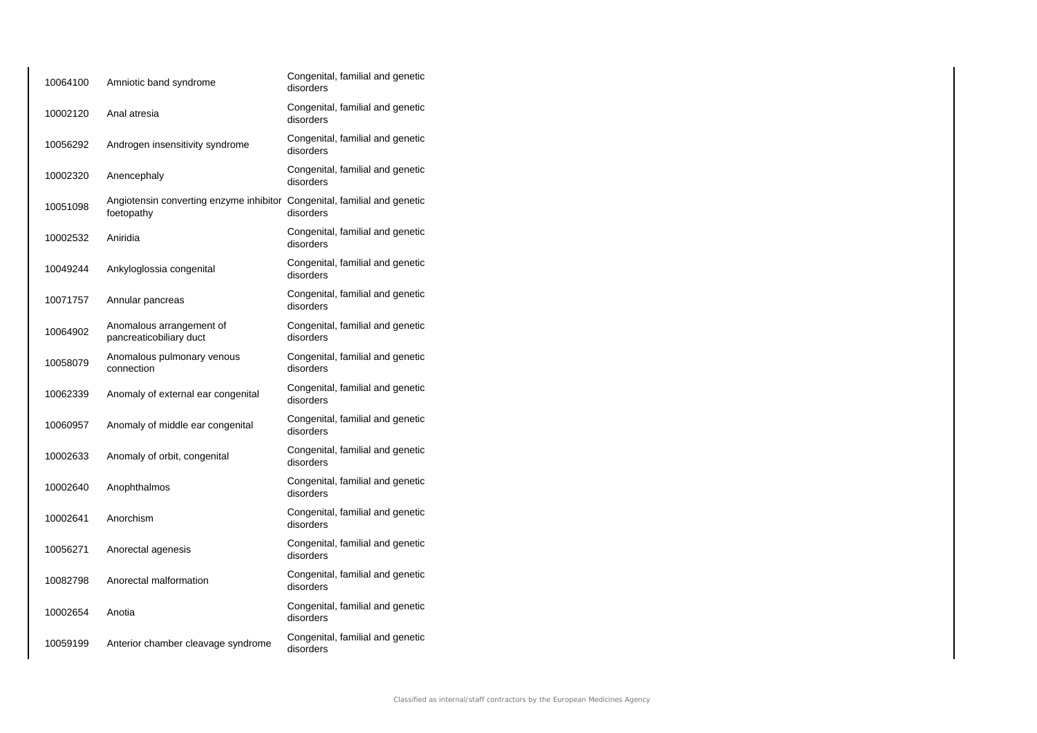| 10064100 | Amniotic band syndrome                                                                 | Congenital, familial and genetic<br>disorders |
|----------|----------------------------------------------------------------------------------------|-----------------------------------------------|
| 10002120 | Anal atresia                                                                           | Congenital, familial and genetic<br>disorders |
| 10056292 | Androgen insensitivity syndrome                                                        | Congenital, familial and genetic<br>disorders |
| 10002320 | Anencephaly                                                                            | Congenital, familial and genetic<br>disorders |
| 10051098 | Angiotensin converting enzyme inhibitor Congenital, familial and genetic<br>foetopathy | disorders                                     |
| 10002532 | Aniridia                                                                               | Congenital, familial and genetic<br>disorders |
| 10049244 | Ankyloglossia congenital                                                               | Congenital, familial and genetic<br>disorders |
| 10071757 | Annular pancreas                                                                       | Congenital, familial and genetic<br>disorders |
| 10064902 | Anomalous arrangement of<br>pancreaticobiliary duct                                    | Congenital, familial and genetic<br>disorders |
| 10058079 | Anomalous pulmonary venous<br>connection                                               | Congenital, familial and genetic<br>disorders |
| 10062339 | Anomaly of external ear congenital                                                     | Congenital, familial and genetic<br>disorders |
| 10060957 | Anomaly of middle ear congenital                                                       | Congenital, familial and genetic<br>disorders |
| 10002633 | Anomaly of orbit, congenital                                                           | Congenital, familial and genetic<br>disorders |
| 10002640 | Anophthalmos                                                                           | Congenital, familial and genetic<br>disorders |
| 10002641 | Anorchism                                                                              | Congenital, familial and genetic<br>disorders |
| 10056271 | Anorectal agenesis                                                                     | Congenital, familial and genetic<br>disorders |
| 10082798 | Anorectal malformation                                                                 | Congenital, familial and genetic<br>disorders |
| 10002654 | Anotia                                                                                 | Congenital, familial and genetic<br>disorders |
| 10059199 | Anterior chamber cleavage syndrome                                                     | Congenital, familial and genetic<br>disorders |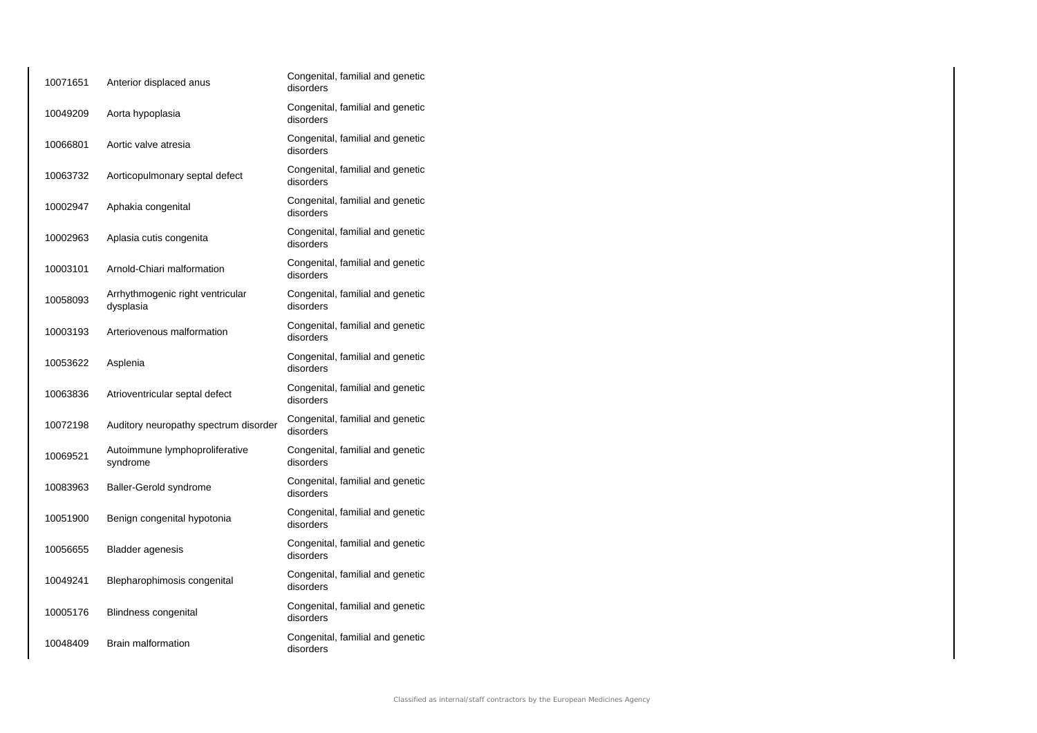| 10071651 | Anterior displaced anus                       | Congenital, familial and genetic<br>disorders |
|----------|-----------------------------------------------|-----------------------------------------------|
| 10049209 | Aorta hypoplasia                              | Congenital, familial and genetic<br>disorders |
| 10066801 | Aortic valve atresia                          | Congenital, familial and genetic<br>disorders |
| 10063732 | Aorticopulmonary septal defect                | Congenital, familial and genetic<br>disorders |
| 10002947 | Aphakia congenital                            | Congenital, familial and genetic<br>disorders |
| 10002963 | Aplasia cutis congenita                       | Congenital, familial and genetic<br>disorders |
| 10003101 | Arnold-Chiari malformation                    | Congenital, familial and genetic<br>disorders |
| 10058093 | Arrhythmogenic right ventricular<br>dysplasia | Congenital, familial and genetic<br>disorders |
| 10003193 | Arteriovenous malformation                    | Congenital, familial and genetic<br>disorders |
| 10053622 | Asplenia                                      | Congenital, familial and genetic<br>disorders |
| 10063836 | Atrioventricular septal defect                | Congenital, familial and genetic<br>disorders |
| 10072198 | Auditory neuropathy spectrum disorder         | Congenital, familial and genetic<br>disorders |
| 10069521 | Autoimmune lymphoproliferative<br>syndrome    | Congenital, familial and genetic<br>disorders |
| 10083963 | Baller-Gerold syndrome                        | Congenital, familial and genetic<br>disorders |
| 10051900 | Benign congenital hypotonia                   | Congenital, familial and genetic<br>disorders |
| 10056655 | <b>Bladder agenesis</b>                       | Congenital, familial and genetic<br>disorders |
| 10049241 | Blepharophimosis congenital                   | Congenital, familial and genetic<br>disorders |
| 10005176 | Blindness congenital                          | Congenital, familial and genetic<br>disorders |
| 10048409 | <b>Brain malformation</b>                     | Congenital, familial and genetic<br>disorders |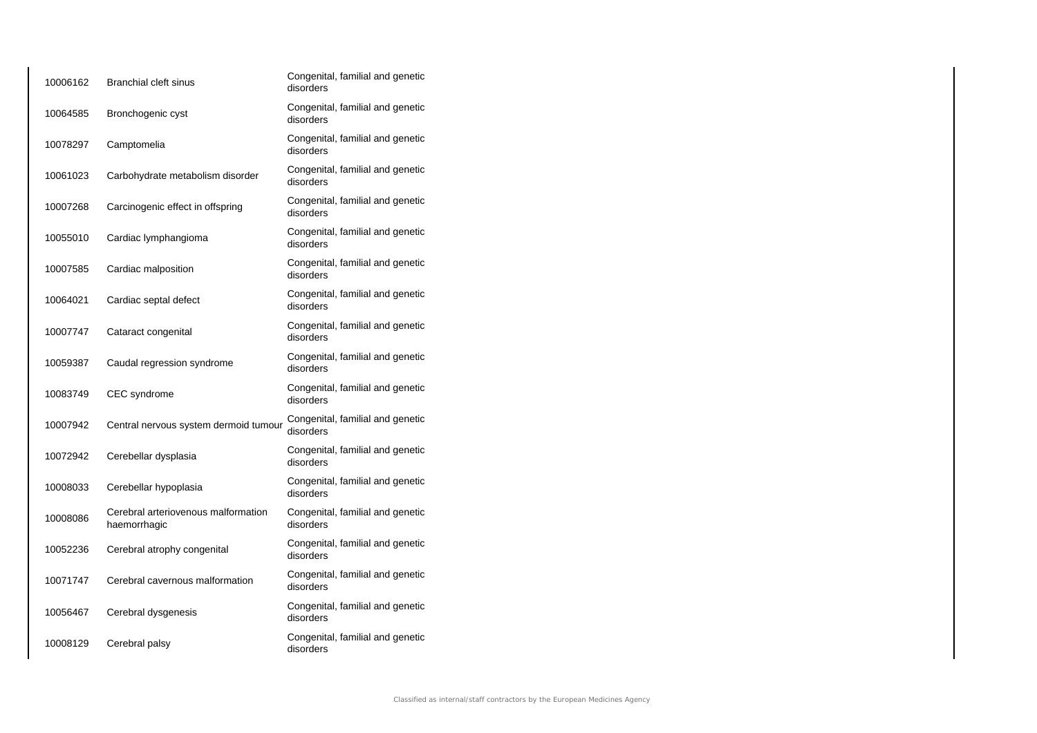| 10006162 | <b>Branchial cleft sinus</b>                        | Congenital, familial and genetic<br>disorders |
|----------|-----------------------------------------------------|-----------------------------------------------|
| 10064585 | Bronchogenic cyst                                   | Congenital, familial and genetic<br>disorders |
| 10078297 | Camptomelia                                         | Congenital, familial and genetic<br>disorders |
| 10061023 | Carbohydrate metabolism disorder                    | Congenital, familial and genetic<br>disorders |
| 10007268 | Carcinogenic effect in offspring                    | Congenital, familial and genetic<br>disorders |
| 10055010 | Cardiac lymphangioma                                | Congenital, familial and genetic<br>disorders |
| 10007585 | Cardiac malposition                                 | Congenital, familial and genetic<br>disorders |
| 10064021 | Cardiac septal defect                               | Congenital, familial and genetic<br>disorders |
| 10007747 | Cataract congenital                                 | Congenital, familial and genetic<br>disorders |
| 10059387 | Caudal regression syndrome                          | Congenital, familial and genetic<br>disorders |
| 10083749 | CEC syndrome                                        | Congenital, familial and genetic<br>disorders |
| 10007942 | Central nervous system dermoid tumour               | Congenital, familial and genetic<br>disorders |
| 10072942 | Cerebellar dysplasia                                | Congenital, familial and genetic<br>disorders |
| 10008033 | Cerebellar hypoplasia                               | Congenital, familial and genetic<br>disorders |
| 10008086 | Cerebral arteriovenous malformation<br>haemorrhagic | Congenital, familial and genetic<br>disorders |
| 10052236 | Cerebral atrophy congenital                         | Congenital, familial and genetic<br>disorders |
| 10071747 | Cerebral cavernous malformation                     | Congenital, familial and genetic<br>disorders |
| 10056467 | Cerebral dysgenesis                                 | Congenital, familial and genetic<br>disorders |
| 10008129 | Cerebral palsy                                      | Congenital, familial and genetic<br>disorders |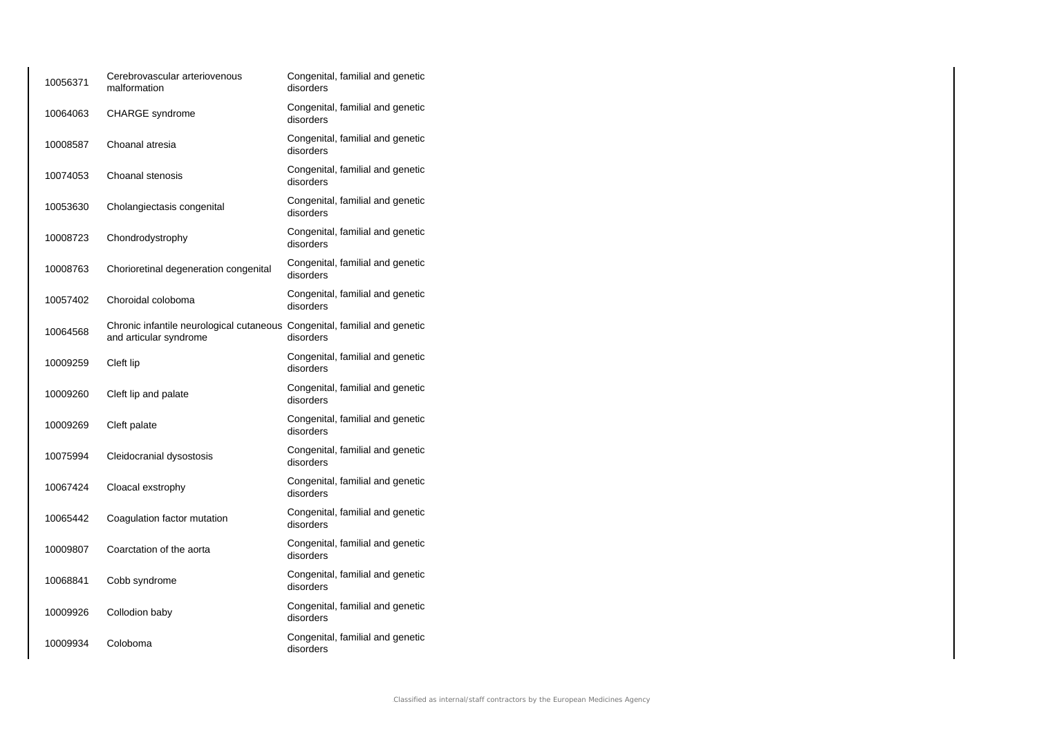| 10056371 | Cerebrovascular arteriovenous<br>malformation                                                       | Congenital, familial and genetic<br>disorders |
|----------|-----------------------------------------------------------------------------------------------------|-----------------------------------------------|
| 10064063 | <b>CHARGE</b> syndrome                                                                              | Congenital, familial and genetic<br>disorders |
| 10008587 | Choanal atresia                                                                                     | Congenital, familial and genetic<br>disorders |
| 10074053 | Choanal stenosis                                                                                    | Congenital, familial and genetic<br>disorders |
| 10053630 | Cholangiectasis congenital                                                                          | Congenital, familial and genetic<br>disorders |
| 10008723 | Chondrodystrophy                                                                                    | Congenital, familial and genetic<br>disorders |
| 10008763 | Chorioretinal degeneration congenital                                                               | Congenital, familial and genetic<br>disorders |
| 10057402 | Choroidal coloboma                                                                                  | Congenital, familial and genetic<br>disorders |
| 10064568 | Chronic infantile neurological cutaneous Congenital, familial and genetic<br>and articular syndrome | disorders                                     |
| 10009259 | Cleft lip                                                                                           | Congenital, familial and genetic<br>disorders |
| 10009260 | Cleft lip and palate                                                                                | Congenital, familial and genetic<br>disorders |
| 10009269 | Cleft palate                                                                                        | Congenital, familial and genetic<br>disorders |
| 10075994 | Cleidocranial dysostosis                                                                            | Congenital, familial and genetic<br>disorders |
| 10067424 | Cloacal exstrophy                                                                                   | Congenital, familial and genetic<br>disorders |
| 10065442 | Coagulation factor mutation                                                                         | Congenital, familial and genetic<br>disorders |
| 10009807 | Coarctation of the aorta                                                                            | Congenital, familial and genetic<br>disorders |
| 10068841 | Cobb syndrome                                                                                       | Congenital, familial and genetic<br>disorders |
| 10009926 | Collodion baby                                                                                      | Congenital, familial and genetic<br>disorders |
| 10009934 | Coloboma                                                                                            | Congenital, familial and genetic<br>disorders |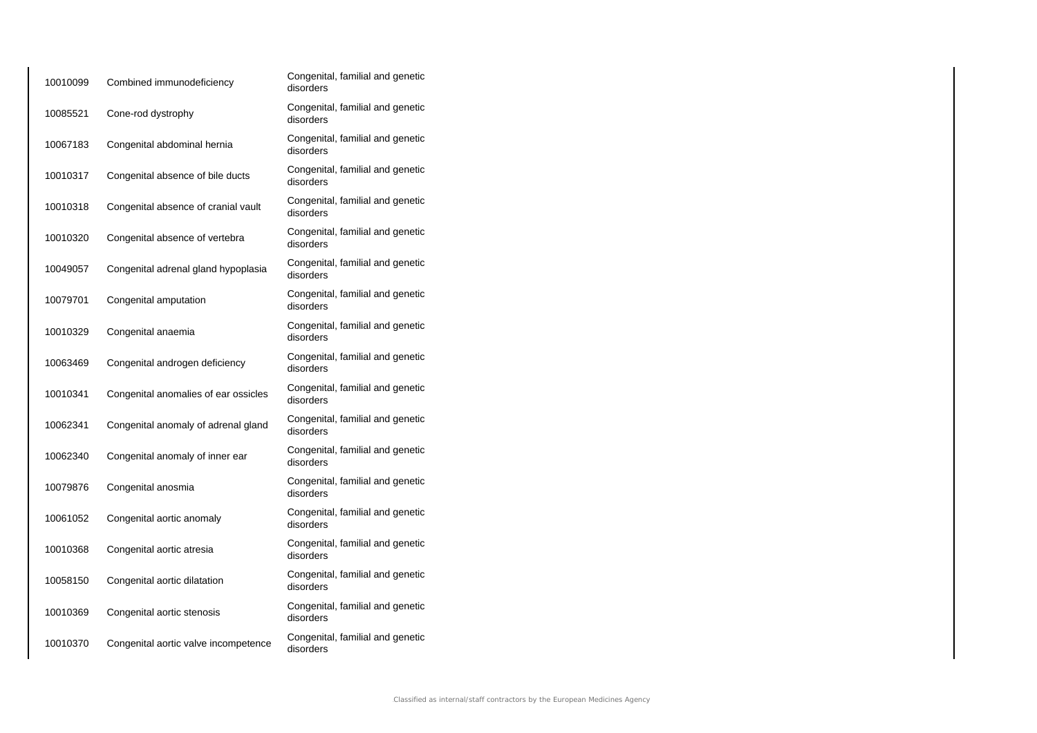| 10010099 | Combined immunodeficiency            | Congenital, familial and genetic<br>disorders |
|----------|--------------------------------------|-----------------------------------------------|
| 10085521 | Cone-rod dystrophy                   | Congenital, familial and genetic<br>disorders |
| 10067183 | Congenital abdominal hernia          | Congenital, familial and genetic<br>disorders |
| 10010317 | Congenital absence of bile ducts     | Congenital, familial and genetic<br>disorders |
| 10010318 | Congenital absence of cranial vault  | Congenital, familial and genetic<br>disorders |
| 10010320 | Congenital absence of vertebra       | Congenital, familial and genetic<br>disorders |
| 10049057 | Congenital adrenal gland hypoplasia  | Congenital, familial and genetic<br>disorders |
| 10079701 | Congenital amputation                | Congenital, familial and genetic<br>disorders |
| 10010329 | Congenital anaemia                   | Congenital, familial and genetic<br>disorders |
| 10063469 | Congenital androgen deficiency       | Congenital, familial and genetic<br>disorders |
| 10010341 | Congenital anomalies of ear ossicles | Congenital, familial and genetic<br>disorders |
| 10062341 | Congenital anomaly of adrenal gland  | Congenital, familial and genetic<br>disorders |
| 10062340 | Congenital anomaly of inner ear      | Congenital, familial and genetic<br>disorders |
| 10079876 | Congenital anosmia                   | Congenital, familial and genetic<br>disorders |
| 10061052 | Congenital aortic anomaly            | Congenital, familial and genetic<br>disorders |
| 10010368 | Congenital aortic atresia            | Congenital, familial and genetic<br>disorders |
| 10058150 | Congenital aortic dilatation         | Congenital, familial and genetic<br>disorders |
| 10010369 | Congenital aortic stenosis           | Congenital, familial and genetic<br>disorders |
| 10010370 | Congenital aortic valve incompetence | Congenital, familial and genetic<br>disorders |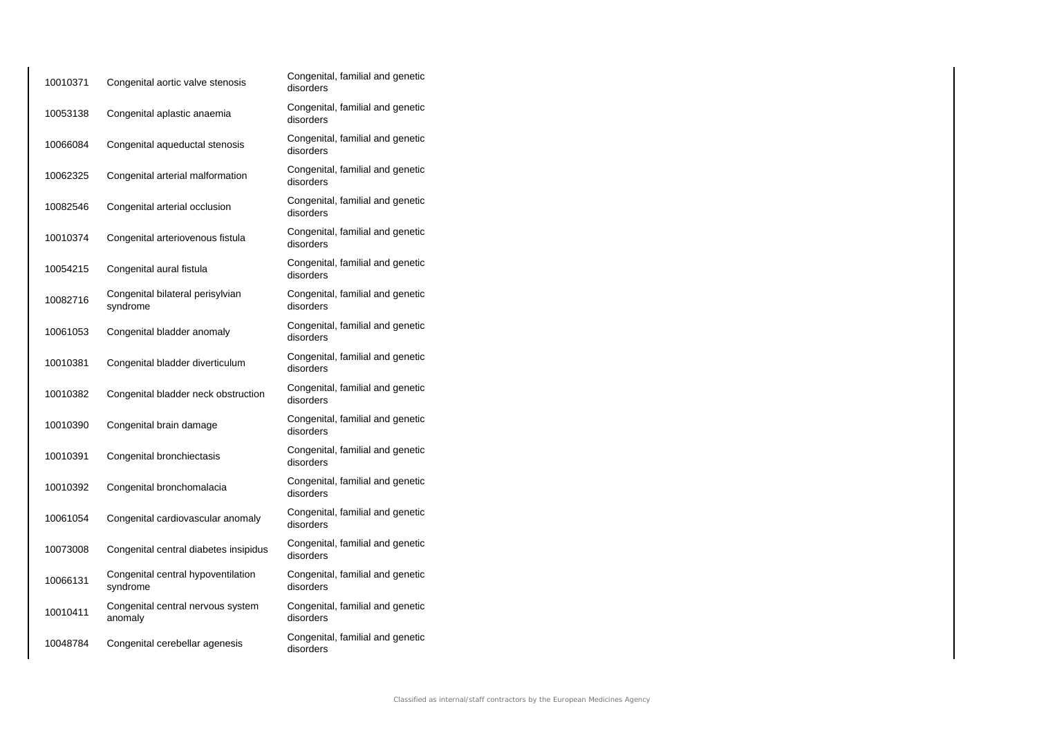| 10010371 | Congenital aortic valve stenosis               | Congenital, familial and genetic<br>disorders |
|----------|------------------------------------------------|-----------------------------------------------|
| 10053138 | Congenital aplastic anaemia                    | Congenital, familial and genetic<br>disorders |
| 10066084 | Congenital aqueductal stenosis                 | Congenital, familial and genetic<br>disorders |
| 10062325 | Congenital arterial malformation               | Congenital, familial and genetic<br>disorders |
| 10082546 | Congenital arterial occlusion                  | Congenital, familial and genetic<br>disorders |
| 10010374 | Congenital arteriovenous fistula               | Congenital, familial and genetic<br>disorders |
| 10054215 | Congenital aural fistula                       | Congenital, familial and genetic<br>disorders |
| 10082716 | Congenital bilateral perisylvian<br>syndrome   | Congenital, familial and genetic<br>disorders |
| 10061053 | Congenital bladder anomaly                     | Congenital, familial and genetic<br>disorders |
| 10010381 | Congenital bladder diverticulum                | Congenital, familial and genetic<br>disorders |
| 10010382 | Congenital bladder neck obstruction            | Congenital, familial and genetic<br>disorders |
| 10010390 | Congenital brain damage                        | Congenital, familial and genetic<br>disorders |
| 10010391 | Congenital bronchiectasis                      | Congenital, familial and genetic<br>disorders |
| 10010392 | Congenital bronchomalacia                      | Congenital, familial and genetic<br>disorders |
| 10061054 | Congenital cardiovascular anomaly              | Congenital, familial and genetic<br>disorders |
| 10073008 | Congenital central diabetes insipidus          | Congenital, familial and genetic<br>disorders |
| 10066131 | Congenital central hypoventilation<br>syndrome | Congenital, familial and genetic<br>disorders |
| 10010411 | Congenital central nervous system<br>anomaly   | Congenital, familial and genetic<br>disorders |
| 10048784 | Congenital cerebellar agenesis                 | Congenital, familial and genetic<br>disorders |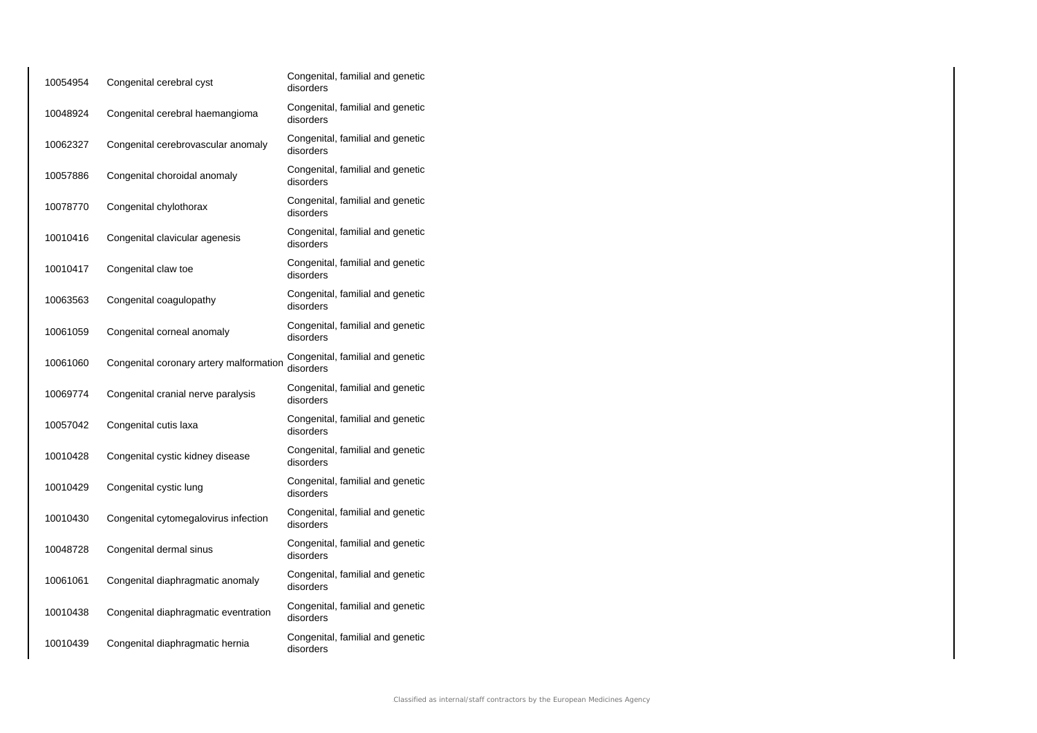| 10054954 | Congenital cerebral cyst                | Congenital, familial and genetic<br>disorders |
|----------|-----------------------------------------|-----------------------------------------------|
| 10048924 | Congenital cerebral haemangioma         | Congenital, familial and genetic<br>disorders |
| 10062327 | Congenital cerebrovascular anomaly      | Congenital, familial and genetic<br>disorders |
| 10057886 | Congenital choroidal anomaly            | Congenital, familial and genetic<br>disorders |
| 10078770 | Congenital chylothorax                  | Congenital, familial and genetic<br>disorders |
| 10010416 | Congenital clavicular agenesis          | Congenital, familial and genetic<br>disorders |
| 10010417 | Congenital claw toe                     | Congenital, familial and genetic<br>disorders |
| 10063563 | Congenital coagulopathy                 | Congenital, familial and genetic<br>disorders |
| 10061059 | Congenital corneal anomaly              | Congenital, familial and genetic<br>disorders |
| 10061060 | Congenital coronary artery malformation | Congenital, familial and genetic<br>disorders |
| 10069774 | Congenital cranial nerve paralysis      | Congenital, familial and genetic<br>disorders |
| 10057042 | Congenital cutis laxa                   | Congenital, familial and genetic<br>disorders |
| 10010428 | Congenital cystic kidney disease        | Congenital, familial and genetic<br>disorders |
| 10010429 | Congenital cystic lung                  | Congenital, familial and genetic<br>disorders |
| 10010430 | Congenital cytomegalovirus infection    | Congenital, familial and genetic<br>disorders |
| 10048728 | Congenital dermal sinus                 | Congenital, familial and genetic<br>disorders |
| 10061061 | Congenital diaphragmatic anomaly        | Congenital, familial and genetic<br>disorders |
| 10010438 | Congenital diaphragmatic eventration    | Congenital, familial and genetic<br>disorders |
| 10010439 | Congenital diaphragmatic hernia         | Congenital, familial and genetic<br>disorders |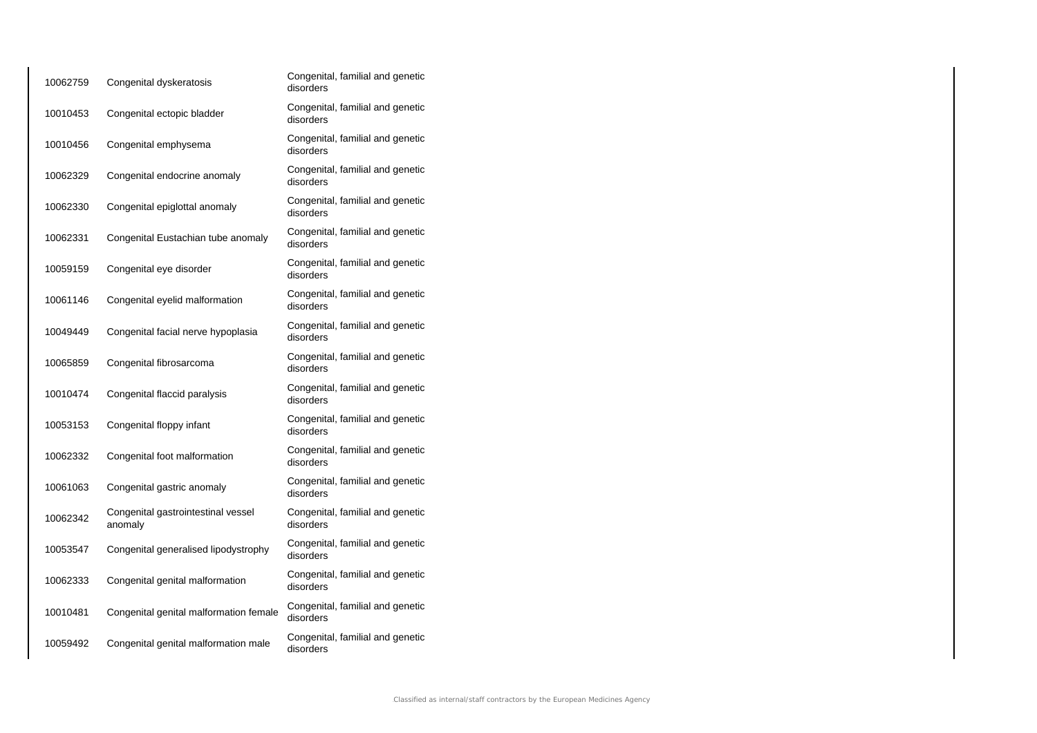| 10062759 | Congenital dyskeratosis                       | Congenital, familial and genetic<br>disorders |
|----------|-----------------------------------------------|-----------------------------------------------|
| 10010453 | Congenital ectopic bladder                    | Congenital, familial and genetic<br>disorders |
| 10010456 | Congenital emphysema                          | Congenital, familial and genetic<br>disorders |
| 10062329 | Congenital endocrine anomaly                  | Congenital, familial and genetic<br>disorders |
| 10062330 | Congenital epiglottal anomaly                 | Congenital, familial and genetic<br>disorders |
| 10062331 | Congenital Eustachian tube anomaly            | Congenital, familial and genetic<br>disorders |
| 10059159 | Congenital eye disorder                       | Congenital, familial and genetic<br>disorders |
| 10061146 | Congenital eyelid malformation                | Congenital, familial and genetic<br>disorders |
| 10049449 | Congenital facial nerve hypoplasia            | Congenital, familial and genetic<br>disorders |
| 10065859 | Congenital fibrosarcoma                       | Congenital, familial and genetic<br>disorders |
| 10010474 | Congenital flaccid paralysis                  | Congenital, familial and genetic<br>disorders |
| 10053153 | Congenital floppy infant                      | Congenital, familial and genetic<br>disorders |
| 10062332 | Congenital foot malformation                  | Congenital, familial and genetic<br>disorders |
| 10061063 | Congenital gastric anomaly                    | Congenital, familial and genetic<br>disorders |
| 10062342 | Congenital gastrointestinal vessel<br>anomaly | Congenital, familial and genetic<br>disorders |
| 10053547 | Congenital generalised lipodystrophy          | Congenital, familial and genetic<br>disorders |
| 10062333 | Congenital genital malformation               | Congenital, familial and genetic<br>disorders |
| 10010481 | Congenital genital malformation female        | Congenital, familial and genetic<br>disorders |
| 10059492 | Congenital genital malformation male          | Congenital, familial and genetic<br>disorders |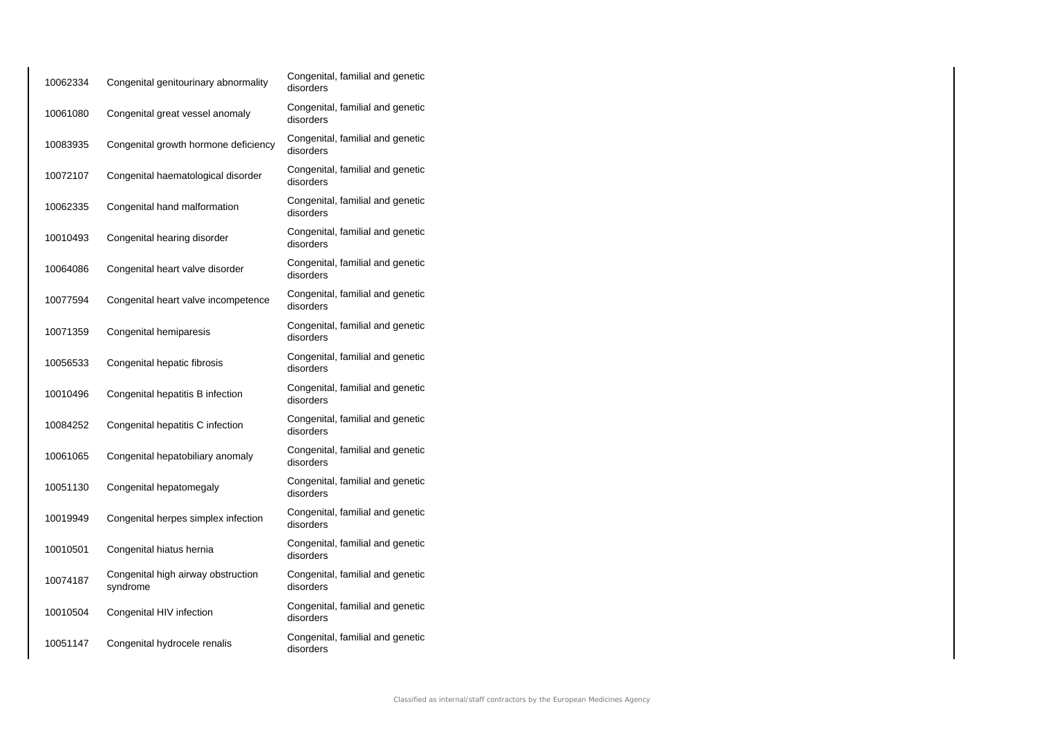| 10062334 | Congenital genitourinary abnormality           | Congenital, familial and genetic<br>disorders |
|----------|------------------------------------------------|-----------------------------------------------|
| 10061080 | Congenital great vessel anomaly                | Congenital, familial and genetic<br>disorders |
| 10083935 | Congenital growth hormone deficiency           | Congenital, familial and genetic<br>disorders |
| 10072107 | Congenital haematological disorder             | Congenital, familial and genetic<br>disorders |
| 10062335 | Congenital hand malformation                   | Congenital, familial and genetic<br>disorders |
| 10010493 | Congenital hearing disorder                    | Congenital, familial and genetic<br>disorders |
| 10064086 | Congenital heart valve disorder                | Congenital, familial and genetic<br>disorders |
| 10077594 | Congenital heart valve incompetence            | Congenital, familial and genetic<br>disorders |
| 10071359 | Congenital hemiparesis                         | Congenital, familial and genetic<br>disorders |
| 10056533 | Congenital hepatic fibrosis                    | Congenital, familial and genetic<br>disorders |
| 10010496 | Congenital hepatitis B infection               | Congenital, familial and genetic<br>disorders |
| 10084252 | Congenital hepatitis C infection               | Congenital, familial and genetic<br>disorders |
| 10061065 | Congenital hepatobiliary anomaly               | Congenital, familial and genetic<br>disorders |
| 10051130 | Congenital hepatomegaly                        | Congenital, familial and genetic<br>disorders |
| 10019949 | Congenital herpes simplex infection            | Congenital, familial and genetic<br>disorders |
| 10010501 | Congenital hiatus hernia                       | Congenital, familial and genetic<br>disorders |
| 10074187 | Congenital high airway obstruction<br>syndrome | Congenital, familial and genetic<br>disorders |
| 10010504 | Congenital HIV infection                       | Congenital, familial and genetic<br>disorders |
| 10051147 | Congenital hydrocele renalis                   | Congenital, familial and genetic<br>disorders |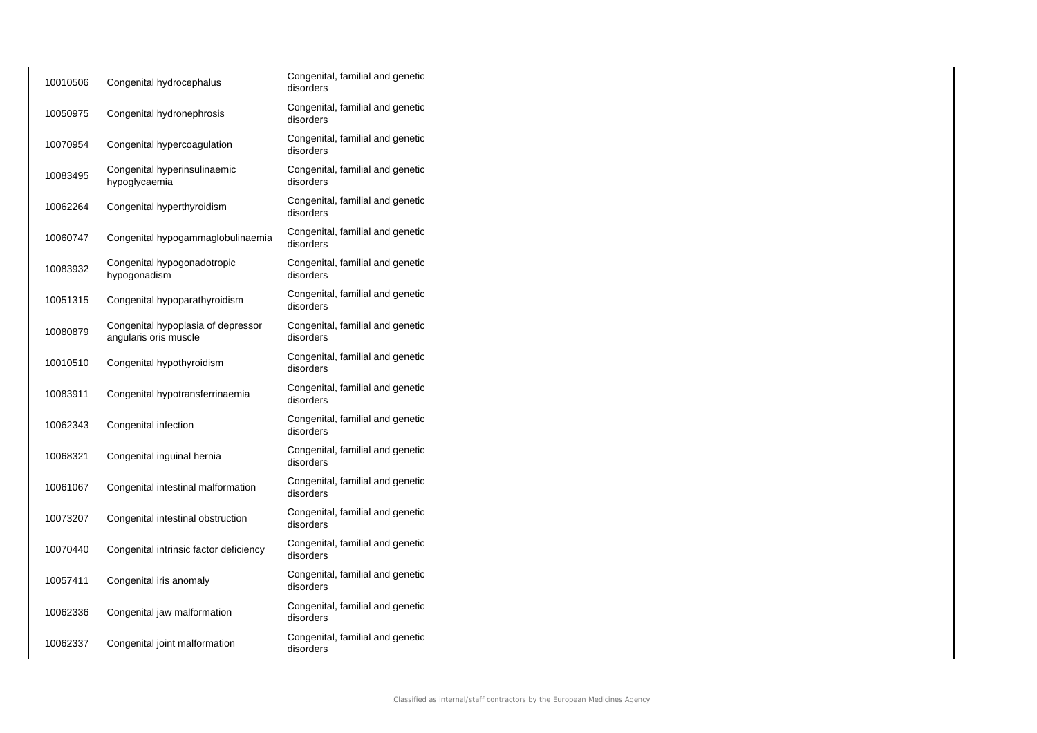| 10010506 | Congenital hydrocephalus                                    | Congenital, familial and genetic<br>disorders |
|----------|-------------------------------------------------------------|-----------------------------------------------|
| 10050975 | Congenital hydronephrosis                                   | Congenital, familial and genetic<br>disorders |
| 10070954 | Congenital hypercoagulation                                 | Congenital, familial and genetic<br>disorders |
| 10083495 | Congenital hyperinsulinaemic<br>hypoglycaemia               | Congenital, familial and genetic<br>disorders |
| 10062264 | Congenital hyperthyroidism                                  | Congenital, familial and genetic<br>disorders |
| 10060747 | Congenital hypogammaglobulinaemia                           | Congenital, familial and genetic<br>disorders |
| 10083932 | Congenital hypogonadotropic<br>hypogonadism                 | Congenital, familial and genetic<br>disorders |
| 10051315 | Congenital hypoparathyroidism                               | Congenital, familial and genetic<br>disorders |
| 10080879 | Congenital hypoplasia of depressor<br>angularis oris muscle | Congenital, familial and genetic<br>disorders |
| 10010510 | Congenital hypothyroidism                                   | Congenital, familial and genetic<br>disorders |
| 10083911 | Congenital hypotransferrinaemia                             | Congenital, familial and genetic<br>disorders |
| 10062343 | Congenital infection                                        | Congenital, familial and genetic<br>disorders |
| 10068321 | Congenital inguinal hernia                                  | Congenital, familial and genetic<br>disorders |
| 10061067 | Congenital intestinal malformation                          | Congenital, familial and genetic<br>disorders |
| 10073207 | Congenital intestinal obstruction                           | Congenital, familial and genetic<br>disorders |
| 10070440 | Congenital intrinsic factor deficiency                      | Congenital, familial and genetic<br>disorders |
| 10057411 | Congenital iris anomaly                                     | Congenital, familial and genetic<br>disorders |
| 10062336 | Congenital jaw malformation                                 | Congenital, familial and genetic<br>disorders |
| 10062337 | Congenital joint malformation                               | Congenital, familial and genetic<br>disorders |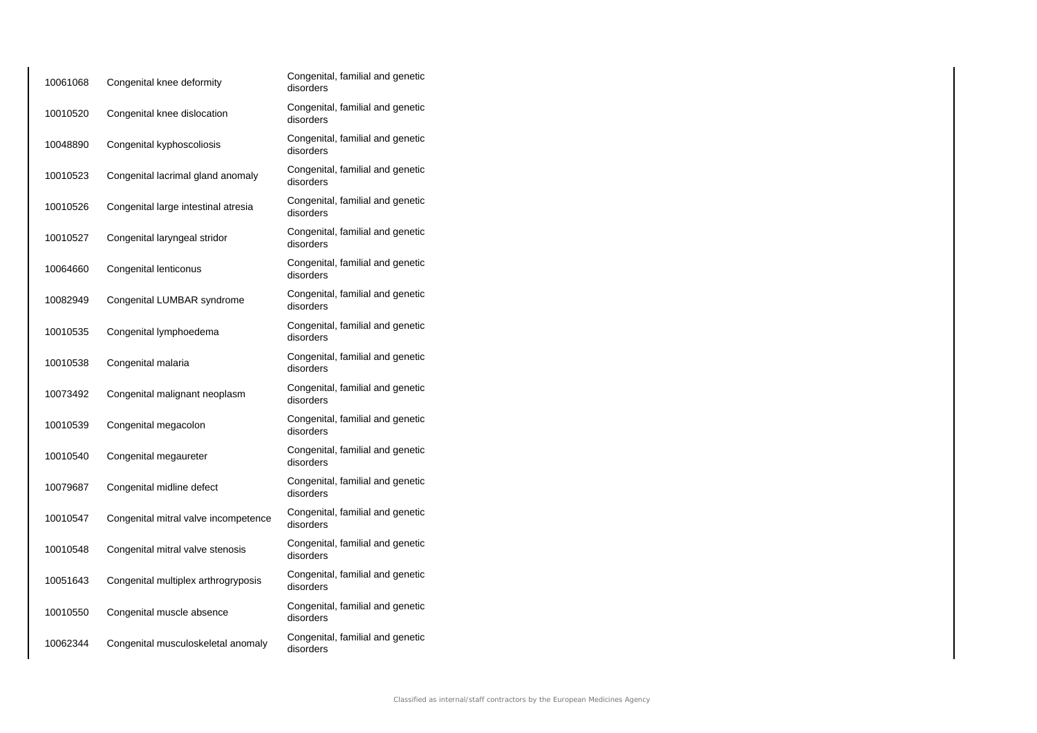| 10061068 | Congenital knee deformity            | Congenital, familial and genetic<br>disorders |
|----------|--------------------------------------|-----------------------------------------------|
| 10010520 | Congenital knee dislocation          | Congenital, familial and genetic<br>disorders |
| 10048890 | Congenital kyphoscoliosis            | Congenital, familial and genetic<br>disorders |
| 10010523 | Congenital lacrimal gland anomaly    | Congenital, familial and genetic<br>disorders |
| 10010526 | Congenital large intestinal atresia  | Congenital, familial and genetic<br>disorders |
| 10010527 | Congenital laryngeal stridor         | Congenital, familial and genetic<br>disorders |
| 10064660 | Congenital lenticonus                | Congenital, familial and genetic<br>disorders |
| 10082949 | Congenital LUMBAR syndrome           | Congenital, familial and genetic<br>disorders |
| 10010535 | Congenital lymphoedema               | Congenital, familial and genetic<br>disorders |
| 10010538 | Congenital malaria                   | Congenital, familial and genetic<br>disorders |
| 10073492 | Congenital malignant neoplasm        | Congenital, familial and genetic<br>disorders |
| 10010539 | Congenital megacolon                 | Congenital, familial and genetic<br>disorders |
| 10010540 | Congenital megaureter                | Congenital, familial and genetic<br>disorders |
| 10079687 | Congenital midline defect            | Congenital, familial and genetic<br>disorders |
| 10010547 | Congenital mitral valve incompetence | Congenital, familial and genetic<br>disorders |
| 10010548 | Congenital mitral valve stenosis     | Congenital, familial and genetic<br>disorders |
| 10051643 | Congenital multiplex arthrogryposis  | Congenital, familial and genetic<br>disorders |
| 10010550 | Congenital muscle absence            | Congenital, familial and genetic<br>disorders |
| 10062344 | Congenital musculoskeletal anomaly   | Congenital, familial and genetic<br>disorders |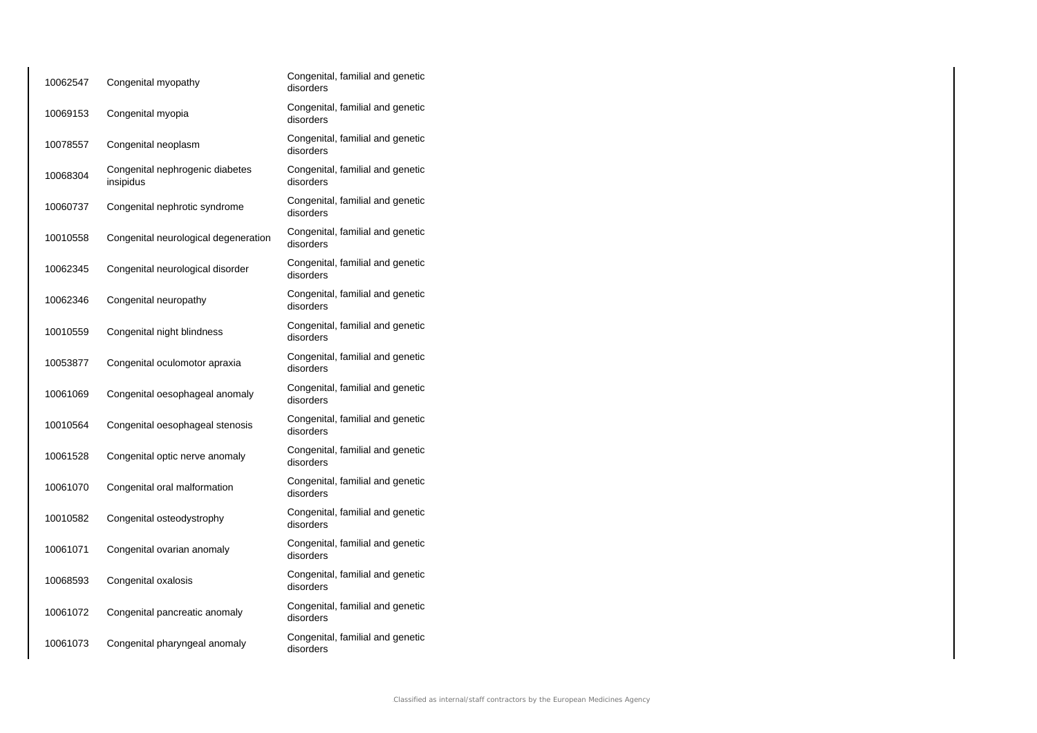| 10062547 | Congenital myopathy                          | Congenital, familial and genetic<br>disorders |
|----------|----------------------------------------------|-----------------------------------------------|
| 10069153 | Congenital myopia                            | Congenital, familial and genetic<br>disorders |
| 10078557 | Congenital neoplasm                          | Congenital, familial and genetic<br>disorders |
| 10068304 | Congenital nephrogenic diabetes<br>insipidus | Congenital, familial and genetic<br>disorders |
| 10060737 | Congenital nephrotic syndrome                | Congenital, familial and genetic<br>disorders |
| 10010558 | Congenital neurological degeneration         | Congenital, familial and genetic<br>disorders |
| 10062345 | Congenital neurological disorder             | Congenital, familial and genetic<br>disorders |
| 10062346 | Congenital neuropathy                        | Congenital, familial and genetic<br>disorders |
| 10010559 | Congenital night blindness                   | Congenital, familial and genetic<br>disorders |
| 10053877 | Congenital oculomotor apraxia                | Congenital, familial and genetic<br>disorders |
| 10061069 | Congenital oesophageal anomaly               | Congenital, familial and genetic<br>disorders |
| 10010564 | Congenital oesophageal stenosis              | Congenital, familial and genetic<br>disorders |
| 10061528 | Congenital optic nerve anomaly               | Congenital, familial and genetic<br>disorders |
| 10061070 | Congenital oral malformation                 | Congenital, familial and genetic<br>disorders |
| 10010582 | Congenital osteodystrophy                    | Congenital, familial and genetic<br>disorders |
| 10061071 | Congenital ovarian anomaly                   | Congenital, familial and genetic<br>disorders |
| 10068593 | Congenital oxalosis                          | Congenital, familial and genetic<br>disorders |
| 10061072 | Congenital pancreatic anomaly                | Congenital, familial and genetic<br>disorders |
| 10061073 | Congenital pharyngeal anomaly                | Congenital, familial and genetic<br>disorders |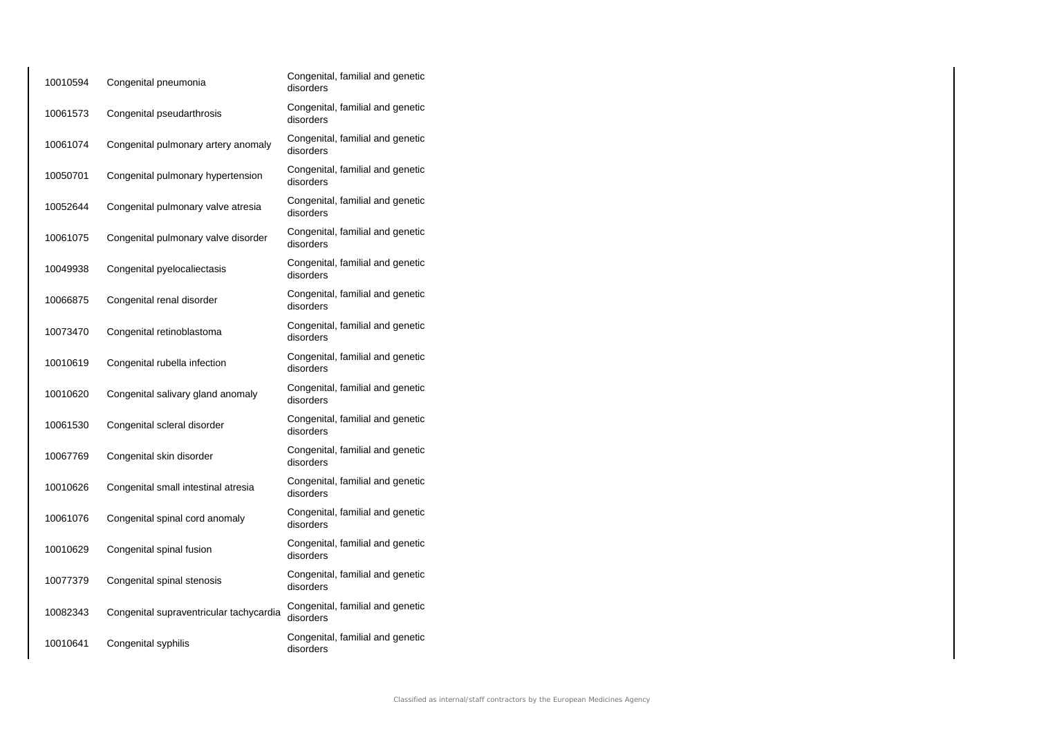| 10010594 | Congenital pneumonia                    | Congenital, familial and genetic<br>disorders |
|----------|-----------------------------------------|-----------------------------------------------|
| 10061573 | Congenital pseudarthrosis               | Congenital, familial and genetic<br>disorders |
| 10061074 | Congenital pulmonary artery anomaly     | Congenital, familial and genetic<br>disorders |
| 10050701 | Congenital pulmonary hypertension       | Congenital, familial and genetic<br>disorders |
| 10052644 | Congenital pulmonary valve atresia      | Congenital, familial and genetic<br>disorders |
| 10061075 | Congenital pulmonary valve disorder     | Congenital, familial and genetic<br>disorders |
| 10049938 | Congenital pyelocaliectasis             | Congenital, familial and genetic<br>disorders |
| 10066875 | Congenital renal disorder               | Congenital, familial and genetic<br>disorders |
| 10073470 | Congenital retinoblastoma               | Congenital, familial and genetic<br>disorders |
| 10010619 | Congenital rubella infection            | Congenital, familial and genetic<br>disorders |
| 10010620 | Congenital salivary gland anomaly       | Congenital, familial and genetic<br>disorders |
| 10061530 | Congenital scleral disorder             | Congenital, familial and genetic<br>disorders |
| 10067769 | Congenital skin disorder                | Congenital, familial and genetic<br>disorders |
| 10010626 | Congenital small intestinal atresia     | Congenital, familial and genetic<br>disorders |
| 10061076 | Congenital spinal cord anomaly          | Congenital, familial and genetic<br>disorders |
| 10010629 | Congenital spinal fusion                | Congenital, familial and genetic<br>disorders |
| 10077379 | Congenital spinal stenosis              | Congenital, familial and genetic<br>disorders |
| 10082343 | Congenital supraventricular tachycardia | Congenital, familial and genetic<br>disorders |
| 10010641 | Congenital syphilis                     | Congenital, familial and genetic<br>disorders |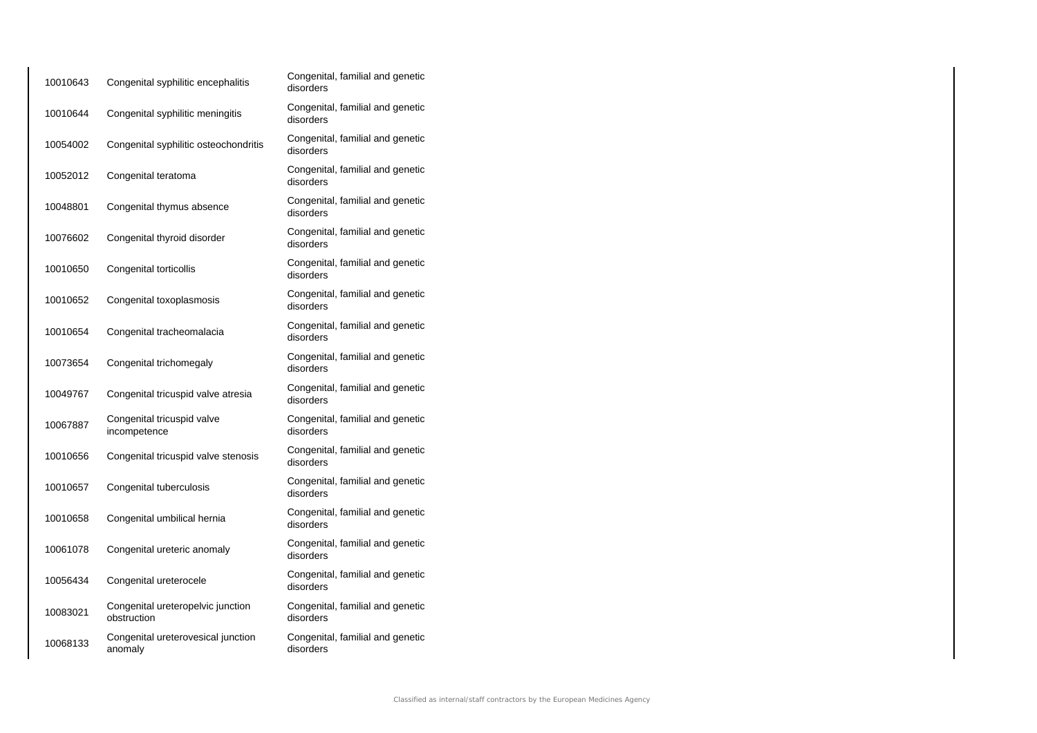| 10010643 | Congenital syphilitic encephalitis               | Congenital, familial and genetic<br>disorders |
|----------|--------------------------------------------------|-----------------------------------------------|
| 10010644 | Congenital syphilitic meningitis                 | Congenital, familial and genetic<br>disorders |
| 10054002 | Congenital syphilitic osteochondritis            | Congenital, familial and genetic<br>disorders |
| 10052012 | Congenital teratoma                              | Congenital, familial and genetic<br>disorders |
| 10048801 | Congenital thymus absence                        | Congenital, familial and genetic<br>disorders |
| 10076602 | Congenital thyroid disorder                      | Congenital, familial and genetic<br>disorders |
| 10010650 | Congenital torticollis                           | Congenital, familial and genetic<br>disorders |
| 10010652 | Congenital toxoplasmosis                         | Congenital, familial and genetic<br>disorders |
| 10010654 | Congenital tracheomalacia                        | Congenital, familial and genetic<br>disorders |
| 10073654 | Congenital trichomegaly                          | Congenital, familial and genetic<br>disorders |
| 10049767 | Congenital tricuspid valve atresia               | Congenital, familial and genetic<br>disorders |
| 10067887 | Congenital tricuspid valve<br>incompetence       | Congenital, familial and genetic<br>disorders |
| 10010656 | Congenital tricuspid valve stenosis              | Congenital, familial and genetic<br>disorders |
| 10010657 | Congenital tuberculosis                          | Congenital, familial and genetic<br>disorders |
| 10010658 | Congenital umbilical hernia                      | Congenital, familial and genetic<br>disorders |
| 10061078 | Congenital ureteric anomaly                      | Congenital, familial and genetic<br>disorders |
| 10056434 | Congenital ureterocele                           | Congenital, familial and genetic<br>disorders |
| 10083021 | Congenital ureteropelvic junction<br>obstruction | Congenital, familial and genetic<br>disorders |
| 10068133 | Congenital ureterovesical junction<br>anomaly    | Congenital, familial and genetic<br>disorders |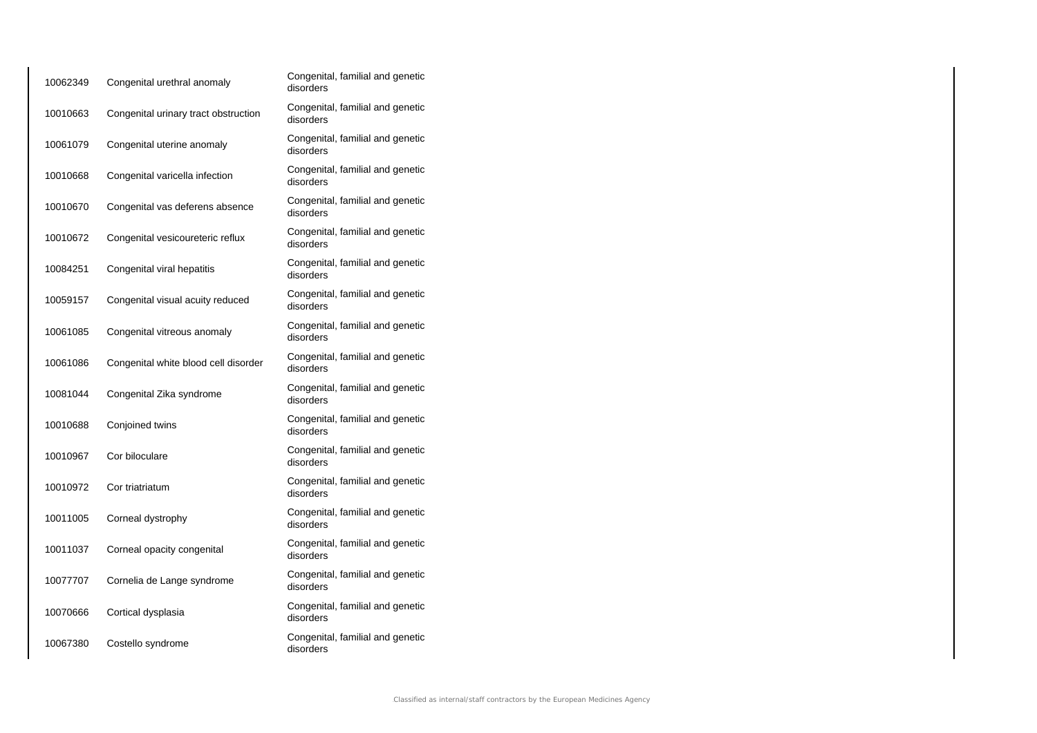| 10062349 | Congenital urethral anomaly          | Congenital, familial and genetic<br>disorders |
|----------|--------------------------------------|-----------------------------------------------|
| 10010663 | Congenital urinary tract obstruction | Congenital, familial and genetic<br>disorders |
| 10061079 | Congenital uterine anomaly           | Congenital, familial and genetic<br>disorders |
| 10010668 | Congenital varicella infection       | Congenital, familial and genetic<br>disorders |
| 10010670 | Congenital vas deferens absence      | Congenital, familial and genetic<br>disorders |
| 10010672 | Congenital vesicoureteric reflux     | Congenital, familial and genetic<br>disorders |
| 10084251 | Congenital viral hepatitis           | Congenital, familial and genetic<br>disorders |
| 10059157 | Congenital visual acuity reduced     | Congenital, familial and genetic<br>disorders |
| 10061085 | Congenital vitreous anomaly          | Congenital, familial and genetic<br>disorders |
| 10061086 | Congenital white blood cell disorder | Congenital, familial and genetic<br>disorders |
| 10081044 | Congenital Zika syndrome             | Congenital, familial and genetic<br>disorders |
| 10010688 | Conjoined twins                      | Congenital, familial and genetic<br>disorders |
| 10010967 | Cor biloculare                       | Congenital, familial and genetic<br>disorders |
| 10010972 | Cor triatriatum                      | Congenital, familial and genetic<br>disorders |
| 10011005 | Corneal dystrophy                    | Congenital, familial and genetic<br>disorders |
| 10011037 | Corneal opacity congenital           | Congenital, familial and genetic<br>disorders |
| 10077707 | Cornelia de Lange syndrome           | Congenital, familial and genetic<br>disorders |
| 10070666 | Cortical dysplasia                   | Congenital, familial and genetic<br>disorders |
| 10067380 | Costello syndrome                    | Congenital, familial and genetic<br>disorders |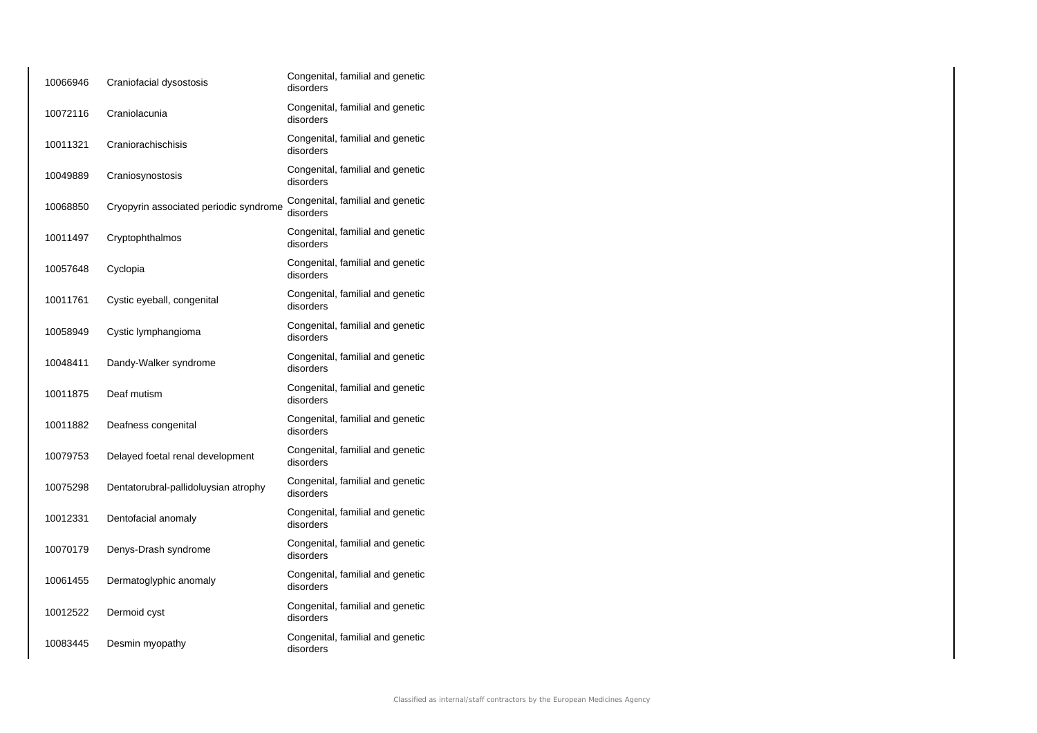| 10066946 | Craniofacial dysostosis                | Congenital, familial and genetic<br>disorders |
|----------|----------------------------------------|-----------------------------------------------|
| 10072116 | Craniolacunia                          | Congenital, familial and genetic<br>disorders |
| 10011321 | Craniorachischisis                     | Congenital, familial and genetic<br>disorders |
| 10049889 | Craniosynostosis                       | Congenital, familial and genetic<br>disorders |
| 10068850 | Cryopyrin associated periodic syndrome | Congenital, familial and genetic<br>disorders |
| 10011497 | Cryptophthalmos                        | Congenital, familial and genetic<br>disorders |
| 10057648 | Cyclopia                               | Congenital, familial and genetic<br>disorders |
| 10011761 | Cystic eyeball, congenital             | Congenital, familial and genetic<br>disorders |
| 10058949 | Cystic lymphangioma                    | Congenital, familial and genetic<br>disorders |
| 10048411 | Dandy-Walker syndrome                  | Congenital, familial and genetic<br>disorders |
| 10011875 | Deaf mutism                            | Congenital, familial and genetic<br>disorders |
| 10011882 | Deafness congenital                    | Congenital, familial and genetic<br>disorders |
| 10079753 | Delayed foetal renal development       | Congenital, familial and genetic<br>disorders |
| 10075298 | Dentatorubral-pallidoluysian atrophy   | Congenital, familial and genetic<br>disorders |
| 10012331 | Dentofacial anomaly                    | Congenital, familial and genetic<br>disorders |
| 10070179 | Denys-Drash syndrome                   | Congenital, familial and genetic<br>disorders |
| 10061455 | Dermatoglyphic anomaly                 | Congenital, familial and genetic<br>disorders |
| 10012522 | Dermoid cyst                           | Congenital, familial and genetic<br>disorders |
| 10083445 | Desmin myopathy                        | Congenital, familial and genetic<br>disorders |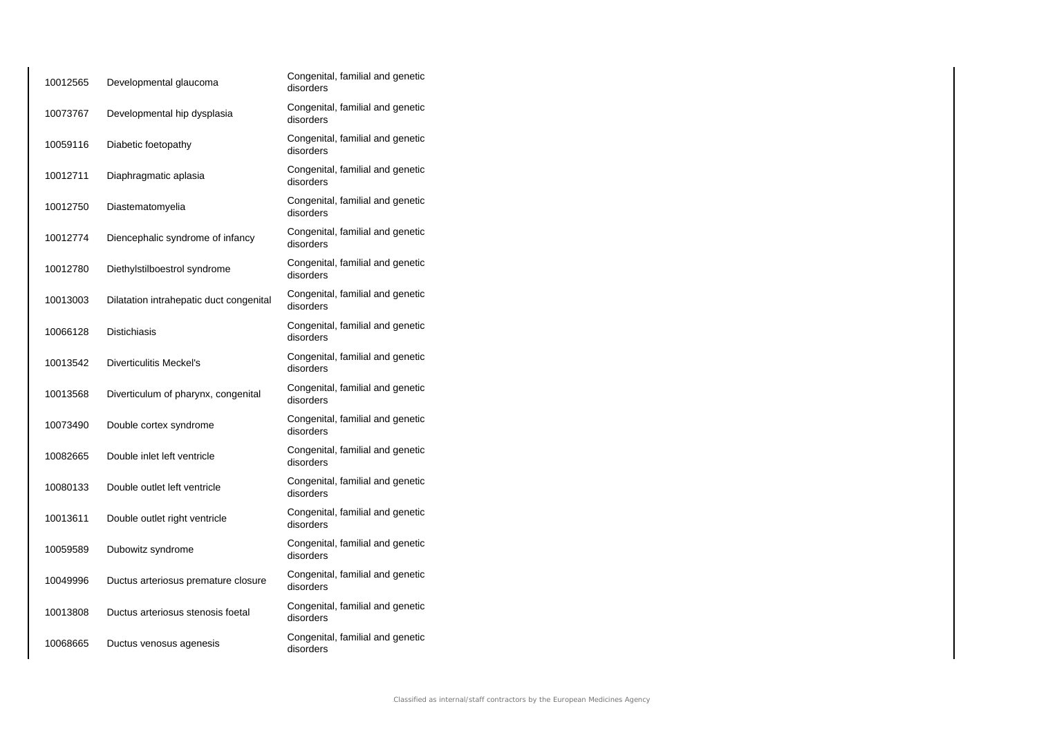| 10012565 | Developmental glaucoma                  | Congenital, familial and genetic<br>disorders |
|----------|-----------------------------------------|-----------------------------------------------|
| 10073767 | Developmental hip dysplasia             | Congenital, familial and genetic<br>disorders |
| 10059116 | Diabetic foetopathy                     | Congenital, familial and genetic<br>disorders |
| 10012711 | Diaphragmatic aplasia                   | Congenital, familial and genetic<br>disorders |
| 10012750 | Diastematomyelia                        | Congenital, familial and genetic<br>disorders |
| 10012774 | Diencephalic syndrome of infancy        | Congenital, familial and genetic<br>disorders |
| 10012780 | Diethylstilboestrol syndrome            | Congenital, familial and genetic<br>disorders |
| 10013003 | Dilatation intrahepatic duct congenital | Congenital, familial and genetic<br>disorders |
| 10066128 | <b>Distichiasis</b>                     | Congenital, familial and genetic<br>disorders |
| 10013542 | <b>Diverticulitis Meckel's</b>          | Congenital, familial and genetic<br>disorders |
| 10013568 | Diverticulum of pharynx, congenital     | Congenital, familial and genetic<br>disorders |
| 10073490 | Double cortex syndrome                  | Congenital, familial and genetic<br>disorders |
| 10082665 | Double inlet left ventricle             | Congenital, familial and genetic<br>disorders |
| 10080133 | Double outlet left ventricle            | Congenital, familial and genetic<br>disorders |
| 10013611 | Double outlet right ventricle           | Congenital, familial and genetic<br>disorders |
| 10059589 | Dubowitz syndrome                       | Congenital, familial and genetic<br>disorders |
| 10049996 | Ductus arteriosus premature closure     | Congenital, familial and genetic<br>disorders |
| 10013808 | Ductus arteriosus stenosis foetal       | Congenital, familial and genetic<br>disorders |
| 10068665 | Ductus venosus agenesis                 | Congenital, familial and genetic<br>disorders |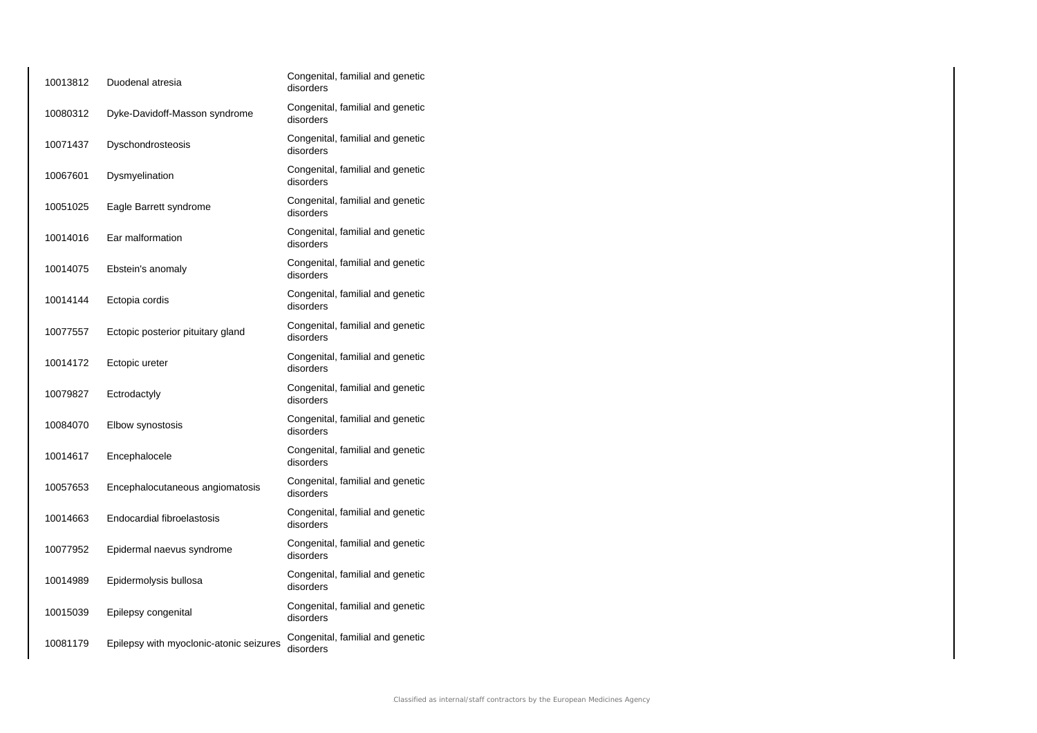| 10013812 | Duodenal atresia                        | Congenital, familial and genetic<br>disorders |
|----------|-----------------------------------------|-----------------------------------------------|
| 10080312 | Dyke-Davidoff-Masson syndrome           | Congenital, familial and genetic<br>disorders |
| 10071437 | Dyschondrosteosis                       | Congenital, familial and genetic<br>disorders |
| 10067601 | Dysmyelination                          | Congenital, familial and genetic<br>disorders |
| 10051025 | Eagle Barrett syndrome                  | Congenital, familial and genetic<br>disorders |
| 10014016 | Ear malformation                        | Congenital, familial and genetic<br>disorders |
| 10014075 | Ebstein's anomaly                       | Congenital, familial and genetic<br>disorders |
| 10014144 | Ectopia cordis                          | Congenital, familial and genetic<br>disorders |
| 10077557 | Ectopic posterior pituitary gland       | Congenital, familial and genetic<br>disorders |
| 10014172 | Ectopic ureter                          | Congenital, familial and genetic<br>disorders |
| 10079827 | Ectrodactyly                            | Congenital, familial and genetic<br>disorders |
| 10084070 | Elbow synostosis                        | Congenital, familial and genetic<br>disorders |
| 10014617 | Encephalocele                           | Congenital, familial and genetic<br>disorders |
| 10057653 | Encephalocutaneous angiomatosis         | Congenital, familial and genetic<br>disorders |
| 10014663 | Endocardial fibroelastosis              | Congenital, familial and genetic<br>disorders |
| 10077952 | Epidermal naevus syndrome               | Congenital, familial and genetic<br>disorders |
| 10014989 | Epidermolysis bullosa                   | Congenital, familial and genetic<br>disorders |
| 10015039 | Epilepsy congenital                     | Congenital, familial and genetic<br>disorders |
| 10081179 | Epilepsy with myoclonic-atonic seizures | Congenital, familial and genetic<br>disorders |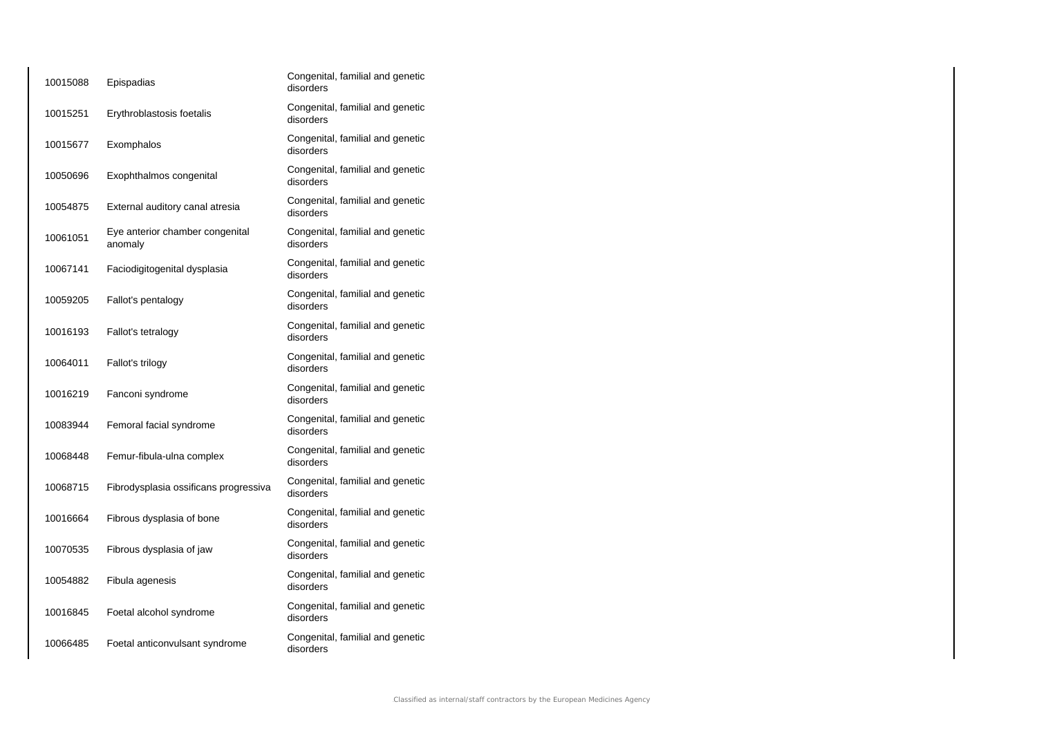| 10015088 | Epispadias                                 | Congenital, familial and genetic<br>disorders |
|----------|--------------------------------------------|-----------------------------------------------|
| 10015251 | Erythroblastosis foetalis                  | Congenital, familial and genetic<br>disorders |
| 10015677 | Exomphalos                                 | Congenital, familial and genetic<br>disorders |
| 10050696 | Exophthalmos congenital                    | Congenital, familial and genetic<br>disorders |
| 10054875 | External auditory canal atresia            | Congenital, familial and genetic<br>disorders |
| 10061051 | Eye anterior chamber congenital<br>anomaly | Congenital, familial and genetic<br>disorders |
| 10067141 | Faciodigitogenital dysplasia               | Congenital, familial and genetic<br>disorders |
| 10059205 | Fallot's pentalogy                         | Congenital, familial and genetic<br>disorders |
| 10016193 | Fallot's tetralogy                         | Congenital, familial and genetic<br>disorders |
| 10064011 | Fallot's trilogy                           | Congenital, familial and genetic<br>disorders |
| 10016219 | Fanconi syndrome                           | Congenital, familial and genetic<br>disorders |
| 10083944 | Femoral facial syndrome                    | Congenital, familial and genetic<br>disorders |
| 10068448 | Femur-fibula-ulna complex                  | Congenital, familial and genetic<br>disorders |
| 10068715 | Fibrodysplasia ossificans progressiva      | Congenital, familial and genetic<br>disorders |
| 10016664 | Fibrous dysplasia of bone                  | Congenital, familial and genetic<br>disorders |
| 10070535 | Fibrous dysplasia of jaw                   | Congenital, familial and genetic<br>disorders |
| 10054882 | Fibula agenesis                            | Congenital, familial and genetic<br>disorders |
| 10016845 | Foetal alcohol syndrome                    | Congenital, familial and genetic<br>disorders |
| 10066485 | Foetal anticonvulsant syndrome             | Congenital, familial and genetic<br>disorders |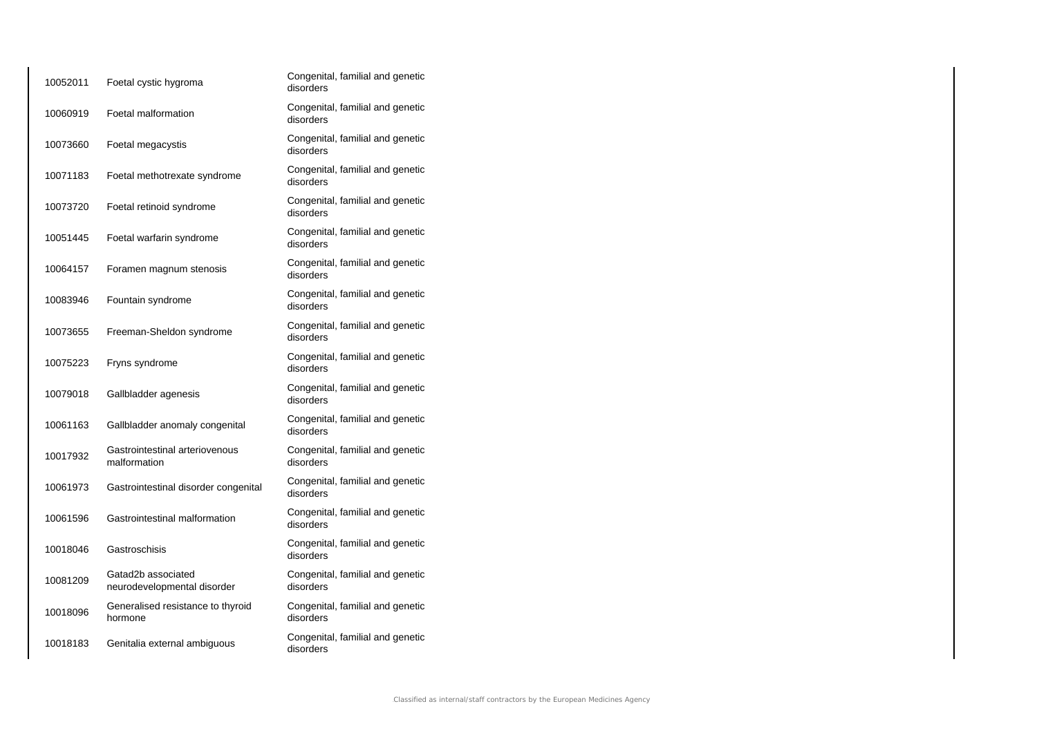| 10052011 | Foetal cystic hygroma                             | Congenital, familial and genetic<br>disorders |
|----------|---------------------------------------------------|-----------------------------------------------|
| 10060919 | Foetal malformation                               | Congenital, familial and genetic<br>disorders |
| 10073660 | Foetal megacystis                                 | Congenital, familial and genetic<br>disorders |
| 10071183 | Foetal methotrexate syndrome                      | Congenital, familial and genetic<br>disorders |
| 10073720 | Foetal retinoid syndrome                          | Congenital, familial and genetic<br>disorders |
| 10051445 | Foetal warfarin syndrome                          | Congenital, familial and genetic<br>disorders |
| 10064157 | Foramen magnum stenosis                           | Congenital, familial and genetic<br>disorders |
| 10083946 | Fountain syndrome                                 | Congenital, familial and genetic<br>disorders |
| 10073655 | Freeman-Sheldon syndrome                          | Congenital, familial and genetic<br>disorders |
| 10075223 | Fryns syndrome                                    | Congenital, familial and genetic<br>disorders |
| 10079018 | Gallbladder agenesis                              | Congenital, familial and genetic<br>disorders |
| 10061163 | Gallbladder anomaly congenital                    | Congenital, familial and genetic<br>disorders |
| 10017932 | Gastrointestinal arteriovenous<br>malformation    | Congenital, familial and genetic<br>disorders |
| 10061973 | Gastrointestinal disorder congenital              | Congenital, familial and genetic<br>disorders |
| 10061596 | Gastrointestinal malformation                     | Congenital, familial and genetic<br>disorders |
| 10018046 | Gastroschisis                                     | Congenital, familial and genetic<br>disorders |
| 10081209 | Gatad2b associated<br>neurodevelopmental disorder | Congenital, familial and genetic<br>disorders |
| 10018096 | Generalised resistance to thyroid<br>hormone      | Congenital, familial and genetic<br>disorders |
| 10018183 | Genitalia external ambiguous                      | Congenital, familial and genetic<br>disorders |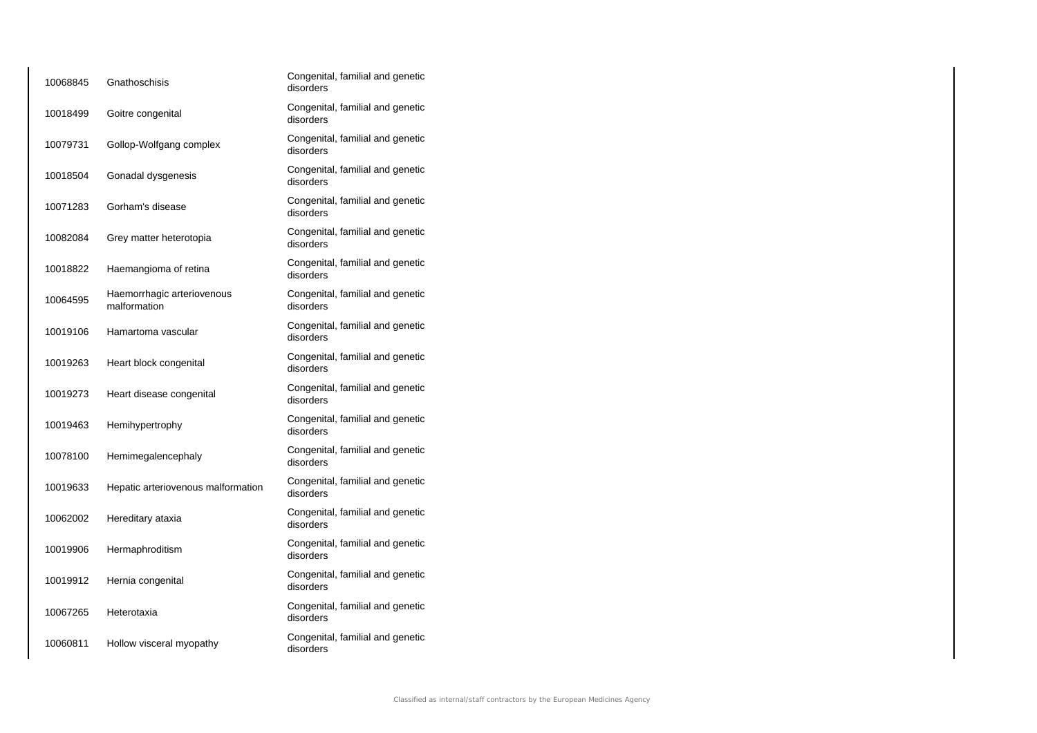| 10068845 | Gnathoschisis                              | Congenital, familial and genetic<br>disorders |
|----------|--------------------------------------------|-----------------------------------------------|
| 10018499 | Goitre congenital                          | Congenital, familial and genetic<br>disorders |
| 10079731 | Gollop-Wolfgang complex                    | Congenital, familial and genetic<br>disorders |
| 10018504 | Gonadal dysgenesis                         | Congenital, familial and genetic<br>disorders |
| 10071283 | Gorham's disease                           | Congenital, familial and genetic<br>disorders |
| 10082084 | Grey matter heterotopia                    | Congenital, familial and genetic<br>disorders |
| 10018822 | Haemangioma of retina                      | Congenital, familial and genetic<br>disorders |
| 10064595 | Haemorrhagic arteriovenous<br>malformation | Congenital, familial and genetic<br>disorders |
| 10019106 | Hamartoma vascular                         | Congenital, familial and genetic<br>disorders |
| 10019263 | Heart block congenital                     | Congenital, familial and genetic<br>disorders |
| 10019273 | Heart disease congenital                   | Congenital, familial and genetic<br>disorders |
| 10019463 | Hemihypertrophy                            | Congenital, familial and genetic<br>disorders |
| 10078100 | Hemimegalencephaly                         | Congenital, familial and genetic<br>disorders |
| 10019633 | Hepatic arteriovenous malformation         | Congenital, familial and genetic<br>disorders |
| 10062002 | Hereditary ataxia                          | Congenital, familial and genetic<br>disorders |
| 10019906 | Hermaphroditism                            | Congenital, familial and genetic<br>disorders |
| 10019912 | Hernia congenital                          | Congenital, familial and genetic<br>disorders |
| 10067265 | Heterotaxia                                | Congenital, familial and genetic<br>disorders |
| 10060811 | Hollow visceral myopathy                   | Congenital, familial and genetic<br>disorders |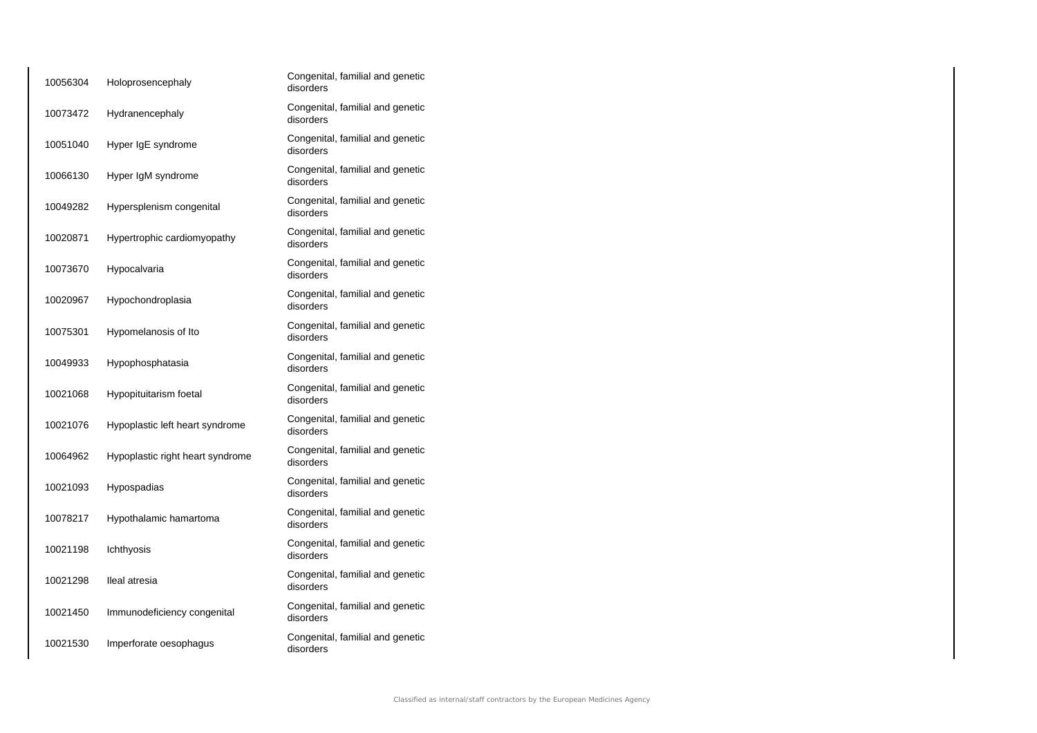| 10056304 | Holoprosencephaly                | Congenital, familial and genetic<br>disorders |
|----------|----------------------------------|-----------------------------------------------|
| 10073472 | Hydranencephaly                  | Congenital, familial and genetic<br>disorders |
| 10051040 | Hyper IgE syndrome               | Congenital, familial and genetic<br>disorders |
| 10066130 | Hyper IgM syndrome               | Congenital, familial and genetic<br>disorders |
| 10049282 | Hypersplenism congenital         | Congenital, familial and genetic<br>disorders |
| 10020871 | Hypertrophic cardiomyopathy      | Congenital, familial and genetic<br>disorders |
| 10073670 | Hypocalvaria                     | Congenital, familial and genetic<br>disorders |
| 10020967 | Hypochondroplasia                | Congenital, familial and genetic<br>disorders |
| 10075301 | Hypomelanosis of Ito             | Congenital, familial and genetic<br>disorders |
| 10049933 | Hypophosphatasia                 | Congenital, familial and genetic<br>disorders |
| 10021068 | Hypopituitarism foetal           | Congenital, familial and genetic<br>disorders |
| 10021076 | Hypoplastic left heart syndrome  | Congenital, familial and genetic<br>disorders |
| 10064962 | Hypoplastic right heart syndrome | Congenital, familial and genetic<br>disorders |
| 10021093 | Hypospadias                      | Congenital, familial and genetic<br>disorders |
| 10078217 | Hypothalamic hamartoma           | Congenital, familial and genetic<br>disorders |
| 10021198 | Ichthyosis                       | Congenital, familial and genetic<br>disorders |
| 10021298 | Ileal atresia                    | Congenital, familial and genetic<br>disorders |
| 10021450 | Immunodeficiency congenital      | Congenital, familial and genetic<br>disorders |
| 10021530 | Imperforate oesophagus           | Congenital, familial and genetic<br>disorders |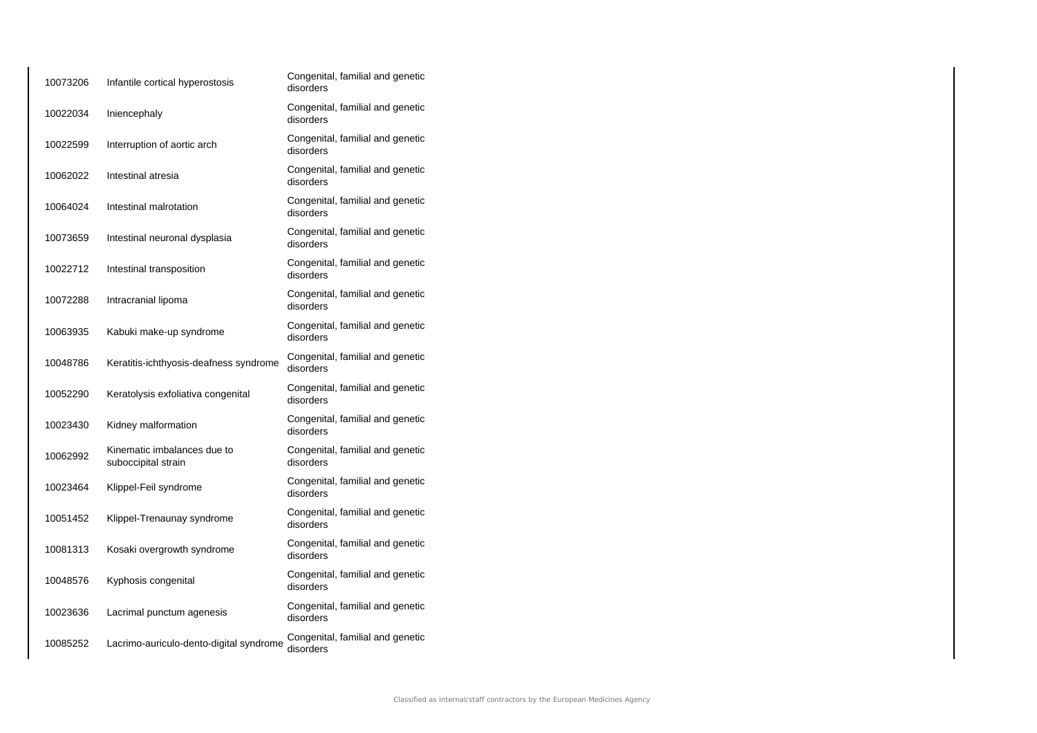| 10073206 | Infantile cortical hyperostosis                    | Congenital, familial and genetic<br>disorders |
|----------|----------------------------------------------------|-----------------------------------------------|
| 10022034 | Iniencephaly                                       | Congenital, familial and genetic<br>disorders |
| 10022599 | Interruption of aortic arch                        | Congenital, familial and genetic<br>disorders |
| 10062022 | Intestinal atresia                                 | Congenital, familial and genetic<br>disorders |
| 10064024 | Intestinal malrotation                             | Congenital, familial and genetic<br>disorders |
| 10073659 | Intestinal neuronal dysplasia                      | Congenital, familial and genetic<br>disorders |
| 10022712 | Intestinal transposition                           | Congenital, familial and genetic<br>disorders |
| 10072288 | Intracranial lipoma                                | Congenital, familial and genetic<br>disorders |
| 10063935 | Kabuki make-up syndrome                            | Congenital, familial and genetic<br>disorders |
| 10048786 | Keratitis-ichthyosis-deafness syndrome             | Congenital, familial and genetic<br>disorders |
| 10052290 | Keratolysis exfoliativa congenital                 | Congenital, familial and genetic<br>disorders |
| 10023430 | Kidney malformation                                | Congenital, familial and genetic<br>disorders |
| 10062992 | Kinematic imbalances due to<br>suboccipital strain | Congenital, familial and genetic<br>disorders |
| 10023464 | Klippel-Feil syndrome                              | Congenital, familial and genetic<br>disorders |
| 10051452 | Klippel-Trenaunay syndrome                         | Congenital, familial and genetic<br>disorders |
| 10081313 | Kosaki overgrowth syndrome                         | Congenital, familial and genetic<br>disorders |
| 10048576 | Kyphosis congenital                                | Congenital, familial and genetic<br>disorders |
| 10023636 | Lacrimal punctum agenesis                          | Congenital, familial and genetic<br>disorders |
| 10085252 | Lacrimo-auriculo-dento-digital syndrome            | Congenital, familial and genetic<br>disorders |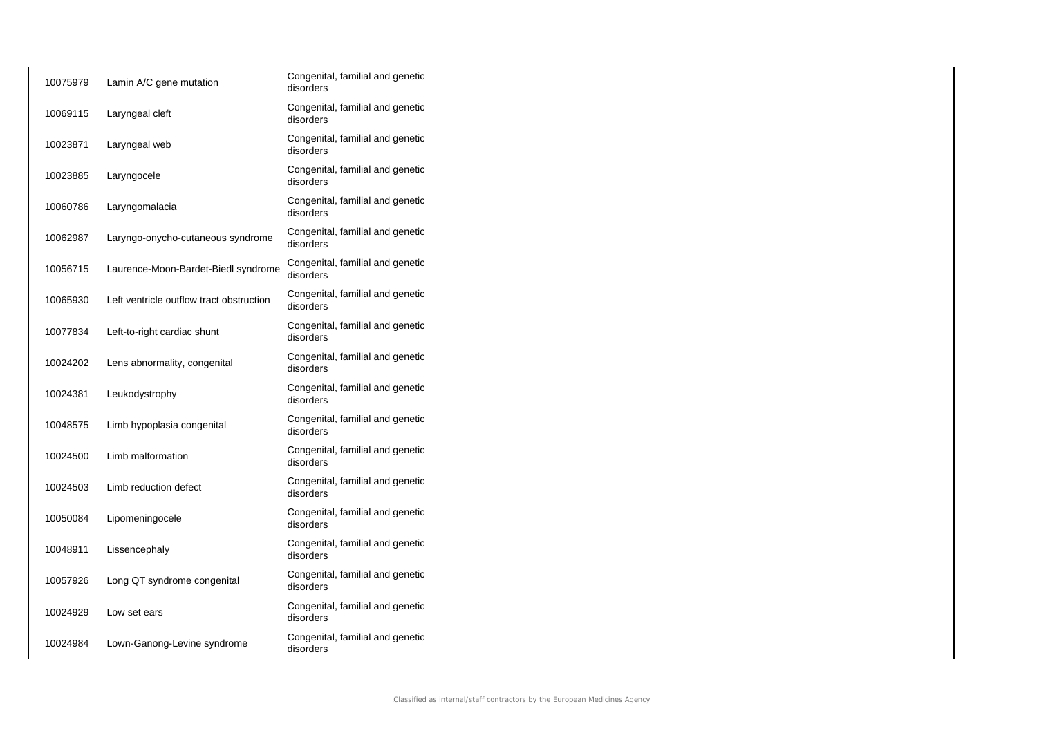| 10075979 | Lamin A/C gene mutation                  | Congenital, familial and genetic<br>disorders |
|----------|------------------------------------------|-----------------------------------------------|
| 10069115 | Laryngeal cleft                          | Congenital, familial and genetic<br>disorders |
| 10023871 | Laryngeal web                            | Congenital, familial and genetic<br>disorders |
| 10023885 | Laryngocele                              | Congenital, familial and genetic<br>disorders |
| 10060786 | Laryngomalacia                           | Congenital, familial and genetic<br>disorders |
| 10062987 | Laryngo-onycho-cutaneous syndrome        | Congenital, familial and genetic<br>disorders |
| 10056715 | Laurence-Moon-Bardet-Biedl syndrome      | Congenital, familial and genetic<br>disorders |
| 10065930 | Left ventricle outflow tract obstruction | Congenital, familial and genetic<br>disorders |
| 10077834 | Left-to-right cardiac shunt              | Congenital, familial and genetic<br>disorders |
| 10024202 | Lens abnormality, congenital             | Congenital, familial and genetic<br>disorders |
| 10024381 | Leukodystrophy                           | Congenital, familial and genetic<br>disorders |
| 10048575 | Limb hypoplasia congenital               | Congenital, familial and genetic<br>disorders |
| 10024500 | Limb malformation                        | Congenital, familial and genetic<br>disorders |
| 10024503 | Limb reduction defect                    | Congenital, familial and genetic<br>disorders |
| 10050084 | Lipomeningocele                          | Congenital, familial and genetic<br>disorders |
| 10048911 | Lissencephaly                            | Congenital, familial and genetic<br>disorders |
| 10057926 | Long QT syndrome congenital              | Congenital, familial and genetic<br>disorders |
| 10024929 | Low set ears                             | Congenital, familial and genetic<br>disorders |
| 10024984 | Lown-Ganong-Levine syndrome              | Congenital, familial and genetic<br>disorders |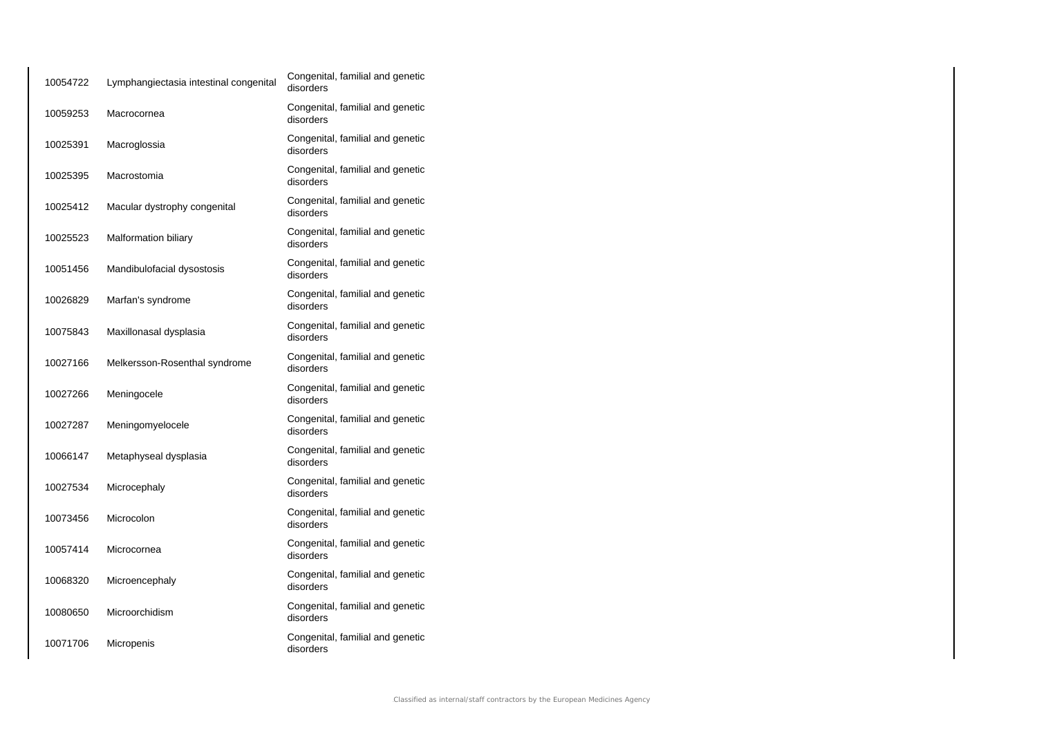| 10054722 | Lymphangiectasia intestinal congenital | Congenital, familial and genetic<br>disorders |
|----------|----------------------------------------|-----------------------------------------------|
| 10059253 | Macrocornea                            | Congenital, familial and genetic<br>disorders |
| 10025391 | Macroglossia                           | Congenital, familial and genetic<br>disorders |
| 10025395 | Macrostomia                            | Congenital, familial and genetic<br>disorders |
| 10025412 | Macular dystrophy congenital           | Congenital, familial and genetic<br>disorders |
| 10025523 | <b>Malformation biliary</b>            | Congenital, familial and genetic<br>disorders |
| 10051456 | Mandibulofacial dysostosis             | Congenital, familial and genetic<br>disorders |
| 10026829 | Marfan's syndrome                      | Congenital, familial and genetic<br>disorders |
| 10075843 | Maxillonasal dysplasia                 | Congenital, familial and genetic<br>disorders |
| 10027166 | Melkersson-Rosenthal syndrome          | Congenital, familial and genetic<br>disorders |
| 10027266 | Meningocele                            | Congenital, familial and genetic<br>disorders |
| 10027287 | Meningomyelocele                       | Congenital, familial and genetic<br>disorders |
| 10066147 | Metaphyseal dysplasia                  | Congenital, familial and genetic<br>disorders |
| 10027534 | Microcephaly                           | Congenital, familial and genetic<br>disorders |
| 10073456 | Microcolon                             | Congenital, familial and genetic<br>disorders |
| 10057414 | Microcornea                            | Congenital, familial and genetic<br>disorders |
| 10068320 | Microencephaly                         | Congenital, familial and genetic<br>disorders |
| 10080650 | Microorchidism                         | Congenital, familial and genetic<br>disorders |
| 10071706 | Micropenis                             | Congenital, familial and genetic<br>disorders |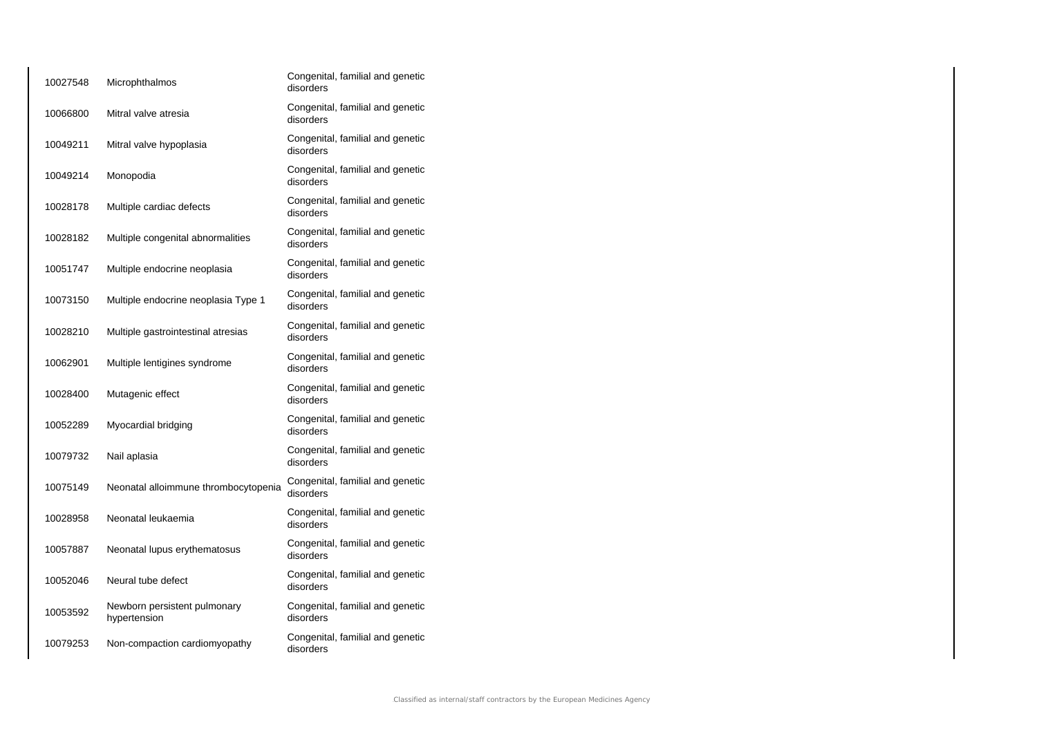| 10027548 | Microphthalmos                               | Congenital, familial and genetic<br>disorders |
|----------|----------------------------------------------|-----------------------------------------------|
| 10066800 | Mitral valve atresia                         | Congenital, familial and genetic<br>disorders |
| 10049211 | Mitral valve hypoplasia                      | Congenital, familial and genetic<br>disorders |
| 10049214 | Monopodia                                    | Congenital, familial and genetic<br>disorders |
| 10028178 | Multiple cardiac defects                     | Congenital, familial and genetic<br>disorders |
| 10028182 | Multiple congenital abnormalities            | Congenital, familial and genetic<br>disorders |
| 10051747 | Multiple endocrine neoplasia                 | Congenital, familial and genetic<br>disorders |
| 10073150 | Multiple endocrine neoplasia Type 1          | Congenital, familial and genetic<br>disorders |
| 10028210 | Multiple gastrointestinal atresias           | Congenital, familial and genetic<br>disorders |
| 10062901 | Multiple lentigines syndrome                 | Congenital, familial and genetic<br>disorders |
| 10028400 | Mutagenic effect                             | Congenital, familial and genetic<br>disorders |
| 10052289 | Myocardial bridging                          | Congenital, familial and genetic<br>disorders |
| 10079732 | Nail aplasia                                 | Congenital, familial and genetic<br>disorders |
| 10075149 | Neonatal alloimmune thrombocytopenia         | Congenital, familial and genetic<br>disorders |
| 10028958 | Neonatal leukaemia                           | Congenital, familial and genetic<br>disorders |
| 10057887 | Neonatal lupus erythematosus                 | Congenital, familial and genetic<br>disorders |
| 10052046 | Neural tube defect                           | Congenital, familial and genetic<br>disorders |
| 10053592 | Newborn persistent pulmonary<br>hypertension | Congenital, familial and genetic<br>disorders |
| 10079253 | Non-compaction cardiomyopathy                | Congenital, familial and genetic<br>disorders |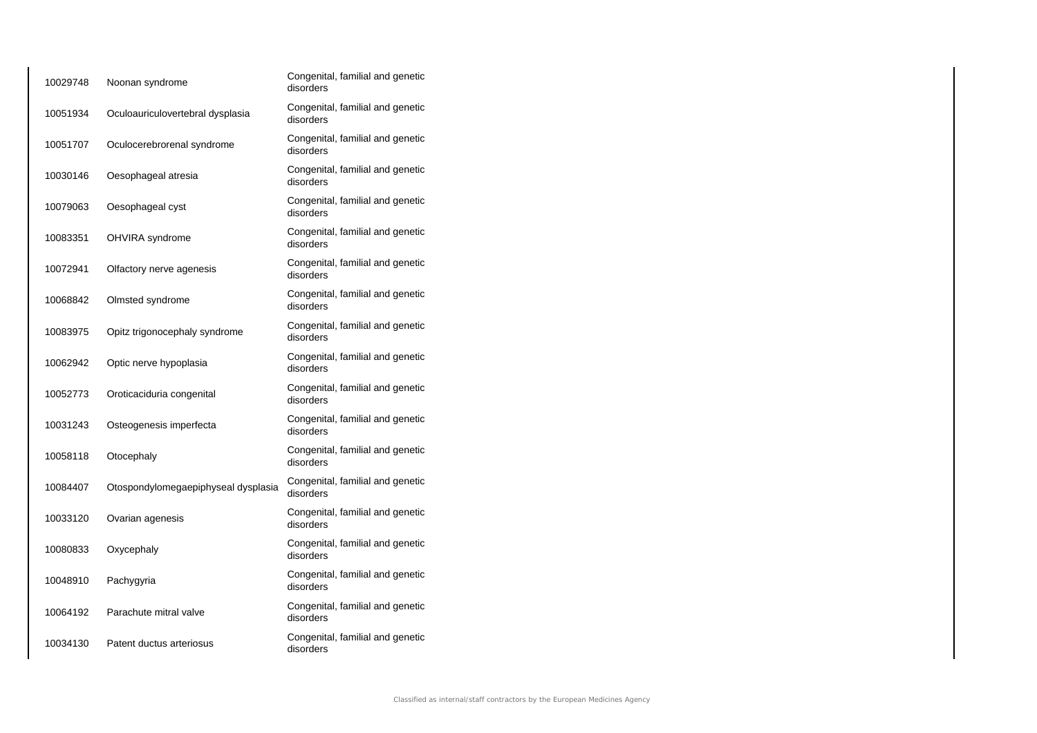| 10029748 | Noonan syndrome                     | Congenital, familial and genetic<br>disorders |
|----------|-------------------------------------|-----------------------------------------------|
| 10051934 | Oculoauriculovertebral dysplasia    | Congenital, familial and genetic<br>disorders |
| 10051707 | Oculocerebrorenal syndrome          | Congenital, familial and genetic<br>disorders |
| 10030146 | Oesophageal atresia                 | Congenital, familial and genetic<br>disorders |
| 10079063 | Oesophageal cyst                    | Congenital, familial and genetic<br>disorders |
| 10083351 | OHVIRA syndrome                     | Congenital, familial and genetic<br>disorders |
| 10072941 | Olfactory nerve agenesis            | Congenital, familial and genetic<br>disorders |
| 10068842 | Olmsted syndrome                    | Congenital, familial and genetic<br>disorders |
| 10083975 | Opitz trigonocephaly syndrome       | Congenital, familial and genetic<br>disorders |
| 10062942 | Optic nerve hypoplasia              | Congenital, familial and genetic<br>disorders |
| 10052773 | Oroticaciduria congenital           | Congenital, familial and genetic<br>disorders |
| 10031243 | Osteogenesis imperfecta             | Congenital, familial and genetic<br>disorders |
| 10058118 | Otocephaly                          | Congenital, familial and genetic<br>disorders |
| 10084407 | Otospondylomegaepiphyseal dysplasia | Congenital, familial and genetic<br>disorders |
| 10033120 | Ovarian agenesis                    | Congenital, familial and genetic<br>disorders |
| 10080833 | Oxycephaly                          | Congenital, familial and genetic<br>disorders |
| 10048910 | Pachygyria                          | Congenital, familial and genetic<br>disorders |
| 10064192 | Parachute mitral valve              | Congenital, familial and genetic<br>disorders |
| 10034130 | Patent ductus arteriosus            | Congenital, familial and genetic<br>disorders |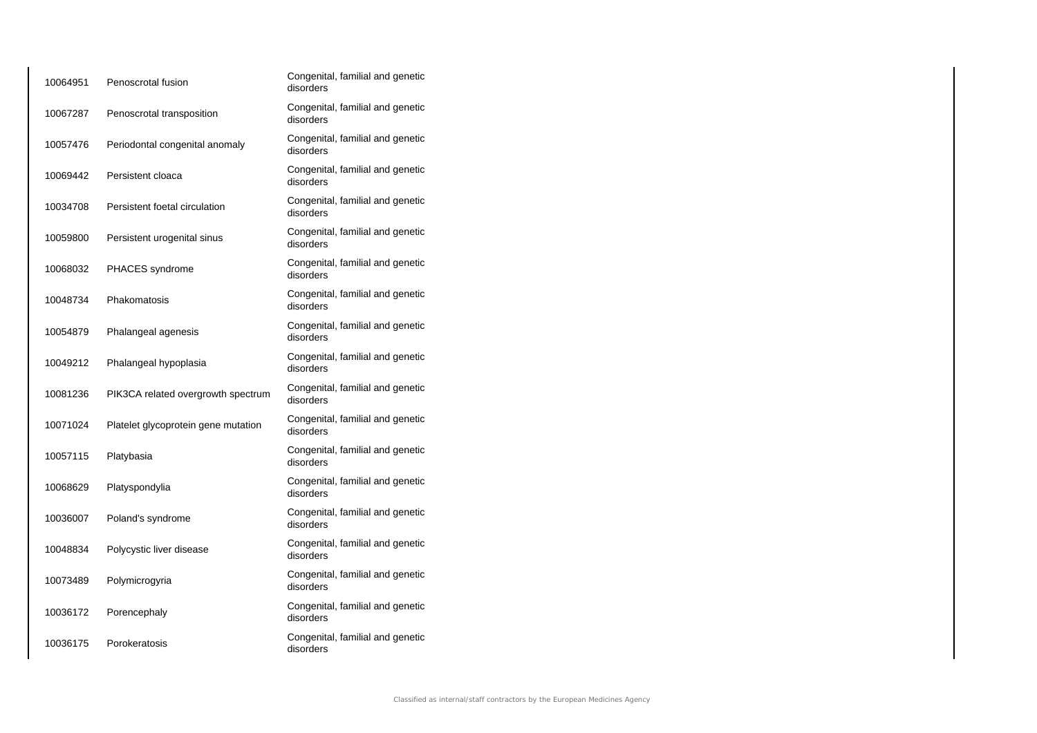| 10064951 | Penoscrotal fusion                  | Congenital, familial and genetic<br>disorders |
|----------|-------------------------------------|-----------------------------------------------|
| 10067287 | Penoscrotal transposition           | Congenital, familial and genetic<br>disorders |
| 10057476 | Periodontal congenital anomaly      | Congenital, familial and genetic<br>disorders |
| 10069442 | Persistent cloaca                   | Congenital, familial and genetic<br>disorders |
| 10034708 | Persistent foetal circulation       | Congenital, familial and genetic<br>disorders |
| 10059800 | Persistent urogenital sinus         | Congenital, familial and genetic<br>disorders |
| 10068032 | <b>PHACES</b> syndrome              | Congenital, familial and genetic<br>disorders |
| 10048734 | Phakomatosis                        | Congenital, familial and genetic<br>disorders |
| 10054879 | Phalangeal agenesis                 | Congenital, familial and genetic<br>disorders |
| 10049212 | Phalangeal hypoplasia               | Congenital, familial and genetic<br>disorders |
| 10081236 | PIK3CA related overgrowth spectrum  | Congenital, familial and genetic<br>disorders |
| 10071024 | Platelet glycoprotein gene mutation | Congenital, familial and genetic<br>disorders |
| 10057115 | Platybasia                          | Congenital, familial and genetic<br>disorders |
| 10068629 | Platyspondylia                      | Congenital, familial and genetic<br>disorders |
| 10036007 | Poland's syndrome                   | Congenital, familial and genetic<br>disorders |
| 10048834 | Polycystic liver disease            | Congenital, familial and genetic<br>disorders |
| 10073489 | Polymicrogyria                      | Congenital, familial and genetic<br>disorders |
| 10036172 | Porencephaly                        | Congenital, familial and genetic<br>disorders |
| 10036175 | Porokeratosis                       | Congenital, familial and genetic<br>disorders |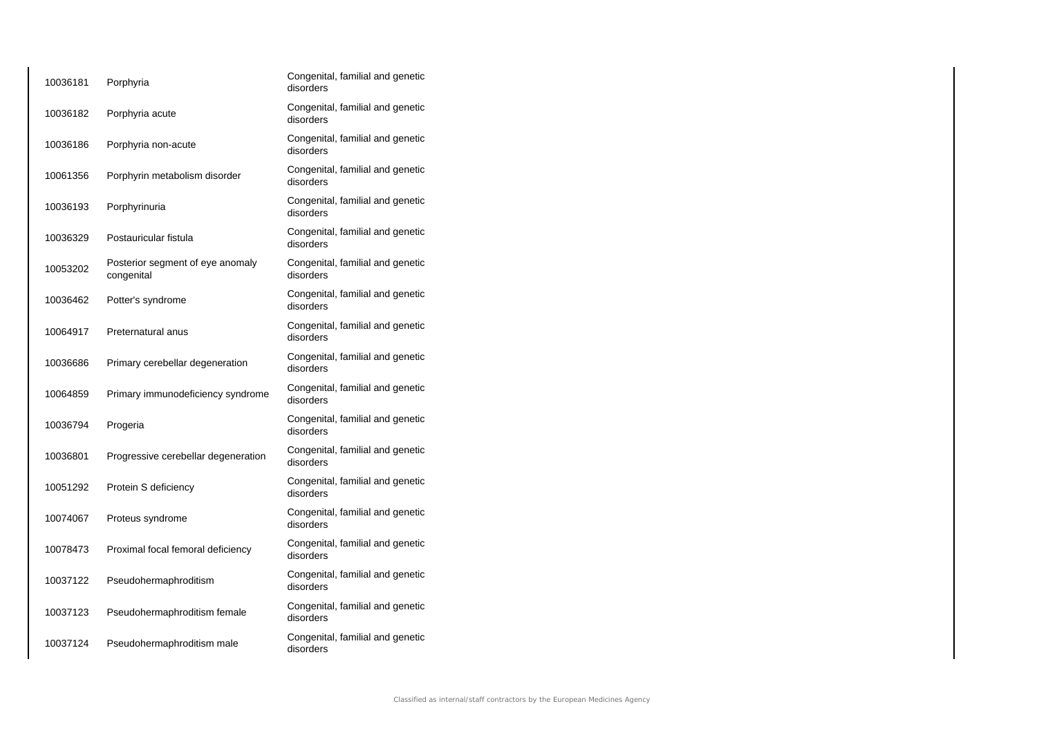| 10036181 | Porphyria                                      | Congenital, familial and genetic<br>disorders |
|----------|------------------------------------------------|-----------------------------------------------|
| 10036182 | Porphyria acute                                | Congenital, familial and genetic<br>disorders |
| 10036186 | Porphyria non-acute                            | Congenital, familial and genetic<br>disorders |
| 10061356 | Porphyrin metabolism disorder                  | Congenital, familial and genetic<br>disorders |
| 10036193 | Porphyrinuria                                  | Congenital, familial and genetic<br>disorders |
| 10036329 | Postauricular fistula                          | Congenital, familial and genetic<br>disorders |
| 10053202 | Posterior segment of eye anomaly<br>congenital | Congenital, familial and genetic<br>disorders |
| 10036462 | Potter's syndrome                              | Congenital, familial and genetic<br>disorders |
| 10064917 | Preternatural anus                             | Congenital, familial and genetic<br>disorders |
| 10036686 | Primary cerebellar degeneration                | Congenital, familial and genetic<br>disorders |
| 10064859 | Primary immunodeficiency syndrome              | Congenital, familial and genetic<br>disorders |
| 10036794 | Progeria                                       | Congenital, familial and genetic<br>disorders |
| 10036801 | Progressive cerebellar degeneration            | Congenital, familial and genetic<br>disorders |
| 10051292 | Protein S deficiency                           | Congenital, familial and genetic<br>disorders |
| 10074067 | Proteus syndrome                               | Congenital, familial and genetic<br>disorders |
| 10078473 | Proximal focal femoral deficiency              | Congenital, familial and genetic<br>disorders |
| 10037122 | Pseudohermaphroditism                          | Congenital, familial and genetic<br>disorders |
| 10037123 | Pseudohermaphroditism female                   | Congenital, familial and genetic<br>disorders |
| 10037124 | Pseudohermaphroditism male                     | Congenital, familial and genetic<br>disorders |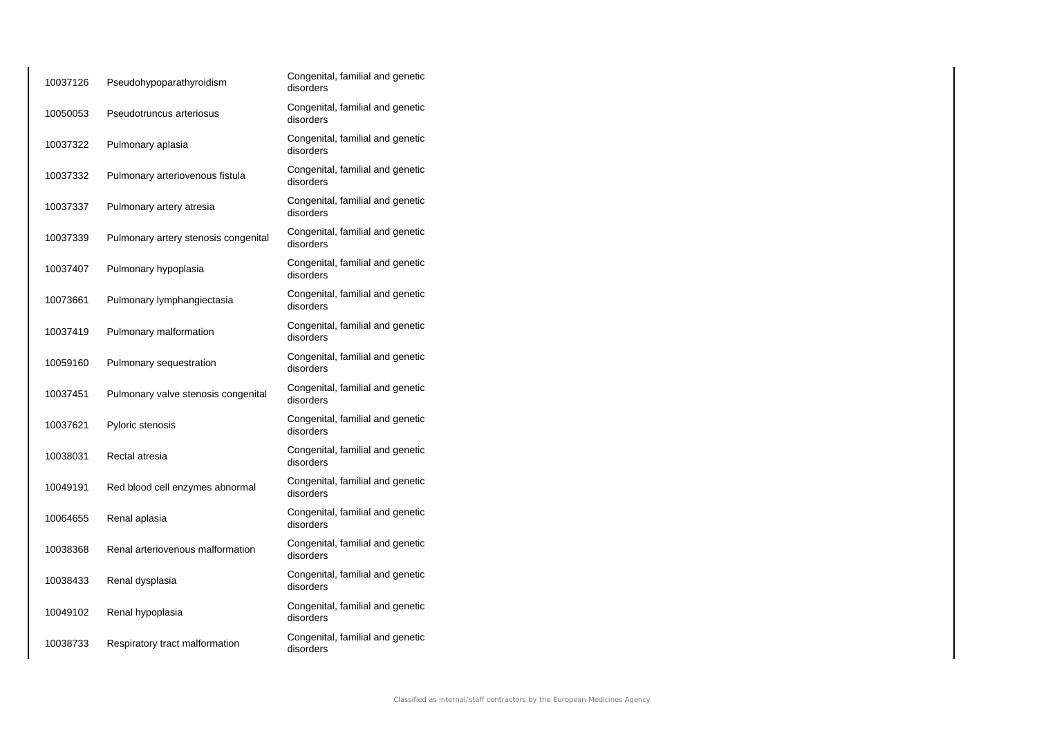| 10037126 | Pseudohypoparathyroidism             | Congenital, familial and genetic<br>disorders |
|----------|--------------------------------------|-----------------------------------------------|
| 10050053 | Pseudotruncus arteriosus             | Congenital, familial and genetic<br>disorders |
| 10037322 | Pulmonary aplasia                    | Congenital, familial and genetic<br>disorders |
| 10037332 | Pulmonary arteriovenous fistula      | Congenital, familial and genetic<br>disorders |
| 10037337 | Pulmonary artery atresia             | Congenital, familial and genetic<br>disorders |
| 10037339 | Pulmonary artery stenosis congenital | Congenital, familial and genetic<br>disorders |
| 10037407 | Pulmonary hypoplasia                 | Congenital, familial and genetic<br>disorders |
| 10073661 | Pulmonary lymphangiectasia           | Congenital, familial and genetic<br>disorders |
| 10037419 | Pulmonary malformation               | Congenital, familial and genetic<br>disorders |
| 10059160 | Pulmonary sequestration              | Congenital, familial and genetic<br>disorders |
| 10037451 | Pulmonary valve stenosis congenital  | Congenital, familial and genetic<br>disorders |
| 10037621 | Pyloric stenosis                     | Congenital, familial and genetic<br>disorders |
| 10038031 | Rectal atresia                       | Congenital, familial and genetic<br>disorders |
| 10049191 | Red blood cell enzymes abnormal      | Congenital, familial and genetic<br>disorders |
| 10064655 | Renal aplasia                        | Congenital, familial and genetic<br>disorders |
| 10038368 | Renal arteriovenous malformation     | Congenital, familial and genetic<br>disorders |
| 10038433 | Renal dysplasia                      | Congenital, familial and genetic<br>disorders |
| 10049102 | Renal hypoplasia                     | Congenital, familial and genetic<br>disorders |
| 10038733 | Respiratory tract malformation       | Congenital, familial and genetic<br>disorders |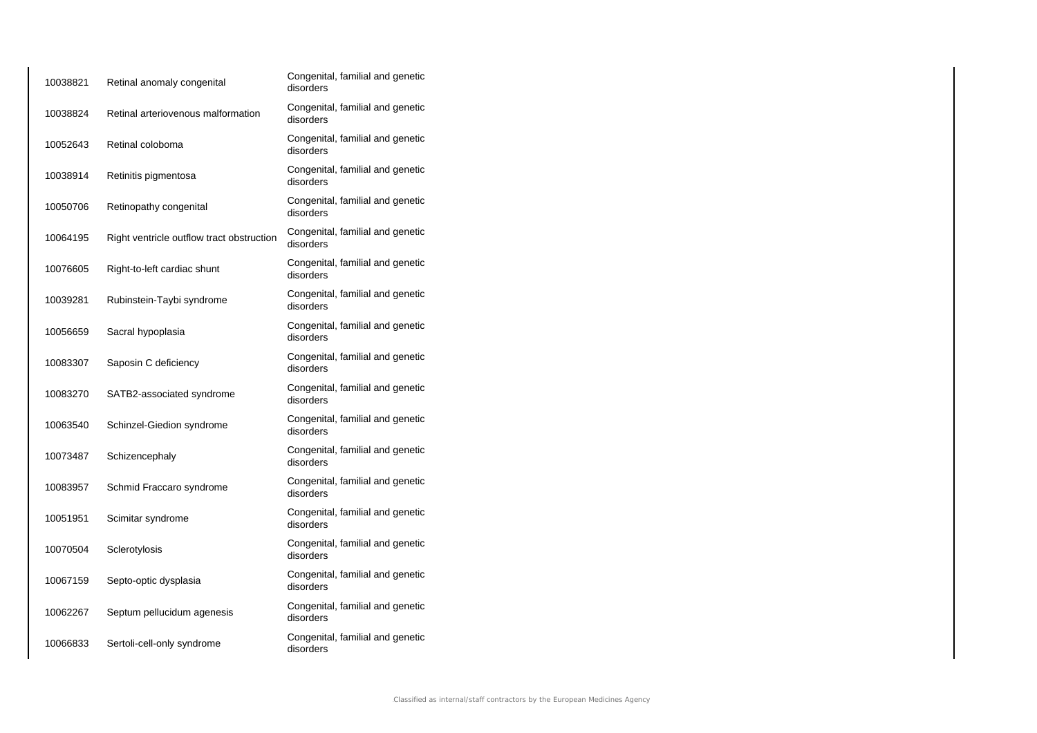| 10038821 | Retinal anomaly congenital                | Congenital, familial and genetic<br>disorders |
|----------|-------------------------------------------|-----------------------------------------------|
| 10038824 | Retinal arteriovenous malformation        | Congenital, familial and genetic<br>disorders |
| 10052643 | Retinal coloboma                          | Congenital, familial and genetic<br>disorders |
| 10038914 | Retinitis pigmentosa                      | Congenital, familial and genetic<br>disorders |
| 10050706 | Retinopathy congenital                    | Congenital, familial and genetic<br>disorders |
| 10064195 | Right ventricle outflow tract obstruction | Congenital, familial and genetic<br>disorders |
| 10076605 | Right-to-left cardiac shunt               | Congenital, familial and genetic<br>disorders |
| 10039281 | Rubinstein-Taybi syndrome                 | Congenital, familial and genetic<br>disorders |
| 10056659 | Sacral hypoplasia                         | Congenital, familial and genetic<br>disorders |
| 10083307 | Saposin C deficiency                      | Congenital, familial and genetic<br>disorders |
| 10083270 | SATB2-associated syndrome                 | Congenital, familial and genetic<br>disorders |
| 10063540 | Schinzel-Giedion syndrome                 | Congenital, familial and genetic<br>disorders |
| 10073487 | Schizencephaly                            | Congenital, familial and genetic<br>disorders |
| 10083957 | Schmid Fraccaro syndrome                  | Congenital, familial and genetic<br>disorders |
| 10051951 | Scimitar syndrome                         | Congenital, familial and genetic<br>disorders |
| 10070504 | Sclerotylosis                             | Congenital, familial and genetic<br>disorders |
| 10067159 | Septo-optic dysplasia                     | Congenital, familial and genetic<br>disorders |
| 10062267 | Septum pellucidum agenesis                | Congenital, familial and genetic<br>disorders |
| 10066833 | Sertoli-cell-only syndrome                | Congenital, familial and genetic<br>disorders |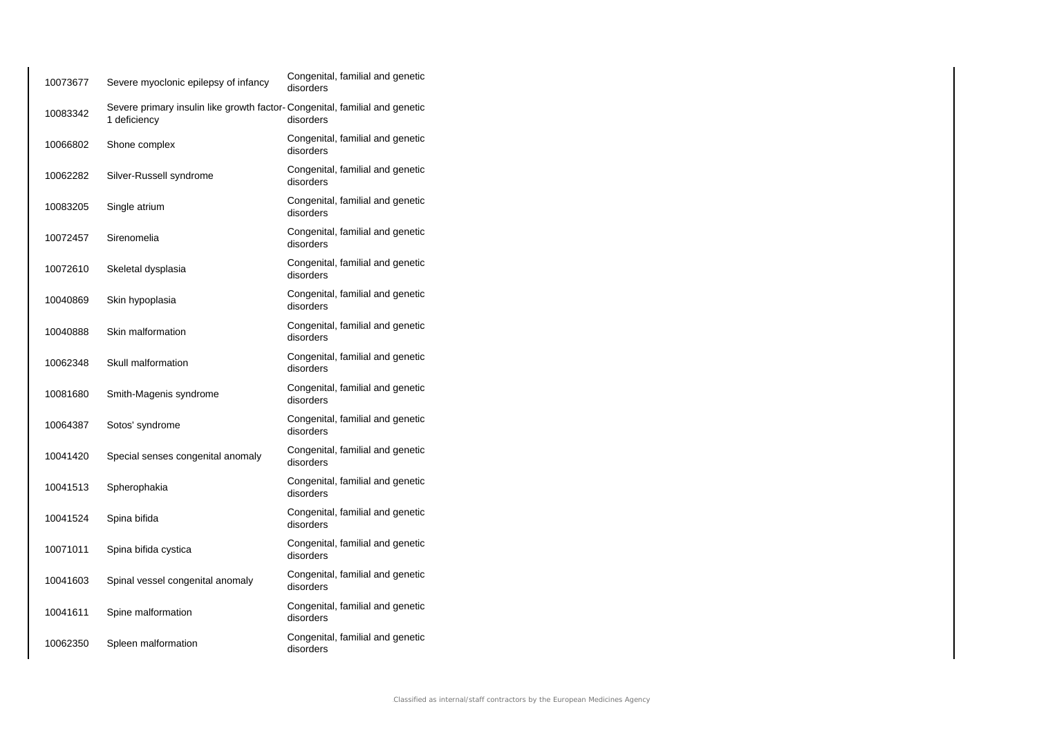| 10073677 | Severe myoclonic epilepsy of infancy                                                       | Congenital, familial and genetic<br>disorders |
|----------|--------------------------------------------------------------------------------------------|-----------------------------------------------|
| 10083342 | Severe primary insulin like growth factor-Congenital, familial and genetic<br>1 deficiency | disorders                                     |
| 10066802 | Shone complex                                                                              | Congenital, familial and genetic<br>disorders |
| 10062282 | Silver-Russell syndrome                                                                    | Congenital, familial and genetic<br>disorders |
| 10083205 | Single atrium                                                                              | Congenital, familial and genetic<br>disorders |
| 10072457 | Sirenomelia                                                                                | Congenital, familial and genetic<br>disorders |
| 10072610 | Skeletal dysplasia                                                                         | Congenital, familial and genetic<br>disorders |
| 10040869 | Skin hypoplasia                                                                            | Congenital, familial and genetic<br>disorders |
| 10040888 | Skin malformation                                                                          | Congenital, familial and genetic<br>disorders |
| 10062348 | Skull malformation                                                                         | Congenital, familial and genetic<br>disorders |
| 10081680 | Smith-Magenis syndrome                                                                     | Congenital, familial and genetic<br>disorders |
| 10064387 | Sotos' syndrome                                                                            | Congenital, familial and genetic<br>disorders |
| 10041420 | Special senses congenital anomaly                                                          | Congenital, familial and genetic<br>disorders |
| 10041513 | Spherophakia                                                                               | Congenital, familial and genetic<br>disorders |
| 10041524 | Spina bifida                                                                               | Congenital, familial and genetic<br>disorders |
| 10071011 | Spina bifida cystica                                                                       | Congenital, familial and genetic<br>disorders |
| 10041603 | Spinal vessel congenital anomaly                                                           | Congenital, familial and genetic<br>disorders |
| 10041611 | Spine malformation                                                                         | Congenital, familial and genetic<br>disorders |
| 10062350 | Spleen malformation                                                                        | Congenital, familial and genetic<br>disorders |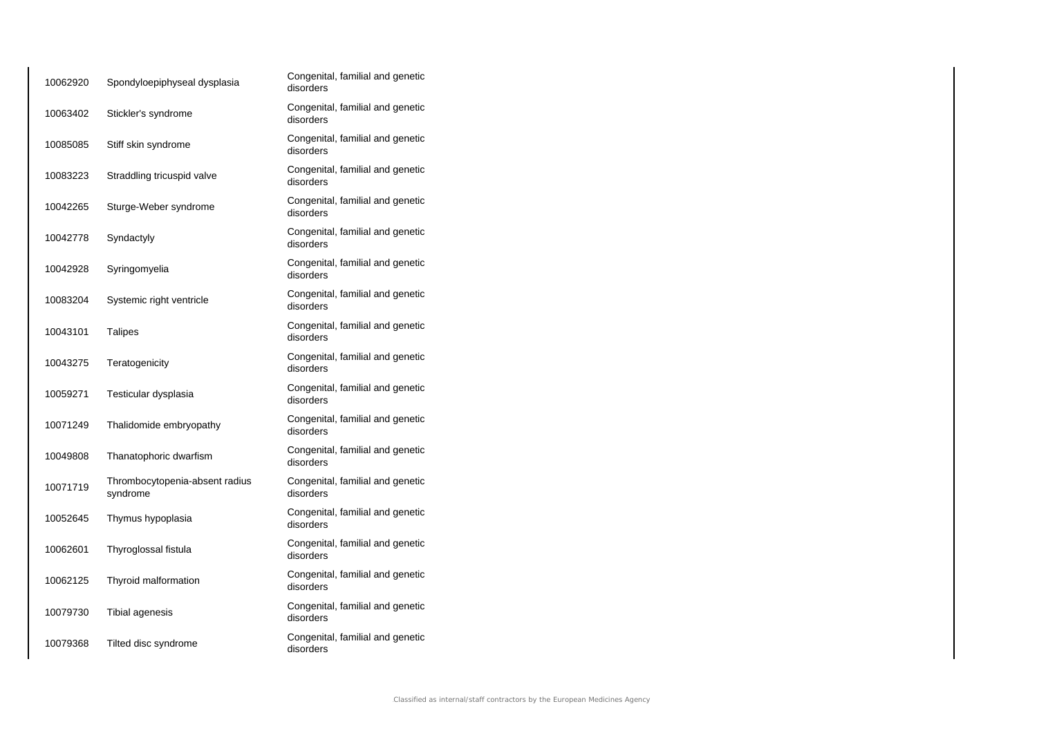| 10062920 | Spondyloepiphyseal dysplasia               | Congenital, familial and genetic<br>disorders |
|----------|--------------------------------------------|-----------------------------------------------|
| 10063402 | Stickler's syndrome                        | Congenital, familial and genetic<br>disorders |
| 10085085 | Stiff skin syndrome                        | Congenital, familial and genetic<br>disorders |
| 10083223 | Straddling tricuspid valve                 | Congenital, familial and genetic<br>disorders |
| 10042265 | Sturge-Weber syndrome                      | Congenital, familial and genetic<br>disorders |
| 10042778 | Syndactyly                                 | Congenital, familial and genetic<br>disorders |
| 10042928 | Syringomyelia                              | Congenital, familial and genetic<br>disorders |
| 10083204 | Systemic right ventricle                   | Congenital, familial and genetic<br>disorders |
| 10043101 | <b>Talipes</b>                             | Congenital, familial and genetic<br>disorders |
| 10043275 | Teratogenicity                             | Congenital, familial and genetic<br>disorders |
| 10059271 | Testicular dysplasia                       | Congenital, familial and genetic<br>disorders |
| 10071249 | Thalidomide embryopathy                    | Congenital, familial and genetic<br>disorders |
| 10049808 | Thanatophoric dwarfism                     | Congenital, familial and genetic<br>disorders |
| 10071719 | Thrombocytopenia-absent radius<br>syndrome | Congenital, familial and genetic<br>disorders |
| 10052645 | Thymus hypoplasia                          | Congenital, familial and genetic<br>disorders |
| 10062601 | Thyroglossal fistula                       | Congenital, familial and genetic<br>disorders |
| 10062125 | Thyroid malformation                       | Congenital, familial and genetic<br>disorders |
| 10079730 | Tibial agenesis                            | Congenital, familial and genetic<br>disorders |
| 10079368 | Tilted disc syndrome                       | Congenital, familial and genetic<br>disorders |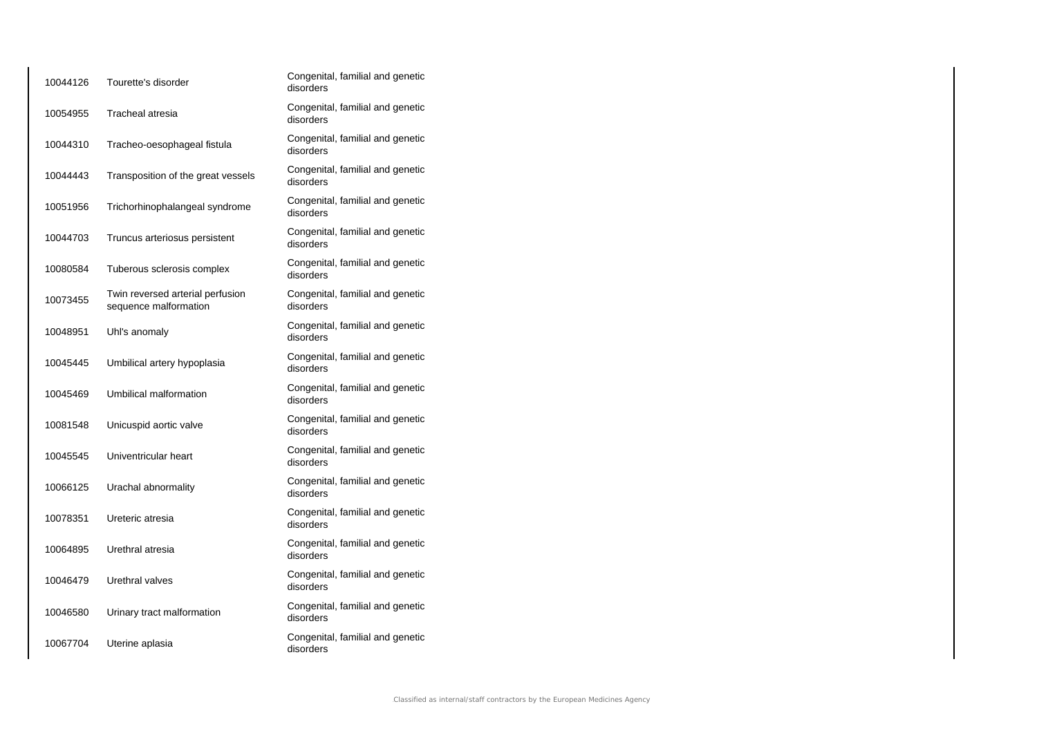| 10044126 | Tourette's disorder                                       | Congenital, familial and genetic<br>disorders |
|----------|-----------------------------------------------------------|-----------------------------------------------|
| 10054955 | Tracheal atresia                                          | Congenital, familial and genetic<br>disorders |
| 10044310 | Tracheo-oesophageal fistula                               | Congenital, familial and genetic<br>disorders |
| 10044443 | Transposition of the great vessels                        | Congenital, familial and genetic<br>disorders |
| 10051956 | Trichorhinophalangeal syndrome                            | Congenital, familial and genetic<br>disorders |
| 10044703 | Truncus arteriosus persistent                             | Congenital, familial and genetic<br>disorders |
| 10080584 | Tuberous sclerosis complex                                | Congenital, familial and genetic<br>disorders |
| 10073455 | Twin reversed arterial perfusion<br>sequence malformation | Congenital, familial and genetic<br>disorders |
| 10048951 | Uhl's anomaly                                             | Congenital, familial and genetic<br>disorders |
| 10045445 | Umbilical artery hypoplasia                               | Congenital, familial and genetic<br>disorders |
| 10045469 | Umbilical malformation                                    | Congenital, familial and genetic<br>disorders |
| 10081548 | Unicuspid aortic valve                                    | Congenital, familial and genetic<br>disorders |
| 10045545 | Univentricular heart                                      | Congenital, familial and genetic<br>disorders |
| 10066125 | Urachal abnormality                                       | Congenital, familial and genetic<br>disorders |
| 10078351 | Ureteric atresia                                          | Congenital, familial and genetic<br>disorders |
| 10064895 | Urethral atresia                                          | Congenital, familial and genetic<br>disorders |
| 10046479 | Urethral valves                                           | Congenital, familial and genetic<br>disorders |
| 10046580 | Urinary tract malformation                                | Congenital, familial and genetic<br>disorders |
| 10067704 | Uterine aplasia                                           | Congenital, familial and genetic<br>disorders |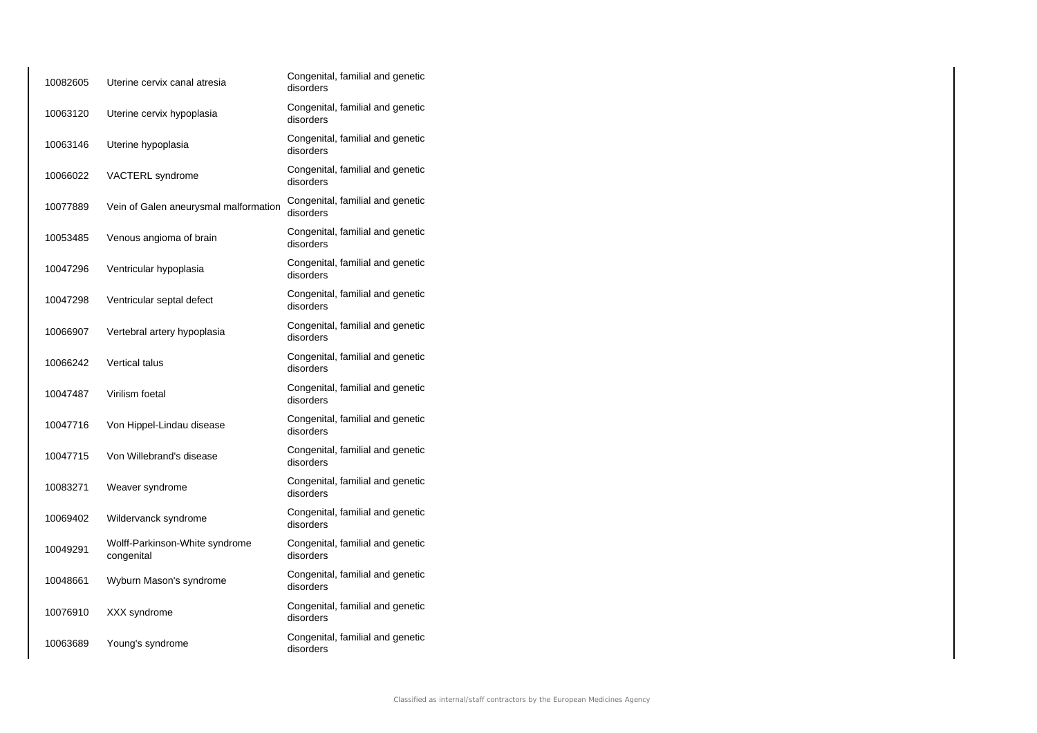| 10082605 | Uterine cervix canal atresia                 | Congenital, familial and genetic<br>disorders |
|----------|----------------------------------------------|-----------------------------------------------|
| 10063120 | Uterine cervix hypoplasia                    | Congenital, familial and genetic<br>disorders |
| 10063146 | Uterine hypoplasia                           | Congenital, familial and genetic<br>disorders |
| 10066022 | VACTERL syndrome                             | Congenital, familial and genetic<br>disorders |
| 10077889 | Vein of Galen aneurysmal malformation        | Congenital, familial and genetic<br>disorders |
| 10053485 | Venous angioma of brain                      | Congenital, familial and genetic<br>disorders |
| 10047296 | Ventricular hypoplasia                       | Congenital, familial and genetic<br>disorders |
| 10047298 | Ventricular septal defect                    | Congenital, familial and genetic<br>disorders |
| 10066907 | Vertebral artery hypoplasia                  | Congenital, familial and genetic<br>disorders |
| 10066242 | Vertical talus                               | Congenital, familial and genetic<br>disorders |
| 10047487 | Virilism foetal                              | Congenital, familial and genetic<br>disorders |
| 10047716 | Von Hippel-Lindau disease                    | Congenital, familial and genetic<br>disorders |
| 10047715 | Von Willebrand's disease                     | Congenital, familial and genetic<br>disorders |
| 10083271 | Weaver syndrome                              | Congenital, familial and genetic<br>disorders |
| 10069402 | Wildervanck syndrome                         | Congenital, familial and genetic<br>disorders |
| 10049291 | Wolff-Parkinson-White syndrome<br>congenital | Congenital, familial and genetic<br>disorders |
| 10048661 | Wyburn Mason's syndrome                      | Congenital, familial and genetic<br>disorders |
| 10076910 | XXX syndrome                                 | Congenital, familial and genetic<br>disorders |
| 10063689 | Young's syndrome                             | Congenital, familial and genetic<br>disorders |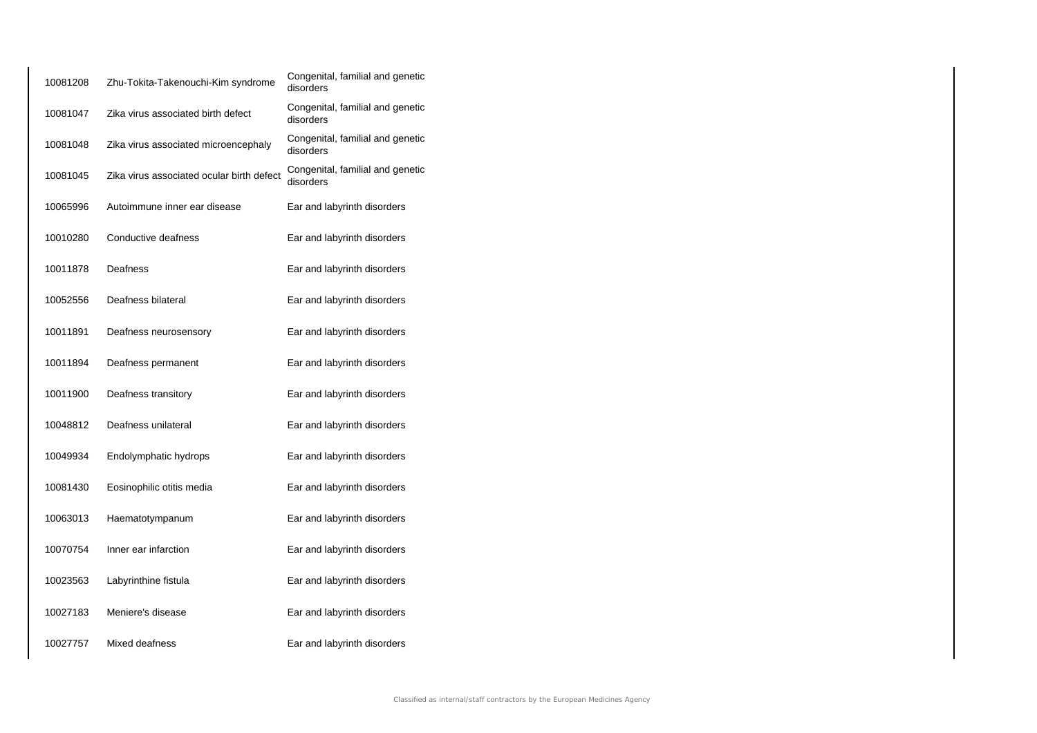| 10081208 | Zhu-Tokita-Takenouchi-Kim syndrome        | Congenital, familial and genetic<br>disorders |
|----------|-------------------------------------------|-----------------------------------------------|
| 10081047 | Zika virus associated birth defect        | Congenital, familial and genetic<br>disorders |
| 10081048 | Zika virus associated microencephaly      | Congenital, familial and genetic<br>disorders |
| 10081045 | Zika virus associated ocular birth defect | Congenital, familial and genetic<br>disorders |
| 10065996 | Autoimmune inner ear disease              | Ear and labyrinth disorders                   |
| 10010280 | Conductive deafness                       | Ear and labyrinth disorders                   |
| 10011878 | Deafness                                  | Ear and labyrinth disorders                   |
| 10052556 | Deafness bilateral                        | Ear and labyrinth disorders                   |
| 10011891 | Deafness neurosensory                     | Ear and labyrinth disorders                   |
| 10011894 | Deafness permanent                        | Ear and labyrinth disorders                   |
| 10011900 | Deafness transitory                       | Ear and labyrinth disorders                   |
| 10048812 | Deafness unilateral                       | Ear and labyrinth disorders                   |
| 10049934 | Endolymphatic hydrops                     | Ear and labyrinth disorders                   |
| 10081430 | Eosinophilic otitis media                 | Ear and labyrinth disorders                   |
| 10063013 | Haematotympanum                           | Ear and labyrinth disorders                   |
| 10070754 | Inner ear infarction                      | Ear and labyrinth disorders                   |
| 10023563 | Labyrinthine fistula                      | Ear and labyrinth disorders                   |
| 10027183 | Meniere's disease                         | Ear and labyrinth disorders                   |
| 10027757 | Mixed deafness                            | Ear and labyrinth disorders                   |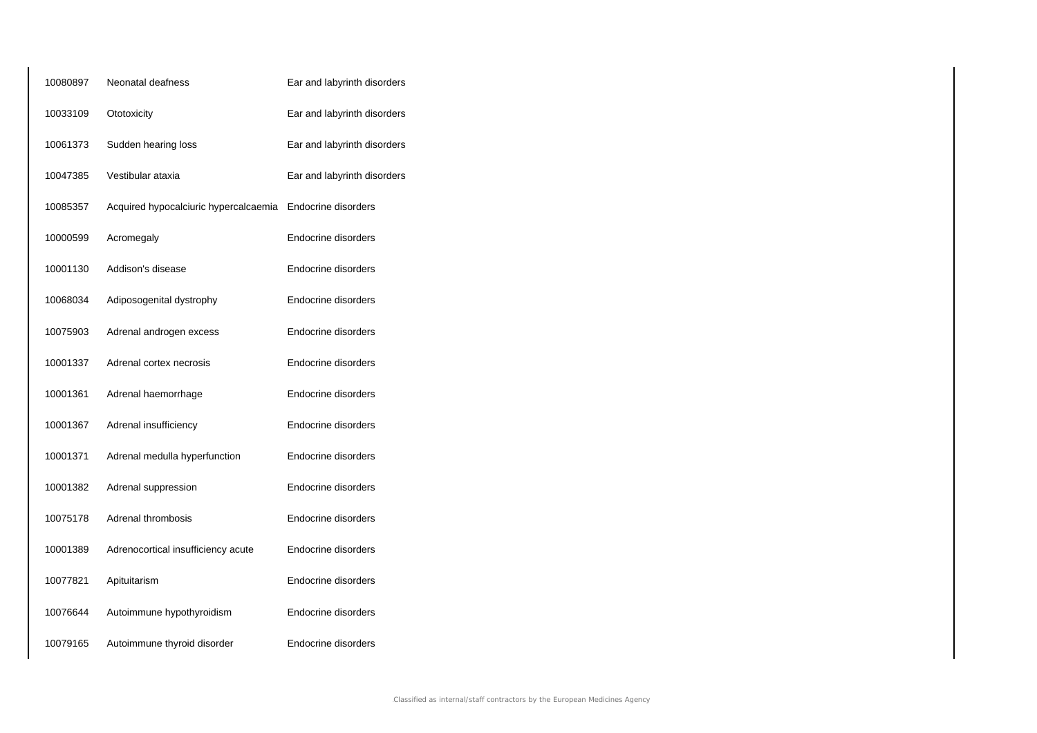| 10080897 | Neonatal deafness                     | Ear and labyrinth disorders |
|----------|---------------------------------------|-----------------------------|
| 10033109 | Ototoxicity                           | Ear and labyrinth disorders |
| 10061373 | Sudden hearing loss                   | Ear and labyrinth disorders |
| 10047385 | Vestibular ataxia                     | Ear and labyrinth disorders |
| 10085357 | Acquired hypocalciuric hypercalcaemia | Endocrine disorders         |
| 10000599 | Acromegaly                            | Endocrine disorders         |
| 10001130 | Addison's disease                     | Endocrine disorders         |
| 10068034 | Adiposogenital dystrophy              | Endocrine disorders         |
| 10075903 | Adrenal androgen excess               | Endocrine disorders         |
| 10001337 | Adrenal cortex necrosis               | Endocrine disorders         |
| 10001361 | Adrenal haemorrhage                   | Endocrine disorders         |
| 10001367 | Adrenal insufficiency                 | Endocrine disorders         |
| 10001371 | Adrenal medulla hyperfunction         | Endocrine disorders         |
| 10001382 | Adrenal suppression                   | Endocrine disorders         |
| 10075178 | Adrenal thrombosis                    | Endocrine disorders         |
| 10001389 | Adrenocortical insufficiency acute    | Endocrine disorders         |
| 10077821 | Apituitarism                          | Endocrine disorders         |
| 10076644 | Autoimmune hypothyroidism             | Endocrine disorders         |
| 10079165 | Autoimmune thyroid disorder           | Endocrine disorders         |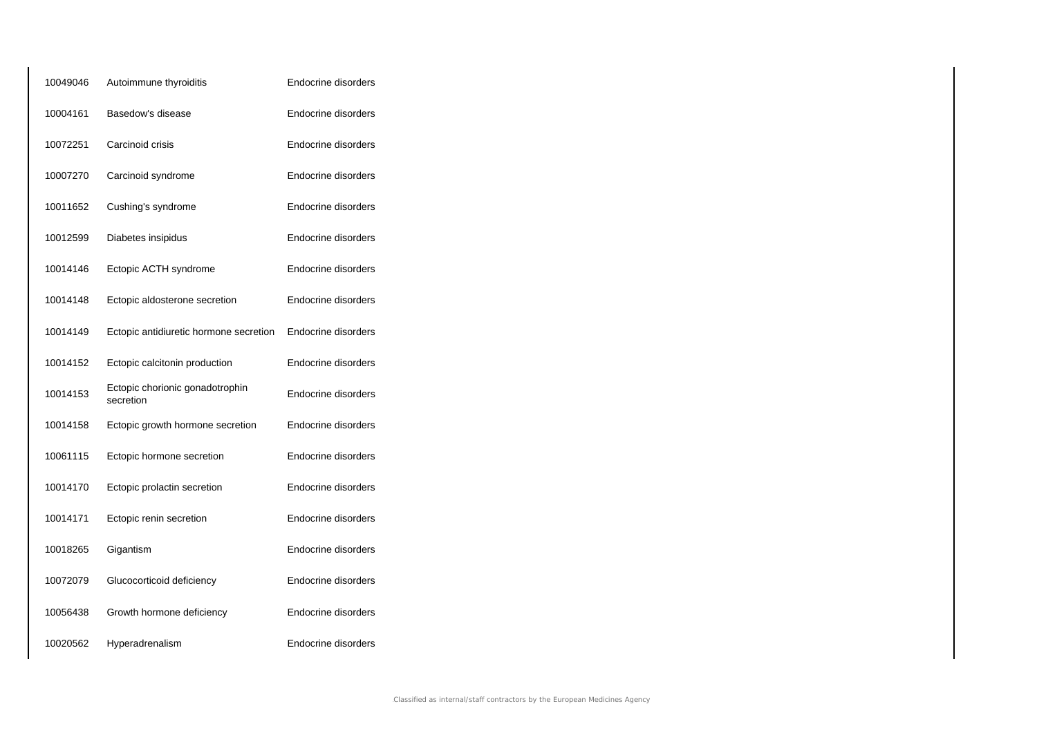| 10049046 | Autoimmune thyroiditis                       | Endocrine disorders |
|----------|----------------------------------------------|---------------------|
| 10004161 | Basedow's disease                            | Endocrine disorders |
| 10072251 | Carcinoid crisis                             | Endocrine disorders |
| 10007270 | Carcinoid syndrome                           | Endocrine disorders |
| 10011652 | Cushing's syndrome                           | Endocrine disorders |
| 10012599 | Diabetes insipidus                           | Endocrine disorders |
| 10014146 | Ectopic ACTH syndrome                        | Endocrine disorders |
| 10014148 | Ectopic aldosterone secretion                | Endocrine disorders |
| 10014149 | Ectopic antidiuretic hormone secretion       | Endocrine disorders |
| 10014152 | Ectopic calcitonin production                | Endocrine disorders |
| 10014153 | Ectopic chorionic gonadotrophin<br>secretion | Endocrine disorders |
| 10014158 | Ectopic growth hormone secretion             | Endocrine disorders |
| 10061115 | Ectopic hormone secretion                    | Endocrine disorders |
| 10014170 | Ectopic prolactin secretion                  | Endocrine disorders |
| 10014171 | Ectopic renin secretion                      | Endocrine disorders |
| 10018265 | Gigantism                                    | Endocrine disorders |
| 10072079 | Glucocorticoid deficiency                    | Endocrine disorders |
| 10056438 | Growth hormone deficiency                    | Endocrine disorders |
| 10020562 | Hyperadrenalism                              | Endocrine disorders |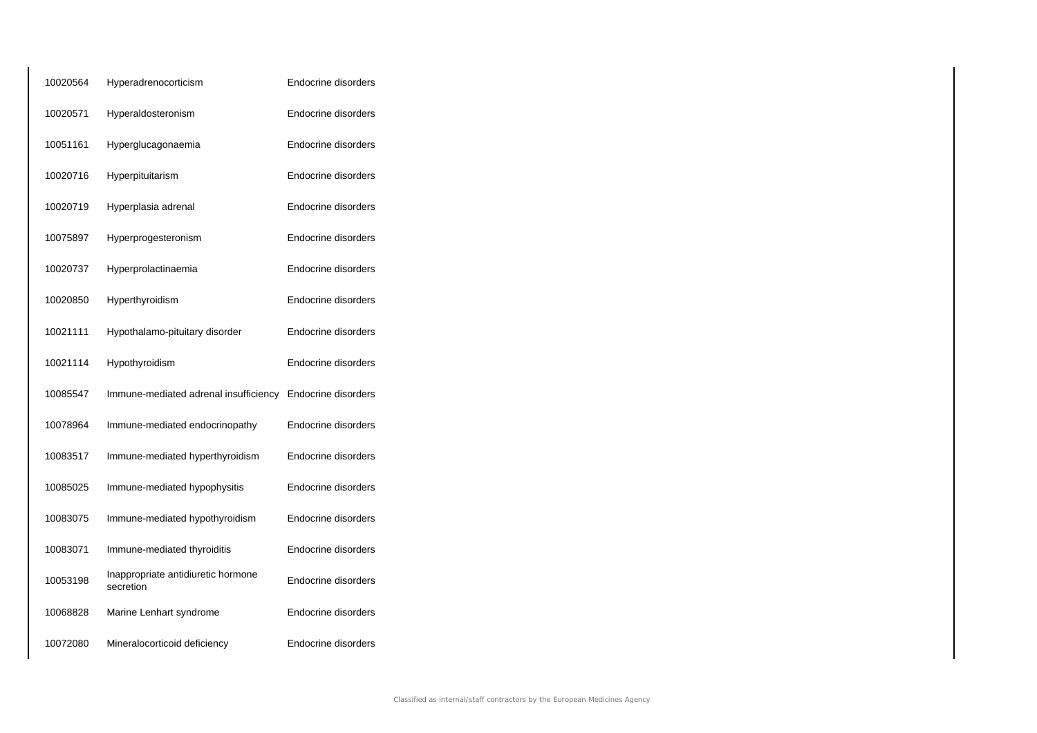| 10020564 | Hyperadrenocorticism                            | Endocrine disorders |
|----------|-------------------------------------------------|---------------------|
| 10020571 | Hyperaldosteronism                              | Endocrine disorders |
| 10051161 | Hyperglucagonaemia                              | Endocrine disorders |
| 10020716 | Hyperpituitarism                                | Endocrine disorders |
| 10020719 | Hyperplasia adrenal                             | Endocrine disorders |
| 10075897 | Hyperprogesteronism                             | Endocrine disorders |
| 10020737 | Hyperprolactinaemia                             | Endocrine disorders |
| 10020850 | Hyperthyroidism                                 | Endocrine disorders |
| 10021111 | Hypothalamo-pituitary disorder                  | Endocrine disorders |
| 10021114 | Hypothyroidism                                  | Endocrine disorders |
| 10085547 | Immune-mediated adrenal insufficiency           | Endocrine disorders |
| 10078964 | Immune-mediated endocrinopathy                  | Endocrine disorders |
| 10083517 | Immune-mediated hyperthyroidism                 | Endocrine disorders |
| 10085025 | Immune-mediated hypophysitis                    | Endocrine disorders |
| 10083075 | Immune-mediated hypothyroidism                  | Endocrine disorders |
| 10083071 | Immune-mediated thyroiditis                     | Endocrine disorders |
| 10053198 | Inappropriate antidiuretic hormone<br>secretion | Endocrine disorders |
| 10068828 | Marine Lenhart syndrome                         | Endocrine disorders |
| 10072080 | Mineralocorticoid deficiency                    | Endocrine disorders |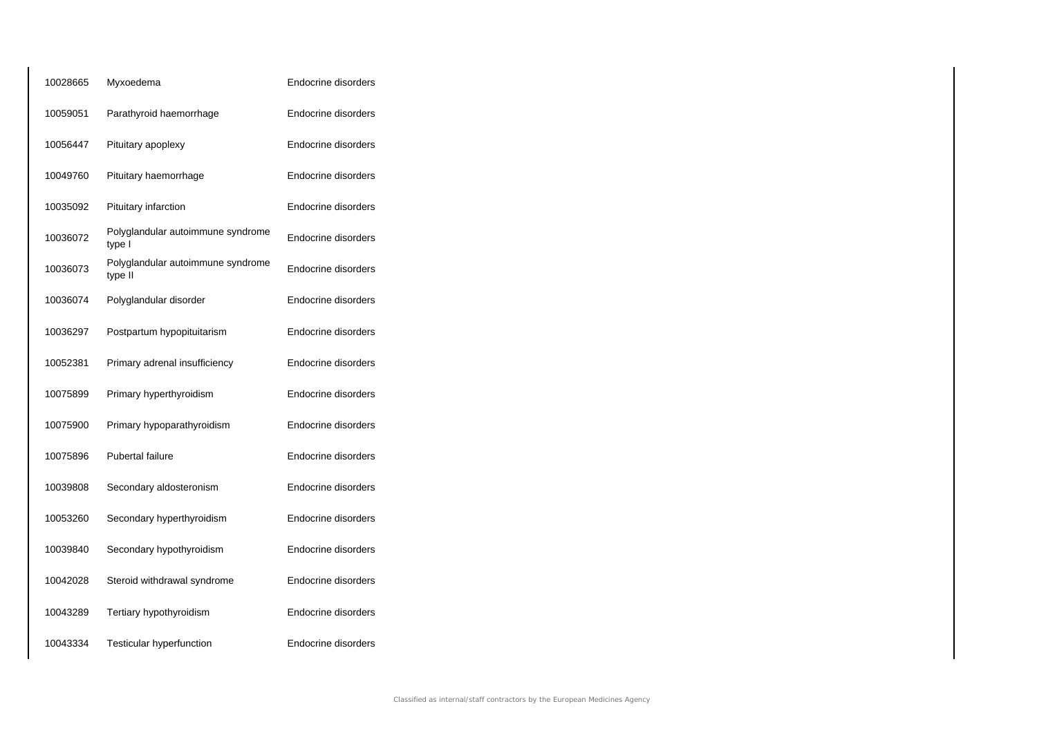| 10028665 | Myxoedema                                    | Endocrine disorders |
|----------|----------------------------------------------|---------------------|
| 10059051 | Parathyroid haemorrhage                      | Endocrine disorders |
| 10056447 | Pituitary apoplexy                           | Endocrine disorders |
| 10049760 | Pituitary haemorrhage                        | Endocrine disorders |
| 10035092 | Pituitary infarction                         | Endocrine disorders |
| 10036072 | Polyglandular autoimmune syndrome<br>type I  | Endocrine disorders |
| 10036073 | Polyglandular autoimmune syndrome<br>type II | Endocrine disorders |
| 10036074 | Polyglandular disorder                       | Endocrine disorders |
| 10036297 | Postpartum hypopituitarism                   | Endocrine disorders |
| 10052381 | Primary adrenal insufficiency                | Endocrine disorders |
| 10075899 | Primary hyperthyroidism                      | Endocrine disorders |
| 10075900 | Primary hypoparathyroidism                   | Endocrine disorders |
| 10075896 | Pubertal failure                             | Endocrine disorders |
| 10039808 | Secondary aldosteronism                      | Endocrine disorders |
| 10053260 | Secondary hyperthyroidism                    | Endocrine disorders |
| 10039840 | Secondary hypothyroidism                     | Endocrine disorders |
| 10042028 | Steroid withdrawal syndrome                  | Endocrine disorders |
| 10043289 | Tertiary hypothyroidism                      | Endocrine disorders |
| 10043334 | Testicular hyperfunction                     | Endocrine disorders |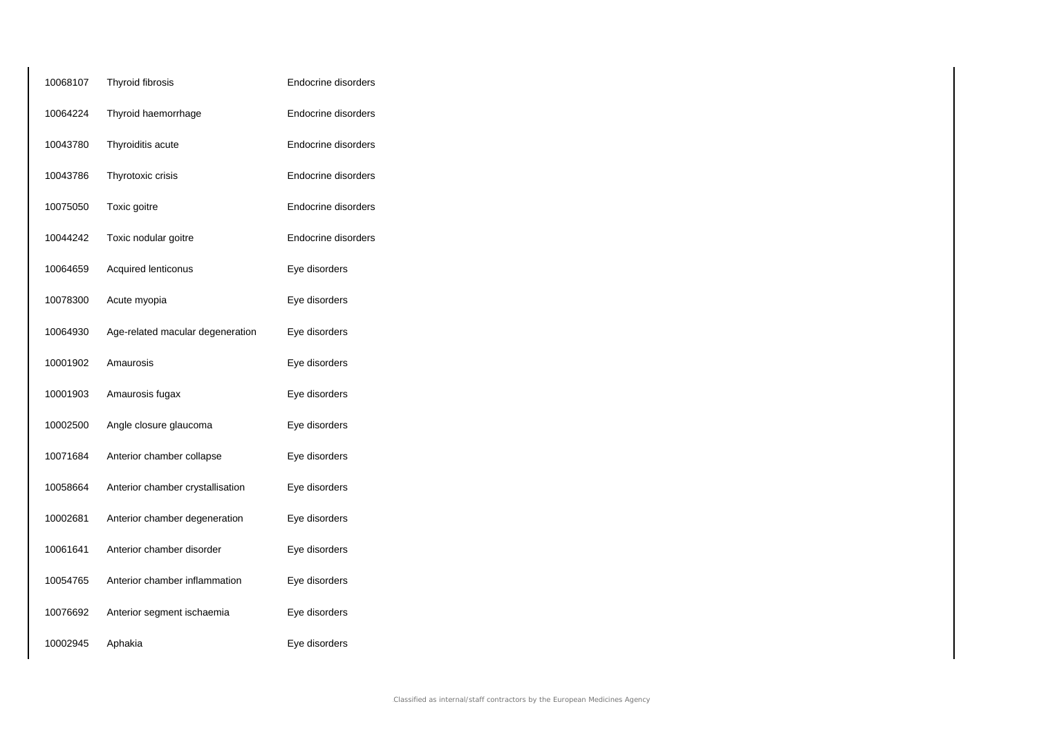| 10068107 | Thyroid fibrosis                 | Endocrine disorders |
|----------|----------------------------------|---------------------|
| 10064224 | Thyroid haemorrhage              | Endocrine disorders |
| 10043780 | Thyroiditis acute                | Endocrine disorders |
| 10043786 | Thyrotoxic crisis                | Endocrine disorders |
| 10075050 | Toxic goitre                     | Endocrine disorders |
| 10044242 | Toxic nodular goitre             | Endocrine disorders |
| 10064659 | Acquired lenticonus              | Eye disorders       |
| 10078300 | Acute myopia                     | Eye disorders       |
| 10064930 | Age-related macular degeneration | Eye disorders       |
| 10001902 | Amaurosis                        | Eye disorders       |
| 10001903 | Amaurosis fugax                  | Eye disorders       |
| 10002500 | Angle closure glaucoma           | Eye disorders       |
| 10071684 | Anterior chamber collapse        | Eye disorders       |
| 10058664 | Anterior chamber crystallisation | Eye disorders       |
| 10002681 | Anterior chamber degeneration    | Eye disorders       |
| 10061641 | Anterior chamber disorder        | Eye disorders       |
| 10054765 | Anterior chamber inflammation    | Eye disorders       |
| 10076692 | Anterior segment ischaemia       | Eye disorders       |
| 10002945 | Aphakia                          | Eye disorders       |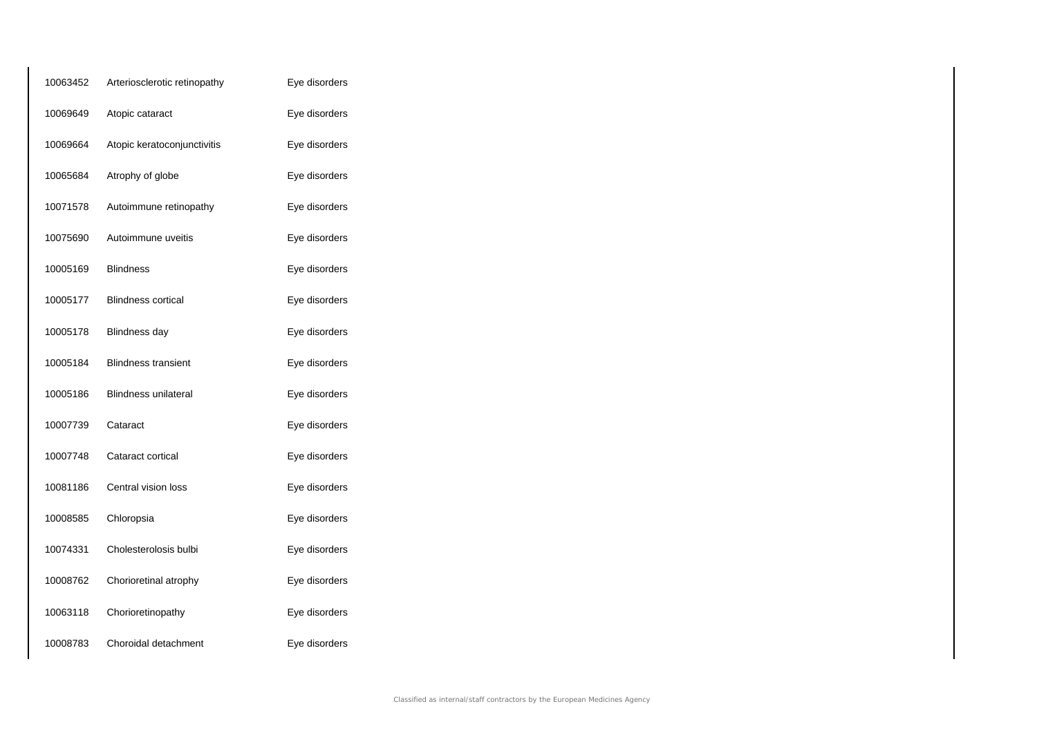| 10063452 | Arteriosclerotic retinopathy | Eye disorders |
|----------|------------------------------|---------------|
| 10069649 | Atopic cataract              | Eye disorders |
| 10069664 | Atopic keratoconjunctivitis  | Eye disorders |
| 10065684 | Atrophy of globe             | Eye disorders |
| 10071578 | Autoimmune retinopathy       | Eye disorders |
| 10075690 | Autoimmune uveitis           | Eye disorders |
| 10005169 | <b>Blindness</b>             | Eye disorders |
| 10005177 | <b>Blindness cortical</b>    | Eye disorders |
| 10005178 | <b>Blindness day</b>         | Eye disorders |
| 10005184 | <b>Blindness transient</b>   | Eye disorders |
| 10005186 | Blindness unilateral         | Eye disorders |
| 10007739 | Cataract                     | Eye disorders |
| 10007748 | Cataract cortical            | Eye disorders |
| 10081186 | Central vision loss          | Eye disorders |
| 10008585 | Chloropsia                   | Eye disorders |
| 10074331 | Cholesterolosis bulbi        | Eye disorders |
| 10008762 | Chorioretinal atrophy        | Eye disorders |
| 10063118 | Chorioretinopathy            | Eye disorders |
| 10008783 | Choroidal detachment         | Eye disorders |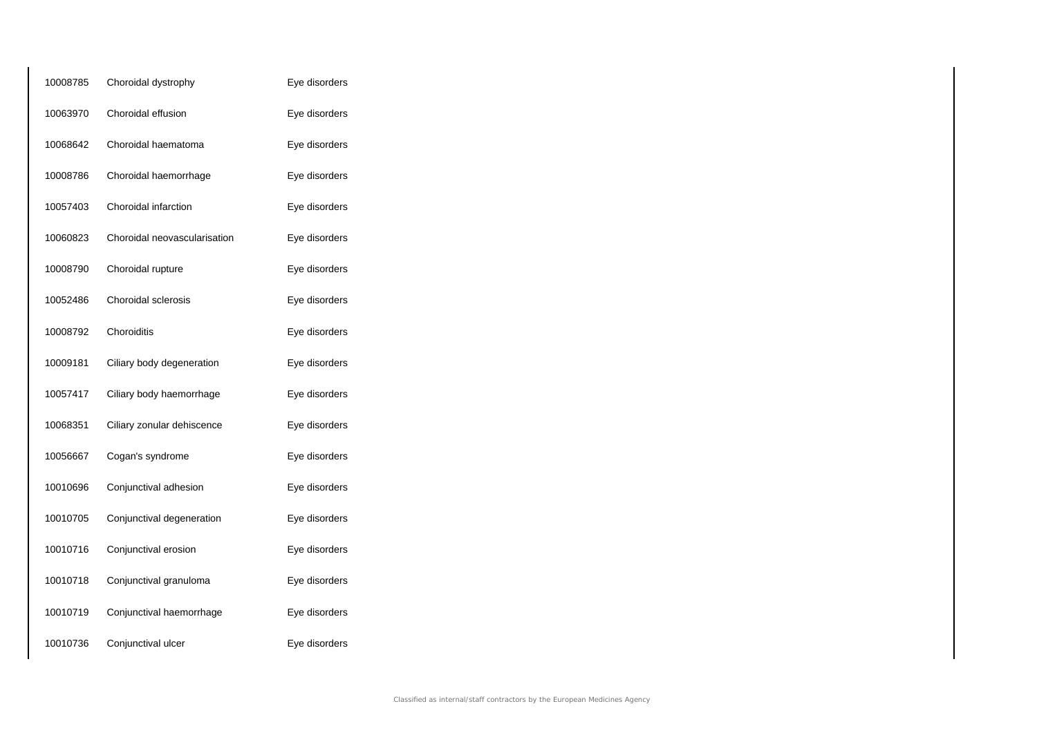| 10008785 | Choroidal dystrophy          | Eye disorders |
|----------|------------------------------|---------------|
| 10063970 | Choroidal effusion           | Eye disorders |
| 10068642 | Choroidal haematoma          | Eye disorders |
| 10008786 | Choroidal haemorrhage        | Eye disorders |
| 10057403 | Choroidal infarction         | Eye disorders |
| 10060823 | Choroidal neovascularisation | Eye disorders |
| 10008790 | Choroidal rupture            | Eye disorders |
| 10052486 | Choroidal sclerosis          | Eye disorders |
| 10008792 | Choroiditis                  | Eye disorders |
| 10009181 | Ciliary body degeneration    | Eye disorders |
| 10057417 | Ciliary body haemorrhage     | Eye disorders |
| 10068351 | Ciliary zonular dehiscence   | Eye disorders |
| 10056667 | Cogan's syndrome             | Eye disorders |
| 10010696 | Conjunctival adhesion        | Eye disorders |
| 10010705 | Conjunctival degeneration    | Eye disorders |
| 10010716 | Conjunctival erosion         | Eye disorders |
| 10010718 | Conjunctival granuloma       | Eye disorders |
| 10010719 | Conjunctival haemorrhage     | Eye disorders |
| 10010736 | Conjunctival ulcer           | Eye disorders |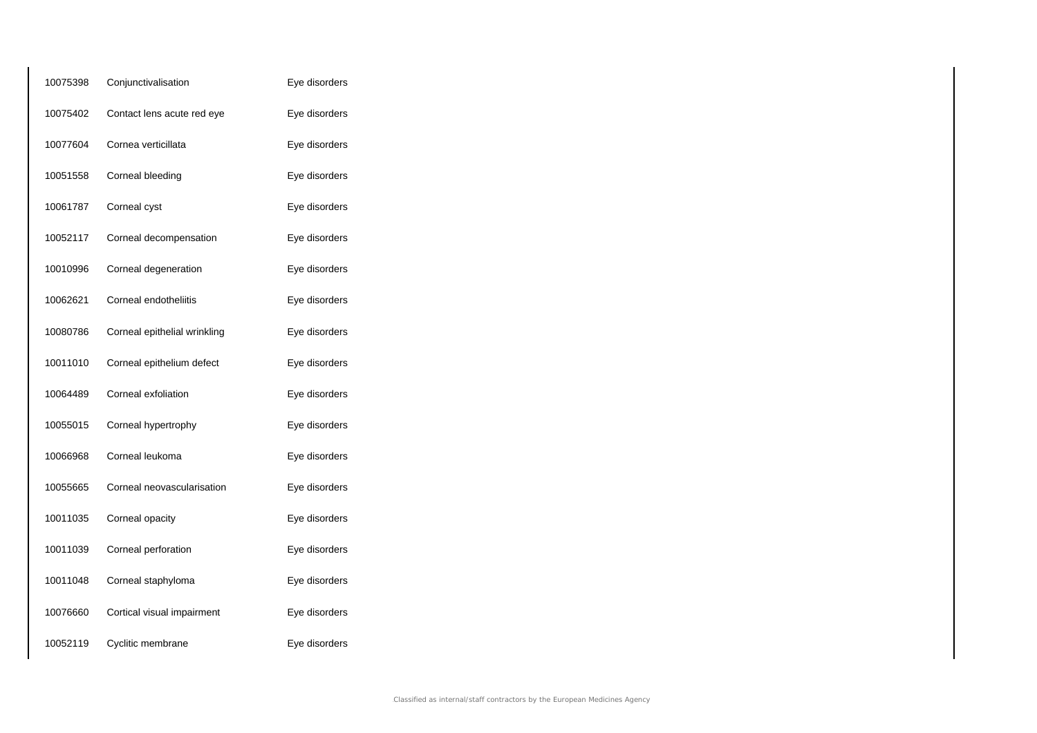| 10075398 | Conjunctivalisation          | Eye disorders |
|----------|------------------------------|---------------|
| 10075402 | Contact lens acute red eye   | Eye disorders |
| 10077604 | Cornea verticillata          | Eye disorders |
| 10051558 | Corneal bleeding             | Eye disorders |
| 10061787 | Corneal cyst                 | Eye disorders |
| 10052117 | Corneal decompensation       | Eye disorders |
| 10010996 | Corneal degeneration         | Eye disorders |
| 10062621 | Corneal endotheliitis        | Eye disorders |
| 10080786 | Corneal epithelial wrinkling | Eye disorders |
| 10011010 | Corneal epithelium defect    | Eye disorders |
| 10064489 | Corneal exfoliation          | Eye disorders |
| 10055015 | Corneal hypertrophy          | Eye disorders |
| 10066968 | Corneal leukoma              | Eye disorders |
| 10055665 | Corneal neovascularisation   | Eye disorders |
| 10011035 | Corneal opacity              | Eye disorders |
| 10011039 | Corneal perforation          | Eye disorders |
| 10011048 | Corneal staphyloma           | Eye disorders |
| 10076660 | Cortical visual impairment   | Eye disorders |
| 10052119 | Cyclitic membrane            | Eye disorders |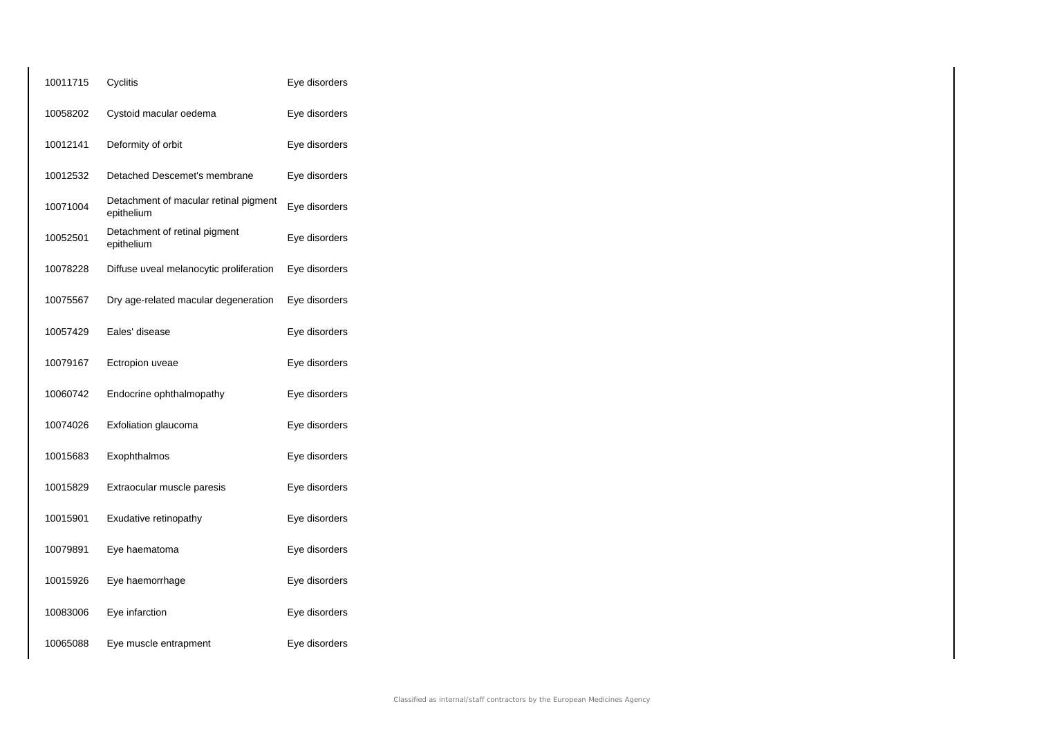| 10011715 | Cyclitis                                            | Eye disorders |
|----------|-----------------------------------------------------|---------------|
| 10058202 | Cystoid macular oedema                              | Eye disorders |
| 10012141 | Deformity of orbit                                  | Eye disorders |
| 10012532 | Detached Descemet's membrane                        | Eye disorders |
| 10071004 | Detachment of macular retinal pigment<br>epithelium | Eye disorders |
| 10052501 | Detachment of retinal pigment<br>epithelium         | Eye disorders |
| 10078228 | Diffuse uveal melanocytic proliferation             | Eye disorders |
| 10075567 | Dry age-related macular degeneration                | Eye disorders |
| 10057429 | Eales' disease                                      | Eye disorders |
| 10079167 | Ectropion uveae                                     | Eye disorders |
| 10060742 | Endocrine ophthalmopathy                            | Eye disorders |
| 10074026 | Exfoliation glaucoma                                | Eye disorders |
| 10015683 | Exophthalmos                                        | Eye disorders |
| 10015829 | Extraocular muscle paresis                          | Eye disorders |
| 10015901 | Exudative retinopathy                               | Eye disorders |
| 10079891 | Eye haematoma                                       | Eye disorders |
| 10015926 | Eye haemorrhage                                     | Eye disorders |
| 10083006 | Eye infarction                                      | Eye disorders |
| 10065088 | Eye muscle entrapment                               | Eye disorders |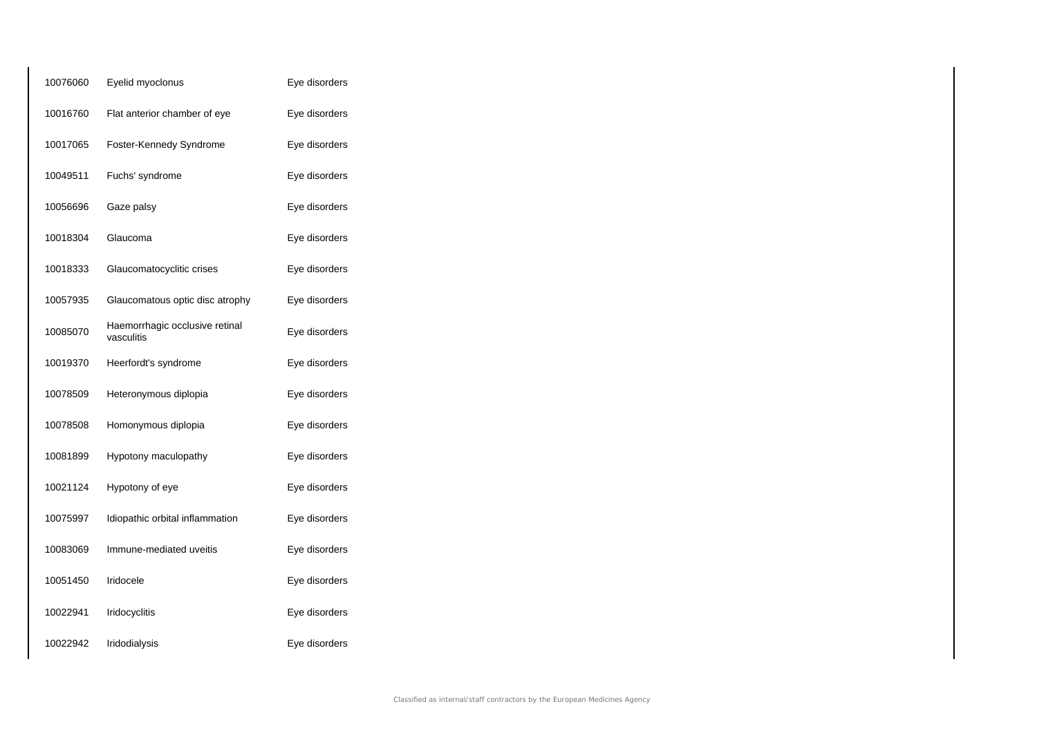| 10076060 | Eyelid myoclonus                             | Eye disorders |
|----------|----------------------------------------------|---------------|
| 10016760 | Flat anterior chamber of eye                 | Eye disorders |
| 10017065 | Foster-Kennedy Syndrome                      | Eye disorders |
| 10049511 | Fuchs' syndrome                              | Eye disorders |
| 10056696 | Gaze palsy                                   | Eye disorders |
| 10018304 | Glaucoma                                     | Eye disorders |
| 10018333 | Glaucomatocyclitic crises                    | Eye disorders |
| 10057935 | Glaucomatous optic disc atrophy              | Eye disorders |
| 10085070 | Haemorrhagic occlusive retinal<br>vasculitis | Eye disorders |
| 10019370 | Heerfordt's syndrome                         | Eye disorders |
| 10078509 | Heteronymous diplopia                        | Eye disorders |
| 10078508 | Homonymous diplopia                          | Eye disorders |
| 10081899 | Hypotony maculopathy                         | Eye disorders |
| 10021124 | Hypotony of eye                              | Eye disorders |
| 10075997 | Idiopathic orbital inflammation              | Eye disorders |
| 10083069 | Immune-mediated uveitis                      | Eye disorders |
| 10051450 | Iridocele                                    | Eye disorders |
| 10022941 | Iridocyclitis                                | Eye disorders |
| 10022942 | Iridodialysis                                | Eye disorders |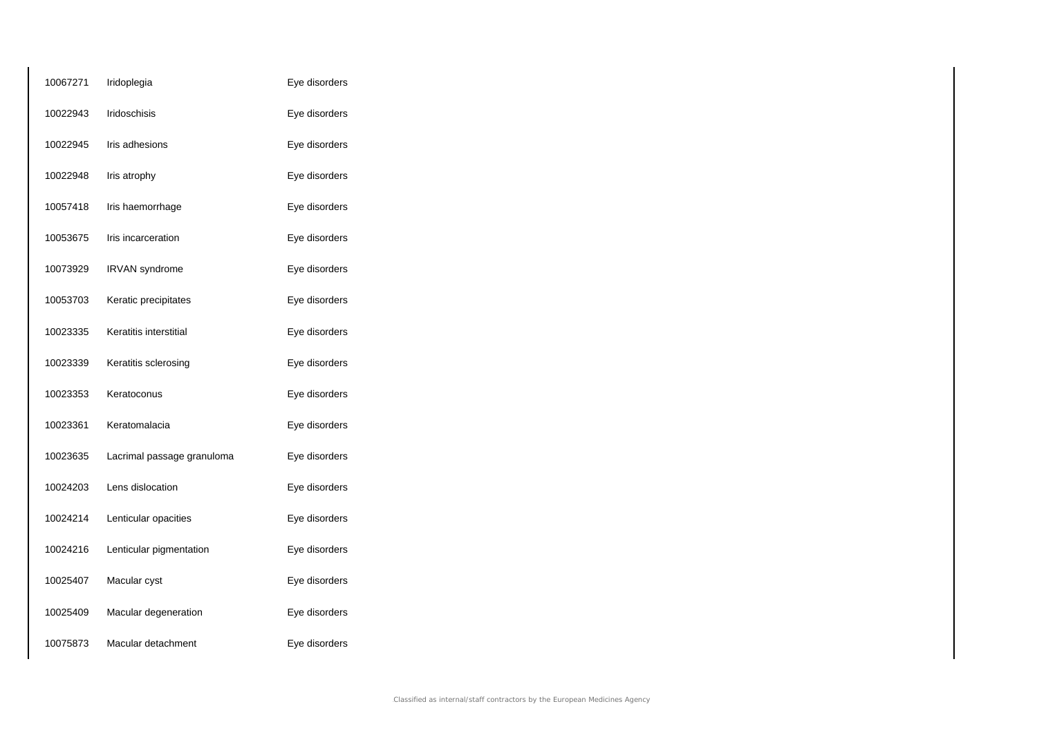| 10067271 | Iridoplegia                | Eye disorders |
|----------|----------------------------|---------------|
| 10022943 | Iridoschisis               | Eye disorders |
| 10022945 | Iris adhesions             | Eye disorders |
| 10022948 | Iris atrophy               | Eye disorders |
| 10057418 | Iris haemorrhage           | Eye disorders |
| 10053675 | Iris incarceration         | Eye disorders |
| 10073929 | IRVAN syndrome             | Eye disorders |
| 10053703 | Keratic precipitates       | Eye disorders |
| 10023335 | Keratitis interstitial     | Eye disorders |
| 10023339 | Keratitis sclerosing       | Eye disorders |
| 10023353 | Keratoconus                | Eye disorders |
| 10023361 | Keratomalacia              | Eye disorders |
| 10023635 | Lacrimal passage granuloma | Eye disorders |
| 10024203 | Lens dislocation           | Eye disorders |
| 10024214 | Lenticular opacities       | Eye disorders |
| 10024216 | Lenticular pigmentation    | Eye disorders |
| 10025407 | Macular cyst               | Eye disorders |
| 10025409 | Macular degeneration       | Eye disorders |
| 10075873 | Macular detachment         | Eye disorders |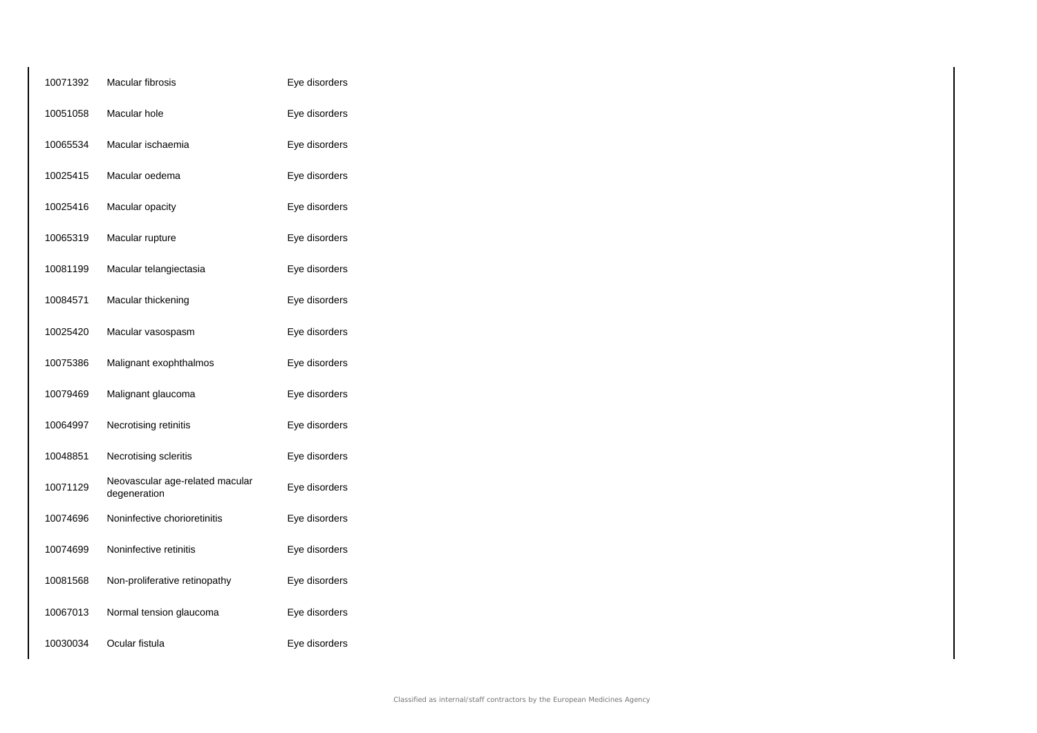| 10071392 | Macular fibrosis                                | Eye disorders |
|----------|-------------------------------------------------|---------------|
| 10051058 | Macular hole                                    | Eye disorders |
| 10065534 | Macular ischaemia                               | Eye disorders |
| 10025415 | Macular oedema                                  | Eye disorders |
| 10025416 | Macular opacity                                 | Eye disorders |
| 10065319 | Macular rupture                                 | Eye disorders |
| 10081199 | Macular telangiectasia                          | Eye disorders |
| 10084571 | Macular thickening                              | Eye disorders |
| 10025420 | Macular vasospasm                               | Eye disorders |
| 10075386 | Malignant exophthalmos                          | Eye disorders |
| 10079469 | Malignant glaucoma                              | Eye disorders |
| 10064997 | Necrotising retinitis                           | Eye disorders |
| 10048851 | Necrotising scleritis                           | Eye disorders |
| 10071129 | Neovascular age-related macular<br>degeneration | Eye disorders |
| 10074696 | Noninfective chorioretinitis                    | Eye disorders |
| 10074699 | Noninfective retinitis                          | Eye disorders |
| 10081568 | Non-proliferative retinopathy                   | Eye disorders |
| 10067013 | Normal tension glaucoma                         | Eye disorders |
| 10030034 | Ocular fistula                                  | Eye disorders |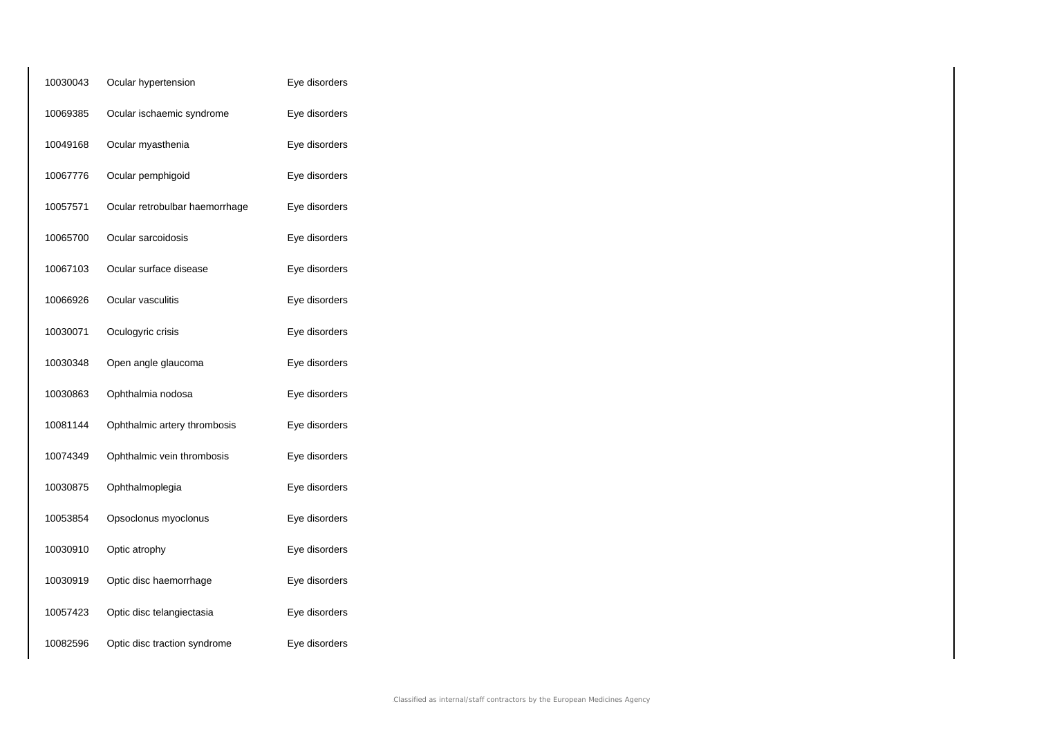| 10030043 | Ocular hypertension            | Eye disorders |
|----------|--------------------------------|---------------|
| 10069385 | Ocular ischaemic syndrome      | Eye disorders |
| 10049168 | Ocular myasthenia              | Eye disorders |
| 10067776 | Ocular pemphigoid              | Eye disorders |
| 10057571 | Ocular retrobulbar haemorrhage | Eye disorders |
| 10065700 | Ocular sarcoidosis             | Eye disorders |
| 10067103 | Ocular surface disease         | Eye disorders |
| 10066926 | Ocular vasculitis              | Eye disorders |
| 10030071 | Oculogyric crisis              | Eye disorders |
| 10030348 | Open angle glaucoma            | Eye disorders |
| 10030863 | Ophthalmia nodosa              | Eye disorders |
| 10081144 | Ophthalmic artery thrombosis   | Eye disorders |
| 10074349 | Ophthalmic vein thrombosis     | Eye disorders |
| 10030875 | Ophthalmoplegia                | Eye disorders |
| 10053854 | Opsoclonus myoclonus           | Eye disorders |
| 10030910 | Optic atrophy                  | Eye disorders |
| 10030919 | Optic disc haemorrhage         | Eye disorders |
| 10057423 | Optic disc telangiectasia      | Eye disorders |
| 10082596 | Optic disc traction syndrome   | Eye disorders |
|          |                                |               |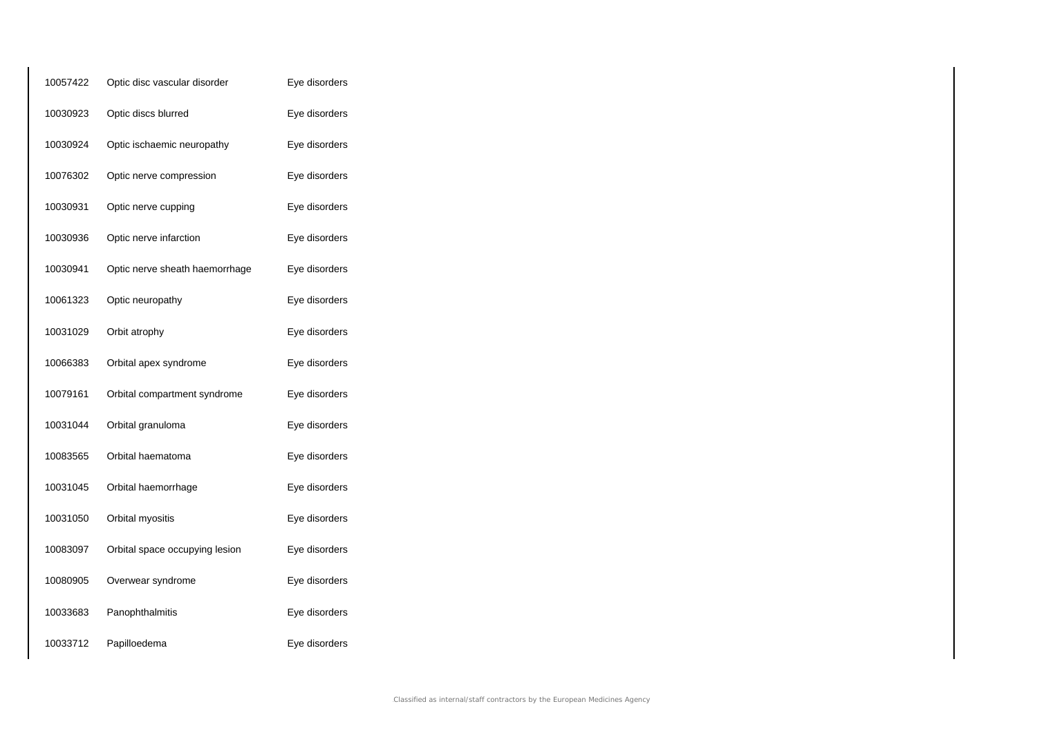| 10057422 | Optic disc vascular disorder   | Eye disorders |
|----------|--------------------------------|---------------|
| 10030923 | Optic discs blurred            | Eye disorders |
| 10030924 | Optic ischaemic neuropathy     | Eye disorders |
| 10076302 | Optic nerve compression        | Eye disorders |
| 10030931 | Optic nerve cupping            | Eye disorders |
| 10030936 | Optic nerve infarction         | Eye disorders |
| 10030941 | Optic nerve sheath haemorrhage | Eye disorders |
| 10061323 | Optic neuropathy               | Eye disorders |
| 10031029 | Orbit atrophy                  | Eye disorders |
| 10066383 | Orbital apex syndrome          | Eye disorders |
| 10079161 | Orbital compartment syndrome   | Eye disorders |
| 10031044 | Orbital granuloma              | Eye disorders |
| 10083565 | Orbital haematoma              | Eye disorders |
| 10031045 | Orbital haemorrhage            | Eye disorders |
| 10031050 | Orbital myositis               | Eye disorders |
| 10083097 | Orbital space occupying lesion | Eye disorders |
| 10080905 | Overwear syndrome              | Eye disorders |
| 10033683 | Panophthalmitis                | Eye disorders |
| 10033712 | Papilloedema                   | Eye disorders |
|          |                                |               |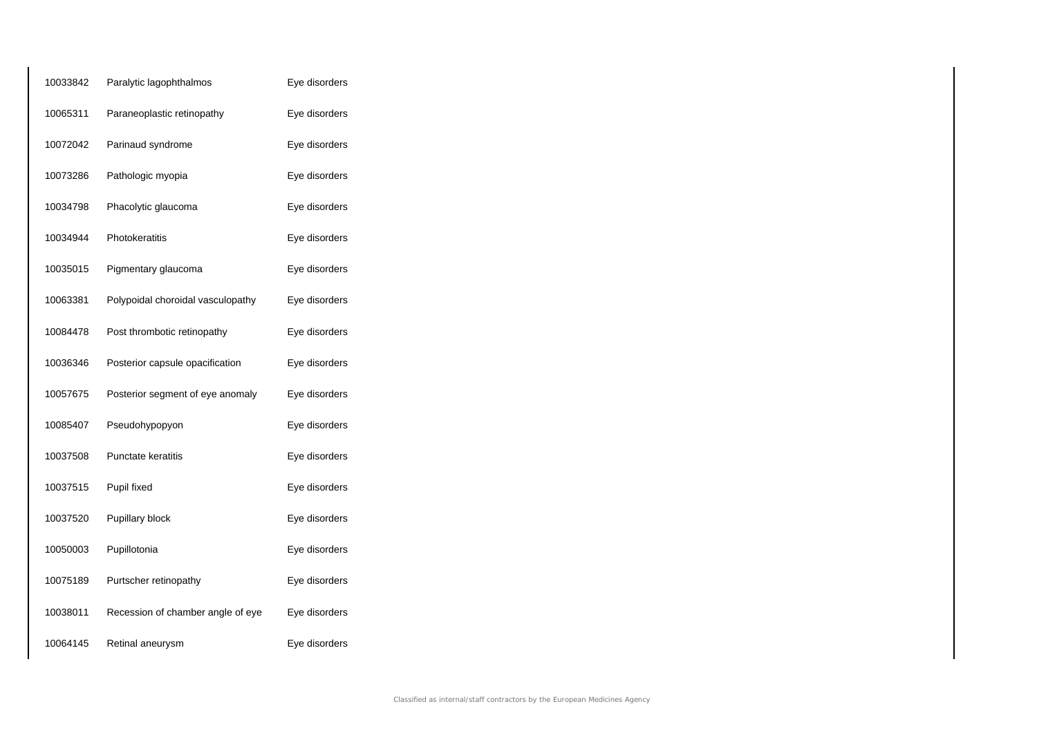| 10033842 | Paralytic lagophthalmos           | Eye disorders |
|----------|-----------------------------------|---------------|
| 10065311 | Paraneoplastic retinopathy        | Eye disorders |
| 10072042 | Parinaud syndrome                 | Eye disorders |
| 10073286 | Pathologic myopia                 | Eye disorders |
| 10034798 | Phacolytic glaucoma               | Eye disorders |
| 10034944 | Photokeratitis                    | Eye disorders |
| 10035015 | Pigmentary glaucoma               | Eye disorders |
| 10063381 | Polypoidal choroidal vasculopathy | Eye disorders |
| 10084478 | Post thrombotic retinopathy       | Eye disorders |
| 10036346 | Posterior capsule opacification   | Eye disorders |
| 10057675 | Posterior segment of eye anomaly  | Eye disorders |
| 10085407 | Pseudohypopyon                    | Eye disorders |
| 10037508 | Punctate keratitis                | Eye disorders |
| 10037515 | Pupil fixed                       | Eye disorders |
| 10037520 | Pupillary block                   | Eye disorders |
| 10050003 | Pupillotonia                      | Eye disorders |
| 10075189 | Purtscher retinopathy             | Eye disorders |
| 10038011 | Recession of chamber angle of eye | Eye disorders |
| 10064145 | Retinal aneurysm                  | Eye disorders |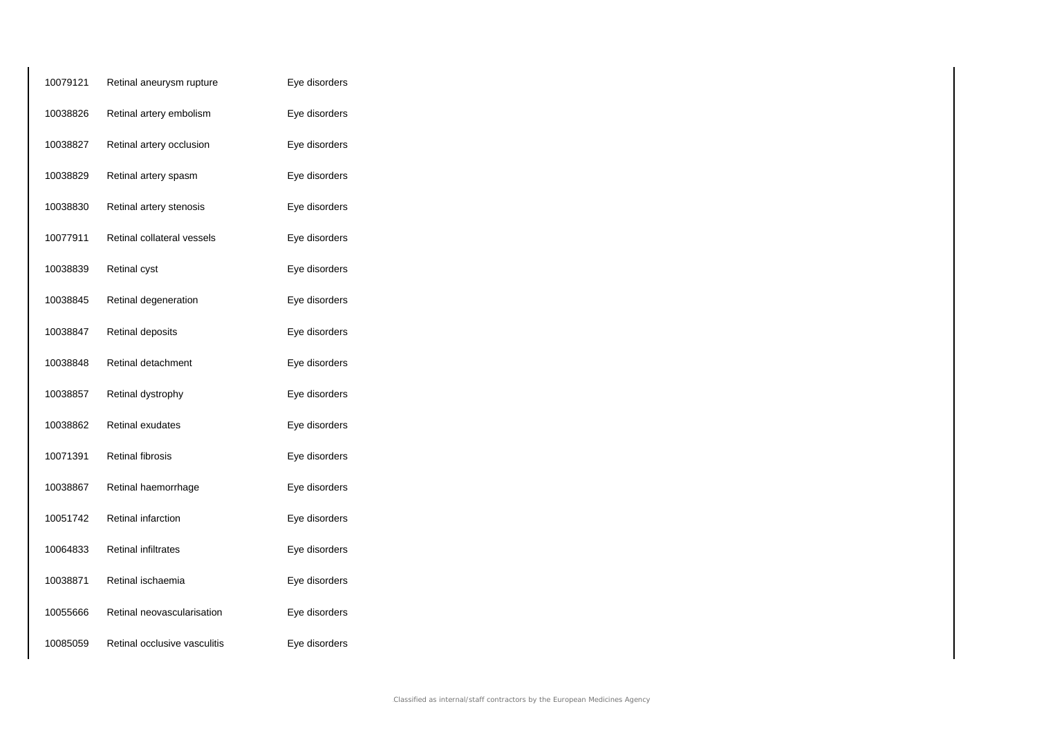| 10079121 | Retinal aneurysm rupture     | Eye disorders |
|----------|------------------------------|---------------|
| 10038826 | Retinal artery embolism      | Eye disorders |
| 10038827 | Retinal artery occlusion     | Eye disorders |
| 10038829 | Retinal artery spasm         | Eye disorders |
| 10038830 | Retinal artery stenosis      | Eye disorders |
| 10077911 | Retinal collateral vessels   | Eye disorders |
| 10038839 | Retinal cyst                 | Eye disorders |
| 10038845 | Retinal degeneration         | Eye disorders |
| 10038847 | Retinal deposits             | Eye disorders |
| 10038848 | Retinal detachment           | Eye disorders |
| 10038857 | Retinal dystrophy            | Eye disorders |
| 10038862 | Retinal exudates             | Eye disorders |
| 10071391 | Retinal fibrosis             | Eye disorders |
| 10038867 | Retinal haemorrhage          | Eye disorders |
| 10051742 | Retinal infarction           | Eye disorders |
| 10064833 | Retinal infiltrates          | Eye disorders |
| 10038871 | Retinal ischaemia            | Eye disorders |
| 10055666 | Retinal neovascularisation   | Eye disorders |
| 10085059 | Retinal occlusive vasculitis | Eye disorders |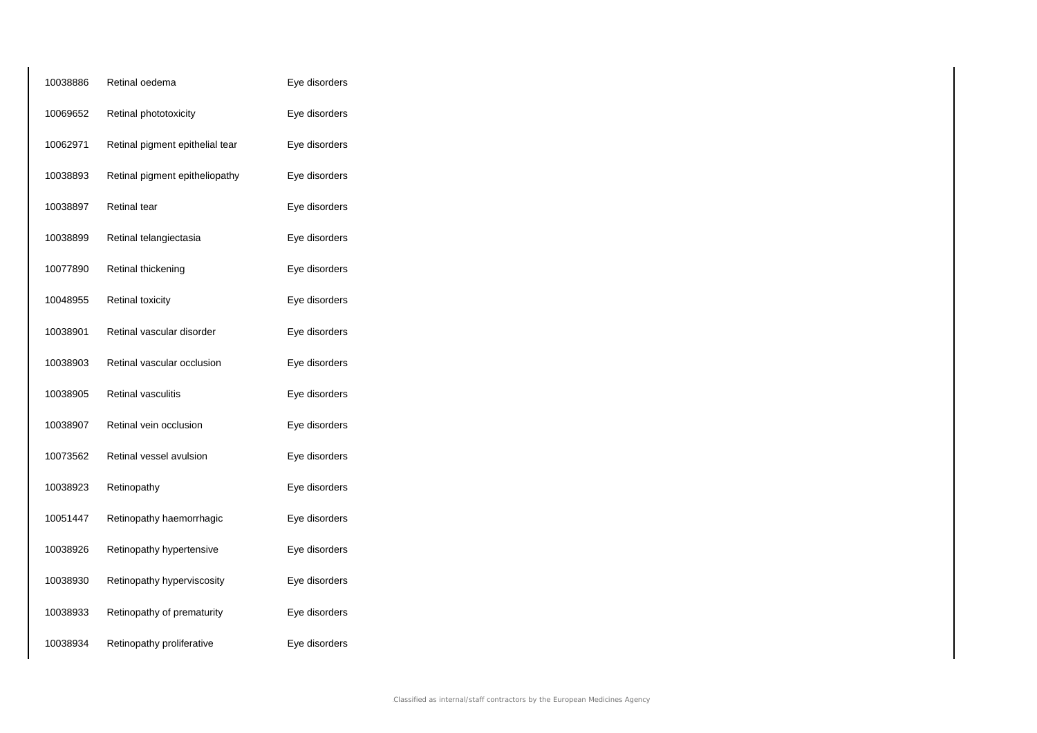| 10038886 | Retinal oedema                  | Eye disorders |
|----------|---------------------------------|---------------|
| 10069652 | Retinal phototoxicity           | Eye disorders |
| 10062971 | Retinal pigment epithelial tear | Eye disorders |
| 10038893 | Retinal pigment epitheliopathy  | Eye disorders |
| 10038897 | Retinal tear                    | Eye disorders |
| 10038899 | Retinal telangiectasia          | Eye disorders |
| 10077890 | Retinal thickening              | Eye disorders |
| 10048955 | <b>Retinal toxicity</b>         | Eye disorders |
| 10038901 | Retinal vascular disorder       | Eye disorders |
| 10038903 | Retinal vascular occlusion      | Eye disorders |
| 10038905 | Retinal vasculitis              | Eye disorders |
| 10038907 | Retinal vein occlusion          | Eye disorders |
| 10073562 | Retinal vessel avulsion         | Eye disorders |
| 10038923 | Retinopathy                     | Eye disorders |
| 10051447 | Retinopathy haemorrhagic        | Eye disorders |
| 10038926 | Retinopathy hypertensive        | Eye disorders |
| 10038930 | Retinopathy hyperviscosity      | Eye disorders |
| 10038933 | Retinopathy of prematurity      | Eye disorders |
| 10038934 | Retinopathy proliferative       | Eye disorders |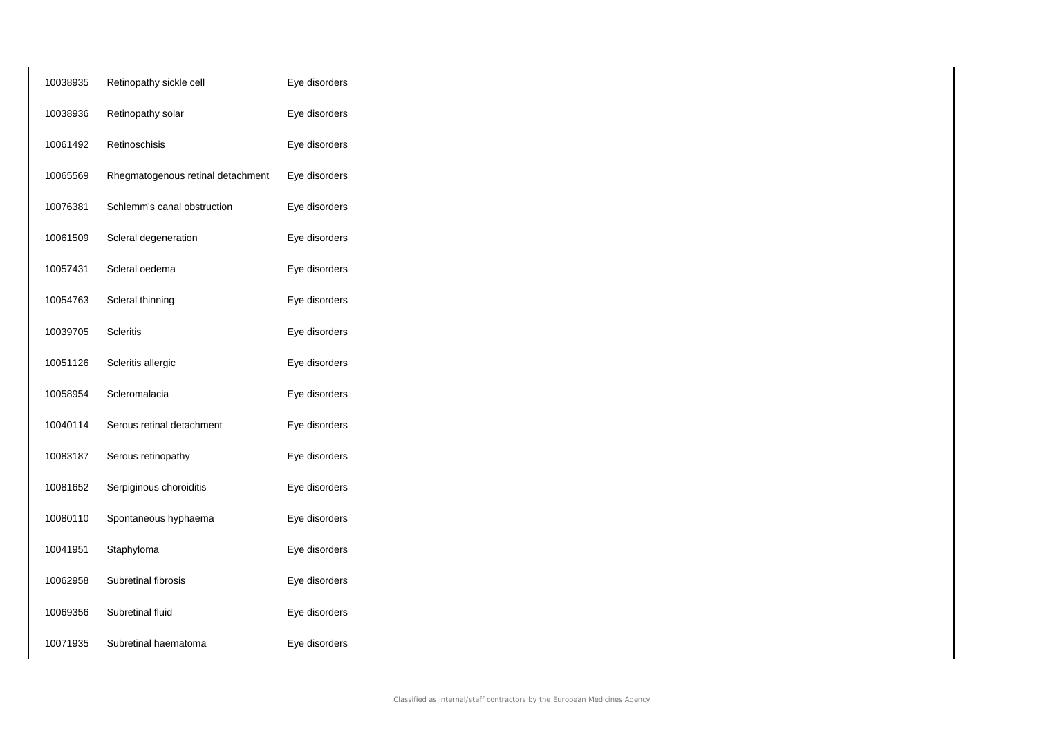| 10038935 | Retinopathy sickle cell           | Eye disorders |
|----------|-----------------------------------|---------------|
| 10038936 | Retinopathy solar                 | Eye disorders |
| 10061492 | Retinoschisis                     | Eye disorders |
| 10065569 | Rhegmatogenous retinal detachment | Eye disorders |
| 10076381 | Schlemm's canal obstruction       | Eye disorders |
| 10061509 | Scleral degeneration              | Eye disorders |
| 10057431 | Scleral oedema                    | Eye disorders |
| 10054763 | Scleral thinning                  | Eye disorders |
| 10039705 | <b>Scleritis</b>                  | Eye disorders |
| 10051126 | Scleritis allergic                | Eye disorders |
| 10058954 | Scleromalacia                     | Eye disorders |
| 10040114 | Serous retinal detachment         | Eye disorders |
| 10083187 | Serous retinopathy                | Eye disorders |
| 10081652 | Serpiginous choroiditis           | Eye disorders |
| 10080110 | Spontaneous hyphaema              | Eye disorders |
| 10041951 | Staphyloma                        | Eye disorders |
| 10062958 | Subretinal fibrosis               | Eye disorders |
| 10069356 | Subretinal fluid                  | Eye disorders |
| 10071935 | Subretinal haematoma              | Eye disorders |
|          |                                   |               |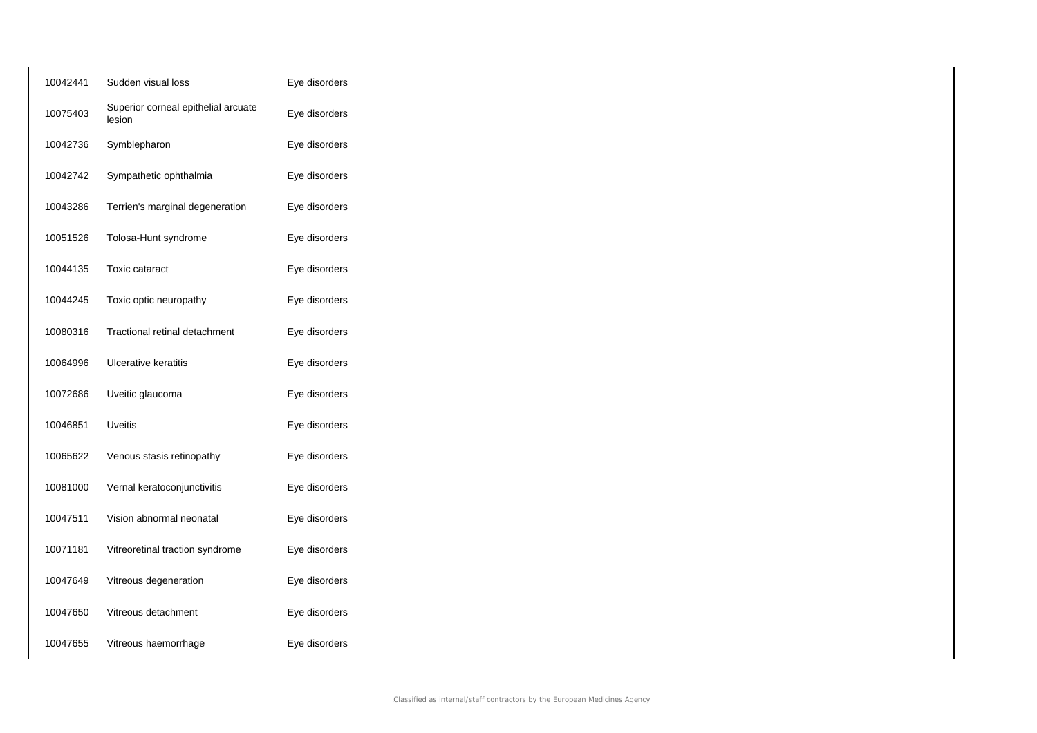| 10042441 | Sudden visual loss                            | Eye disorders |
|----------|-----------------------------------------------|---------------|
| 10075403 | Superior corneal epithelial arcuate<br>lesion | Eye disorders |
| 10042736 | Symblepharon                                  | Eye disorders |
| 10042742 | Sympathetic ophthalmia                        | Eye disorders |
| 10043286 | Terrien's marginal degeneration               | Eye disorders |
| 10051526 | Tolosa-Hunt syndrome                          | Eye disorders |
| 10044135 | <b>Toxic cataract</b>                         | Eye disorders |
| 10044245 | Toxic optic neuropathy                        | Eye disorders |
| 10080316 | Tractional retinal detachment                 | Eye disorders |
| 10064996 | Ulcerative keratitis                          | Eye disorders |
| 10072686 | Uveitic glaucoma                              | Eye disorders |
| 10046851 | <b>Uveitis</b>                                | Eye disorders |
| 10065622 | Venous stasis retinopathy                     | Eye disorders |
| 10081000 | Vernal keratoconjunctivitis                   | Eye disorders |
| 10047511 | Vision abnormal neonatal                      | Eye disorders |
| 10071181 | Vitreoretinal traction syndrome               | Eye disorders |
| 10047649 | Vitreous degeneration                         | Eye disorders |
| 10047650 | Vitreous detachment                           | Eye disorders |
| 10047655 | Vitreous haemorrhage                          | Eye disorders |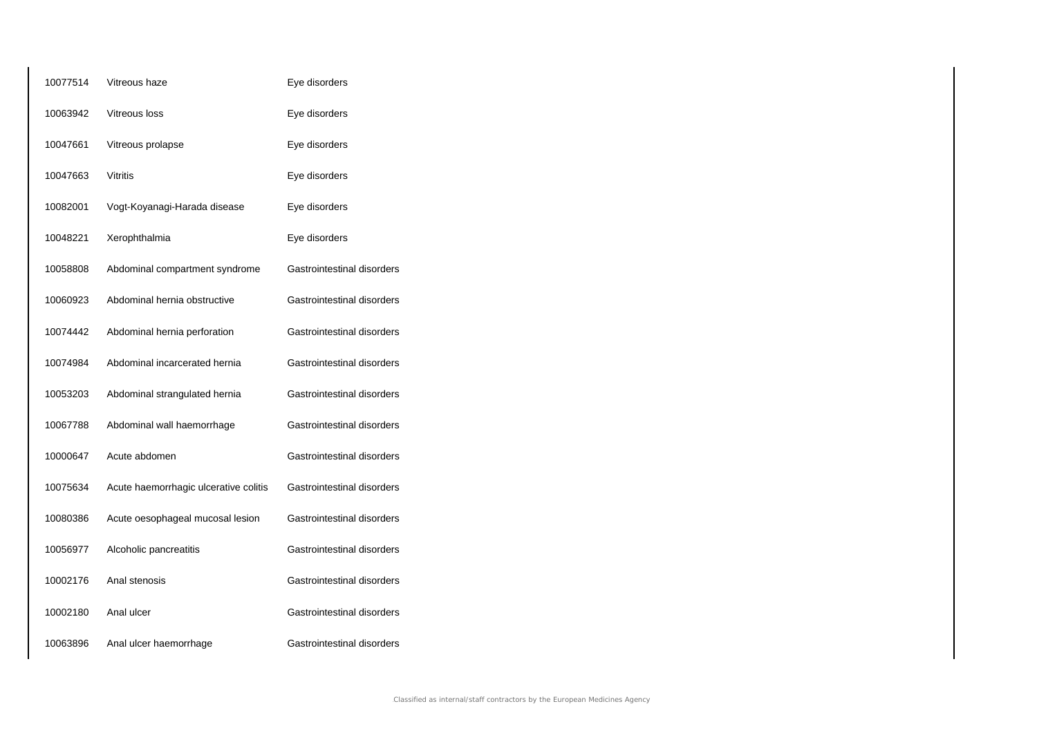| 10077514 | Vitreous haze                         | Eye disorders              |
|----------|---------------------------------------|----------------------------|
| 10063942 | Vitreous loss                         | Eye disorders              |
| 10047661 | Vitreous prolapse                     | Eye disorders              |
| 10047663 | Vitritis                              | Eye disorders              |
| 10082001 | Vogt-Koyanagi-Harada disease          | Eye disorders              |
| 10048221 | Xerophthalmia                         | Eye disorders              |
| 10058808 | Abdominal compartment syndrome        | Gastrointestinal disorders |
| 10060923 | Abdominal hernia obstructive          | Gastrointestinal disorders |
| 10074442 | Abdominal hernia perforation          | Gastrointestinal disorders |
| 10074984 | Abdominal incarcerated hernia         | Gastrointestinal disorders |
| 10053203 | Abdominal strangulated hernia         | Gastrointestinal disorders |
| 10067788 | Abdominal wall haemorrhage            | Gastrointestinal disorders |
| 10000647 | Acute abdomen                         | Gastrointestinal disorders |
| 10075634 | Acute haemorrhagic ulcerative colitis | Gastrointestinal disorders |
| 10080386 | Acute oesophageal mucosal lesion      | Gastrointestinal disorders |
| 10056977 | Alcoholic pancreatitis                | Gastrointestinal disorders |
| 10002176 | Anal stenosis                         | Gastrointestinal disorders |
| 10002180 | Anal ulcer                            | Gastrointestinal disorders |
| 10063896 | Anal ulcer haemorrhage                | Gastrointestinal disorders |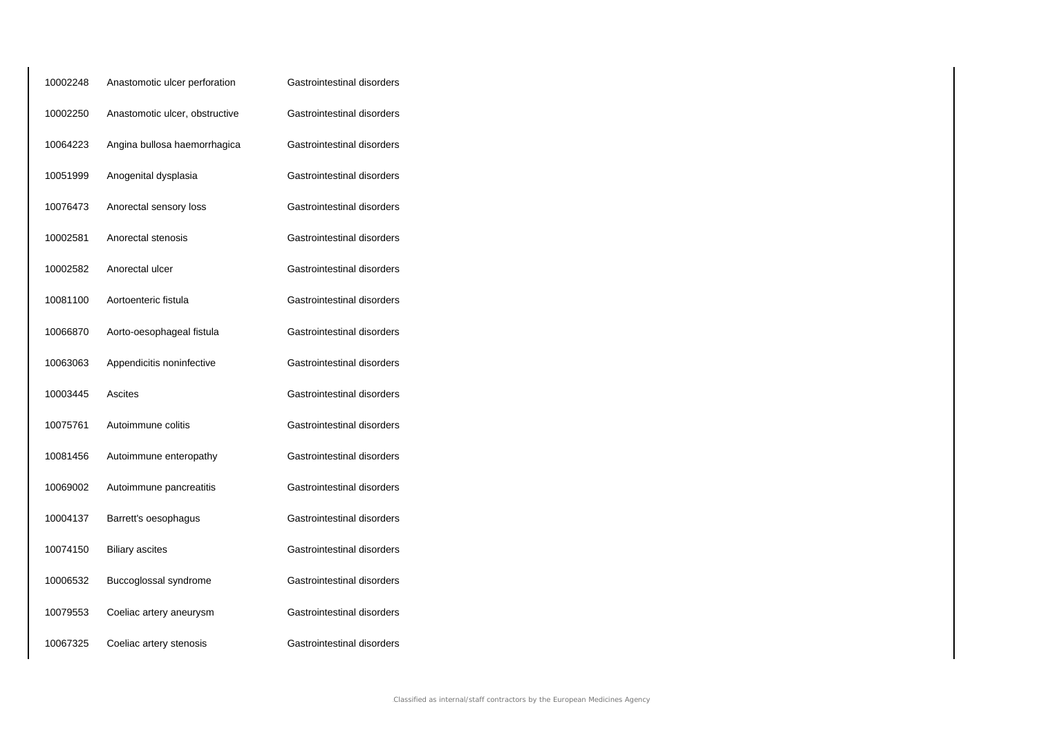| 10002248 | Anastomotic ulcer perforation  | Gastrointestinal disorders |
|----------|--------------------------------|----------------------------|
| 10002250 | Anastomotic ulcer, obstructive | Gastrointestinal disorders |
| 10064223 | Angina bullosa haemorrhagica   | Gastrointestinal disorders |
| 10051999 | Anogenital dysplasia           | Gastrointestinal disorders |
| 10076473 | Anorectal sensory loss         | Gastrointestinal disorders |
| 10002581 | Anorectal stenosis             | Gastrointestinal disorders |
| 10002582 | Anorectal ulcer                | Gastrointestinal disorders |
| 10081100 | Aortoenteric fistula           | Gastrointestinal disorders |
| 10066870 | Aorto-oesophageal fistula      | Gastrointestinal disorders |
| 10063063 | Appendicitis noninfective      | Gastrointestinal disorders |
| 10003445 | Ascites                        | Gastrointestinal disorders |
| 10075761 | Autoimmune colitis             | Gastrointestinal disorders |
| 10081456 | Autoimmune enteropathy         | Gastrointestinal disorders |
| 10069002 | Autoimmune pancreatitis        | Gastrointestinal disorders |
| 10004137 | Barrett's oesophagus           | Gastrointestinal disorders |
| 10074150 | <b>Biliary ascites</b>         | Gastrointestinal disorders |
| 10006532 | Buccoglossal syndrome          | Gastrointestinal disorders |
| 10079553 | Coeliac artery aneurysm        | Gastrointestinal disorders |
| 10067325 | Coeliac artery stenosis        | Gastrointestinal disorders |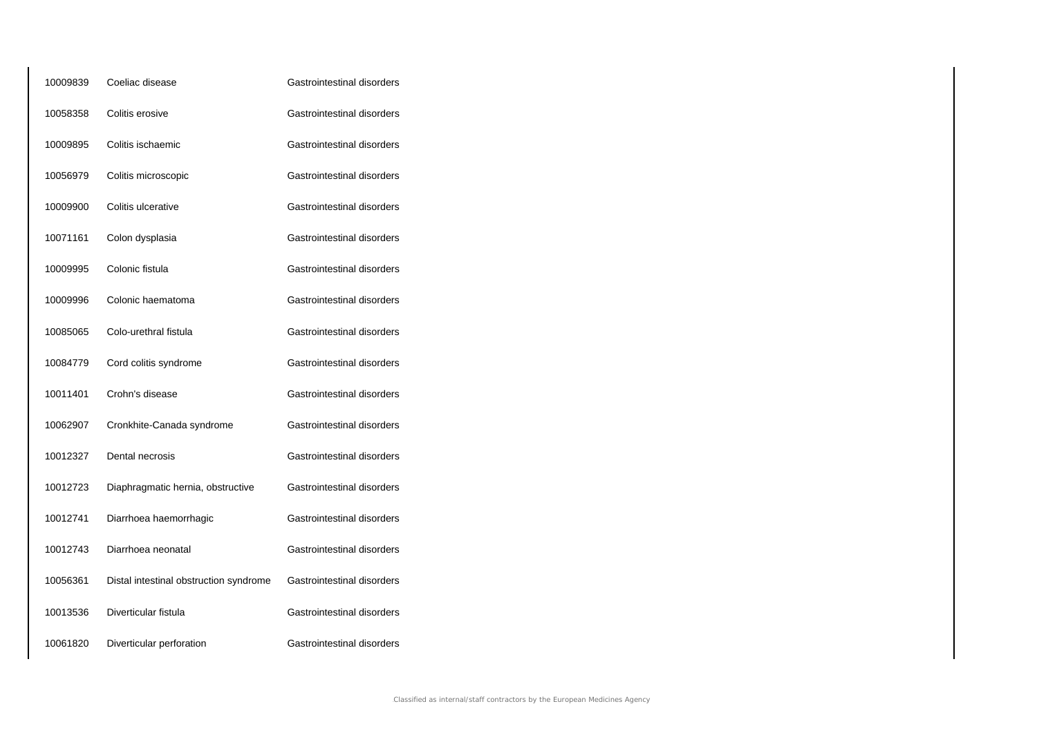| 10009839 | Coeliac disease                        | Gastrointestinal disorders |
|----------|----------------------------------------|----------------------------|
| 10058358 | Colitis erosive                        | Gastrointestinal disorders |
| 10009895 | Colitis ischaemic                      | Gastrointestinal disorders |
| 10056979 | Colitis microscopic                    | Gastrointestinal disorders |
| 10009900 | Colitis ulcerative                     | Gastrointestinal disorders |
| 10071161 | Colon dysplasia                        | Gastrointestinal disorders |
| 10009995 | Colonic fistula                        | Gastrointestinal disorders |
| 10009996 | Colonic haematoma                      | Gastrointestinal disorders |
| 10085065 | Colo-urethral fistula                  | Gastrointestinal disorders |
| 10084779 | Cord colitis syndrome                  | Gastrointestinal disorders |
| 10011401 | Crohn's disease                        | Gastrointestinal disorders |
| 10062907 | Cronkhite-Canada syndrome              | Gastrointestinal disorders |
| 10012327 | Dental necrosis                        | Gastrointestinal disorders |
| 10012723 | Diaphragmatic hernia, obstructive      | Gastrointestinal disorders |
| 10012741 | Diarrhoea haemorrhagic                 | Gastrointestinal disorders |
| 10012743 | Diarrhoea neonatal                     | Gastrointestinal disorders |
| 10056361 | Distal intestinal obstruction syndrome | Gastrointestinal disorders |
| 10013536 | Diverticular fistula                   | Gastrointestinal disorders |
| 10061820 | Diverticular perforation               | Gastrointestinal disorders |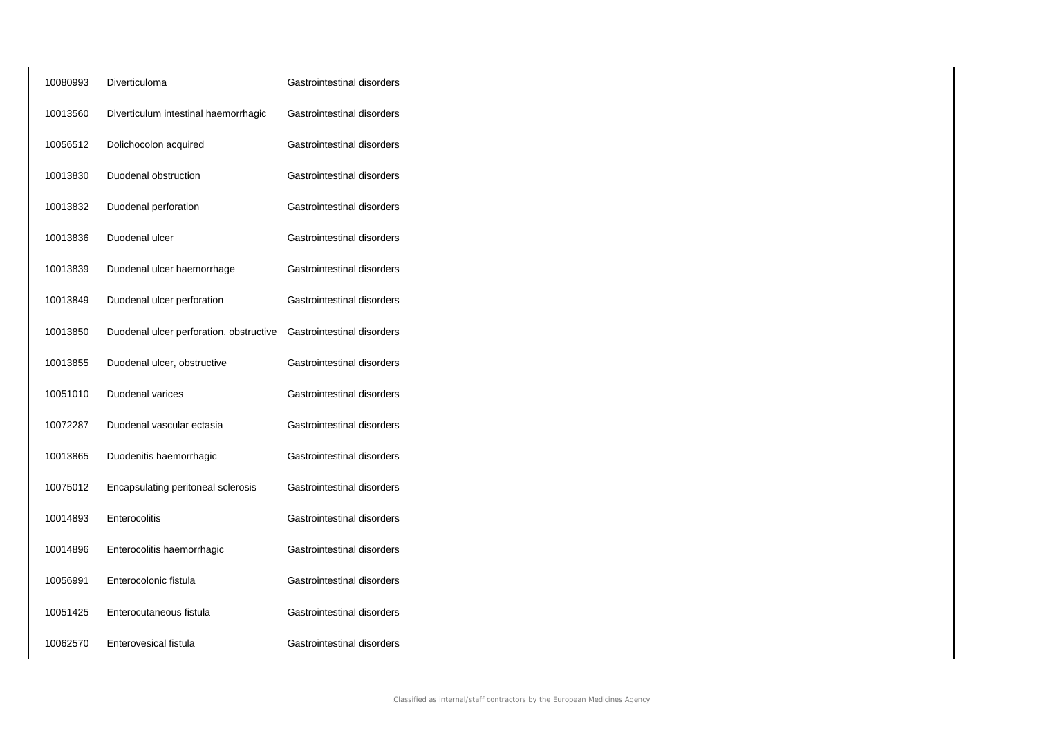| 10080993 | Diverticuloma                           | Gastrointestinal disorders |
|----------|-----------------------------------------|----------------------------|
| 10013560 | Diverticulum intestinal haemorrhagic    | Gastrointestinal disorders |
| 10056512 | Dolichocolon acquired                   | Gastrointestinal disorders |
| 10013830 | Duodenal obstruction                    | Gastrointestinal disorders |
| 10013832 | Duodenal perforation                    | Gastrointestinal disorders |
| 10013836 | Duodenal ulcer                          | Gastrointestinal disorders |
| 10013839 | Duodenal ulcer haemorrhage              | Gastrointestinal disorders |
| 10013849 | Duodenal ulcer perforation              | Gastrointestinal disorders |
| 10013850 | Duodenal ulcer perforation, obstructive | Gastrointestinal disorders |
| 10013855 | Duodenal ulcer, obstructive             | Gastrointestinal disorders |
| 10051010 | Duodenal varices                        | Gastrointestinal disorders |
| 10072287 | Duodenal vascular ectasia               | Gastrointestinal disorders |
| 10013865 | Duodenitis haemorrhagic                 | Gastrointestinal disorders |
| 10075012 | Encapsulating peritoneal sclerosis      | Gastrointestinal disorders |
| 10014893 | Enterocolitis                           | Gastrointestinal disorders |
| 10014896 | Enterocolitis haemorrhagic              | Gastrointestinal disorders |
| 10056991 | Enterocolonic fistula                   | Gastrointestinal disorders |
| 10051425 | Enterocutaneous fistula                 | Gastrointestinal disorders |
| 10062570 | Enterovesical fistula                   | Gastrointestinal disorders |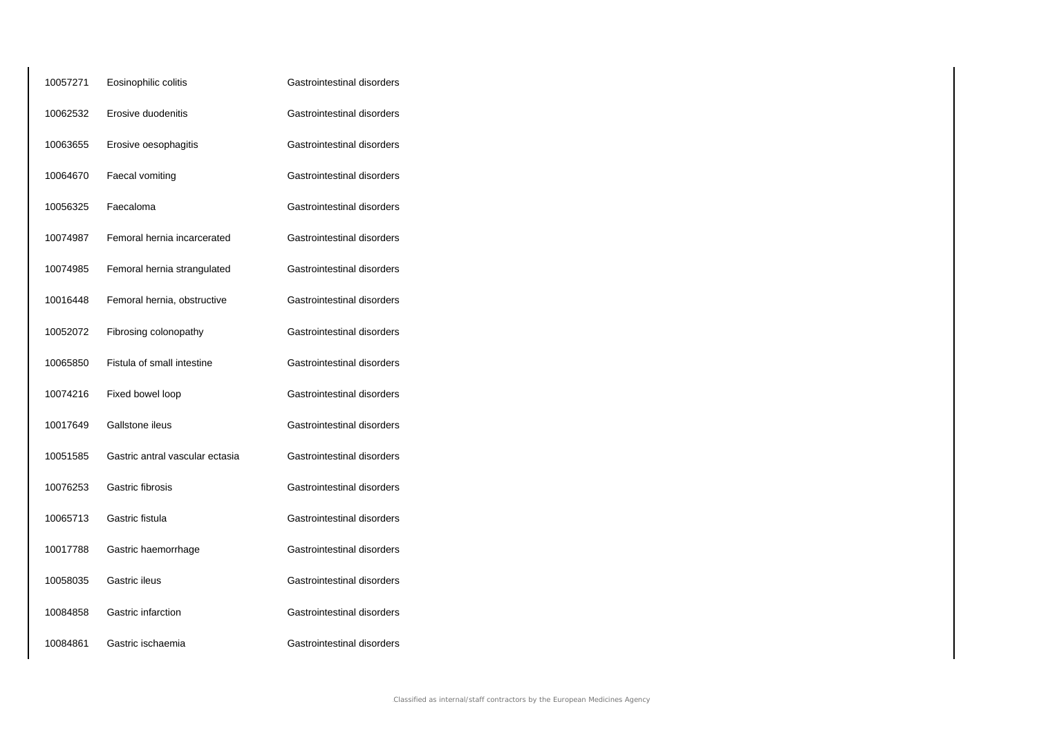| 10057271 | Eosinophilic colitis            | Gastrointestinal disorders |
|----------|---------------------------------|----------------------------|
| 10062532 | Erosive duodenitis              | Gastrointestinal disorders |
| 10063655 | Erosive oesophagitis            | Gastrointestinal disorders |
| 10064670 | Faecal vomiting                 | Gastrointestinal disorders |
| 10056325 | Faecaloma                       | Gastrointestinal disorders |
| 10074987 | Femoral hernia incarcerated     | Gastrointestinal disorders |
| 10074985 | Femoral hernia strangulated     | Gastrointestinal disorders |
| 10016448 | Femoral hernia, obstructive     | Gastrointestinal disorders |
| 10052072 | Fibrosing colonopathy           | Gastrointestinal disorders |
| 10065850 | Fistula of small intestine      | Gastrointestinal disorders |
| 10074216 | Fixed bowel loop                | Gastrointestinal disorders |
| 10017649 | Gallstone ileus                 | Gastrointestinal disorders |
| 10051585 | Gastric antral vascular ectasia | Gastrointestinal disorders |
| 10076253 | Gastric fibrosis                | Gastrointestinal disorders |
| 10065713 | Gastric fistula                 | Gastrointestinal disorders |
| 10017788 | Gastric haemorrhage             | Gastrointestinal disorders |
| 10058035 | Gastric ileus                   | Gastrointestinal disorders |
| 10084858 | Gastric infarction              | Gastrointestinal disorders |
| 10084861 | Gastric ischaemia               | Gastrointestinal disorders |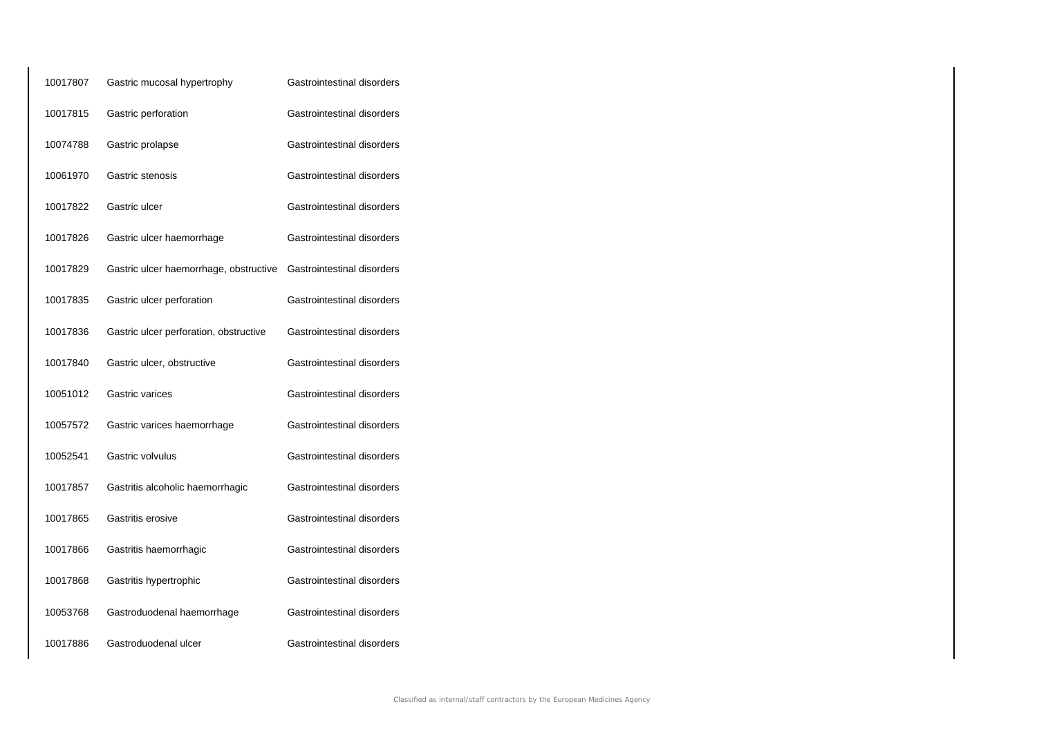| 10017807 | Gastric mucosal hypertrophy            | Gastrointestinal disorders |
|----------|----------------------------------------|----------------------------|
| 10017815 | Gastric perforation                    | Gastrointestinal disorders |
| 10074788 | Gastric prolapse                       | Gastrointestinal disorders |
| 10061970 | Gastric stenosis                       | Gastrointestinal disorders |
| 10017822 | Gastric ulcer                          | Gastrointestinal disorders |
| 10017826 | Gastric ulcer haemorrhage              | Gastrointestinal disorders |
| 10017829 | Gastric ulcer haemorrhage, obstructive | Gastrointestinal disorders |
| 10017835 | Gastric ulcer perforation              | Gastrointestinal disorders |
| 10017836 | Gastric ulcer perforation, obstructive | Gastrointestinal disorders |
| 10017840 | Gastric ulcer, obstructive             | Gastrointestinal disorders |
| 10051012 | Gastric varices                        | Gastrointestinal disorders |
| 10057572 | Gastric varices haemorrhage            | Gastrointestinal disorders |
| 10052541 | Gastric volvulus                       | Gastrointestinal disorders |
| 10017857 | Gastritis alcoholic haemorrhagic       | Gastrointestinal disorders |
| 10017865 | Gastritis erosive                      | Gastrointestinal disorders |
| 10017866 | Gastritis haemorrhagic                 | Gastrointestinal disorders |
| 10017868 | Gastritis hypertrophic                 | Gastrointestinal disorders |
| 10053768 | Gastroduodenal haemorrhage             | Gastrointestinal disorders |
| 10017886 | Gastroduodenal ulcer                   | Gastrointestinal disorders |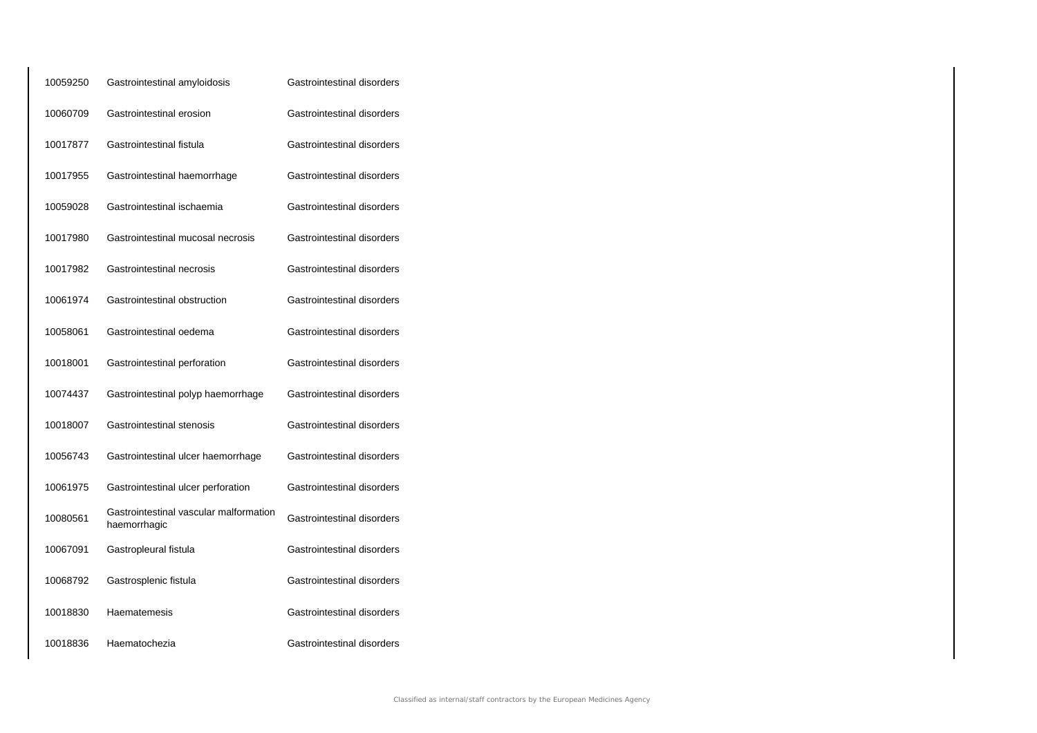| 10059250 | Gastrointestinal amyloidosis                           | Gastrointestinal disorders |
|----------|--------------------------------------------------------|----------------------------|
| 10060709 | Gastrointestinal erosion                               | Gastrointestinal disorders |
| 10017877 | Gastrointestinal fistula                               | Gastrointestinal disorders |
| 10017955 | Gastrointestinal haemorrhage                           | Gastrointestinal disorders |
| 10059028 | Gastrointestinal ischaemia                             | Gastrointestinal disorders |
| 10017980 | Gastrointestinal mucosal necrosis                      | Gastrointestinal disorders |
| 10017982 | Gastrointestinal necrosis                              | Gastrointestinal disorders |
| 10061974 | Gastrointestinal obstruction                           | Gastrointestinal disorders |
| 10058061 | Gastrointestinal oedema                                | Gastrointestinal disorders |
| 10018001 | Gastrointestinal perforation                           | Gastrointestinal disorders |
| 10074437 | Gastrointestinal polyp haemorrhage                     | Gastrointestinal disorders |
| 10018007 | Gastrointestinal stenosis                              | Gastrointestinal disorders |
| 10056743 | Gastrointestinal ulcer haemorrhage                     | Gastrointestinal disorders |
| 10061975 | Gastrointestinal ulcer perforation                     | Gastrointestinal disorders |
| 10080561 | Gastrointestinal vascular malformation<br>haemorrhagic | Gastrointestinal disorders |
| 10067091 | Gastropleural fistula                                  | Gastrointestinal disorders |
| 10068792 | Gastrosplenic fistula                                  | Gastrointestinal disorders |
| 10018830 | Haematemesis                                           | Gastrointestinal disorders |
| 10018836 | Haematochezia                                          | Gastrointestinal disorders |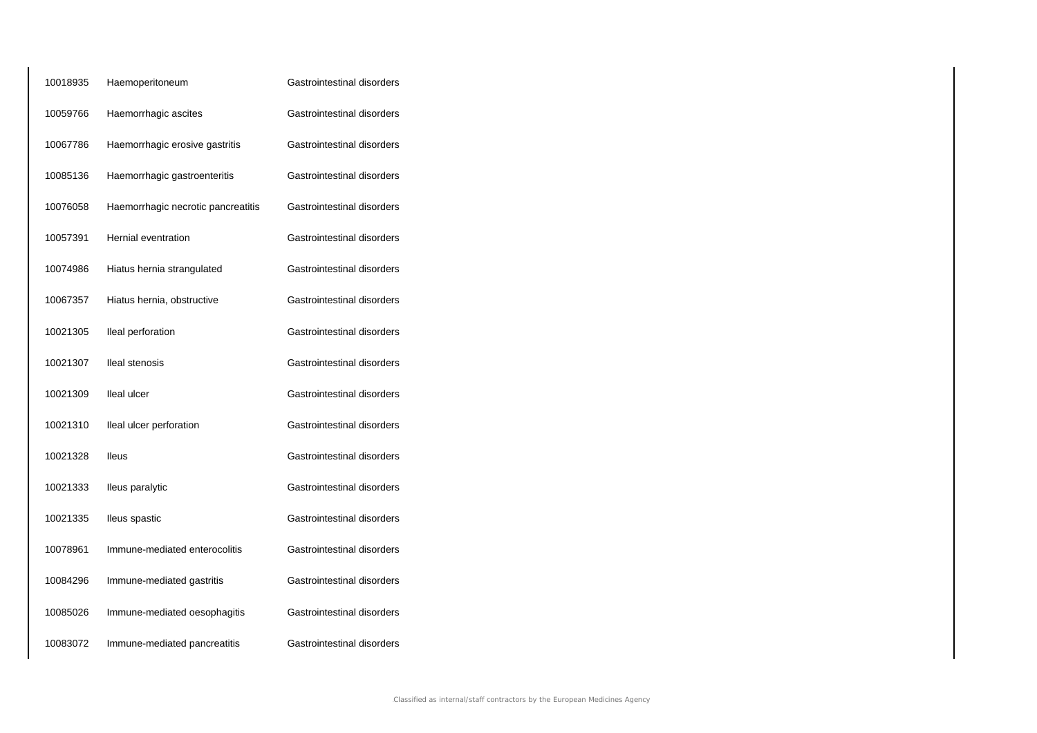| 10018935 | Haemoperitoneum                    | Gastrointestinal disorders |
|----------|------------------------------------|----------------------------|
| 10059766 | Haemorrhagic ascites               | Gastrointestinal disorders |
| 10067786 | Haemorrhagic erosive gastritis     | Gastrointestinal disorders |
| 10085136 | Haemorrhagic gastroenteritis       | Gastrointestinal disorders |
| 10076058 | Haemorrhagic necrotic pancreatitis | Gastrointestinal disorders |
| 10057391 | Hernial eventration                | Gastrointestinal disorders |
| 10074986 | Hiatus hernia strangulated         | Gastrointestinal disorders |
| 10067357 | Hiatus hernia, obstructive         | Gastrointestinal disorders |
| 10021305 | Ileal perforation                  | Gastrointestinal disorders |
| 10021307 | Ileal stenosis                     | Gastrointestinal disorders |
| 10021309 | lleal ulcer                        | Gastrointestinal disorders |
| 10021310 | Ileal ulcer perforation            | Gastrointestinal disorders |
| 10021328 | lleus                              | Gastrointestinal disorders |
| 10021333 | Ileus paralytic                    | Gastrointestinal disorders |
| 10021335 | lleus spastic                      | Gastrointestinal disorders |
| 10078961 | Immune-mediated enterocolitis      | Gastrointestinal disorders |
| 10084296 | Immune-mediated gastritis          | Gastrointestinal disorders |
| 10085026 | Immune-mediated oesophagitis       | Gastrointestinal disorders |
| 10083072 | Immune-mediated pancreatitis       | Gastrointestinal disorders |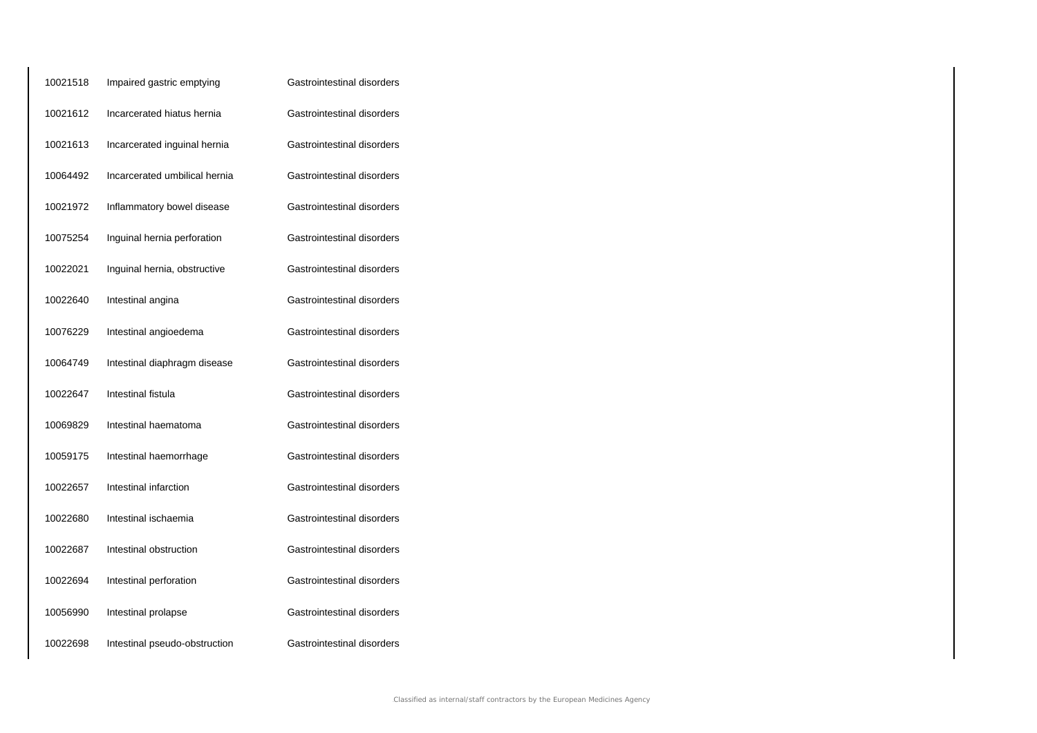| 10021518 | Impaired gastric emptying     | Gastrointestinal disorders |
|----------|-------------------------------|----------------------------|
| 10021612 | Incarcerated hiatus hernia    | Gastrointestinal disorders |
| 10021613 | Incarcerated inguinal hernia  | Gastrointestinal disorders |
| 10064492 | Incarcerated umbilical hernia | Gastrointestinal disorders |
| 10021972 | Inflammatory bowel disease    | Gastrointestinal disorders |
| 10075254 | Inguinal hernia perforation   | Gastrointestinal disorders |
| 10022021 | Inguinal hernia, obstructive  | Gastrointestinal disorders |
| 10022640 | Intestinal angina             | Gastrointestinal disorders |
| 10076229 | Intestinal angioedema         | Gastrointestinal disorders |
| 10064749 | Intestinal diaphragm disease  | Gastrointestinal disorders |
| 10022647 | Intestinal fistula            | Gastrointestinal disorders |
| 10069829 | Intestinal haematoma          | Gastrointestinal disorders |
| 10059175 | Intestinal haemorrhage        | Gastrointestinal disorders |
| 10022657 | Intestinal infarction         | Gastrointestinal disorders |
| 10022680 | Intestinal ischaemia          | Gastrointestinal disorders |
| 10022687 | Intestinal obstruction        | Gastrointestinal disorders |
| 10022694 | Intestinal perforation        | Gastrointestinal disorders |
| 10056990 | Intestinal prolapse           | Gastrointestinal disorders |
| 10022698 | Intestinal pseudo-obstruction | Gastrointestinal disorders |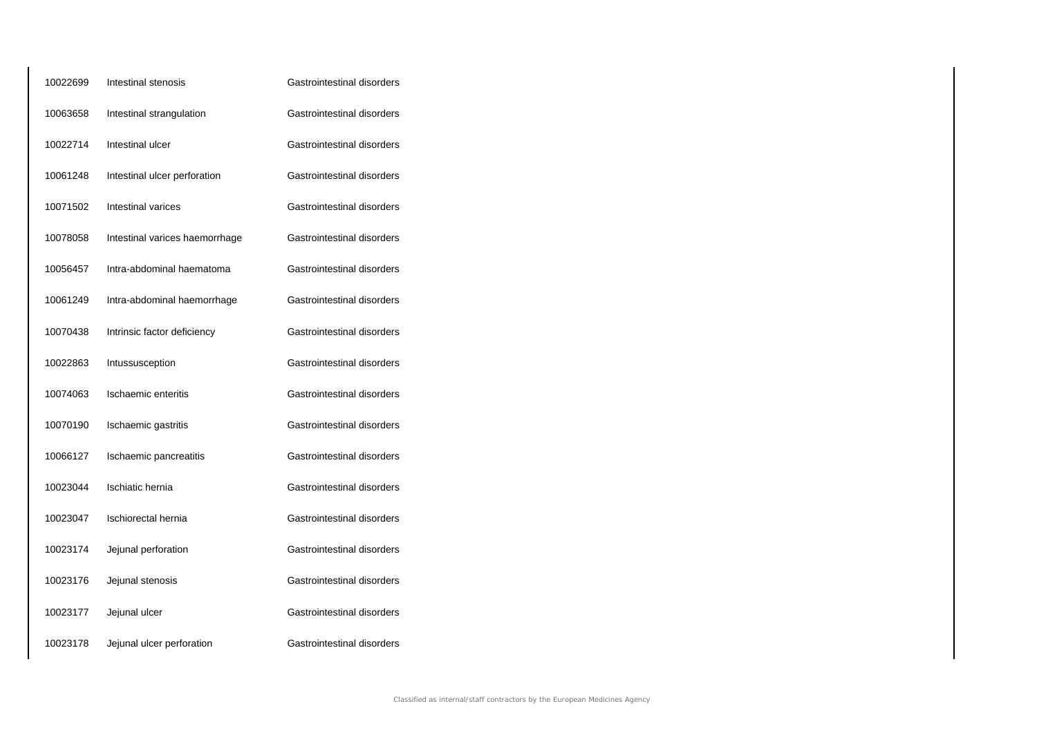| 10022699 | Intestinal stenosis            | Gastrointestinal disorders |
|----------|--------------------------------|----------------------------|
| 10063658 | Intestinal strangulation       | Gastrointestinal disorders |
| 10022714 | Intestinal ulcer               | Gastrointestinal disorders |
| 10061248 | Intestinal ulcer perforation   | Gastrointestinal disorders |
| 10071502 | Intestinal varices             | Gastrointestinal disorders |
| 10078058 | Intestinal varices haemorrhage | Gastrointestinal disorders |
| 10056457 | Intra-abdominal haematoma      | Gastrointestinal disorders |
| 10061249 | Intra-abdominal haemorrhage    | Gastrointestinal disorders |
| 10070438 | Intrinsic factor deficiency    | Gastrointestinal disorders |
| 10022863 | Intussusception                | Gastrointestinal disorders |
| 10074063 | Ischaemic enteritis            | Gastrointestinal disorders |
| 10070190 | Ischaemic gastritis            | Gastrointestinal disorders |
| 10066127 | Ischaemic pancreatitis         | Gastrointestinal disorders |
| 10023044 | Ischiatic hernia               | Gastrointestinal disorders |
| 10023047 | Ischiorectal hernia            | Gastrointestinal disorders |
| 10023174 | Jejunal perforation            | Gastrointestinal disorders |
| 10023176 | Jejunal stenosis               | Gastrointestinal disorders |
| 10023177 | Jejunal ulcer                  | Gastrointestinal disorders |
| 10023178 | Jejunal ulcer perforation      | Gastrointestinal disorders |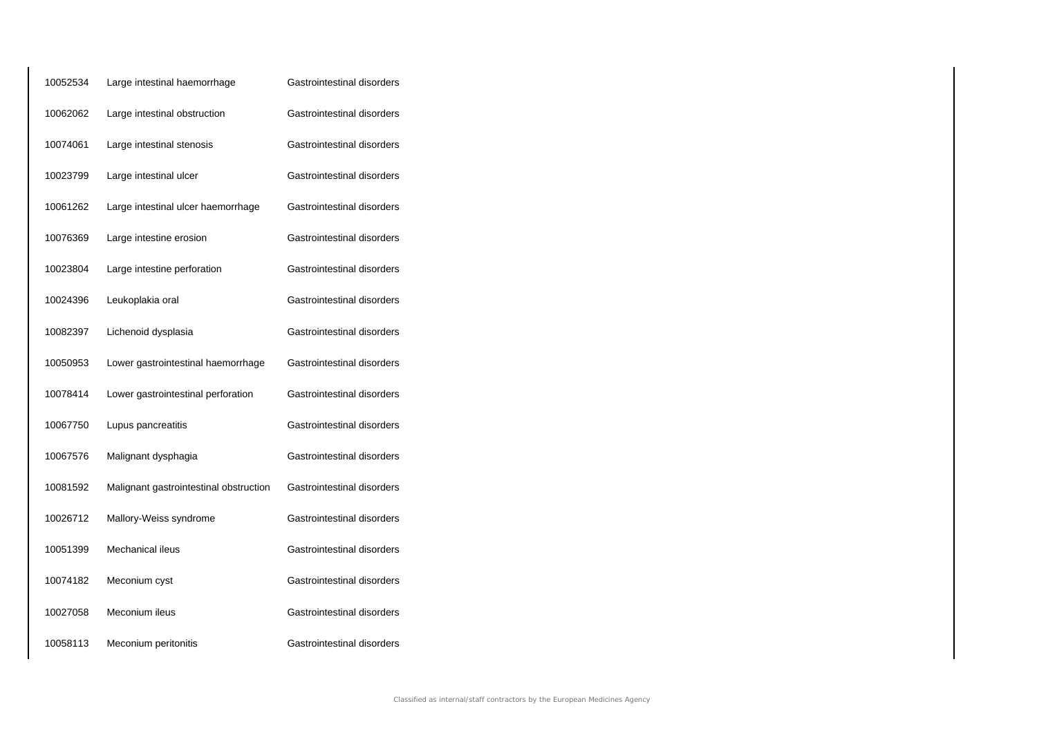| 10052534 | Large intestinal haemorrhage           | Gastrointestinal disorders |
|----------|----------------------------------------|----------------------------|
| 10062062 | Large intestinal obstruction           | Gastrointestinal disorders |
| 10074061 | Large intestinal stenosis              | Gastrointestinal disorders |
| 10023799 | Large intestinal ulcer                 | Gastrointestinal disorders |
| 10061262 | Large intestinal ulcer haemorrhage     | Gastrointestinal disorders |
| 10076369 | Large intestine erosion                | Gastrointestinal disorders |
| 10023804 | Large intestine perforation            | Gastrointestinal disorders |
| 10024396 | Leukoplakia oral                       | Gastrointestinal disorders |
| 10082397 | Lichenoid dysplasia                    | Gastrointestinal disorders |
| 10050953 | Lower gastrointestinal haemorrhage     | Gastrointestinal disorders |
| 10078414 | Lower gastrointestinal perforation     | Gastrointestinal disorders |
| 10067750 | Lupus pancreatitis                     | Gastrointestinal disorders |
| 10067576 | Malignant dysphagia                    | Gastrointestinal disorders |
| 10081592 | Malignant gastrointestinal obstruction | Gastrointestinal disorders |
| 10026712 | Mallory-Weiss syndrome                 | Gastrointestinal disorders |
| 10051399 | Mechanical ileus                       | Gastrointestinal disorders |
| 10074182 | Meconium cyst                          | Gastrointestinal disorders |
| 10027058 | Meconium ileus                         | Gastrointestinal disorders |
| 10058113 | Meconium peritonitis                   | Gastrointestinal disorders |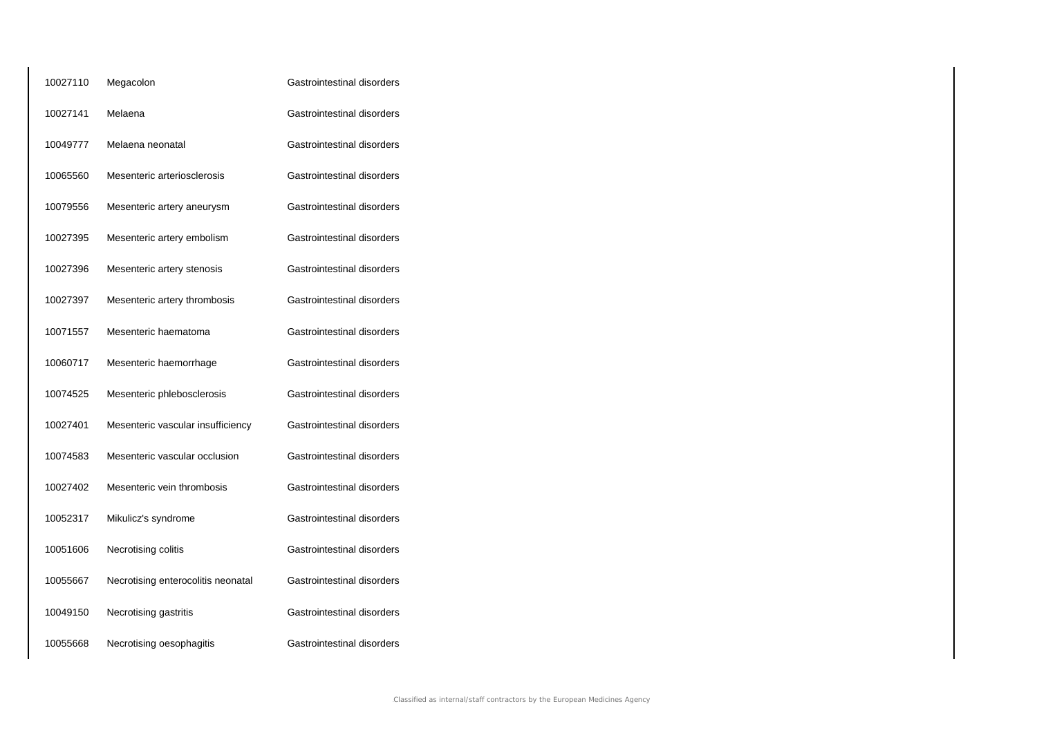| 10027110 | Megacolon                          | Gastrointestinal disorders |
|----------|------------------------------------|----------------------------|
| 10027141 | Melaena                            | Gastrointestinal disorders |
| 10049777 | Melaena neonatal                   | Gastrointestinal disorders |
| 10065560 | Mesenteric arteriosclerosis        | Gastrointestinal disorders |
| 10079556 | Mesenteric artery aneurysm         | Gastrointestinal disorders |
| 10027395 | Mesenteric artery embolism         | Gastrointestinal disorders |
| 10027396 | Mesenteric artery stenosis         | Gastrointestinal disorders |
| 10027397 | Mesenteric artery thrombosis       | Gastrointestinal disorders |
| 10071557 | Mesenteric haematoma               | Gastrointestinal disorders |
| 10060717 | Mesenteric haemorrhage             | Gastrointestinal disorders |
| 10074525 | Mesenteric phlebosclerosis         | Gastrointestinal disorders |
| 10027401 | Mesenteric vascular insufficiency  | Gastrointestinal disorders |
| 10074583 | Mesenteric vascular occlusion      | Gastrointestinal disorders |
| 10027402 | Mesenteric vein thrombosis         | Gastrointestinal disorders |
| 10052317 | Mikulicz's syndrome                | Gastrointestinal disorders |
| 10051606 | Necrotising colitis                | Gastrointestinal disorders |
| 10055667 | Necrotising enterocolitis neonatal | Gastrointestinal disorders |
| 10049150 | Necrotising gastritis              | Gastrointestinal disorders |
| 10055668 | Necrotising oesophagitis           | Gastrointestinal disorders |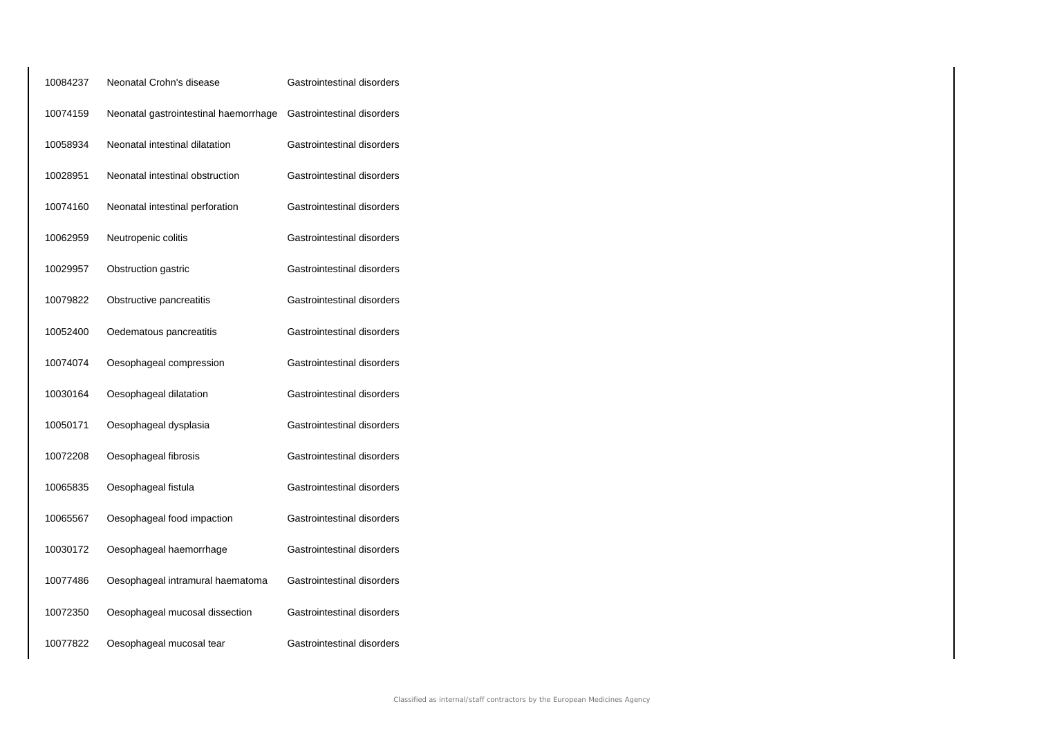| 10084237 | Neonatal Crohn's disease              | Gastrointestinal disorders |
|----------|---------------------------------------|----------------------------|
| 10074159 | Neonatal gastrointestinal haemorrhage | Gastrointestinal disorders |
| 10058934 | Neonatal intestinal dilatation        | Gastrointestinal disorders |
| 10028951 | Neonatal intestinal obstruction       | Gastrointestinal disorders |
| 10074160 | Neonatal intestinal perforation       | Gastrointestinal disorders |
| 10062959 | Neutropenic colitis                   | Gastrointestinal disorders |
| 10029957 | Obstruction gastric                   | Gastrointestinal disorders |
| 10079822 | Obstructive pancreatitis              | Gastrointestinal disorders |
| 10052400 | Oedematous pancreatitis               | Gastrointestinal disorders |
| 10074074 | Oesophageal compression               | Gastrointestinal disorders |
| 10030164 | Oesophageal dilatation                | Gastrointestinal disorders |
| 10050171 | Oesophageal dysplasia                 | Gastrointestinal disorders |
| 10072208 | Oesophageal fibrosis                  | Gastrointestinal disorders |
| 10065835 | Oesophageal fistula                   | Gastrointestinal disorders |
| 10065567 | Oesophageal food impaction            | Gastrointestinal disorders |
| 10030172 | Oesophageal haemorrhage               | Gastrointestinal disorders |
| 10077486 | Oesophageal intramural haematoma      | Gastrointestinal disorders |
| 10072350 | Oesophageal mucosal dissection        | Gastrointestinal disorders |
| 10077822 | Oesophageal mucosal tear              | Gastrointestinal disorders |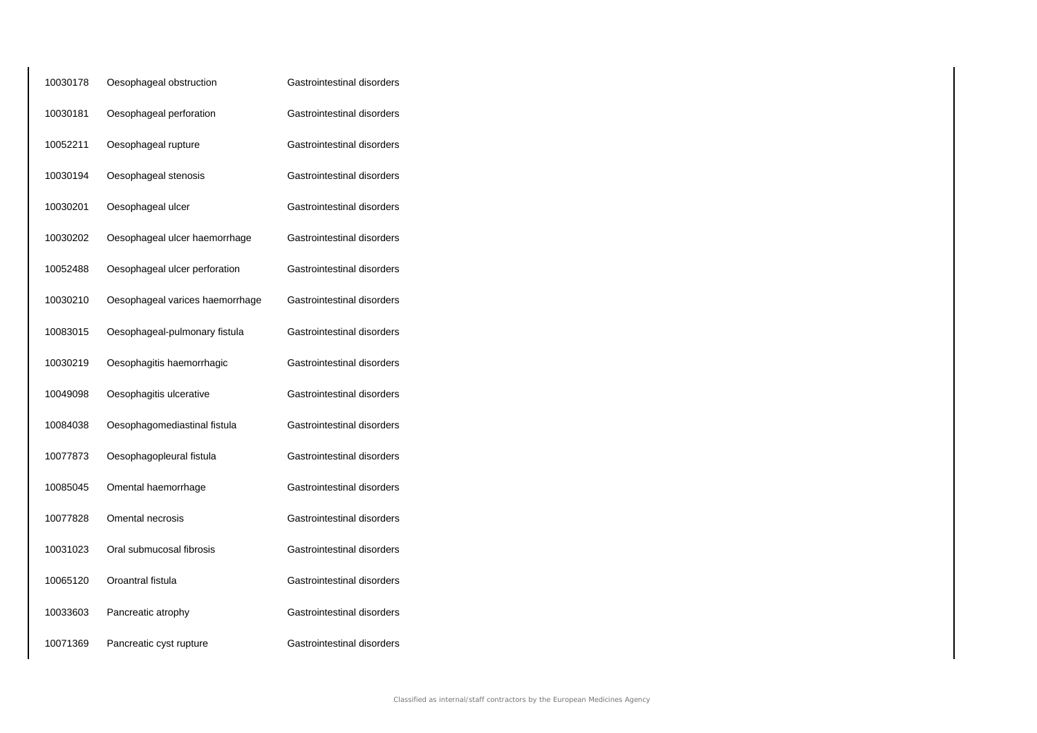| 10030178 | Oesophageal obstruction         | Gastrointestinal disorders |
|----------|---------------------------------|----------------------------|
| 10030181 | Oesophageal perforation         | Gastrointestinal disorders |
| 10052211 | Oesophageal rupture             | Gastrointestinal disorders |
| 10030194 | Oesophageal stenosis            | Gastrointestinal disorders |
| 10030201 | Oesophageal ulcer               | Gastrointestinal disorders |
| 10030202 | Oesophageal ulcer haemorrhage   | Gastrointestinal disorders |
| 10052488 | Oesophageal ulcer perforation   | Gastrointestinal disorders |
| 10030210 | Oesophageal varices haemorrhage | Gastrointestinal disorders |
| 10083015 | Oesophageal-pulmonary fistula   | Gastrointestinal disorders |
| 10030219 | Oesophagitis haemorrhagic       | Gastrointestinal disorders |
| 10049098 | Oesophagitis ulcerative         | Gastrointestinal disorders |
| 10084038 | Oesophagomediastinal fistula    | Gastrointestinal disorders |
| 10077873 | Oesophagopleural fistula        | Gastrointestinal disorders |
| 10085045 | Omental haemorrhage             | Gastrointestinal disorders |
| 10077828 | Omental necrosis                | Gastrointestinal disorders |
| 10031023 | Oral submucosal fibrosis        | Gastrointestinal disorders |
| 10065120 | Oroantral fistula               | Gastrointestinal disorders |
| 10033603 | Pancreatic atrophy              | Gastrointestinal disorders |
| 10071369 | Pancreatic cyst rupture         | Gastrointestinal disorders |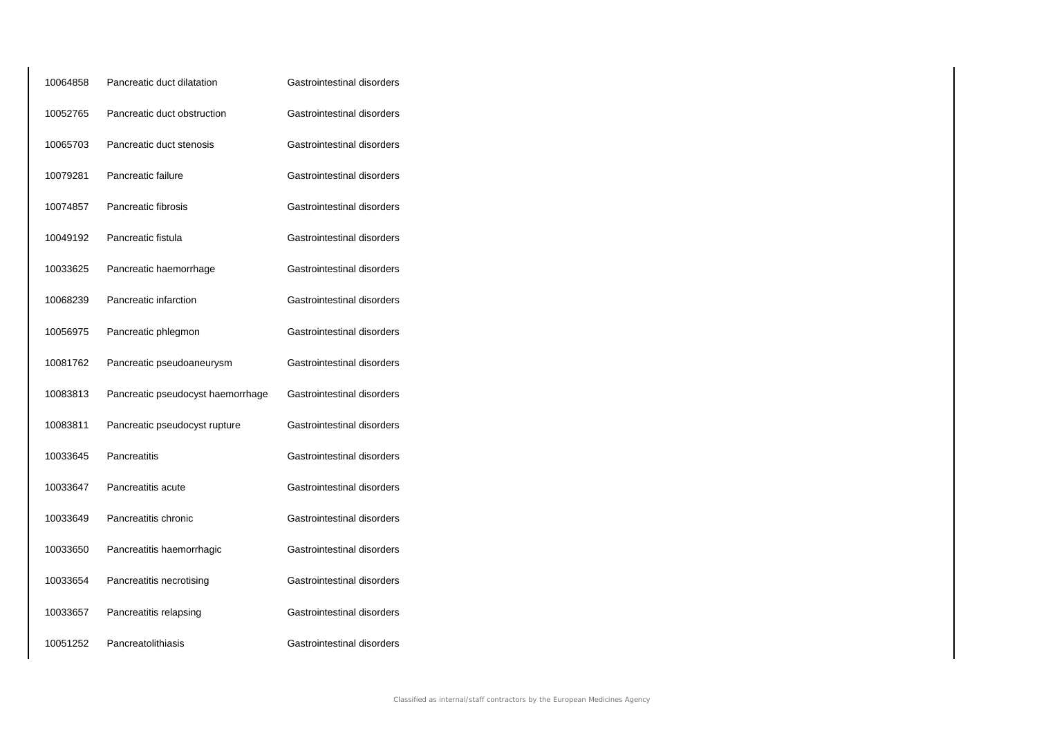| 10064858 | Pancreatic duct dilatation        | Gastrointestinal disorders |
|----------|-----------------------------------|----------------------------|
| 10052765 | Pancreatic duct obstruction       | Gastrointestinal disorders |
| 10065703 | Pancreatic duct stenosis          | Gastrointestinal disorders |
| 10079281 | Pancreatic failure                | Gastrointestinal disorders |
| 10074857 | Pancreatic fibrosis               | Gastrointestinal disorders |
| 10049192 | Pancreatic fistula                | Gastrointestinal disorders |
| 10033625 | Pancreatic haemorrhage            | Gastrointestinal disorders |
| 10068239 | Pancreatic infarction             | Gastrointestinal disorders |
| 10056975 | Pancreatic phlegmon               | Gastrointestinal disorders |
| 10081762 | Pancreatic pseudoaneurysm         | Gastrointestinal disorders |
| 10083813 | Pancreatic pseudocyst haemorrhage | Gastrointestinal disorders |
| 10083811 | Pancreatic pseudocyst rupture     | Gastrointestinal disorders |
| 10033645 | Pancreatitis                      | Gastrointestinal disorders |
| 10033647 | Pancreatitis acute                | Gastrointestinal disorders |
| 10033649 | Pancreatitis chronic              | Gastrointestinal disorders |
| 10033650 | Pancreatitis haemorrhagic         | Gastrointestinal disorders |
| 10033654 | Pancreatitis necrotising          | Gastrointestinal disorders |
| 10033657 | Pancreatitis relapsing            | Gastrointestinal disorders |
| 10051252 | Pancreatolithiasis                | Gastrointestinal disorders |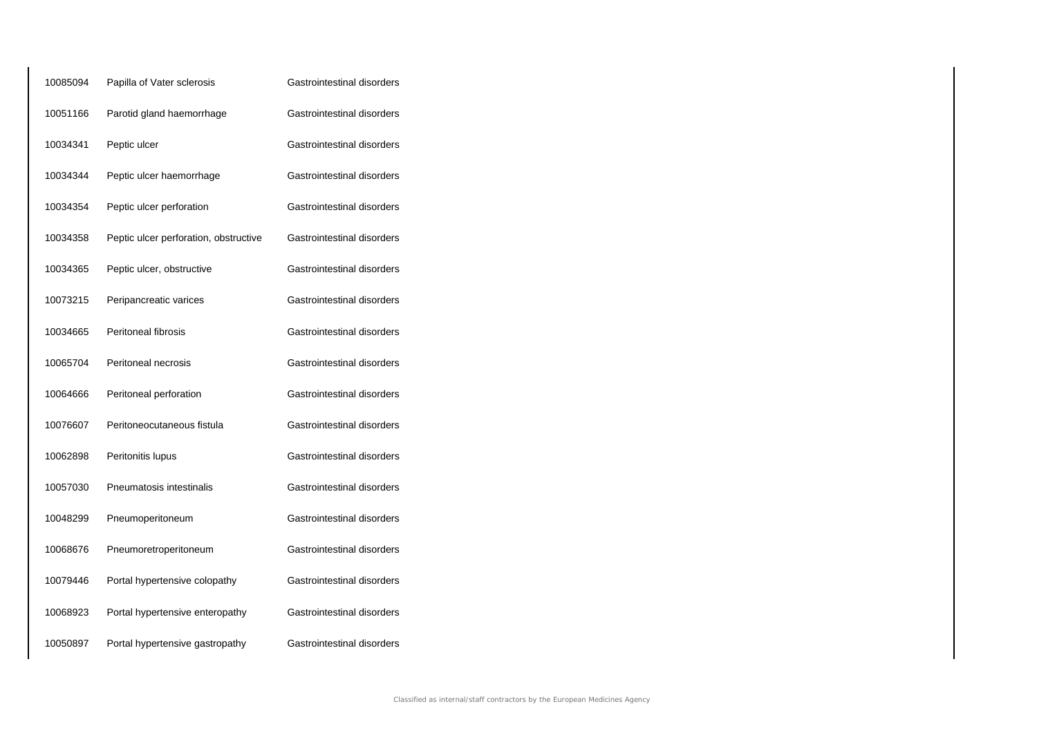| 10085094 | Papilla of Vater sclerosis            | Gastrointestinal disorders |
|----------|---------------------------------------|----------------------------|
| 10051166 | Parotid gland haemorrhage             | Gastrointestinal disorders |
| 10034341 | Peptic ulcer                          | Gastrointestinal disorders |
| 10034344 | Peptic ulcer haemorrhage              | Gastrointestinal disorders |
| 10034354 | Peptic ulcer perforation              | Gastrointestinal disorders |
| 10034358 | Peptic ulcer perforation, obstructive | Gastrointestinal disorders |
| 10034365 | Peptic ulcer, obstructive             | Gastrointestinal disorders |
| 10073215 | Peripancreatic varices                | Gastrointestinal disorders |
| 10034665 | <b>Peritoneal fibrosis</b>            | Gastrointestinal disorders |
| 10065704 | Peritoneal necrosis                   | Gastrointestinal disorders |
| 10064666 | Peritoneal perforation                | Gastrointestinal disorders |
| 10076607 | Peritoneocutaneous fistula            | Gastrointestinal disorders |
| 10062898 | Peritonitis lupus                     | Gastrointestinal disorders |
| 10057030 | Pneumatosis intestinalis              | Gastrointestinal disorders |
| 10048299 | Pneumoperitoneum                      | Gastrointestinal disorders |
| 10068676 | Pneumoretroperitoneum                 | Gastrointestinal disorders |
| 10079446 | Portal hypertensive colopathy         | Gastrointestinal disorders |
| 10068923 | Portal hypertensive enteropathy       | Gastrointestinal disorders |
| 10050897 | Portal hypertensive gastropathy       | Gastrointestinal disorders |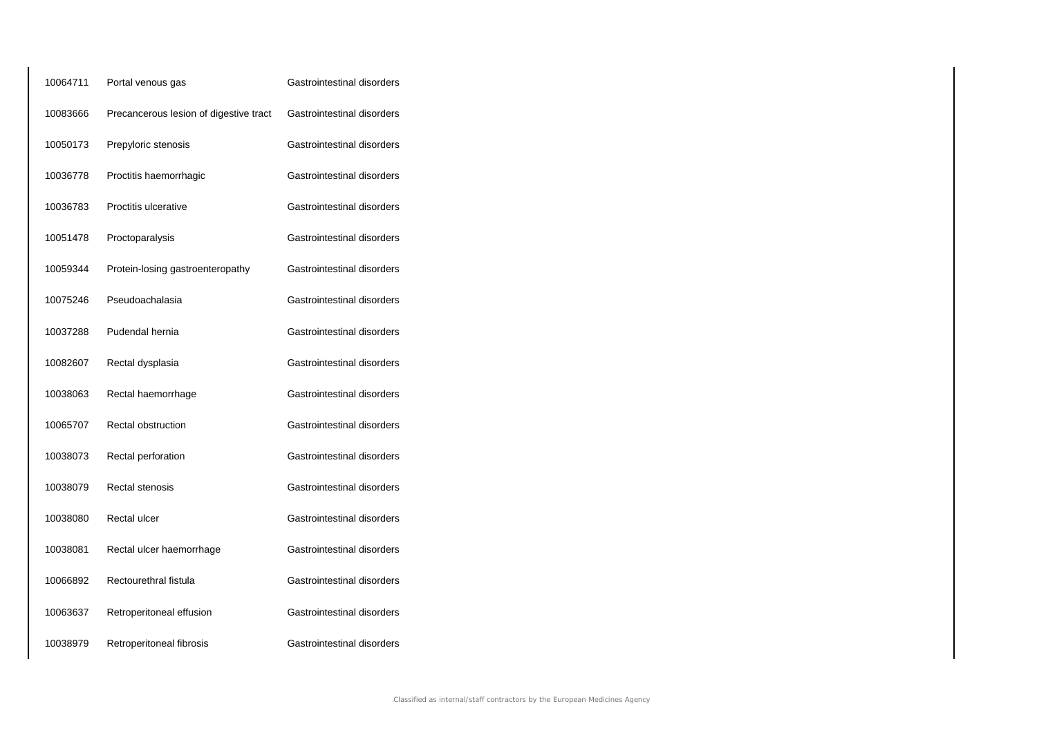| 10064711 | Portal venous gas                      | Gastrointestinal disorders |
|----------|----------------------------------------|----------------------------|
| 10083666 | Precancerous lesion of digestive tract | Gastrointestinal disorders |
| 10050173 | Prepyloric stenosis                    | Gastrointestinal disorders |
| 10036778 | Proctitis haemorrhagic                 | Gastrointestinal disorders |
| 10036783 | Proctitis ulcerative                   | Gastrointestinal disorders |
| 10051478 | Proctoparalysis                        | Gastrointestinal disorders |
| 10059344 | Protein-losing gastroenteropathy       | Gastrointestinal disorders |
| 10075246 | Pseudoachalasia                        | Gastrointestinal disorders |
| 10037288 | Pudendal hernia                        | Gastrointestinal disorders |
| 10082607 | Rectal dysplasia                       | Gastrointestinal disorders |
| 10038063 | Rectal haemorrhage                     | Gastrointestinal disorders |
| 10065707 | Rectal obstruction                     | Gastrointestinal disorders |
| 10038073 | Rectal perforation                     | Gastrointestinal disorders |
| 10038079 | Rectal stenosis                        | Gastrointestinal disorders |
| 10038080 | Rectal ulcer                           | Gastrointestinal disorders |
| 10038081 | Rectal ulcer haemorrhage               | Gastrointestinal disorders |
| 10066892 | Rectourethral fistula                  | Gastrointestinal disorders |
| 10063637 | Retroperitoneal effusion               | Gastrointestinal disorders |
| 10038979 | Retroperitoneal fibrosis               | Gastrointestinal disorders |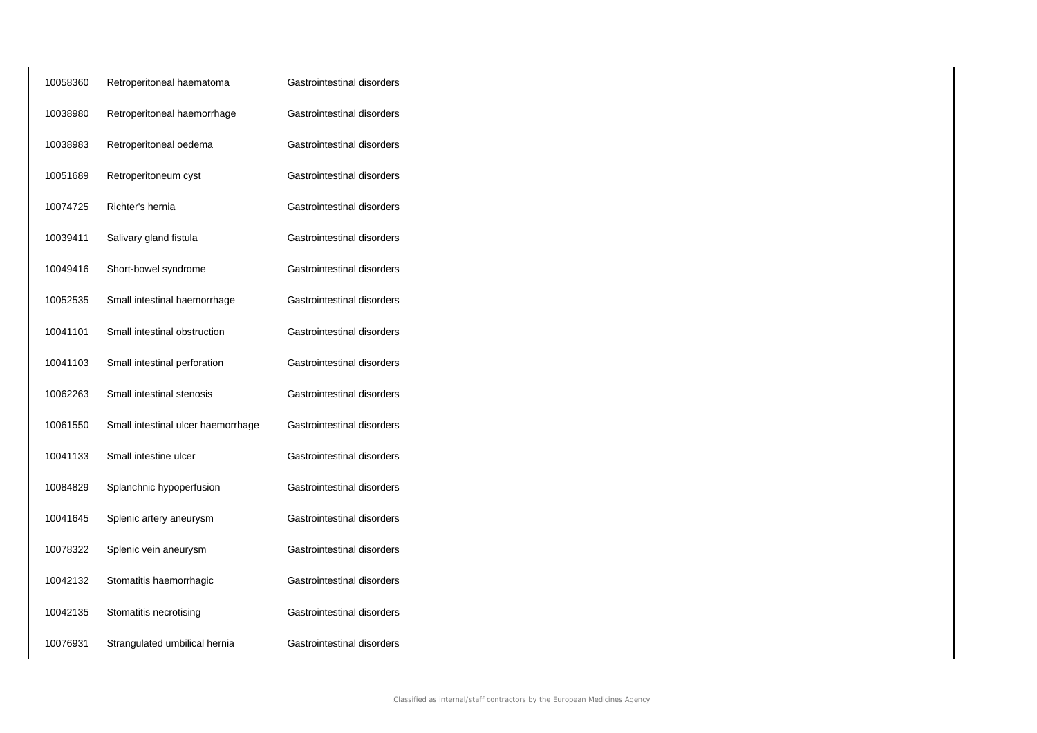| 10058360 | Retroperitoneal haematoma          | Gastrointestinal disorders |
|----------|------------------------------------|----------------------------|
| 10038980 | Retroperitoneal haemorrhage        | Gastrointestinal disorders |
| 10038983 | Retroperitoneal oedema             | Gastrointestinal disorders |
| 10051689 | Retroperitoneum cyst               | Gastrointestinal disorders |
| 10074725 | Richter's hernia                   | Gastrointestinal disorders |
| 10039411 | Salivary gland fistula             | Gastrointestinal disorders |
| 10049416 | Short-bowel syndrome               | Gastrointestinal disorders |
| 10052535 | Small intestinal haemorrhage       | Gastrointestinal disorders |
| 10041101 | Small intestinal obstruction       | Gastrointestinal disorders |
| 10041103 | Small intestinal perforation       | Gastrointestinal disorders |
| 10062263 | Small intestinal stenosis          | Gastrointestinal disorders |
| 10061550 | Small intestinal ulcer haemorrhage | Gastrointestinal disorders |
| 10041133 | Small intestine ulcer              | Gastrointestinal disorders |
| 10084829 | Splanchnic hypoperfusion           | Gastrointestinal disorders |
| 10041645 | Splenic artery aneurysm            | Gastrointestinal disorders |
| 10078322 | Splenic vein aneurysm              | Gastrointestinal disorders |
| 10042132 | Stomatitis haemorrhagic            | Gastrointestinal disorders |
| 10042135 | Stomatitis necrotising             | Gastrointestinal disorders |
| 10076931 | Strangulated umbilical hernia      | Gastrointestinal disorders |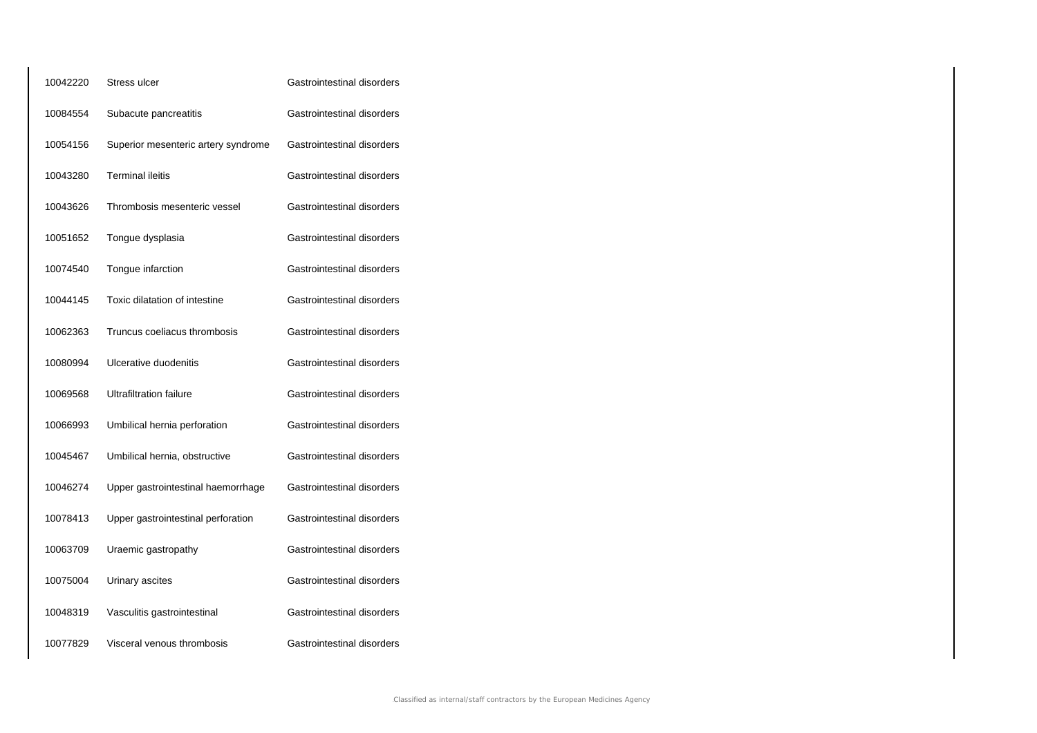| 10042220 | Stress ulcer                        | Gastrointestinal disorders |
|----------|-------------------------------------|----------------------------|
| 10084554 | Subacute pancreatitis               | Gastrointestinal disorders |
| 10054156 | Superior mesenteric artery syndrome | Gastrointestinal disorders |
| 10043280 | <b>Terminal ileitis</b>             | Gastrointestinal disorders |
| 10043626 | Thrombosis mesenteric vessel        | Gastrointestinal disorders |
| 10051652 | Tongue dysplasia                    | Gastrointestinal disorders |
| 10074540 | Tongue infarction                   | Gastrointestinal disorders |
| 10044145 | Toxic dilatation of intestine       | Gastrointestinal disorders |
| 10062363 | Truncus coeliacus thrombosis        | Gastrointestinal disorders |
| 10080994 | Ulcerative duodenitis               | Gastrointestinal disorders |
| 10069568 | <b>Ultrafiltration failure</b>      | Gastrointestinal disorders |
| 10066993 | Umbilical hernia perforation        | Gastrointestinal disorders |
| 10045467 | Umbilical hernia, obstructive       | Gastrointestinal disorders |
| 10046274 | Upper gastrointestinal haemorrhage  | Gastrointestinal disorders |
| 10078413 | Upper gastrointestinal perforation  | Gastrointestinal disorders |
| 10063709 | Uraemic gastropathy                 | Gastrointestinal disorders |
| 10075004 | Urinary ascites                     | Gastrointestinal disorders |
| 10048319 | Vasculitis gastrointestinal         | Gastrointestinal disorders |
| 10077829 | Visceral venous thrombosis          | Gastrointestinal disorders |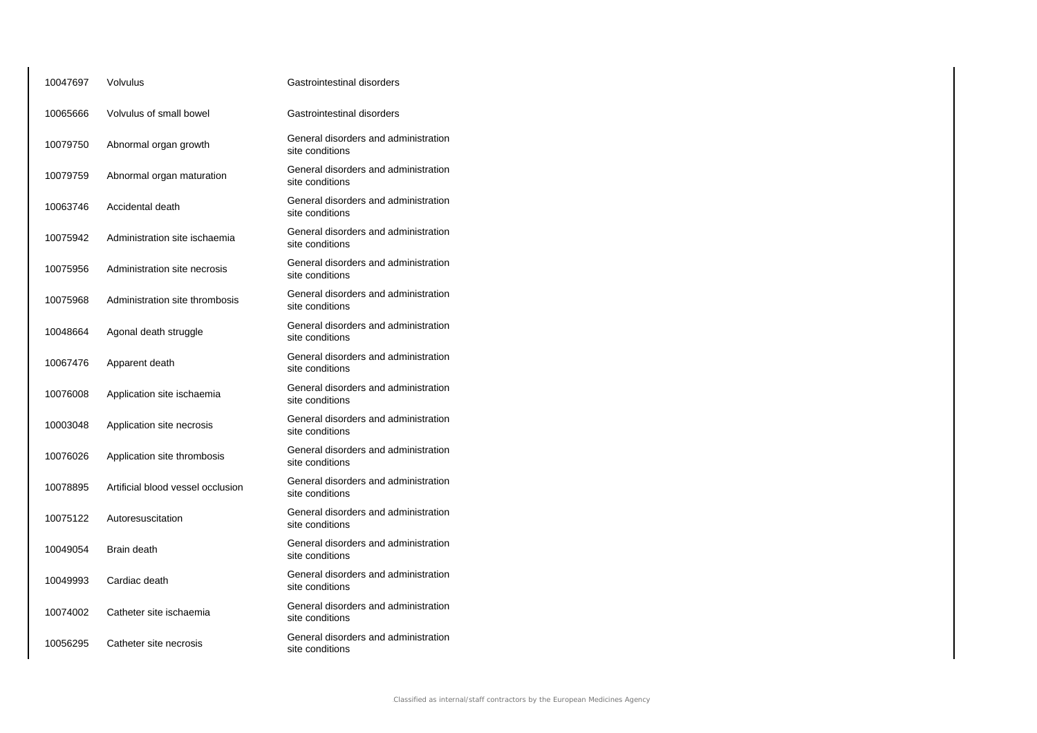| 10047697 | Volvulus                          | Gastrointestinal disorders                              |  |
|----------|-----------------------------------|---------------------------------------------------------|--|
| 10065666 | Volvulus of small bowel           | Gastrointestinal disorders                              |  |
| 10079750 | Abnormal organ growth             | General disorders and administration<br>site conditions |  |
| 10079759 | Abnormal organ maturation         | General disorders and administration<br>site conditions |  |
| 10063746 | Accidental death                  | General disorders and administration<br>site conditions |  |
| 10075942 | Administration site ischaemia     | General disorders and administration<br>site conditions |  |
| 10075956 | Administration site necrosis      | General disorders and administration<br>site conditions |  |
| 10075968 | Administration site thrombosis    | General disorders and administration<br>site conditions |  |
| 10048664 | Agonal death struggle             | General disorders and administration<br>site conditions |  |
| 10067476 | Apparent death                    | General disorders and administration<br>site conditions |  |
| 10076008 | Application site ischaemia        | General disorders and administration<br>site conditions |  |
| 10003048 | Application site necrosis         | General disorders and administration<br>site conditions |  |
| 10076026 | Application site thrombosis       | General disorders and administration<br>site conditions |  |
| 10078895 | Artificial blood vessel occlusion | General disorders and administration<br>site conditions |  |
| 10075122 | Autoresuscitation                 | General disorders and administration<br>site conditions |  |
| 10049054 | Brain death                       | General disorders and administration<br>site conditions |  |
| 10049993 | Cardiac death                     | General disorders and administration<br>site conditions |  |
| 10074002 | Catheter site ischaemia           | General disorders and administration<br>site conditions |  |
| 10056295 | Catheter site necrosis            | General disorders and administration<br>site conditions |  |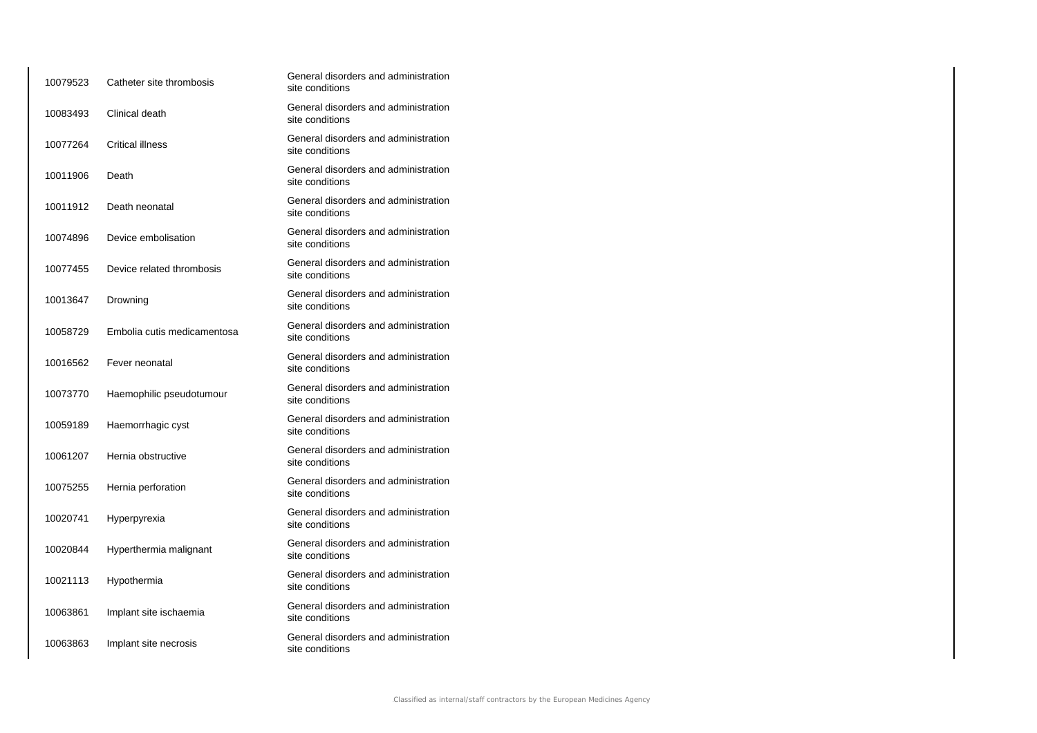| 10079523 | Catheter site thrombosis    | General disorders and administration<br>site conditions |
|----------|-----------------------------|---------------------------------------------------------|
| 10083493 | Clinical death              | General disorders and administration<br>site conditions |
| 10077264 | <b>Critical illness</b>     | General disorders and administration<br>site conditions |
| 10011906 | Death                       | General disorders and administration<br>site conditions |
| 10011912 | Death neonatal              | General disorders and administration<br>site conditions |
| 10074896 | Device embolisation         | General disorders and administration<br>site conditions |
| 10077455 | Device related thrombosis   | General disorders and administration<br>site conditions |
| 10013647 | Drowning                    | General disorders and administration<br>site conditions |
| 10058729 | Embolia cutis medicamentosa | General disorders and administration<br>site conditions |
| 10016562 | Fever neonatal              | General disorders and administration<br>site conditions |
| 10073770 | Haemophilic pseudotumour    | General disorders and administration<br>site conditions |
| 10059189 | Haemorrhagic cyst           | General disorders and administration<br>site conditions |
| 10061207 | Hernia obstructive          | General disorders and administration<br>site conditions |
| 10075255 | Hernia perforation          | General disorders and administration<br>site conditions |
| 10020741 | Hyperpyrexia                | General disorders and administration<br>site conditions |
| 10020844 | Hyperthermia malignant      | General disorders and administration<br>site conditions |
| 10021113 | Hypothermia                 | General disorders and administration<br>site conditions |
| 10063861 | Implant site ischaemia      | General disorders and administration<br>site conditions |
| 10063863 | Implant site necrosis       | General disorders and administration<br>site conditions |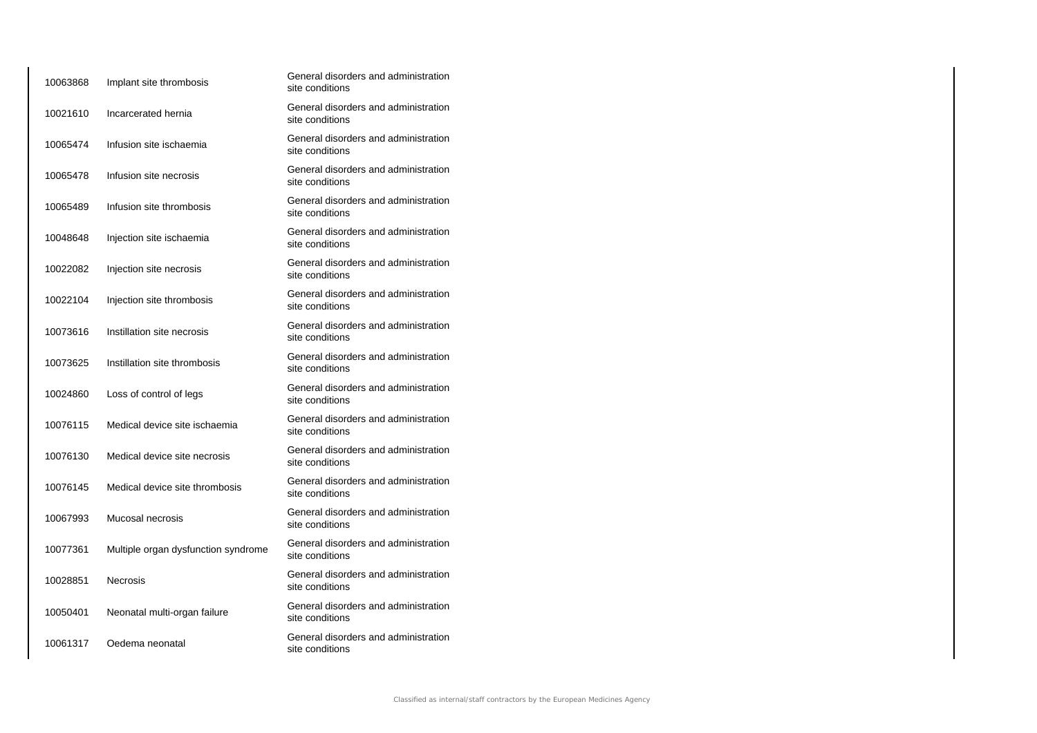| 10063868 | Implant site thrombosis             | General disorders and administration<br>site conditions |
|----------|-------------------------------------|---------------------------------------------------------|
| 10021610 | Incarcerated hernia                 | General disorders and administration<br>site conditions |
| 10065474 | Infusion site ischaemia             | General disorders and administration<br>site conditions |
| 10065478 | Infusion site necrosis              | General disorders and administration<br>site conditions |
| 10065489 | Infusion site thrombosis            | General disorders and administration<br>site conditions |
| 10048648 | Injection site ischaemia            | General disorders and administration<br>site conditions |
| 10022082 | Injection site necrosis             | General disorders and administration<br>site conditions |
| 10022104 | Injection site thrombosis           | General disorders and administration<br>site conditions |
| 10073616 | Instillation site necrosis          | General disorders and administration<br>site conditions |
| 10073625 | Instillation site thrombosis        | General disorders and administration<br>site conditions |
| 10024860 | Loss of control of legs             | General disorders and administration<br>site conditions |
| 10076115 | Medical device site ischaemia       | General disorders and administration<br>site conditions |
| 10076130 | Medical device site necrosis        | General disorders and administration<br>site conditions |
| 10076145 | Medical device site thrombosis      | General disorders and administration<br>site conditions |
| 10067993 | Mucosal necrosis                    | General disorders and administration<br>site conditions |
| 10077361 | Multiple organ dysfunction syndrome | General disorders and administration<br>site conditions |
| 10028851 | <b>Necrosis</b>                     | General disorders and administration<br>site conditions |
| 10050401 | Neonatal multi-organ failure        | General disorders and administration<br>site conditions |
| 10061317 | Oedema neonatal                     | General disorders and administration<br>site conditions |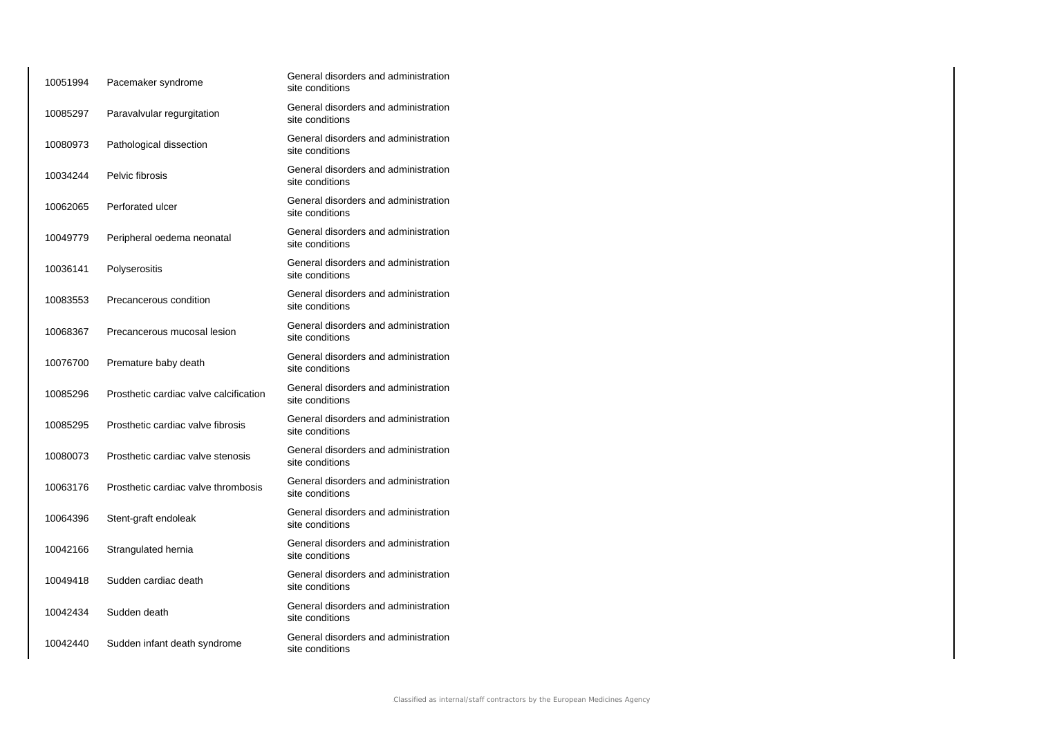| 10051994 | Pacemaker syndrome                     | General disorders and administration<br>site conditions |
|----------|----------------------------------------|---------------------------------------------------------|
| 10085297 | Paravalvular regurgitation             | General disorders and administration<br>site conditions |
| 10080973 | Pathological dissection                | General disorders and administration<br>site conditions |
| 10034244 | Pelvic fibrosis                        | General disorders and administration<br>site conditions |
| 10062065 | Perforated ulcer                       | General disorders and administration<br>site conditions |
| 10049779 | Peripheral oedema neonatal             | General disorders and administration<br>site conditions |
| 10036141 | Polyserositis                          | General disorders and administration<br>site conditions |
| 10083553 | Precancerous condition                 | General disorders and administration<br>site conditions |
| 10068367 | Precancerous mucosal lesion            | General disorders and administration<br>site conditions |
| 10076700 | Premature baby death                   | General disorders and administration<br>site conditions |
| 10085296 | Prosthetic cardiac valve calcification | General disorders and administration<br>site conditions |
| 10085295 | Prosthetic cardiac valve fibrosis      | General disorders and administration<br>site conditions |
| 10080073 | Prosthetic cardiac valve stenosis      | General disorders and administration<br>site conditions |
| 10063176 | Prosthetic cardiac valve thrombosis    | General disorders and administration<br>site conditions |
| 10064396 | Stent-graft endoleak                   | General disorders and administration<br>site conditions |
| 10042166 | Strangulated hernia                    | General disorders and administration<br>site conditions |
| 10049418 | Sudden cardiac death                   | General disorders and administration<br>site conditions |
| 10042434 | Sudden death                           | General disorders and administration<br>site conditions |
| 10042440 | Sudden infant death syndrome           | General disorders and administration<br>site conditions |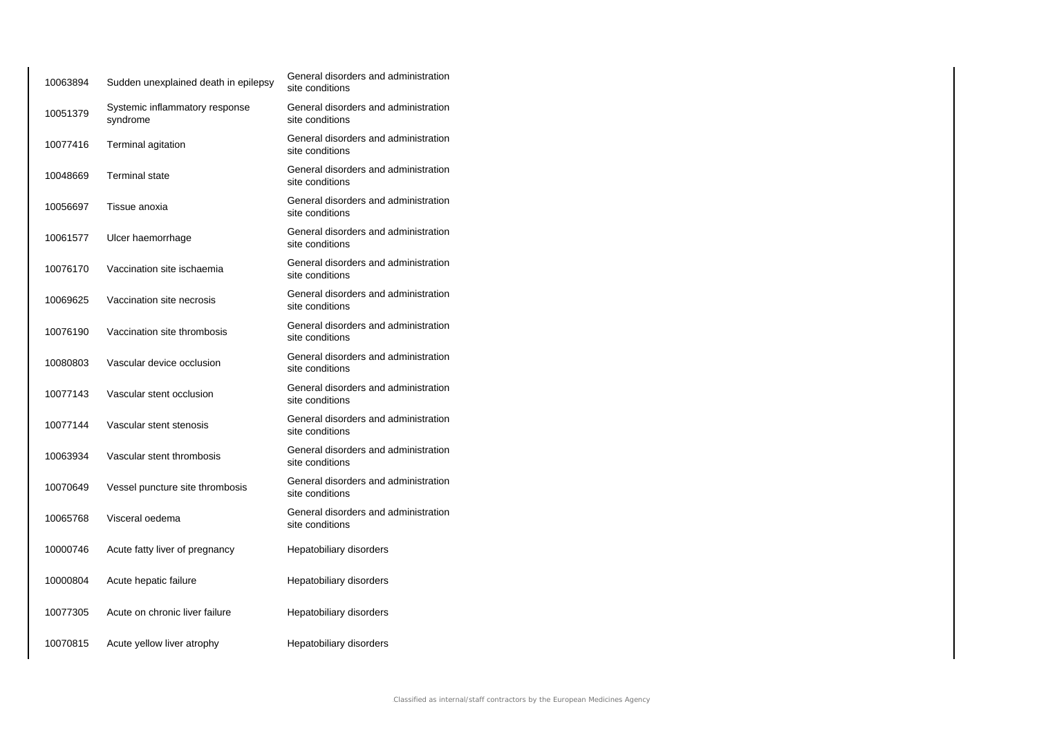| 10063894 | Sudden unexplained death in epilepsy       | General disorders and administration<br>site conditions |
|----------|--------------------------------------------|---------------------------------------------------------|
| 10051379 | Systemic inflammatory response<br>syndrome | General disorders and administration<br>site conditions |
| 10077416 | Terminal agitation                         | General disorders and administration<br>site conditions |
| 10048669 | <b>Terminal state</b>                      | General disorders and administration<br>site conditions |
| 10056697 | Tissue anoxia                              | General disorders and administration<br>site conditions |
| 10061577 | Ulcer haemorrhage                          | General disorders and administration<br>site conditions |
| 10076170 | Vaccination site ischaemia                 | General disorders and administration<br>site conditions |
| 10069625 | Vaccination site necrosis                  | General disorders and administration<br>site conditions |
| 10076190 | Vaccination site thrombosis                | General disorders and administration<br>site conditions |
| 10080803 | Vascular device occlusion                  | General disorders and administration<br>site conditions |
| 10077143 | Vascular stent occlusion                   | General disorders and administration<br>site conditions |
| 10077144 | Vascular stent stenosis                    | General disorders and administration<br>site conditions |
| 10063934 | Vascular stent thrombosis                  | General disorders and administration<br>site conditions |
| 10070649 | Vessel puncture site thrombosis            | General disorders and administration<br>site conditions |
| 10065768 | Visceral oedema                            | General disorders and administration<br>site conditions |
| 10000746 | Acute fatty liver of pregnancy             | Hepatobiliary disorders                                 |
| 10000804 | Acute hepatic failure                      | Hepatobiliary disorders                                 |
| 10077305 | Acute on chronic liver failure             | Hepatobiliary disorders                                 |
| 10070815 | Acute yellow liver atrophy                 | Hepatobiliary disorders                                 |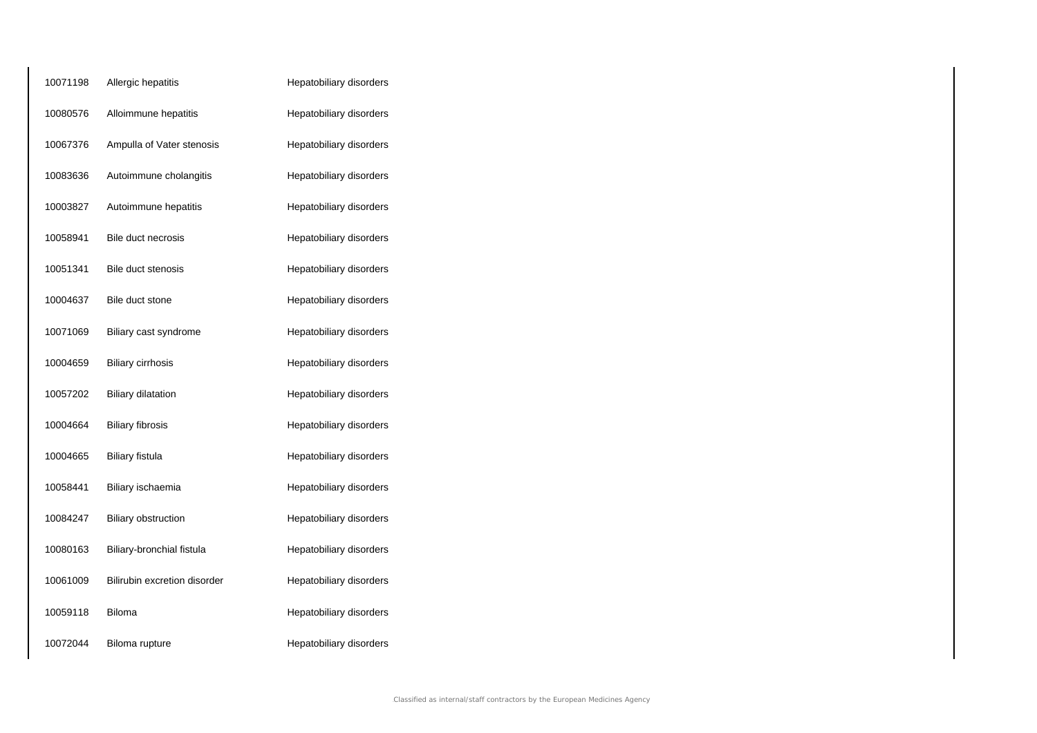| 10071198 | Allergic hepatitis           | Hepatobiliary disorders |
|----------|------------------------------|-------------------------|
| 10080576 | Alloimmune hepatitis         | Hepatobiliary disorders |
| 10067376 | Ampulla of Vater stenosis    | Hepatobiliary disorders |
| 10083636 | Autoimmune cholangitis       | Hepatobiliary disorders |
| 10003827 | Autoimmune hepatitis         | Hepatobiliary disorders |
| 10058941 | Bile duct necrosis           | Hepatobiliary disorders |
| 10051341 | Bile duct stenosis           | Hepatobiliary disorders |
| 10004637 | Bile duct stone              | Hepatobiliary disorders |
| 10071069 | Biliary cast syndrome        | Hepatobiliary disorders |
| 10004659 | <b>Biliary cirrhosis</b>     | Hepatobiliary disorders |
| 10057202 | <b>Biliary dilatation</b>    | Hepatobiliary disorders |
| 10004664 | <b>Biliary fibrosis</b>      | Hepatobiliary disorders |
| 10004665 | <b>Biliary fistula</b>       | Hepatobiliary disorders |
| 10058441 | Biliary ischaemia            | Hepatobiliary disorders |
| 10084247 | <b>Biliary obstruction</b>   | Hepatobiliary disorders |
| 10080163 | Biliary-bronchial fistula    | Hepatobiliary disorders |
| 10061009 | Bilirubin excretion disorder | Hepatobiliary disorders |
| 10059118 | Biloma                       | Hepatobiliary disorders |
| 10072044 | Biloma rupture               | Hepatobiliary disorders |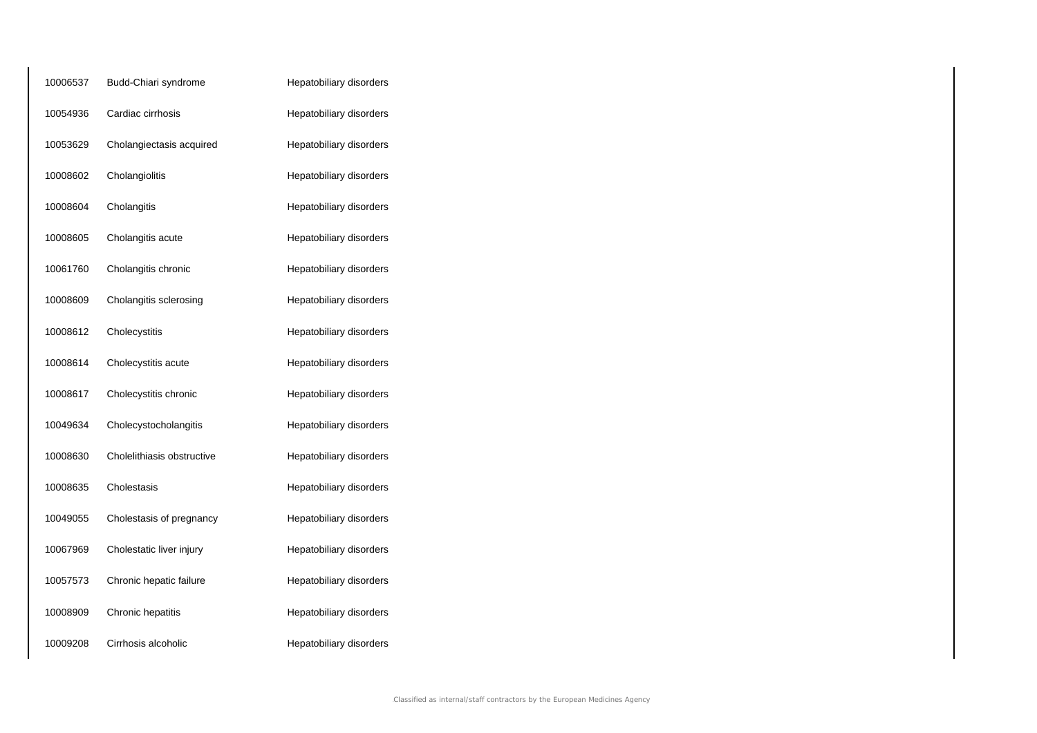| 10006537 | Budd-Chiari syndrome       | Hepatobiliary disorders |
|----------|----------------------------|-------------------------|
| 10054936 | Cardiac cirrhosis          | Hepatobiliary disorders |
| 10053629 | Cholangiectasis acquired   | Hepatobiliary disorders |
| 10008602 | Cholangiolitis             | Hepatobiliary disorders |
| 10008604 | Cholangitis                | Hepatobiliary disorders |
| 10008605 | Cholangitis acute          | Hepatobiliary disorders |
| 10061760 | Cholangitis chronic        | Hepatobiliary disorders |
| 10008609 | Cholangitis sclerosing     | Hepatobiliary disorders |
| 10008612 | Cholecystitis              | Hepatobiliary disorders |
| 10008614 | Cholecystitis acute        | Hepatobiliary disorders |
| 10008617 | Cholecystitis chronic      | Hepatobiliary disorders |
| 10049634 | Cholecystocholangitis      | Hepatobiliary disorders |
| 10008630 | Cholelithiasis obstructive | Hepatobiliary disorders |
| 10008635 | Cholestasis                | Hepatobiliary disorders |
| 10049055 | Cholestasis of pregnancy   | Hepatobiliary disorders |
| 10067969 | Cholestatic liver injury   | Hepatobiliary disorders |
| 10057573 | Chronic hepatic failure    | Hepatobiliary disorders |
| 10008909 | Chronic hepatitis          | Hepatobiliary disorders |
| 10009208 | Cirrhosis alcoholic        | Hepatobiliary disorders |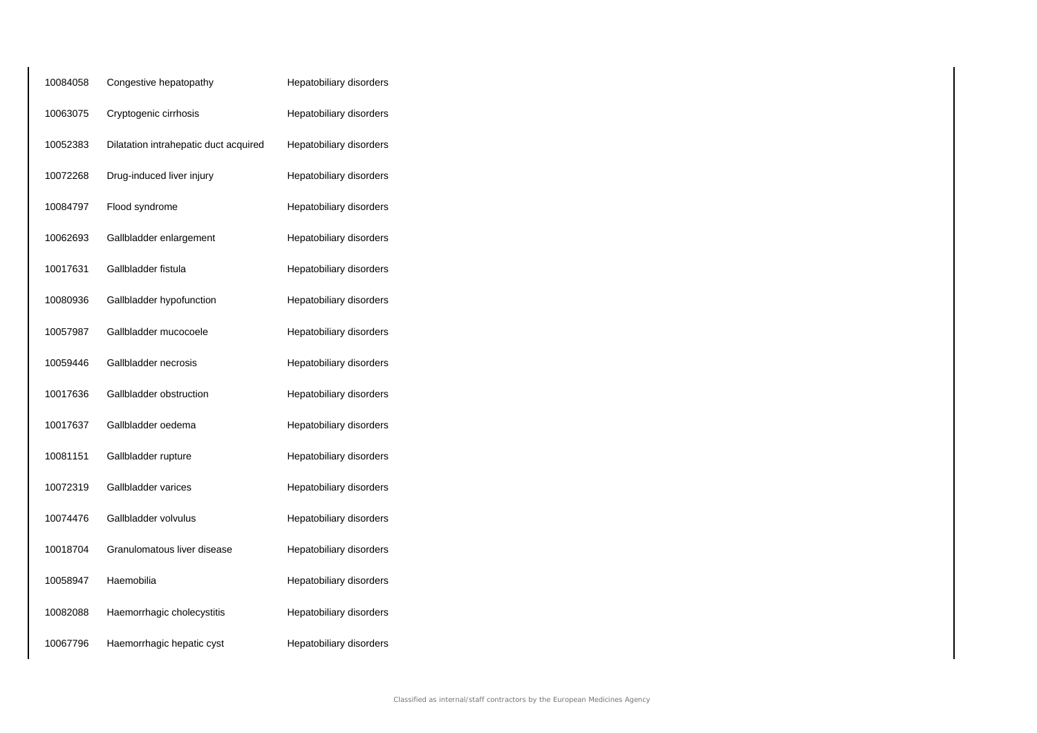| 10084058 | Congestive hepatopathy                | Hepatobiliary disorders |
|----------|---------------------------------------|-------------------------|
| 10063075 | Cryptogenic cirrhosis                 | Hepatobiliary disorders |
| 10052383 | Dilatation intrahepatic duct acquired | Hepatobiliary disorders |
| 10072268 | Drug-induced liver injury             | Hepatobiliary disorders |
| 10084797 | Flood syndrome                        | Hepatobiliary disorders |
| 10062693 | Gallbladder enlargement               | Hepatobiliary disorders |
| 10017631 | Gallbladder fistula                   | Hepatobiliary disorders |
| 10080936 | Gallbladder hypofunction              | Hepatobiliary disorders |
| 10057987 | Gallbladder mucocoele                 | Hepatobiliary disorders |
| 10059446 | Gallbladder necrosis                  | Hepatobiliary disorders |
| 10017636 | Gallbladder obstruction               | Hepatobiliary disorders |
| 10017637 | Gallbladder oedema                    | Hepatobiliary disorders |
| 10081151 | Gallbladder rupture                   | Hepatobiliary disorders |
| 10072319 | Gallbladder varices                   | Hepatobiliary disorders |
| 10074476 | Gallbladder volvulus                  | Hepatobiliary disorders |
| 10018704 | Granulomatous liver disease           | Hepatobiliary disorders |
| 10058947 | Haemobilia                            | Hepatobiliary disorders |
| 10082088 | Haemorrhagic cholecystitis            | Hepatobiliary disorders |
| 10067796 | Haemorrhagic hepatic cyst             | Hepatobiliary disorders |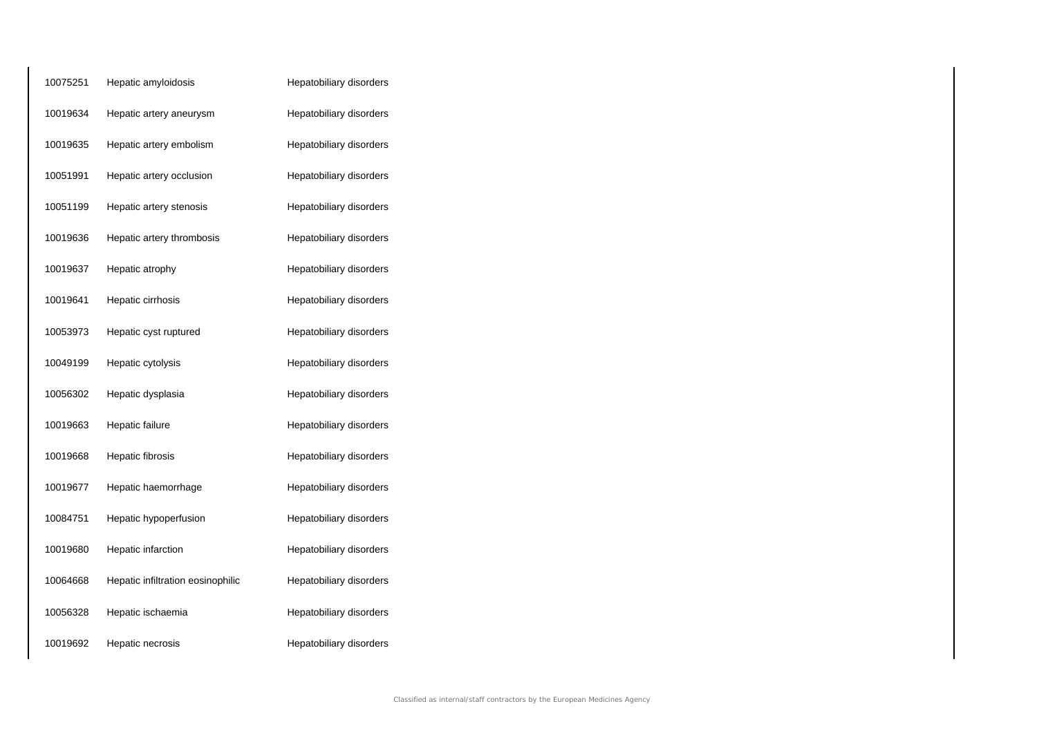| 10075251 | Hepatic amyloidosis               | Hepatobiliary disorders |
|----------|-----------------------------------|-------------------------|
| 10019634 | Hepatic artery aneurysm           | Hepatobiliary disorders |
| 10019635 | Hepatic artery embolism           | Hepatobiliary disorders |
| 10051991 | Hepatic artery occlusion          | Hepatobiliary disorders |
| 10051199 | Hepatic artery stenosis           | Hepatobiliary disorders |
| 10019636 | Hepatic artery thrombosis         | Hepatobiliary disorders |
| 10019637 | Hepatic atrophy                   | Hepatobiliary disorders |
| 10019641 | Hepatic cirrhosis                 | Hepatobiliary disorders |
| 10053973 | Hepatic cyst ruptured             | Hepatobiliary disorders |
| 10049199 | Hepatic cytolysis                 | Hepatobiliary disorders |
| 10056302 | Hepatic dysplasia                 | Hepatobiliary disorders |
| 10019663 | Hepatic failure                   | Hepatobiliary disorders |
| 10019668 | Hepatic fibrosis                  | Hepatobiliary disorders |
| 10019677 | Hepatic haemorrhage               | Hepatobiliary disorders |
| 10084751 | Hepatic hypoperfusion             | Hepatobiliary disorders |
| 10019680 | Hepatic infarction                | Hepatobiliary disorders |
| 10064668 | Hepatic infiltration eosinophilic | Hepatobiliary disorders |
| 10056328 | Hepatic ischaemia                 | Hepatobiliary disorders |
| 10019692 | Hepatic necrosis                  | Hepatobiliary disorders |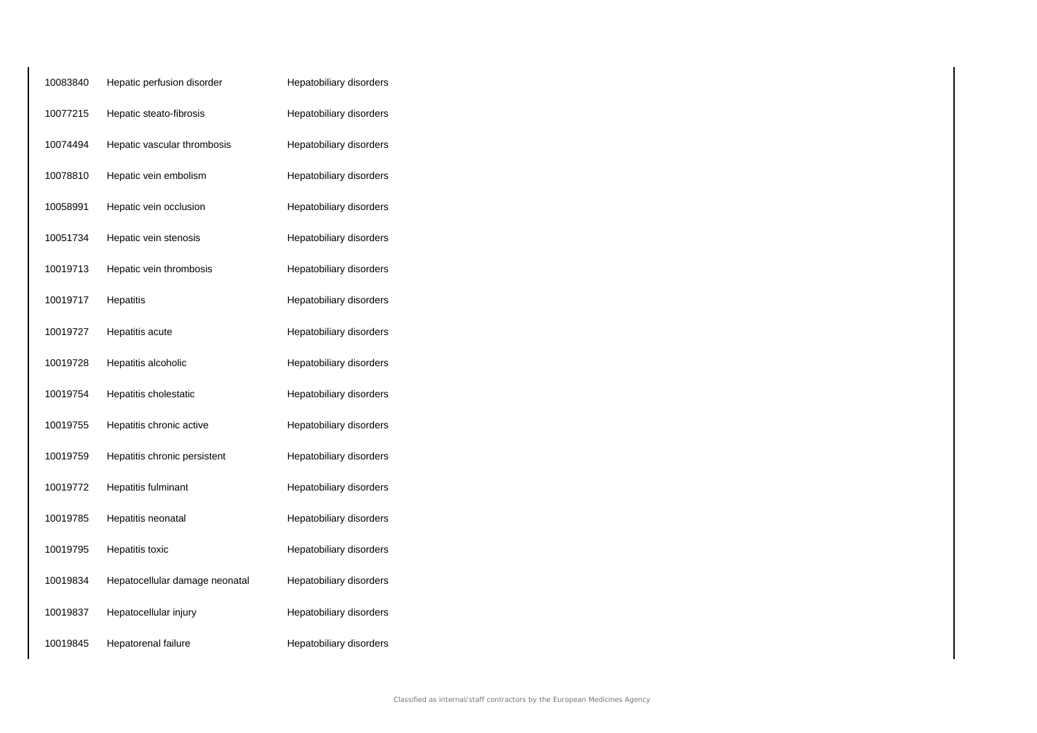| 10083840 | Hepatic perfusion disorder     | Hepatobiliary disorders |
|----------|--------------------------------|-------------------------|
| 10077215 | Hepatic steato-fibrosis        | Hepatobiliary disorders |
| 10074494 | Hepatic vascular thrombosis    | Hepatobiliary disorders |
| 10078810 | Hepatic vein embolism          | Hepatobiliary disorders |
| 10058991 | Hepatic vein occlusion         | Hepatobiliary disorders |
| 10051734 | Hepatic vein stenosis          | Hepatobiliary disorders |
| 10019713 | Hepatic vein thrombosis        | Hepatobiliary disorders |
| 10019717 | Hepatitis                      | Hepatobiliary disorders |
| 10019727 | Hepatitis acute                | Hepatobiliary disorders |
| 10019728 | Hepatitis alcoholic            | Hepatobiliary disorders |
| 10019754 | Hepatitis cholestatic          | Hepatobiliary disorders |
| 10019755 | Hepatitis chronic active       | Hepatobiliary disorders |
| 10019759 | Hepatitis chronic persistent   | Hepatobiliary disorders |
| 10019772 | Hepatitis fulminant            | Hepatobiliary disorders |
| 10019785 | Hepatitis neonatal             | Hepatobiliary disorders |
| 10019795 | Hepatitis toxic                | Hepatobiliary disorders |
| 10019834 | Hepatocellular damage neonatal | Hepatobiliary disorders |
| 10019837 | Hepatocellular injury          | Hepatobiliary disorders |
| 10019845 | Hepatorenal failure            | Hepatobiliary disorders |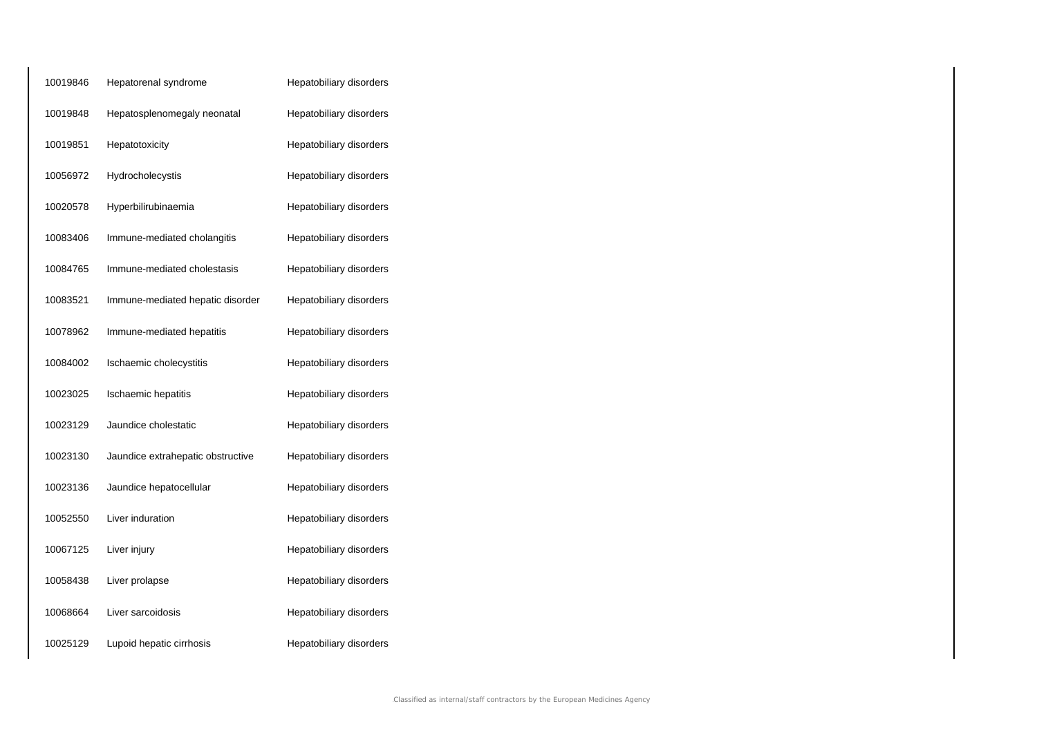| 10019846 | Hepatorenal syndrome              | Hepatobiliary disorders |
|----------|-----------------------------------|-------------------------|
| 10019848 | Hepatosplenomegaly neonatal       | Hepatobiliary disorders |
| 10019851 | Hepatotoxicity                    | Hepatobiliary disorders |
| 10056972 | Hydrocholecystis                  | Hepatobiliary disorders |
| 10020578 | Hyperbilirubinaemia               | Hepatobiliary disorders |
| 10083406 | Immune-mediated cholangitis       | Hepatobiliary disorders |
| 10084765 | Immune-mediated cholestasis       | Hepatobiliary disorders |
| 10083521 | Immune-mediated hepatic disorder  | Hepatobiliary disorders |
| 10078962 | Immune-mediated hepatitis         | Hepatobiliary disorders |
| 10084002 | Ischaemic cholecystitis           | Hepatobiliary disorders |
| 10023025 | Ischaemic hepatitis               | Hepatobiliary disorders |
| 10023129 | Jaundice cholestatic              | Hepatobiliary disorders |
| 10023130 | Jaundice extrahepatic obstructive | Hepatobiliary disorders |
| 10023136 | Jaundice hepatocellular           | Hepatobiliary disorders |
| 10052550 | Liver induration                  | Hepatobiliary disorders |
| 10067125 | Liver injury                      | Hepatobiliary disorders |
| 10058438 | Liver prolapse                    | Hepatobiliary disorders |
| 10068664 | Liver sarcoidosis                 | Hepatobiliary disorders |
| 10025129 | Lupoid hepatic cirrhosis          | Hepatobiliary disorders |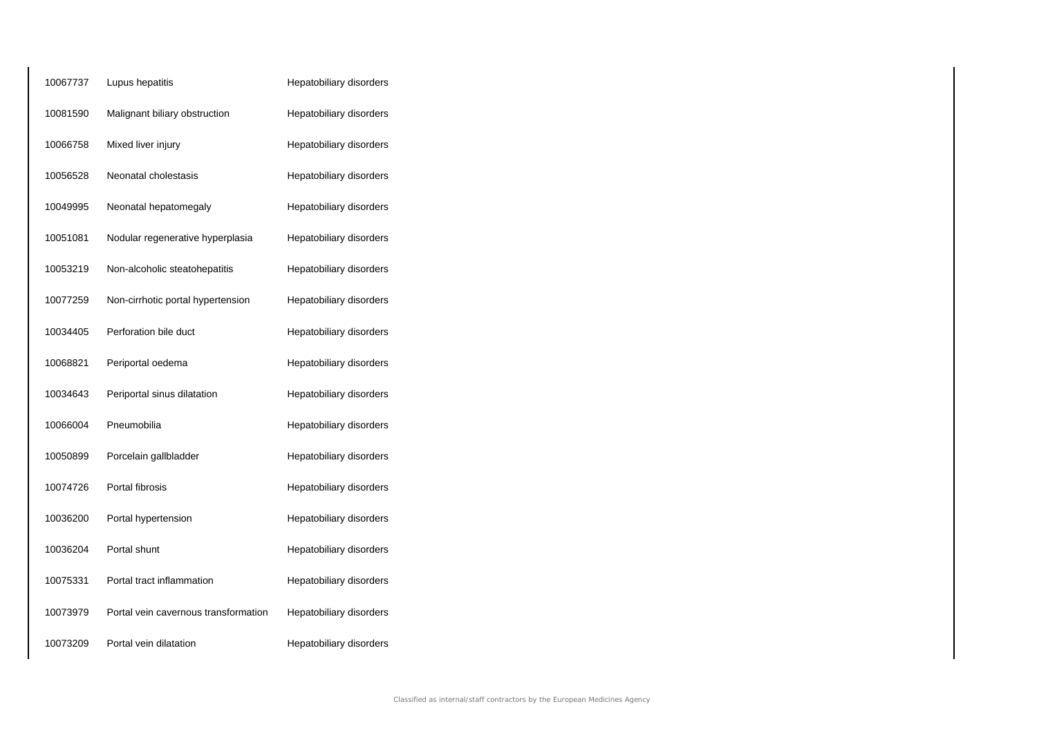| 10067737 | Lupus hepatitis                      | Hepatobiliary disorders |
|----------|--------------------------------------|-------------------------|
| 10081590 | Malignant biliary obstruction        | Hepatobiliary disorders |
| 10066758 | Mixed liver injury                   | Hepatobiliary disorders |
| 10056528 | Neonatal cholestasis                 | Hepatobiliary disorders |
| 10049995 | Neonatal hepatomegaly                | Hepatobiliary disorders |
| 10051081 | Nodular regenerative hyperplasia     | Hepatobiliary disorders |
| 10053219 | Non-alcoholic steatohepatitis        | Hepatobiliary disorders |
| 10077259 | Non-cirrhotic portal hypertension    | Hepatobiliary disorders |
| 10034405 | Perforation bile duct                | Hepatobiliary disorders |
| 10068821 | Periportal oedema                    | Hepatobiliary disorders |
| 10034643 | Periportal sinus dilatation          | Hepatobiliary disorders |
| 10066004 | Pneumobilia                          | Hepatobiliary disorders |
| 10050899 | Porcelain gallbladder                | Hepatobiliary disorders |
| 10074726 | Portal fibrosis                      | Hepatobiliary disorders |
| 10036200 | Portal hypertension                  | Hepatobiliary disorders |
| 10036204 | Portal shunt                         | Hepatobiliary disorders |
| 10075331 | Portal tract inflammation            | Hepatobiliary disorders |
| 10073979 | Portal vein cavernous transformation | Hepatobiliary disorders |
| 10073209 | Portal vein dilatation               | Hepatobiliary disorders |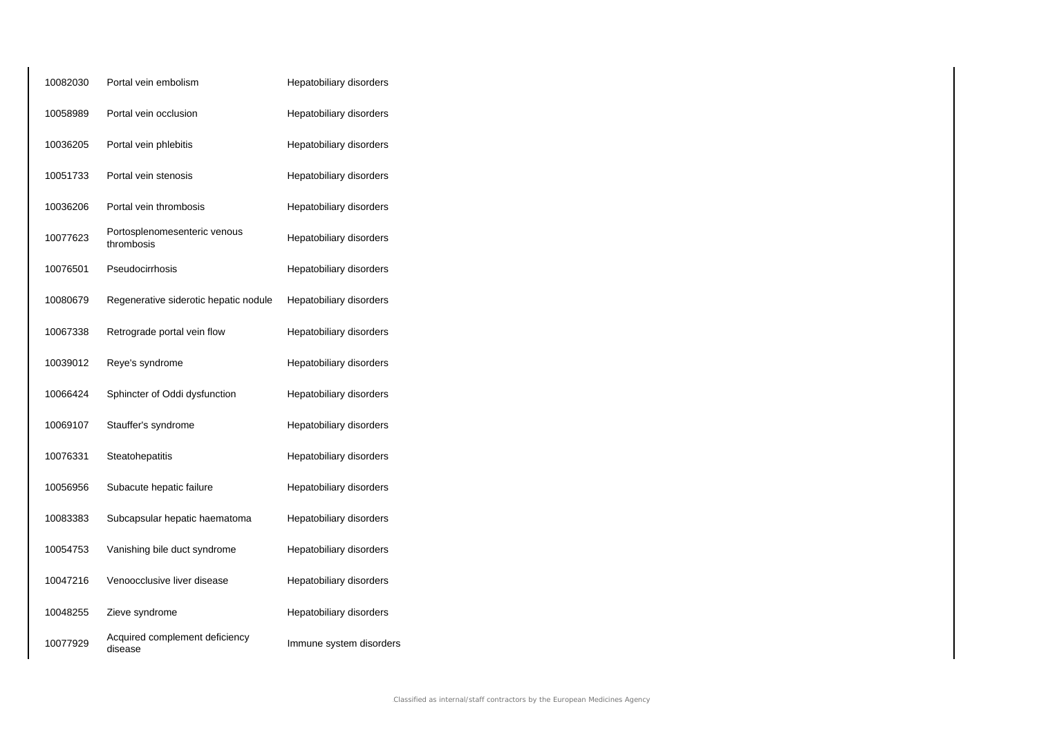| 10082030 | Portal vein embolism                       | Hepatobiliary disorders |
|----------|--------------------------------------------|-------------------------|
| 10058989 | Portal vein occlusion                      | Hepatobiliary disorders |
| 10036205 | Portal vein phlebitis                      | Hepatobiliary disorders |
| 10051733 | Portal vein stenosis                       | Hepatobiliary disorders |
| 10036206 | Portal vein thrombosis                     | Hepatobiliary disorders |
| 10077623 | Portosplenomesenteric venous<br>thrombosis | Hepatobiliary disorders |
| 10076501 | Pseudocirrhosis                            | Hepatobiliary disorders |
| 10080679 | Regenerative siderotic hepatic nodule      | Hepatobiliary disorders |
| 10067338 | Retrograde portal vein flow                | Hepatobiliary disorders |
| 10039012 | Reye's syndrome                            | Hepatobiliary disorders |
| 10066424 | Sphincter of Oddi dysfunction              | Hepatobiliary disorders |
| 10069107 | Stauffer's syndrome                        | Hepatobiliary disorders |
| 10076331 | Steatohepatitis                            | Hepatobiliary disorders |
| 10056956 | Subacute hepatic failure                   | Hepatobiliary disorders |
| 10083383 | Subcapsular hepatic haematoma              | Hepatobiliary disorders |
| 10054753 | Vanishing bile duct syndrome               | Hepatobiliary disorders |
| 10047216 | Venoocclusive liver disease                | Hepatobiliary disorders |
| 10048255 | Zieve syndrome                             | Hepatobiliary disorders |
| 10077929 | Acquired complement deficiency<br>disease  | Immune system disorders |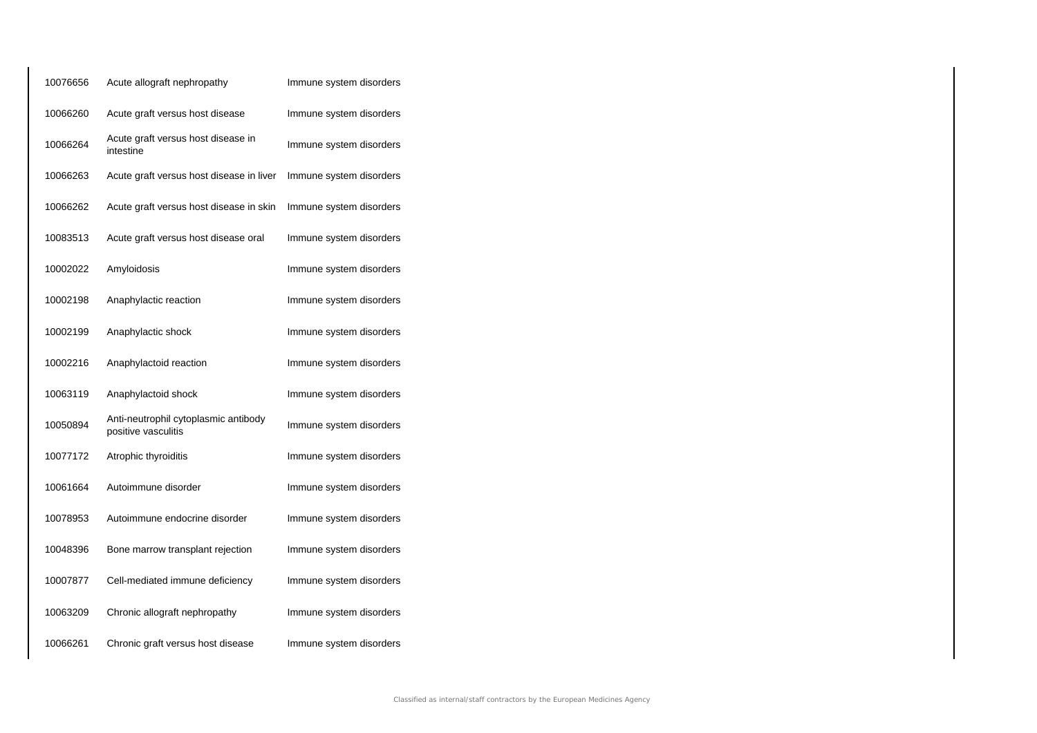| 10076656 | Acute allograft nephropathy                                 | Immune system disorders |
|----------|-------------------------------------------------------------|-------------------------|
| 10066260 | Acute graft versus host disease                             | Immune system disorders |
| 10066264 | Acute graft versus host disease in<br>intestine             | Immune system disorders |
| 10066263 | Acute graft versus host disease in liver                    | Immune system disorders |
| 10066262 | Acute graft versus host disease in skin                     | Immune system disorders |
| 10083513 | Acute graft versus host disease oral                        | Immune system disorders |
| 10002022 | Amyloidosis                                                 | Immune system disorders |
| 10002198 | Anaphylactic reaction                                       | Immune system disorders |
| 10002199 | Anaphylactic shock                                          | Immune system disorders |
| 10002216 | Anaphylactoid reaction                                      | Immune system disorders |
| 10063119 | Anaphylactoid shock                                         | Immune system disorders |
| 10050894 | Anti-neutrophil cytoplasmic antibody<br>positive vasculitis | Immune system disorders |
| 10077172 | Atrophic thyroiditis                                        | Immune system disorders |
| 10061664 | Autoimmune disorder                                         | Immune system disorders |
| 10078953 | Autoimmune endocrine disorder                               | Immune system disorders |
| 10048396 | Bone marrow transplant rejection                            | Immune system disorders |
| 10007877 | Cell-mediated immune deficiency                             | Immune system disorders |
| 10063209 | Chronic allograft nephropathy                               | Immune system disorders |
| 10066261 | Chronic graft versus host disease                           | Immune system disorders |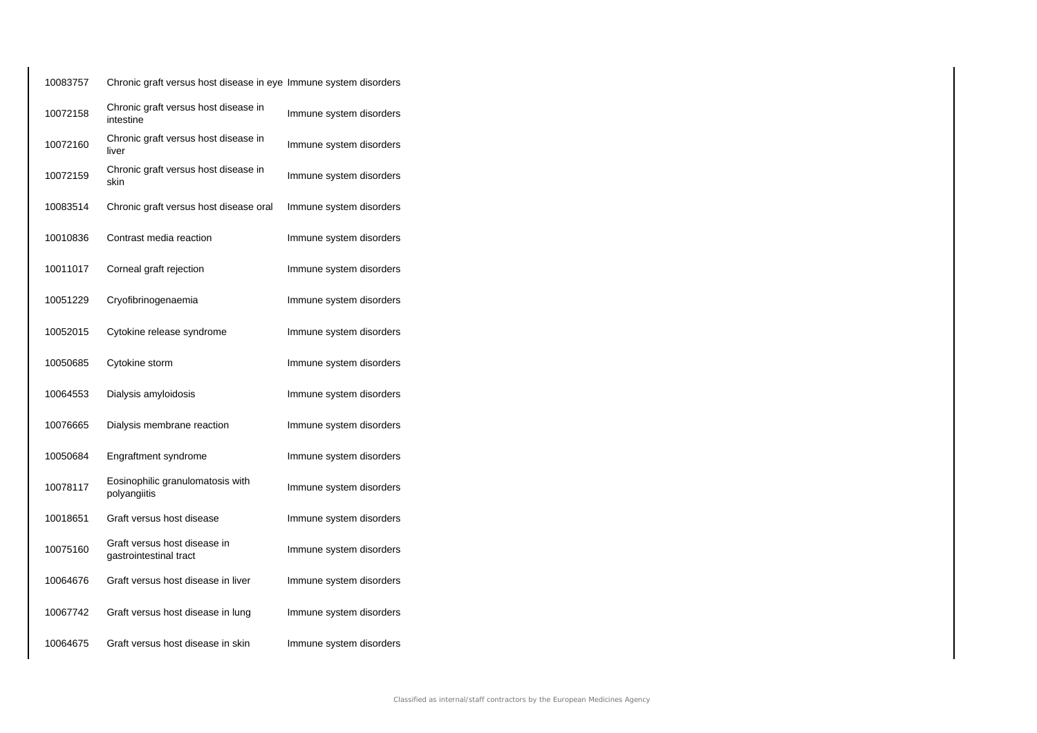| 10083757 | Chronic graft versus host disease in eye Immune system disorders |                         |
|----------|------------------------------------------------------------------|-------------------------|
| 10072158 | Chronic graft versus host disease in<br>intestine                | Immune system disorders |
| 10072160 | Chronic graft versus host disease in<br>liver                    | Immune system disorders |
| 10072159 | Chronic graft versus host disease in<br>skin                     | Immune system disorders |
| 10083514 | Chronic graft versus host disease oral                           | Immune system disorders |
| 10010836 | Contrast media reaction                                          | Immune system disorders |
| 10011017 | Corneal graft rejection                                          | Immune system disorders |
| 10051229 | Cryofibrinogenaemia                                              | Immune system disorders |
| 10052015 | Cytokine release syndrome                                        | Immune system disorders |
| 10050685 | Cytokine storm                                                   | Immune system disorders |
| 10064553 | Dialysis amyloidosis                                             | Immune system disorders |
| 10076665 | Dialysis membrane reaction                                       | Immune system disorders |
| 10050684 | Engraftment syndrome                                             | Immune system disorders |
| 10078117 | Eosinophilic granulomatosis with<br>polyangiitis                 | Immune system disorders |
| 10018651 | Graft versus host disease                                        | Immune system disorders |
| 10075160 | Graft versus host disease in<br>gastrointestinal tract           | Immune system disorders |
| 10064676 | Graft versus host disease in liver                               | Immune system disorders |
| 10067742 | Graft versus host disease in lung                                | Immune system disorders |
| 10064675 | Graft versus host disease in skin                                | Immune system disorders |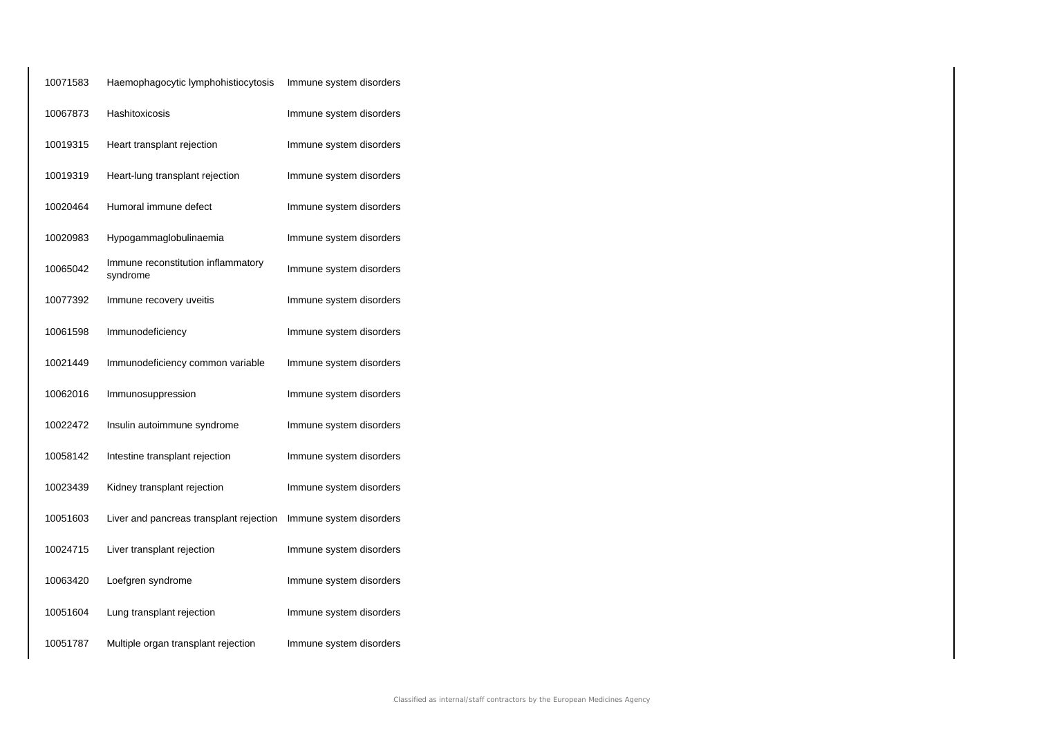| 10071583 | Haemophagocytic lymphohistiocytosis            | Immune system disorders |
|----------|------------------------------------------------|-------------------------|
| 10067873 | Hashitoxicosis                                 | Immune system disorders |
| 10019315 | Heart transplant rejection                     | Immune system disorders |
| 10019319 | Heart-lung transplant rejection                | Immune system disorders |
| 10020464 | Humoral immune defect                          | Immune system disorders |
| 10020983 | Hypogammaglobulinaemia                         | Immune system disorders |
| 10065042 | Immune reconstitution inflammatory<br>syndrome | Immune system disorders |
| 10077392 | Immune recovery uveitis                        | Immune system disorders |
| 10061598 | Immunodeficiency                               | Immune system disorders |
| 10021449 | Immunodeficiency common variable               | Immune system disorders |
| 10062016 | Immunosuppression                              | Immune system disorders |
| 10022472 | Insulin autoimmune syndrome                    | Immune system disorders |
| 10058142 | Intestine transplant rejection                 | Immune system disorders |
| 10023439 | Kidney transplant rejection                    | Immune system disorders |
| 10051603 | Liver and pancreas transplant rejection        | Immune system disorders |
| 10024715 | Liver transplant rejection                     | Immune system disorders |
| 10063420 | Loefgren syndrome                              | Immune system disorders |
| 10051604 | Lung transplant rejection                      | Immune system disorders |
| 10051787 | Multiple organ transplant rejection            | Immune system disorders |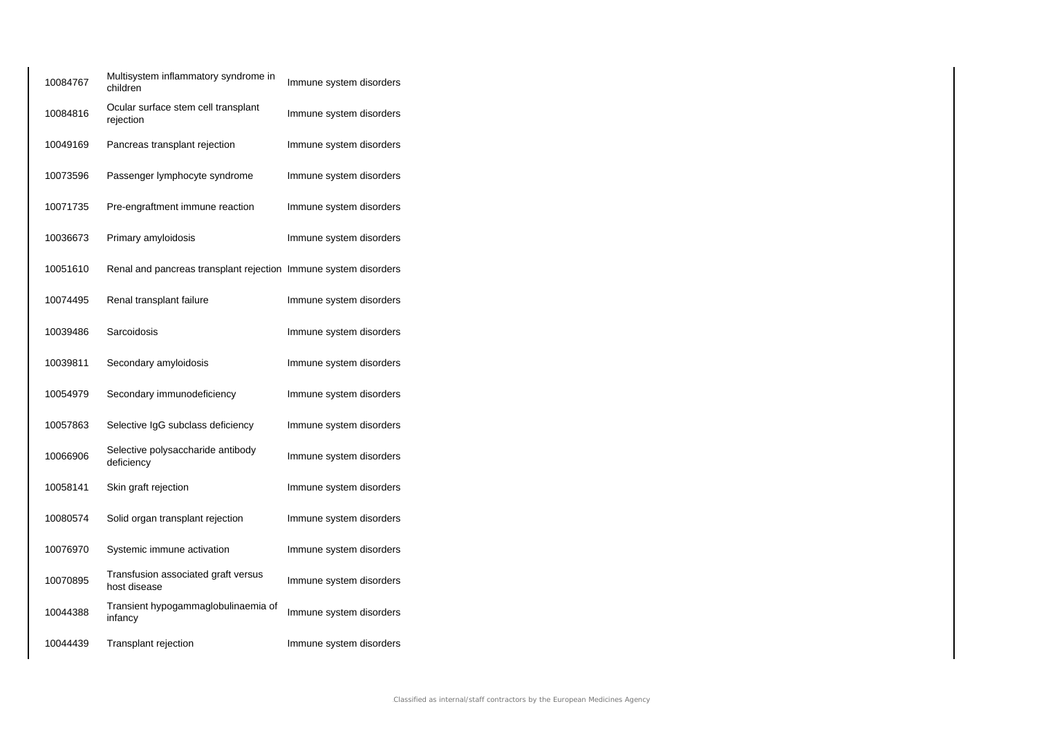| 10084767 | Multisystem inflammatory syndrome in<br>children                | Immune system disorders |
|----------|-----------------------------------------------------------------|-------------------------|
| 10084816 | Ocular surface stem cell transplant<br>rejection                | Immune system disorders |
| 10049169 | Pancreas transplant rejection                                   | Immune system disorders |
| 10073596 | Passenger lymphocyte syndrome                                   | Immune system disorders |
| 10071735 | Pre-engraftment immune reaction                                 | Immune system disorders |
| 10036673 | Primary amyloidosis                                             | Immune system disorders |
| 10051610 | Renal and pancreas transplant rejection Immune system disorders |                         |
| 10074495 | Renal transplant failure                                        | Immune system disorders |
| 10039486 | Sarcoidosis                                                     | Immune system disorders |
| 10039811 | Secondary amyloidosis                                           | Immune system disorders |
| 10054979 | Secondary immunodeficiency                                      | Immune system disorders |
| 10057863 | Selective IgG subclass deficiency                               | Immune system disorders |
| 10066906 | Selective polysaccharide antibody<br>deficiency                 | Immune system disorders |
| 10058141 | Skin graft rejection                                            | Immune system disorders |
| 10080574 | Solid organ transplant rejection                                | Immune system disorders |
| 10076970 | Systemic immune activation                                      | Immune system disorders |
| 10070895 | Transfusion associated graft versus<br>host disease             | Immune system disorders |
| 10044388 | Transient hypogammaglobulinaemia of<br>infancy                  | Immune system disorders |
| 10044439 | Transplant rejection                                            | Immune system disorders |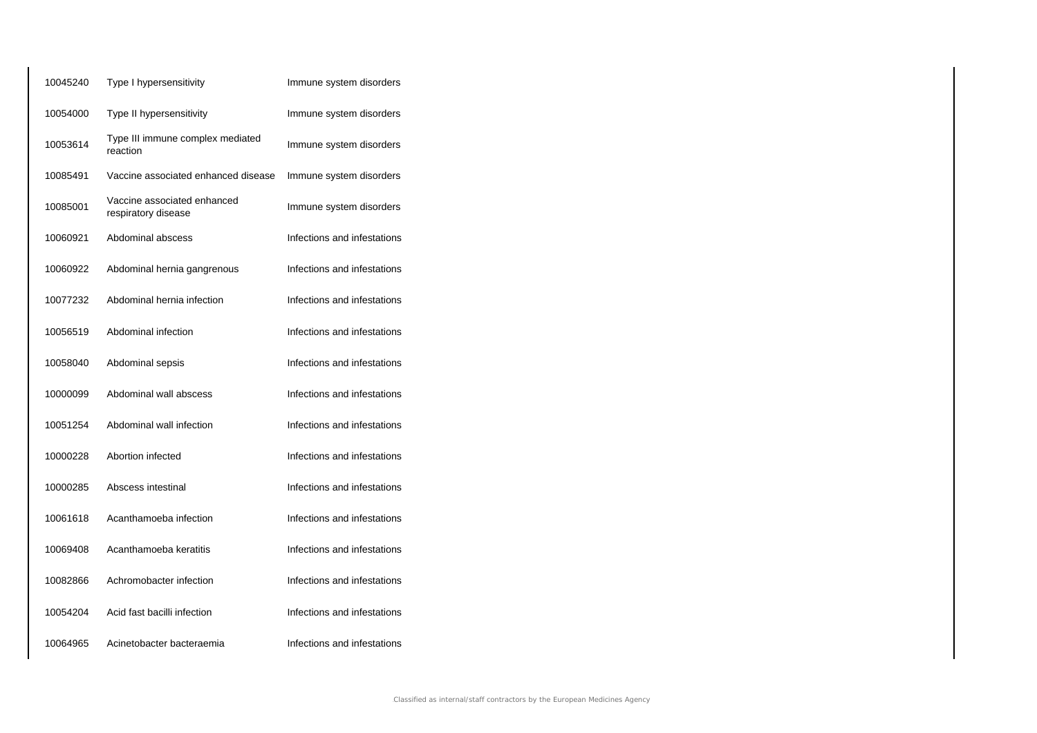| 10045240 | Type I hypersensitivity                            | Immune system disorders     |
|----------|----------------------------------------------------|-----------------------------|
| 10054000 | Type II hypersensitivity                           | Immune system disorders     |
| 10053614 | Type III immune complex mediated<br>reaction       | Immune system disorders     |
| 10085491 | Vaccine associated enhanced disease                | Immune system disorders     |
| 10085001 | Vaccine associated enhanced<br>respiratory disease | Immune system disorders     |
| 10060921 | Abdominal abscess                                  | Infections and infestations |
| 10060922 | Abdominal hernia gangrenous                        | Infections and infestations |
| 10077232 | Abdominal hernia infection                         | Infections and infestations |
| 10056519 | Abdominal infection                                | Infections and infestations |
| 10058040 | Abdominal sepsis                                   | Infections and infestations |
| 10000099 | Abdominal wall abscess                             | Infections and infestations |
| 10051254 | Abdominal wall infection                           | Infections and infestations |
| 10000228 | Abortion infected                                  | Infections and infestations |
| 10000285 | Abscess intestinal                                 | Infections and infestations |
| 10061618 | Acanthamoeba infection                             | Infections and infestations |
| 10069408 | Acanthamoeba keratitis                             | Infections and infestations |
| 10082866 | Achromobacter infection                            | Infections and infestations |
| 10054204 | Acid fast bacilli infection                        | Infections and infestations |
| 10064965 | Acinetobacter bacteraemia                          | Infections and infestations |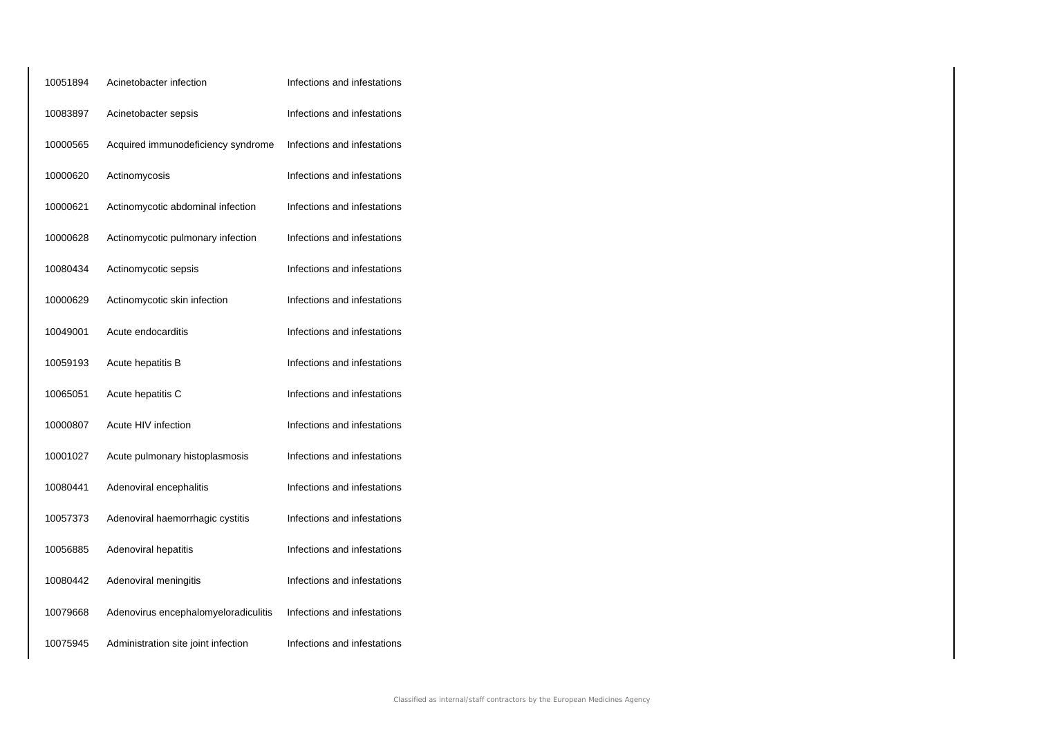| 10051894 | Acinetobacter infection              | Infections and infestations |
|----------|--------------------------------------|-----------------------------|
| 10083897 | Acinetobacter sepsis                 | Infections and infestations |
| 10000565 | Acquired immunodeficiency syndrome   | Infections and infestations |
| 10000620 | Actinomycosis                        | Infections and infestations |
| 10000621 | Actinomycotic abdominal infection    | Infections and infestations |
| 10000628 | Actinomycotic pulmonary infection    | Infections and infestations |
| 10080434 | Actinomycotic sepsis                 | Infections and infestations |
| 10000629 | Actinomycotic skin infection         | Infections and infestations |
| 10049001 | Acute endocarditis                   | Infections and infestations |
| 10059193 | Acute hepatitis B                    | Infections and infestations |
| 10065051 | Acute hepatitis C                    | Infections and infestations |
| 10000807 | Acute HIV infection                  | Infections and infestations |
| 10001027 | Acute pulmonary histoplasmosis       | Infections and infestations |
| 10080441 | Adenoviral encephalitis              | Infections and infestations |
| 10057373 | Adenoviral haemorrhagic cystitis     | Infections and infestations |
| 10056885 | Adenoviral hepatitis                 | Infections and infestations |
| 10080442 | Adenoviral meningitis                | Infections and infestations |
| 10079668 | Adenovirus encephalomyeloradiculitis | Infections and infestations |
| 10075945 | Administration site joint infection  | Infections and infestations |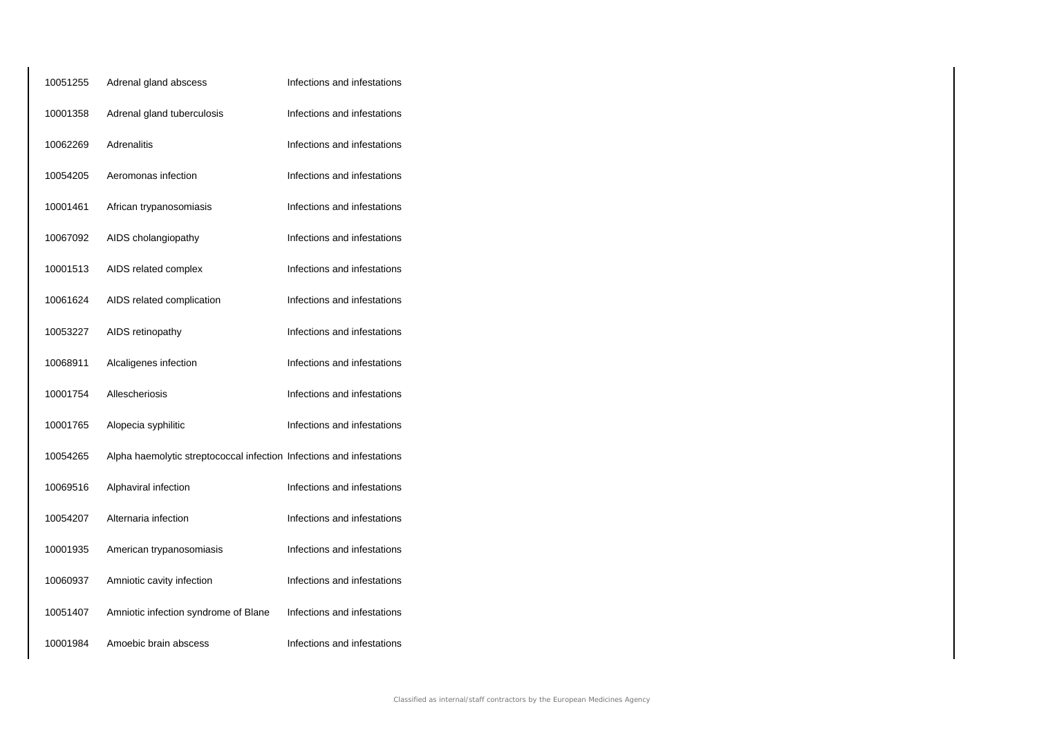| 10051255 | Adrenal gland abscess                                                | Infections and infestations |
|----------|----------------------------------------------------------------------|-----------------------------|
| 10001358 | Adrenal gland tuberculosis                                           | Infections and infestations |
| 10062269 | <b>Adrenalitis</b>                                                   | Infections and infestations |
| 10054205 | Aeromonas infection                                                  | Infections and infestations |
| 10001461 | African trypanosomiasis                                              | Infections and infestations |
| 10067092 | AIDS cholangiopathy                                                  | Infections and infestations |
| 10001513 | AIDS related complex                                                 | Infections and infestations |
| 10061624 | AIDS related complication                                            | Infections and infestations |
| 10053227 | AIDS retinopathy                                                     | Infections and infestations |
| 10068911 | Alcaligenes infection                                                | Infections and infestations |
| 10001754 | Allescheriosis                                                       | Infections and infestations |
| 10001765 | Alopecia syphilitic                                                  | Infections and infestations |
| 10054265 | Alpha haemolytic streptococcal infection Infections and infestations |                             |
| 10069516 | Alphaviral infection                                                 | Infections and infestations |
| 10054207 | Alternaria infection                                                 | Infections and infestations |
| 10001935 | American trypanosomiasis                                             | Infections and infestations |
| 10060937 | Amniotic cavity infection                                            | Infections and infestations |
| 10051407 | Amniotic infection syndrome of Blane                                 | Infections and infestations |
| 10001984 | Amoebic brain abscess                                                | Infections and infestations |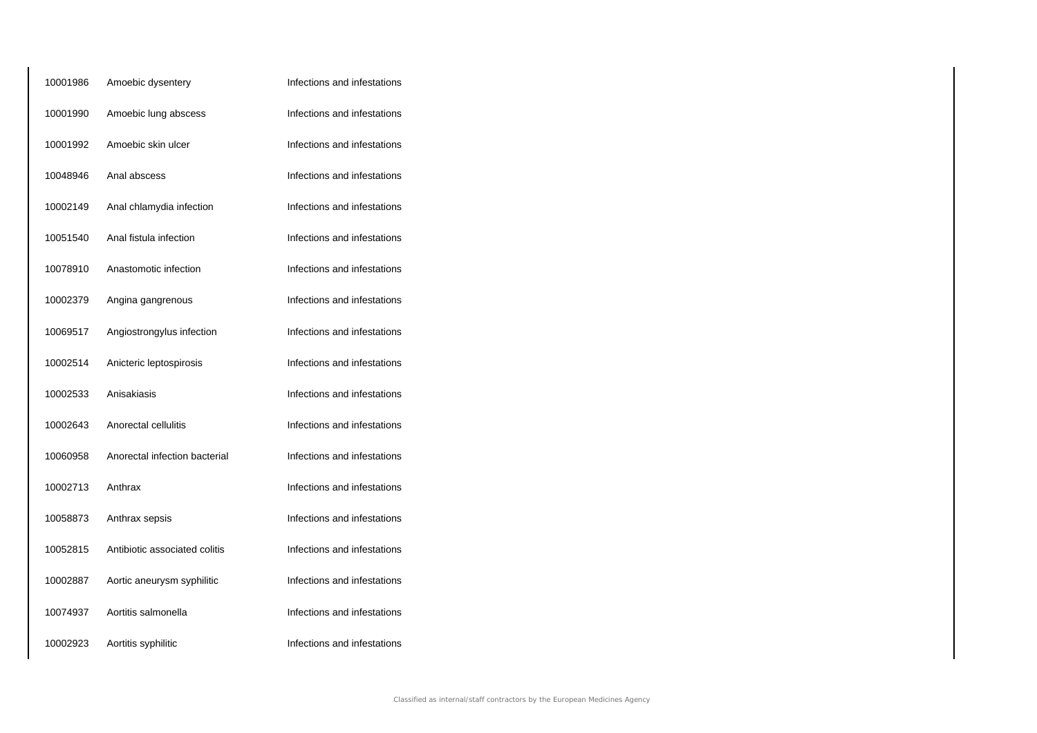| 10001986 | Amoebic dysentery             | Infections and infestations |
|----------|-------------------------------|-----------------------------|
| 10001990 | Amoebic lung abscess          | Infections and infestations |
| 10001992 | Amoebic skin ulcer            | Infections and infestations |
| 10048946 | Anal abscess                  | Infections and infestations |
| 10002149 | Anal chlamydia infection      | Infections and infestations |
| 10051540 | Anal fistula infection        | Infections and infestations |
| 10078910 | Anastomotic infection         | Infections and infestations |
| 10002379 | Angina gangrenous             | Infections and infestations |
| 10069517 | Angiostrongylus infection     | Infections and infestations |
| 10002514 | Anicteric leptospirosis       | Infections and infestations |
| 10002533 | Anisakiasis                   | Infections and infestations |
| 10002643 | Anorectal cellulitis          | Infections and infestations |
| 10060958 | Anorectal infection bacterial | Infections and infestations |
| 10002713 | Anthrax                       | Infections and infestations |
| 10058873 | Anthrax sepsis                | Infections and infestations |
| 10052815 | Antibiotic associated colitis | Infections and infestations |
| 10002887 | Aortic aneurysm syphilitic    | Infections and infestations |
| 10074937 | Aortitis salmonella           | Infections and infestations |
| 10002923 | Aortitis syphilitic           | Infections and infestations |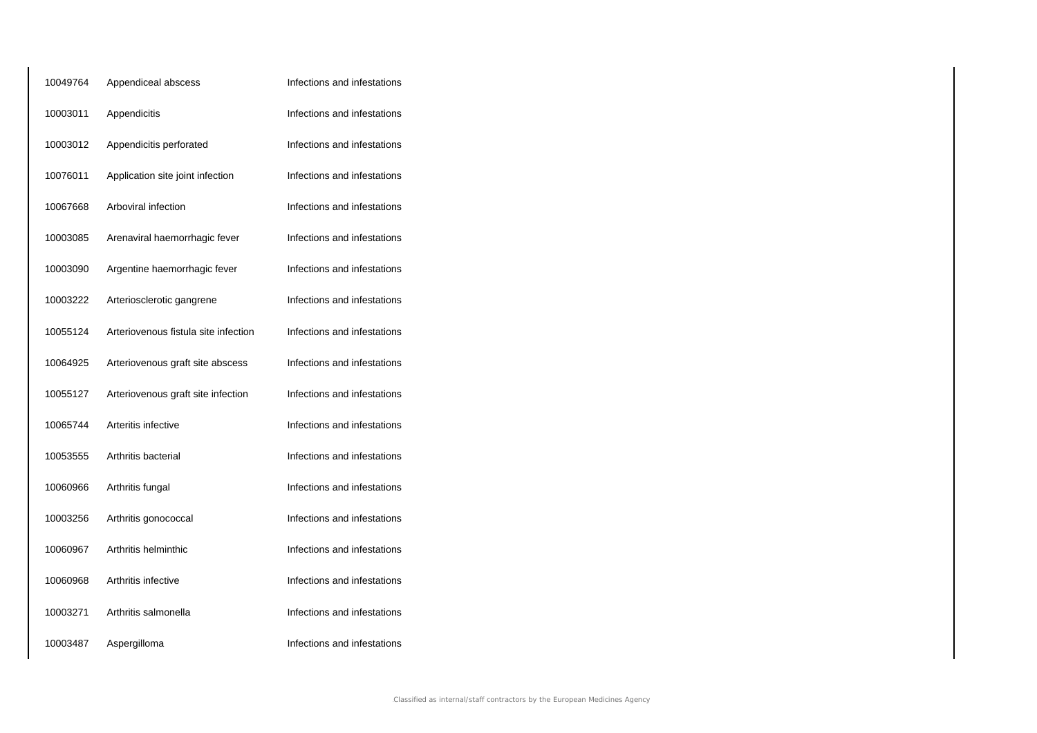| 10049764 | Appendiceal abscess                  | Infections and infestations |
|----------|--------------------------------------|-----------------------------|
| 10003011 | Appendicitis                         | Infections and infestations |
| 10003012 | Appendicitis perforated              | Infections and infestations |
| 10076011 | Application site joint infection     | Infections and infestations |
| 10067668 | Arboviral infection                  | Infections and infestations |
| 10003085 | Arenaviral haemorrhagic fever        | Infections and infestations |
| 10003090 | Argentine haemorrhagic fever         | Infections and infestations |
| 10003222 | Arteriosclerotic gangrene            | Infections and infestations |
| 10055124 | Arteriovenous fistula site infection | Infections and infestations |
| 10064925 | Arteriovenous graft site abscess     | Infections and infestations |
| 10055127 | Arteriovenous graft site infection   | Infections and infestations |
| 10065744 | Arteritis infective                  | Infections and infestations |
| 10053555 | Arthritis bacterial                  | Infections and infestations |
| 10060966 | Arthritis fungal                     | Infections and infestations |
| 10003256 | Arthritis gonococcal                 | Infections and infestations |
| 10060967 | Arthritis helminthic                 | Infections and infestations |
| 10060968 | Arthritis infective                  | Infections and infestations |
| 10003271 | Arthritis salmonella                 | Infections and infestations |
| 10003487 | Aspergilloma                         | Infections and infestations |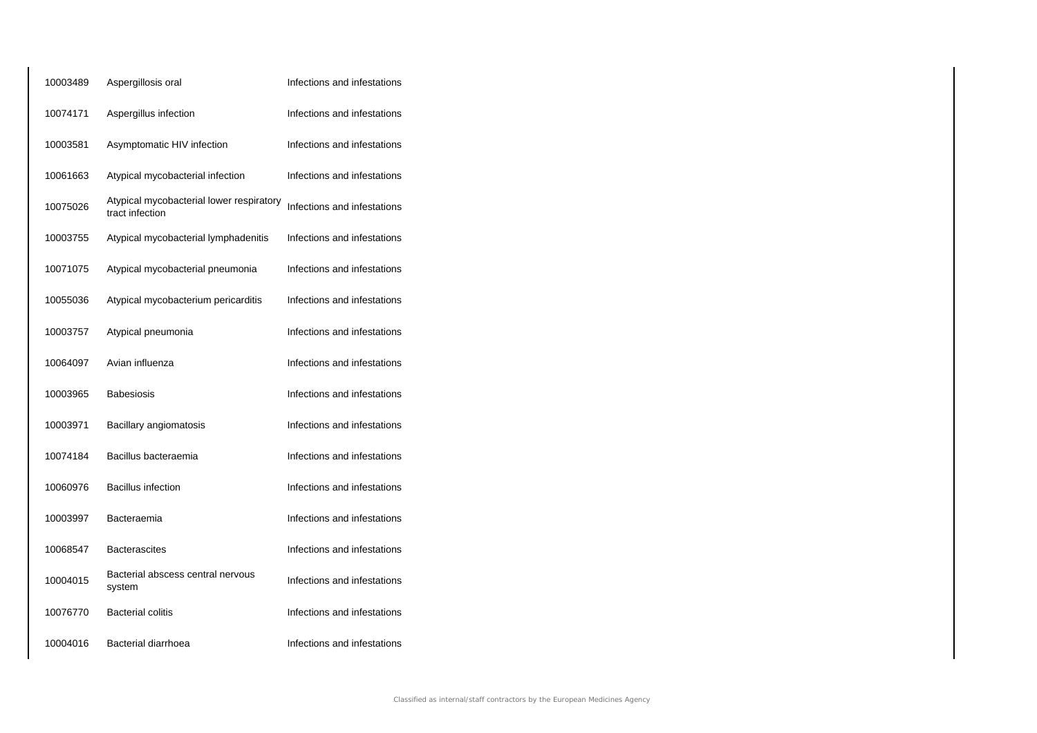| 10003489 | Aspergillosis oral                                          | Infections and infestations |
|----------|-------------------------------------------------------------|-----------------------------|
| 10074171 | Aspergillus infection                                       | Infections and infestations |
| 10003581 | Asymptomatic HIV infection                                  | Infections and infestations |
| 10061663 | Atypical mycobacterial infection                            | Infections and infestations |
| 10075026 | Atypical mycobacterial lower respiratory<br>tract infection | Infections and infestations |
| 10003755 | Atypical mycobacterial lymphadenitis                        | Infections and infestations |
| 10071075 | Atypical mycobacterial pneumonia                            | Infections and infestations |
| 10055036 | Atypical mycobacterium pericarditis                         | Infections and infestations |
| 10003757 | Atypical pneumonia                                          | Infections and infestations |
| 10064097 | Avian influenza                                             | Infections and infestations |
| 10003965 | <b>Babesiosis</b>                                           | Infections and infestations |
| 10003971 | Bacillary angiomatosis                                      | Infections and infestations |
| 10074184 | Bacillus bacteraemia                                        | Infections and infestations |
| 10060976 | <b>Bacillus infection</b>                                   | Infections and infestations |
| 10003997 | Bacteraemia                                                 | Infections and infestations |
| 10068547 | <b>Bacterascites</b>                                        | Infections and infestations |
| 10004015 | Bacterial abscess central nervous<br>system                 | Infections and infestations |
| 10076770 | <b>Bacterial colitis</b>                                    | Infections and infestations |
| 10004016 | Bacterial diarrhoea                                         | Infections and infestations |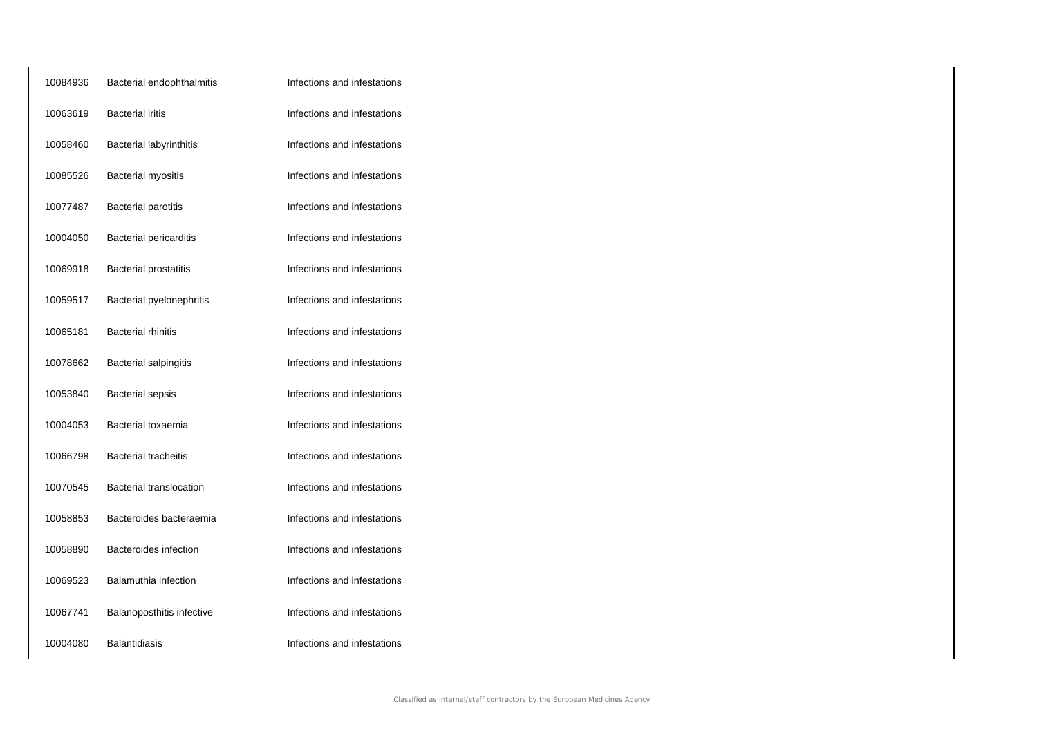| 10084936 | Bacterial endophthalmitis      | Infections and infestations |
|----------|--------------------------------|-----------------------------|
| 10063619 | <b>Bacterial iritis</b>        | Infections and infestations |
| 10058460 | <b>Bacterial labyrinthitis</b> | Infections and infestations |
| 10085526 | <b>Bacterial myositis</b>      | Infections and infestations |
| 10077487 | <b>Bacterial parotitis</b>     | Infections and infestations |
| 10004050 | <b>Bacterial pericarditis</b>  | Infections and infestations |
| 10069918 | <b>Bacterial prostatitis</b>   | Infections and infestations |
| 10059517 | Bacterial pyelonephritis       | Infections and infestations |
| 10065181 | <b>Bacterial rhinitis</b>      | Infections and infestations |
| 10078662 | <b>Bacterial salpingitis</b>   | Infections and infestations |
| 10053840 | <b>Bacterial sepsis</b>        | Infections and infestations |
| 10004053 | Bacterial toxaemia             | Infections and infestations |
| 10066798 | <b>Bacterial tracheitis</b>    | Infections and infestations |
| 10070545 | Bacterial translocation        | Infections and infestations |
| 10058853 | Bacteroides bacteraemia        | Infections and infestations |
| 10058890 | Bacteroides infection          | Infections and infestations |
| 10069523 | Balamuthia infection           | Infections and infestations |
| 10067741 | Balanoposthitis infective      | Infections and infestations |
| 10004080 | <b>Balantidiasis</b>           | Infections and infestations |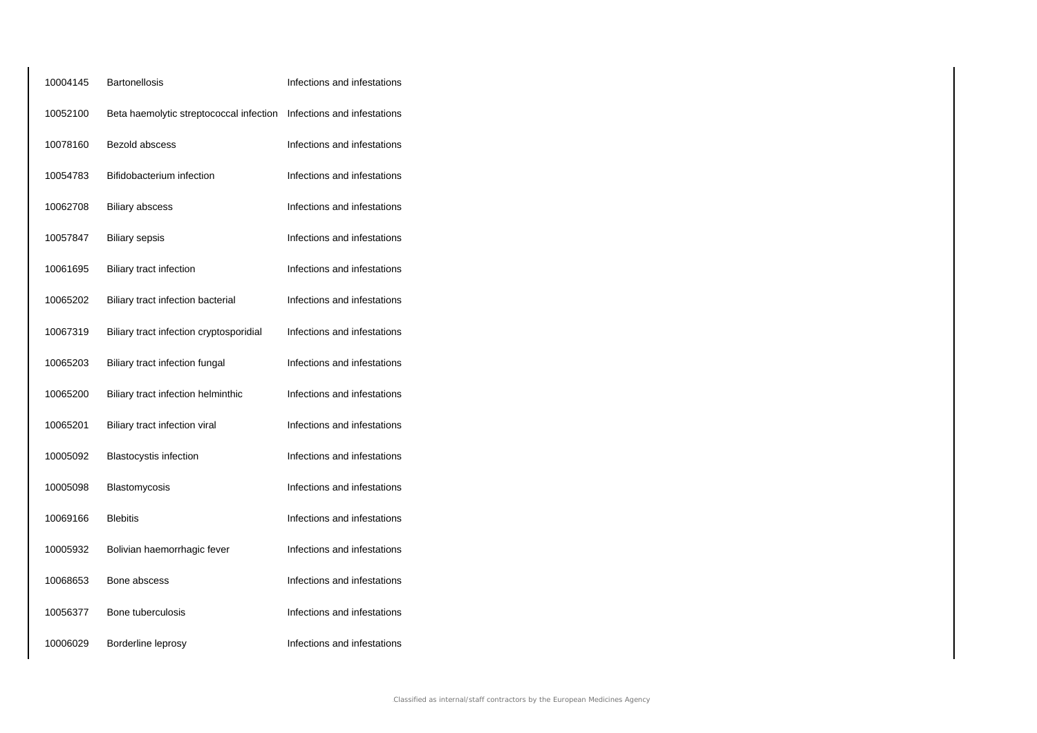| 10004145 | <b>Bartonellosis</b>                    | Infections and infestations |
|----------|-----------------------------------------|-----------------------------|
| 10052100 | Beta haemolytic streptococcal infection | Infections and infestations |
| 10078160 | Bezold abscess                          | Infections and infestations |
| 10054783 | Bifidobacterium infection               | Infections and infestations |
| 10062708 | <b>Biliary abscess</b>                  | Infections and infestations |
| 10057847 | <b>Biliary sepsis</b>                   | Infections and infestations |
| 10061695 | <b>Biliary tract infection</b>          | Infections and infestations |
| 10065202 | Biliary tract infection bacterial       | Infections and infestations |
| 10067319 | Biliary tract infection cryptosporidial | Infections and infestations |
| 10065203 | Biliary tract infection fungal          | Infections and infestations |
| 10065200 | Biliary tract infection helminthic      | Infections and infestations |
| 10065201 | Biliary tract infection viral           | Infections and infestations |
| 10005092 | <b>Blastocystis infection</b>           | Infections and infestations |
| 10005098 | Blastomycosis                           | Infections and infestations |
| 10069166 | <b>Blebitis</b>                         | Infections and infestations |
| 10005932 | Bolivian haemorrhagic fever             | Infections and infestations |
| 10068653 | Bone abscess                            | Infections and infestations |
| 10056377 | Bone tuberculosis                       | Infections and infestations |
| 10006029 | Borderline leprosy                      | Infections and infestations |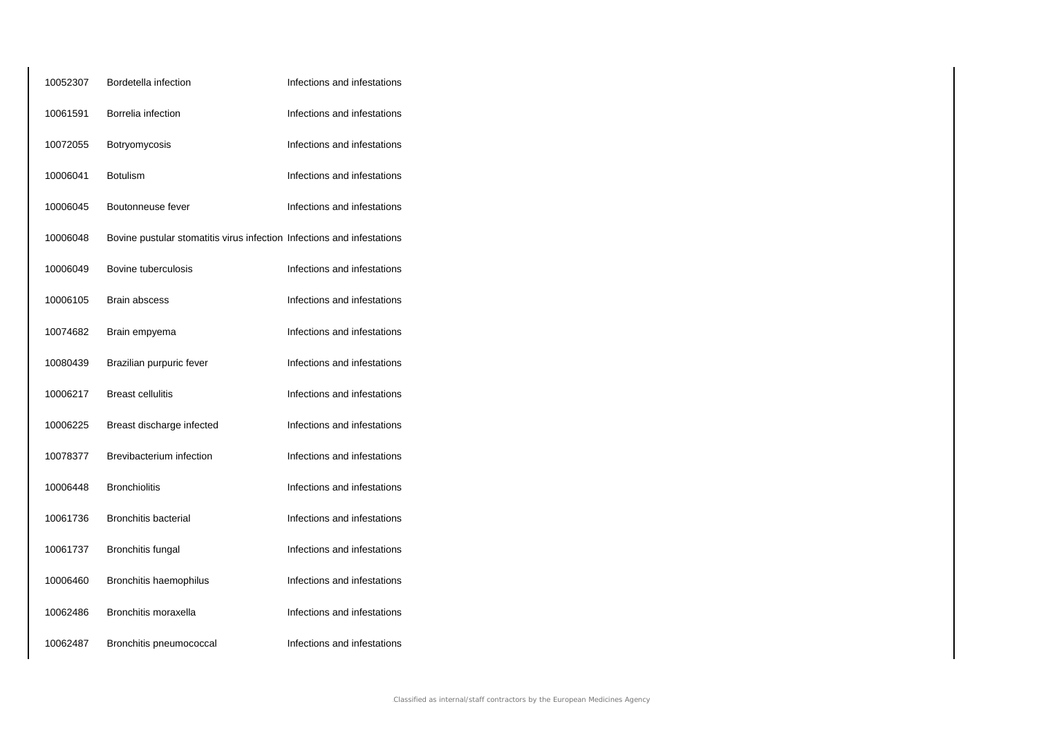| 10052307 | Bordetella infection                                                   | Infections and infestations |
|----------|------------------------------------------------------------------------|-----------------------------|
| 10061591 | Borrelia infection                                                     | Infections and infestations |
| 10072055 | Botryomycosis                                                          | Infections and infestations |
| 10006041 | <b>Botulism</b>                                                        | Infections and infestations |
| 10006045 | Boutonneuse fever                                                      | Infections and infestations |
| 10006048 | Bovine pustular stomatitis virus infection Infections and infestations |                             |
| 10006049 | Bovine tuberculosis                                                    | Infections and infestations |
| 10006105 | <b>Brain abscess</b>                                                   | Infections and infestations |
| 10074682 | Brain empyema                                                          | Infections and infestations |
| 10080439 | Brazilian purpuric fever                                               | Infections and infestations |
| 10006217 | <b>Breast cellulitis</b>                                               | Infections and infestations |
| 10006225 | Breast discharge infected                                              | Infections and infestations |
| 10078377 | Brevibacterium infection                                               | Infections and infestations |
| 10006448 | <b>Bronchiolitis</b>                                                   | Infections and infestations |
| 10061736 | <b>Bronchitis bacterial</b>                                            | Infections and infestations |
| 10061737 | Bronchitis fungal                                                      | Infections and infestations |
| 10006460 | Bronchitis haemophilus                                                 | Infections and infestations |
| 10062486 | Bronchitis moraxella                                                   | Infections and infestations |
| 10062487 | Bronchitis pneumococcal                                                | Infections and infestations |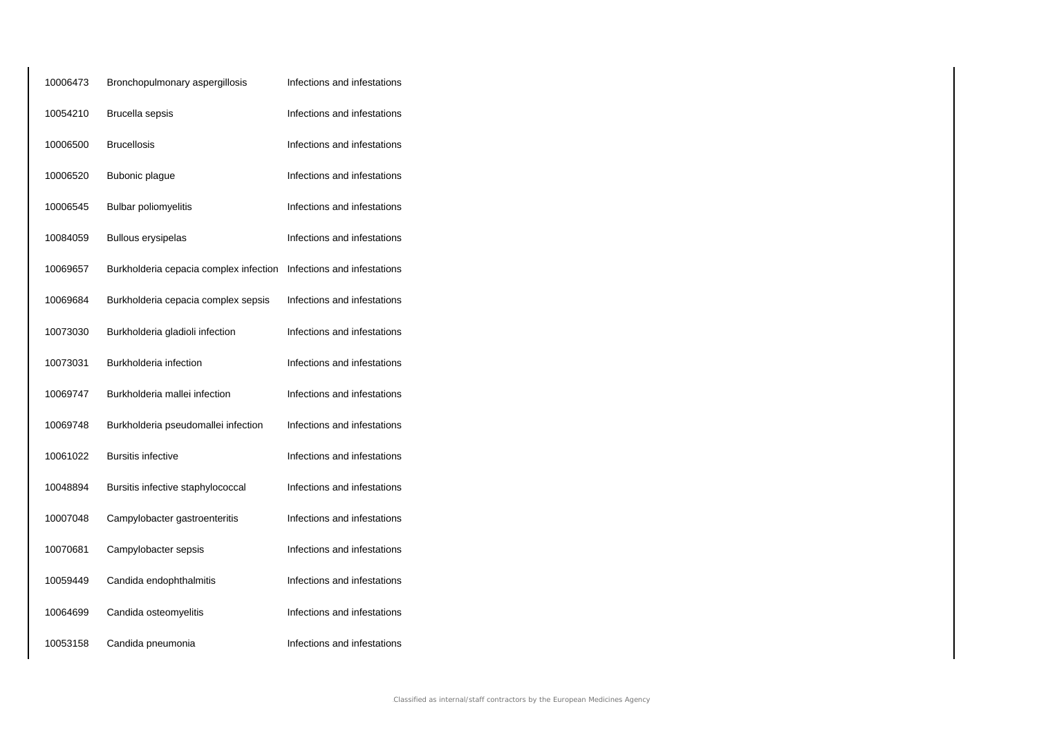| 10006473 | Bronchopulmonary aspergillosis         | Infections and infestations |
|----------|----------------------------------------|-----------------------------|
| 10054210 | Brucella sepsis                        | Infections and infestations |
| 10006500 | <b>Brucellosis</b>                     | Infections and infestations |
| 10006520 | Bubonic plague                         | Infections and infestations |
| 10006545 | <b>Bulbar poliomyelitis</b>            | Infections and infestations |
| 10084059 | <b>Bullous erysipelas</b>              | Infections and infestations |
| 10069657 | Burkholderia cepacia complex infection | Infections and infestations |
| 10069684 | Burkholderia cepacia complex sepsis    | Infections and infestations |
| 10073030 | Burkholderia gladioli infection        | Infections and infestations |
| 10073031 | Burkholderia infection                 | Infections and infestations |
| 10069747 | Burkholderia mallei infection          | Infections and infestations |
| 10069748 | Burkholderia pseudomallei infection    | Infections and infestations |
| 10061022 | <b>Bursitis infective</b>              | Infections and infestations |
| 10048894 | Bursitis infective staphylococcal      | Infections and infestations |
| 10007048 | Campylobacter gastroenteritis          | Infections and infestations |
| 10070681 | Campylobacter sepsis                   | Infections and infestations |
| 10059449 | Candida endophthalmitis                | Infections and infestations |
| 10064699 | Candida osteomyelitis                  | Infections and infestations |
| 10053158 | Candida pneumonia                      | Infections and infestations |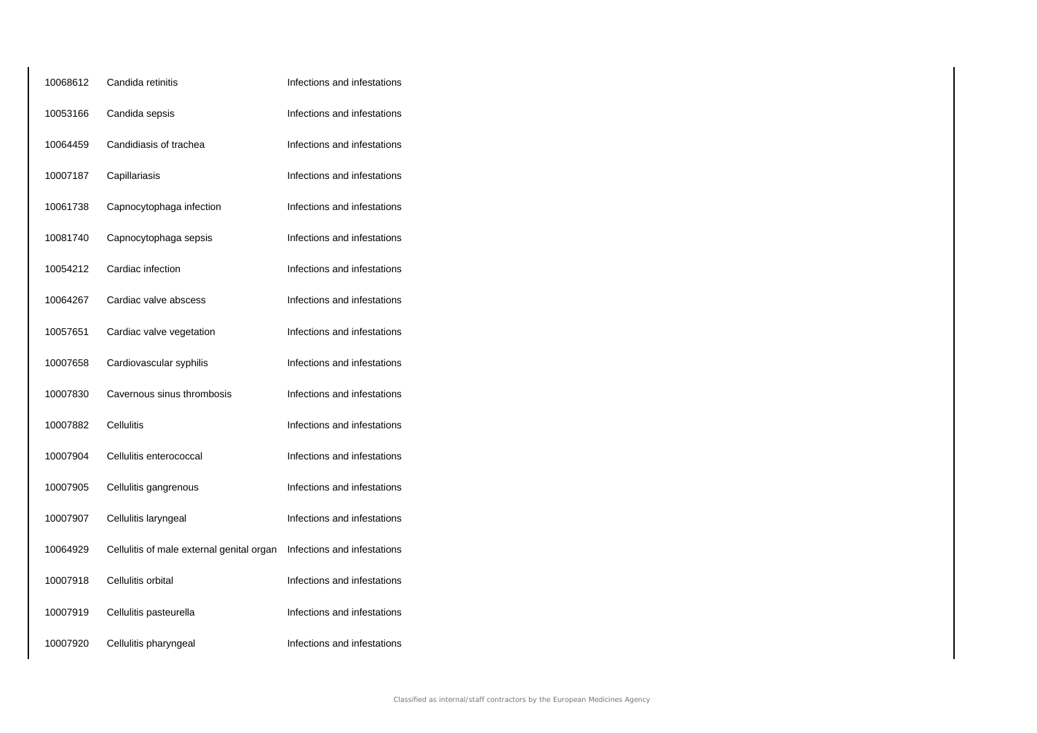| 10068612 | Candida retinitis                         | Infections and infestations |
|----------|-------------------------------------------|-----------------------------|
| 10053166 | Candida sepsis                            | Infections and infestations |
| 10064459 | Candidiasis of trachea                    | Infections and infestations |
| 10007187 | Capillariasis                             | Infections and infestations |
| 10061738 | Capnocytophaga infection                  | Infections and infestations |
| 10081740 | Capnocytophaga sepsis                     | Infections and infestations |
| 10054212 | Cardiac infection                         | Infections and infestations |
| 10064267 | Cardiac valve abscess                     | Infections and infestations |
| 10057651 | Cardiac valve vegetation                  | Infections and infestations |
| 10007658 | Cardiovascular syphilis                   | Infections and infestations |
| 10007830 | Cavernous sinus thrombosis                | Infections and infestations |
| 10007882 | Cellulitis                                | Infections and infestations |
| 10007904 | Cellulitis enterococcal                   | Infections and infestations |
| 10007905 | Cellulitis gangrenous                     | Infections and infestations |
| 10007907 | Cellulitis laryngeal                      | Infections and infestations |
| 10064929 | Cellulitis of male external genital organ | Infections and infestations |
| 10007918 | Cellulitis orbital                        | Infections and infestations |
| 10007919 | Cellulitis pasteurella                    | Infections and infestations |
| 10007920 | Cellulitis pharyngeal                     | Infections and infestations |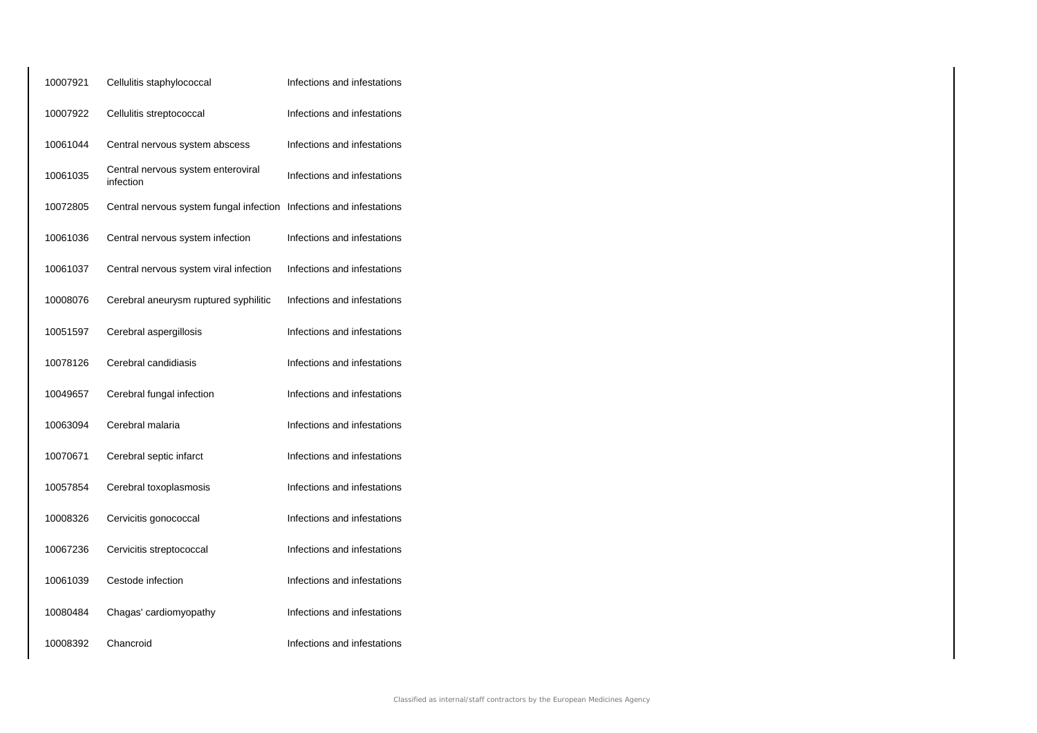| 10007921 | Cellulitis staphylococcal                                           | Infections and infestations |
|----------|---------------------------------------------------------------------|-----------------------------|
| 10007922 | Cellulitis streptococcal                                            | Infections and infestations |
| 10061044 | Central nervous system abscess                                      | Infections and infestations |
| 10061035 | Central nervous system enteroviral<br>infection                     | Infections and infestations |
| 10072805 | Central nervous system fungal infection Infections and infestations |                             |
| 10061036 | Central nervous system infection                                    | Infections and infestations |
| 10061037 | Central nervous system viral infection                              | Infections and infestations |
| 10008076 | Cerebral aneurysm ruptured syphilitic                               | Infections and infestations |
| 10051597 | Cerebral aspergillosis                                              | Infections and infestations |
| 10078126 | Cerebral candidiasis                                                | Infections and infestations |
| 10049657 | Cerebral fungal infection                                           | Infections and infestations |
| 10063094 | Cerebral malaria                                                    | Infections and infestations |
| 10070671 | Cerebral septic infarct                                             | Infections and infestations |
| 10057854 | Cerebral toxoplasmosis                                              | Infections and infestations |
| 10008326 | Cervicitis gonococcal                                               | Infections and infestations |
| 10067236 | Cervicitis streptococcal                                            | Infections and infestations |
| 10061039 | Cestode infection                                                   | Infections and infestations |
| 10080484 | Chagas' cardiomyopathy                                              | Infections and infestations |
| 10008392 | Chancroid                                                           | Infections and infestations |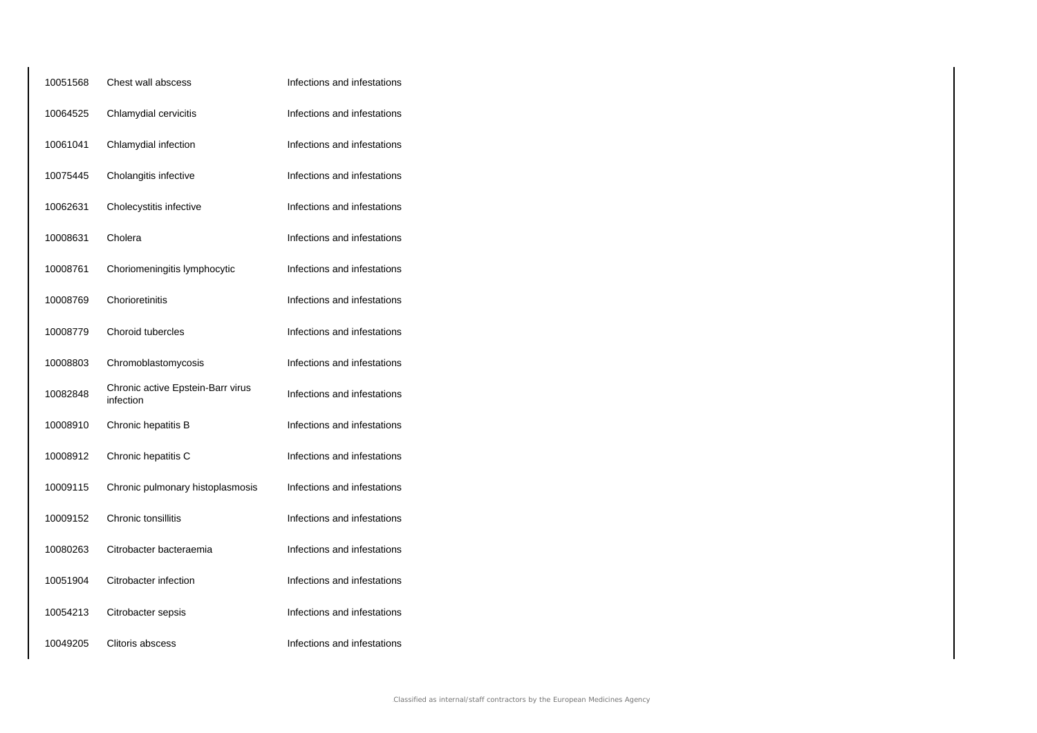| 10051568 | Chest wall abscess                             | Infections and infestations |
|----------|------------------------------------------------|-----------------------------|
| 10064525 | Chlamydial cervicitis                          | Infections and infestations |
| 10061041 | Chlamydial infection                           | Infections and infestations |
| 10075445 | Cholangitis infective                          | Infections and infestations |
| 10062631 | Cholecystitis infective                        | Infections and infestations |
| 10008631 | Cholera                                        | Infections and infestations |
| 10008761 | Choriomeningitis lymphocytic                   | Infections and infestations |
| 10008769 | Chorioretinitis                                | Infections and infestations |
| 10008779 | Choroid tubercles                              | Infections and infestations |
| 10008803 | Chromoblastomycosis                            | Infections and infestations |
| 10082848 | Chronic active Epstein-Barr virus<br>infection | Infections and infestations |
| 10008910 | Chronic hepatitis B                            | Infections and infestations |
| 10008912 | Chronic hepatitis C                            | Infections and infestations |
| 10009115 | Chronic pulmonary histoplasmosis               | Infections and infestations |
| 10009152 | Chronic tonsillitis                            | Infections and infestations |
| 10080263 | Citrobacter bacteraemia                        | Infections and infestations |
| 10051904 | Citrobacter infection                          | Infections and infestations |
| 10054213 | Citrobacter sepsis                             | Infections and infestations |
| 10049205 | Clitoris abscess                               | Infections and infestations |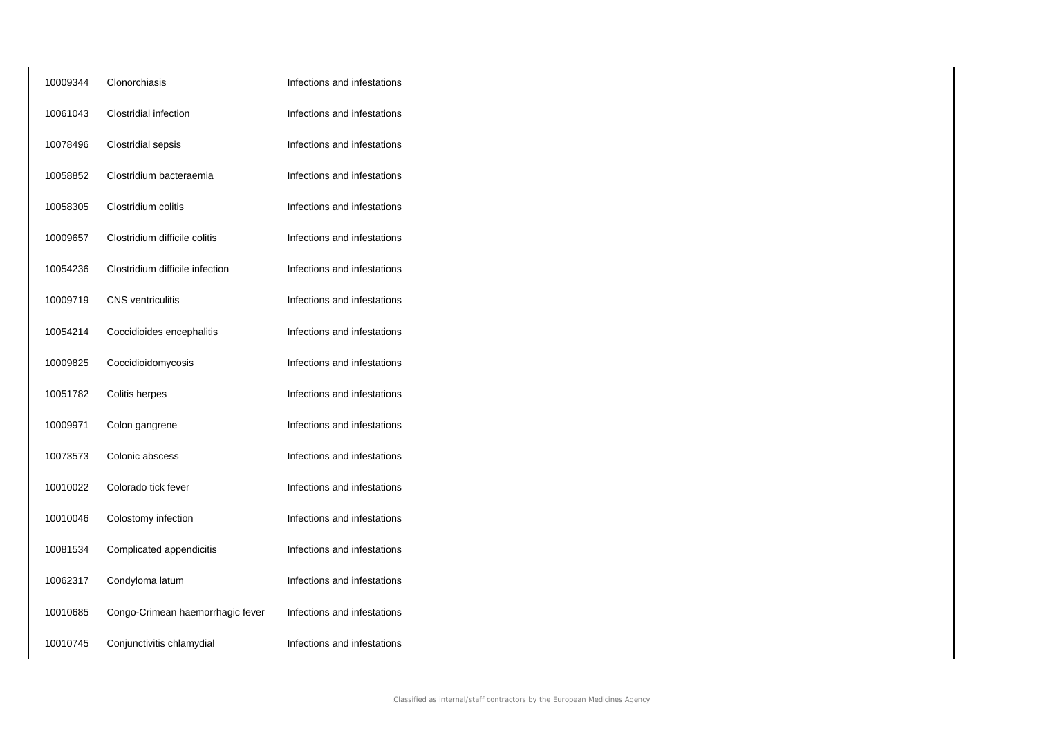| 10009344 | Clonorchiasis                    | Infections and infestations |
|----------|----------------------------------|-----------------------------|
| 10061043 | Clostridial infection            | Infections and infestations |
| 10078496 | Clostridial sepsis               | Infections and infestations |
| 10058852 | Clostridium bacteraemia          | Infections and infestations |
| 10058305 | Clostridium colitis              | Infections and infestations |
| 10009657 | Clostridium difficile colitis    | Infections and infestations |
| 10054236 | Clostridium difficile infection  | Infections and infestations |
| 10009719 | <b>CNS</b> ventriculitis         | Infections and infestations |
| 10054214 | Coccidioides encephalitis        | Infections and infestations |
| 10009825 | Coccidioidomycosis               | Infections and infestations |
| 10051782 | Colitis herpes                   | Infections and infestations |
| 10009971 | Colon gangrene                   | Infections and infestations |
| 10073573 | Colonic abscess                  | Infections and infestations |
| 10010022 | Colorado tick fever              | Infections and infestations |
| 10010046 | Colostomy infection              | Infections and infestations |
| 10081534 | Complicated appendicitis         | Infections and infestations |
| 10062317 | Condyloma latum                  | Infections and infestations |
| 10010685 | Congo-Crimean haemorrhagic fever | Infections and infestations |
| 10010745 | Conjunctivitis chlamydial        | Infections and infestations |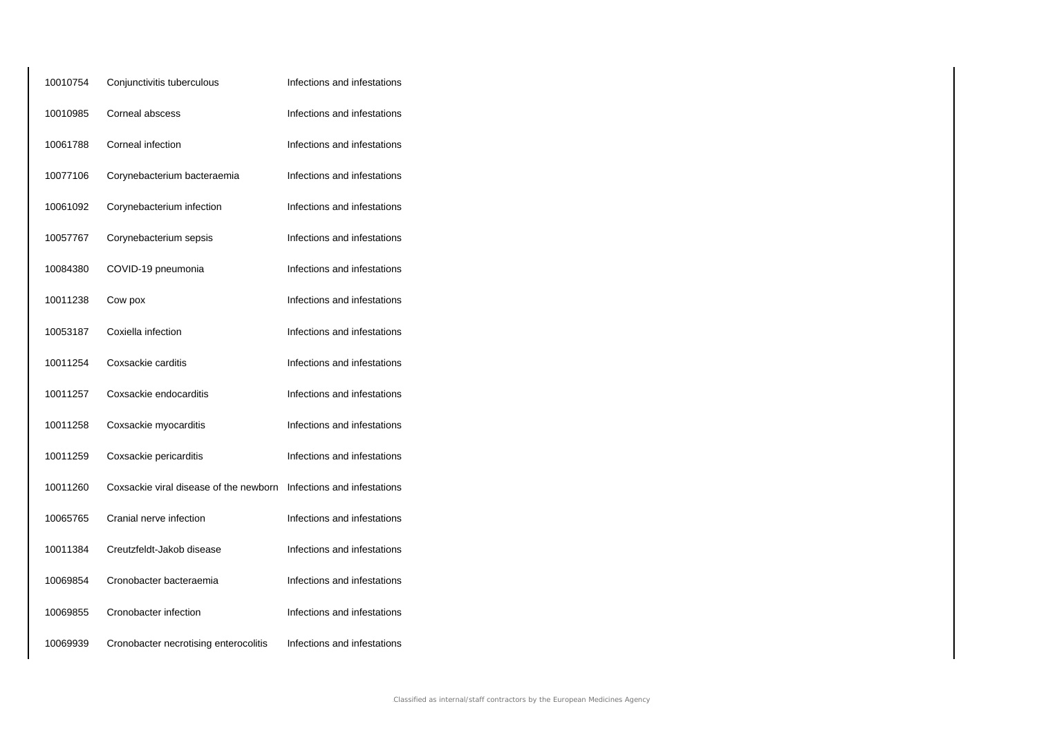| 10010754 | Conjunctivitis tuberculous             | Infections and infestations |
|----------|----------------------------------------|-----------------------------|
| 10010985 | Corneal abscess                        | Infections and infestations |
| 10061788 | Corneal infection                      | Infections and infestations |
| 10077106 | Corynebacterium bacteraemia            | Infections and infestations |
| 10061092 | Corynebacterium infection              | Infections and infestations |
| 10057767 | Corynebacterium sepsis                 | Infections and infestations |
| 10084380 | COVID-19 pneumonia                     | Infections and infestations |
| 10011238 | Cow pox                                | Infections and infestations |
| 10053187 | Coxiella infection                     | Infections and infestations |
| 10011254 | Coxsackie carditis                     | Infections and infestations |
| 10011257 | Coxsackie endocarditis                 | Infections and infestations |
| 10011258 | Coxsackie myocarditis                  | Infections and infestations |
| 10011259 | Coxsackie pericarditis                 | Infections and infestations |
| 10011260 | Coxsackie viral disease of the newborn | Infections and infestations |
| 10065765 | Cranial nerve infection                | Infections and infestations |
| 10011384 | Creutzfeldt-Jakob disease              | Infections and infestations |
| 10069854 | Cronobacter bacteraemia                | Infections and infestations |
| 10069855 | Cronobacter infection                  | Infections and infestations |
| 10069939 | Cronobacter necrotising enterocolitis  | Infections and infestations |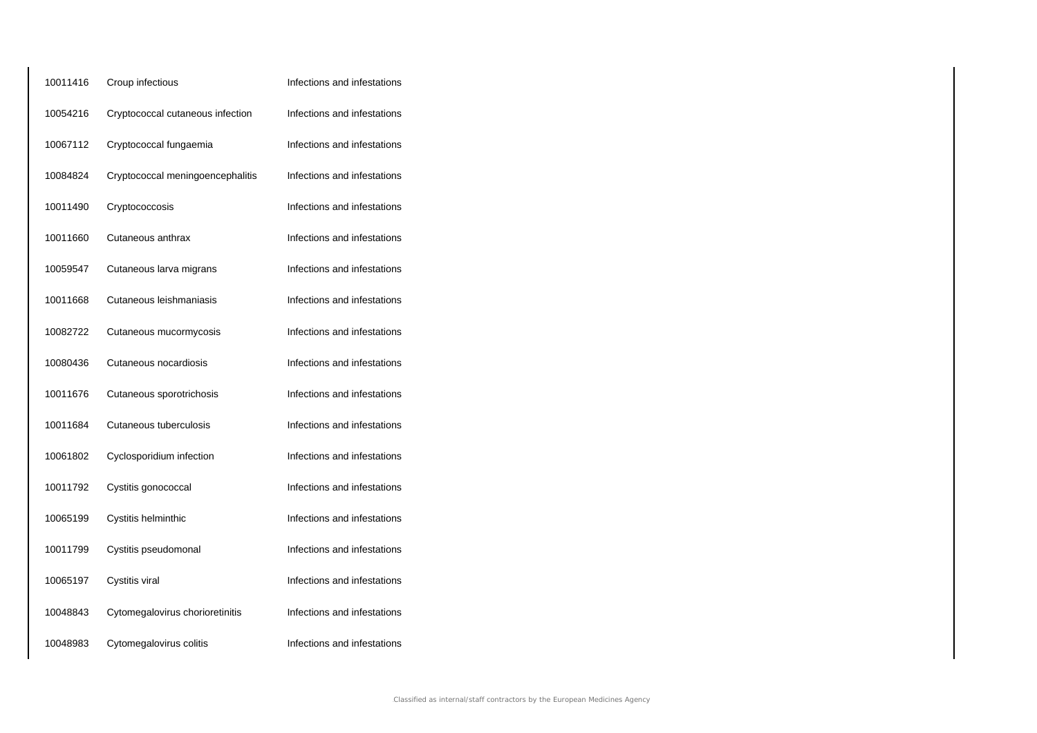| 10011416 | Croup infectious                 | Infections and infestations |
|----------|----------------------------------|-----------------------------|
| 10054216 | Cryptococcal cutaneous infection | Infections and infestations |
| 10067112 | Cryptococcal fungaemia           | Infections and infestations |
| 10084824 | Cryptococcal meningoencephalitis | Infections and infestations |
| 10011490 | Cryptococcosis                   | Infections and infestations |
| 10011660 | Cutaneous anthrax                | Infections and infestations |
| 10059547 | Cutaneous larva migrans          | Infections and infestations |
| 10011668 | Cutaneous leishmaniasis          | Infections and infestations |
| 10082722 | Cutaneous mucormycosis           | Infections and infestations |
| 10080436 | Cutaneous nocardiosis            | Infections and infestations |
| 10011676 | Cutaneous sporotrichosis         | Infections and infestations |
| 10011684 | Cutaneous tuberculosis           | Infections and infestations |
| 10061802 | Cyclosporidium infection         | Infections and infestations |
| 10011792 | Cystitis gonococcal              | Infections and infestations |
| 10065199 | Cystitis helminthic              | Infections and infestations |
| 10011799 | Cystitis pseudomonal             | Infections and infestations |
| 10065197 | Cystitis viral                   | Infections and infestations |
| 10048843 | Cytomegalovirus chorioretinitis  | Infections and infestations |
| 10048983 | Cytomegalovirus colitis          | Infections and infestations |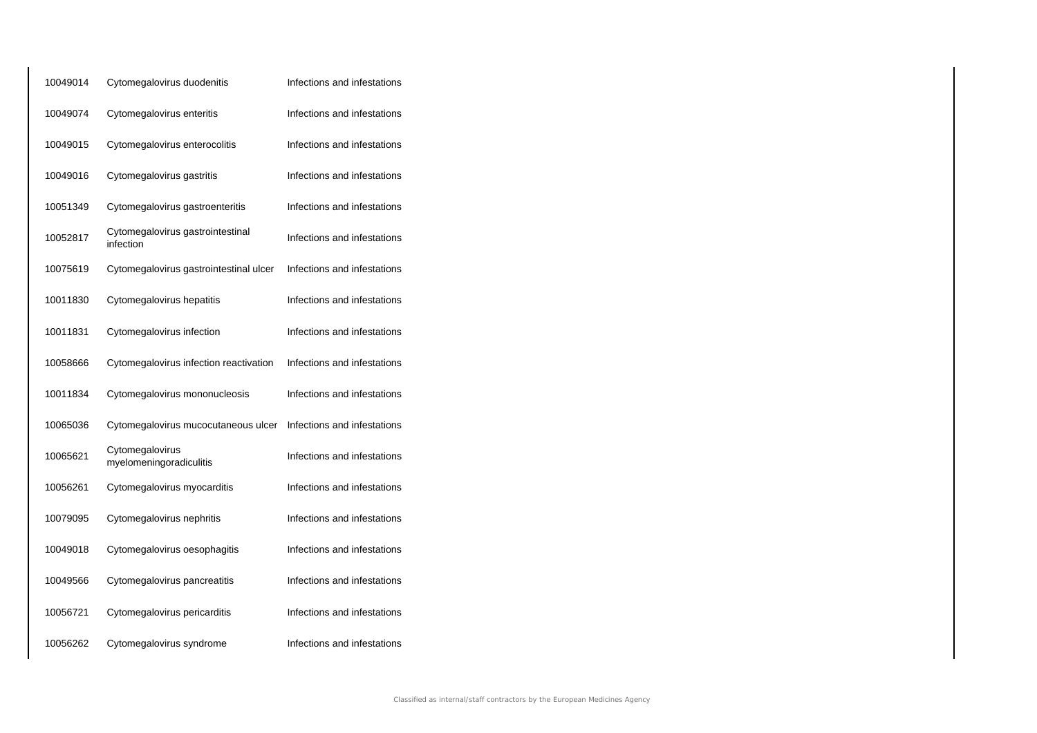| 10049014 | Cytomegalovirus duodenitis                    | Infections and infestations |
|----------|-----------------------------------------------|-----------------------------|
| 10049074 | Cytomegalovirus enteritis                     | Infections and infestations |
| 10049015 | Cytomegalovirus enterocolitis                 | Infections and infestations |
| 10049016 | Cytomegalovirus gastritis                     | Infections and infestations |
| 10051349 | Cytomegalovirus gastroenteritis               | Infections and infestations |
| 10052817 | Cytomegalovirus gastrointestinal<br>infection | Infections and infestations |
| 10075619 | Cytomegalovirus gastrointestinal ulcer        | Infections and infestations |
| 10011830 | Cytomegalovirus hepatitis                     | Infections and infestations |
| 10011831 | Cytomegalovirus infection                     | Infections and infestations |
| 10058666 | Cytomegalovirus infection reactivation        | Infections and infestations |
| 10011834 | Cytomegalovirus mononucleosis                 | Infections and infestations |
| 10065036 | Cytomegalovirus mucocutaneous ulcer           | Infections and infestations |
| 10065621 | Cytomegalovirus<br>myelomeningoradiculitis    | Infections and infestations |
| 10056261 | Cytomegalovirus myocarditis                   | Infections and infestations |
| 10079095 | Cytomegalovirus nephritis                     | Infections and infestations |
| 10049018 | Cytomegalovirus oesophagitis                  | Infections and infestations |
| 10049566 | Cytomegalovirus pancreatitis                  | Infections and infestations |
| 10056721 | Cytomegalovirus pericarditis                  | Infections and infestations |
| 10056262 | Cytomegalovirus syndrome                      | Infections and infestations |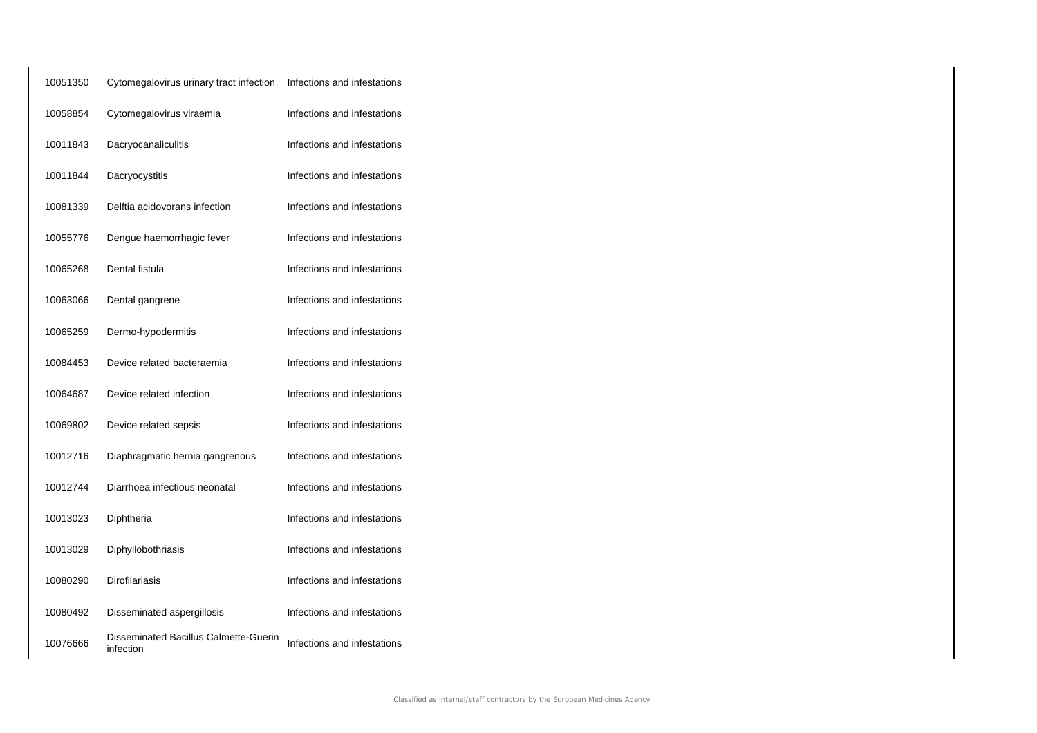| 10051350 | Cytomegalovirus urinary tract infection            | Infections and infestations |
|----------|----------------------------------------------------|-----------------------------|
| 10058854 | Cytomegalovirus viraemia                           | Infections and infestations |
| 10011843 | Dacryocanaliculitis                                | Infections and infestations |
| 10011844 | Dacryocystitis                                     | Infections and infestations |
| 10081339 | Delftia acidovorans infection                      | Infections and infestations |
| 10055776 | Dengue haemorrhagic fever                          | Infections and infestations |
| 10065268 | Dental fistula                                     | Infections and infestations |
| 10063066 | Dental gangrene                                    | Infections and infestations |
| 10065259 | Dermo-hypodermitis                                 | Infections and infestations |
| 10084453 | Device related bacteraemia                         | Infections and infestations |
| 10064687 | Device related infection                           | Infections and infestations |
| 10069802 | Device related sepsis                              | Infections and infestations |
| 10012716 | Diaphragmatic hernia gangrenous                    | Infections and infestations |
| 10012744 | Diarrhoea infectious neonatal                      | Infections and infestations |
| 10013023 | Diphtheria                                         | Infections and infestations |
| 10013029 | Diphyllobothriasis                                 | Infections and infestations |
| 10080290 | <b>Dirofilariasis</b>                              | Infections and infestations |
| 10080492 | Disseminated aspergillosis                         | Infections and infestations |
| 10076666 | Disseminated Bacillus Calmette-Guerin<br>infection | Infections and infestations |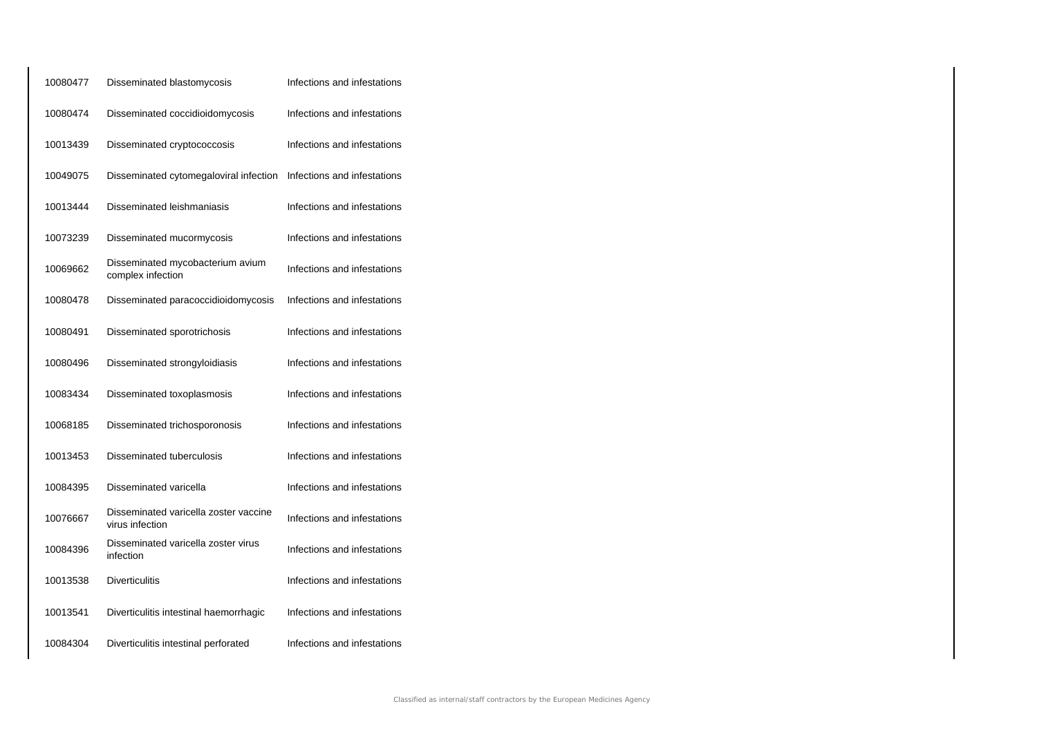| 10080477 | Disseminated blastomycosis                               | Infections and infestations |
|----------|----------------------------------------------------------|-----------------------------|
| 10080474 | Disseminated coccidioidomycosis                          | Infections and infestations |
| 10013439 | Disseminated cryptococcosis                              | Infections and infestations |
| 10049075 | Disseminated cytomegaloviral infection                   | Infections and infestations |
| 10013444 | Disseminated leishmaniasis                               | Infections and infestations |
| 10073239 | Disseminated mucormycosis                                | Infections and infestations |
| 10069662 | Disseminated mycobacterium avium<br>complex infection    | Infections and infestations |
| 10080478 | Disseminated paracoccidioidomycosis                      | Infections and infestations |
| 10080491 | Disseminated sporotrichosis                              | Infections and infestations |
| 10080496 | Disseminated strongyloidiasis                            | Infections and infestations |
| 10083434 | Disseminated toxoplasmosis                               | Infections and infestations |
| 10068185 | Disseminated trichosporonosis                            | Infections and infestations |
| 10013453 | Disseminated tuberculosis                                | Infections and infestations |
| 10084395 | Disseminated varicella                                   | Infections and infestations |
| 10076667 | Disseminated varicella zoster vaccine<br>virus infection | Infections and infestations |
| 10084396 | Disseminated varicella zoster virus<br>infection         | Infections and infestations |
| 10013538 | <b>Diverticulitis</b>                                    | Infections and infestations |
| 10013541 | Diverticulitis intestinal haemorrhagic                   | Infections and infestations |
| 10084304 | Diverticulitis intestinal perforated                     | Infections and infestations |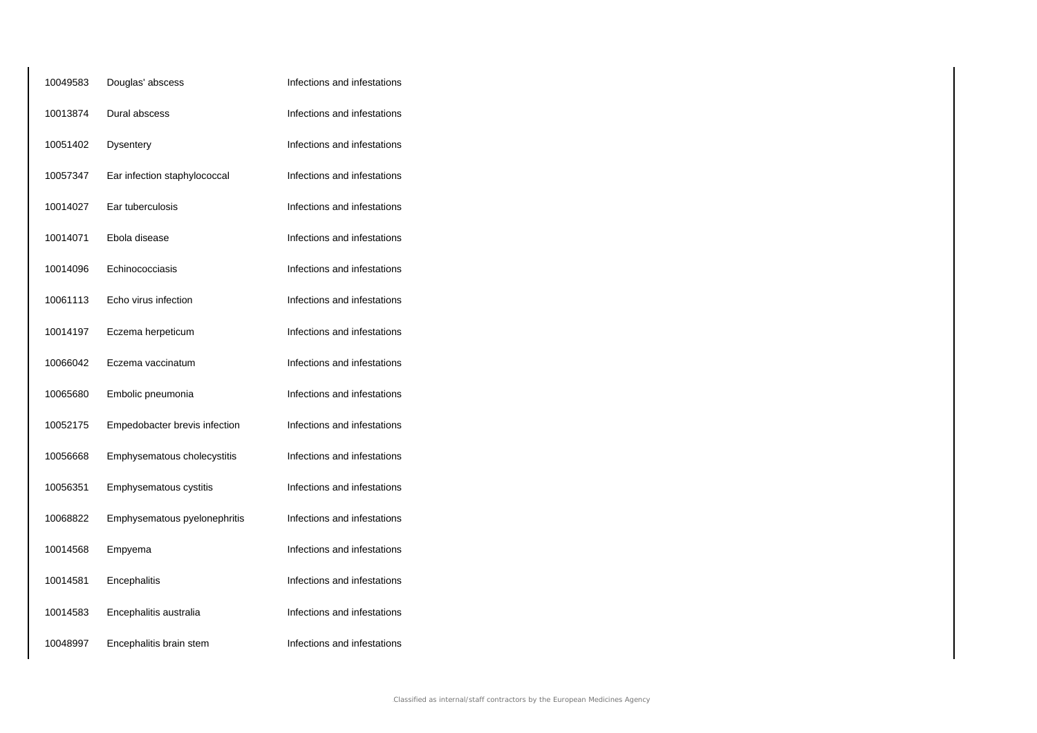| 10049583 | Douglas' abscess              | Infections and infestations |
|----------|-------------------------------|-----------------------------|
| 10013874 | Dural abscess                 | Infections and infestations |
| 10051402 | Dysentery                     | Infections and infestations |
| 10057347 | Ear infection staphylococcal  | Infections and infestations |
| 10014027 | Ear tuberculosis              | Infections and infestations |
| 10014071 | Ebola disease                 | Infections and infestations |
| 10014096 | Echinococciasis               | Infections and infestations |
| 10061113 | Echo virus infection          | Infections and infestations |
| 10014197 | Eczema herpeticum             | Infections and infestations |
| 10066042 | Eczema vaccinatum             | Infections and infestations |
| 10065680 | Embolic pneumonia             | Infections and infestations |
| 10052175 | Empedobacter brevis infection | Infections and infestations |
| 10056668 | Emphysematous cholecystitis   | Infections and infestations |
| 10056351 | Emphysematous cystitis        | Infections and infestations |
| 10068822 | Emphysematous pyelonephritis  | Infections and infestations |
| 10014568 | Empyema                       | Infections and infestations |
| 10014581 | Encephalitis                  | Infections and infestations |
| 10014583 | Encephalitis australia        | Infections and infestations |
| 10048997 | Encephalitis brain stem       | Infections and infestations |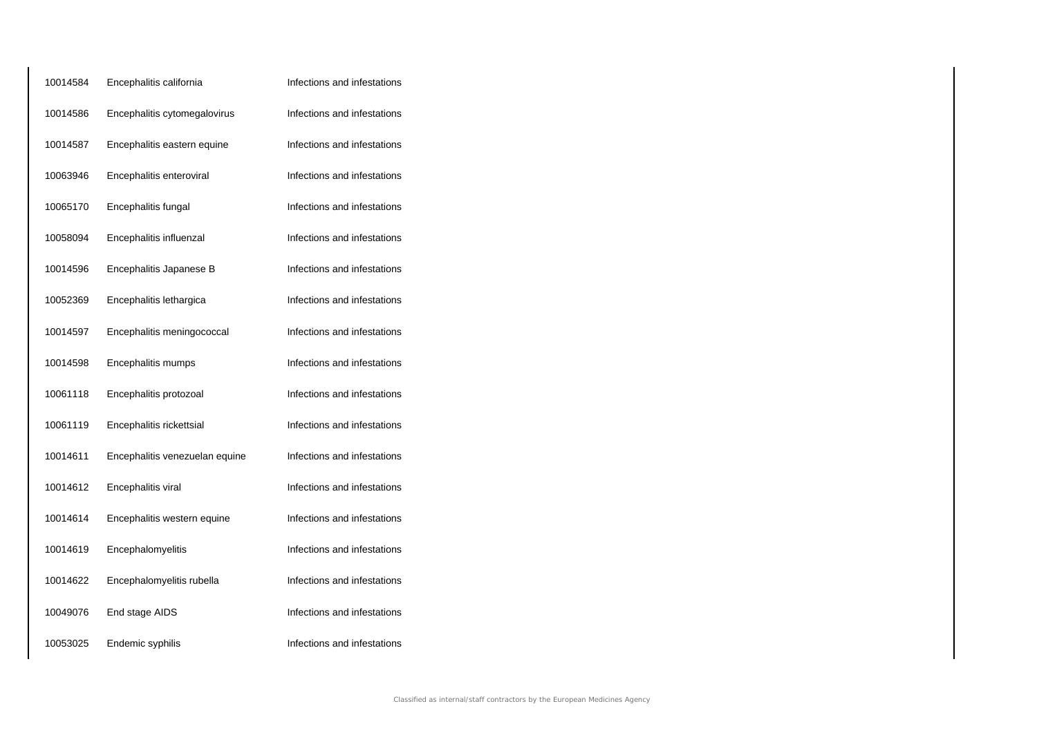| 10014584 | Encephalitis california        | Infections and infestations |
|----------|--------------------------------|-----------------------------|
| 10014586 | Encephalitis cytomegalovirus   | Infections and infestations |
| 10014587 | Encephalitis eastern equine    | Infections and infestations |
| 10063946 | Encephalitis enteroviral       | Infections and infestations |
| 10065170 | Encephalitis fungal            | Infections and infestations |
| 10058094 | Encephalitis influenzal        | Infections and infestations |
| 10014596 | Encephalitis Japanese B        | Infections and infestations |
| 10052369 | Encephalitis lethargica        | Infections and infestations |
| 10014597 | Encephalitis meningococcal     | Infections and infestations |
| 10014598 | Encephalitis mumps             | Infections and infestations |
| 10061118 | Encephalitis protozoal         | Infections and infestations |
| 10061119 | Encephalitis rickettsial       | Infections and infestations |
| 10014611 | Encephalitis venezuelan equine | Infections and infestations |
| 10014612 | Encephalitis viral             | Infections and infestations |
| 10014614 | Encephalitis western equine    | Infections and infestations |
| 10014619 | Encephalomyelitis              | Infections and infestations |
| 10014622 | Encephalomyelitis rubella      | Infections and infestations |
| 10049076 | End stage AIDS                 | Infections and infestations |
| 10053025 | Endemic syphilis               | Infections and infestations |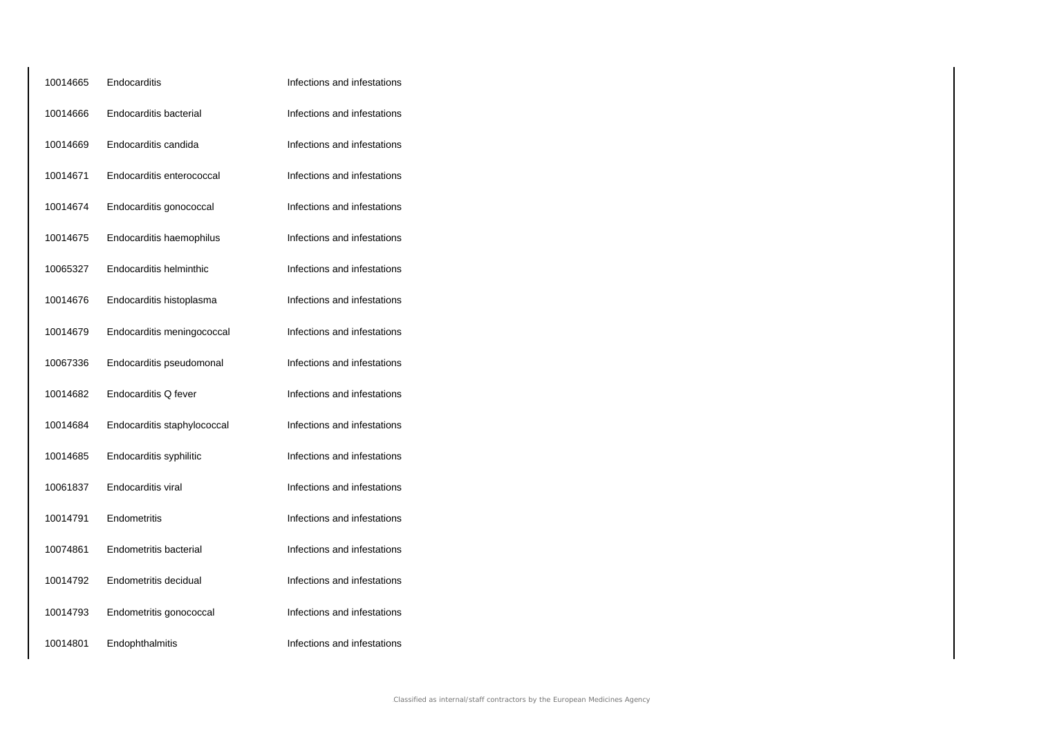| 10014665 | Endocarditis                | Infections and infestations |
|----------|-----------------------------|-----------------------------|
| 10014666 | Endocarditis bacterial      | Infections and infestations |
| 10014669 | Endocarditis candida        | Infections and infestations |
| 10014671 | Endocarditis enterococcal   | Infections and infestations |
| 10014674 | Endocarditis gonococcal     | Infections and infestations |
| 10014675 | Endocarditis haemophilus    | Infections and infestations |
| 10065327 | Endocarditis helminthic     | Infections and infestations |
| 10014676 | Endocarditis histoplasma    | Infections and infestations |
| 10014679 | Endocarditis meningococcal  | Infections and infestations |
| 10067336 | Endocarditis pseudomonal    | Infections and infestations |
| 10014682 | Endocarditis Q fever        | Infections and infestations |
| 10014684 | Endocarditis staphylococcal | Infections and infestations |
| 10014685 | Endocarditis syphilitic     | Infections and infestations |
| 10061837 | Endocarditis viral          | Infections and infestations |
| 10014791 | Endometritis                | Infections and infestations |
| 10074861 | Endometritis bacterial      | Infections and infestations |
| 10014792 | Endometritis decidual       | Infections and infestations |
| 10014793 | Endometritis gonococcal     | Infections and infestations |
| 10014801 | Endophthalmitis             | Infections and infestations |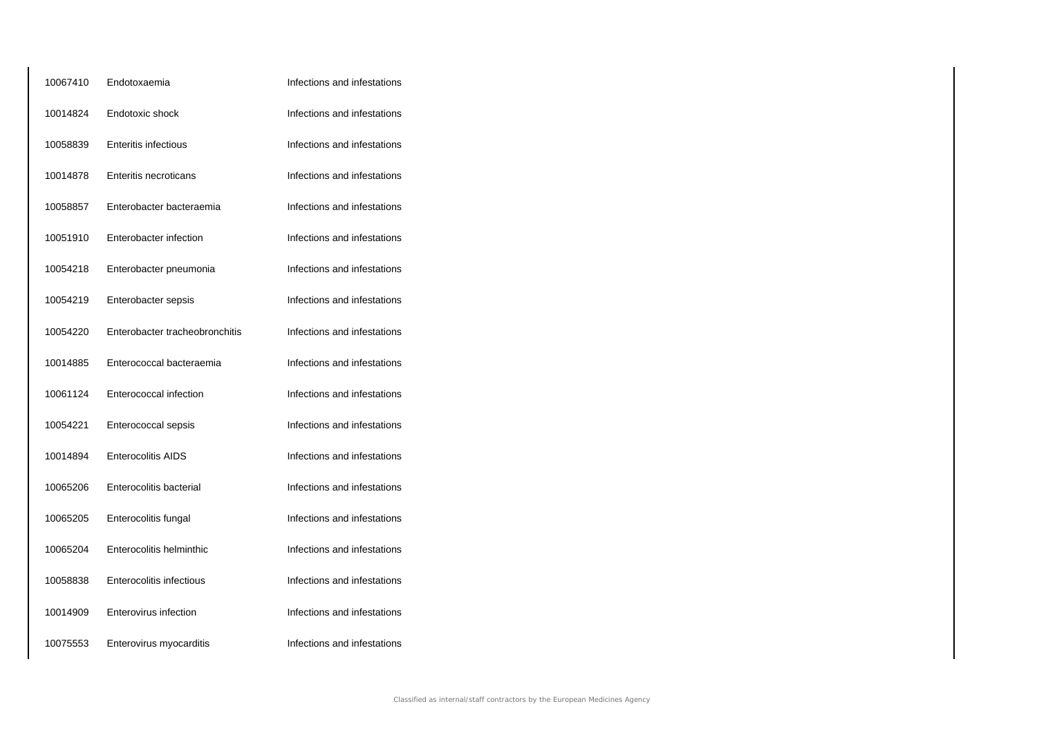| 10067410 | Endotoxaemia                   | Infections and infestations |
|----------|--------------------------------|-----------------------------|
| 10014824 | Endotoxic shock                | Infections and infestations |
| 10058839 | <b>Enteritis infectious</b>    | Infections and infestations |
| 10014878 | <b>Enteritis necroticans</b>   | Infections and infestations |
| 10058857 | Enterobacter bacteraemia       | Infections and infestations |
| 10051910 | Enterobacter infection         | Infections and infestations |
| 10054218 | Enterobacter pneumonia         | Infections and infestations |
| 10054219 | Enterobacter sepsis            | Infections and infestations |
| 10054220 | Enterobacter tracheobronchitis | Infections and infestations |
| 10014885 | Enterococcal bacteraemia       | Infections and infestations |
| 10061124 | Enterococcal infection         | Infections and infestations |
| 10054221 | Enterococcal sepsis            | Infections and infestations |
| 10014894 | <b>Enterocolitis AIDS</b>      | Infections and infestations |
| 10065206 | Enterocolitis bacterial        | Infections and infestations |
| 10065205 | Enterocolitis fungal           | Infections and infestations |
| 10065204 | Enterocolitis helminthic       | Infections and infestations |
| 10058838 | Enterocolitis infectious       | Infections and infestations |
| 10014909 | Enterovirus infection          | Infections and infestations |
| 10075553 | Enterovirus myocarditis        | Infections and infestations |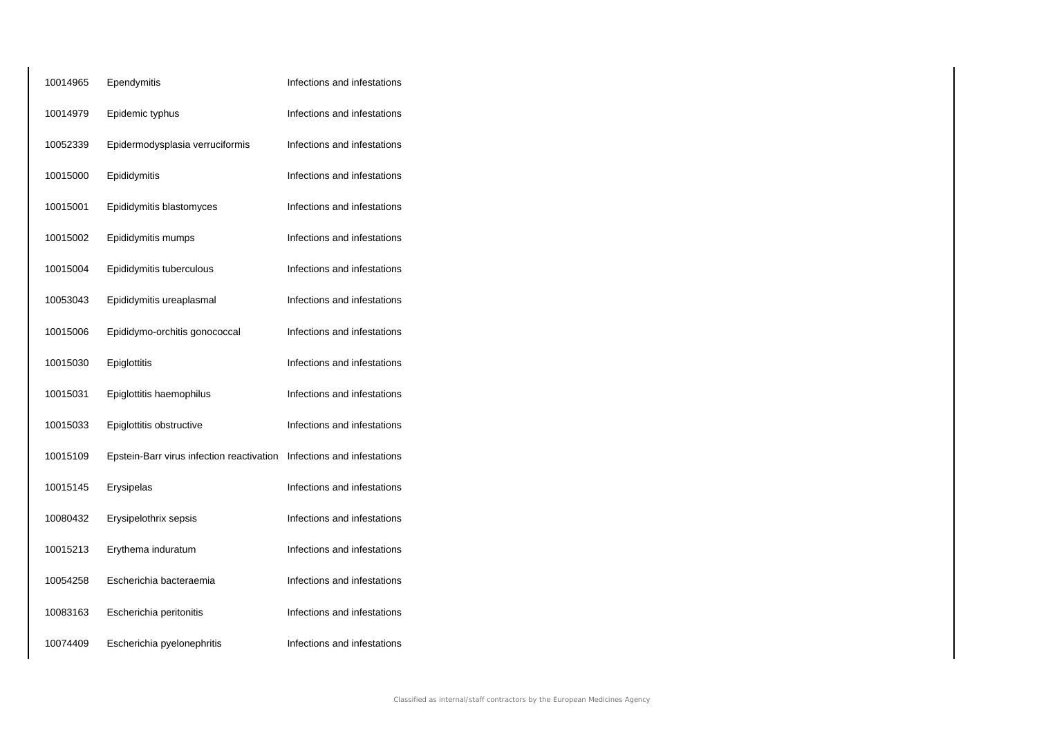| 10014965 | Ependymitis                               | Infections and infestations |
|----------|-------------------------------------------|-----------------------------|
| 10014979 | Epidemic typhus                           | Infections and infestations |
| 10052339 | Epidermodysplasia verruciformis           | Infections and infestations |
| 10015000 | Epididymitis                              | Infections and infestations |
| 10015001 | Epididymitis blastomyces                  | Infections and infestations |
| 10015002 | Epididymitis mumps                        | Infections and infestations |
| 10015004 | Epididymitis tuberculous                  | Infections and infestations |
| 10053043 | Epididymitis ureaplasmal                  | Infections and infestations |
| 10015006 | Epididymo-orchitis gonococcal             | Infections and infestations |
| 10015030 | Epiglottitis                              | Infections and infestations |
| 10015031 | Epiglottitis haemophilus                  | Infections and infestations |
| 10015033 | Epiglottitis obstructive                  | Infections and infestations |
| 10015109 | Epstein-Barr virus infection reactivation | Infections and infestations |
| 10015145 | Erysipelas                                | Infections and infestations |
| 10080432 | Erysipelothrix sepsis                     | Infections and infestations |
| 10015213 | Erythema induratum                        | Infections and infestations |
| 10054258 | Escherichia bacteraemia                   | Infections and infestations |
| 10083163 | Escherichia peritonitis                   | Infections and infestations |
| 10074409 | Escherichia pyelonephritis                | Infections and infestations |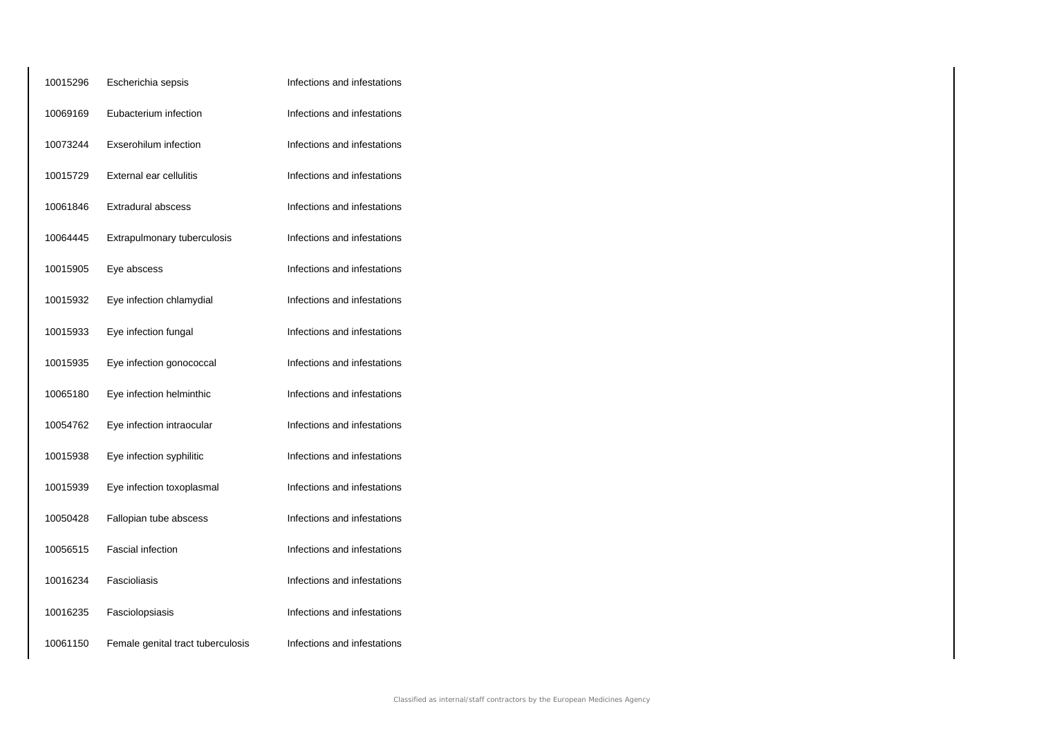| 10015296 | Escherichia sepsis                | Infections and infestations |
|----------|-----------------------------------|-----------------------------|
| 10069169 | Eubacterium infection             | Infections and infestations |
| 10073244 | Exserohilum infection             | Infections and infestations |
| 10015729 | External ear cellulitis           | Infections and infestations |
| 10061846 | <b>Extradural abscess</b>         | Infections and infestations |
| 10064445 | Extrapulmonary tuberculosis       | Infections and infestations |
| 10015905 | Eye abscess                       | Infections and infestations |
| 10015932 | Eye infection chlamydial          | Infections and infestations |
| 10015933 | Eye infection fungal              | Infections and infestations |
| 10015935 | Eye infection gonococcal          | Infections and infestations |
| 10065180 | Eye infection helminthic          | Infections and infestations |
| 10054762 | Eye infection intraocular         | Infections and infestations |
| 10015938 | Eye infection syphilitic          | Infections and infestations |
| 10015939 | Eye infection toxoplasmal         | Infections and infestations |
| 10050428 | Fallopian tube abscess            | Infections and infestations |
| 10056515 | Fascial infection                 | Infections and infestations |
| 10016234 | Fascioliasis                      | Infections and infestations |
| 10016235 | Fasciolopsiasis                   | Infections and infestations |
| 10061150 | Female genital tract tuberculosis | Infections and infestations |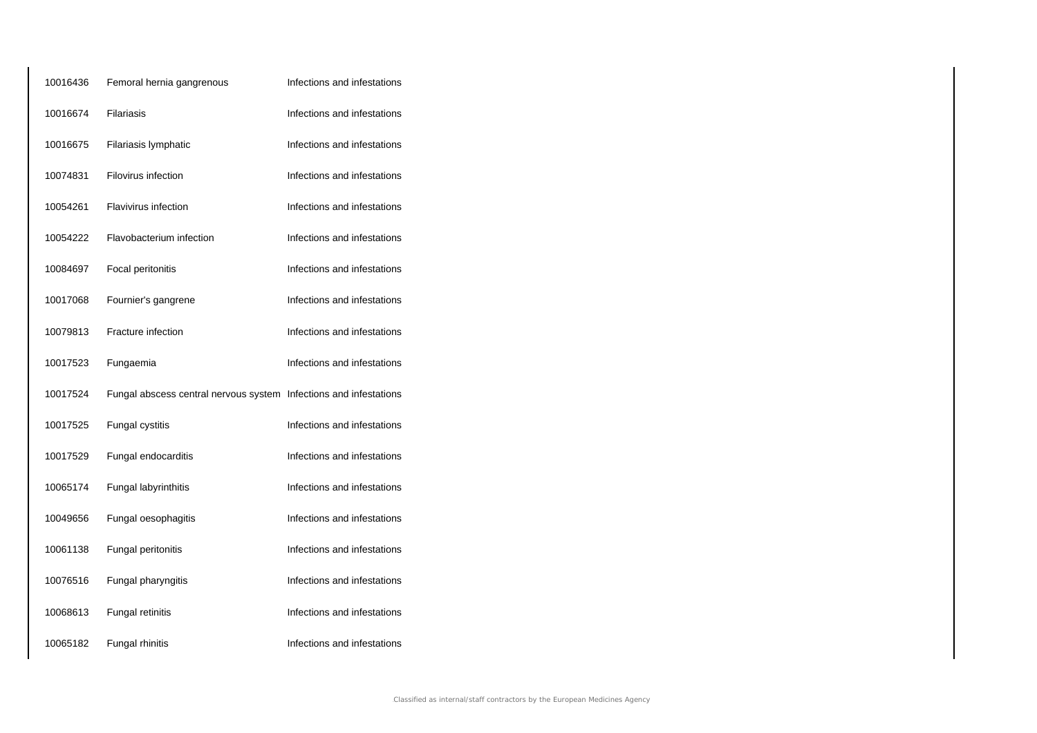| 10016436 | Femoral hernia gangrenous                                         | Infections and infestations |
|----------|-------------------------------------------------------------------|-----------------------------|
| 10016674 | <b>Filariasis</b>                                                 | Infections and infestations |
| 10016675 | Filariasis lymphatic                                              | Infections and infestations |
| 10074831 | Filovirus infection                                               | Infections and infestations |
| 10054261 | <b>Flavivirus infection</b>                                       | Infections and infestations |
| 10054222 | Flavobacterium infection                                          | Infections and infestations |
| 10084697 | Focal peritonitis                                                 | Infections and infestations |
| 10017068 | Fournier's gangrene                                               | Infections and infestations |
| 10079813 | Fracture infection                                                | Infections and infestations |
| 10017523 | Fungaemia                                                         | Infections and infestations |
| 10017524 | Fungal abscess central nervous system Infections and infestations |                             |
| 10017525 | Fungal cystitis                                                   | Infections and infestations |
| 10017529 | Fungal endocarditis                                               | Infections and infestations |
| 10065174 | Fungal labyrinthitis                                              | Infections and infestations |
| 10049656 | Fungal oesophagitis                                               | Infections and infestations |
| 10061138 | Fungal peritonitis                                                | Infections and infestations |
| 10076516 | Fungal pharyngitis                                                | Infections and infestations |
| 10068613 | Fungal retinitis                                                  | Infections and infestations |
| 10065182 | Fungal rhinitis                                                   | Infections and infestations |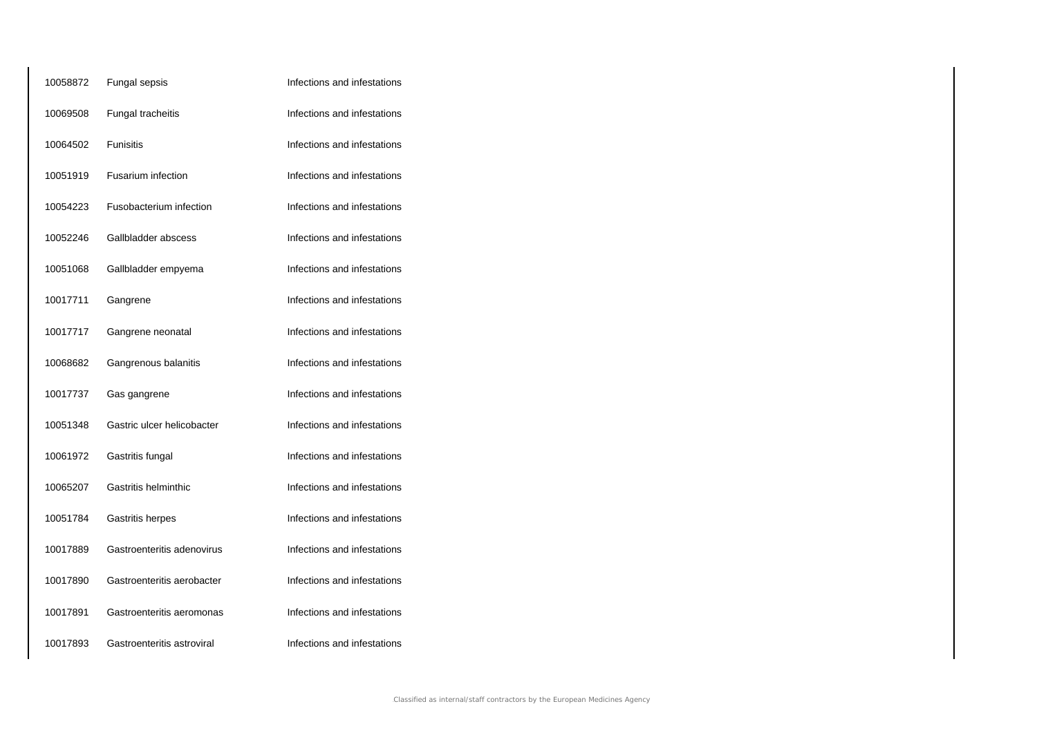| 10058872 | Fungal sepsis              | Infections and infestations |
|----------|----------------------------|-----------------------------|
| 10069508 | Fungal tracheitis          | Infections and infestations |
| 10064502 | Funisitis                  | Infections and infestations |
| 10051919 | Fusarium infection         | Infections and infestations |
| 10054223 | Fusobacterium infection    | Infections and infestations |
| 10052246 | Gallbladder abscess        | Infections and infestations |
| 10051068 | Gallbladder empyema        | Infections and infestations |
| 10017711 | Gangrene                   | Infections and infestations |
| 10017717 | Gangrene neonatal          | Infections and infestations |
| 10068682 | Gangrenous balanitis       | Infections and infestations |
| 10017737 | Gas gangrene               | Infections and infestations |
| 10051348 | Gastric ulcer helicobacter | Infections and infestations |
| 10061972 | Gastritis fungal           | Infections and infestations |
| 10065207 | Gastritis helminthic       | Infections and infestations |
| 10051784 | Gastritis herpes           | Infections and infestations |
| 10017889 | Gastroenteritis adenovirus | Infections and infestations |
| 10017890 | Gastroenteritis aerobacter | Infections and infestations |
| 10017891 | Gastroenteritis aeromonas  | Infections and infestations |
| 10017893 | Gastroenteritis astroviral | Infections and infestations |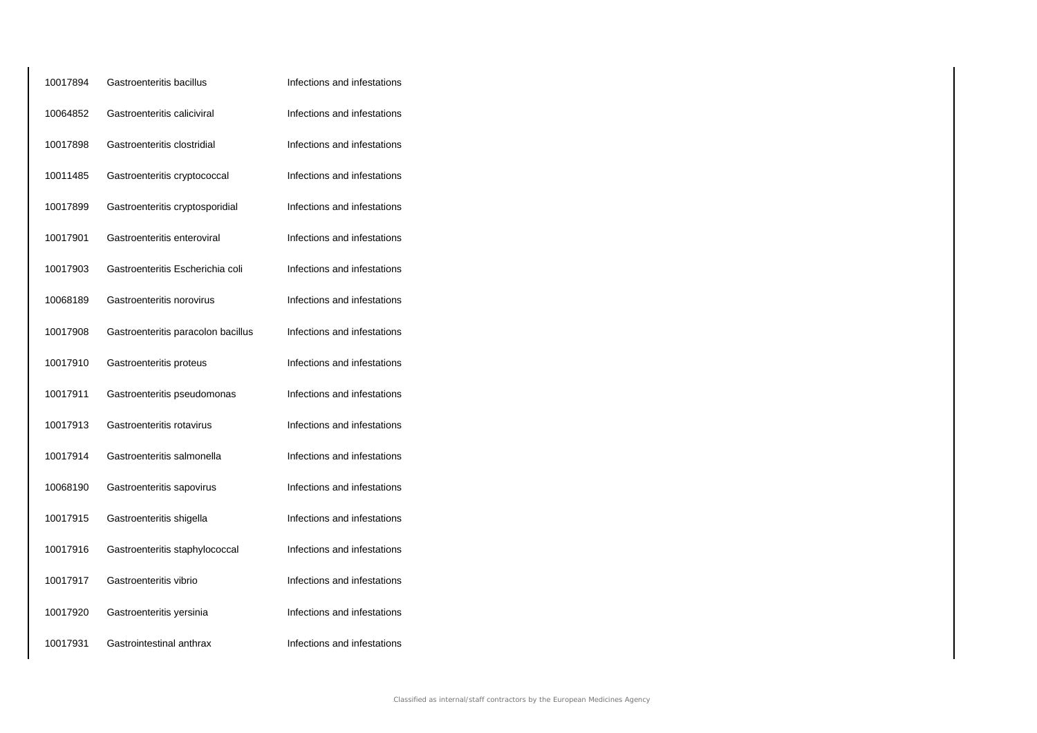| 10017894 | Gastroenteritis bacillus           | Infections and infestations |
|----------|------------------------------------|-----------------------------|
| 10064852 | Gastroenteritis caliciviral        | Infections and infestations |
| 10017898 | Gastroenteritis clostridial        | Infections and infestations |
| 10011485 | Gastroenteritis cryptococcal       | Infections and infestations |
| 10017899 | Gastroenteritis cryptosporidial    | Infections and infestations |
| 10017901 | Gastroenteritis enteroviral        | Infections and infestations |
| 10017903 | Gastroenteritis Escherichia coli   | Infections and infestations |
| 10068189 | Gastroenteritis norovirus          | Infections and infestations |
| 10017908 | Gastroenteritis paracolon bacillus | Infections and infestations |
| 10017910 | Gastroenteritis proteus            | Infections and infestations |
| 10017911 | Gastroenteritis pseudomonas        | Infections and infestations |
| 10017913 | Gastroenteritis rotavirus          | Infections and infestations |
| 10017914 | Gastroenteritis salmonella         | Infections and infestations |
| 10068190 | Gastroenteritis sapovirus          | Infections and infestations |
| 10017915 | Gastroenteritis shigella           | Infections and infestations |
| 10017916 | Gastroenteritis staphylococcal     | Infections and infestations |
| 10017917 | Gastroenteritis vibrio             | Infections and infestations |
| 10017920 | Gastroenteritis yersinia           | Infections and infestations |
| 10017931 | Gastrointestinal anthrax           | Infections and infestations |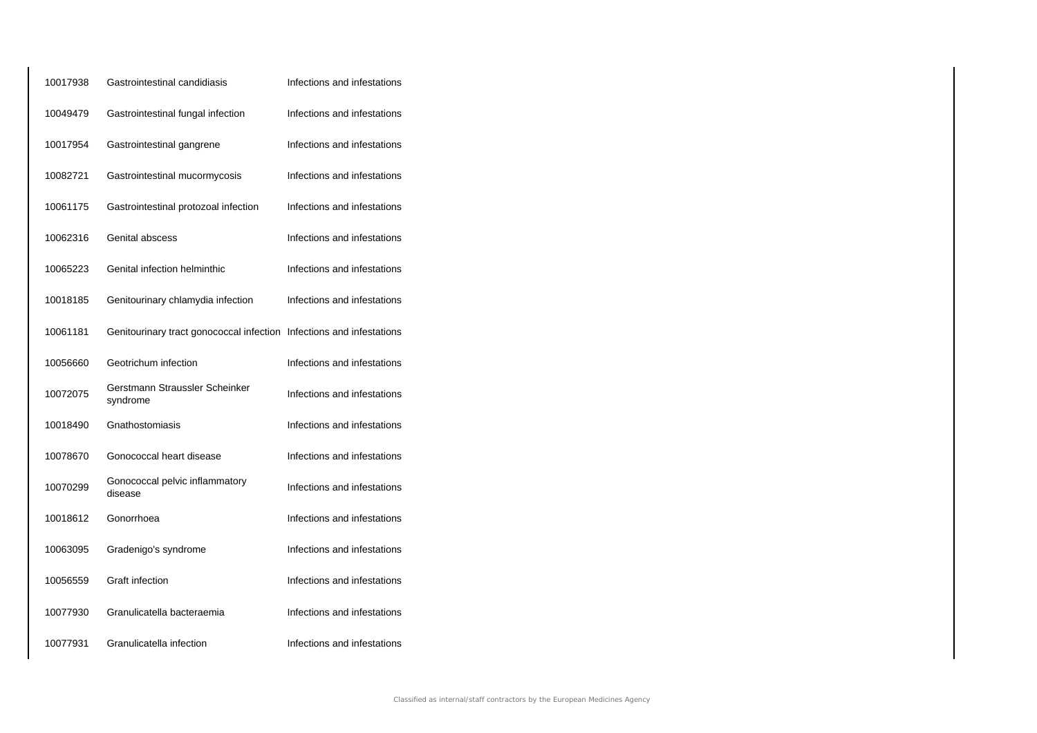| 10017938 | Gastrointestinal candidiasis                                         | Infections and infestations |
|----------|----------------------------------------------------------------------|-----------------------------|
| 10049479 | Gastrointestinal fungal infection                                    | Infections and infestations |
| 10017954 | Gastrointestinal gangrene                                            | Infections and infestations |
| 10082721 | Gastrointestinal mucormycosis                                        | Infections and infestations |
| 10061175 | Gastrointestinal protozoal infection                                 | Infections and infestations |
| 10062316 | Genital abscess                                                      | Infections and infestations |
| 10065223 | Genital infection helminthic                                         | Infections and infestations |
| 10018185 | Genitourinary chlamydia infection                                    | Infections and infestations |
| 10061181 | Genitourinary tract gonococcal infection Infections and infestations |                             |
| 10056660 | Geotrichum infection                                                 | Infections and infestations |
| 10072075 | Gerstmann Straussler Scheinker<br>syndrome                           | Infections and infestations |
| 10018490 | Gnathostomiasis                                                      | Infections and infestations |
| 10078670 | Gonococcal heart disease                                             | Infections and infestations |
| 10070299 | Gonococcal pelvic inflammatory<br>disease                            | Infections and infestations |
| 10018612 | Gonorrhoea                                                           | Infections and infestations |
| 10063095 | Gradenigo's syndrome                                                 | Infections and infestations |
| 10056559 | Graft infection                                                      | Infections and infestations |
| 10077930 | Granulicatella bacteraemia                                           | Infections and infestations |
| 10077931 | Granulicatella infection                                             | Infections and infestations |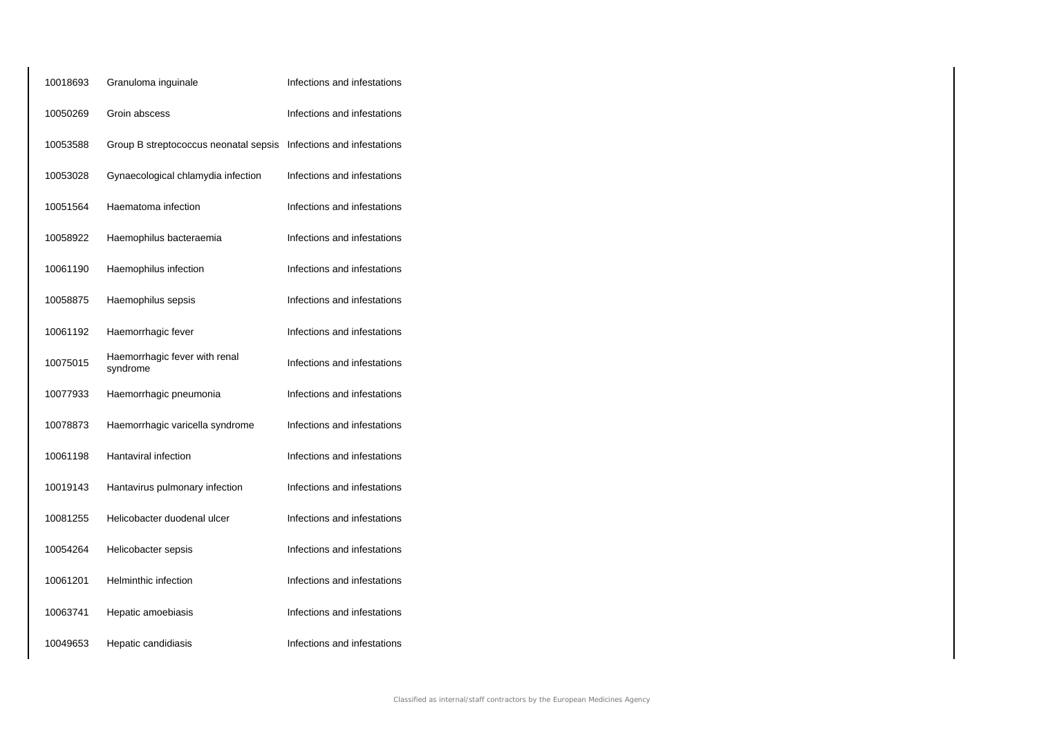| 10018693 | Granuloma inguinale                       | Infections and infestations |
|----------|-------------------------------------------|-----------------------------|
| 10050269 | Groin abscess                             | Infections and infestations |
| 10053588 | Group B streptococcus neonatal sepsis     | Infections and infestations |
| 10053028 | Gynaecological chlamydia infection        | Infections and infestations |
| 10051564 | Haematoma infection                       | Infections and infestations |
| 10058922 | Haemophilus bacteraemia                   | Infections and infestations |
| 10061190 | Haemophilus infection                     | Infections and infestations |
| 10058875 | Haemophilus sepsis                        | Infections and infestations |
| 10061192 | Haemorrhagic fever                        | Infections and infestations |
| 10075015 | Haemorrhagic fever with renal<br>syndrome | Infections and infestations |
| 10077933 | Haemorrhagic pneumonia                    | Infections and infestations |
| 10078873 | Haemorrhagic varicella syndrome           | Infections and infestations |
| 10061198 | Hantaviral infection                      | Infections and infestations |
| 10019143 | Hantavirus pulmonary infection            | Infections and infestations |
| 10081255 | Helicobacter duodenal ulcer               | Infections and infestations |
| 10054264 | Helicobacter sepsis                       | Infections and infestations |
| 10061201 | <b>Helminthic infection</b>               | Infections and infestations |
| 10063741 | Hepatic amoebiasis                        | Infections and infestations |
| 10049653 | Hepatic candidiasis                       | Infections and infestations |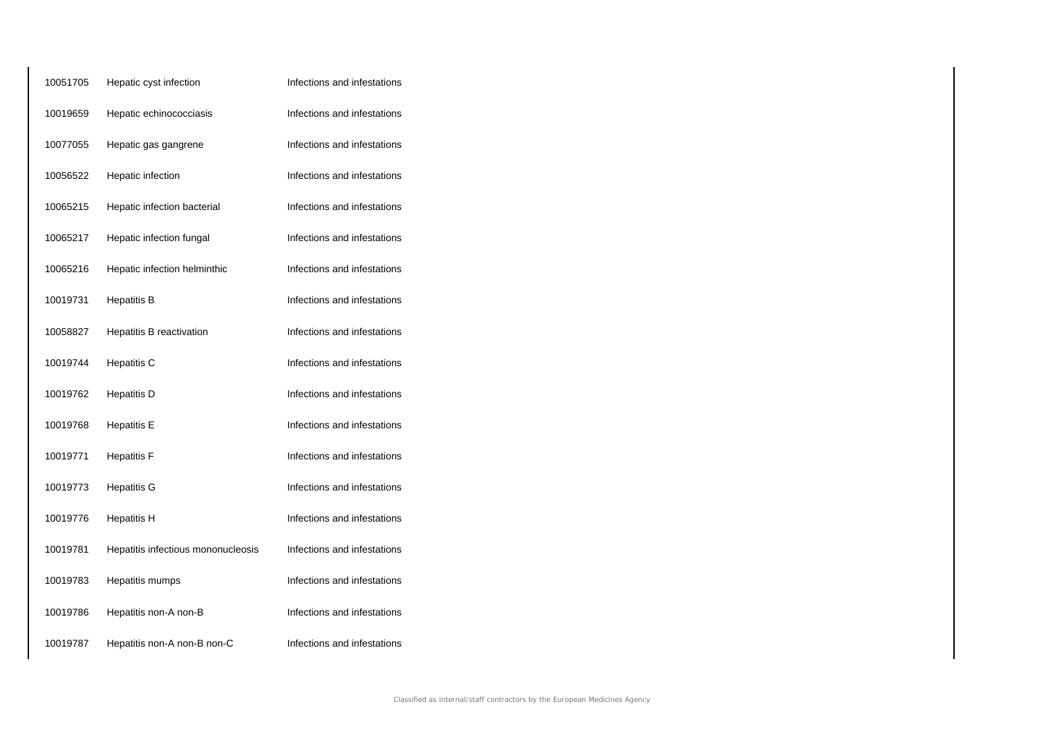| 10051705 | Hepatic cyst infection             | Infections and infestations |
|----------|------------------------------------|-----------------------------|
| 10019659 | Hepatic echinococciasis            | Infections and infestations |
| 10077055 | Hepatic gas gangrene               | Infections and infestations |
| 10056522 | Hepatic infection                  | Infections and infestations |
| 10065215 | Hepatic infection bacterial        | Infections and infestations |
| 10065217 | Hepatic infection fungal           | Infections and infestations |
| 10065216 | Hepatic infection helminthic       | Infections and infestations |
| 10019731 | <b>Hepatitis B</b>                 | Infections and infestations |
| 10058827 | Hepatitis B reactivation           | Infections and infestations |
| 10019744 | Hepatitis C                        | Infections and infestations |
| 10019762 | <b>Hepatitis D</b>                 | Infections and infestations |
| 10019768 | <b>Hepatitis E</b>                 | Infections and infestations |
| 10019771 | <b>Hepatitis F</b>                 | Infections and infestations |
| 10019773 | <b>Hepatitis G</b>                 | Infections and infestations |
| 10019776 | <b>Hepatitis H</b>                 | Infections and infestations |
| 10019781 | Hepatitis infectious mononucleosis | Infections and infestations |
| 10019783 | Hepatitis mumps                    | Infections and infestations |
| 10019786 | Hepatitis non-A non-B              | Infections and infestations |
| 10019787 | Hepatitis non-A non-B non-C        | Infections and infestations |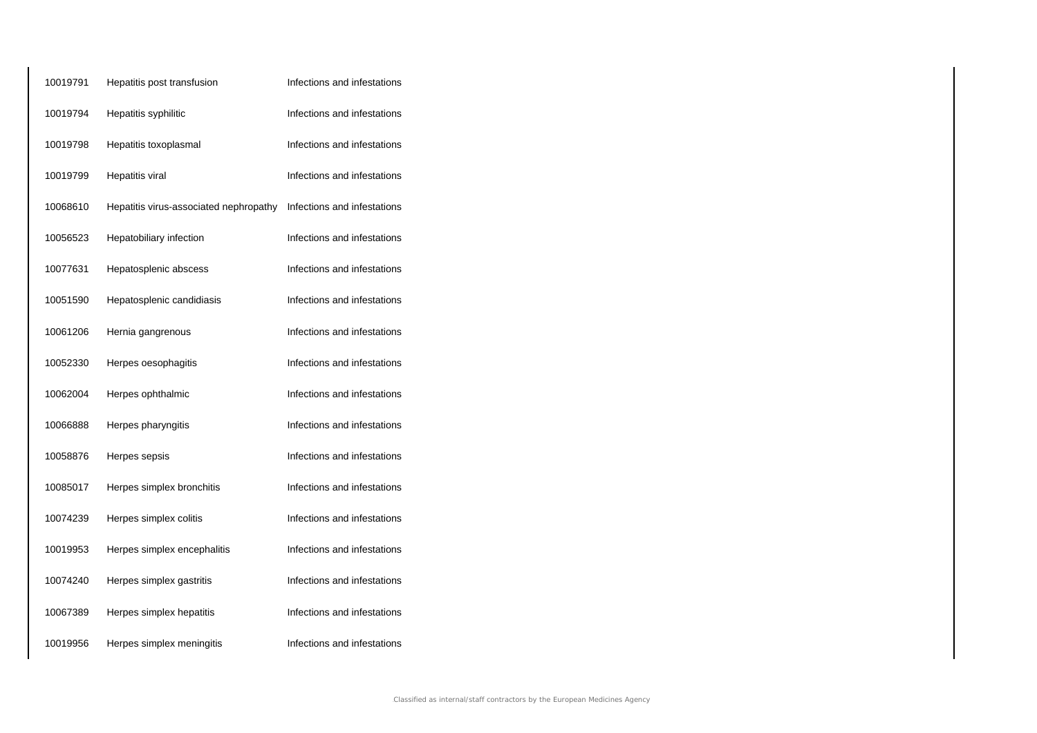| 10019791 | Hepatitis post transfusion             | Infections and infestations |
|----------|----------------------------------------|-----------------------------|
| 10019794 | Hepatitis syphilitic                   | Infections and infestations |
| 10019798 | Hepatitis toxoplasmal                  | Infections and infestations |
| 10019799 | Hepatitis viral                        | Infections and infestations |
| 10068610 | Hepatitis virus-associated nephropathy | Infections and infestations |
| 10056523 | Hepatobiliary infection                | Infections and infestations |
| 10077631 | Hepatosplenic abscess                  | Infections and infestations |
| 10051590 | Hepatosplenic candidiasis              | Infections and infestations |
| 10061206 | Hernia gangrenous                      | Infections and infestations |
| 10052330 | Herpes oesophagitis                    | Infections and infestations |
| 10062004 | Herpes ophthalmic                      | Infections and infestations |
| 10066888 | Herpes pharyngitis                     | Infections and infestations |
| 10058876 | Herpes sepsis                          | Infections and infestations |
| 10085017 | Herpes simplex bronchitis              | Infections and infestations |
| 10074239 | Herpes simplex colitis                 | Infections and infestations |
| 10019953 | Herpes simplex encephalitis            | Infections and infestations |
| 10074240 | Herpes simplex gastritis               | Infections and infestations |
| 10067389 | Herpes simplex hepatitis               | Infections and infestations |
| 10019956 | Herpes simplex meningitis              | Infections and infestations |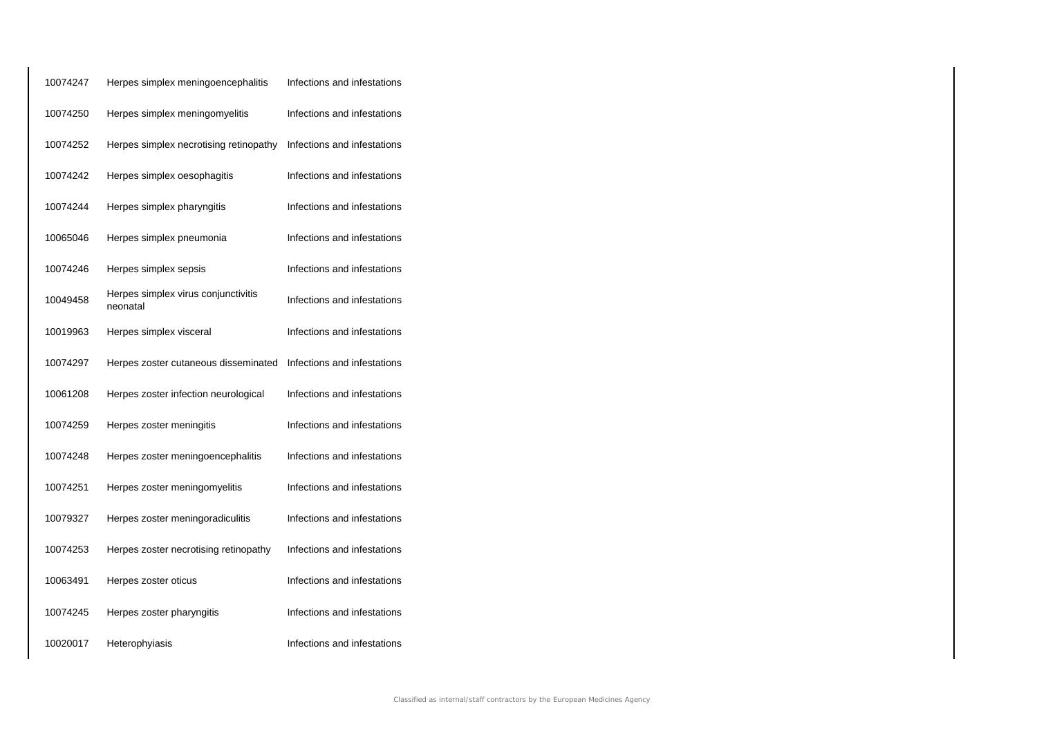| 10074247 | Herpes simplex meningoencephalitis              | Infections and infestations |
|----------|-------------------------------------------------|-----------------------------|
| 10074250 | Herpes simplex meningomyelitis                  | Infections and infestations |
| 10074252 | Herpes simplex necrotising retinopathy          | Infections and infestations |
| 10074242 | Herpes simplex oesophagitis                     | Infections and infestations |
| 10074244 | Herpes simplex pharyngitis                      | Infections and infestations |
| 10065046 | Herpes simplex pneumonia                        | Infections and infestations |
| 10074246 | Herpes simplex sepsis                           | Infections and infestations |
| 10049458 | Herpes simplex virus conjunctivitis<br>neonatal | Infections and infestations |
| 10019963 | Herpes simplex visceral                         | Infections and infestations |
| 10074297 | Herpes zoster cutaneous disseminated            | Infections and infestations |
| 10061208 | Herpes zoster infection neurological            | Infections and infestations |
| 10074259 | Herpes zoster meningitis                        | Infections and infestations |
| 10074248 | Herpes zoster meningoencephalitis               | Infections and infestations |
| 10074251 | Herpes zoster meningomyelitis                   | Infections and infestations |
| 10079327 | Herpes zoster meningoradiculitis                | Infections and infestations |
| 10074253 | Herpes zoster necrotising retinopathy           | Infections and infestations |
| 10063491 | Herpes zoster oticus                            | Infections and infestations |
| 10074245 | Herpes zoster pharyngitis                       | Infections and infestations |
| 10020017 | Heterophyiasis                                  | Infections and infestations |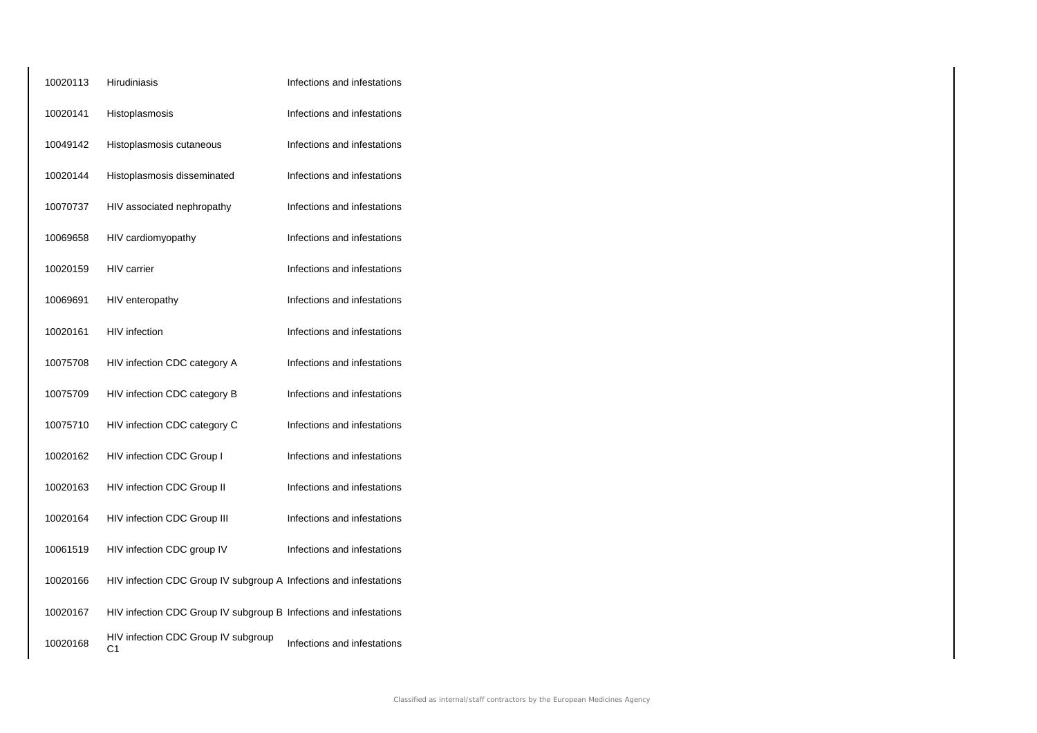| 10020113 | <b>Hirudiniasis</b>                                               | Infections and infestations |
|----------|-------------------------------------------------------------------|-----------------------------|
| 10020141 | Histoplasmosis                                                    | Infections and infestations |
| 10049142 | Histoplasmosis cutaneous                                          | Infections and infestations |
| 10020144 | Histoplasmosis disseminated                                       | Infections and infestations |
| 10070737 | HIV associated nephropathy                                        | Infections and infestations |
| 10069658 | HIV cardiomyopathy                                                | Infections and infestations |
| 10020159 | <b>HIV</b> carrier                                                | Infections and infestations |
| 10069691 | HIV enteropathy                                                   | Infections and infestations |
| 10020161 | <b>HIV</b> infection                                              | Infections and infestations |
| 10075708 | HIV infection CDC category A                                      | Infections and infestations |
| 10075709 | HIV infection CDC category B                                      | Infections and infestations |
| 10075710 | HIV infection CDC category C                                      | Infections and infestations |
| 10020162 | HIV infection CDC Group I                                         | Infections and infestations |
| 10020163 | HIV infection CDC Group II                                        | Infections and infestations |
| 10020164 | HIV infection CDC Group III                                       | Infections and infestations |
| 10061519 | HIV infection CDC group IV                                        | Infections and infestations |
| 10020166 | HIV infection CDC Group IV subgroup A Infections and infestations |                             |
| 10020167 | HIV infection CDC Group IV subgroup B Infections and infestations |                             |
| 10020168 | HIV infection CDC Group IV subgroup<br>C1                         | Infections and infestations |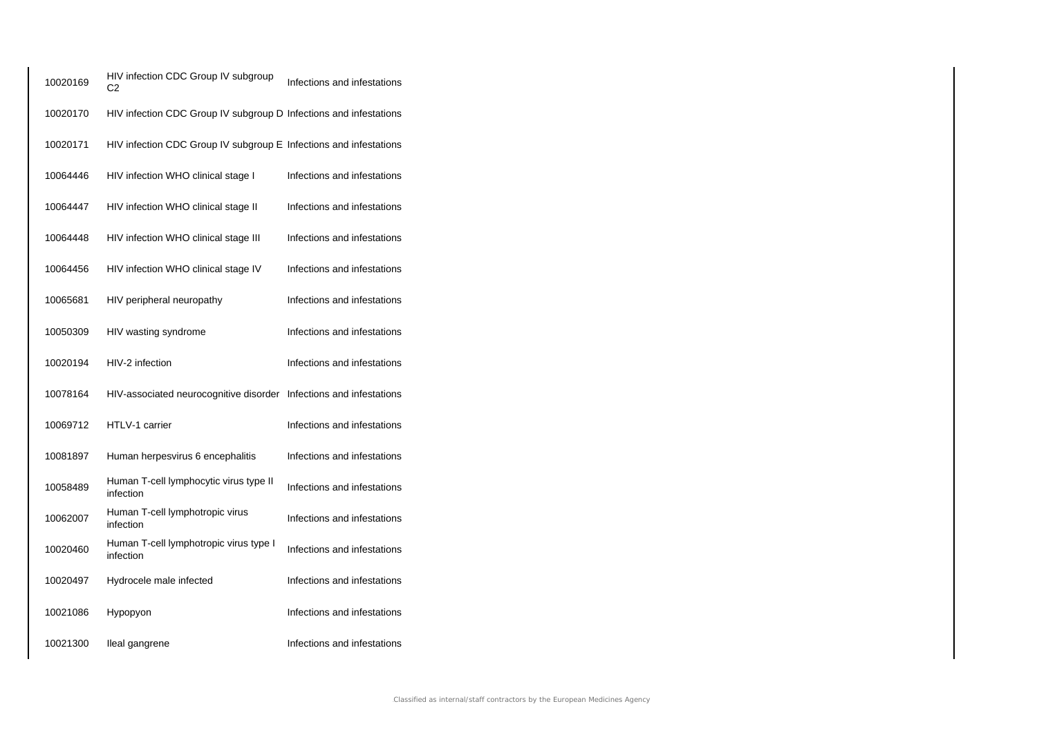| 10020169 | HIV infection CDC Group IV subgroup<br>C <sub>2</sub>              | Infections and infestations |
|----------|--------------------------------------------------------------------|-----------------------------|
| 10020170 | HIV infection CDC Group IV subgroup D Infections and infestations  |                             |
| 10020171 | HIV infection CDC Group IV subgroup E Infections and infestations  |                             |
| 10064446 | HIV infection WHO clinical stage I                                 | Infections and infestations |
| 10064447 | HIV infection WHO clinical stage II                                | Infections and infestations |
| 10064448 | HIV infection WHO clinical stage III                               | Infections and infestations |
| 10064456 | HIV infection WHO clinical stage IV                                | Infections and infestations |
| 10065681 | HIV peripheral neuropathy                                          | Infections and infestations |
| 10050309 | HIV wasting syndrome                                               | Infections and infestations |
| 10020194 | HIV-2 infection                                                    | Infections and infestations |
| 10078164 | HIV-associated neurocognitive disorder Infections and infestations |                             |
| 10069712 | HTLV-1 carrier                                                     | Infections and infestations |
| 10081897 | Human herpesvirus 6 encephalitis                                   | Infections and infestations |
| 10058489 | Human T-cell lymphocytic virus type II<br>infection                | Infections and infestations |
| 10062007 | Human T-cell lymphotropic virus<br>infection                       | Infections and infestations |
| 10020460 | Human T-cell lymphotropic virus type I<br>infection                | Infections and infestations |
| 10020497 | Hydrocele male infected                                            | Infections and infestations |
| 10021086 | Hypopyon                                                           | Infections and infestations |
| 10021300 | lleal gangrene                                                     | Infections and infestations |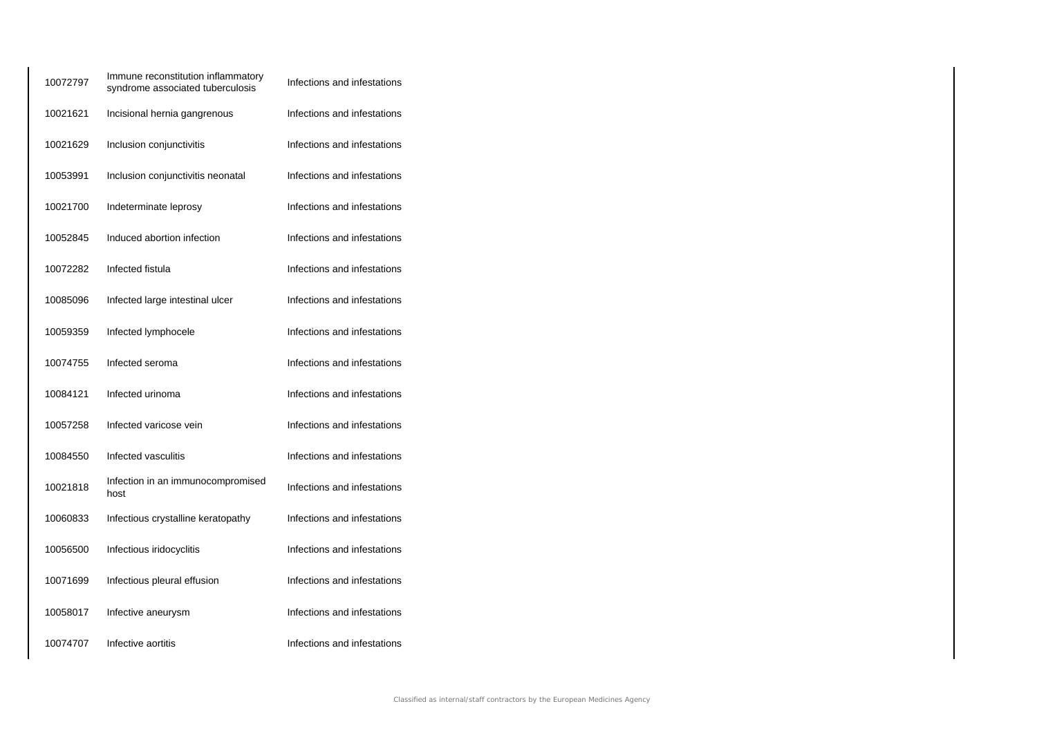| 10072797 | Immune reconstitution inflammatory<br>syndrome associated tuberculosis | Infections and infestations |
|----------|------------------------------------------------------------------------|-----------------------------|
| 10021621 | Incisional hernia gangrenous                                           | Infections and infestations |
| 10021629 | Inclusion conjunctivitis                                               | Infections and infestations |
| 10053991 | Inclusion conjunctivitis neonatal                                      | Infections and infestations |
| 10021700 | Indeterminate leprosy                                                  | Infections and infestations |
| 10052845 | Induced abortion infection                                             | Infections and infestations |
| 10072282 | Infected fistula                                                       | Infections and infestations |
| 10085096 | Infected large intestinal ulcer                                        | Infections and infestations |
| 10059359 | Infected lymphocele                                                    | Infections and infestations |
| 10074755 | Infected seroma                                                        | Infections and infestations |
| 10084121 | Infected urinoma                                                       | Infections and infestations |
| 10057258 | Infected varicose vein                                                 | Infections and infestations |
| 10084550 | Infected vasculitis                                                    | Infections and infestations |
| 10021818 | Infection in an immunocompromised<br>host                              | Infections and infestations |
| 10060833 | Infectious crystalline keratopathy                                     | Infections and infestations |
| 10056500 | Infectious iridocyclitis                                               | Infections and infestations |
| 10071699 | Infectious pleural effusion                                            | Infections and infestations |
| 10058017 | Infective aneurysm                                                     | Infections and infestations |
| 10074707 | Infective aortitis                                                     | Infections and infestations |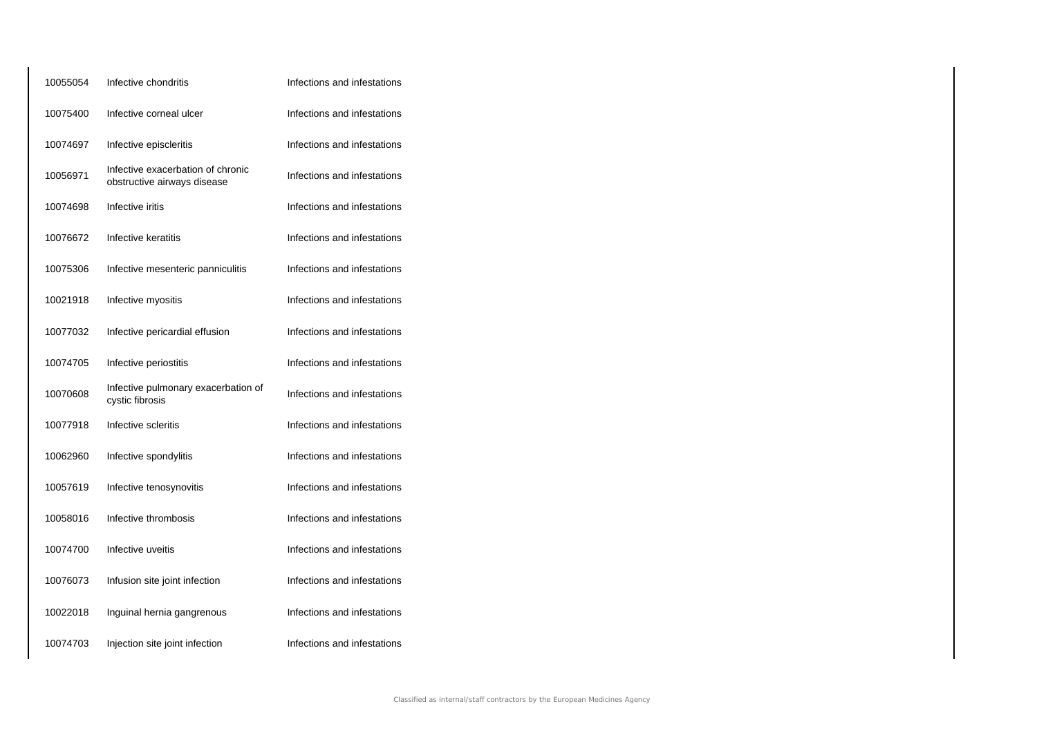| 10055054 | Infective chondritis                                             | Infections and infestations |
|----------|------------------------------------------------------------------|-----------------------------|
| 10075400 | Infective corneal ulcer                                          | Infections and infestations |
| 10074697 | Infective episcleritis                                           | Infections and infestations |
| 10056971 | Infective exacerbation of chronic<br>obstructive airways disease | Infections and infestations |
| 10074698 | Infective iritis                                                 | Infections and infestations |
| 10076672 | Infective keratitis                                              | Infections and infestations |
| 10075306 | Infective mesenteric panniculitis                                | Infections and infestations |
| 10021918 | Infective myositis                                               | Infections and infestations |
| 10077032 | Infective pericardial effusion                                   | Infections and infestations |
| 10074705 | Infective periostitis                                            | Infections and infestations |
| 10070608 | Infective pulmonary exacerbation of<br>cystic fibrosis           | Infections and infestations |
| 10077918 | Infective scleritis                                              | Infections and infestations |
| 10062960 | Infective spondylitis                                            | Infections and infestations |
| 10057619 | Infective tenosynovitis                                          | Infections and infestations |
| 10058016 | Infective thrombosis                                             | Infections and infestations |
| 10074700 | Infective uveitis                                                | Infections and infestations |
| 10076073 | Infusion site joint infection                                    | Infections and infestations |
| 10022018 | Inguinal hernia gangrenous                                       | Infections and infestations |
| 10074703 | Injection site joint infection                                   | Infections and infestations |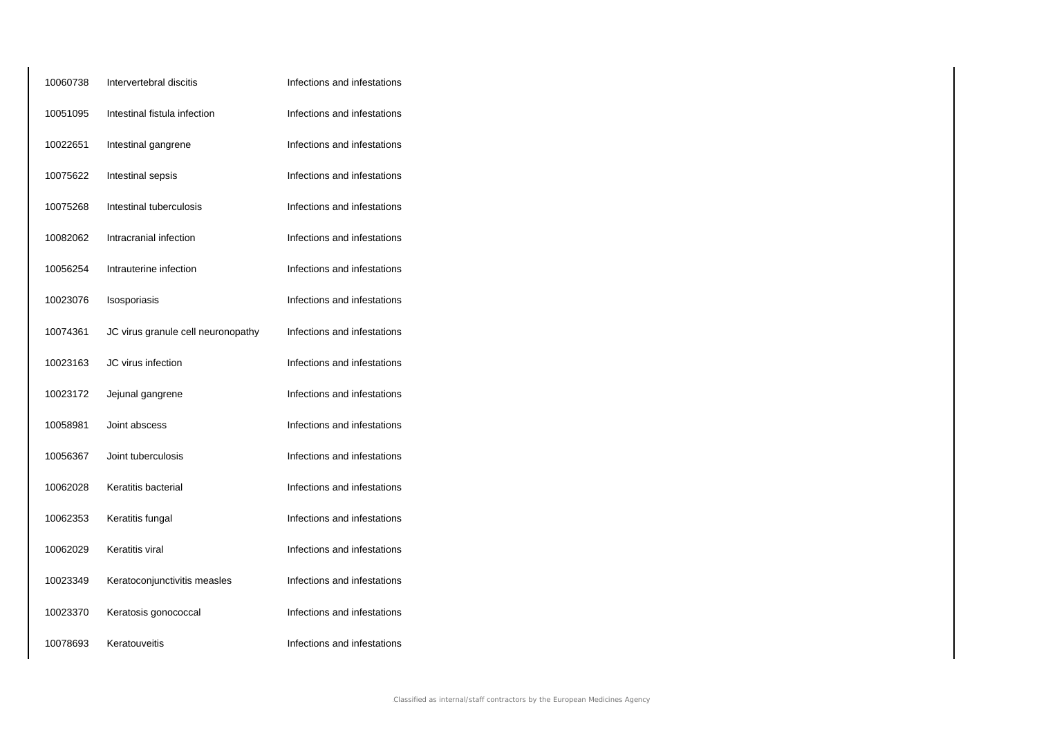| 10060738 | Intervertebral discitis            | Infections and infestations |
|----------|------------------------------------|-----------------------------|
| 10051095 | Intestinal fistula infection       | Infections and infestations |
| 10022651 | Intestinal gangrene                | Infections and infestations |
| 10075622 | Intestinal sepsis                  | Infections and infestations |
| 10075268 | Intestinal tuberculosis            | Infections and infestations |
| 10082062 | Intracranial infection             | Infections and infestations |
| 10056254 | Intrauterine infection             | Infections and infestations |
| 10023076 | Isosporiasis                       | Infections and infestations |
| 10074361 | JC virus granule cell neuronopathy | Infections and infestations |
| 10023163 | JC virus infection                 | Infections and infestations |
| 10023172 | Jejunal gangrene                   | Infections and infestations |
| 10058981 | Joint abscess                      | Infections and infestations |
| 10056367 | Joint tuberculosis                 | Infections and infestations |
| 10062028 | Keratitis bacterial                | Infections and infestations |
| 10062353 | Keratitis fungal                   | Infections and infestations |
| 10062029 | Keratitis viral                    | Infections and infestations |
| 10023349 | Keratoconjunctivitis measles       | Infections and infestations |
| 10023370 | Keratosis gonococcal               | Infections and infestations |
| 10078693 | Keratouveitis                      | Infections and infestations |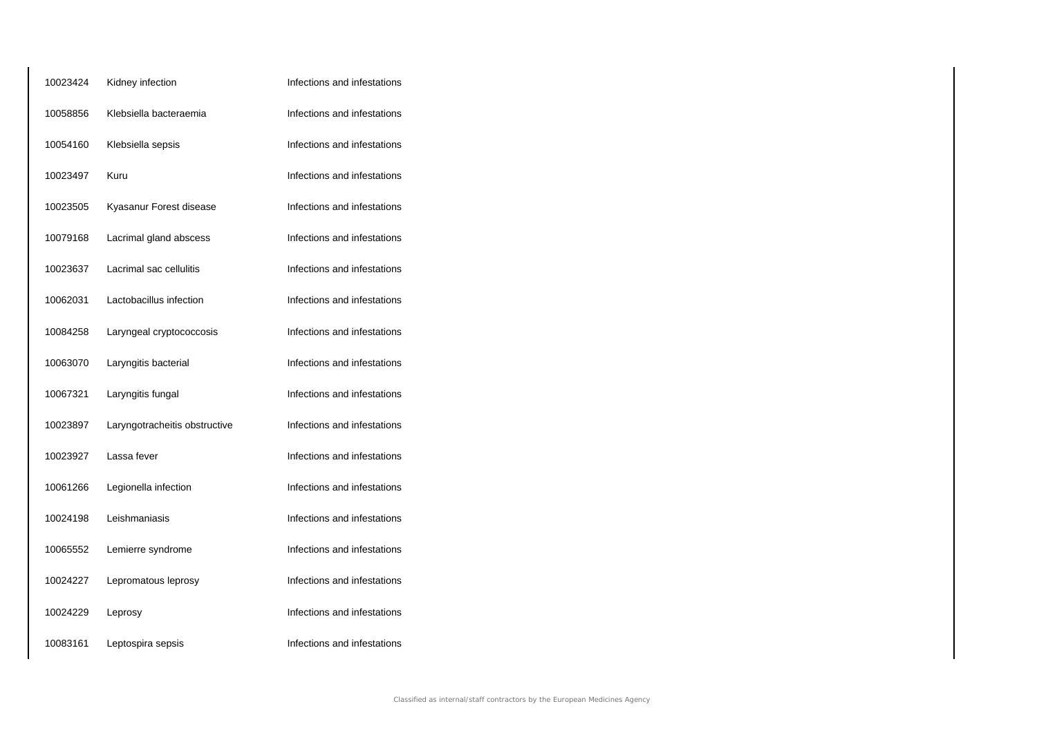| 10023424 | Kidney infection              | Infections and infestations |
|----------|-------------------------------|-----------------------------|
| 10058856 | Klebsiella bacteraemia        | Infections and infestations |
| 10054160 | Klebsiella sepsis             | Infections and infestations |
| 10023497 | Kuru                          | Infections and infestations |
| 10023505 | Kyasanur Forest disease       | Infections and infestations |
| 10079168 | Lacrimal gland abscess        | Infections and infestations |
| 10023637 | Lacrimal sac cellulitis       | Infections and infestations |
| 10062031 | Lactobacillus infection       | Infections and infestations |
| 10084258 | Laryngeal cryptococcosis      | Infections and infestations |
| 10063070 | Laryngitis bacterial          | Infections and infestations |
| 10067321 | Laryngitis fungal             | Infections and infestations |
| 10023897 | Laryngotracheitis obstructive | Infections and infestations |
| 10023927 | Lassa fever                   | Infections and infestations |
| 10061266 | Legionella infection          | Infections and infestations |
| 10024198 | Leishmaniasis                 | Infections and infestations |
| 10065552 | Lemierre syndrome             | Infections and infestations |
| 10024227 | Lepromatous leprosy           | Infections and infestations |
| 10024229 | Leprosy                       | Infections and infestations |
| 10083161 | Leptospira sepsis             | Infections and infestations |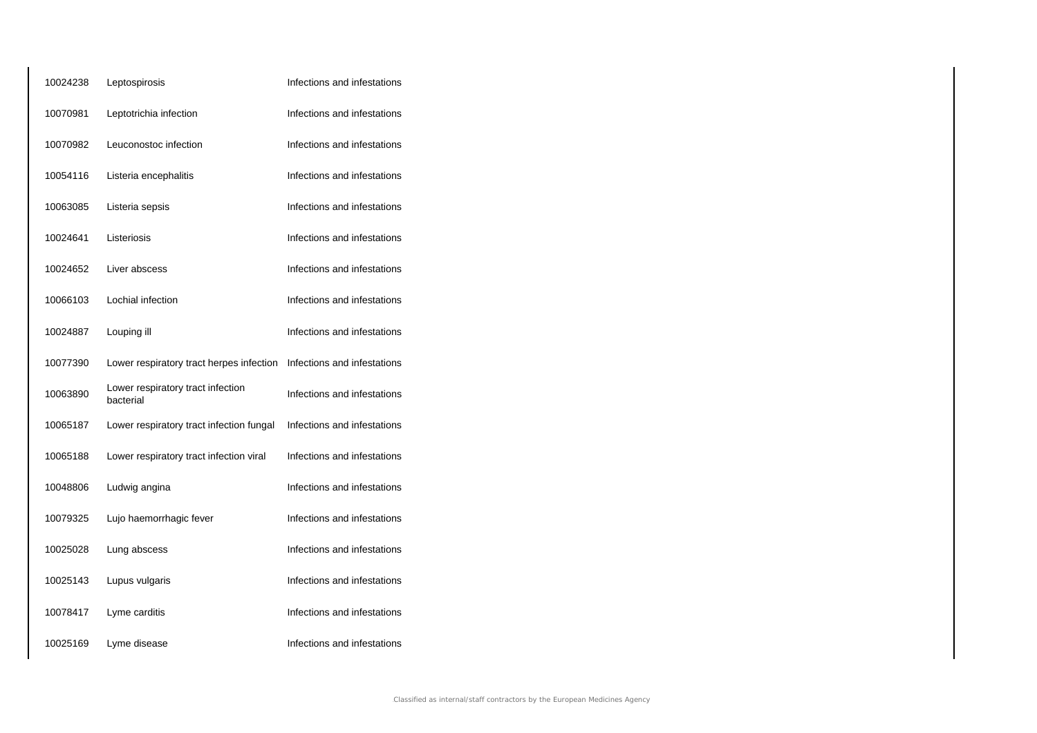| 10024238 | Leptospirosis                                  | Infections and infestations |
|----------|------------------------------------------------|-----------------------------|
| 10070981 | Leptotrichia infection                         | Infections and infestations |
| 10070982 | Leuconostoc infection                          | Infections and infestations |
| 10054116 | Listeria encephalitis                          | Infections and infestations |
| 10063085 | Listeria sepsis                                | Infections and infestations |
| 10024641 | Listeriosis                                    | Infections and infestations |
| 10024652 | Liver abscess                                  | Infections and infestations |
| 10066103 | Lochial infection                              | Infections and infestations |
| 10024887 | Louping ill                                    | Infections and infestations |
| 10077390 | Lower respiratory tract herpes infection       | Infections and infestations |
| 10063890 | Lower respiratory tract infection<br>bacterial | Infections and infestations |
| 10065187 | Lower respiratory tract infection fungal       | Infections and infestations |
| 10065188 | Lower respiratory tract infection viral        | Infections and infestations |
| 10048806 | Ludwig angina                                  | Infections and infestations |
| 10079325 | Lujo haemorrhagic fever                        | Infections and infestations |
| 10025028 | Lung abscess                                   | Infections and infestations |
| 10025143 | Lupus vulgaris                                 | Infections and infestations |
| 10078417 | Lyme carditis                                  | Infections and infestations |
| 10025169 | Lyme disease                                   | Infections and infestations |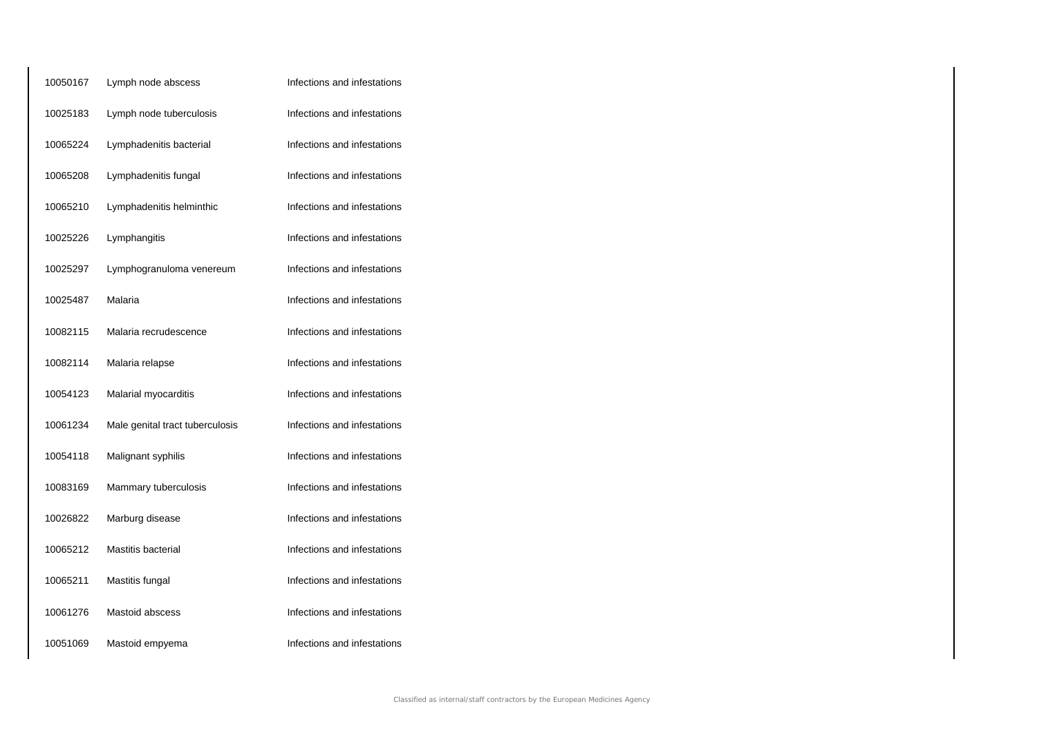| 10050167 | Lymph node abscess              | Infections and infestations |
|----------|---------------------------------|-----------------------------|
| 10025183 | Lymph node tuberculosis         | Infections and infestations |
| 10065224 | Lymphadenitis bacterial         | Infections and infestations |
| 10065208 | Lymphadenitis fungal            | Infections and infestations |
| 10065210 | Lymphadenitis helminthic        | Infections and infestations |
| 10025226 | Lymphangitis                    | Infections and infestations |
| 10025297 | Lymphogranuloma venereum        | Infections and infestations |
| 10025487 | Malaria                         | Infections and infestations |
| 10082115 | Malaria recrudescence           | Infections and infestations |
| 10082114 | Malaria relapse                 | Infections and infestations |
| 10054123 | Malarial myocarditis            | Infections and infestations |
| 10061234 | Male genital tract tuberculosis | Infections and infestations |
| 10054118 | Malignant syphilis              | Infections and infestations |
| 10083169 | Mammary tuberculosis            | Infections and infestations |
| 10026822 | Marburg disease                 | Infections and infestations |
| 10065212 | Mastitis bacterial              | Infections and infestations |
| 10065211 | Mastitis fungal                 | Infections and infestations |
| 10061276 | Mastoid abscess                 | Infections and infestations |
| 10051069 | Mastoid empyema                 | Infections and infestations |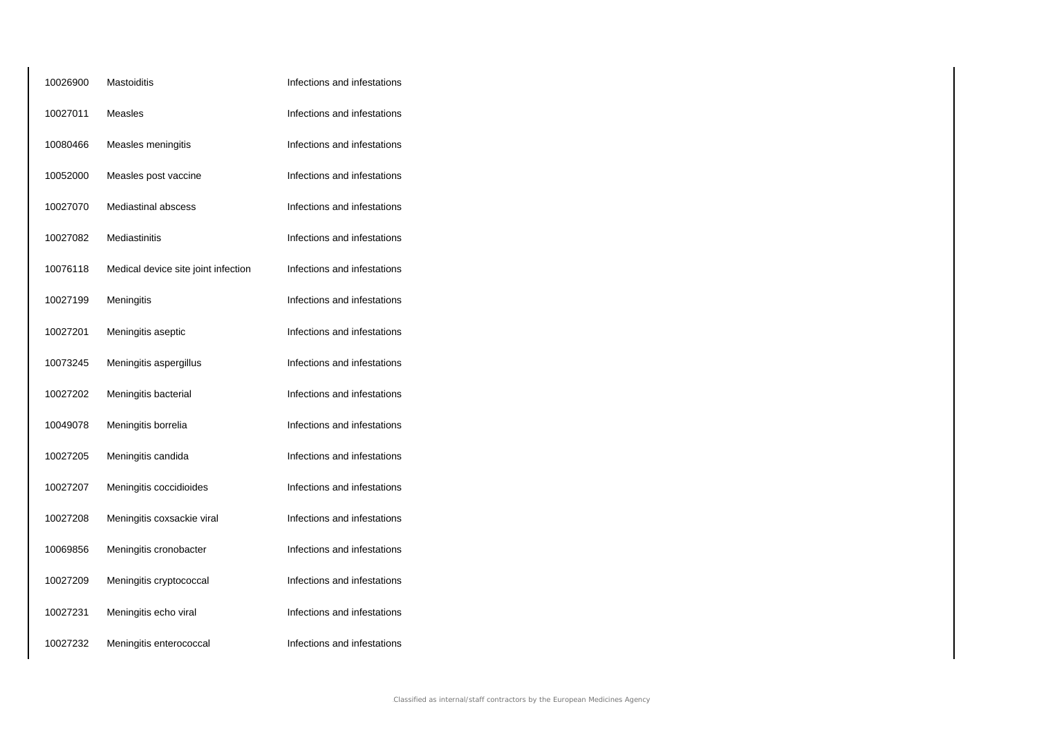| 10026900 | Mastoiditis                         | Infections and infestations |
|----------|-------------------------------------|-----------------------------|
| 10027011 | Measles                             | Infections and infestations |
| 10080466 | Measles meningitis                  | Infections and infestations |
| 10052000 | Measles post vaccine                | Infections and infestations |
| 10027070 | <b>Mediastinal abscess</b>          | Infections and infestations |
| 10027082 | Mediastinitis                       | Infections and infestations |
| 10076118 | Medical device site joint infection | Infections and infestations |
| 10027199 | Meningitis                          | Infections and infestations |
| 10027201 | Meningitis aseptic                  | Infections and infestations |
| 10073245 | Meningitis aspergillus              | Infections and infestations |
| 10027202 | Meningitis bacterial                | Infections and infestations |
| 10049078 | Meningitis borrelia                 | Infections and infestations |
| 10027205 | Meningitis candida                  | Infections and infestations |
| 10027207 | Meningitis coccidioides             | Infections and infestations |
| 10027208 | Meningitis coxsackie viral          | Infections and infestations |
| 10069856 | Meningitis cronobacter              | Infections and infestations |
| 10027209 | Meningitis cryptococcal             | Infections and infestations |
| 10027231 | Meningitis echo viral               | Infections and infestations |
| 10027232 | Meningitis enterococcal             | Infections and infestations |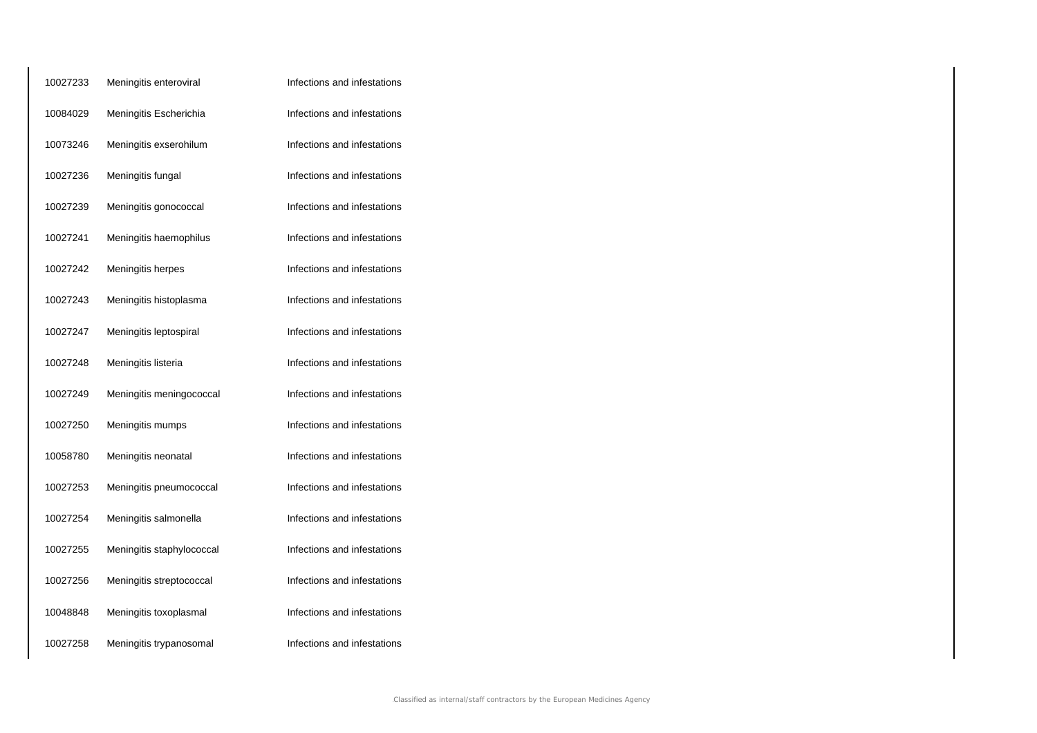| 10027233 | Meningitis enteroviral    | Infections and infestations |
|----------|---------------------------|-----------------------------|
| 10084029 | Meningitis Escherichia    | Infections and infestations |
| 10073246 | Meningitis exserohilum    | Infections and infestations |
| 10027236 | Meningitis fungal         | Infections and infestations |
| 10027239 | Meningitis gonococcal     | Infections and infestations |
| 10027241 | Meningitis haemophilus    | Infections and infestations |
| 10027242 | Meningitis herpes         | Infections and infestations |
| 10027243 | Meningitis histoplasma    | Infections and infestations |
| 10027247 | Meningitis leptospiral    | Infections and infestations |
| 10027248 | Meningitis listeria       | Infections and infestations |
| 10027249 | Meningitis meningococcal  | Infections and infestations |
| 10027250 | Meningitis mumps          | Infections and infestations |
| 10058780 | Meningitis neonatal       | Infections and infestations |
| 10027253 | Meningitis pneumococcal   | Infections and infestations |
| 10027254 | Meningitis salmonella     | Infections and infestations |
| 10027255 | Meningitis staphylococcal | Infections and infestations |
| 10027256 | Meningitis streptococcal  | Infections and infestations |
| 10048848 | Meningitis toxoplasmal    | Infections and infestations |
| 10027258 | Meningitis trypanosomal   | Infections and infestations |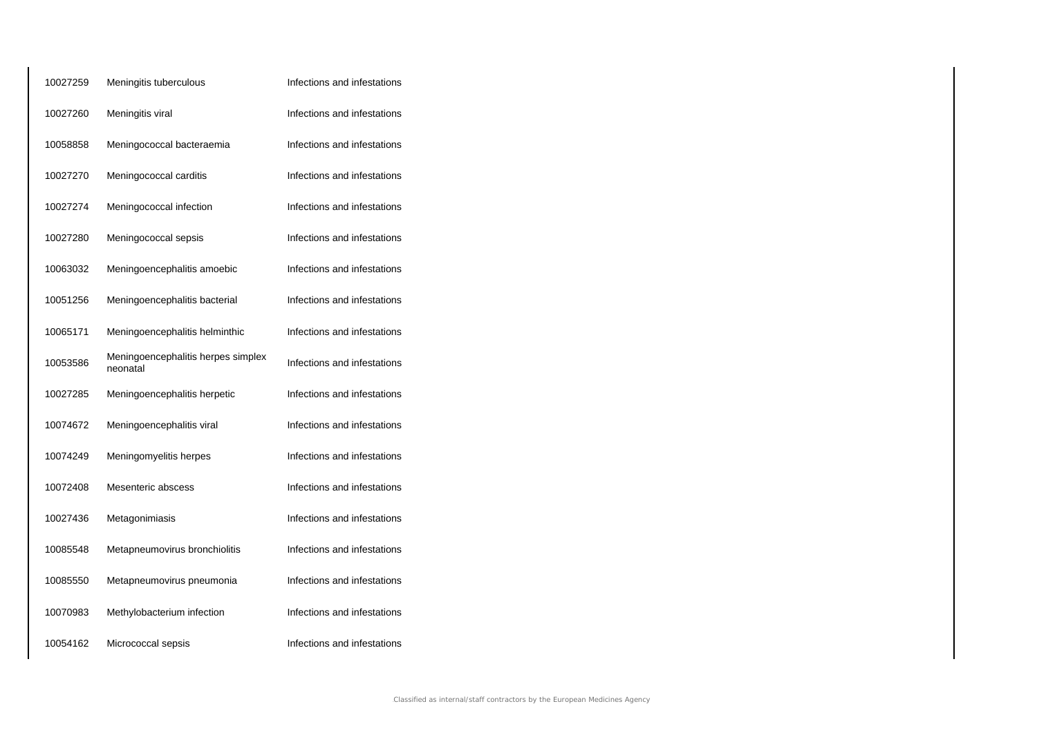| 10027259 | Meningitis tuberculous                         | Infections and infestations |
|----------|------------------------------------------------|-----------------------------|
| 10027260 | Meningitis viral                               | Infections and infestations |
| 10058858 | Meningococcal bacteraemia                      | Infections and infestations |
| 10027270 | Meningococcal carditis                         | Infections and infestations |
| 10027274 | Meningococcal infection                        | Infections and infestations |
| 10027280 | Meningococcal sepsis                           | Infections and infestations |
| 10063032 | Meningoencephalitis amoebic                    | Infections and infestations |
| 10051256 | Meningoencephalitis bacterial                  | Infections and infestations |
| 10065171 | Meningoencephalitis helminthic                 | Infections and infestations |
| 10053586 | Meningoencephalitis herpes simplex<br>neonatal | Infections and infestations |
| 10027285 | Meningoencephalitis herpetic                   | Infections and infestations |
| 10074672 | Meningoencephalitis viral                      | Infections and infestations |
| 10074249 | Meningomyelitis herpes                         | Infections and infestations |
| 10072408 | Mesenteric abscess                             | Infections and infestations |
| 10027436 | Metagonimiasis                                 | Infections and infestations |
| 10085548 | Metapneumovirus bronchiolitis                  | Infections and infestations |
| 10085550 | Metapneumovirus pneumonia                      | Infections and infestations |
| 10070983 | Methylobacterium infection                     | Infections and infestations |
| 10054162 | Micrococcal sepsis                             | Infections and infestations |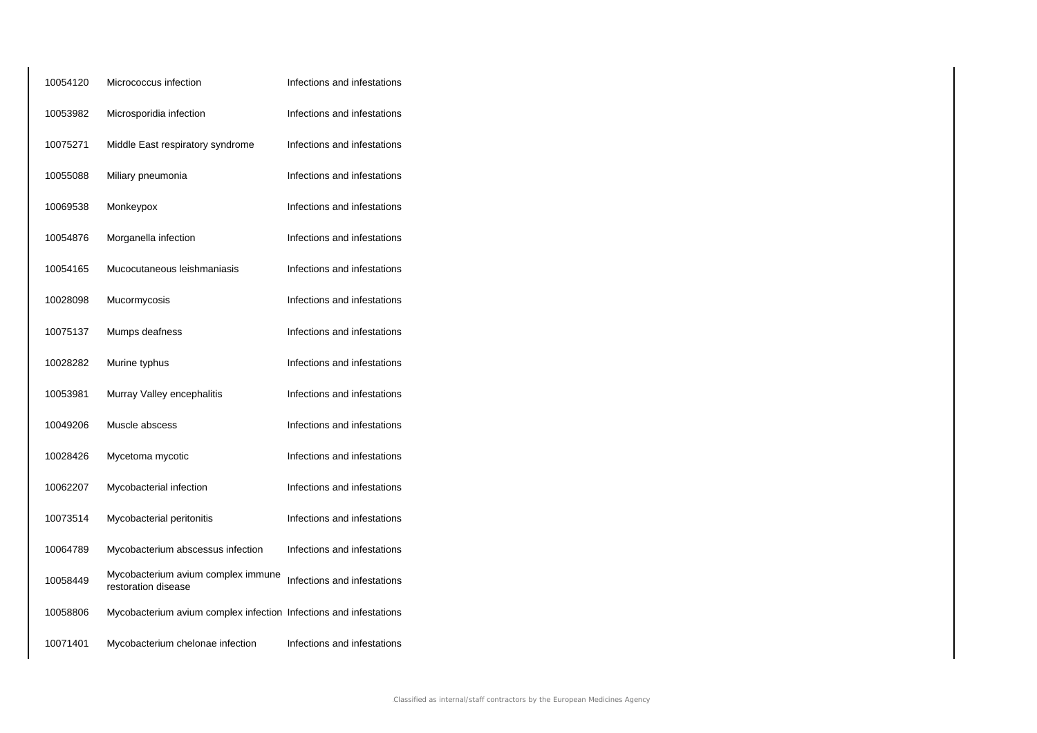| 10054120 | Micrococcus infection                                             | Infections and infestations |
|----------|-------------------------------------------------------------------|-----------------------------|
| 10053982 | Microsporidia infection                                           | Infections and infestations |
| 10075271 | Middle East respiratory syndrome                                  | Infections and infestations |
| 10055088 | Miliary pneumonia                                                 | Infections and infestations |
| 10069538 | Monkeypox                                                         | Infections and infestations |
| 10054876 | Morganella infection                                              | Infections and infestations |
| 10054165 | Mucocutaneous leishmaniasis                                       | Infections and infestations |
| 10028098 | Mucormycosis                                                      | Infections and infestations |
| 10075137 | Mumps deafness                                                    | Infections and infestations |
| 10028282 | Murine typhus                                                     | Infections and infestations |
| 10053981 | Murray Valley encephalitis                                        | Infections and infestations |
| 10049206 | Muscle abscess                                                    | Infections and infestations |
| 10028426 | Mycetoma mycotic                                                  | Infections and infestations |
| 10062207 | Mycobacterial infection                                           | Infections and infestations |
| 10073514 | Mycobacterial peritonitis                                         | Infections and infestations |
| 10064789 | Mycobacterium abscessus infection                                 | Infections and infestations |
| 10058449 | Mycobacterium avium complex immune<br>restoration disease         | Infections and infestations |
| 10058806 | Mycobacterium avium complex infection Infections and infestations |                             |
| 10071401 | Mycobacterium chelonae infection                                  | Infections and infestations |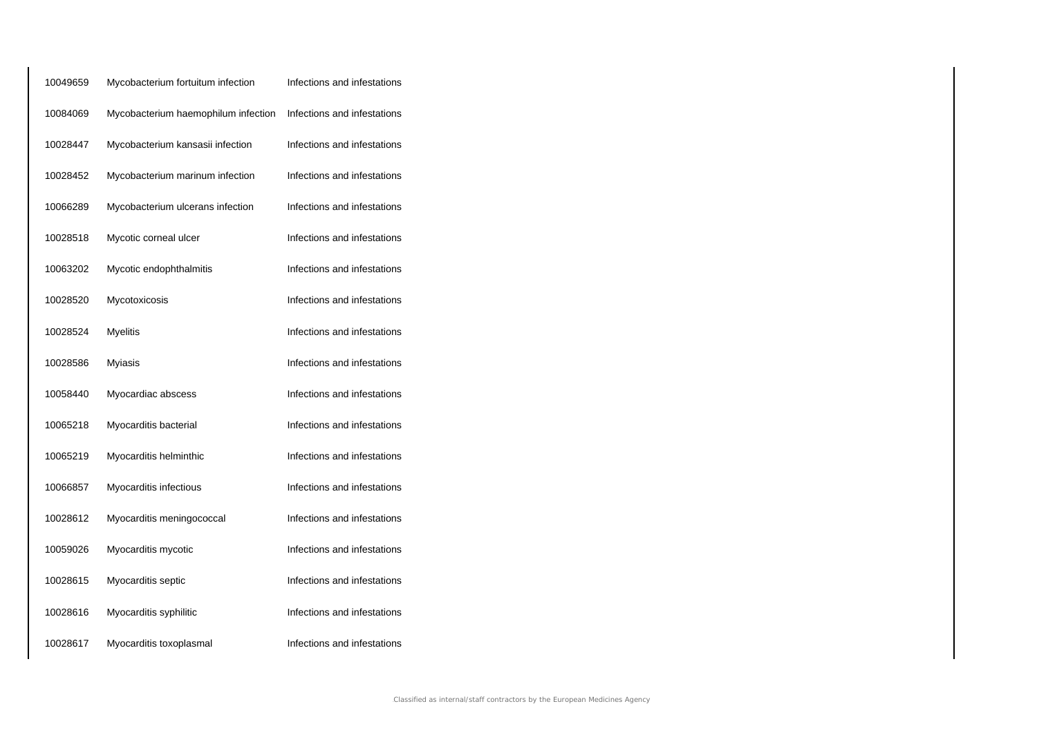| 10049659 | Mycobacterium fortuitum infection   | Infections and infestations |
|----------|-------------------------------------|-----------------------------|
| 10084069 | Mycobacterium haemophilum infection | Infections and infestations |
| 10028447 | Mycobacterium kansasii infection    | Infections and infestations |
| 10028452 | Mycobacterium marinum infection     | Infections and infestations |
| 10066289 | Mycobacterium ulcerans infection    | Infections and infestations |
| 10028518 | Mycotic corneal ulcer               | Infections and infestations |
| 10063202 | Mycotic endophthalmitis             | Infections and infestations |
| 10028520 | Mycotoxicosis                       | Infections and infestations |
| 10028524 | <b>Myelitis</b>                     | Infections and infestations |
| 10028586 | <b>Myiasis</b>                      | Infections and infestations |
| 10058440 | Myocardiac abscess                  | Infections and infestations |
| 10065218 | Myocarditis bacterial               | Infections and infestations |
| 10065219 | Myocarditis helminthic              | Infections and infestations |
| 10066857 | Myocarditis infectious              | Infections and infestations |
| 10028612 | Myocarditis meningococcal           | Infections and infestations |
| 10059026 | Myocarditis mycotic                 | Infections and infestations |
| 10028615 | Myocarditis septic                  | Infections and infestations |
| 10028616 | Myocarditis syphilitic              | Infections and infestations |
| 10028617 | Myocarditis toxoplasmal             | Infections and infestations |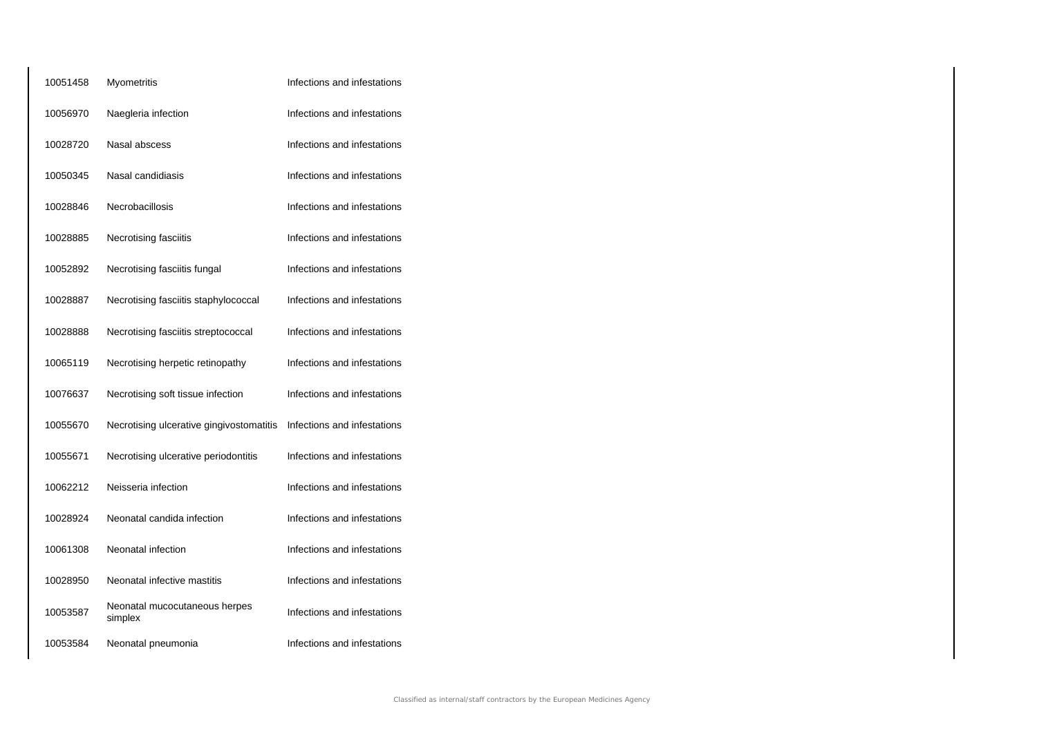| 10051458 | Myometritis                              | Infections and infestations |
|----------|------------------------------------------|-----------------------------|
| 10056970 | Naegleria infection                      | Infections and infestations |
| 10028720 | Nasal abscess                            | Infections and infestations |
| 10050345 | Nasal candidiasis                        | Infections and infestations |
| 10028846 | Necrobacillosis                          | Infections and infestations |
| 10028885 | Necrotising fasciitis                    | Infections and infestations |
| 10052892 | Necrotising fasciitis fungal             | Infections and infestations |
| 10028887 | Necrotising fasciitis staphylococcal     | Infections and infestations |
| 10028888 | Necrotising fasciitis streptococcal      | Infections and infestations |
| 10065119 | Necrotising herpetic retinopathy         | Infections and infestations |
| 10076637 | Necrotising soft tissue infection        | Infections and infestations |
| 10055670 | Necrotising ulcerative gingivostomatitis | Infections and infestations |
| 10055671 | Necrotising ulcerative periodontitis     | Infections and infestations |
| 10062212 | Neisseria infection                      | Infections and infestations |
| 10028924 | Neonatal candida infection               | Infections and infestations |
| 10061308 | Neonatal infection                       | Infections and infestations |
| 10028950 | Neonatal infective mastitis              | Infections and infestations |
| 10053587 | Neonatal mucocutaneous herpes<br>simplex | Infections and infestations |
| 10053584 | Neonatal pneumonia                       | Infections and infestations |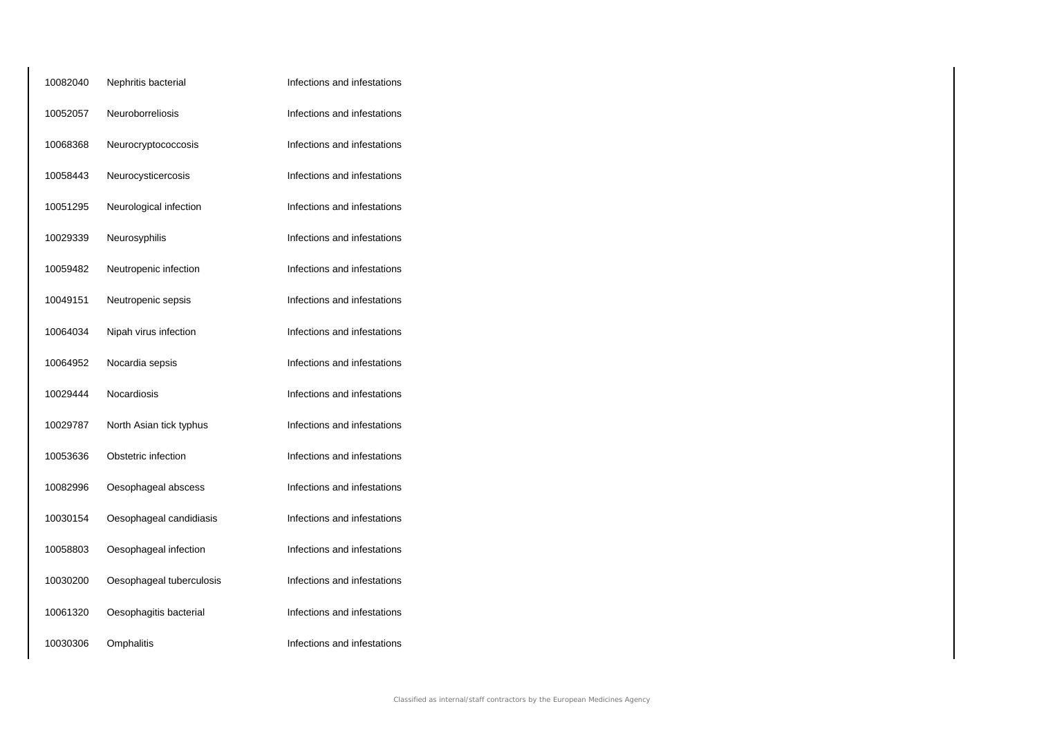| 10082040 | Nephritis bacterial      | Infections and infestations |
|----------|--------------------------|-----------------------------|
| 10052057 | Neuroborreliosis         | Infections and infestations |
| 10068368 | Neurocryptococcosis      | Infections and infestations |
| 10058443 | Neurocysticercosis       | Infections and infestations |
| 10051295 | Neurological infection   | Infections and infestations |
| 10029339 | Neurosyphilis            | Infections and infestations |
| 10059482 | Neutropenic infection    | Infections and infestations |
| 10049151 | Neutropenic sepsis       | Infections and infestations |
| 10064034 | Nipah virus infection    | Infections and infestations |
| 10064952 | Nocardia sepsis          | Infections and infestations |
| 10029444 | Nocardiosis              | Infections and infestations |
| 10029787 | North Asian tick typhus  | Infections and infestations |
| 10053636 | Obstetric infection      | Infections and infestations |
| 10082996 | Oesophageal abscess      | Infections and infestations |
| 10030154 | Oesophageal candidiasis  | Infections and infestations |
| 10058803 | Oesophageal infection    | Infections and infestations |
| 10030200 | Oesophageal tuberculosis | Infections and infestations |
| 10061320 | Oesophagitis bacterial   | Infections and infestations |
| 10030306 | Omphalitis               | Infections and infestations |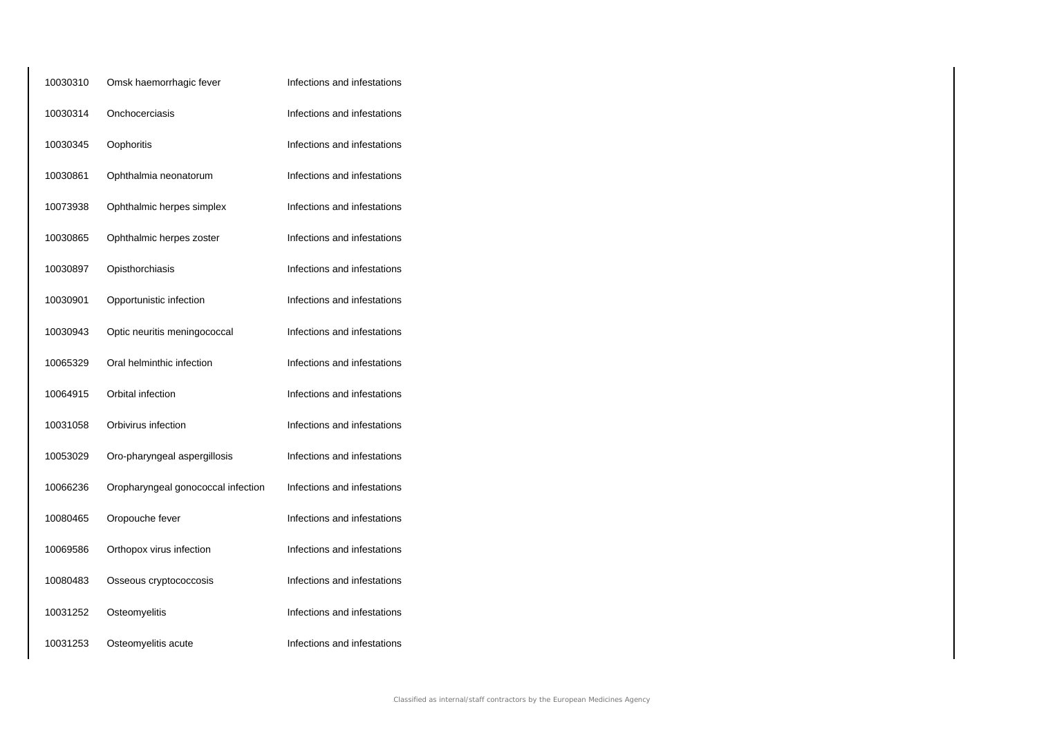| 10030310 | Omsk haemorrhagic fever            | Infections and infestations |
|----------|------------------------------------|-----------------------------|
| 10030314 | Onchocerciasis                     | Infections and infestations |
| 10030345 | Oophoritis                         | Infections and infestations |
| 10030861 | Ophthalmia neonatorum              | Infections and infestations |
| 10073938 | Ophthalmic herpes simplex          | Infections and infestations |
| 10030865 | Ophthalmic herpes zoster           | Infections and infestations |
| 10030897 | Opisthorchiasis                    | Infections and infestations |
| 10030901 | Opportunistic infection            | Infections and infestations |
| 10030943 | Optic neuritis meningococcal       | Infections and infestations |
| 10065329 | Oral helminthic infection          | Infections and infestations |
| 10064915 | Orbital infection                  | Infections and infestations |
| 10031058 | Orbivirus infection                | Infections and infestations |
| 10053029 | Oro-pharyngeal aspergillosis       | Infections and infestations |
| 10066236 | Oropharyngeal gonococcal infection | Infections and infestations |
| 10080465 | Oropouche fever                    | Infections and infestations |
| 10069586 | Orthopox virus infection           | Infections and infestations |
| 10080483 | Osseous cryptococcosis             | Infections and infestations |
| 10031252 | Osteomyelitis                      | Infections and infestations |
| 10031253 | Osteomyelitis acute                | Infections and infestations |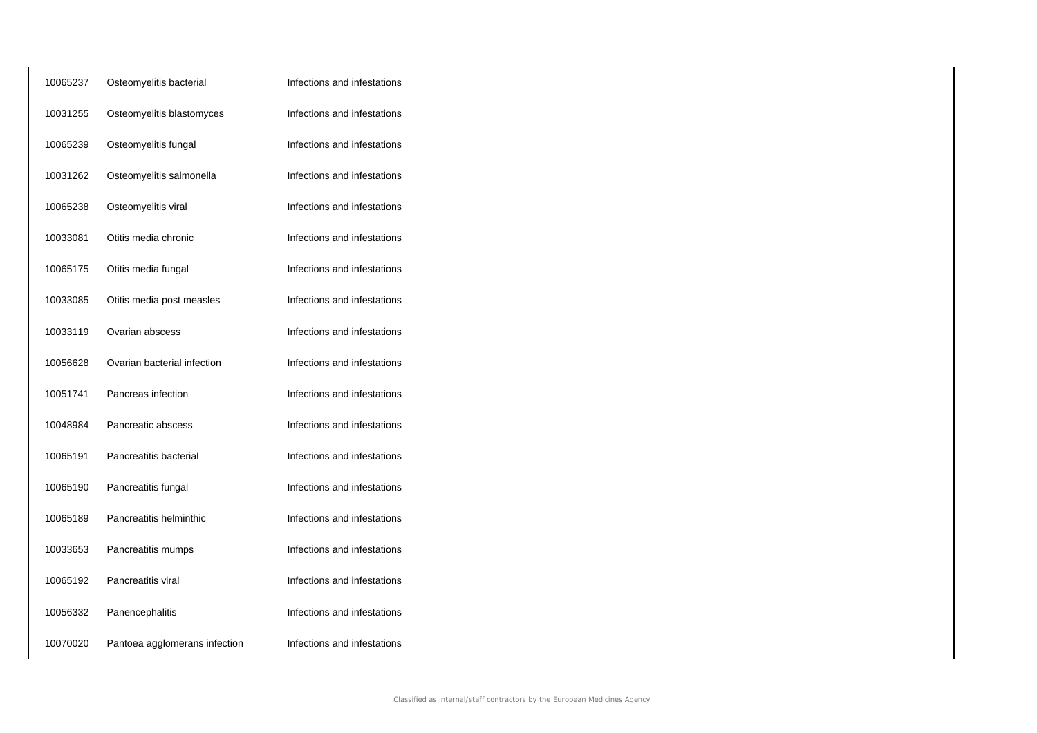| 10065237 | Osteomyelitis bacterial       | Infections and infestations |
|----------|-------------------------------|-----------------------------|
| 10031255 | Osteomyelitis blastomyces     | Infections and infestations |
| 10065239 | Osteomyelitis fungal          | Infections and infestations |
| 10031262 | Osteomyelitis salmonella      | Infections and infestations |
| 10065238 | Osteomyelitis viral           | Infections and infestations |
| 10033081 | Otitis media chronic          | Infections and infestations |
| 10065175 | Otitis media fungal           | Infections and infestations |
| 10033085 | Otitis media post measles     | Infections and infestations |
| 10033119 | Ovarian abscess               | Infections and infestations |
| 10056628 | Ovarian bacterial infection   | Infections and infestations |
| 10051741 | Pancreas infection            | Infections and infestations |
| 10048984 | Pancreatic abscess            | Infections and infestations |
| 10065191 | Pancreatitis bacterial        | Infections and infestations |
| 10065190 | Pancreatitis fungal           | Infections and infestations |
| 10065189 | Pancreatitis helminthic       | Infections and infestations |
| 10033653 | Pancreatitis mumps            | Infections and infestations |
| 10065192 | Pancreatitis viral            | Infections and infestations |
| 10056332 | Panencephalitis               | Infections and infestations |
| 10070020 | Pantoea agglomerans infection | Infections and infestations |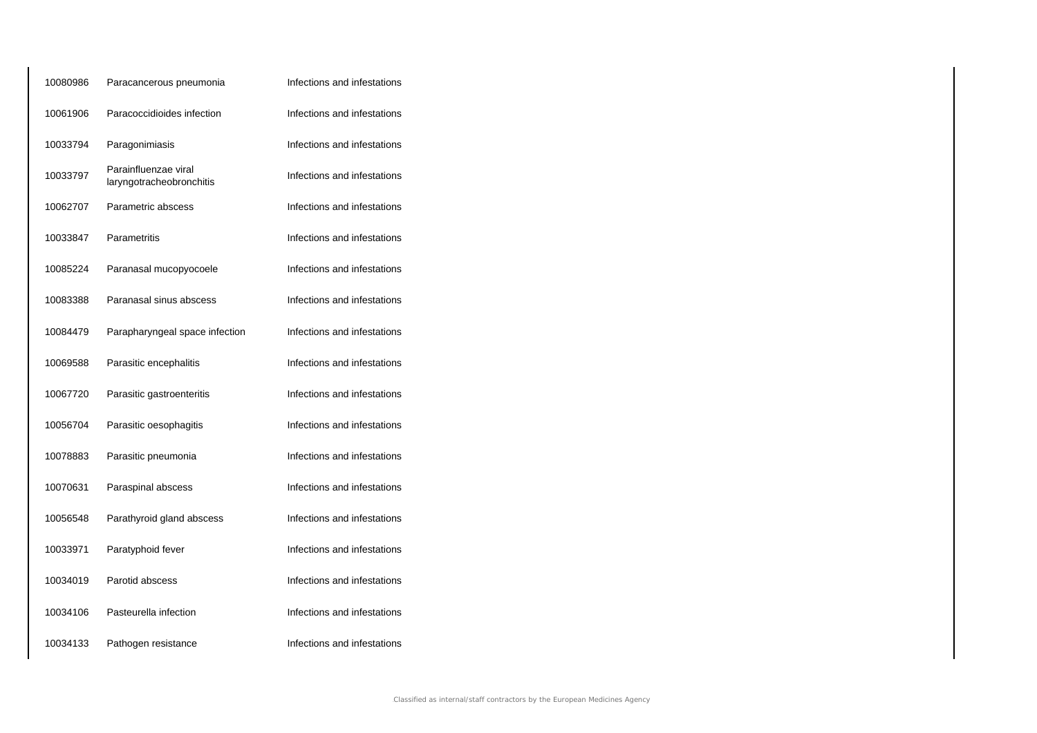| Paracancerous pneumonia                          | Infections and infestations |
|--------------------------------------------------|-----------------------------|
| Paracoccidioides infection                       | Infections and infestations |
| Paragonimiasis                                   | Infections and infestations |
| Parainfluenzae viral<br>laryngotracheobronchitis | Infections and infestations |
| Parametric abscess                               | Infections and infestations |
| Parametritis                                     | Infections and infestations |
| Paranasal mucopyocoele                           | Infections and infestations |
| Paranasal sinus abscess                          | Infections and infestations |
| Parapharyngeal space infection                   | Infections and infestations |
| Parasitic encephalitis                           | Infections and infestations |
| Parasitic gastroenteritis                        | Infections and infestations |
| Parasitic oesophagitis                           | Infections and infestations |
| Parasitic pneumonia                              | Infections and infestations |
| Paraspinal abscess                               | Infections and infestations |
| Parathyroid gland abscess                        | Infections and infestations |
| Paratyphoid fever                                | Infections and infestations |
| Parotid abscess                                  | Infections and infestations |
| Pasteurella infection                            | Infections and infestations |
| Pathogen resistance                              | Infections and infestations |
|                                                  |                             |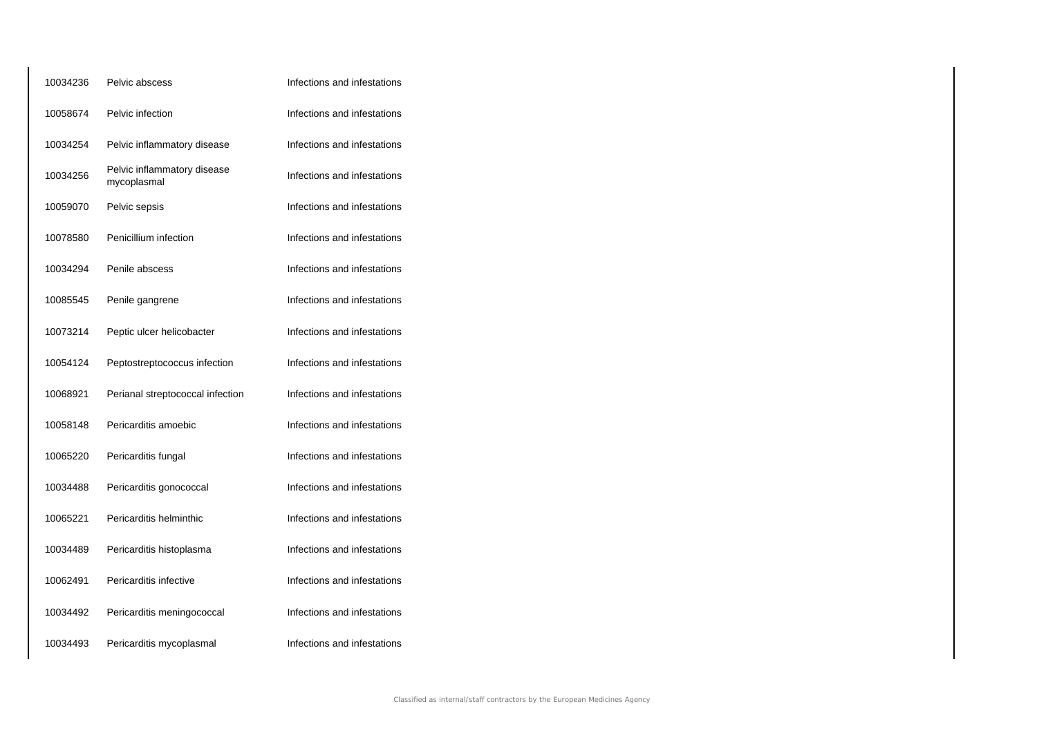| 10034236 | Pelvic abscess                             | Infections and infestations |
|----------|--------------------------------------------|-----------------------------|
| 10058674 | Pelvic infection                           | Infections and infestations |
| 10034254 | Pelvic inflammatory disease                | Infections and infestations |
| 10034256 | Pelvic inflammatory disease<br>mycoplasmal | Infections and infestations |
| 10059070 | Pelvic sepsis                              | Infections and infestations |
| 10078580 | Penicillium infection                      | Infections and infestations |
| 10034294 | Penile abscess                             | Infections and infestations |
| 10085545 | Penile gangrene                            | Infections and infestations |
| 10073214 | Peptic ulcer helicobacter                  | Infections and infestations |
| 10054124 | Peptostreptococcus infection               | Infections and infestations |
| 10068921 | Perianal streptococcal infection           | Infections and infestations |
| 10058148 | Pericarditis amoebic                       | Infections and infestations |
| 10065220 | Pericarditis fungal                        | Infections and infestations |
| 10034488 | Pericarditis gonococcal                    | Infections and infestations |
| 10065221 | Pericarditis helminthic                    | Infections and infestations |
| 10034489 | Pericarditis histoplasma                   | Infections and infestations |
| 10062491 | Pericarditis infective                     | Infections and infestations |
| 10034492 | Pericarditis meningococcal                 | Infections and infestations |
| 10034493 | Pericarditis mycoplasmal                   | Infections and infestations |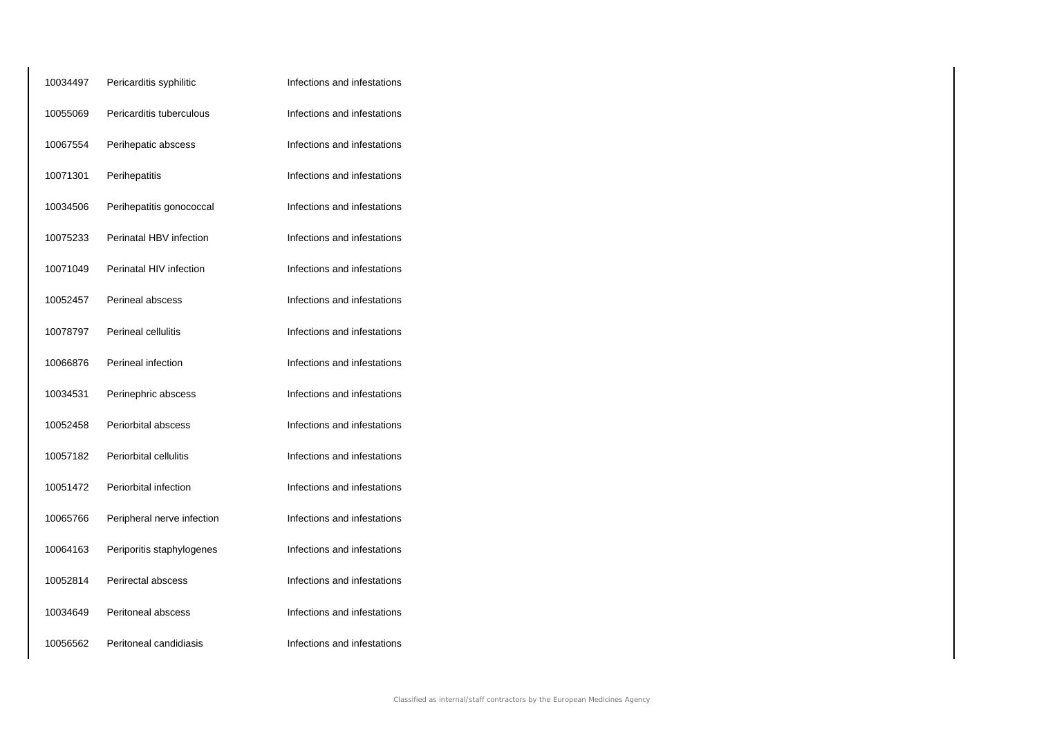| 10034497 | Pericarditis syphilitic    | Infections and infestations |
|----------|----------------------------|-----------------------------|
| 10055069 | Pericarditis tuberculous   | Infections and infestations |
| 10067554 | Perihepatic abscess        | Infections and infestations |
| 10071301 | Perihepatitis              | Infections and infestations |
| 10034506 | Perihepatitis gonococcal   | Infections and infestations |
| 10075233 | Perinatal HBV infection    | Infections and infestations |
| 10071049 | Perinatal HIV infection    | Infections and infestations |
| 10052457 | Perineal abscess           | Infections and infestations |
| 10078797 | Perineal cellulitis        | Infections and infestations |
| 10066876 | Perineal infection         | Infections and infestations |
| 10034531 | Perinephric abscess        | Infections and infestations |
| 10052458 | Periorbital abscess        | Infections and infestations |
| 10057182 | Periorbital cellulitis     | Infections and infestations |
| 10051472 | Periorbital infection      | Infections and infestations |
| 10065766 | Peripheral nerve infection | Infections and infestations |
| 10064163 | Periporitis staphylogenes  | Infections and infestations |
| 10052814 | Perirectal abscess         | Infections and infestations |
| 10034649 | Peritoneal abscess         | Infections and infestations |
| 10056562 | Peritoneal candidiasis     | Infections and infestations |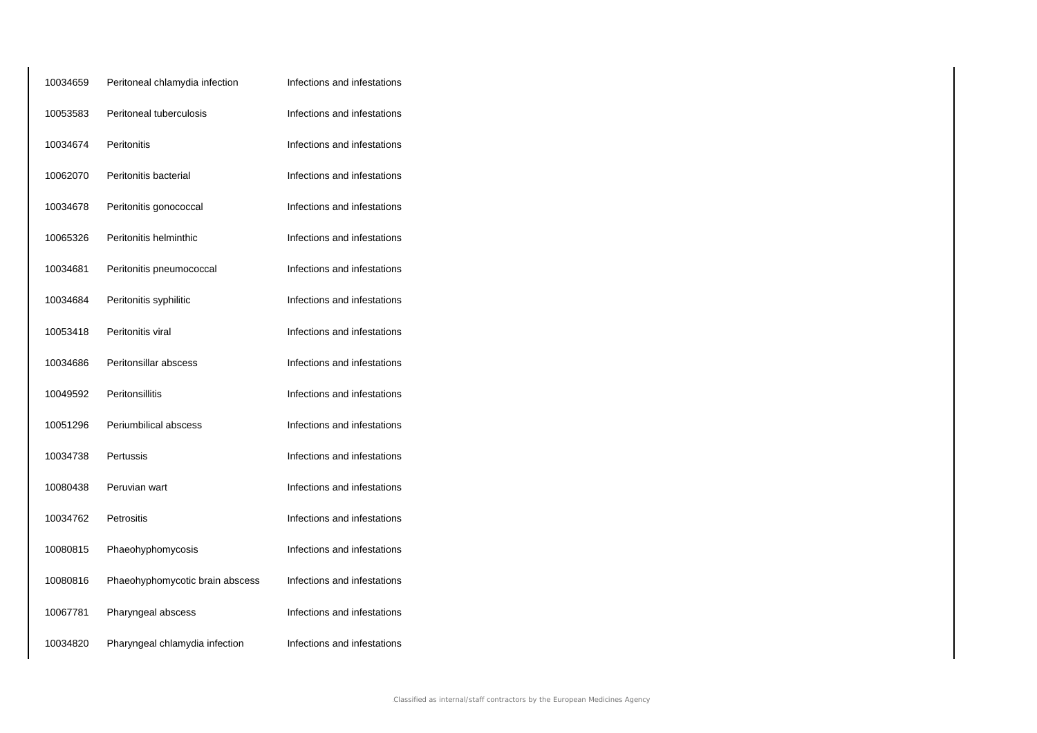| 10034659 | Peritoneal chlamydia infection  | Infections and infestations |
|----------|---------------------------------|-----------------------------|
| 10053583 | Peritoneal tuberculosis         | Infections and infestations |
| 10034674 | Peritonitis                     | Infections and infestations |
| 10062070 | Peritonitis bacterial           | Infections and infestations |
| 10034678 | Peritonitis gonococcal          | Infections and infestations |
| 10065326 | Peritonitis helminthic          | Infections and infestations |
| 10034681 | Peritonitis pneumococcal        | Infections and infestations |
| 10034684 | Peritonitis syphilitic          | Infections and infestations |
| 10053418 | Peritonitis viral               | Infections and infestations |
| 10034686 | Peritonsillar abscess           | Infections and infestations |
| 10049592 | Peritonsillitis                 | Infections and infestations |
| 10051296 | Periumbilical abscess           | Infections and infestations |
| 10034738 | Pertussis                       | Infections and infestations |
| 10080438 | Peruvian wart                   | Infections and infestations |
| 10034762 | Petrositis                      | Infections and infestations |
| 10080815 | Phaeohyphomycosis               | Infections and infestations |
| 10080816 | Phaeohyphomycotic brain abscess | Infections and infestations |
| 10067781 | Pharyngeal abscess              | Infections and infestations |
| 10034820 | Pharyngeal chlamydia infection  | Infections and infestations |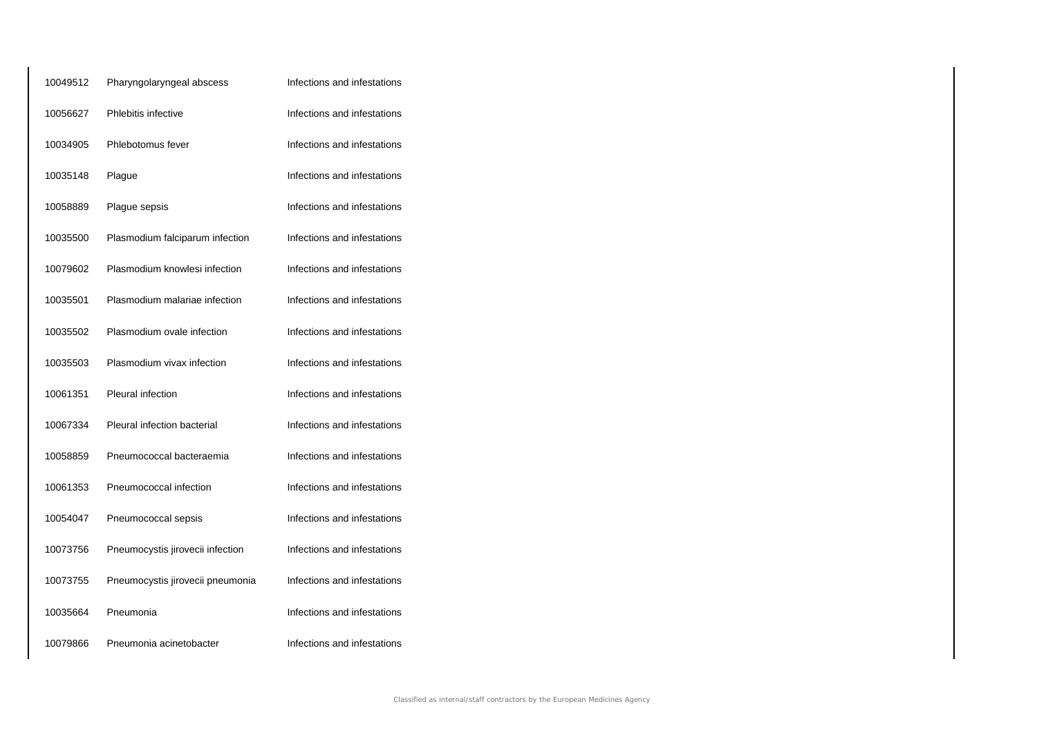| 10049512 | Pharyngolaryngeal abscess        | Infections and infestations |
|----------|----------------------------------|-----------------------------|
| 10056627 | Phlebitis infective              | Infections and infestations |
| 10034905 | Phlebotomus fever                | Infections and infestations |
| 10035148 | Plague                           | Infections and infestations |
| 10058889 | Plague sepsis                    | Infections and infestations |
| 10035500 | Plasmodium falciparum infection  | Infections and infestations |
| 10079602 | Plasmodium knowlesi infection    | Infections and infestations |
| 10035501 | Plasmodium malariae infection    | Infections and infestations |
| 10035502 | Plasmodium ovale infection       | Infections and infestations |
| 10035503 | Plasmodium vivax infection       | Infections and infestations |
| 10061351 | <b>Pleural infection</b>         | Infections and infestations |
| 10067334 | Pleural infection bacterial      | Infections and infestations |
| 10058859 | Pneumococcal bacteraemia         | Infections and infestations |
| 10061353 | Pneumococcal infection           | Infections and infestations |
| 10054047 | Pneumococcal sepsis              | Infections and infestations |
| 10073756 | Pneumocystis jirovecii infection | Infections and infestations |
| 10073755 | Pneumocystis jirovecii pneumonia | Infections and infestations |
| 10035664 | Pneumonia                        | Infections and infestations |
| 10079866 | Pneumonia acinetobacter          | Infections and infestations |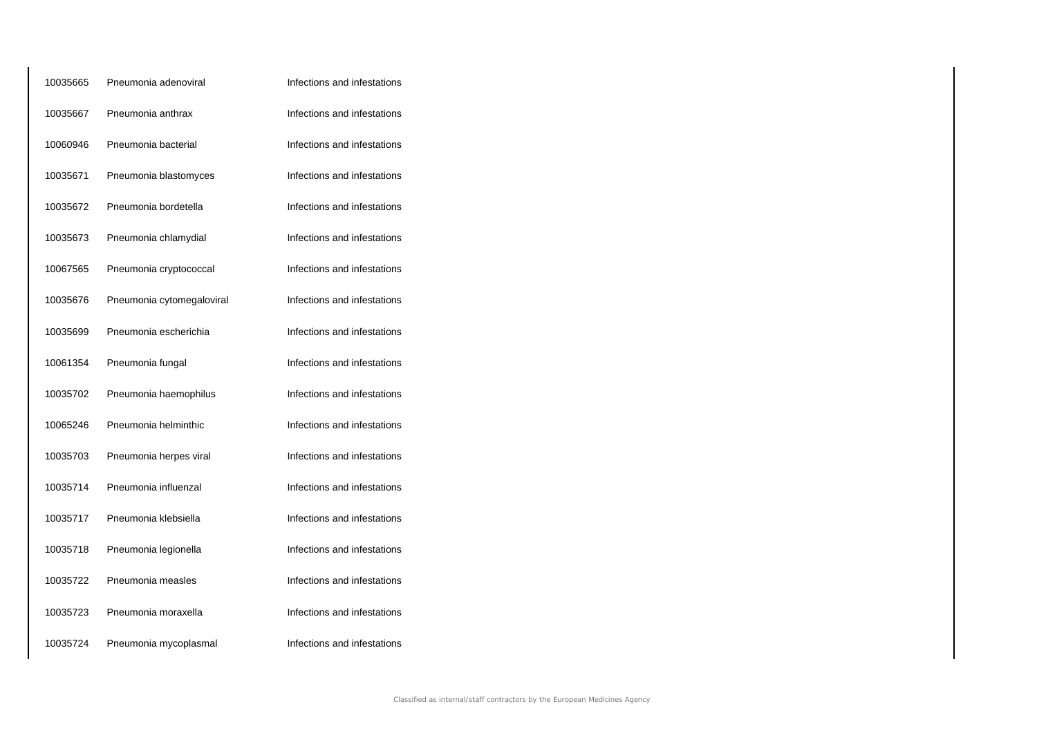| 10035665 | Pneumonia adenoviral      | Infections and infestations |
|----------|---------------------------|-----------------------------|
| 10035667 | Pneumonia anthrax         | Infections and infestations |
| 10060946 | Pneumonia bacterial       | Infections and infestations |
| 10035671 | Pneumonia blastomyces     | Infections and infestations |
| 10035672 | Pneumonia bordetella      | Infections and infestations |
| 10035673 | Pneumonia chlamydial      | Infections and infestations |
| 10067565 | Pneumonia cryptococcal    | Infections and infestations |
| 10035676 | Pneumonia cytomegaloviral | Infections and infestations |
| 10035699 | Pneumonia escherichia     | Infections and infestations |
| 10061354 | Pneumonia fungal          | Infections and infestations |
| 10035702 | Pneumonia haemophilus     | Infections and infestations |
| 10065246 | Pneumonia helminthic      | Infections and infestations |
| 10035703 | Pneumonia herpes viral    | Infections and infestations |
| 10035714 | Pneumonia influenzal      | Infections and infestations |
| 10035717 | Pneumonia klebsiella      | Infections and infestations |
| 10035718 | Pneumonia legionella      | Infections and infestations |
| 10035722 | Pneumonia measles         | Infections and infestations |
| 10035723 | Pneumonia moraxella       | Infections and infestations |
| 10035724 | Pneumonia mycoplasmal     | Infections and infestations |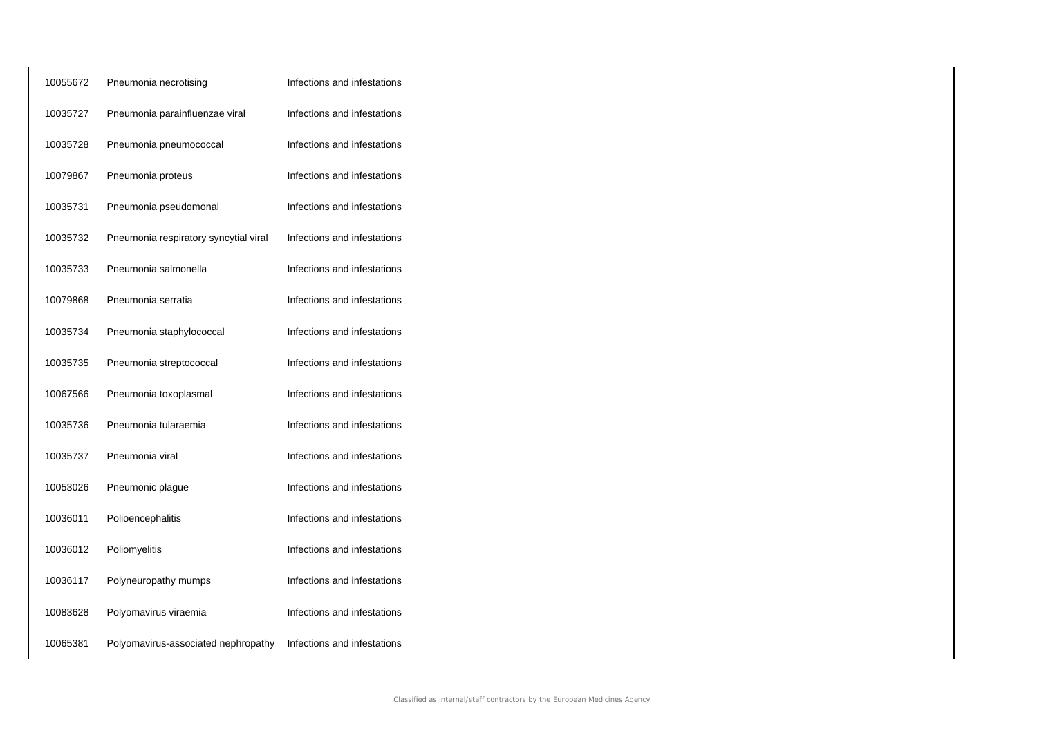| 10055672 | Pneumonia necrotising                 | Infections and infestations |
|----------|---------------------------------------|-----------------------------|
| 10035727 | Pneumonia parainfluenzae viral        | Infections and infestations |
| 10035728 | Pneumonia pneumococcal                | Infections and infestations |
| 10079867 | Pneumonia proteus                     | Infections and infestations |
| 10035731 | Pneumonia pseudomonal                 | Infections and infestations |
| 10035732 | Pneumonia respiratory syncytial viral | Infections and infestations |
| 10035733 | Pneumonia salmonella                  | Infections and infestations |
| 10079868 | Pneumonia serratia                    | Infections and infestations |
| 10035734 | Pneumonia staphylococcal              | Infections and infestations |
| 10035735 | Pneumonia streptococcal               | Infections and infestations |
| 10067566 | Pneumonia toxoplasmal                 | Infections and infestations |
| 10035736 | Pneumonia tularaemia                  | Infections and infestations |
| 10035737 | Pneumonia viral                       | Infections and infestations |
| 10053026 | Pneumonic plague                      | Infections and infestations |
| 10036011 | Polioencephalitis                     | Infections and infestations |
| 10036012 | Poliomyelitis                         | Infections and infestations |
| 10036117 | Polyneuropathy mumps                  | Infections and infestations |
| 10083628 | Polyomavirus viraemia                 | Infections and infestations |
| 10065381 | Polyomavirus-associated nephropathy   | Infections and infestations |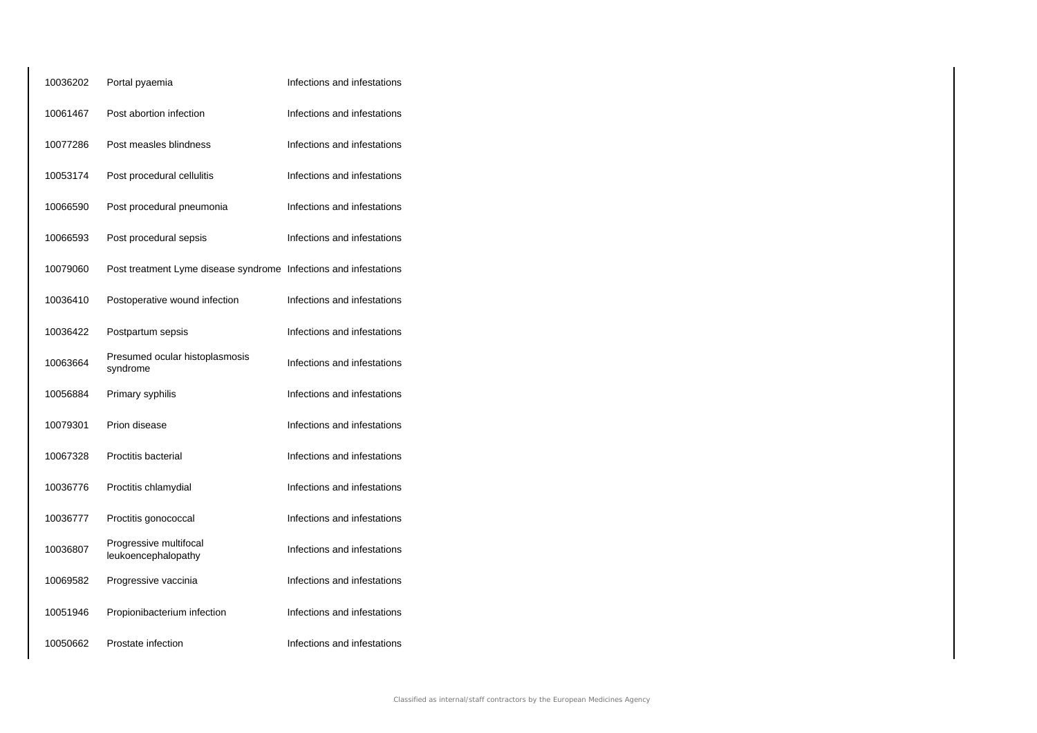| 10036202 | Portal pyaemia                                                   | Infections and infestations |
|----------|------------------------------------------------------------------|-----------------------------|
| 10061467 | Post abortion infection                                          | Infections and infestations |
| 10077286 | Post measles blindness                                           | Infections and infestations |
| 10053174 | Post procedural cellulitis                                       | Infections and infestations |
| 10066590 | Post procedural pneumonia                                        | Infections and infestations |
| 10066593 | Post procedural sepsis                                           | Infections and infestations |
| 10079060 | Post treatment Lyme disease syndrome Infections and infestations |                             |
| 10036410 | Postoperative wound infection                                    | Infections and infestations |
| 10036422 | Postpartum sepsis                                                | Infections and infestations |
| 10063664 | Presumed ocular histoplasmosis<br>syndrome                       | Infections and infestations |
| 10056884 | Primary syphilis                                                 | Infections and infestations |
| 10079301 | Prion disease                                                    | Infections and infestations |
| 10067328 | Proctitis bacterial                                              | Infections and infestations |
| 10036776 | Proctitis chlamydial                                             | Infections and infestations |
| 10036777 | Proctitis gonococcal                                             | Infections and infestations |
| 10036807 | Progressive multifocal<br>leukoencephalopathy                    | Infections and infestations |
| 10069582 | Progressive vaccinia                                             | Infections and infestations |
| 10051946 | Propionibacterium infection                                      | Infections and infestations |
| 10050662 | Prostate infection                                               | Infections and infestations |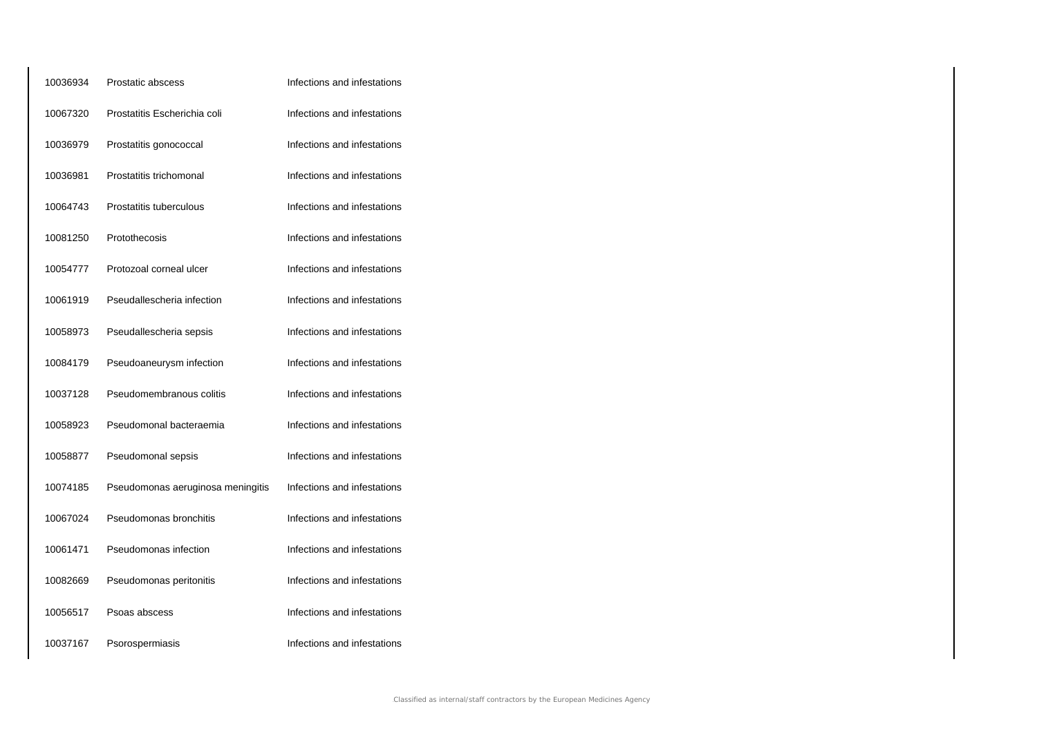| 10036934 | Prostatic abscess                 | Infections and infestations |
|----------|-----------------------------------|-----------------------------|
| 10067320 | Prostatitis Escherichia coli      | Infections and infestations |
| 10036979 | Prostatitis gonococcal            | Infections and infestations |
| 10036981 | Prostatitis trichomonal           | Infections and infestations |
| 10064743 | Prostatitis tuberculous           | Infections and infestations |
| 10081250 | Protothecosis                     | Infections and infestations |
| 10054777 | Protozoal corneal ulcer           | Infections and infestations |
| 10061919 | Pseudallescheria infection        | Infections and infestations |
| 10058973 | Pseudallescheria sepsis           | Infections and infestations |
| 10084179 | Pseudoaneurysm infection          | Infections and infestations |
| 10037128 | Pseudomembranous colitis          | Infections and infestations |
| 10058923 | Pseudomonal bacteraemia           | Infections and infestations |
| 10058877 | Pseudomonal sepsis                | Infections and infestations |
| 10074185 | Pseudomonas aeruginosa meningitis | Infections and infestations |
| 10067024 | Pseudomonas bronchitis            | Infections and infestations |
| 10061471 | Pseudomonas infection             | Infections and infestations |
| 10082669 | Pseudomonas peritonitis           | Infections and infestations |
| 10056517 | Psoas abscess                     | Infections and infestations |
| 10037167 | Psorospermiasis                   | Infections and infestations |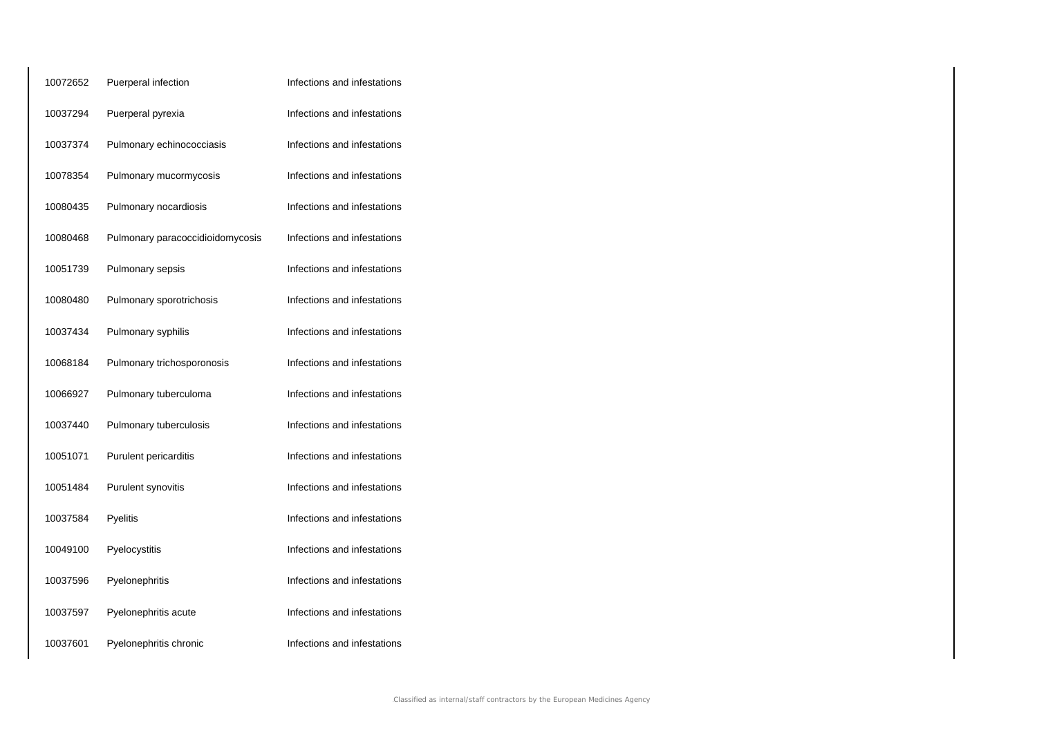| 10072652 | Puerperal infection              | Infections and infestations |
|----------|----------------------------------|-----------------------------|
| 10037294 | Puerperal pyrexia                | Infections and infestations |
| 10037374 | Pulmonary echinococciasis        | Infections and infestations |
| 10078354 | Pulmonary mucormycosis           | Infections and infestations |
| 10080435 | Pulmonary nocardiosis            | Infections and infestations |
| 10080468 | Pulmonary paracoccidioidomycosis | Infections and infestations |
| 10051739 | Pulmonary sepsis                 | Infections and infestations |
| 10080480 | Pulmonary sporotrichosis         | Infections and infestations |
| 10037434 | Pulmonary syphilis               | Infections and infestations |
| 10068184 | Pulmonary trichosporonosis       | Infections and infestations |
| 10066927 | Pulmonary tuberculoma            | Infections and infestations |
| 10037440 | Pulmonary tuberculosis           | Infections and infestations |
| 10051071 | Purulent pericarditis            | Infections and infestations |
| 10051484 | Purulent synovitis               | Infections and infestations |
| 10037584 | Pyelitis                         | Infections and infestations |
| 10049100 | Pyelocystitis                    | Infections and infestations |
| 10037596 | Pyelonephritis                   | Infections and infestations |
| 10037597 | Pyelonephritis acute             | Infections and infestations |
| 10037601 | Pyelonephritis chronic           | Infections and infestations |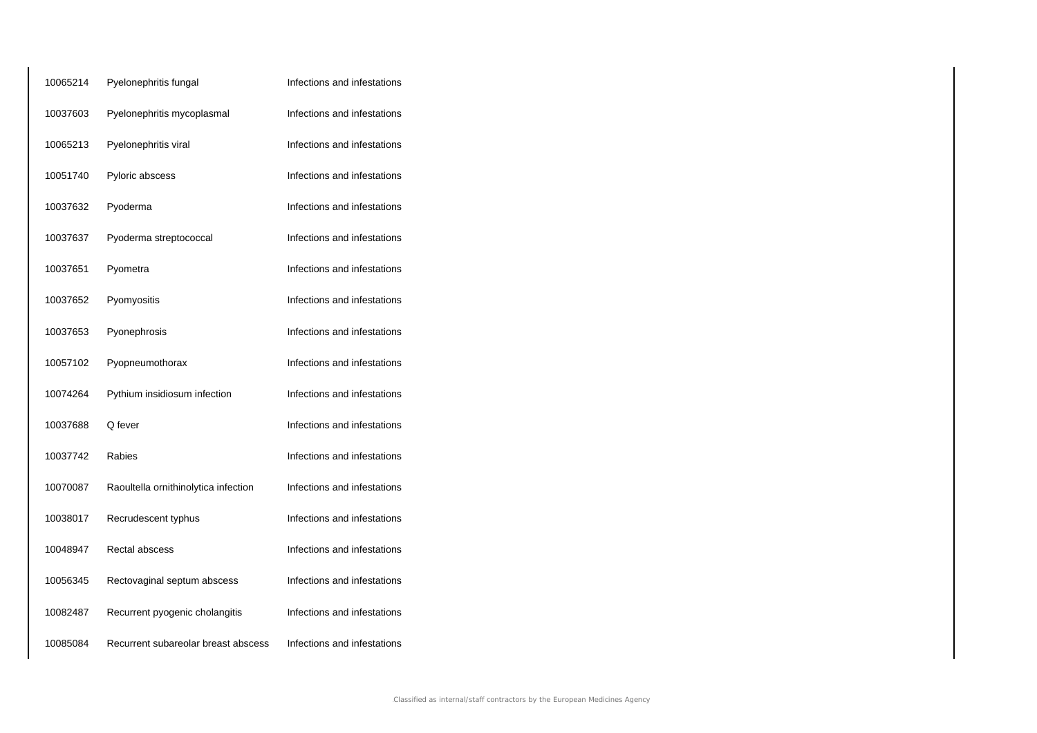| 10065214 | Pyelonephritis fungal                | Infections and infestations |
|----------|--------------------------------------|-----------------------------|
| 10037603 | Pyelonephritis mycoplasmal           | Infections and infestations |
| 10065213 | Pyelonephritis viral                 | Infections and infestations |
| 10051740 | Pyloric abscess                      | Infections and infestations |
| 10037632 | Pyoderma                             | Infections and infestations |
| 10037637 | Pyoderma streptococcal               | Infections and infestations |
| 10037651 | Pyometra                             | Infections and infestations |
| 10037652 | Pyomyositis                          | Infections and infestations |
| 10037653 | Pyonephrosis                         | Infections and infestations |
| 10057102 | Pyopneumothorax                      | Infections and infestations |
| 10074264 | Pythium insidiosum infection         | Infections and infestations |
| 10037688 | Q fever                              | Infections and infestations |
| 10037742 | Rabies                               | Infections and infestations |
| 10070087 | Raoultella ornithinolytica infection | Infections and infestations |
| 10038017 | Recrudescent typhus                  | Infections and infestations |
| 10048947 | Rectal abscess                       | Infections and infestations |
| 10056345 | Rectovaginal septum abscess          | Infections and infestations |
| 10082487 | Recurrent pyogenic cholangitis       | Infections and infestations |
| 10085084 | Recurrent subareolar breast abscess  | Infections and infestations |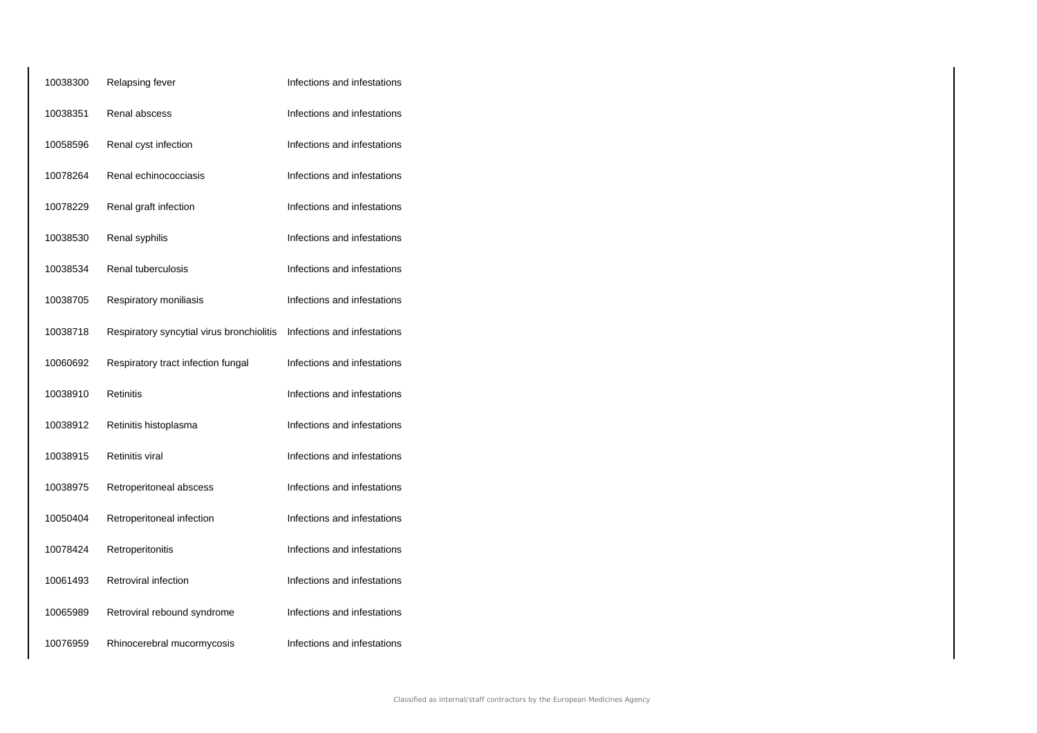| 10038300 | Relapsing fever                           | Infections and infestations |
|----------|-------------------------------------------|-----------------------------|
| 10038351 | Renal abscess                             | Infections and infestations |
| 10058596 | Renal cyst infection                      | Infections and infestations |
| 10078264 | Renal echinococciasis                     | Infections and infestations |
| 10078229 | Renal graft infection                     | Infections and infestations |
| 10038530 | Renal syphilis                            | Infections and infestations |
| 10038534 | Renal tuberculosis                        | Infections and infestations |
| 10038705 | Respiratory moniliasis                    | Infections and infestations |
| 10038718 | Respiratory syncytial virus bronchiolitis | Infections and infestations |
| 10060692 | Respiratory tract infection fungal        | Infections and infestations |
| 10038910 | <b>Retinitis</b>                          | Infections and infestations |
| 10038912 | Retinitis histoplasma                     | Infections and infestations |
| 10038915 | <b>Retinitis viral</b>                    | Infections and infestations |
| 10038975 | Retroperitoneal abscess                   | Infections and infestations |
| 10050404 | Retroperitoneal infection                 | Infections and infestations |
| 10078424 | Retroperitonitis                          | Infections and infestations |
| 10061493 | Retroviral infection                      | Infections and infestations |
| 10065989 | Retroviral rebound syndrome               | Infections and infestations |
| 10076959 | Rhinocerebral mucormycosis                | Infections and infestations |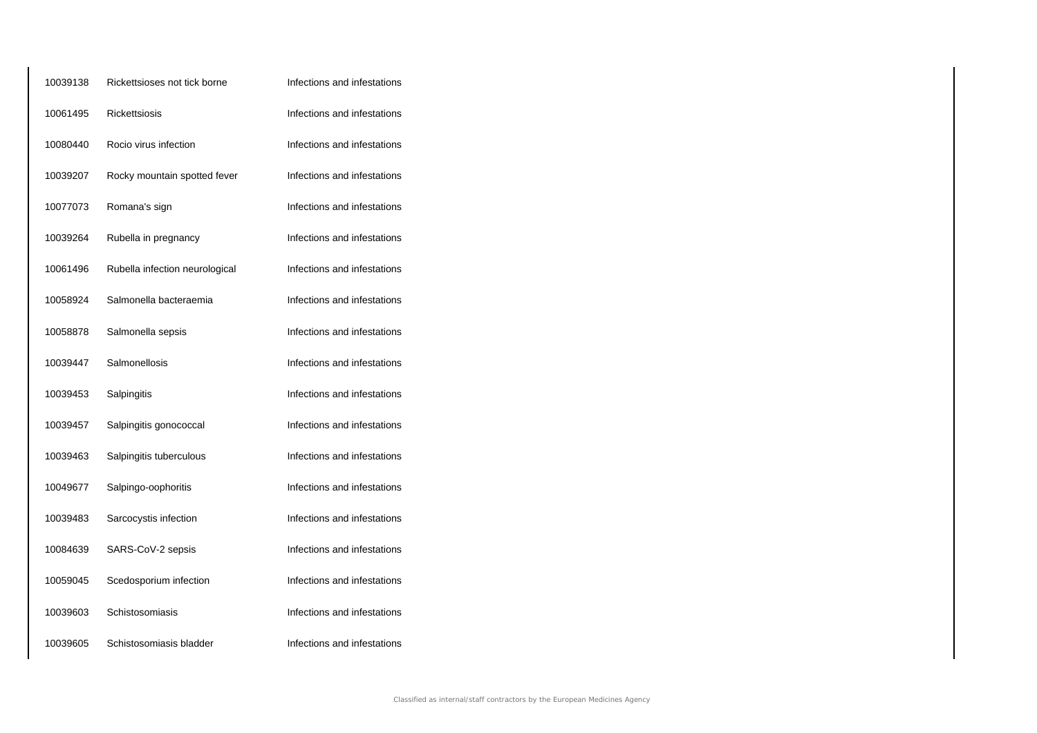| 10039138 | Rickettsioses not tick borne   | Infections and infestations |
|----------|--------------------------------|-----------------------------|
| 10061495 | Rickettsiosis                  | Infections and infestations |
| 10080440 | Rocio virus infection          | Infections and infestations |
| 10039207 | Rocky mountain spotted fever   | Infections and infestations |
| 10077073 | Romana's sign                  | Infections and infestations |
| 10039264 | Rubella in pregnancy           | Infections and infestations |
| 10061496 | Rubella infection neurological | Infections and infestations |
| 10058924 | Salmonella bacteraemia         | Infections and infestations |
| 10058878 | Salmonella sepsis              | Infections and infestations |
| 10039447 | Salmonellosis                  | Infections and infestations |
| 10039453 | Salpingitis                    | Infections and infestations |
| 10039457 | Salpingitis gonococcal         | Infections and infestations |
| 10039463 | Salpingitis tuberculous        | Infections and infestations |
| 10049677 | Salpingo-oophoritis            | Infections and infestations |
| 10039483 | Sarcocystis infection          | Infections and infestations |
| 10084639 | SARS-CoV-2 sepsis              | Infections and infestations |
| 10059045 | Scedosporium infection         | Infections and infestations |
| 10039603 | Schistosomiasis                | Infections and infestations |
| 10039605 | Schistosomiasis bladder        | Infections and infestations |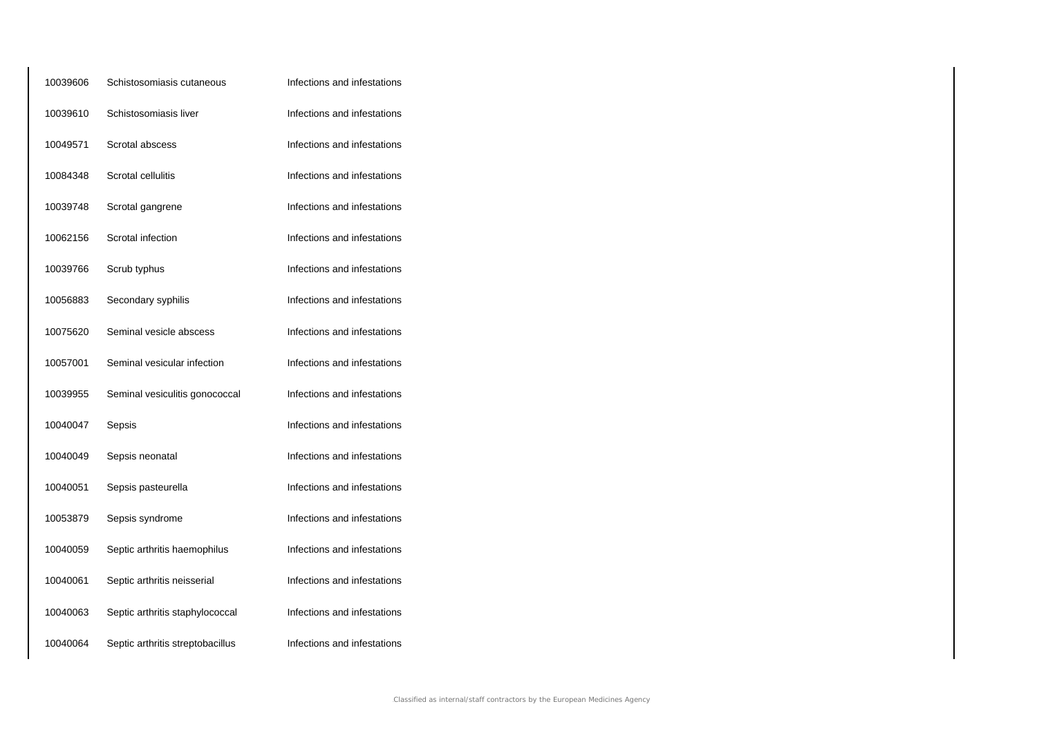| 10039606 | Schistosomiasis cutaneous        | Infections and infestations |
|----------|----------------------------------|-----------------------------|
| 10039610 | Schistosomiasis liver            | Infections and infestations |
| 10049571 | Scrotal abscess                  | Infections and infestations |
| 10084348 | Scrotal cellulitis               | Infections and infestations |
| 10039748 | Scrotal gangrene                 | Infections and infestations |
| 10062156 | Scrotal infection                | Infections and infestations |
| 10039766 | Scrub typhus                     | Infections and infestations |
| 10056883 | Secondary syphilis               | Infections and infestations |
| 10075620 | Seminal vesicle abscess          | Infections and infestations |
| 10057001 | Seminal vesicular infection      | Infections and infestations |
| 10039955 | Seminal vesiculitis gonococcal   | Infections and infestations |
| 10040047 | Sepsis                           | Infections and infestations |
| 10040049 | Sepsis neonatal                  | Infections and infestations |
| 10040051 | Sepsis pasteurella               | Infections and infestations |
| 10053879 | Sepsis syndrome                  | Infections and infestations |
| 10040059 | Septic arthritis haemophilus     | Infections and infestations |
| 10040061 | Septic arthritis neisserial      | Infections and infestations |
| 10040063 | Septic arthritis staphylococcal  | Infections and infestations |
| 10040064 | Septic arthritis streptobacillus | Infections and infestations |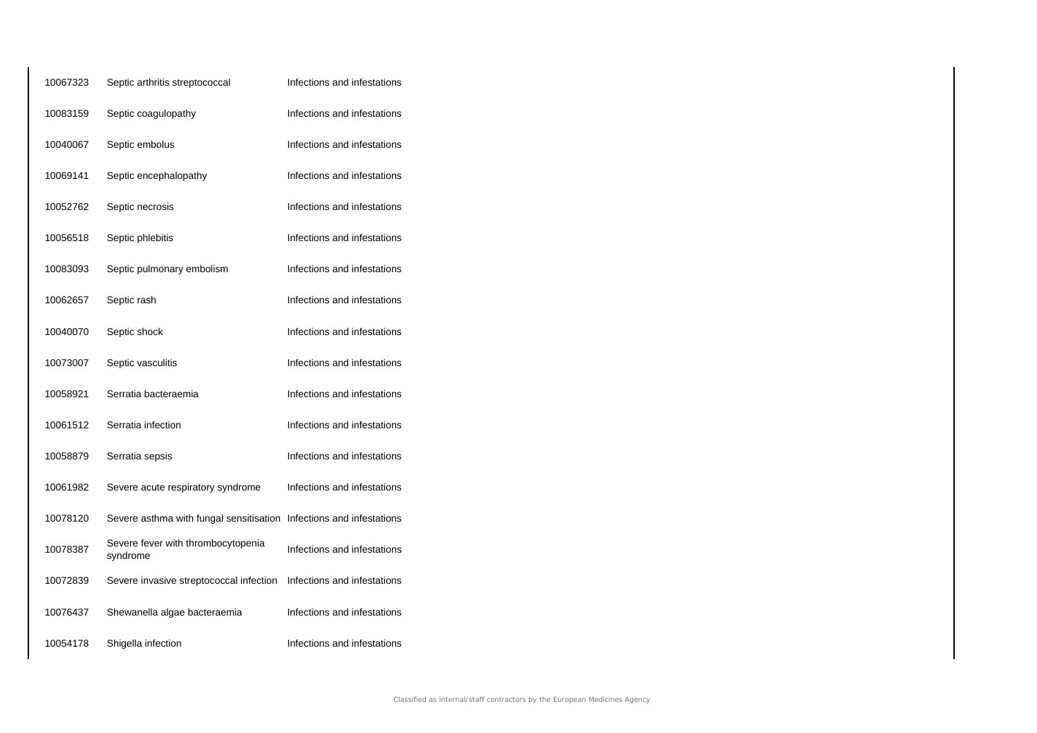| 10067323 | Septic arthritis streptococcal                 | Infections and infestations |
|----------|------------------------------------------------|-----------------------------|
| 10083159 | Septic coagulopathy                            | Infections and infestations |
| 10040067 | Septic embolus                                 | Infections and infestations |
| 10069141 | Septic encephalopathy                          | Infections and infestations |
| 10052762 | Septic necrosis                                | Infections and infestations |
| 10056518 | Septic phlebitis                               | Infections and infestations |
| 10083093 | Septic pulmonary embolism                      | Infections and infestations |
| 10062657 | Septic rash                                    | Infections and infestations |
| 10040070 | Septic shock                                   | Infections and infestations |
| 10073007 | Septic vasculitis                              | Infections and infestations |
| 10058921 | Serratia bacteraemia                           | Infections and infestations |
| 10061512 | Serratia infection                             | Infections and infestations |
| 10058879 | Serratia sepsis                                | Infections and infestations |
| 10061982 | Severe acute respiratory syndrome              | Infections and infestations |
| 10078120 | Severe asthma with fungal sensitisation        | Infections and infestations |
| 10078387 | Severe fever with thrombocytopenia<br>syndrome | Infections and infestations |
| 10072839 | Severe invasive streptococcal infection        | Infections and infestations |
| 10076437 | Shewanella algae bacteraemia                   | Infections and infestations |
| 10054178 | Shigella infection                             | Infections and infestations |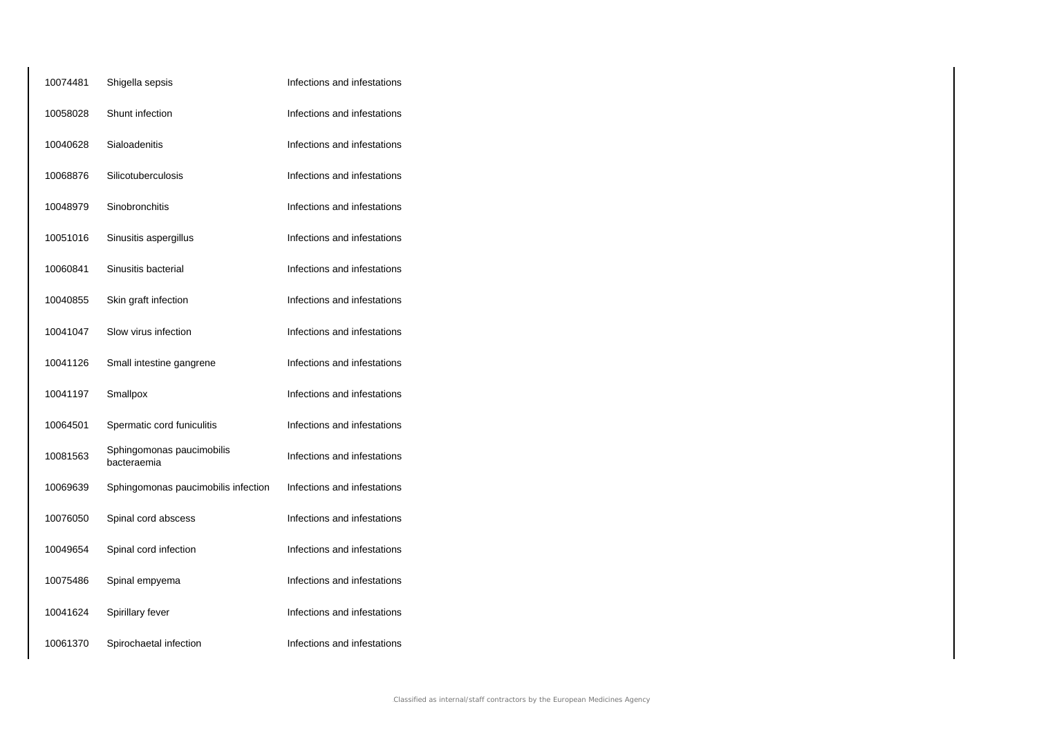| 10074481 | Shigella sepsis                          | Infections and infestations |
|----------|------------------------------------------|-----------------------------|
| 10058028 | Shunt infection                          | Infections and infestations |
| 10040628 | Sialoadenitis                            | Infections and infestations |
| 10068876 | Silicotuberculosis                       | Infections and infestations |
| 10048979 | Sinobronchitis                           | Infections and infestations |
| 10051016 | Sinusitis aspergillus                    | Infections and infestations |
| 10060841 | Sinusitis bacterial                      | Infections and infestations |
| 10040855 | Skin graft infection                     | Infections and infestations |
| 10041047 | Slow virus infection                     | Infections and infestations |
| 10041126 | Small intestine gangrene                 | Infections and infestations |
| 10041197 | Smallpox                                 | Infections and infestations |
| 10064501 | Spermatic cord funiculitis               | Infections and infestations |
| 10081563 | Sphingomonas paucimobilis<br>bacteraemia | Infections and infestations |
| 10069639 | Sphingomonas paucimobilis infection      | Infections and infestations |
| 10076050 | Spinal cord abscess                      | Infections and infestations |
| 10049654 | Spinal cord infection                    | Infections and infestations |
| 10075486 | Spinal empyema                           | Infections and infestations |
| 10041624 | Spirillary fever                         | Infections and infestations |
| 10061370 | Spirochaetal infection                   | Infections and infestations |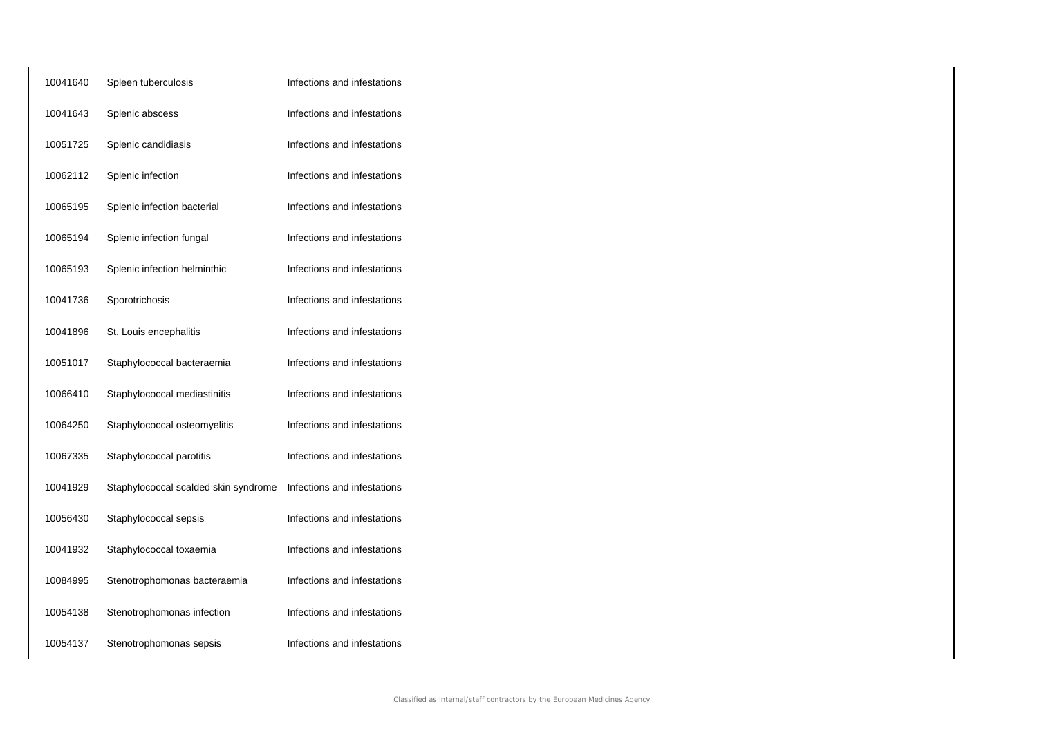| 10041640 | Spleen tuberculosis                  | Infections and infestations |
|----------|--------------------------------------|-----------------------------|
| 10041643 | Splenic abscess                      | Infections and infestations |
| 10051725 | Splenic candidiasis                  | Infections and infestations |
| 10062112 | Splenic infection                    | Infections and infestations |
| 10065195 | Splenic infection bacterial          | Infections and infestations |
| 10065194 | Splenic infection fungal             | Infections and infestations |
| 10065193 | Splenic infection helminthic         | Infections and infestations |
| 10041736 | Sporotrichosis                       | Infections and infestations |
| 10041896 | St. Louis encephalitis               | Infections and infestations |
| 10051017 | Staphylococcal bacteraemia           | Infections and infestations |
| 10066410 | Staphylococcal mediastinitis         | Infections and infestations |
| 10064250 | Staphylococcal osteomyelitis         | Infections and infestations |
| 10067335 | Staphylococcal parotitis             | Infections and infestations |
| 10041929 | Staphylococcal scalded skin syndrome | Infections and infestations |
| 10056430 | Staphylococcal sepsis                | Infections and infestations |
| 10041932 | Staphylococcal toxaemia              | Infections and infestations |
| 10084995 | Stenotrophomonas bacteraemia         | Infections and infestations |
| 10054138 | Stenotrophomonas infection           | Infections and infestations |
| 10054137 | Stenotrophomonas sepsis              | Infections and infestations |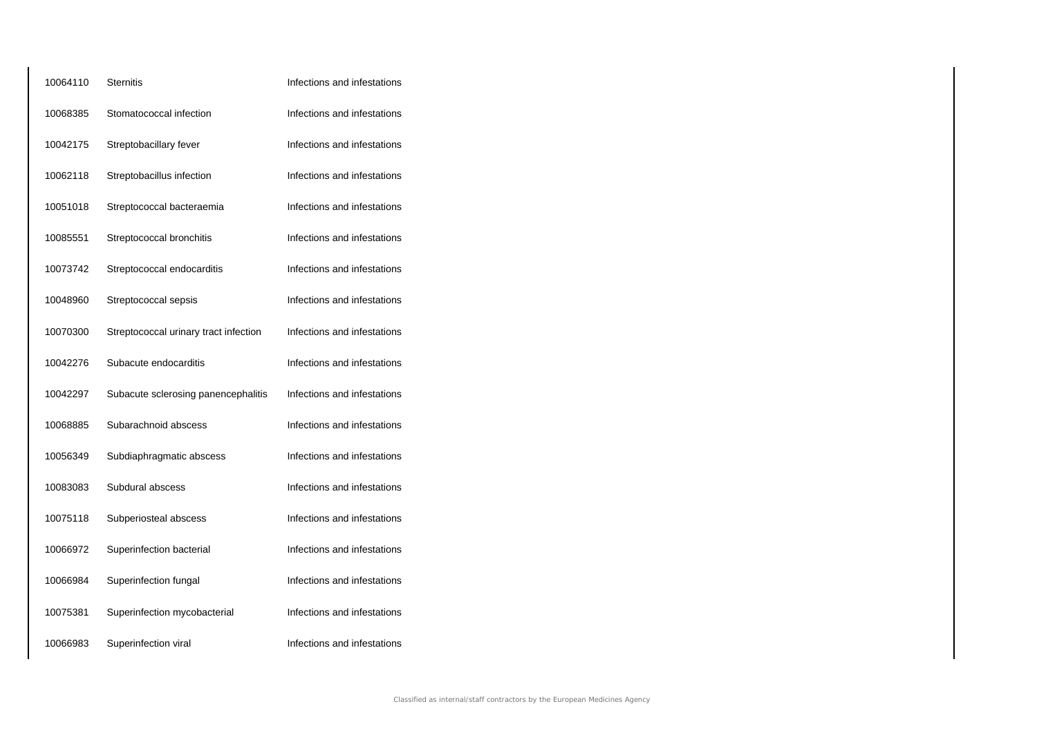| 10064110 | <b>Sternitis</b>                      | Infections and infestations |
|----------|---------------------------------------|-----------------------------|
| 10068385 | Stomatococcal infection               | Infections and infestations |
| 10042175 | Streptobacillary fever                | Infections and infestations |
| 10062118 | Streptobacillus infection             | Infections and infestations |
| 10051018 | Streptococcal bacteraemia             | Infections and infestations |
| 10085551 | Streptococcal bronchitis              | Infections and infestations |
| 10073742 | Streptococcal endocarditis            | Infections and infestations |
| 10048960 | Streptococcal sepsis                  | Infections and infestations |
| 10070300 | Streptococcal urinary tract infection | Infections and infestations |
| 10042276 | Subacute endocarditis                 | Infections and infestations |
| 10042297 | Subacute sclerosing panencephalitis   | Infections and infestations |
| 10068885 | Subarachnoid abscess                  | Infections and infestations |
| 10056349 | Subdiaphragmatic abscess              | Infections and infestations |
| 10083083 | Subdural abscess                      | Infections and infestations |
| 10075118 | Subperiosteal abscess                 | Infections and infestations |
| 10066972 | Superinfection bacterial              | Infections and infestations |
| 10066984 | Superinfection fungal                 | Infections and infestations |
| 10075381 | Superinfection mycobacterial          | Infections and infestations |
| 10066983 | Superinfection viral                  | Infections and infestations |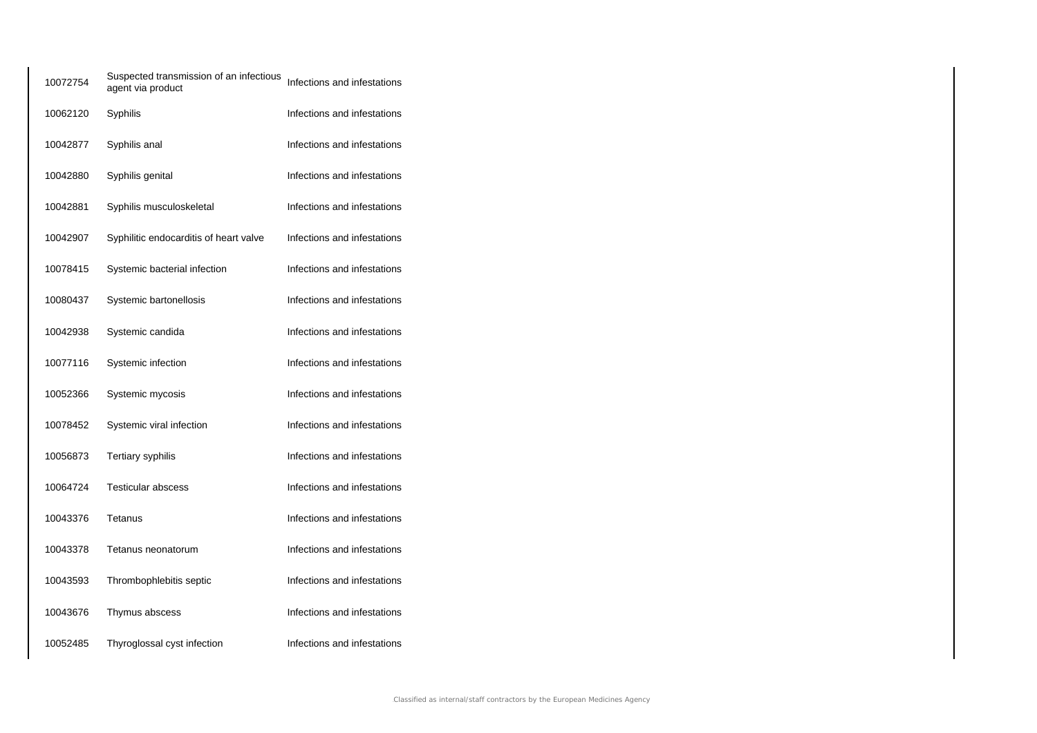| 10072754 | Suspected transmission of an infectious<br>agent via product | Infections and infestations |
|----------|--------------------------------------------------------------|-----------------------------|
| 10062120 | Syphilis                                                     | Infections and infestations |
| 10042877 | Syphilis anal                                                | Infections and infestations |
| 10042880 | Syphilis genital                                             | Infections and infestations |
| 10042881 | Syphilis musculoskeletal                                     | Infections and infestations |
| 10042907 | Syphilitic endocarditis of heart valve                       | Infections and infestations |
| 10078415 | Systemic bacterial infection                                 | Infections and infestations |
| 10080437 | Systemic bartonellosis                                       | Infections and infestations |
| 10042938 | Systemic candida                                             | Infections and infestations |
| 10077116 | Systemic infection                                           | Infections and infestations |
| 10052366 | Systemic mycosis                                             | Infections and infestations |
| 10078452 | Systemic viral infection                                     | Infections and infestations |
| 10056873 | <b>Tertiary syphilis</b>                                     | Infections and infestations |
| 10064724 | <b>Testicular abscess</b>                                    | Infections and infestations |
| 10043376 | Tetanus                                                      | Infections and infestations |
| 10043378 | Tetanus neonatorum                                           | Infections and infestations |
| 10043593 | Thrombophlebitis septic                                      | Infections and infestations |
| 10043676 | Thymus abscess                                               | Infections and infestations |
| 10052485 | Thyroglossal cyst infection                                  | Infections and infestations |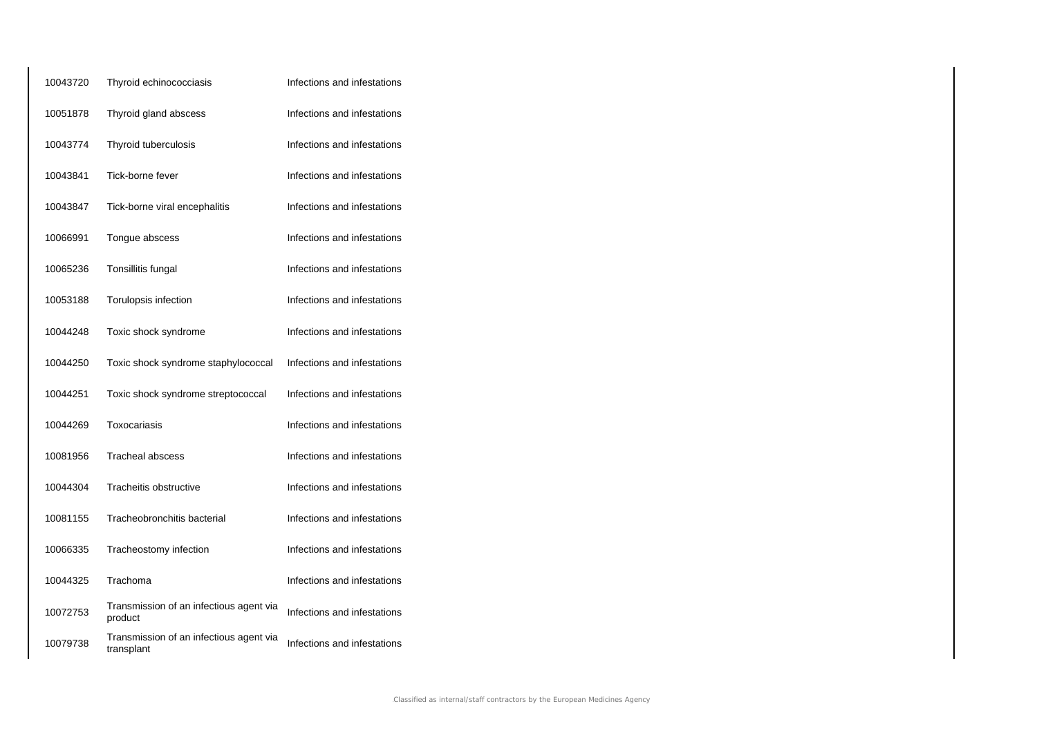| 10043720 | Thyroid echinococciasis                               | Infections and infestations |
|----------|-------------------------------------------------------|-----------------------------|
| 10051878 | Thyroid gland abscess                                 | Infections and infestations |
| 10043774 | Thyroid tuberculosis                                  | Infections and infestations |
| 10043841 | Tick-borne fever                                      | Infections and infestations |
| 10043847 | Tick-borne viral encephalitis                         | Infections and infestations |
| 10066991 | Tongue abscess                                        | Infections and infestations |
| 10065236 | Tonsillitis fungal                                    | Infections and infestations |
| 10053188 | Torulopsis infection                                  | Infections and infestations |
| 10044248 | Toxic shock syndrome                                  | Infections and infestations |
| 10044250 | Toxic shock syndrome staphylococcal                   | Infections and infestations |
| 10044251 | Toxic shock syndrome streptococcal                    | Infections and infestations |
| 10044269 | Toxocariasis                                          | Infections and infestations |
| 10081956 | <b>Tracheal abscess</b>                               | Infections and infestations |
| 10044304 | Tracheitis obstructive                                | Infections and infestations |
| 10081155 | Tracheobronchitis bacterial                           | Infections and infestations |
| 10066335 | Tracheostomy infection                                | Infections and infestations |
| 10044325 | Trachoma                                              | Infections and infestations |
| 10072753 | Transmission of an infectious agent via<br>product    | Infections and infestations |
| 10079738 | Transmission of an infectious agent via<br>transplant | Infections and infestations |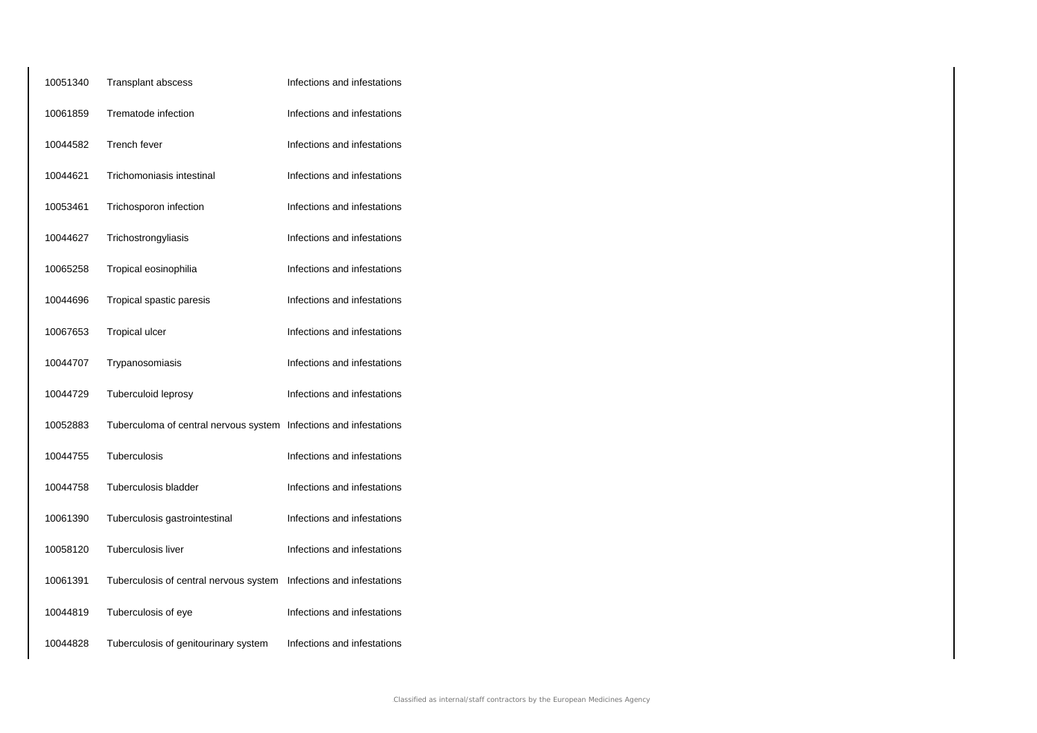| 10051340 | Transplant abscess                                                | Infections and infestations |
|----------|-------------------------------------------------------------------|-----------------------------|
| 10061859 | Trematode infection                                               | Infections and infestations |
| 10044582 | <b>Trench fever</b>                                               | Infections and infestations |
| 10044621 | Trichomoniasis intestinal                                         | Infections and infestations |
| 10053461 | Trichosporon infection                                            | Infections and infestations |
| 10044627 | Trichostrongyliasis                                               | Infections and infestations |
| 10065258 | Tropical eosinophilia                                             | Infections and infestations |
| 10044696 | Tropical spastic paresis                                          | Infections and infestations |
| 10067653 | <b>Tropical ulcer</b>                                             | Infections and infestations |
| 10044707 | Trypanosomiasis                                                   | Infections and infestations |
| 10044729 | Tuberculoid leprosy                                               | Infections and infestations |
| 10052883 | Tuberculoma of central nervous system Infections and infestations |                             |
| 10044755 | Tuberculosis                                                      | Infections and infestations |
| 10044758 | Tuberculosis bladder                                              | Infections and infestations |
| 10061390 | Tuberculosis gastrointestinal                                     | Infections and infestations |
| 10058120 | Tuberculosis liver                                                | Infections and infestations |
| 10061391 | Tuberculosis of central nervous system                            | Infections and infestations |
| 10044819 | Tuberculosis of eye                                               | Infections and infestations |
| 10044828 | Tuberculosis of genitourinary system                              | Infections and infestations |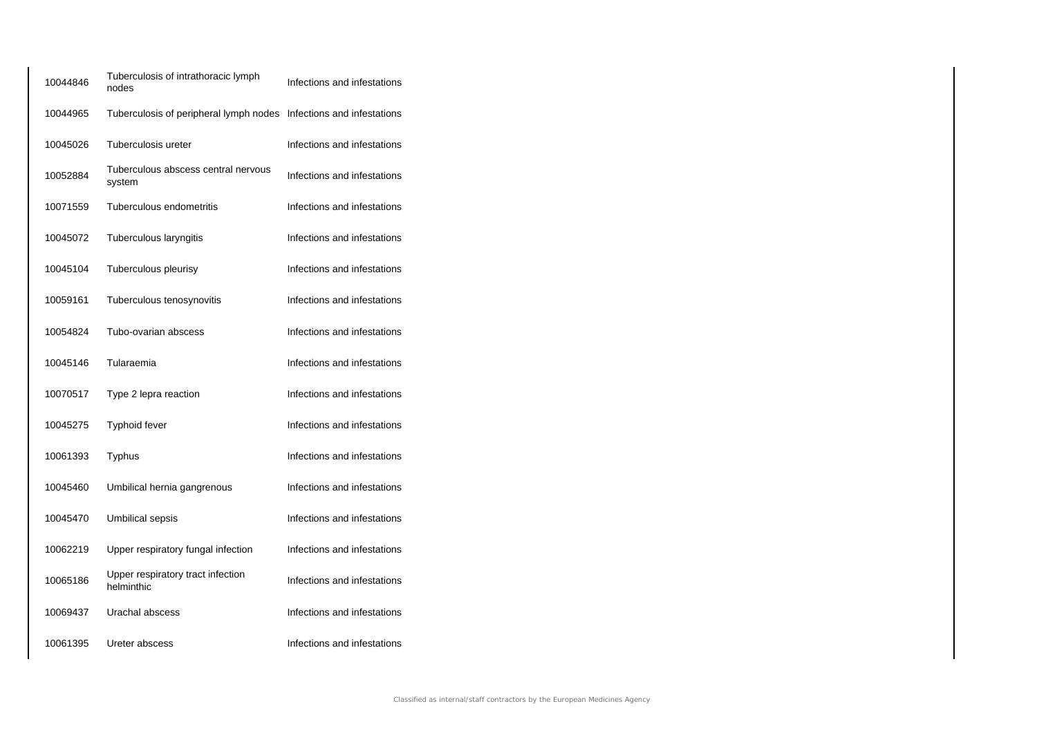| 10044846 | Tuberculosis of intrathoracic lymph<br>nodes                       | Infections and infestations |
|----------|--------------------------------------------------------------------|-----------------------------|
| 10044965 | Tuberculosis of peripheral lymph nodes Infections and infestations |                             |
| 10045026 | Tuberculosis ureter                                                | Infections and infestations |
| 10052884 | Tuberculous abscess central nervous<br>system                      | Infections and infestations |
| 10071559 | Tuberculous endometritis                                           | Infections and infestations |
| 10045072 | Tuberculous laryngitis                                             | Infections and infestations |
| 10045104 | Tuberculous pleurisy                                               | Infections and infestations |
| 10059161 | Tuberculous tenosynovitis                                          | Infections and infestations |
| 10054824 | Tubo-ovarian abscess                                               | Infections and infestations |
| 10045146 | Tularaemia                                                         | Infections and infestations |
| 10070517 | Type 2 lepra reaction                                              | Infections and infestations |
| 10045275 | <b>Typhoid fever</b>                                               | Infections and infestations |
| 10061393 | Typhus                                                             | Infections and infestations |
| 10045460 | Umbilical hernia gangrenous                                        | Infections and infestations |
| 10045470 | Umbilical sepsis                                                   | Infections and infestations |
| 10062219 | Upper respiratory fungal infection                                 | Infections and infestations |
| 10065186 | Upper respiratory tract infection<br>helminthic                    | Infections and infestations |
| 10069437 | Urachal abscess                                                    | Infections and infestations |
| 10061395 | Ureter abscess                                                     | Infections and infestations |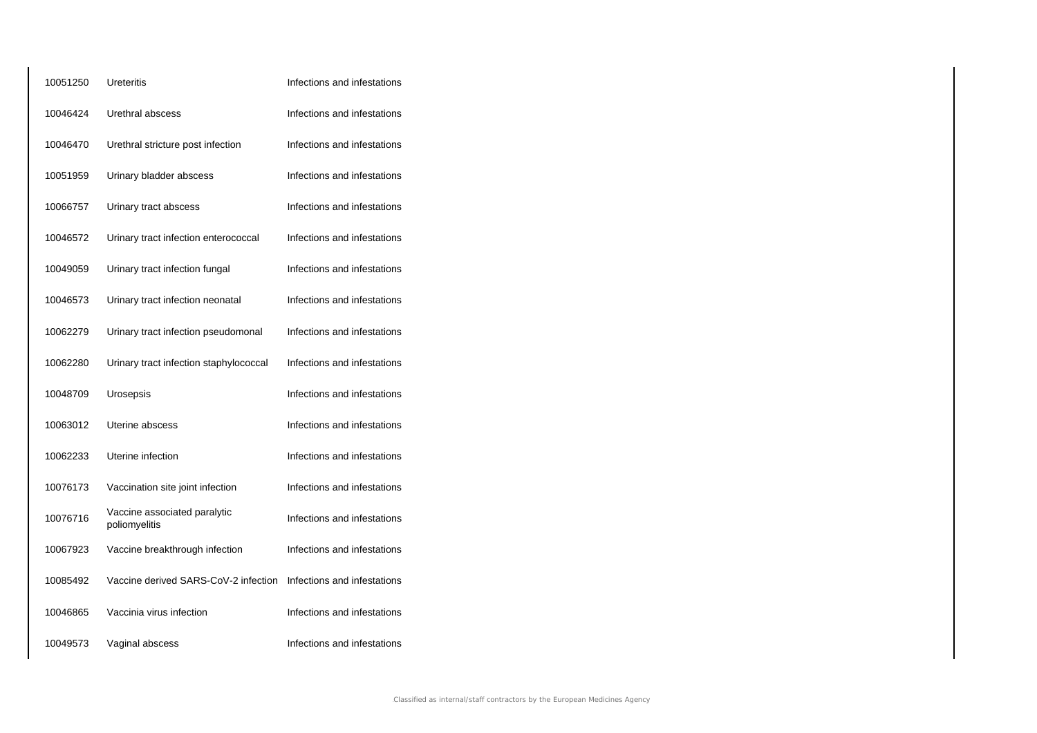| 10051250 | Ureteritis                                    | Infections and infestations |
|----------|-----------------------------------------------|-----------------------------|
| 10046424 | Urethral abscess                              | Infections and infestations |
| 10046470 | Urethral stricture post infection             | Infections and infestations |
| 10051959 | Urinary bladder abscess                       | Infections and infestations |
| 10066757 | Urinary tract abscess                         | Infections and infestations |
| 10046572 | Urinary tract infection enterococcal          | Infections and infestations |
| 10049059 | Urinary tract infection fungal                | Infections and infestations |
| 10046573 | Urinary tract infection neonatal              | Infections and infestations |
| 10062279 | Urinary tract infection pseudomonal           | Infections and infestations |
| 10062280 | Urinary tract infection staphylococcal        | Infections and infestations |
| 10048709 | Urosepsis                                     | Infections and infestations |
| 10063012 | Uterine abscess                               | Infections and infestations |
| 10062233 | Uterine infection                             | Infections and infestations |
| 10076173 | Vaccination site joint infection              | Infections and infestations |
| 10076716 | Vaccine associated paralytic<br>poliomyelitis | Infections and infestations |
| 10067923 | Vaccine breakthrough infection                | Infections and infestations |
| 10085492 | Vaccine derived SARS-CoV-2 infection          | Infections and infestations |
| 10046865 | Vaccinia virus infection                      | Infections and infestations |
| 10049573 | Vaginal abscess                               | Infections and infestations |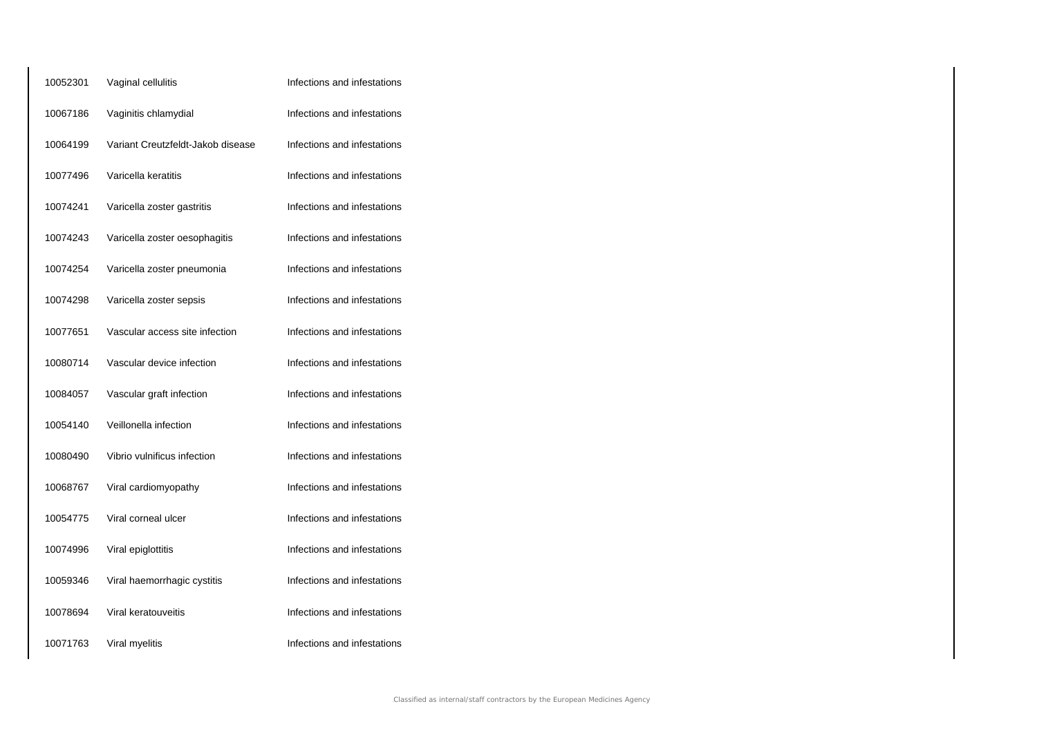| 10052301 | Vaginal cellulitis                | Infections and infestations |
|----------|-----------------------------------|-----------------------------|
| 10067186 | Vaginitis chlamydial              | Infections and infestations |
| 10064199 | Variant Creutzfeldt-Jakob disease | Infections and infestations |
| 10077496 | Varicella keratitis               | Infections and infestations |
| 10074241 | Varicella zoster gastritis        | Infections and infestations |
| 10074243 | Varicella zoster oesophagitis     | Infections and infestations |
| 10074254 | Varicella zoster pneumonia        | Infections and infestations |
| 10074298 | Varicella zoster sepsis           | Infections and infestations |
| 10077651 | Vascular access site infection    | Infections and infestations |
| 10080714 | Vascular device infection         | Infections and infestations |
| 10084057 | Vascular graft infection          | Infections and infestations |
| 10054140 | Veillonella infection             | Infections and infestations |
| 10080490 | Vibrio vulnificus infection       | Infections and infestations |
| 10068767 | Viral cardiomyopathy              | Infections and infestations |
| 10054775 | Viral corneal ulcer               | Infections and infestations |
| 10074996 | Viral epiglottitis                | Infections and infestations |
| 10059346 | Viral haemorrhagic cystitis       | Infections and infestations |
| 10078694 | Viral keratouveitis               | Infections and infestations |
| 10071763 | Viral myelitis                    | Infections and infestations |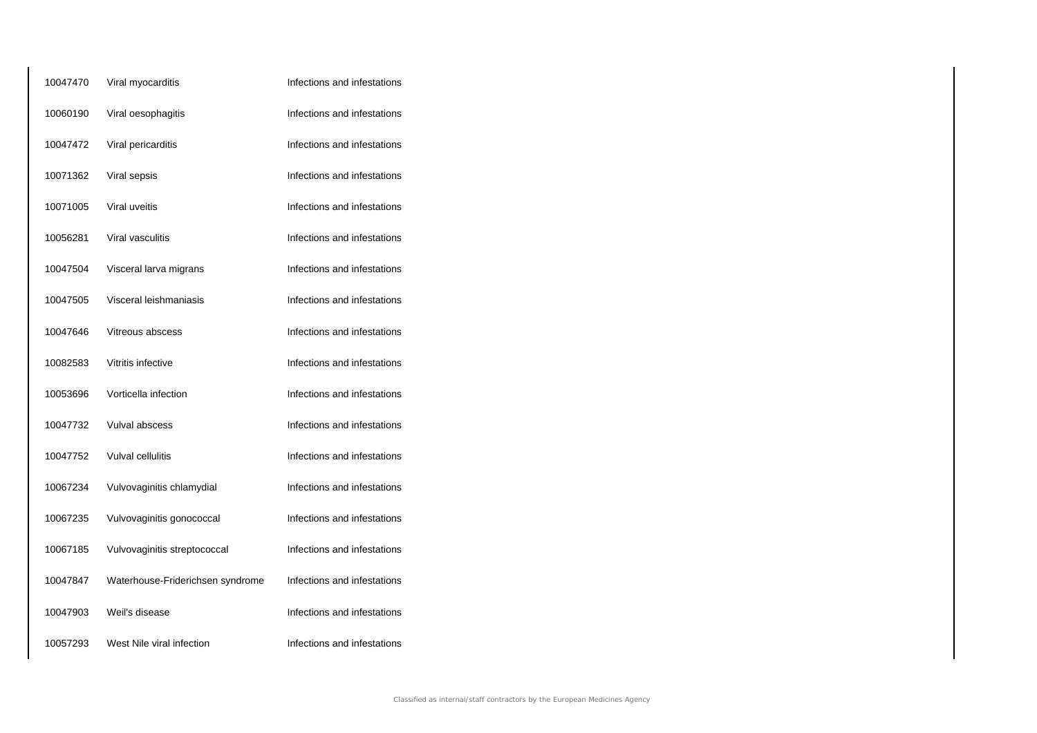| 10047470 | Viral myocarditis                | Infections and infestations |
|----------|----------------------------------|-----------------------------|
| 10060190 | Viral oesophagitis               | Infections and infestations |
| 10047472 | Viral pericarditis               | Infections and infestations |
| 10071362 | Viral sepsis                     | Infections and infestations |
| 10071005 | Viral uveitis                    | Infections and infestations |
| 10056281 | Viral vasculitis                 | Infections and infestations |
| 10047504 | Visceral larva migrans           | Infections and infestations |
| 10047505 | Visceral leishmaniasis           | Infections and infestations |
| 10047646 | Vitreous abscess                 | Infections and infestations |
| 10082583 | Vitritis infective               | Infections and infestations |
| 10053696 | Vorticella infection             | Infections and infestations |
| 10047732 | Vulval abscess                   | Infections and infestations |
| 10047752 | Vulval cellulitis                | Infections and infestations |
| 10067234 | Vulvovaginitis chlamydial        | Infections and infestations |
| 10067235 | Vulvovaginitis gonococcal        | Infections and infestations |
| 10067185 | Vulvovaginitis streptococcal     | Infections and infestations |
| 10047847 | Waterhouse-Friderichsen syndrome | Infections and infestations |
| 10047903 | Weil's disease                   | Infections and infestations |
| 10057293 | West Nile viral infection        | Infections and infestations |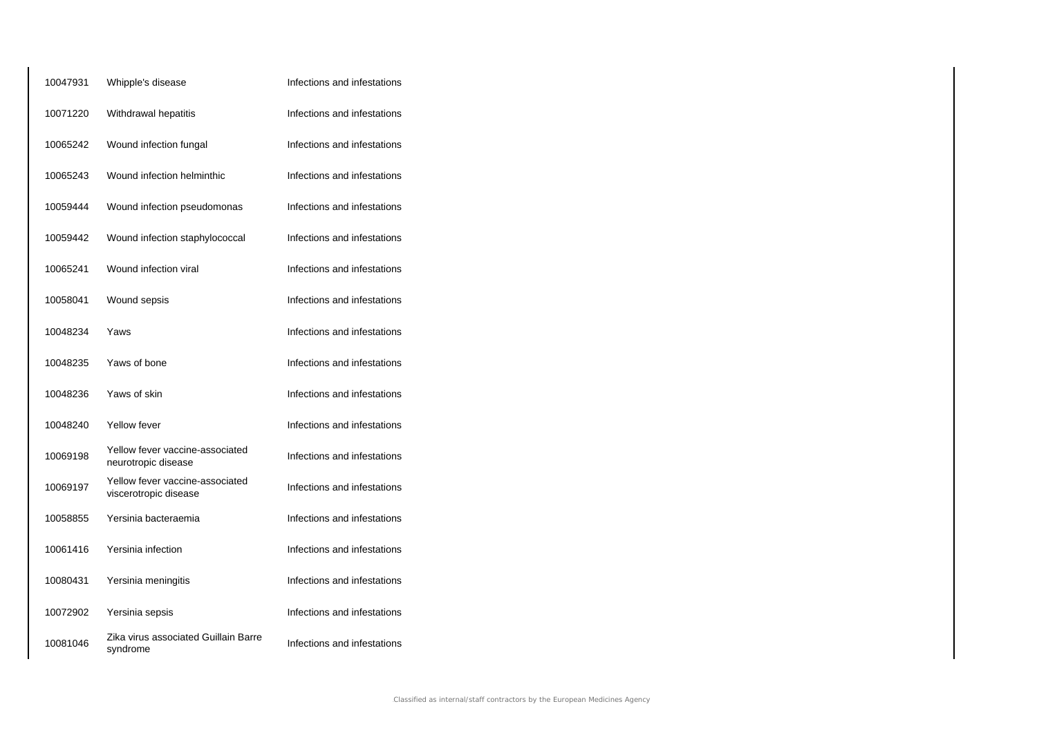| 10047931 | Whipple's disease                                        | Infections and infestations |
|----------|----------------------------------------------------------|-----------------------------|
| 10071220 | Withdrawal hepatitis                                     | Infections and infestations |
| 10065242 | Wound infection fungal                                   | Infections and infestations |
| 10065243 | Wound infection helminthic                               | Infections and infestations |
| 10059444 | Wound infection pseudomonas                              | Infections and infestations |
| 10059442 | Wound infection staphylococcal                           | Infections and infestations |
| 10065241 | Wound infection viral                                    | Infections and infestations |
| 10058041 | Wound sepsis                                             | Infections and infestations |
| 10048234 | Yaws                                                     | Infections and infestations |
| 10048235 | Yaws of bone                                             | Infections and infestations |
| 10048236 | Yaws of skin                                             | Infections and infestations |
| 10048240 | Yellow fever                                             | Infections and infestations |
| 10069198 | Yellow fever vaccine-associated<br>neurotropic disease   | Infections and infestations |
| 10069197 | Yellow fever vaccine-associated<br>viscerotropic disease | Infections and infestations |
| 10058855 | Yersinia bacteraemia                                     | Infections and infestations |
| 10061416 | Yersinia infection                                       | Infections and infestations |
| 10080431 | Yersinia meningitis                                      | Infections and infestations |
| 10072902 | Yersinia sepsis                                          | Infections and infestations |
| 10081046 | Zika virus associated Guillain Barre<br>syndrome         | Infections and infestations |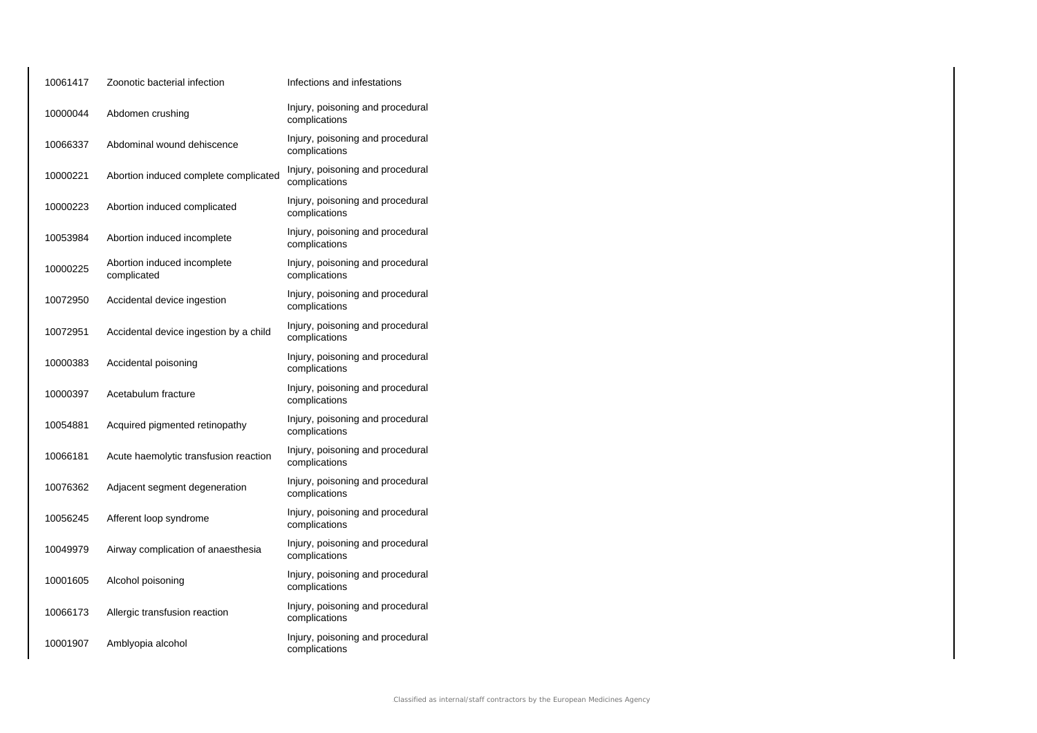| 10061417 | Zoonotic bacterial infection               | Infections and infestations                       |
|----------|--------------------------------------------|---------------------------------------------------|
| 10000044 | Abdomen crushing                           | Injury, poisoning and procedural<br>complications |
| 10066337 | Abdominal wound dehiscence                 | Injury, poisoning and procedural<br>complications |
| 10000221 | Abortion induced complete complicated      | Injury, poisoning and procedural<br>complications |
| 10000223 | Abortion induced complicated               | Injury, poisoning and procedural<br>complications |
| 10053984 | Abortion induced incomplete                | Injury, poisoning and procedural<br>complications |
| 10000225 | Abortion induced incomplete<br>complicated | Injury, poisoning and procedural<br>complications |
| 10072950 | Accidental device ingestion                | Injury, poisoning and procedural<br>complications |
| 10072951 | Accidental device ingestion by a child     | Injury, poisoning and procedural<br>complications |
| 10000383 | Accidental poisoning                       | Injury, poisoning and procedural<br>complications |
| 10000397 | Acetabulum fracture                        | Injury, poisoning and procedural<br>complications |
| 10054881 | Acquired pigmented retinopathy             | Injury, poisoning and procedural<br>complications |
| 10066181 | Acute haemolytic transfusion reaction      | Injury, poisoning and procedural<br>complications |
| 10076362 | Adjacent segment degeneration              | Injury, poisoning and procedural<br>complications |
| 10056245 | Afferent loop syndrome                     | Injury, poisoning and procedural<br>complications |
| 10049979 | Airway complication of anaesthesia         | Injury, poisoning and procedural<br>complications |
| 10001605 | Alcohol poisoning                          | Injury, poisoning and procedural<br>complications |
| 10066173 | Allergic transfusion reaction              | Injury, poisoning and procedural<br>complications |
| 10001907 | Amblyopia alcohol                          | Injury, poisoning and procedural<br>complications |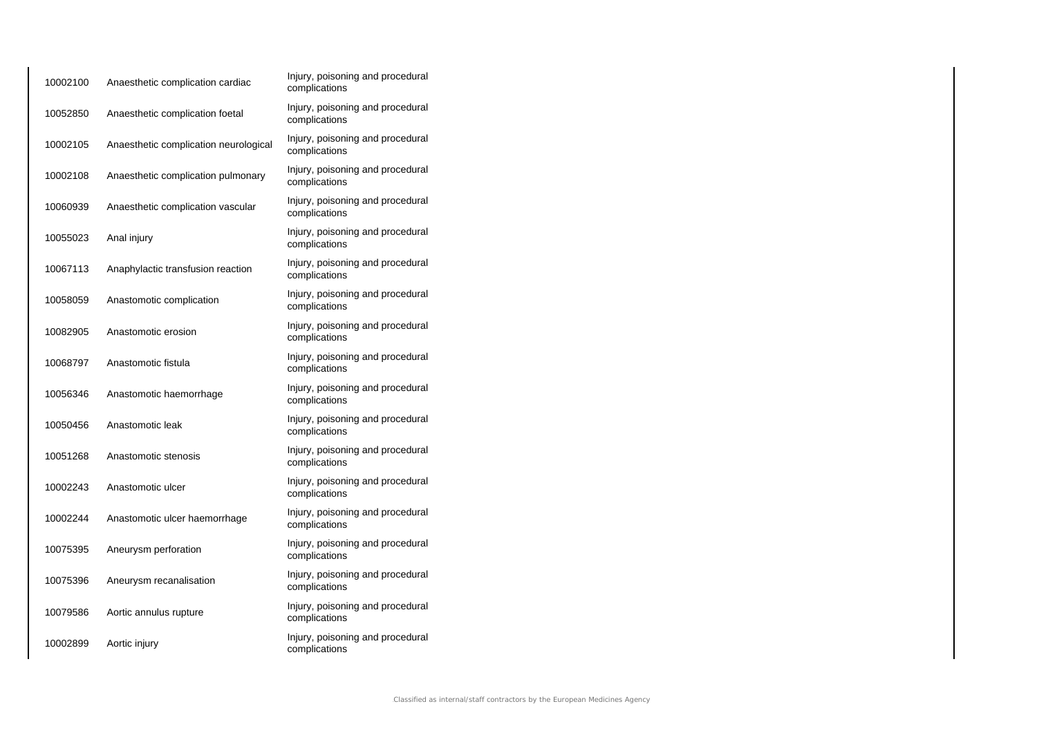| 10002100 | Anaesthetic complication cardiac      | Injury, poisoning and procedural<br>complications |
|----------|---------------------------------------|---------------------------------------------------|
| 10052850 | Anaesthetic complication foetal       | Injury, poisoning and procedural<br>complications |
| 10002105 | Anaesthetic complication neurological | Injury, poisoning and procedural<br>complications |
| 10002108 | Anaesthetic complication pulmonary    | Injury, poisoning and procedural<br>complications |
| 10060939 | Anaesthetic complication vascular     | Injury, poisoning and procedural<br>complications |
| 10055023 | Anal injury                           | Injury, poisoning and procedural<br>complications |
| 10067113 | Anaphylactic transfusion reaction     | Injury, poisoning and procedural<br>complications |
| 10058059 | Anastomotic complication              | Injury, poisoning and procedural<br>complications |
| 10082905 | Anastomotic erosion                   | Injury, poisoning and procedural<br>complications |
| 10068797 | Anastomotic fistula                   | Injury, poisoning and procedural<br>complications |
| 10056346 | Anastomotic haemorrhage               | Injury, poisoning and procedural<br>complications |
| 10050456 | Anastomotic leak                      | Injury, poisoning and procedural<br>complications |
| 10051268 | Anastomotic stenosis                  | Injury, poisoning and procedural<br>complications |
| 10002243 | Anastomotic ulcer                     | Injury, poisoning and procedural<br>complications |
| 10002244 | Anastomotic ulcer haemorrhage         | Injury, poisoning and procedural<br>complications |
| 10075395 | Aneurysm perforation                  | Injury, poisoning and procedural<br>complications |
| 10075396 | Aneurysm recanalisation               | Injury, poisoning and procedural<br>complications |
| 10079586 | Aortic annulus rupture                | Injury, poisoning and procedural<br>complications |
| 10002899 | Aortic injury                         | Injury, poisoning and procedural<br>complications |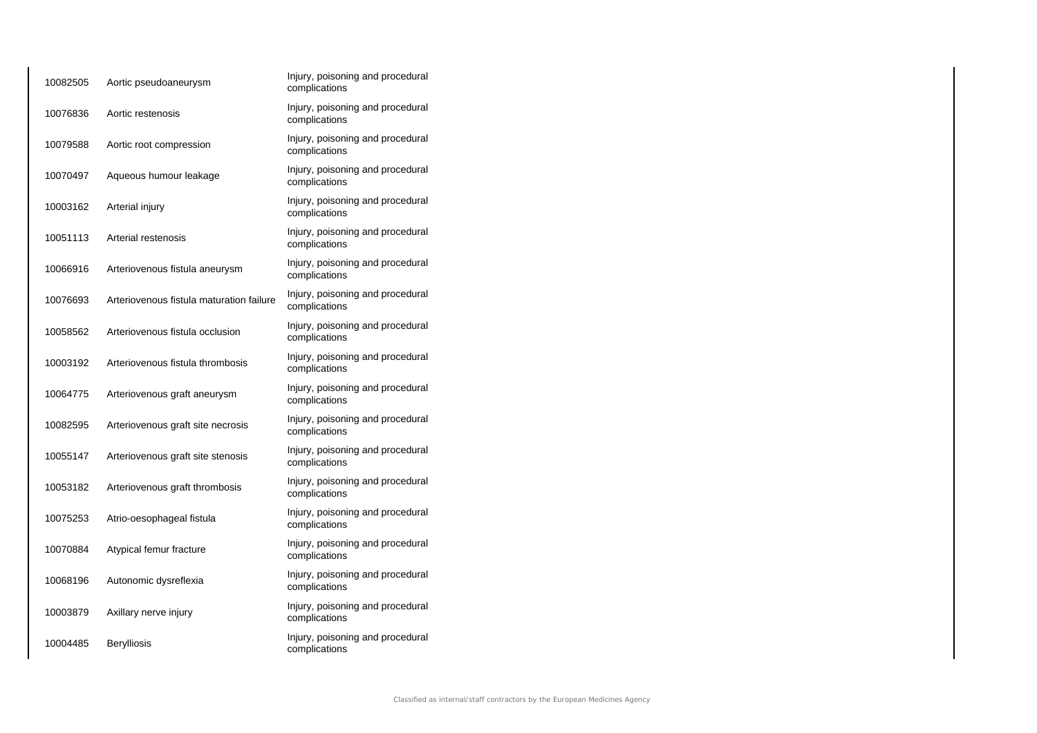| 10082505 | Aortic pseudoaneurysm                    | Injury, poisoning and procedural<br>complications |
|----------|------------------------------------------|---------------------------------------------------|
| 10076836 | Aortic restenosis                        | Injury, poisoning and procedural<br>complications |
| 10079588 | Aortic root compression                  | Injury, poisoning and procedural<br>complications |
| 10070497 | Aqueous humour leakage                   | Injury, poisoning and procedural<br>complications |
| 10003162 | Arterial injury                          | Injury, poisoning and procedural<br>complications |
| 10051113 | Arterial restenosis                      | Injury, poisoning and procedural<br>complications |
| 10066916 | Arteriovenous fistula aneurysm           | Injury, poisoning and procedural<br>complications |
| 10076693 | Arteriovenous fistula maturation failure | Injury, poisoning and procedural<br>complications |
| 10058562 | Arteriovenous fistula occlusion          | Injury, poisoning and procedural<br>complications |
| 10003192 | Arteriovenous fistula thrombosis         | Injury, poisoning and procedural<br>complications |
| 10064775 | Arteriovenous graft aneurysm             | Injury, poisoning and procedural<br>complications |
| 10082595 | Arteriovenous graft site necrosis        | Injury, poisoning and procedural<br>complications |
| 10055147 | Arteriovenous graft site stenosis        | Injury, poisoning and procedural<br>complications |
| 10053182 | Arteriovenous graft thrombosis           | Injury, poisoning and procedural<br>complications |
| 10075253 | Atrio-oesophageal fistula                | Injury, poisoning and procedural<br>complications |
| 10070884 | Atypical femur fracture                  | Injury, poisoning and procedural<br>complications |
| 10068196 | Autonomic dysreflexia                    | Injury, poisoning and procedural<br>complications |
| 10003879 | Axillary nerve injury                    | Injury, poisoning and procedural<br>complications |
| 10004485 | Berylliosis                              | Injury, poisoning and procedural<br>complications |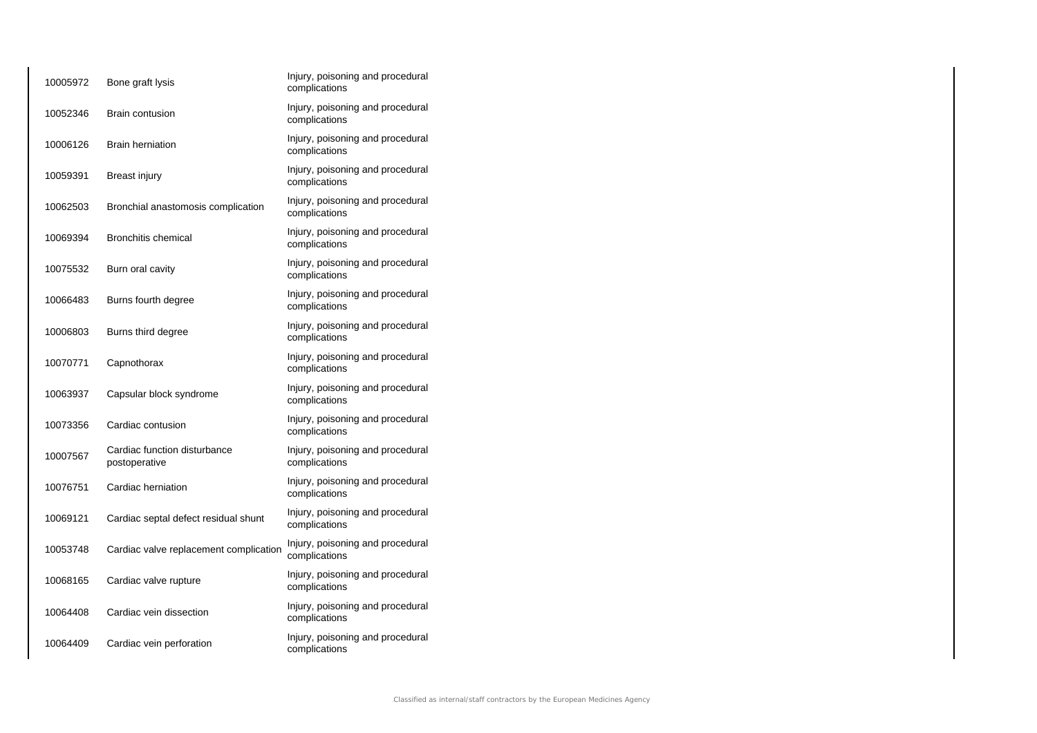| 10005972 | Bone graft lysis                              | Injury, poisoning and procedural<br>complications |
|----------|-----------------------------------------------|---------------------------------------------------|
| 10052346 | <b>Brain contusion</b>                        | Injury, poisoning and procedural<br>complications |
| 10006126 | <b>Brain herniation</b>                       | Injury, poisoning and procedural<br>complications |
| 10059391 | Breast injury                                 | Injury, poisoning and procedural<br>complications |
| 10062503 | Bronchial anastomosis complication            | Injury, poisoning and procedural<br>complications |
| 10069394 | <b>Bronchitis chemical</b>                    | Injury, poisoning and procedural<br>complications |
| 10075532 | Burn oral cavity                              | Injury, poisoning and procedural<br>complications |
| 10066483 | Burns fourth degree                           | Injury, poisoning and procedural<br>complications |
| 10006803 | Burns third degree                            | Injury, poisoning and procedural<br>complications |
| 10070771 | Capnothorax                                   | Injury, poisoning and procedural<br>complications |
| 10063937 | Capsular block syndrome                       | Injury, poisoning and procedural<br>complications |
| 10073356 | Cardiac contusion                             | Injury, poisoning and procedural<br>complications |
| 10007567 | Cardiac function disturbance<br>postoperative | Injury, poisoning and procedural<br>complications |
| 10076751 | Cardiac herniation                            | Injury, poisoning and procedural<br>complications |
| 10069121 | Cardiac septal defect residual shunt          | Injury, poisoning and procedural<br>complications |
| 10053748 | Cardiac valve replacement complication        | Injury, poisoning and procedural<br>complications |
| 10068165 | Cardiac valve rupture                         | Injury, poisoning and procedural<br>complications |
| 10064408 | Cardiac vein dissection                       | Injury, poisoning and procedural<br>complications |
| 10064409 | Cardiac vein perforation                      | Injury, poisoning and procedural<br>complications |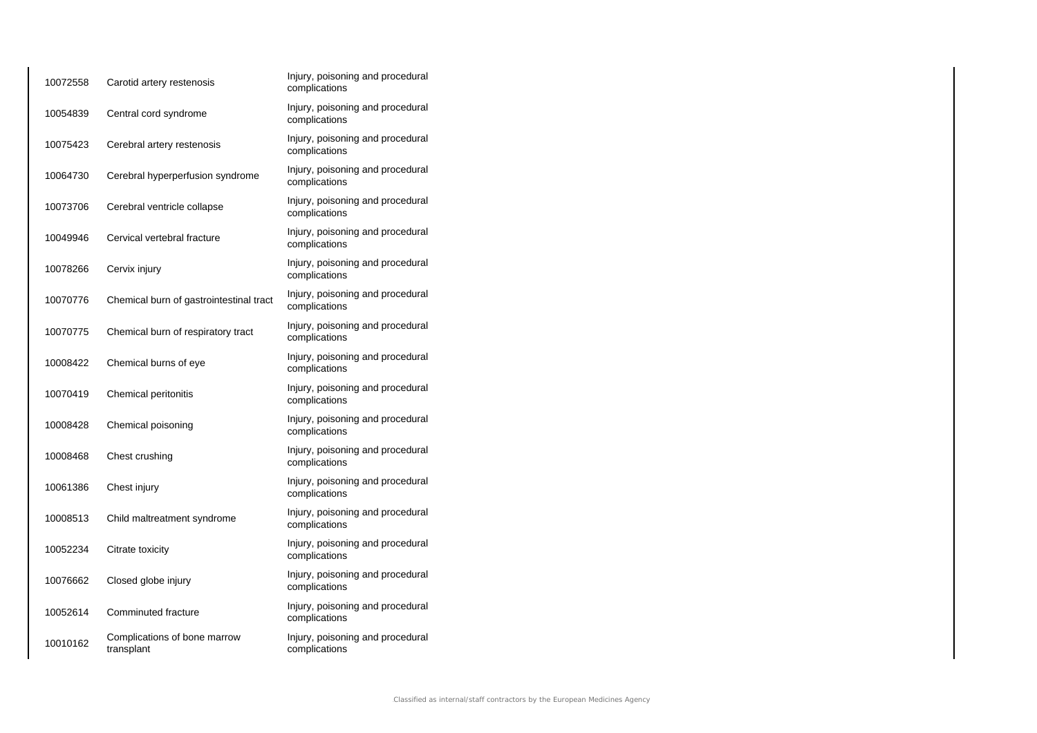| 10072558 | Carotid artery restenosis                  | Injury, poisoning and procedural<br>complications |
|----------|--------------------------------------------|---------------------------------------------------|
| 10054839 | Central cord syndrome                      | Injury, poisoning and procedural<br>complications |
| 10075423 | Cerebral artery restenosis                 | Injury, poisoning and procedural<br>complications |
| 10064730 | Cerebral hyperperfusion syndrome           | Injury, poisoning and procedural<br>complications |
| 10073706 | Cerebral ventricle collapse                | Injury, poisoning and procedural<br>complications |
| 10049946 | Cervical vertebral fracture                | Injury, poisoning and procedural<br>complications |
| 10078266 | Cervix injury                              | Injury, poisoning and procedural<br>complications |
| 10070776 | Chemical burn of gastrointestinal tract    | Injury, poisoning and procedural<br>complications |
| 10070775 | Chemical burn of respiratory tract         | Injury, poisoning and procedural<br>complications |
| 10008422 | Chemical burns of eye                      | Injury, poisoning and procedural<br>complications |
| 10070419 | Chemical peritonitis                       | Injury, poisoning and procedural<br>complications |
| 10008428 | Chemical poisoning                         | Injury, poisoning and procedural<br>complications |
| 10008468 | Chest crushing                             | Injury, poisoning and procedural<br>complications |
| 10061386 | Chest injury                               | Injury, poisoning and procedural<br>complications |
| 10008513 | Child maltreatment syndrome                | Injury, poisoning and procedural<br>complications |
| 10052234 | Citrate toxicity                           | Injury, poisoning and procedural<br>complications |
| 10076662 | Closed globe injury                        | Injury, poisoning and procedural<br>complications |
| 10052614 | Comminuted fracture                        | Injury, poisoning and procedural<br>complications |
| 10010162 | Complications of bone marrow<br>transplant | Injury, poisoning and procedural<br>complications |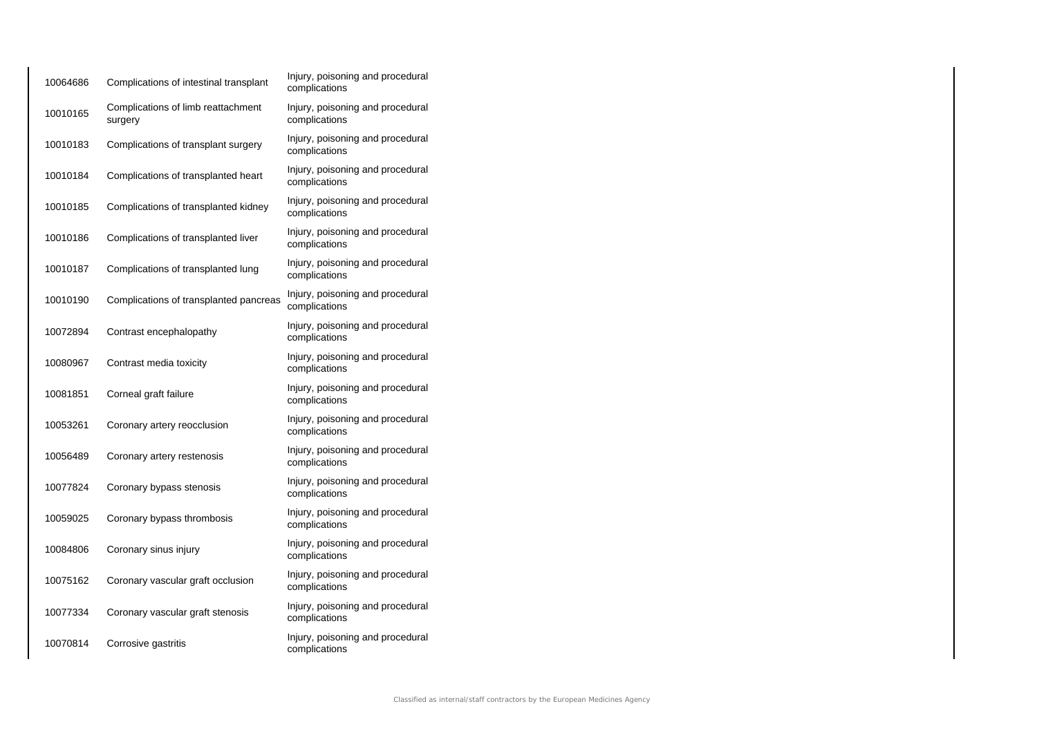| 10064686 | Complications of intestinal transplant        | Injury, poisoning and procedural<br>complications |
|----------|-----------------------------------------------|---------------------------------------------------|
| 10010165 | Complications of limb reattachment<br>surgery | Injury, poisoning and procedural<br>complications |
| 10010183 | Complications of transplant surgery           | Injury, poisoning and procedural<br>complications |
| 10010184 | Complications of transplanted heart           | Injury, poisoning and procedural<br>complications |
| 10010185 | Complications of transplanted kidney          | Injury, poisoning and procedural<br>complications |
| 10010186 | Complications of transplanted liver           | Injury, poisoning and procedural<br>complications |
| 10010187 | Complications of transplanted lung            | Injury, poisoning and procedural<br>complications |
| 10010190 | Complications of transplanted pancreas        | Injury, poisoning and procedural<br>complications |
| 10072894 | Contrast encephalopathy                       | Injury, poisoning and procedural<br>complications |
| 10080967 | Contrast media toxicity                       | Injury, poisoning and procedural<br>complications |
| 10081851 | Corneal graft failure                         | Injury, poisoning and procedural<br>complications |
| 10053261 | Coronary artery reocclusion                   | Injury, poisoning and procedural<br>complications |
| 10056489 | Coronary artery restenosis                    | Injury, poisoning and procedural<br>complications |
| 10077824 | Coronary bypass stenosis                      | Injury, poisoning and procedural<br>complications |
| 10059025 | Coronary bypass thrombosis                    | Injury, poisoning and procedural<br>complications |
| 10084806 | Coronary sinus injury                         | Injury, poisoning and procedural<br>complications |
| 10075162 | Coronary vascular graft occlusion             | Injury, poisoning and procedural<br>complications |
| 10077334 | Coronary vascular graft stenosis              | Injury, poisoning and procedural<br>complications |
| 10070814 | Corrosive gastritis                           | Injury, poisoning and procedural<br>complications |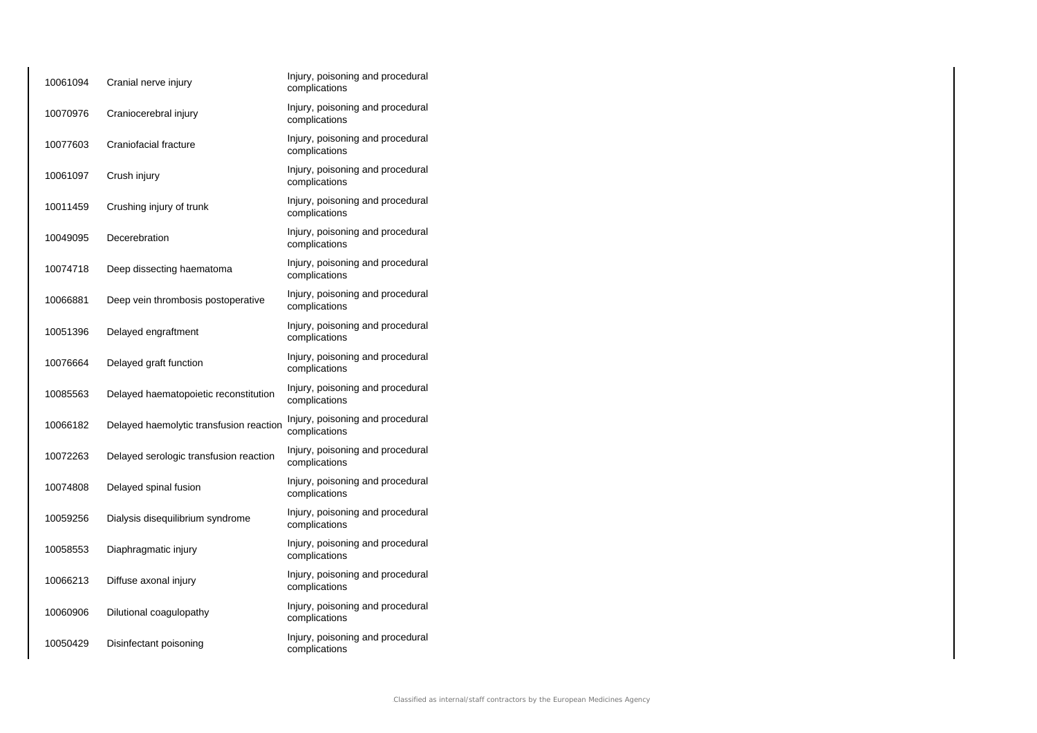| 10061094 | Cranial nerve injury                    | Injury, poisoning and procedural<br>complications |
|----------|-----------------------------------------|---------------------------------------------------|
| 10070976 | Craniocerebral injury                   | Injury, poisoning and procedural<br>complications |
| 10077603 | Craniofacial fracture                   | Injury, poisoning and procedural<br>complications |
| 10061097 | Crush injury                            | Injury, poisoning and procedural<br>complications |
| 10011459 | Crushing injury of trunk                | Injury, poisoning and procedural<br>complications |
| 10049095 | Decerebration                           | Injury, poisoning and procedural<br>complications |
| 10074718 | Deep dissecting haematoma               | Injury, poisoning and procedural<br>complications |
| 10066881 | Deep vein thrombosis postoperative      | Injury, poisoning and procedural<br>complications |
| 10051396 | Delayed engraftment                     | Injury, poisoning and procedural<br>complications |
| 10076664 | Delayed graft function                  | Injury, poisoning and procedural<br>complications |
| 10085563 | Delayed haematopoietic reconstitution   | Injury, poisoning and procedural<br>complications |
| 10066182 | Delayed haemolytic transfusion reaction | Injury, poisoning and procedural<br>complications |
| 10072263 | Delayed serologic transfusion reaction  | Injury, poisoning and procedural<br>complications |
| 10074808 | Delayed spinal fusion                   | Injury, poisoning and procedural<br>complications |
| 10059256 | Dialysis disequilibrium syndrome        | Injury, poisoning and procedural<br>complications |
| 10058553 | Diaphragmatic injury                    | Injury, poisoning and procedural<br>complications |
| 10066213 | Diffuse axonal injury                   | Injury, poisoning and procedural<br>complications |
| 10060906 | Dilutional coagulopathy                 | Injury, poisoning and procedural<br>complications |
| 10050429 | Disinfectant poisoning                  | Injury, poisoning and procedural<br>complications |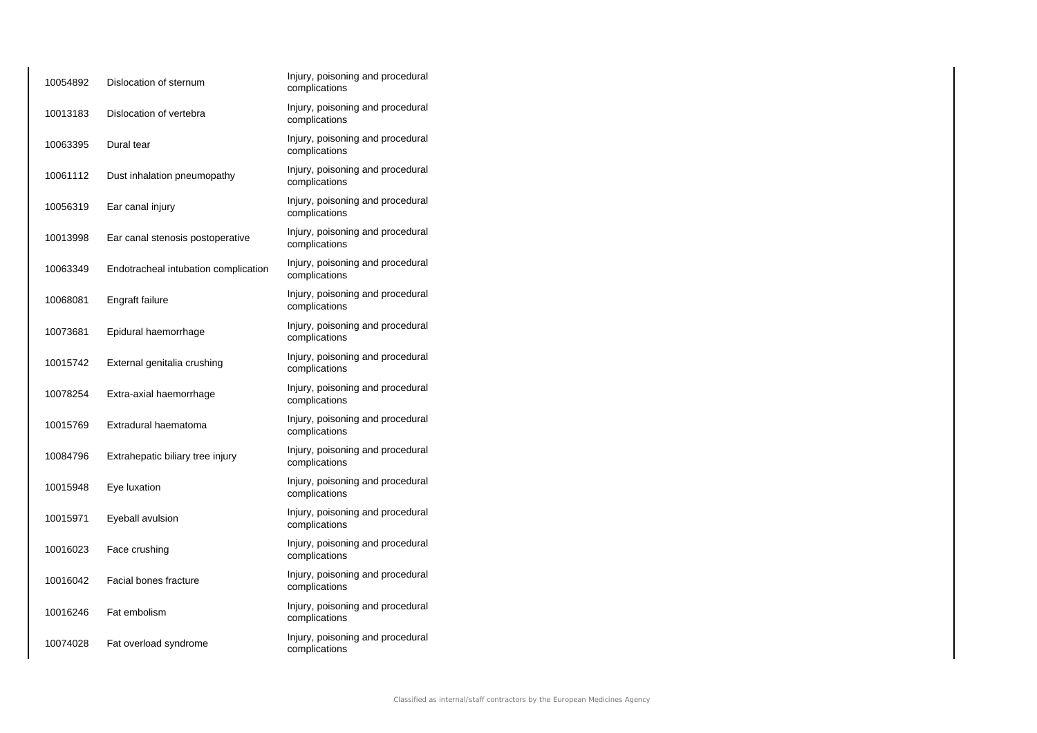| 10054892 | Dislocation of sternum               | Injury, poisoning and procedural<br>complications |
|----------|--------------------------------------|---------------------------------------------------|
| 10013183 | Dislocation of vertebra              | Injury, poisoning and procedural<br>complications |
| 10063395 | Dural tear                           | Injury, poisoning and procedural<br>complications |
| 10061112 | Dust inhalation pneumopathy          | Injury, poisoning and procedural<br>complications |
| 10056319 | Ear canal injury                     | Injury, poisoning and procedural<br>complications |
| 10013998 | Ear canal stenosis postoperative     | Injury, poisoning and procedural<br>complications |
| 10063349 | Endotracheal intubation complication | Injury, poisoning and procedural<br>complications |
| 10068081 | Engraft failure                      | Injury, poisoning and procedural<br>complications |
| 10073681 | Epidural haemorrhage                 | Injury, poisoning and procedural<br>complications |
| 10015742 | External genitalia crushing          | Injury, poisoning and procedural<br>complications |
| 10078254 | Extra-axial haemorrhage              | Injury, poisoning and procedural<br>complications |
| 10015769 | Extradural haematoma                 | Injury, poisoning and procedural<br>complications |
| 10084796 | Extrahepatic biliary tree injury     | Injury, poisoning and procedural<br>complications |
| 10015948 | Eye luxation                         | Injury, poisoning and procedural<br>complications |
| 10015971 | Eyeball avulsion                     | Injury, poisoning and procedural<br>complications |
| 10016023 | Face crushing                        | Injury, poisoning and procedural<br>complications |
| 10016042 | Facial bones fracture                | Injury, poisoning and procedural<br>complications |
| 10016246 | Fat embolism                         | Injury, poisoning and procedural<br>complications |
| 10074028 | Fat overload syndrome                | Injury, poisoning and procedural<br>complications |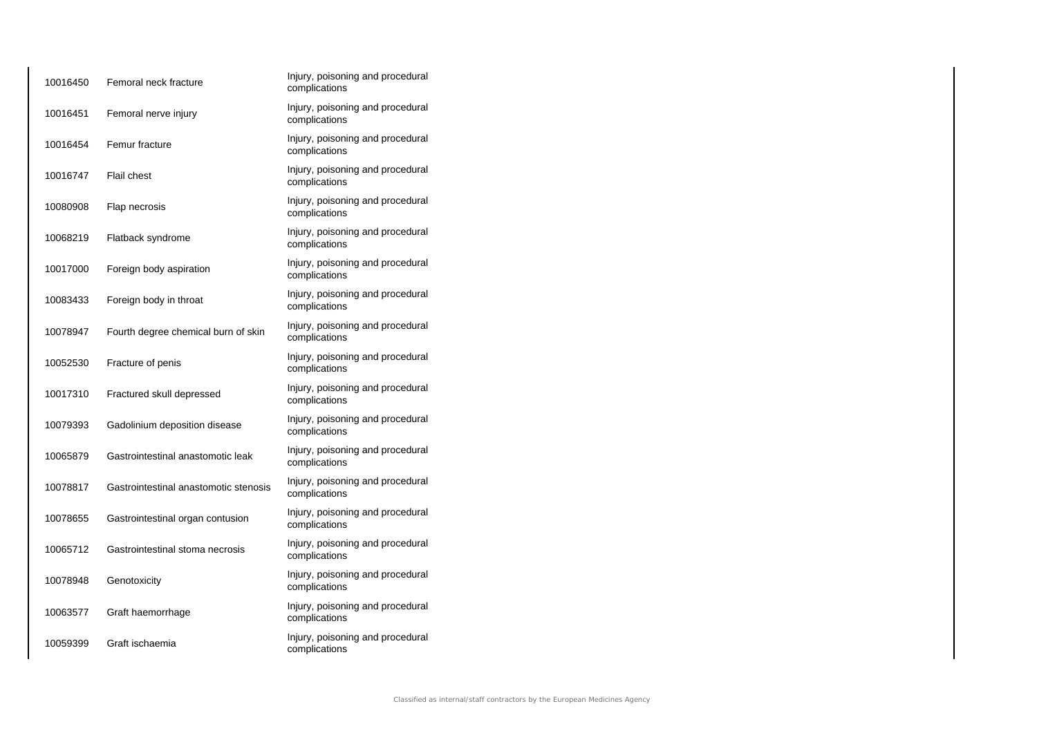| 10016450 | Femoral neck fracture                 | Injury, poisoning and procedural<br>complications |
|----------|---------------------------------------|---------------------------------------------------|
| 10016451 | Femoral nerve injury                  | Injury, poisoning and procedural<br>complications |
| 10016454 | Femur fracture                        | Injury, poisoning and procedural<br>complications |
| 10016747 | Flail chest                           | Injury, poisoning and procedural<br>complications |
| 10080908 | Flap necrosis                         | Injury, poisoning and procedural<br>complications |
| 10068219 | Flatback syndrome                     | Injury, poisoning and procedural<br>complications |
| 10017000 | Foreign body aspiration               | Injury, poisoning and procedural<br>complications |
| 10083433 | Foreign body in throat                | Injury, poisoning and procedural<br>complications |
| 10078947 | Fourth degree chemical burn of skin   | Injury, poisoning and procedural<br>complications |
| 10052530 | Fracture of penis                     | Injury, poisoning and procedural<br>complications |
| 10017310 | Fractured skull depressed             | Injury, poisoning and procedural<br>complications |
| 10079393 | Gadolinium deposition disease         | Injury, poisoning and procedural<br>complications |
| 10065879 | Gastrointestinal anastomotic leak     | Injury, poisoning and procedural<br>complications |
| 10078817 | Gastrointestinal anastomotic stenosis | Injury, poisoning and procedural<br>complications |
| 10078655 | Gastrointestinal organ contusion      | Injury, poisoning and procedural<br>complications |
| 10065712 | Gastrointestinal stoma necrosis       | Injury, poisoning and procedural<br>complications |
| 10078948 | Genotoxicity                          | Injury, poisoning and procedural<br>complications |
| 10063577 | Graft haemorrhage                     | Injury, poisoning and procedural<br>complications |
| 10059399 | Graft ischaemia                       | Injury, poisoning and procedural<br>complications |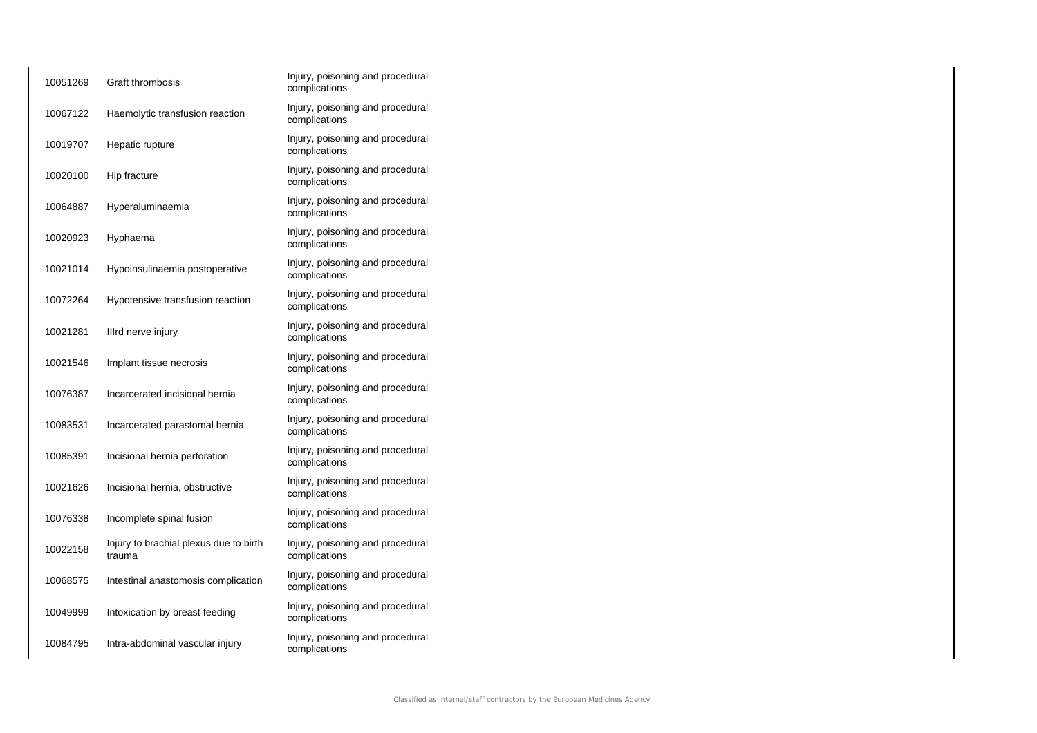| 10051269 | Graft thrombosis                                 | Injury, poisoning and procedural<br>complications |
|----------|--------------------------------------------------|---------------------------------------------------|
| 10067122 | Haemolytic transfusion reaction                  | Injury, poisoning and procedural<br>complications |
| 10019707 | Hepatic rupture                                  | Injury, poisoning and procedural<br>complications |
| 10020100 | Hip fracture                                     | Injury, poisoning and procedural<br>complications |
| 10064887 | Hyperaluminaemia                                 | Injury, poisoning and procedural<br>complications |
| 10020923 | Hyphaema                                         | Injury, poisoning and procedural<br>complications |
| 10021014 | Hypoinsulinaemia postoperative                   | Injury, poisoning and procedural<br>complications |
| 10072264 | Hypotensive transfusion reaction                 | Injury, poisoning and procedural<br>complications |
| 10021281 | Illrd nerve injury                               | Injury, poisoning and procedural<br>complications |
| 10021546 | Implant tissue necrosis                          | Injury, poisoning and procedural<br>complications |
| 10076387 | Incarcerated incisional hernia                   | Injury, poisoning and procedural<br>complications |
| 10083531 | Incarcerated parastomal hernia                   | Injury, poisoning and procedural<br>complications |
| 10085391 | Incisional hernia perforation                    | Injury, poisoning and procedural<br>complications |
| 10021626 | Incisional hernia, obstructive                   | Injury, poisoning and procedural<br>complications |
| 10076338 | Incomplete spinal fusion                         | Injury, poisoning and procedural<br>complications |
| 10022158 | Injury to brachial plexus due to birth<br>trauma | Injury, poisoning and procedural<br>complications |
| 10068575 | Intestinal anastomosis complication              | Injury, poisoning and procedural<br>complications |
| 10049999 | Intoxication by breast feeding                   | Injury, poisoning and procedural<br>complications |
| 10084795 | Intra-abdominal vascular injury                  | Injury, poisoning and procedural<br>complications |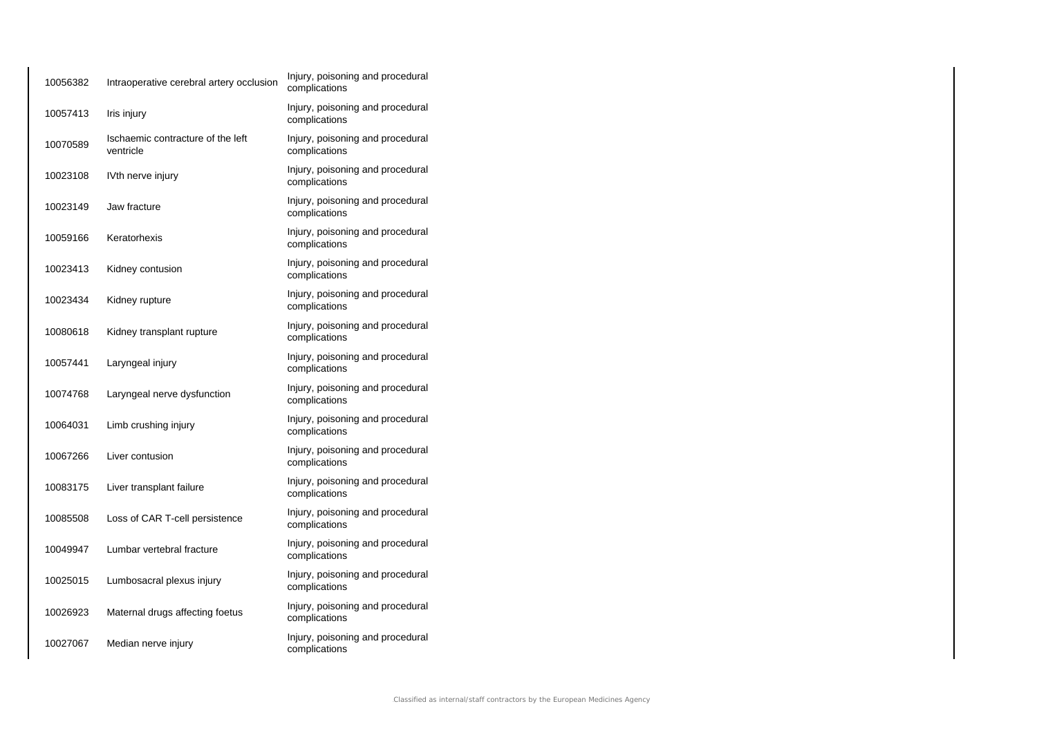| 10056382 | Intraoperative cerebral artery occlusion       | Injury, poisoning and procedural<br>complications |
|----------|------------------------------------------------|---------------------------------------------------|
| 10057413 | Iris injury                                    | Injury, poisoning and procedural<br>complications |
| 10070589 | Ischaemic contracture of the left<br>ventricle | Injury, poisoning and procedural<br>complications |
| 10023108 | IVth nerve injury                              | Injury, poisoning and procedural<br>complications |
| 10023149 | Jaw fracture                                   | Injury, poisoning and procedural<br>complications |
| 10059166 | Keratorhexis                                   | Injury, poisoning and procedural<br>complications |
| 10023413 | Kidney contusion                               | Injury, poisoning and procedural<br>complications |
| 10023434 | Kidney rupture                                 | Injury, poisoning and procedural<br>complications |
| 10080618 | Kidney transplant rupture                      | Injury, poisoning and procedural<br>complications |
| 10057441 | Laryngeal injury                               | Injury, poisoning and procedural<br>complications |
| 10074768 | Laryngeal nerve dysfunction                    | Injury, poisoning and procedural<br>complications |
| 10064031 | Limb crushing injury                           | Injury, poisoning and procedural<br>complications |
| 10067266 | Liver contusion                                | Injury, poisoning and procedural<br>complications |
| 10083175 | Liver transplant failure                       | Injury, poisoning and procedural<br>complications |
| 10085508 | Loss of CAR T-cell persistence                 | Injury, poisoning and procedural<br>complications |
| 10049947 | Lumbar vertebral fracture                      | Injury, poisoning and procedural<br>complications |
| 10025015 | Lumbosacral plexus injury                      | Injury, poisoning and procedural<br>complications |
| 10026923 | Maternal drugs affecting foetus                | Injury, poisoning and procedural<br>complications |
| 10027067 | Median nerve injury                            | Injury, poisoning and procedural<br>complications |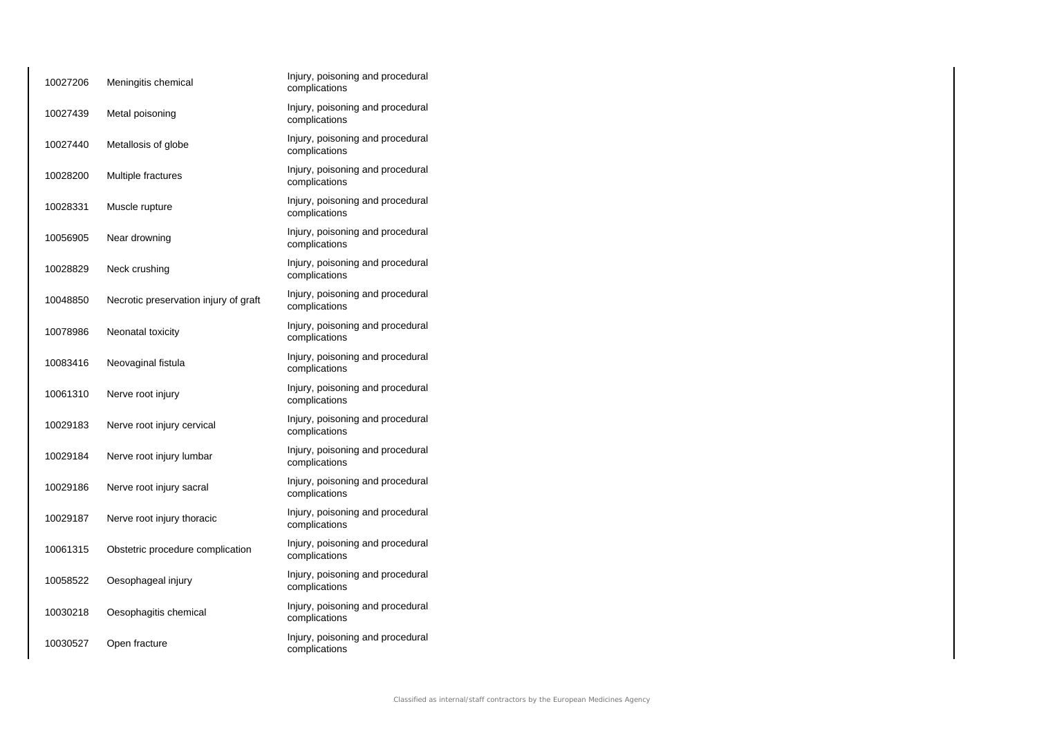| 10027206 | Meningitis chemical                   | Injury, poisoning and procedural<br>complications |
|----------|---------------------------------------|---------------------------------------------------|
| 10027439 | Metal poisoning                       | Injury, poisoning and procedural<br>complications |
| 10027440 | Metallosis of globe                   | Injury, poisoning and procedural<br>complications |
| 10028200 | Multiple fractures                    | Injury, poisoning and procedural<br>complications |
| 10028331 | Muscle rupture                        | Injury, poisoning and procedural<br>complications |
| 10056905 | Near drowning                         | Injury, poisoning and procedural<br>complications |
| 10028829 | Neck crushing                         | Injury, poisoning and procedural<br>complications |
| 10048850 | Necrotic preservation injury of graft | Injury, poisoning and procedural<br>complications |
| 10078986 | Neonatal toxicity                     | Injury, poisoning and procedural<br>complications |
| 10083416 | Neovaginal fistula                    | Injury, poisoning and procedural<br>complications |
| 10061310 | Nerve root injury                     | Injury, poisoning and procedural<br>complications |
| 10029183 | Nerve root injury cervical            | Injury, poisoning and procedural<br>complications |
| 10029184 | Nerve root injury lumbar              | Injury, poisoning and procedural<br>complications |
| 10029186 | Nerve root injury sacral              | Injury, poisoning and procedural<br>complications |
| 10029187 | Nerve root injury thoracic            | Injury, poisoning and procedural<br>complications |
| 10061315 | Obstetric procedure complication      | Injury, poisoning and procedural<br>complications |
| 10058522 | Oesophageal injury                    | Injury, poisoning and procedural<br>complications |
| 10030218 | Oesophagitis chemical                 | Injury, poisoning and procedural<br>complications |
| 10030527 | Open fracture                         | Injury, poisoning and procedural<br>complications |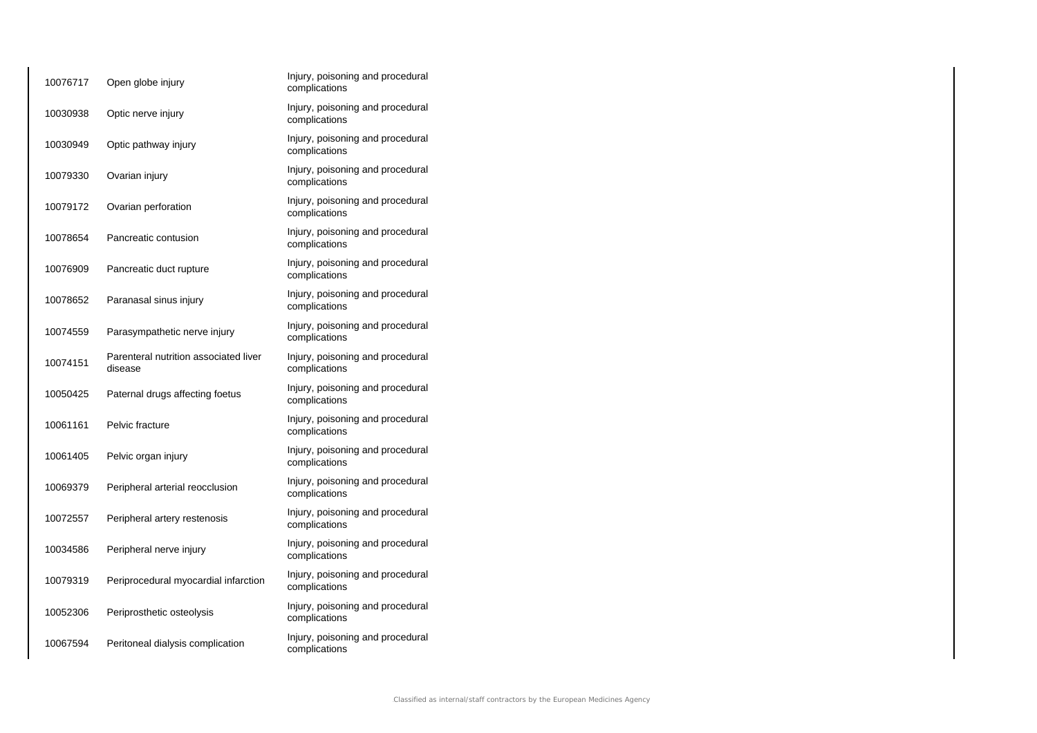| 10076717 | Open globe injury                                | Injury, poisoning and procedural<br>complications |
|----------|--------------------------------------------------|---------------------------------------------------|
| 10030938 | Optic nerve injury                               | Injury, poisoning and procedural<br>complications |
| 10030949 | Optic pathway injury                             | Injury, poisoning and procedural<br>complications |
| 10079330 | Ovarian injury                                   | Injury, poisoning and procedural<br>complications |
| 10079172 | Ovarian perforation                              | Injury, poisoning and procedural<br>complications |
| 10078654 | Pancreatic contusion                             | Injury, poisoning and procedural<br>complications |
| 10076909 | Pancreatic duct rupture                          | Injury, poisoning and procedural<br>complications |
| 10078652 | Paranasal sinus injury                           | Injury, poisoning and procedural<br>complications |
| 10074559 | Parasympathetic nerve injury                     | Injury, poisoning and procedural<br>complications |
| 10074151 | Parenteral nutrition associated liver<br>disease | Injury, poisoning and procedural<br>complications |
| 10050425 | Paternal drugs affecting foetus                  | Injury, poisoning and procedural<br>complications |
| 10061161 | Pelvic fracture                                  | Injury, poisoning and procedural<br>complications |
| 10061405 | Pelvic organ injury                              | Injury, poisoning and procedural<br>complications |
| 10069379 | Peripheral arterial reocclusion                  | Injury, poisoning and procedural<br>complications |
| 10072557 | Peripheral artery restenosis                     | Injury, poisoning and procedural<br>complications |
| 10034586 | Peripheral nerve injury                          | Injury, poisoning and procedural<br>complications |
| 10079319 | Periprocedural myocardial infarction             | Injury, poisoning and procedural<br>complications |
| 10052306 | Periprosthetic osteolysis                        | Injury, poisoning and procedural<br>complications |
| 10067594 | Peritoneal dialysis complication                 | Injury, poisoning and procedural<br>complications |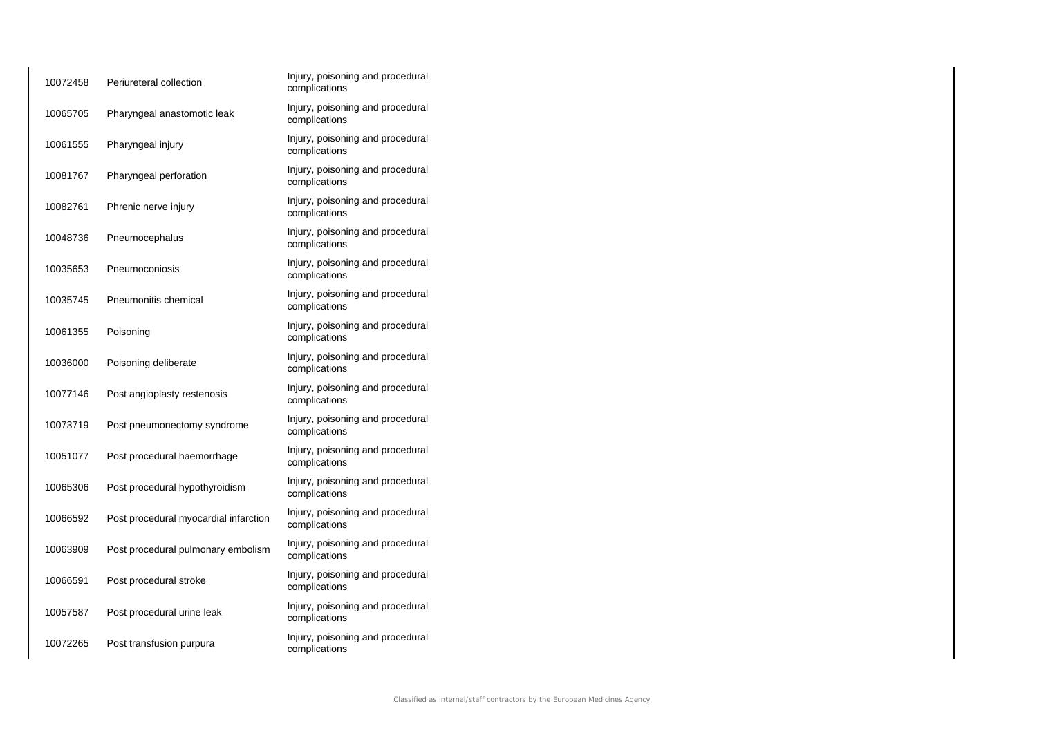| 10072458 | Periureteral collection               | Injury, poisoning and procedural<br>complications |
|----------|---------------------------------------|---------------------------------------------------|
| 10065705 | Pharyngeal anastomotic leak           | Injury, poisoning and procedural<br>complications |
| 10061555 | Pharyngeal injury                     | Injury, poisoning and procedural<br>complications |
| 10081767 | Pharyngeal perforation                | Injury, poisoning and procedural<br>complications |
| 10082761 | Phrenic nerve injury                  | Injury, poisoning and procedural<br>complications |
| 10048736 | Pneumocephalus                        | Injury, poisoning and procedural<br>complications |
| 10035653 | Pneumoconiosis                        | Injury, poisoning and procedural<br>complications |
| 10035745 | Pneumonitis chemical                  | Injury, poisoning and procedural<br>complications |
| 10061355 | Poisoning                             | Injury, poisoning and procedural<br>complications |
| 10036000 | Poisoning deliberate                  | Injury, poisoning and procedural<br>complications |
| 10077146 | Post angioplasty restenosis           | Injury, poisoning and procedural<br>complications |
| 10073719 | Post pneumonectomy syndrome           | Injury, poisoning and procedural<br>complications |
| 10051077 | Post procedural haemorrhage           | Injury, poisoning and procedural<br>complications |
| 10065306 | Post procedural hypothyroidism        | Injury, poisoning and procedural<br>complications |
| 10066592 | Post procedural myocardial infarction | Injury, poisoning and procedural<br>complications |
| 10063909 | Post procedural pulmonary embolism    | Injury, poisoning and procedural<br>complications |
| 10066591 | Post procedural stroke                | Injury, poisoning and procedural<br>complications |
| 10057587 | Post procedural urine leak            | Injury, poisoning and procedural<br>complications |
| 10072265 | Post transfusion purpura              | Injury, poisoning and procedural<br>complications |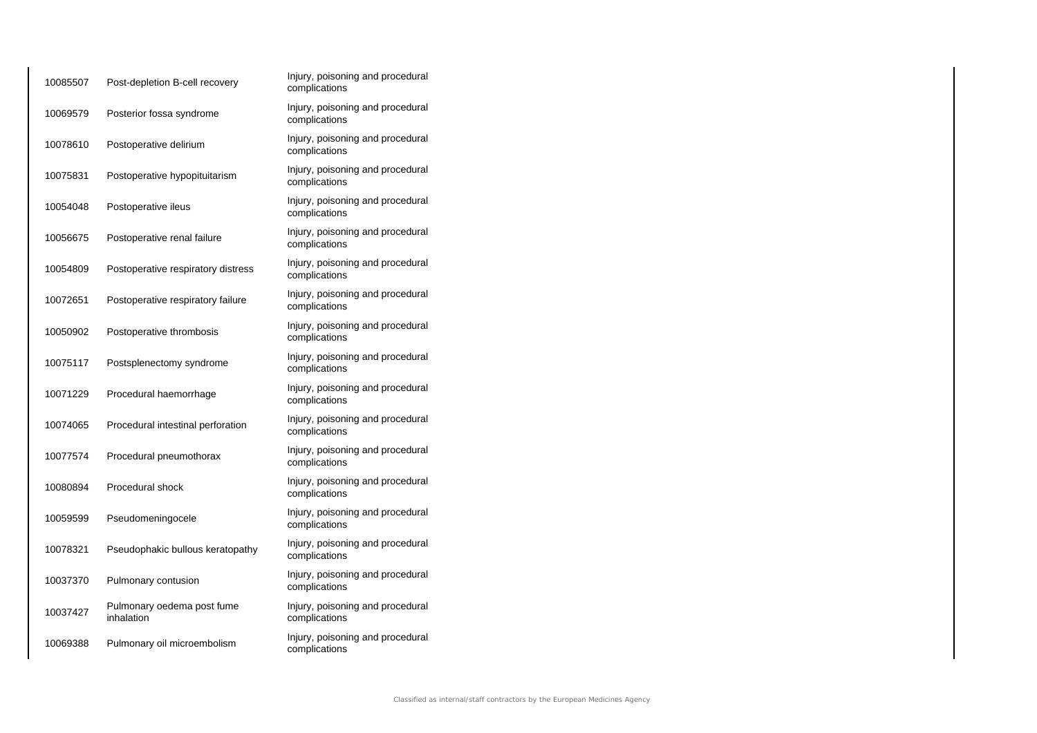| 10085507 | Post-depletion B-cell recovery           | Injury, poisoning and procedural<br>complications |
|----------|------------------------------------------|---------------------------------------------------|
| 10069579 | Posterior fossa syndrome                 | Injury, poisoning and procedural<br>complications |
| 10078610 | Postoperative delirium                   | Injury, poisoning and procedural<br>complications |
| 10075831 | Postoperative hypopituitarism            | Injury, poisoning and procedural<br>complications |
| 10054048 | Postoperative ileus                      | Injury, poisoning and procedural<br>complications |
| 10056675 | Postoperative renal failure              | Injury, poisoning and procedural<br>complications |
| 10054809 | Postoperative respiratory distress       | Injury, poisoning and procedural<br>complications |
| 10072651 | Postoperative respiratory failure        | Injury, poisoning and procedural<br>complications |
| 10050902 | Postoperative thrombosis                 | Injury, poisoning and procedural<br>complications |
| 10075117 | Postsplenectomy syndrome                 | Injury, poisoning and procedural<br>complications |
| 10071229 | Procedural haemorrhage                   | Injury, poisoning and procedural<br>complications |
| 10074065 | Procedural intestinal perforation        | Injury, poisoning and procedural<br>complications |
| 10077574 | Procedural pneumothorax                  | Injury, poisoning and procedural<br>complications |
| 10080894 | Procedural shock                         | Injury, poisoning and procedural<br>complications |
| 10059599 | Pseudomeningocele                        | Injury, poisoning and procedural<br>complications |
| 10078321 | Pseudophakic bullous keratopathy         | Injury, poisoning and procedural<br>complications |
| 10037370 | Pulmonary contusion                      | Injury, poisoning and procedural<br>complications |
| 10037427 | Pulmonary oedema post fume<br>inhalation | Injury, poisoning and procedural<br>complications |
| 10069388 | Pulmonary oil microembolism              | Injury, poisoning and procedural<br>complications |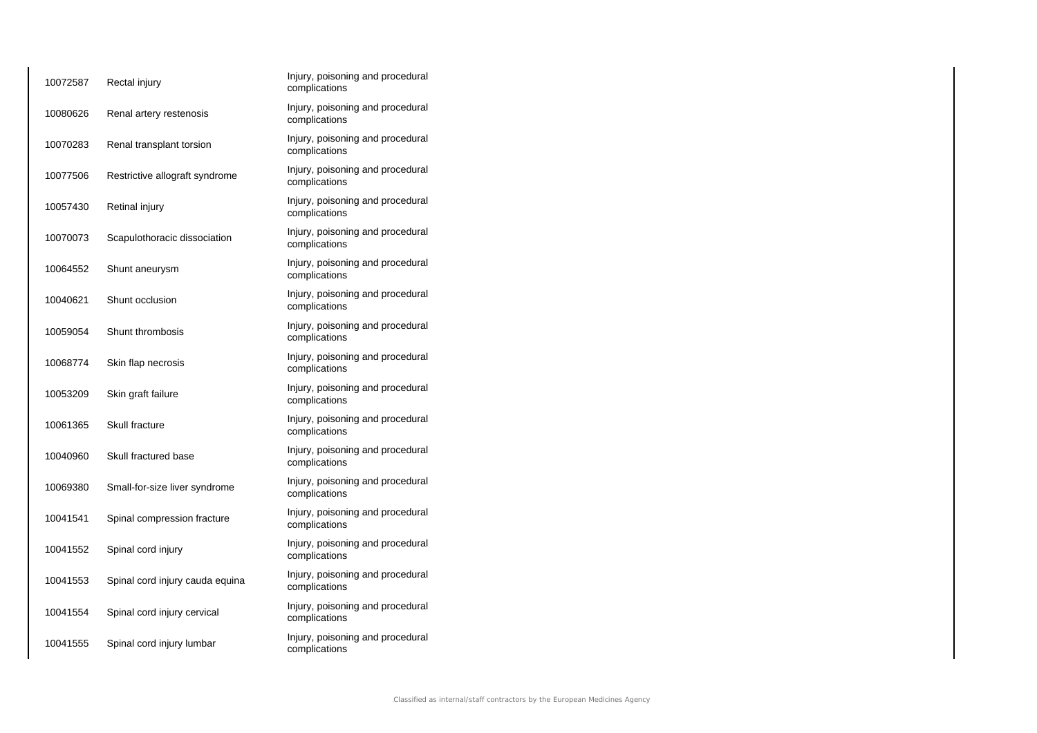| 10072587 | Rectal injury                   | Injury, poisoning and procedural<br>complications |
|----------|---------------------------------|---------------------------------------------------|
| 10080626 | Renal artery restenosis         | Injury, poisoning and procedural<br>complications |
| 10070283 | Renal transplant torsion        | Injury, poisoning and procedural<br>complications |
| 10077506 | Restrictive allograft syndrome  | Injury, poisoning and procedural<br>complications |
| 10057430 | Retinal injury                  | Injury, poisoning and procedural<br>complications |
| 10070073 | Scapulothoracic dissociation    | Injury, poisoning and procedural<br>complications |
| 10064552 | Shunt aneurysm                  | Injury, poisoning and procedural<br>complications |
| 10040621 | Shunt occlusion                 | Injury, poisoning and procedural<br>complications |
| 10059054 | Shunt thrombosis                | Injury, poisoning and procedural<br>complications |
| 10068774 | Skin flap necrosis              | Injury, poisoning and procedural<br>complications |
| 10053209 | Skin graft failure              | Injury, poisoning and procedural<br>complications |
| 10061365 | Skull fracture                  | Injury, poisoning and procedural<br>complications |
| 10040960 | Skull fractured base            | Injury, poisoning and procedural<br>complications |
| 10069380 | Small-for-size liver syndrome   | Injury, poisoning and procedural<br>complications |
| 10041541 | Spinal compression fracture     | Injury, poisoning and procedural<br>complications |
| 10041552 | Spinal cord injury              | Injury, poisoning and procedural<br>complications |
| 10041553 | Spinal cord injury cauda equina | Injury, poisoning and procedural<br>complications |
| 10041554 | Spinal cord injury cervical     | Injury, poisoning and procedural<br>complications |
| 10041555 | Spinal cord injury lumbar       | Injury, poisoning and procedural<br>complications |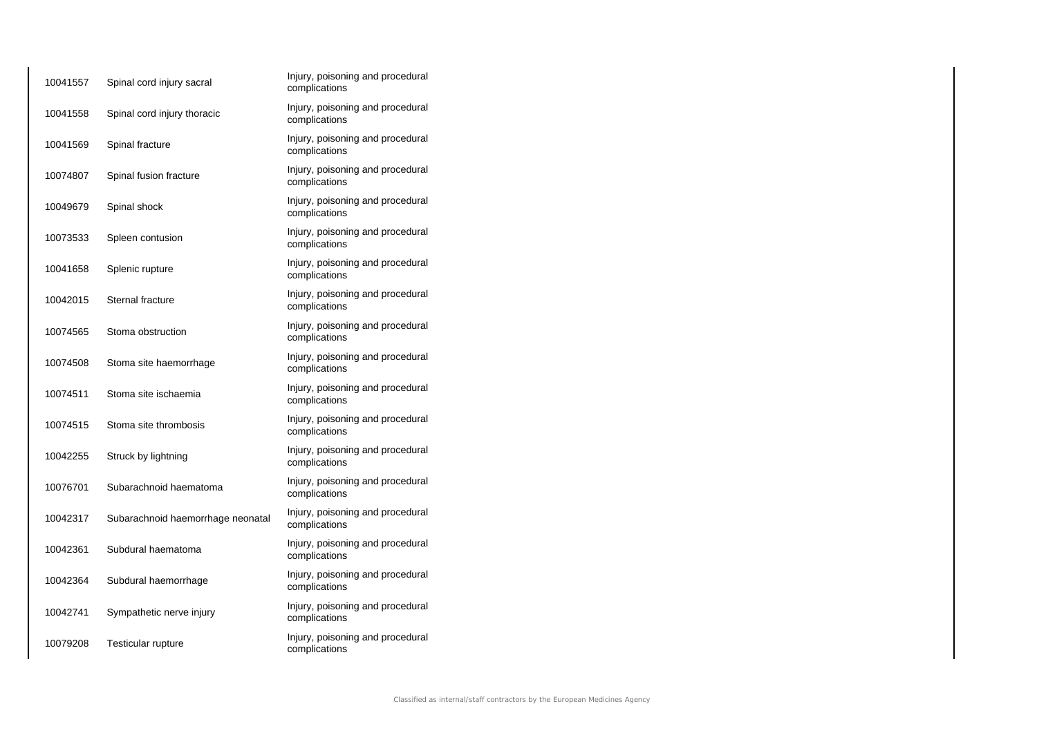| 10041557 | Spinal cord injury sacral         | Injury, poisoning and procedural<br>complications |
|----------|-----------------------------------|---------------------------------------------------|
| 10041558 | Spinal cord injury thoracic       | Injury, poisoning and procedural<br>complications |
| 10041569 | Spinal fracture                   | Injury, poisoning and procedural<br>complications |
| 10074807 | Spinal fusion fracture            | Injury, poisoning and procedural<br>complications |
| 10049679 | Spinal shock                      | Injury, poisoning and procedural<br>complications |
| 10073533 | Spleen contusion                  | Injury, poisoning and procedural<br>complications |
| 10041658 | Splenic rupture                   | Injury, poisoning and procedural<br>complications |
| 10042015 | Sternal fracture                  | Injury, poisoning and procedural<br>complications |
| 10074565 | Stoma obstruction                 | Injury, poisoning and procedural<br>complications |
| 10074508 | Stoma site haemorrhage            | Injury, poisoning and procedural<br>complications |
| 10074511 | Stoma site ischaemia              | Injury, poisoning and procedural<br>complications |
| 10074515 | Stoma site thrombosis             | Injury, poisoning and procedural<br>complications |
| 10042255 | Struck by lightning               | Injury, poisoning and procedural<br>complications |
| 10076701 | Subarachnoid haematoma            | Injury, poisoning and procedural<br>complications |
| 10042317 | Subarachnoid haemorrhage neonatal | Injury, poisoning and procedural<br>complications |
| 10042361 | Subdural haematoma                | Injury, poisoning and procedural<br>complications |
| 10042364 | Subdural haemorrhage              | Injury, poisoning and procedural<br>complications |
| 10042741 | Sympathetic nerve injury          | Injury, poisoning and procedural<br>complications |
| 10079208 | <b>Testicular rupture</b>         | Injury, poisoning and procedural<br>complications |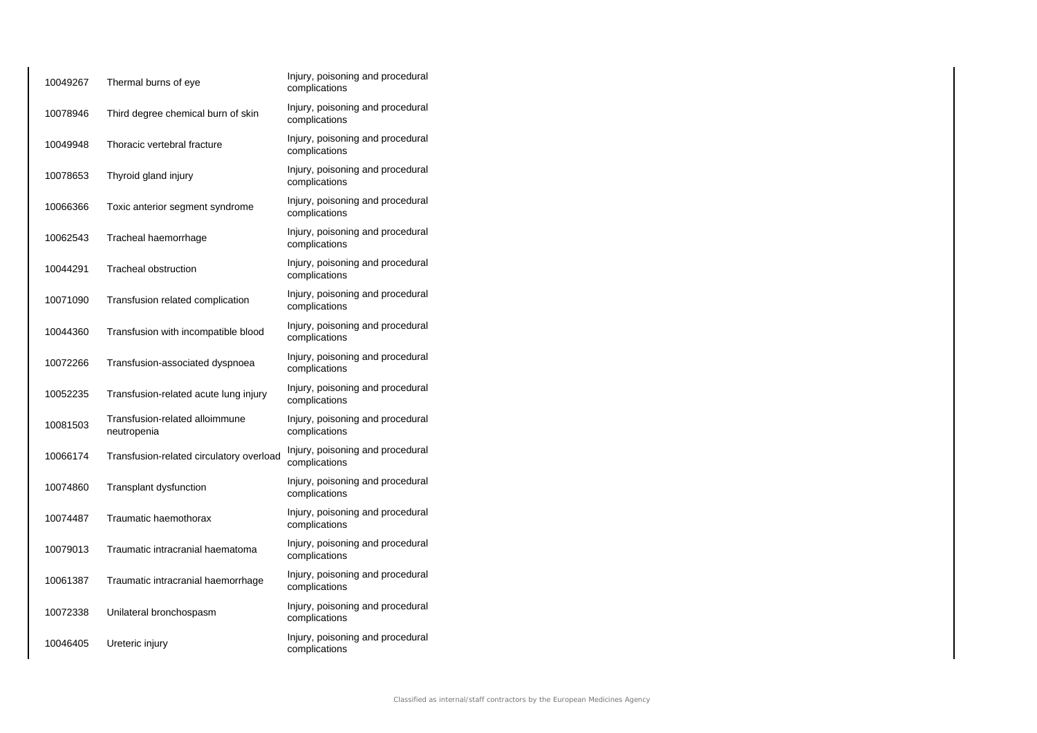| 10049267 | Thermal burns of eye                          | Injury, poisoning and procedural<br>complications |
|----------|-----------------------------------------------|---------------------------------------------------|
| 10078946 | Third degree chemical burn of skin            | Injury, poisoning and procedural<br>complications |
| 10049948 | Thoracic vertebral fracture                   | Injury, poisoning and procedural<br>complications |
| 10078653 | Thyroid gland injury                          | Injury, poisoning and procedural<br>complications |
| 10066366 | Toxic anterior segment syndrome               | Injury, poisoning and procedural<br>complications |
| 10062543 | Tracheal haemorrhage                          | Injury, poisoning and procedural<br>complications |
| 10044291 | <b>Tracheal obstruction</b>                   | Injury, poisoning and procedural<br>complications |
| 10071090 | Transfusion related complication              | Injury, poisoning and procedural<br>complications |
| 10044360 | Transfusion with incompatible blood           | Injury, poisoning and procedural<br>complications |
| 10072266 | Transfusion-associated dyspnoea               | Injury, poisoning and procedural<br>complications |
| 10052235 | Transfusion-related acute lung injury         | Injury, poisoning and procedural<br>complications |
| 10081503 | Transfusion-related alloimmune<br>neutropenia | Injury, poisoning and procedural<br>complications |
| 10066174 | Transfusion-related circulatory overload      | Injury, poisoning and procedural<br>complications |
| 10074860 | Transplant dysfunction                        | Injury, poisoning and procedural<br>complications |
| 10074487 | Traumatic haemothorax                         | Injury, poisoning and procedural<br>complications |
| 10079013 | Traumatic intracranial haematoma              | Injury, poisoning and procedural<br>complications |
| 10061387 | Traumatic intracranial haemorrhage            | Injury, poisoning and procedural<br>complications |
| 10072338 | Unilateral bronchospasm                       | Injury, poisoning and procedural<br>complications |
| 10046405 | Ureteric injury                               | Injury, poisoning and procedural<br>complications |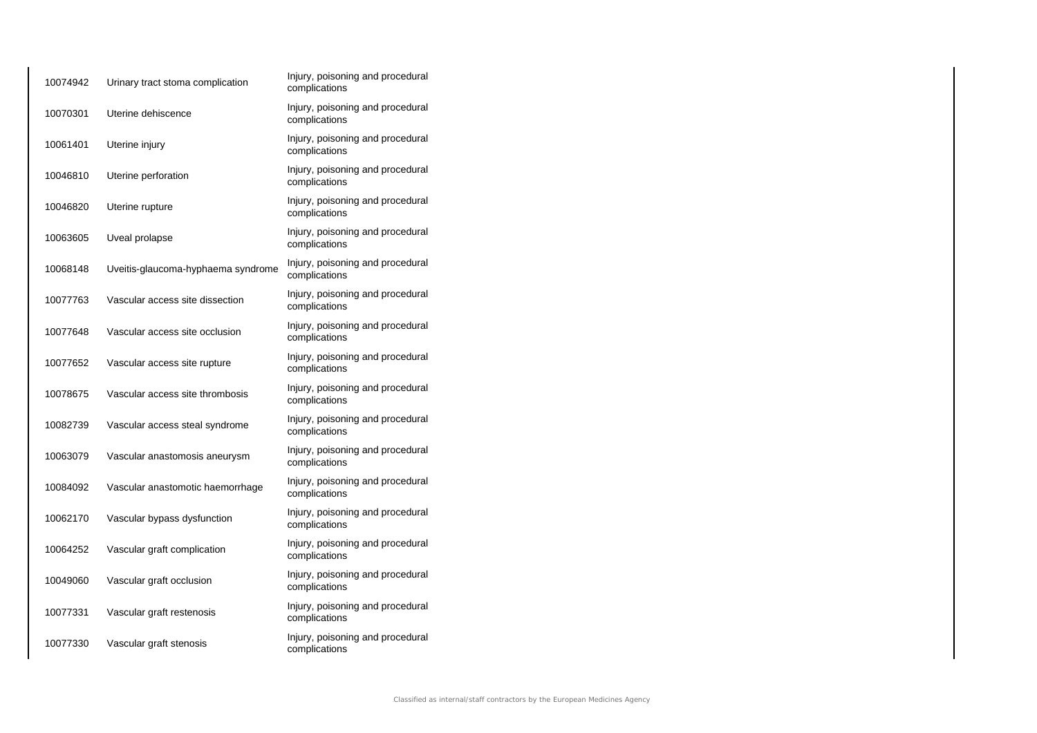| 10074942 | Urinary tract stoma complication   | Injury, poisoning and procedural<br>complications |
|----------|------------------------------------|---------------------------------------------------|
| 10070301 | Uterine dehiscence                 | Injury, poisoning and procedural<br>complications |
| 10061401 | Uterine injury                     | Injury, poisoning and procedural<br>complications |
| 10046810 | Uterine perforation                | Injury, poisoning and procedural<br>complications |
| 10046820 | Uterine rupture                    | Injury, poisoning and procedural<br>complications |
| 10063605 | Uveal prolapse                     | Injury, poisoning and procedural<br>complications |
| 10068148 | Uveitis-glaucoma-hyphaema syndrome | Injury, poisoning and procedural<br>complications |
| 10077763 | Vascular access site dissection    | Injury, poisoning and procedural<br>complications |
| 10077648 | Vascular access site occlusion     | Injury, poisoning and procedural<br>complications |
| 10077652 | Vascular access site rupture       | Injury, poisoning and procedural<br>complications |
| 10078675 | Vascular access site thrombosis    | Injury, poisoning and procedural<br>complications |
| 10082739 | Vascular access steal syndrome     | Injury, poisoning and procedural<br>complications |
| 10063079 | Vascular anastomosis aneurysm      | Injury, poisoning and procedural<br>complications |
| 10084092 | Vascular anastomotic haemorrhage   | Injury, poisoning and procedural<br>complications |
| 10062170 | Vascular bypass dysfunction        | Injury, poisoning and procedural<br>complications |
| 10064252 | Vascular graft complication        | Injury, poisoning and procedural<br>complications |
| 10049060 | Vascular graft occlusion           | Injury, poisoning and procedural<br>complications |
| 10077331 | Vascular graft restenosis          | Injury, poisoning and procedural<br>complications |
| 10077330 | Vascular graft stenosis            | Injury, poisoning and procedural<br>complications |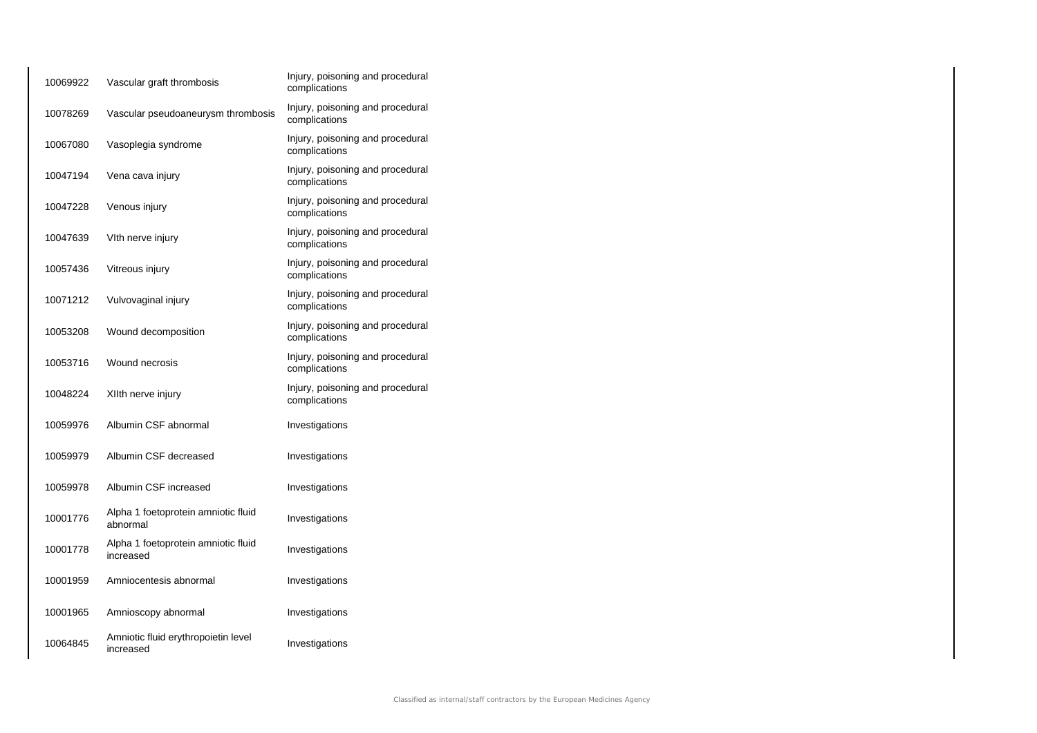| 10069922 | Vascular graft thrombosis                        | Injury, poisoning and procedural<br>complications |
|----------|--------------------------------------------------|---------------------------------------------------|
| 10078269 | Vascular pseudoaneurysm thrombosis               | Injury, poisoning and procedural<br>complications |
| 10067080 | Vasoplegia syndrome                              | Injury, poisoning and procedural<br>complications |
| 10047194 | Vena cava injury                                 | Injury, poisoning and procedural<br>complications |
| 10047228 | Venous injury                                    | Injury, poisoning and procedural<br>complications |
| 10047639 | Vith nerve injury                                | Injury, poisoning and procedural<br>complications |
| 10057436 | Vitreous injury                                  | Injury, poisoning and procedural<br>complications |
| 10071212 | Vulvovaginal injury                              | Injury, poisoning and procedural<br>complications |
| 10053208 | Wound decomposition                              | Injury, poisoning and procedural<br>complications |
| 10053716 | Wound necrosis                                   | Injury, poisoning and procedural<br>complications |
| 10048224 | XIIth nerve injury                               | Injury, poisoning and procedural<br>complications |
| 10059976 | Albumin CSF abnormal                             | Investigations                                    |
| 10059979 | Albumin CSF decreased                            | Investigations                                    |
| 10059978 | Albumin CSF increased                            | Investigations                                    |
| 10001776 | Alpha 1 foetoprotein amniotic fluid<br>abnormal  | Investigations                                    |
| 10001778 | Alpha 1 foetoprotein amniotic fluid<br>increased | Investigations                                    |
| 10001959 | Amniocentesis abnormal                           | Investigations                                    |
| 10001965 | Amnioscopy abnormal                              | Investigations                                    |
| 10064845 | Amniotic fluid erythropoietin level<br>increased | Investigations                                    |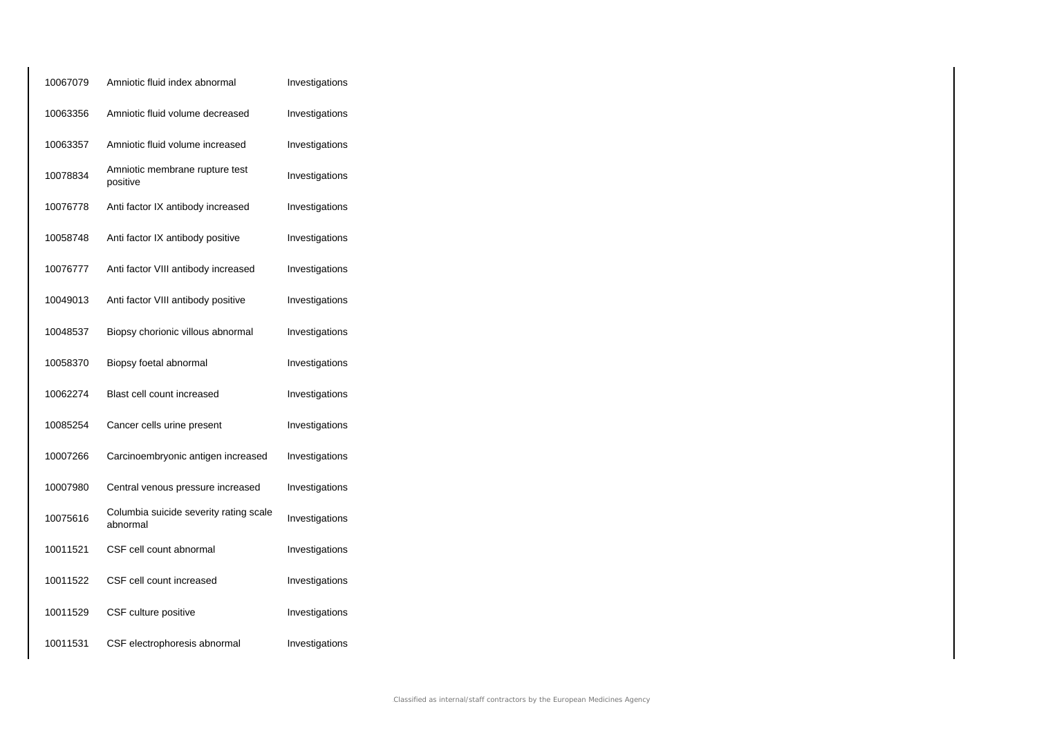| 10067079 | Amniotic fluid index abnormal                      | Investigations |
|----------|----------------------------------------------------|----------------|
| 10063356 | Amniotic fluid volume decreased                    | Investigations |
| 10063357 | Amniotic fluid volume increased                    | Investigations |
| 10078834 | Amniotic membrane rupture test<br>positive         | Investigations |
| 10076778 | Anti factor IX antibody increased                  | Investigations |
| 10058748 | Anti factor IX antibody positive                   | Investigations |
| 10076777 | Anti factor VIII antibody increased                | Investigations |
| 10049013 | Anti factor VIII antibody positive                 | Investigations |
| 10048537 | Biopsy chorionic villous abnormal                  | Investigations |
| 10058370 | Biopsy foetal abnormal                             | Investigations |
| 10062274 | Blast cell count increased                         | Investigations |
| 10085254 | Cancer cells urine present                         | Investigations |
| 10007266 | Carcinoembryonic antigen increased                 | Investigations |
| 10007980 | Central venous pressure increased                  | Investigations |
| 10075616 | Columbia suicide severity rating scale<br>abnormal | Investigations |
| 10011521 | CSF cell count abnormal                            | Investigations |
| 10011522 | CSF cell count increased                           | Investigations |
| 10011529 | CSF culture positive                               | Investigations |
| 10011531 | CSF electrophoresis abnormal                       | Investigations |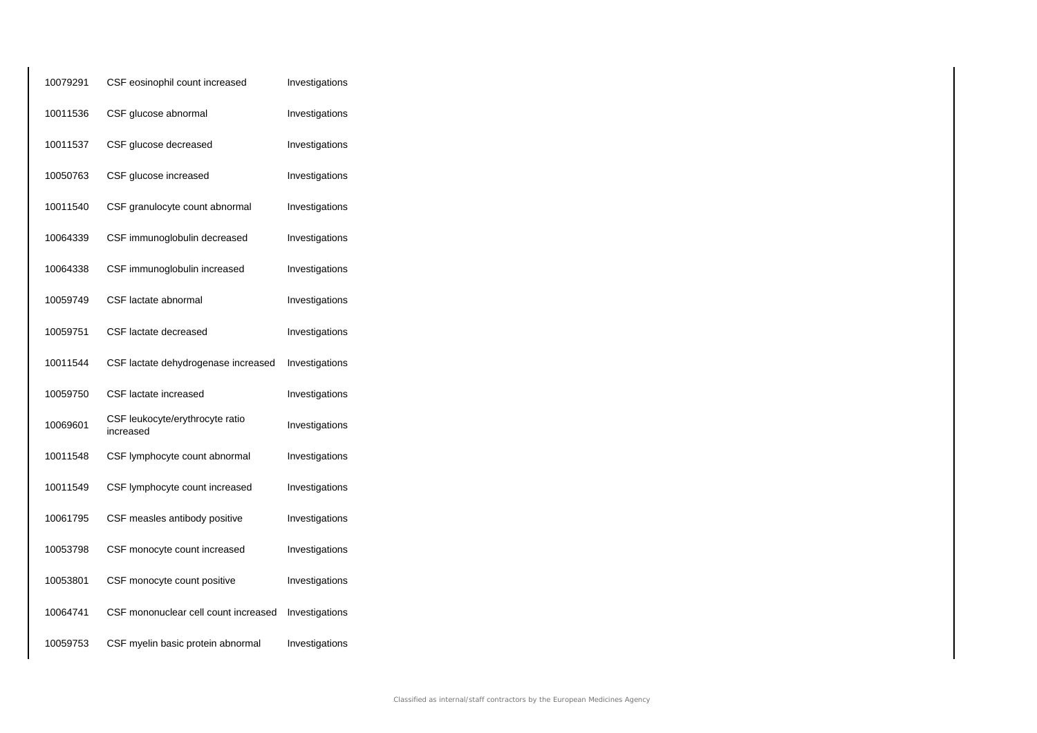| 10079291 | CSF eosinophil count increased               | Investigations |
|----------|----------------------------------------------|----------------|
| 10011536 | CSF glucose abnormal                         | Investigations |
| 10011537 | CSF glucose decreased                        | Investigations |
| 10050763 | CSF glucose increased                        | Investigations |
| 10011540 | CSF granulocyte count abnormal               | Investigations |
| 10064339 | CSF immunoglobulin decreased                 | Investigations |
| 10064338 | CSF immunoglobulin increased                 | Investigations |
| 10059749 | CSF lactate abnormal                         | Investigations |
| 10059751 | CSF lactate decreased                        | Investigations |
| 10011544 | CSF lactate dehydrogenase increased          | Investigations |
| 10059750 | CSF lactate increased                        | Investigations |
| 10069601 | CSF leukocyte/erythrocyte ratio<br>increased | Investigations |
| 10011548 | CSF lymphocyte count abnormal                | Investigations |
| 10011549 | CSF lymphocyte count increased               | Investigations |
| 10061795 | CSF measles antibody positive                | Investigations |
| 10053798 | CSF monocyte count increased                 | Investigations |
| 10053801 | CSF monocyte count positive                  | Investigations |
| 10064741 | CSF mononuclear cell count increased         | Investigations |
| 10059753 | CSF myelin basic protein abnormal            | Investigations |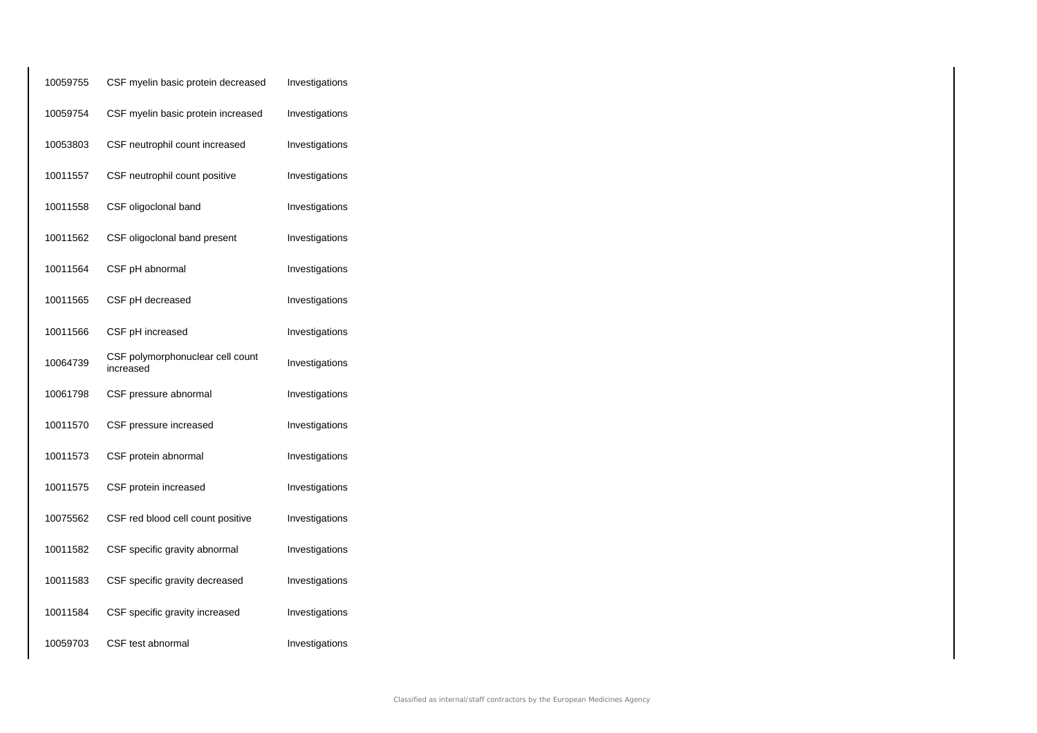| 10059755 | CSF myelin basic protein decreased            | Investigations |
|----------|-----------------------------------------------|----------------|
| 10059754 | CSF myelin basic protein increased            | Investigations |
| 10053803 | CSF neutrophil count increased                | Investigations |
| 10011557 | CSF neutrophil count positive                 | Investigations |
| 10011558 | CSF oligoclonal band                          | Investigations |
| 10011562 | CSF oligoclonal band present                  | Investigations |
| 10011564 | CSF pH abnormal                               | Investigations |
| 10011565 | CSF pH decreased                              | Investigations |
| 10011566 | CSF pH increased                              | Investigations |
| 10064739 | CSF polymorphonuclear cell count<br>increased | Investigations |
| 10061798 | CSF pressure abnormal                         | Investigations |
| 10011570 | CSF pressure increased                        | Investigations |
| 10011573 | CSF protein abnormal                          | Investigations |
| 10011575 | CSF protein increased                         | Investigations |
| 10075562 | CSF red blood cell count positive             | Investigations |
| 10011582 | CSF specific gravity abnormal                 | Investigations |
| 10011583 | CSF specific gravity decreased                | Investigations |
| 10011584 | CSF specific gravity increased                | Investigations |
| 10059703 | CSF test abnormal                             | Investigations |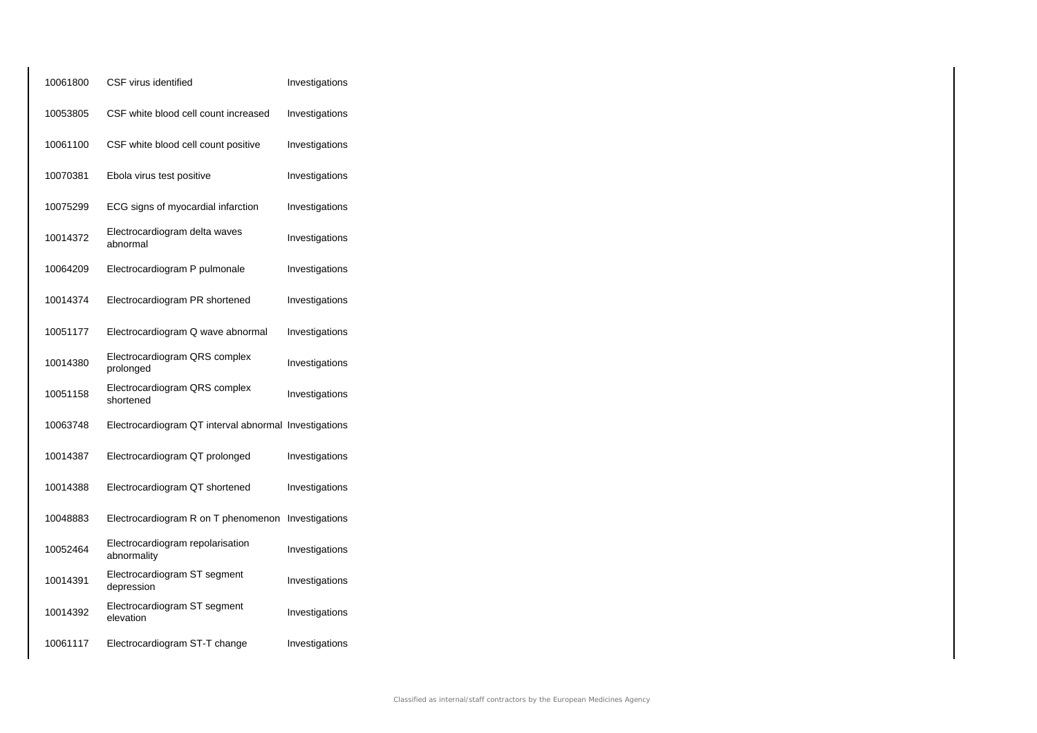| 10061800 | CSF virus identified                                  | Investigations |
|----------|-------------------------------------------------------|----------------|
| 10053805 | CSF white blood cell count increased                  | Investigations |
| 10061100 | CSF white blood cell count positive                   | Investigations |
| 10070381 | Ebola virus test positive                             | Investigations |
| 10075299 | ECG signs of myocardial infarction                    | Investigations |
| 10014372 | Electrocardiogram delta waves<br>abnormal             | Investigations |
| 10064209 | Electrocardiogram P pulmonale                         | Investigations |
| 10014374 | Electrocardiogram PR shortened                        | Investigations |
| 10051177 | Electrocardiogram Q wave abnormal                     | Investigations |
| 10014380 | Electrocardiogram QRS complex<br>prolonged            | Investigations |
| 10051158 | Electrocardiogram QRS complex<br>shortened            | Investigations |
| 10063748 | Electrocardiogram QT interval abnormal Investigations |                |
| 10014387 | Electrocardiogram QT prolonged                        | Investigations |
| 10014388 | Electrocardiogram QT shortened                        | Investigations |
| 10048883 | Electrocardiogram R on T phenomenon                   | Investigations |
| 10052464 | Electrocardiogram repolarisation<br>abnormality       | Investigations |
| 10014391 | Electrocardiogram ST segment<br>depression            | Investigations |
| 10014392 | Electrocardiogram ST segment<br>elevation             | Investigations |
| 10061117 | Electrocardiogram ST-T change                         | Investigations |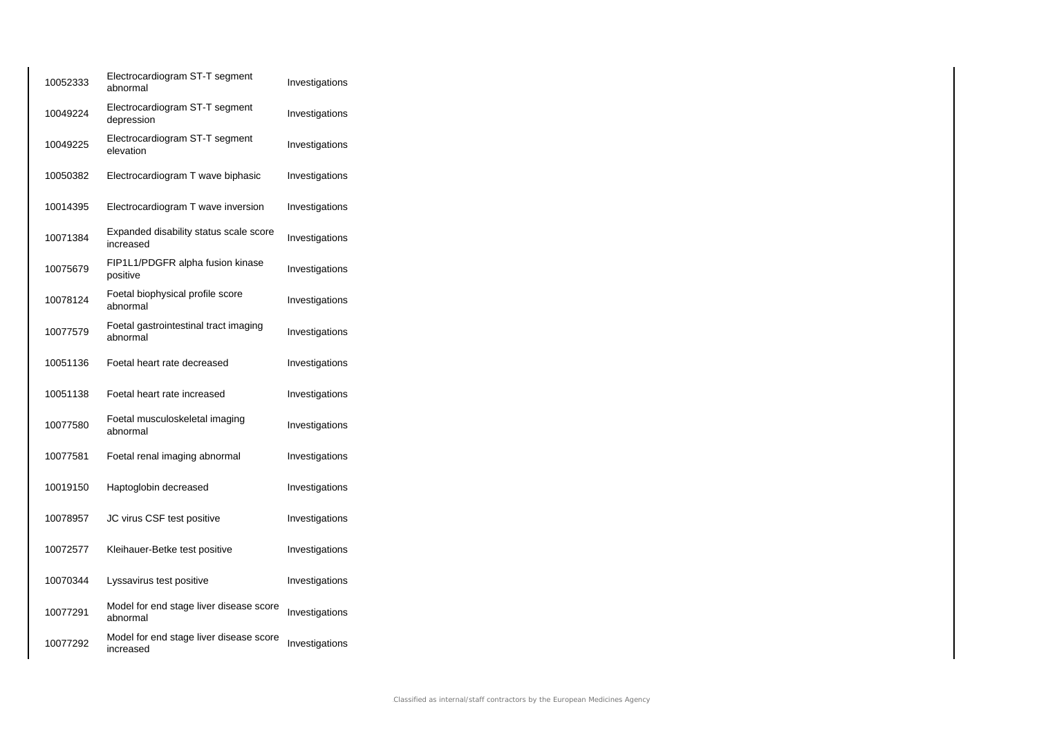| 10052333 | Electrocardiogram ST-T segment<br>abnormal           | Investigations |
|----------|------------------------------------------------------|----------------|
| 10049224 | Electrocardiogram ST-T segment<br>depression         | Investigations |
| 10049225 | Electrocardiogram ST-T segment<br>elevation          | Investigations |
| 10050382 | Electrocardiogram T wave biphasic                    | Investigations |
| 10014395 | Electrocardiogram T wave inversion                   | Investigations |
| 10071384 | Expanded disability status scale score<br>increased  | Investigations |
| 10075679 | FIP1L1/PDGFR alpha fusion kinase<br>positive         | Investigations |
| 10078124 | Foetal biophysical profile score<br>abnormal         | Investigations |
| 10077579 | Foetal gastrointestinal tract imaging<br>abnormal    | Investigations |
| 10051136 | Foetal heart rate decreased                          | Investigations |
| 10051138 | Foetal heart rate increased                          | Investigations |
| 10077580 | Foetal musculoskeletal imaging<br>abnormal           | Investigations |
| 10077581 | Foetal renal imaging abnormal                        | Investigations |
| 10019150 | Haptoglobin decreased                                | Investigations |
| 10078957 | JC virus CSF test positive                           | Investigations |
| 10072577 | Kleihauer-Betke test positive                        | Investigations |
| 10070344 | Lyssavirus test positive                             | Investigations |
| 10077291 | Model for end stage liver disease score<br>abnormal  | Investigations |
| 10077292 | Model for end stage liver disease score<br>increased | Investigations |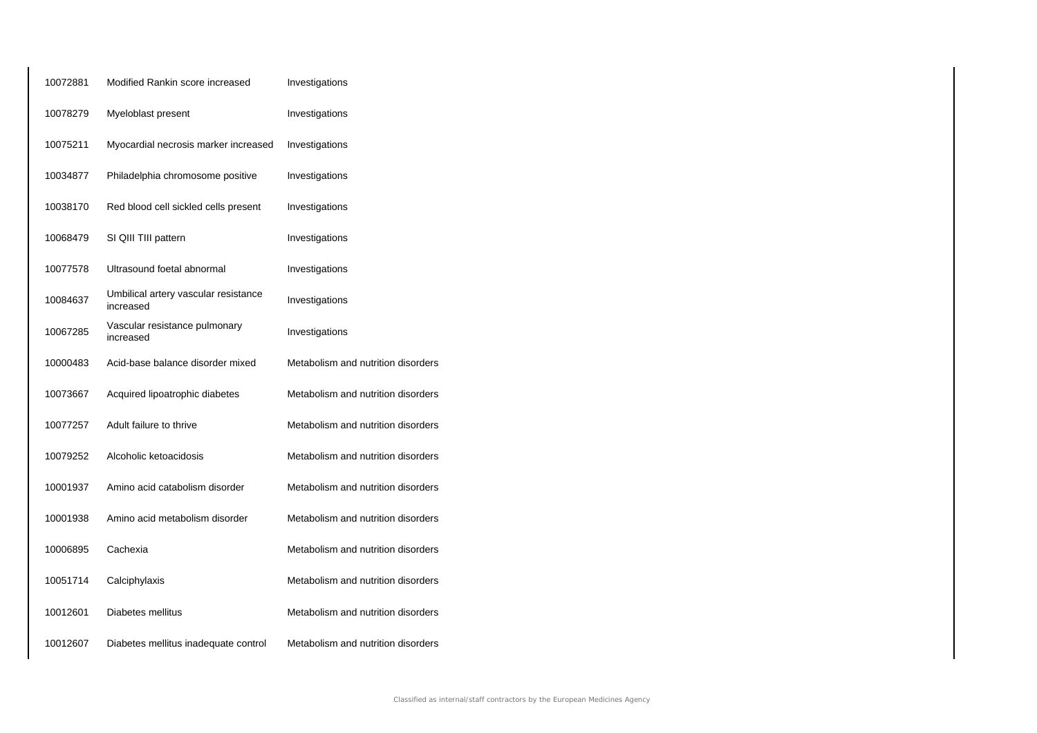| 10072881 | Modified Rankin score increased                   | Investigations                     |
|----------|---------------------------------------------------|------------------------------------|
| 10078279 | Myeloblast present                                | Investigations                     |
| 10075211 | Myocardial necrosis marker increased              | Investigations                     |
| 10034877 | Philadelphia chromosome positive                  | Investigations                     |
| 10038170 | Red blood cell sickled cells present              | Investigations                     |
| 10068479 | SI QIII TIII pattern                              | Investigations                     |
| 10077578 | Ultrasound foetal abnormal                        | Investigations                     |
| 10084637 | Umbilical artery vascular resistance<br>increased | Investigations                     |
| 10067285 | Vascular resistance pulmonary<br>increased        | Investigations                     |
| 10000483 | Acid-base balance disorder mixed                  | Metabolism and nutrition disorders |
| 10073667 | Acquired lipoatrophic diabetes                    | Metabolism and nutrition disorders |
| 10077257 | Adult failure to thrive                           | Metabolism and nutrition disorders |
| 10079252 | Alcoholic ketoacidosis                            | Metabolism and nutrition disorders |
| 10001937 | Amino acid catabolism disorder                    | Metabolism and nutrition disorders |
| 10001938 | Amino acid metabolism disorder                    | Metabolism and nutrition disorders |
| 10006895 | Cachexia                                          | Metabolism and nutrition disorders |
| 10051714 | Calciphylaxis                                     | Metabolism and nutrition disorders |
| 10012601 | Diabetes mellitus                                 | Metabolism and nutrition disorders |
| 10012607 | Diabetes mellitus inadequate control              | Metabolism and nutrition disorders |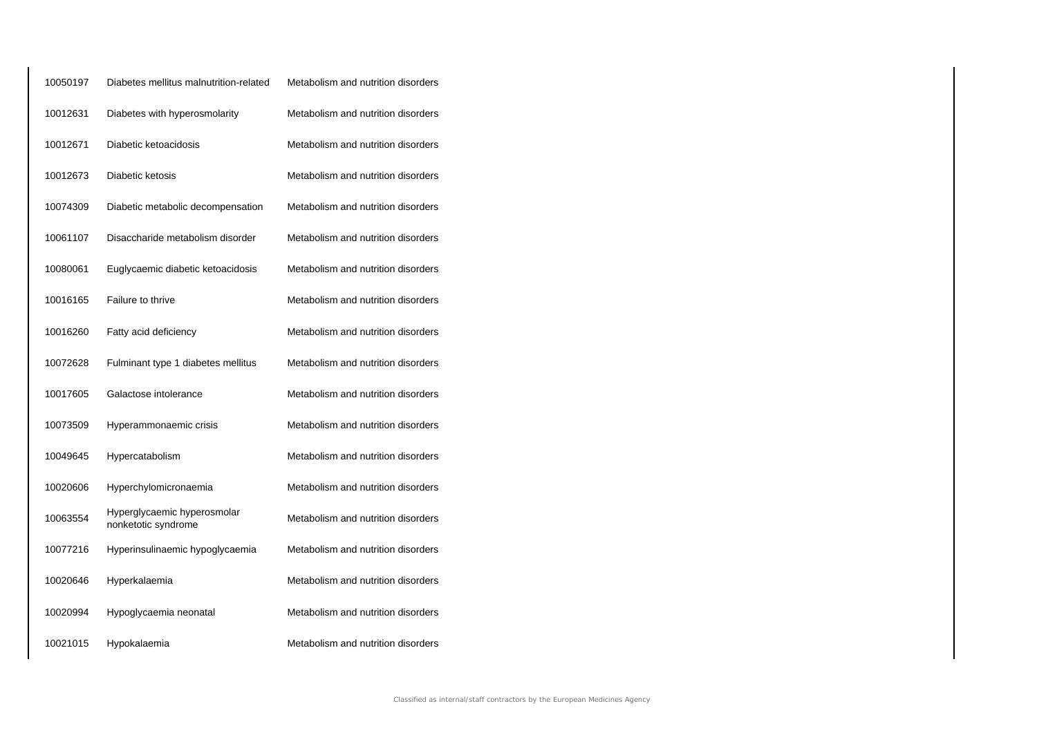| 10050197 | Diabetes mellitus malnutrition-related             | Metabolism and nutrition disorders |
|----------|----------------------------------------------------|------------------------------------|
| 10012631 | Diabetes with hyperosmolarity                      | Metabolism and nutrition disorders |
| 10012671 | Diabetic ketoacidosis                              | Metabolism and nutrition disorders |
| 10012673 | Diabetic ketosis                                   | Metabolism and nutrition disorders |
| 10074309 | Diabetic metabolic decompensation                  | Metabolism and nutrition disorders |
| 10061107 | Disaccharide metabolism disorder                   | Metabolism and nutrition disorders |
| 10080061 | Euglycaemic diabetic ketoacidosis                  | Metabolism and nutrition disorders |
| 10016165 | Failure to thrive                                  | Metabolism and nutrition disorders |
| 10016260 | Fatty acid deficiency                              | Metabolism and nutrition disorders |
| 10072628 | Fulminant type 1 diabetes mellitus                 | Metabolism and nutrition disorders |
| 10017605 | Galactose intolerance                              | Metabolism and nutrition disorders |
| 10073509 | Hyperammonaemic crisis                             | Metabolism and nutrition disorders |
| 10049645 | Hypercatabolism                                    | Metabolism and nutrition disorders |
| 10020606 | Hyperchylomicronaemia                              | Metabolism and nutrition disorders |
| 10063554 | Hyperglycaemic hyperosmolar<br>nonketotic syndrome | Metabolism and nutrition disorders |
| 10077216 | Hyperinsulinaemic hypoglycaemia                    | Metabolism and nutrition disorders |
| 10020646 | Hyperkalaemia                                      | Metabolism and nutrition disorders |
| 10020994 | Hypoglycaemia neonatal                             | Metabolism and nutrition disorders |
| 10021015 | Hypokalaemia                                       | Metabolism and nutrition disorders |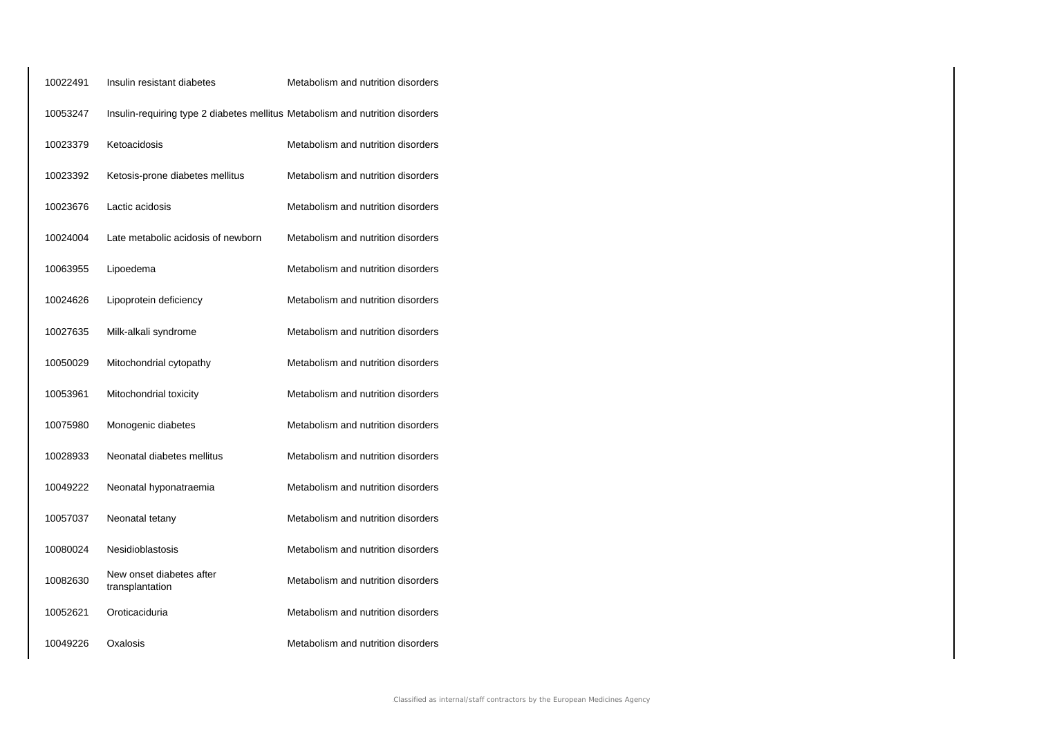| 10022491 | Insulin resistant diabetes                                                    | Metabolism and nutrition disorders |
|----------|-------------------------------------------------------------------------------|------------------------------------|
| 10053247 | Insulin-requiring type 2 diabetes mellitus Metabolism and nutrition disorders |                                    |
| 10023379 | Ketoacidosis                                                                  | Metabolism and nutrition disorders |
| 10023392 | Ketosis-prone diabetes mellitus                                               | Metabolism and nutrition disorders |
| 10023676 | Lactic acidosis                                                               | Metabolism and nutrition disorders |
| 10024004 | Late metabolic acidosis of newborn                                            | Metabolism and nutrition disorders |
| 10063955 | Lipoedema                                                                     | Metabolism and nutrition disorders |
| 10024626 | Lipoprotein deficiency                                                        | Metabolism and nutrition disorders |
| 10027635 | Milk-alkali syndrome                                                          | Metabolism and nutrition disorders |
| 10050029 | Mitochondrial cytopathy                                                       | Metabolism and nutrition disorders |
| 10053961 | Mitochondrial toxicity                                                        | Metabolism and nutrition disorders |
| 10075980 | Monogenic diabetes                                                            | Metabolism and nutrition disorders |
| 10028933 | Neonatal diabetes mellitus                                                    | Metabolism and nutrition disorders |
| 10049222 | Neonatal hyponatraemia                                                        | Metabolism and nutrition disorders |
| 10057037 | Neonatal tetany                                                               | Metabolism and nutrition disorders |
| 10080024 | <b>Nesidioblastosis</b>                                                       | Metabolism and nutrition disorders |
| 10082630 | New onset diabetes after<br>transplantation                                   | Metabolism and nutrition disorders |
| 10052621 | Oroticaciduria                                                                | Metabolism and nutrition disorders |
| 10049226 | Oxalosis                                                                      | Metabolism and nutrition disorders |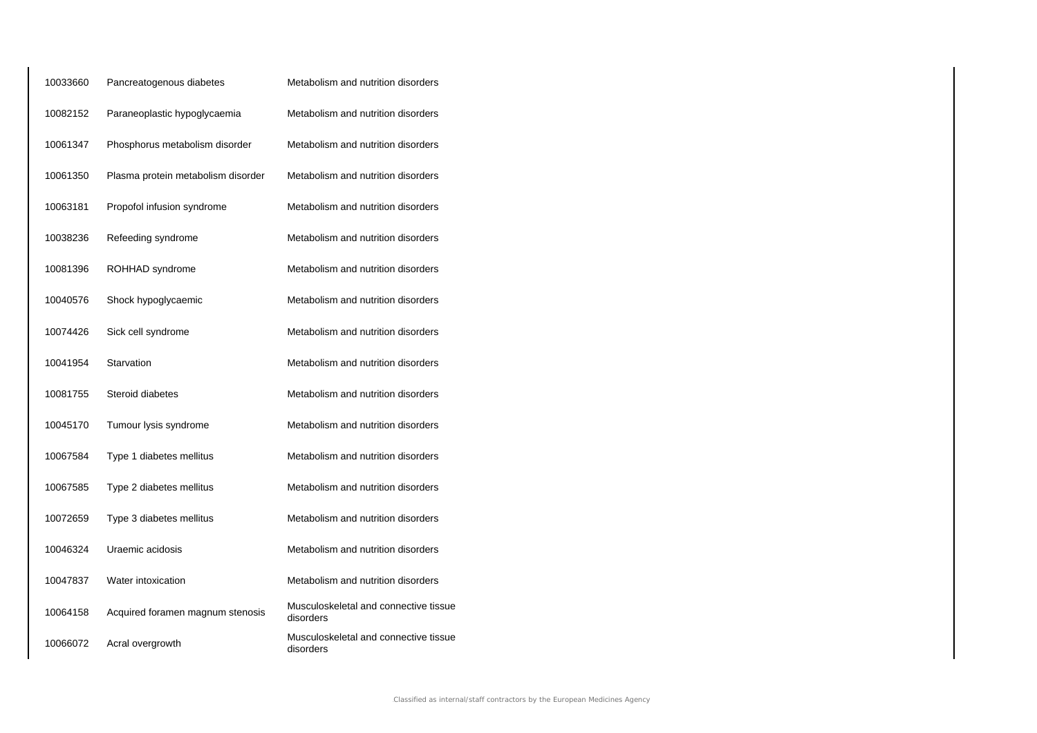| 10033660 | Pancreatogenous diabetes           | Metabolism and nutrition disorders                 |
|----------|------------------------------------|----------------------------------------------------|
| 10082152 | Paraneoplastic hypoglycaemia       | Metabolism and nutrition disorders                 |
| 10061347 | Phosphorus metabolism disorder     | Metabolism and nutrition disorders                 |
| 10061350 | Plasma protein metabolism disorder | Metabolism and nutrition disorders                 |
| 10063181 | Propofol infusion syndrome         | Metabolism and nutrition disorders                 |
| 10038236 | Refeeding syndrome                 | Metabolism and nutrition disorders                 |
| 10081396 | ROHHAD syndrome                    | Metabolism and nutrition disorders                 |
| 10040576 | Shock hypoglycaemic                | Metabolism and nutrition disorders                 |
| 10074426 | Sick cell syndrome                 | Metabolism and nutrition disorders                 |
| 10041954 | Starvation                         | Metabolism and nutrition disorders                 |
| 10081755 | Steroid diabetes                   | Metabolism and nutrition disorders                 |
| 10045170 | Tumour lysis syndrome              | Metabolism and nutrition disorders                 |
| 10067584 | Type 1 diabetes mellitus           | Metabolism and nutrition disorders                 |
| 10067585 | Type 2 diabetes mellitus           | Metabolism and nutrition disorders                 |
| 10072659 | Type 3 diabetes mellitus           | Metabolism and nutrition disorders                 |
| 10046324 | Uraemic acidosis                   | Metabolism and nutrition disorders                 |
| 10047837 | Water intoxication                 | Metabolism and nutrition disorders                 |
| 10064158 | Acquired foramen magnum stenosis   | Musculoskeletal and connective tissue<br>disorders |
| 10066072 | Acral overgrowth                   | Musculoskeletal and connective tissue<br>disorders |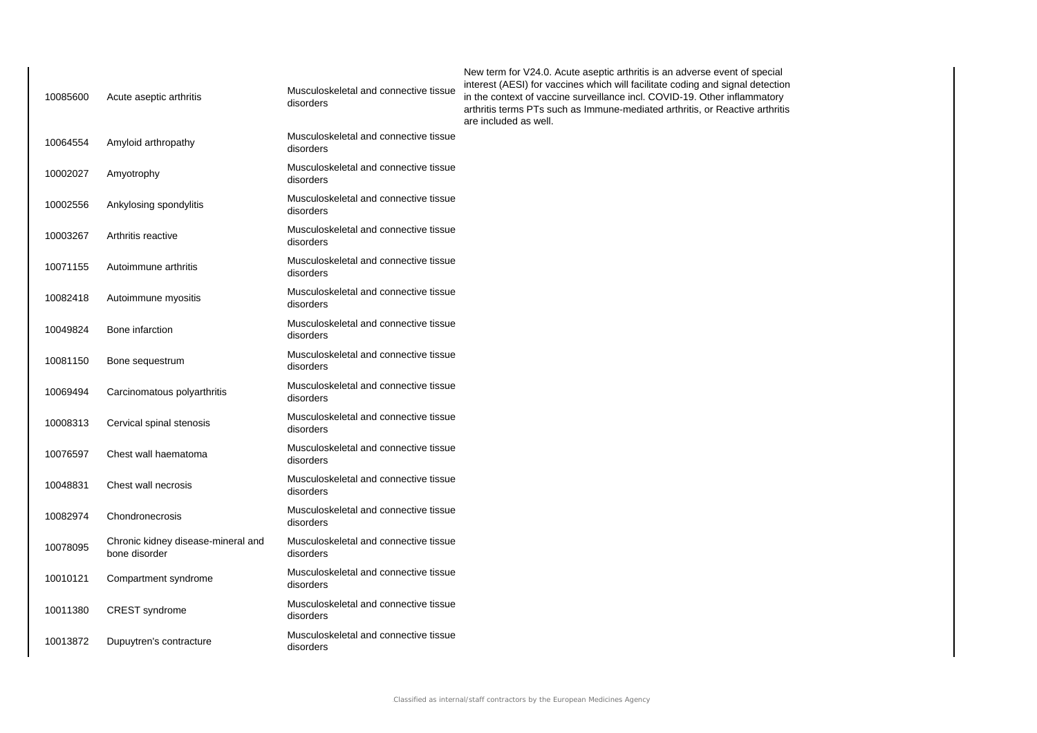| 10085600 | Acute aseptic arthritis                             | Musculoskeletal and connective tissue<br>disorders | New term for V24.0. Acute aseptic arthritis is an adverse event of special<br>interest (AESI) for vaccines which will facilitate coding and signal detection<br>in the context of vaccine surveillance incl. COVID-19. Other inflammatory<br>arthritis terms PTs such as Immune-mediated arthritis, or Reactive arthritis<br>are included as well. |
|----------|-----------------------------------------------------|----------------------------------------------------|----------------------------------------------------------------------------------------------------------------------------------------------------------------------------------------------------------------------------------------------------------------------------------------------------------------------------------------------------|
| 10064554 | Amyloid arthropathy                                 | Musculoskeletal and connective tissue<br>disorders |                                                                                                                                                                                                                                                                                                                                                    |
| 10002027 | Amyotrophy                                          | Musculoskeletal and connective tissue<br>disorders |                                                                                                                                                                                                                                                                                                                                                    |
| 10002556 | Ankylosing spondylitis                              | Musculoskeletal and connective tissue<br>disorders |                                                                                                                                                                                                                                                                                                                                                    |
| 10003267 | Arthritis reactive                                  | Musculoskeletal and connective tissue<br>disorders |                                                                                                                                                                                                                                                                                                                                                    |
| 10071155 | Autoimmune arthritis                                | Musculoskeletal and connective tissue<br>disorders |                                                                                                                                                                                                                                                                                                                                                    |
| 10082418 | Autoimmune myositis                                 | Musculoskeletal and connective tissue<br>disorders |                                                                                                                                                                                                                                                                                                                                                    |
| 10049824 | Bone infarction                                     | Musculoskeletal and connective tissue<br>disorders |                                                                                                                                                                                                                                                                                                                                                    |
| 10081150 | Bone sequestrum                                     | Musculoskeletal and connective tissue<br>disorders |                                                                                                                                                                                                                                                                                                                                                    |
| 10069494 | Carcinomatous polyarthritis                         | Musculoskeletal and connective tissue<br>disorders |                                                                                                                                                                                                                                                                                                                                                    |
| 10008313 | Cervical spinal stenosis                            | Musculoskeletal and connective tissue<br>disorders |                                                                                                                                                                                                                                                                                                                                                    |
| 10076597 | Chest wall haematoma                                | Musculoskeletal and connective tissue<br>disorders |                                                                                                                                                                                                                                                                                                                                                    |
| 10048831 | Chest wall necrosis                                 | Musculoskeletal and connective tissue<br>disorders |                                                                                                                                                                                                                                                                                                                                                    |
| 10082974 | Chondronecrosis                                     | Musculoskeletal and connective tissue<br>disorders |                                                                                                                                                                                                                                                                                                                                                    |
| 10078095 | Chronic kidney disease-mineral and<br>bone disorder | Musculoskeletal and connective tissue<br>disorders |                                                                                                                                                                                                                                                                                                                                                    |
| 10010121 | Compartment syndrome                                | Musculoskeletal and connective tissue<br>disorders |                                                                                                                                                                                                                                                                                                                                                    |
| 10011380 | <b>CREST</b> syndrome                               | Musculoskeletal and connective tissue<br>disorders |                                                                                                                                                                                                                                                                                                                                                    |
| 10013872 | Dupuytren's contracture                             | Musculoskeletal and connective tissue<br>disorders |                                                                                                                                                                                                                                                                                                                                                    |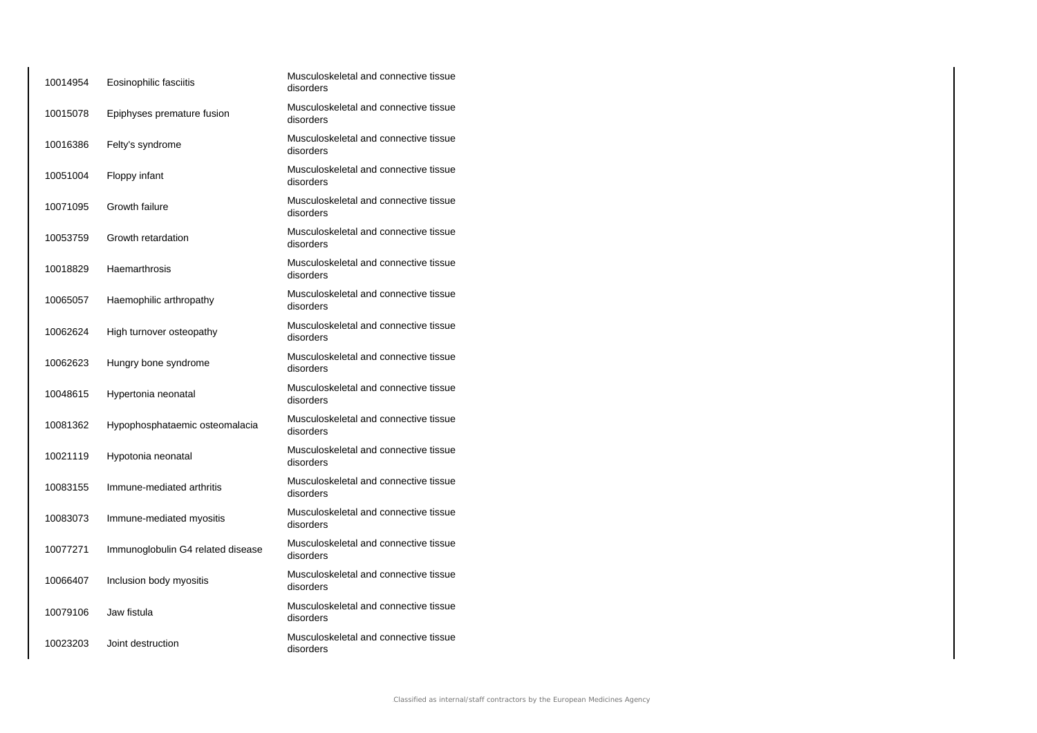| 10014954 | Eosinophilic fasciitis            | Musculoskeletal and connective tissue<br>disorders |
|----------|-----------------------------------|----------------------------------------------------|
| 10015078 | Epiphyses premature fusion        | Musculoskeletal and connective tissue<br>disorders |
| 10016386 | Felty's syndrome                  | Musculoskeletal and connective tissue<br>disorders |
| 10051004 | Floppy infant                     | Musculoskeletal and connective tissue<br>disorders |
| 10071095 | Growth failure                    | Musculoskeletal and connective tissue<br>disorders |
| 10053759 | Growth retardation                | Musculoskeletal and connective tissue<br>disorders |
| 10018829 | Haemarthrosis                     | Musculoskeletal and connective tissue<br>disorders |
| 10065057 | Haemophilic arthropathy           | Musculoskeletal and connective tissue<br>disorders |
| 10062624 | High turnover osteopathy          | Musculoskeletal and connective tissue<br>disorders |
| 10062623 | Hungry bone syndrome              | Musculoskeletal and connective tissue<br>disorders |
| 10048615 | Hypertonia neonatal               | Musculoskeletal and connective tissue<br>disorders |
| 10081362 | Hypophosphataemic osteomalacia    | Musculoskeletal and connective tissue<br>disorders |
| 10021119 | Hypotonia neonatal                | Musculoskeletal and connective tissue<br>disorders |
| 10083155 | Immune-mediated arthritis         | Musculoskeletal and connective tissue<br>disorders |
| 10083073 | Immune-mediated myositis          | Musculoskeletal and connective tissue<br>disorders |
| 10077271 | Immunoglobulin G4 related disease | Musculoskeletal and connective tissue<br>disorders |
| 10066407 | Inclusion body myositis           | Musculoskeletal and connective tissue<br>disorders |
| 10079106 | Jaw fistula                       | Musculoskeletal and connective tissue<br>disorders |
| 10023203 | Joint destruction                 | Musculoskeletal and connective tissue<br>disorders |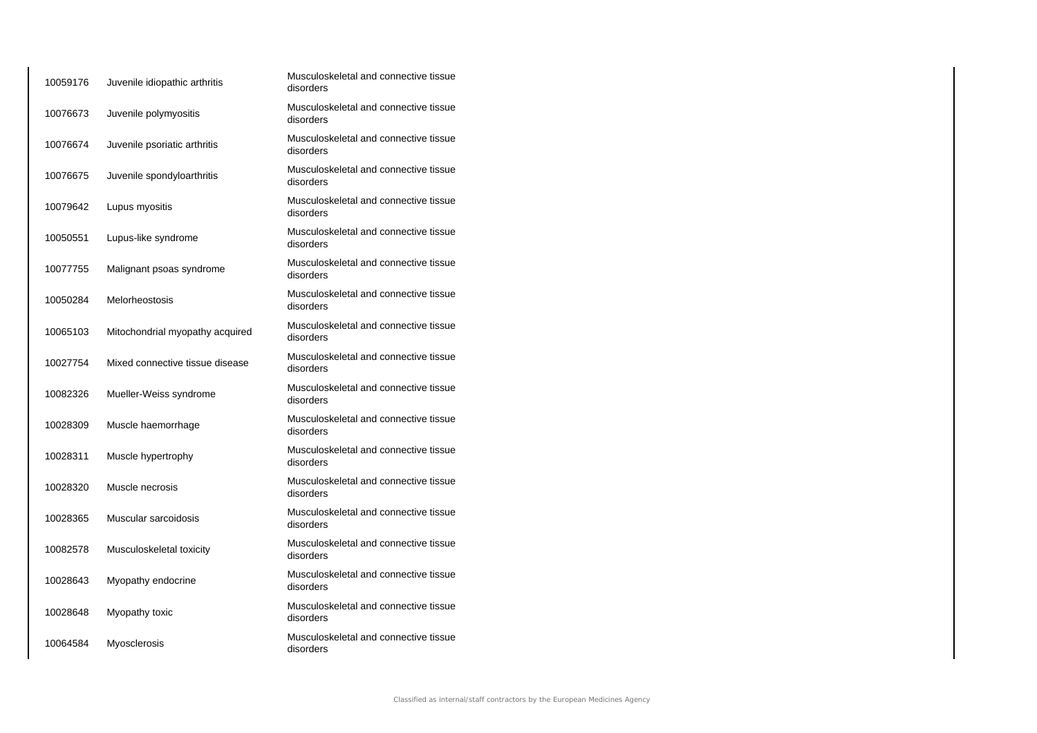| 10059176 | Juvenile idiopathic arthritis   | Musculoskeletal and connective tissue<br>disorders |
|----------|---------------------------------|----------------------------------------------------|
| 10076673 | Juvenile polymyositis           | Musculoskeletal and connective tissue<br>disorders |
| 10076674 | Juvenile psoriatic arthritis    | Musculoskeletal and connective tissue<br>disorders |
| 10076675 | Juvenile spondyloarthritis      | Musculoskeletal and connective tissue<br>disorders |
| 10079642 | Lupus myositis                  | Musculoskeletal and connective tissue<br>disorders |
| 10050551 | Lupus-like syndrome             | Musculoskeletal and connective tissue<br>disorders |
| 10077755 | Malignant psoas syndrome        | Musculoskeletal and connective tissue<br>disorders |
| 10050284 | Melorheostosis                  | Musculoskeletal and connective tissue<br>disorders |
| 10065103 | Mitochondrial myopathy acquired | Musculoskeletal and connective tissue<br>disorders |
| 10027754 | Mixed connective tissue disease | Musculoskeletal and connective tissue<br>disorders |
| 10082326 | Mueller-Weiss syndrome          | Musculoskeletal and connective tissue<br>disorders |
| 10028309 | Muscle haemorrhage              | Musculoskeletal and connective tissue<br>disorders |
| 10028311 | Muscle hypertrophy              | Musculoskeletal and connective tissue<br>disorders |
| 10028320 | Muscle necrosis                 | Musculoskeletal and connective tissue<br>disorders |
| 10028365 | Muscular sarcoidosis            | Musculoskeletal and connective tissue<br>disorders |
| 10082578 | Musculoskeletal toxicity        | Musculoskeletal and connective tissue<br>disorders |
| 10028643 | Myopathy endocrine              | Musculoskeletal and connective tissue<br>disorders |
| 10028648 | Myopathy toxic                  | Musculoskeletal and connective tissue<br>disorders |
| 10064584 | Myosclerosis                    | Musculoskeletal and connective tissue<br>disorders |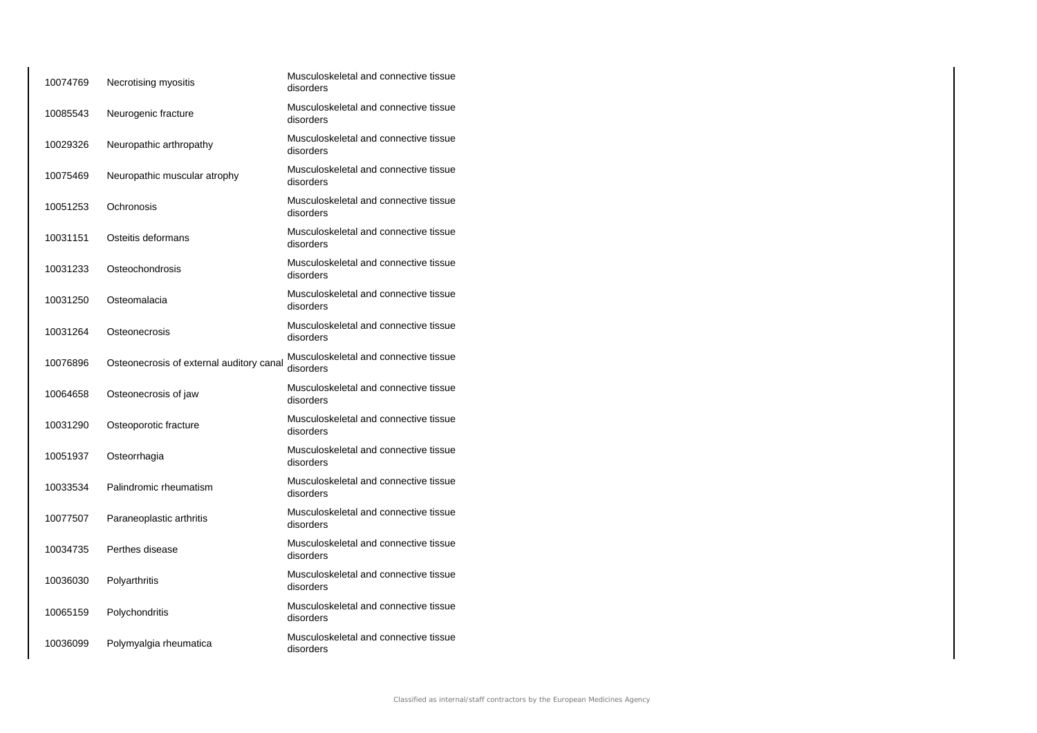| 10074769 | Necrotising myositis                     | Musculoskeletal and connective tissue<br>disorders |
|----------|------------------------------------------|----------------------------------------------------|
| 10085543 | Neurogenic fracture                      | Musculoskeletal and connective tissue<br>disorders |
| 10029326 | Neuropathic arthropathy                  | Musculoskeletal and connective tissue<br>disorders |
| 10075469 | Neuropathic muscular atrophy             | Musculoskeletal and connective tissue<br>disorders |
| 10051253 | Ochronosis                               | Musculoskeletal and connective tissue<br>disorders |
| 10031151 | Osteitis deformans                       | Musculoskeletal and connective tissue<br>disorders |
| 10031233 | Osteochondrosis                          | Musculoskeletal and connective tissue<br>disorders |
| 10031250 | Osteomalacia                             | Musculoskeletal and connective tissue<br>disorders |
| 10031264 | Osteonecrosis                            | Musculoskeletal and connective tissue<br>disorders |
| 10076896 | Osteonecrosis of external auditory canal | Musculoskeletal and connective tissue<br>disorders |
| 10064658 | Osteonecrosis of jaw                     | Musculoskeletal and connective tissue<br>disorders |
| 10031290 | Osteoporotic fracture                    | Musculoskeletal and connective tissue<br>disorders |
| 10051937 | Osteorrhagia                             | Musculoskeletal and connective tissue<br>disorders |
| 10033534 | Palindromic rheumatism                   | Musculoskeletal and connective tissue<br>disorders |
| 10077507 | Paraneoplastic arthritis                 | Musculoskeletal and connective tissue<br>disorders |
| 10034735 | Perthes disease                          | Musculoskeletal and connective tissue<br>disorders |
| 10036030 | Polyarthritis                            | Musculoskeletal and connective tissue<br>disorders |
| 10065159 | Polychondritis                           | Musculoskeletal and connective tissue<br>disorders |
| 10036099 | Polymyalgia rheumatica                   | Musculoskeletal and connective tissue<br>disorders |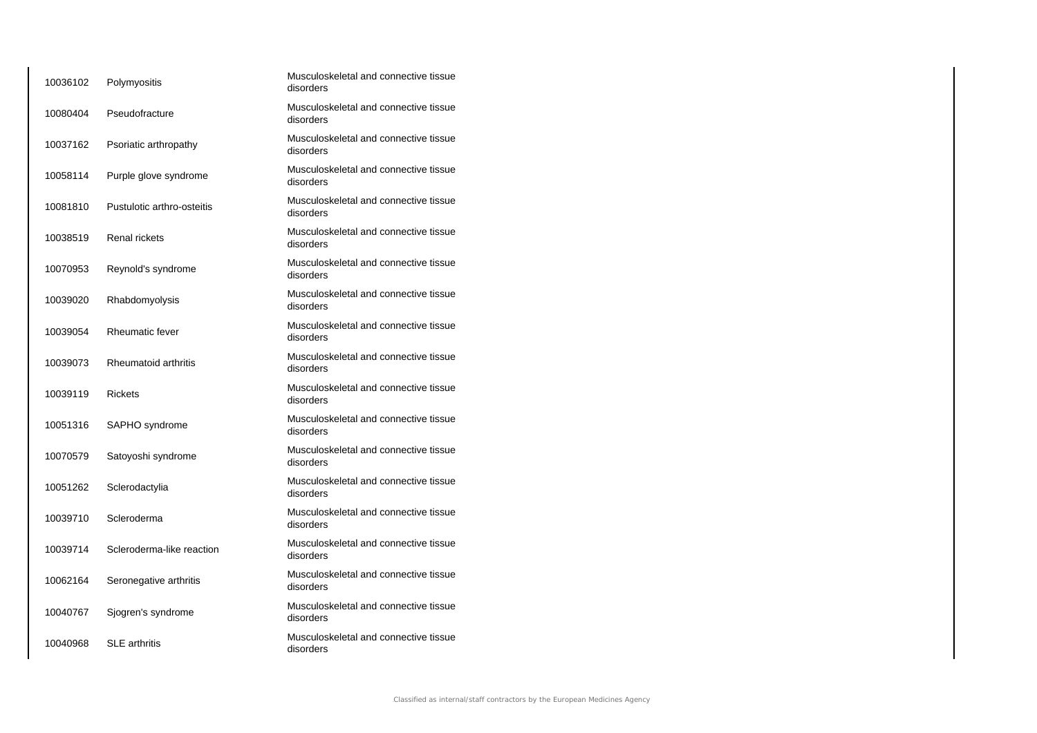| 10036102 | Polymyositis               | Musculoskeletal and connective tissue<br>disorders |
|----------|----------------------------|----------------------------------------------------|
| 10080404 | Pseudofracture             | Musculoskeletal and connective tissue<br>disorders |
| 10037162 | Psoriatic arthropathy      | Musculoskeletal and connective tissue<br>disorders |
| 10058114 | Purple glove syndrome      | Musculoskeletal and connective tissue<br>disorders |
| 10081810 | Pustulotic arthro-osteitis | Musculoskeletal and connective tissue<br>disorders |
| 10038519 | <b>Renal rickets</b>       | Musculoskeletal and connective tissue<br>disorders |
| 10070953 | Reynold's syndrome         | Musculoskeletal and connective tissue<br>disorders |
| 10039020 | Rhabdomyolysis             | Musculoskeletal and connective tissue<br>disorders |
| 10039054 | Rheumatic fever            | Musculoskeletal and connective tissue<br>disorders |
| 10039073 | Rheumatoid arthritis       | Musculoskeletal and connective tissue<br>disorders |
| 10039119 | <b>Rickets</b>             | Musculoskeletal and connective tissue<br>disorders |
| 10051316 | SAPHO syndrome             | Musculoskeletal and connective tissue<br>disorders |
| 10070579 | Satoyoshi syndrome         | Musculoskeletal and connective tissue<br>disorders |
| 10051262 | Sclerodactylia             | Musculoskeletal and connective tissue<br>disorders |
| 10039710 | Scleroderma                | Musculoskeletal and connective tissue<br>disorders |
| 10039714 | Scleroderma-like reaction  | Musculoskeletal and connective tissue<br>disorders |
| 10062164 | Seronegative arthritis     | Musculoskeletal and connective tissue<br>disorders |
| 10040767 | Sjogren's syndrome         | Musculoskeletal and connective tissue<br>disorders |
| 10040968 | <b>SLE</b> arthritis       | Musculoskeletal and connective tissue<br>disorders |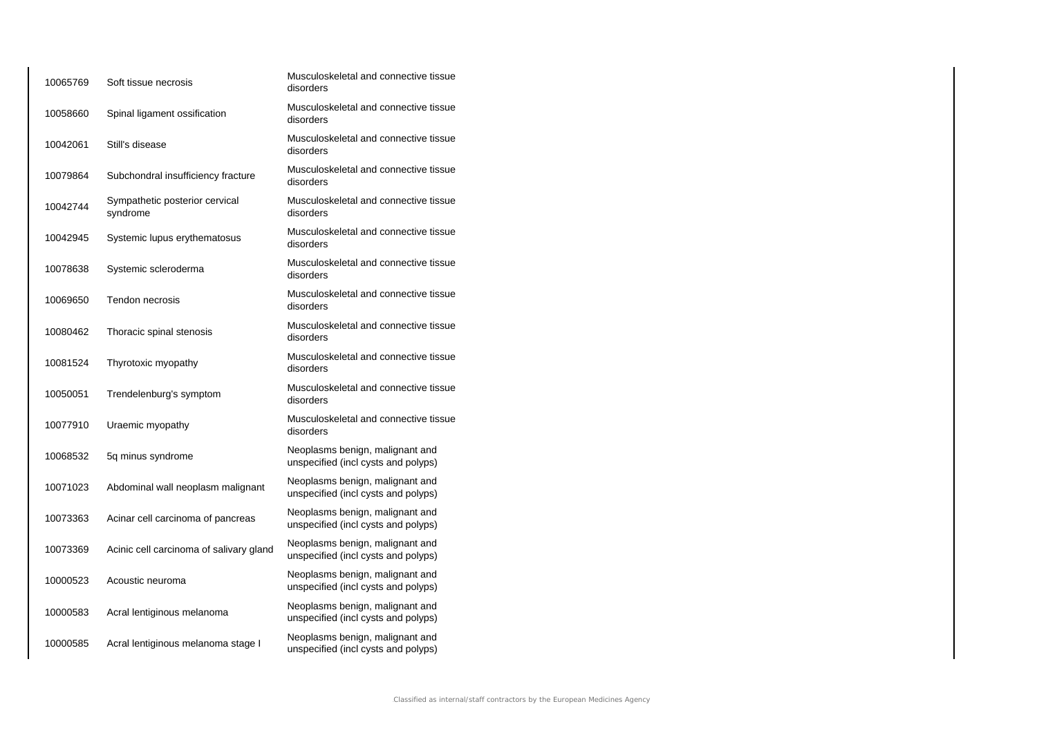| 10065769 | Soft tissue necrosis                       | Musculoskeletal and connective tissue<br>disorders                     |
|----------|--------------------------------------------|------------------------------------------------------------------------|
| 10058660 | Spinal ligament ossification               | Musculoskeletal and connective tissue<br>disorders                     |
| 10042061 | Still's disease                            | Musculoskeletal and connective tissue<br>disorders                     |
| 10079864 | Subchondral insufficiency fracture         | Musculoskeletal and connective tissue<br>disorders                     |
| 10042744 | Sympathetic posterior cervical<br>syndrome | Musculoskeletal and connective tissue<br>disorders                     |
| 10042945 | Systemic lupus erythematosus               | Musculoskeletal and connective tissue<br>disorders                     |
| 10078638 | Systemic scleroderma                       | Musculoskeletal and connective tissue<br>disorders                     |
| 10069650 | Tendon necrosis                            | Musculoskeletal and connective tissue<br>disorders                     |
| 10080462 | Thoracic spinal stenosis                   | Musculoskeletal and connective tissue<br>disorders                     |
| 10081524 | Thyrotoxic myopathy                        | Musculoskeletal and connective tissue<br>disorders                     |
| 10050051 | Trendelenburg's symptom                    | Musculoskeletal and connective tissue<br>disorders                     |
| 10077910 | Uraemic myopathy                           | Musculoskeletal and connective tissue<br>disorders                     |
| 10068532 | 5q minus syndrome                          | Neoplasms benign, malignant and<br>unspecified (incl cysts and polyps) |
| 10071023 | Abdominal wall neoplasm malignant          | Neoplasms benign, malignant and<br>unspecified (incl cysts and polyps) |
| 10073363 | Acinar cell carcinoma of pancreas          | Neoplasms benign, malignant and<br>unspecified (incl cysts and polyps) |
| 10073369 | Acinic cell carcinoma of salivary gland    | Neoplasms benign, malignant and<br>unspecified (incl cysts and polyps) |
| 10000523 | Acoustic neuroma                           | Neoplasms benign, malignant and<br>unspecified (incl cysts and polyps) |
| 10000583 | Acral lentiginous melanoma                 | Neoplasms benign, malignant and<br>unspecified (incl cysts and polyps) |
| 10000585 | Acral lentiginous melanoma stage I         | Neoplasms benign, malignant and<br>unspecified (incl cysts and polyps) |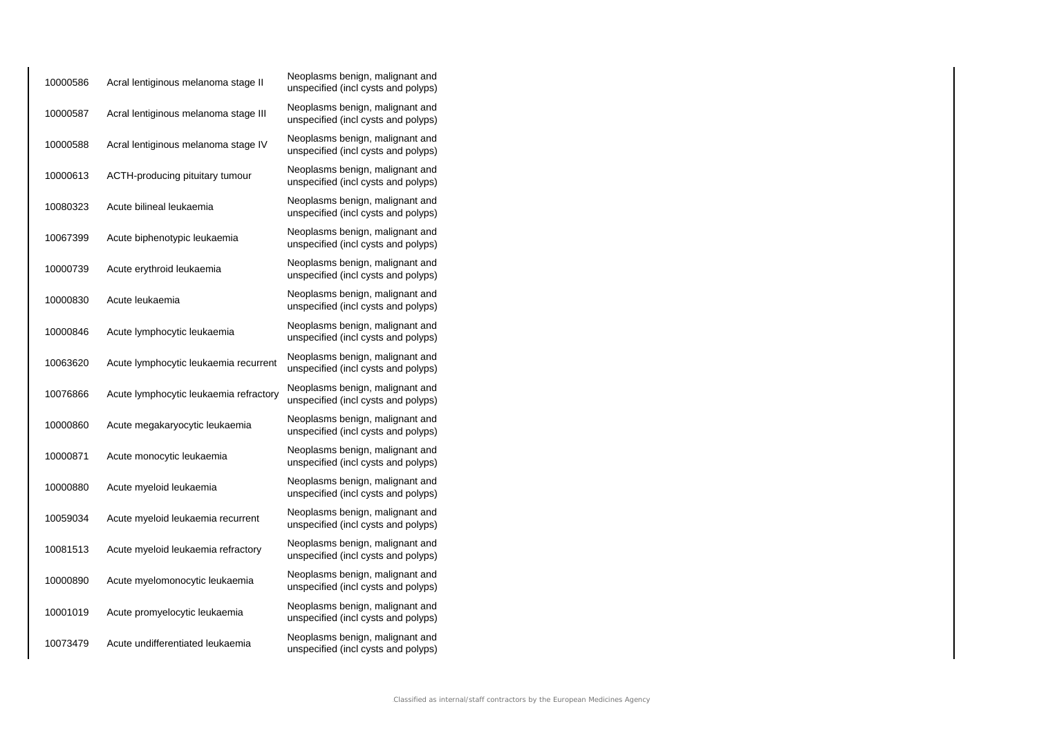| 10000586 | Acral lentiginous melanoma stage II    | Neoplasms benign, malignant and<br>unspecified (incl cysts and polyps) |
|----------|----------------------------------------|------------------------------------------------------------------------|
| 10000587 | Acral lentiginous melanoma stage III   | Neoplasms benign, malignant and<br>unspecified (incl cysts and polyps) |
| 10000588 | Acral lentiginous melanoma stage IV    | Neoplasms benign, malignant and<br>unspecified (incl cysts and polyps) |
| 10000613 | ACTH-producing pituitary tumour        | Neoplasms benign, malignant and<br>unspecified (incl cysts and polyps) |
| 10080323 | Acute bilineal leukaemia               | Neoplasms benign, malignant and<br>unspecified (incl cysts and polyps) |
| 10067399 | Acute biphenotypic leukaemia           | Neoplasms benign, malignant and<br>unspecified (incl cysts and polyps) |
| 10000739 | Acute erythroid leukaemia              | Neoplasms benign, malignant and<br>unspecified (incl cysts and polyps) |
| 10000830 | Acute leukaemia                        | Neoplasms benign, malignant and<br>unspecified (incl cysts and polyps) |
| 10000846 | Acute lymphocytic leukaemia            | Neoplasms benign, malignant and<br>unspecified (incl cysts and polyps) |
| 10063620 | Acute lymphocytic leukaemia recurrent  | Neoplasms benign, malignant and<br>unspecified (incl cysts and polyps) |
| 10076866 | Acute lymphocytic leukaemia refractory | Neoplasms benign, malignant and<br>unspecified (incl cysts and polyps) |
| 10000860 | Acute megakaryocytic leukaemia         | Neoplasms benign, malignant and<br>unspecified (incl cysts and polyps) |
| 10000871 | Acute monocytic leukaemia              | Neoplasms benign, malignant and<br>unspecified (incl cysts and polyps) |
| 10000880 | Acute myeloid leukaemia                | Neoplasms benign, malignant and<br>unspecified (incl cysts and polyps) |
| 10059034 | Acute myeloid leukaemia recurrent      | Neoplasms benign, malignant and<br>unspecified (incl cysts and polyps) |
| 10081513 | Acute myeloid leukaemia refractory     | Neoplasms benign, malignant and<br>unspecified (incl cysts and polyps) |
| 10000890 | Acute myelomonocytic leukaemia         | Neoplasms benign, malignant and<br>unspecified (incl cysts and polyps) |
| 10001019 | Acute promyelocytic leukaemia          | Neoplasms benign, malignant and<br>unspecified (incl cysts and polyps) |
| 10073479 | Acute undifferentiated leukaemia       | Neoplasms benign, malignant and<br>unspecified (incl cysts and polyps) |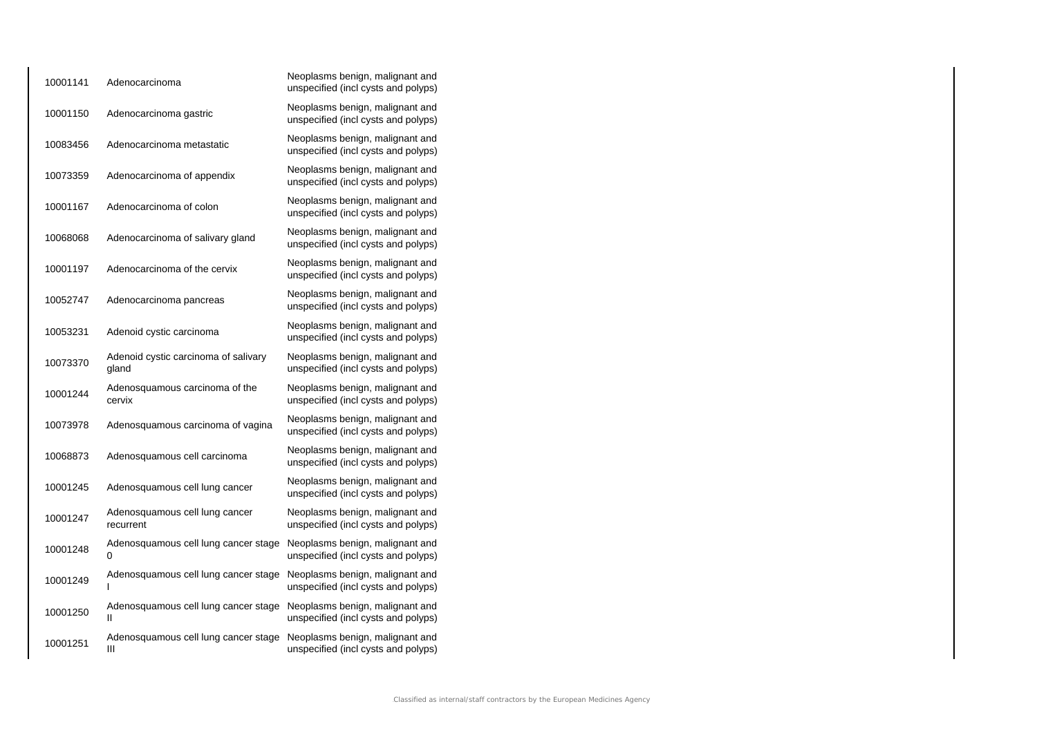| 10001141 | Adenocarcinoma                                | Neoplasms benign, malignant and<br>unspecified (incl cysts and polyps) |
|----------|-----------------------------------------------|------------------------------------------------------------------------|
| 10001150 | Adenocarcinoma gastric                        | Neoplasms benign, malignant and<br>unspecified (incl cysts and polyps) |
| 10083456 | Adenocarcinoma metastatic                     | Neoplasms benign, malignant and<br>unspecified (incl cysts and polyps) |
| 10073359 | Adenocarcinoma of appendix                    | Neoplasms benign, malignant and<br>unspecified (incl cysts and polyps) |
| 10001167 | Adenocarcinoma of colon                       | Neoplasms benign, malignant and<br>unspecified (incl cysts and polyps) |
| 10068068 | Adenocarcinoma of salivary gland              | Neoplasms benign, malignant and<br>unspecified (incl cysts and polyps) |
| 10001197 | Adenocarcinoma of the cervix                  | Neoplasms benign, malignant and<br>unspecified (incl cysts and polyps) |
| 10052747 | Adenocarcinoma pancreas                       | Neoplasms benign, malignant and<br>unspecified (incl cysts and polyps) |
| 10053231 | Adenoid cystic carcinoma                      | Neoplasms benign, malignant and<br>unspecified (incl cysts and polyps) |
| 10073370 | Adenoid cystic carcinoma of salivary<br>gland | Neoplasms benign, malignant and<br>unspecified (incl cysts and polyps) |
| 10001244 | Adenosquamous carcinoma of the<br>cervix      | Neoplasms benign, malignant and<br>unspecified (incl cysts and polyps) |
| 10073978 | Adenosquamous carcinoma of vagina             | Neoplasms benign, malignant and<br>unspecified (incl cysts and polyps) |
| 10068873 | Adenosquamous cell carcinoma                  | Neoplasms benign, malignant and<br>unspecified (incl cysts and polyps) |
| 10001245 | Adenosquamous cell lung cancer                | Neoplasms benign, malignant and<br>unspecified (incl cysts and polyps) |
| 10001247 | Adenosquamous cell lung cancer<br>recurrent   | Neoplasms benign, malignant and<br>unspecified (incl cysts and polyps) |
| 10001248 | Adenosquamous cell lung cancer stage<br>0     | Neoplasms benign, malignant and<br>unspecified (incl cysts and polyps) |
| 10001249 | Adenosquamous cell lung cancer stage          | Neoplasms benign, malignant and<br>unspecified (incl cysts and polyps) |
| 10001250 | Adenosquamous cell lung cancer stage<br>Ш     | Neoplasms benign, malignant and<br>unspecified (incl cysts and polyps) |
| 10001251 | Adenosquamous cell lung cancer stage<br>Ш     | Neoplasms benign, malignant and<br>unspecified (incl cysts and polyps) |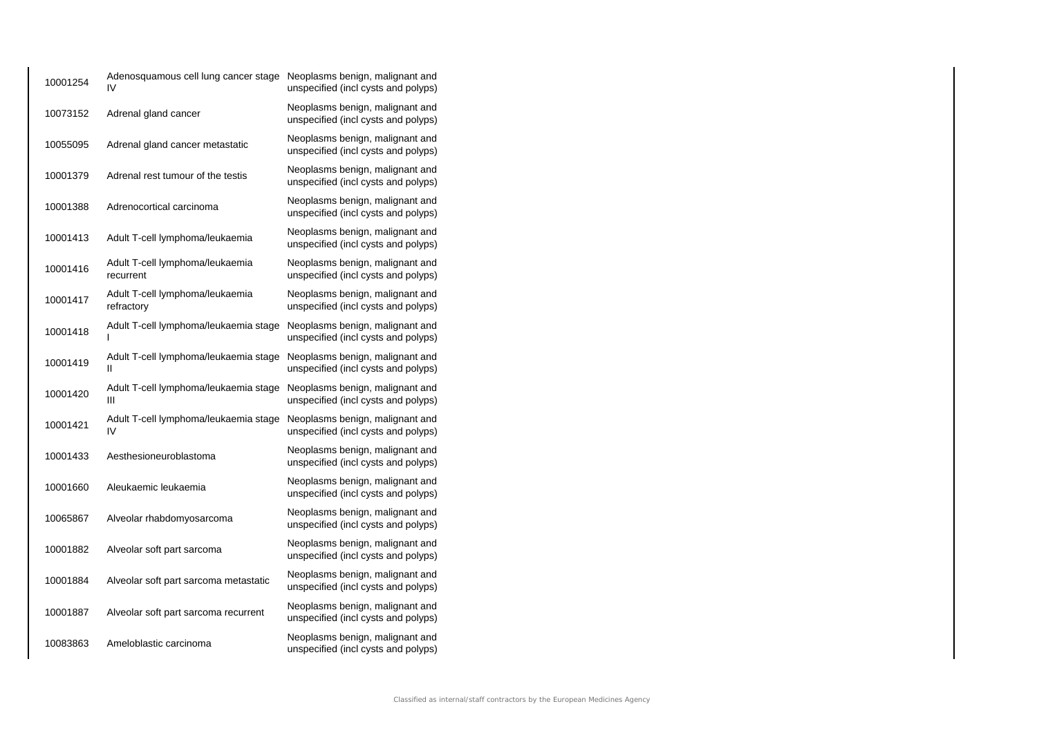| 10001254 | Adenosquamous cell lung cancer stage Neoplasms benign, malignant and<br>IV | unspecified (incl cysts and polyps)                                    |
|----------|----------------------------------------------------------------------------|------------------------------------------------------------------------|
| 10073152 | Adrenal gland cancer                                                       | Neoplasms benign, malignant and<br>unspecified (incl cysts and polyps) |
| 10055095 | Adrenal gland cancer metastatic                                            | Neoplasms benign, malignant and<br>unspecified (incl cysts and polyps) |
| 10001379 | Adrenal rest tumour of the testis                                          | Neoplasms benign, malignant and<br>unspecified (incl cysts and polyps) |
| 10001388 | Adrenocortical carcinoma                                                   | Neoplasms benign, malignant and<br>unspecified (incl cysts and polyps) |
| 10001413 | Adult T-cell lymphoma/leukaemia                                            | Neoplasms benign, malignant and<br>unspecified (incl cysts and polyps) |
| 10001416 | Adult T-cell lymphoma/leukaemia<br>recurrent                               | Neoplasms benign, malignant and<br>unspecified (incl cysts and polyps) |
| 10001417 | Adult T-cell lymphoma/leukaemia<br>refractory                              | Neoplasms benign, malignant and<br>unspecified (incl cysts and polyps) |
| 10001418 | Adult T-cell lymphoma/leukaemia stage<br>ı                                 | Neoplasms benign, malignant and<br>unspecified (incl cysts and polyps) |
| 10001419 | Adult T-cell lymphoma/leukaemia stage<br>Ш                                 | Neoplasms benign, malignant and<br>unspecified (incl cysts and polyps) |
| 10001420 | Adult T-cell lymphoma/leukaemia stage<br>Ш                                 | Neoplasms benign, malignant and<br>unspecified (incl cysts and polyps) |
| 10001421 | Adult T-cell lymphoma/leukaemia stage<br>IV                                | Neoplasms benign, malignant and<br>unspecified (incl cysts and polyps) |
| 10001433 | Aesthesioneuroblastoma                                                     | Neoplasms benign, malignant and<br>unspecified (incl cysts and polyps) |
| 10001660 | Aleukaemic leukaemia                                                       | Neoplasms benign, malignant and<br>unspecified (incl cysts and polyps) |
| 10065867 | Alveolar rhabdomyosarcoma                                                  | Neoplasms benign, malignant and<br>unspecified (incl cysts and polyps) |
| 10001882 | Alveolar soft part sarcoma                                                 | Neoplasms benign, malignant and<br>unspecified (incl cysts and polyps) |
| 10001884 | Alveolar soft part sarcoma metastatic                                      | Neoplasms benign, malignant and<br>unspecified (incl cysts and polyps) |
| 10001887 | Alveolar soft part sarcoma recurrent                                       | Neoplasms benign, malignant and<br>unspecified (incl cysts and polyps) |
| 10083863 | Ameloblastic carcinoma                                                     | Neoplasms benign, malignant and<br>unspecified (incl cysts and polyps) |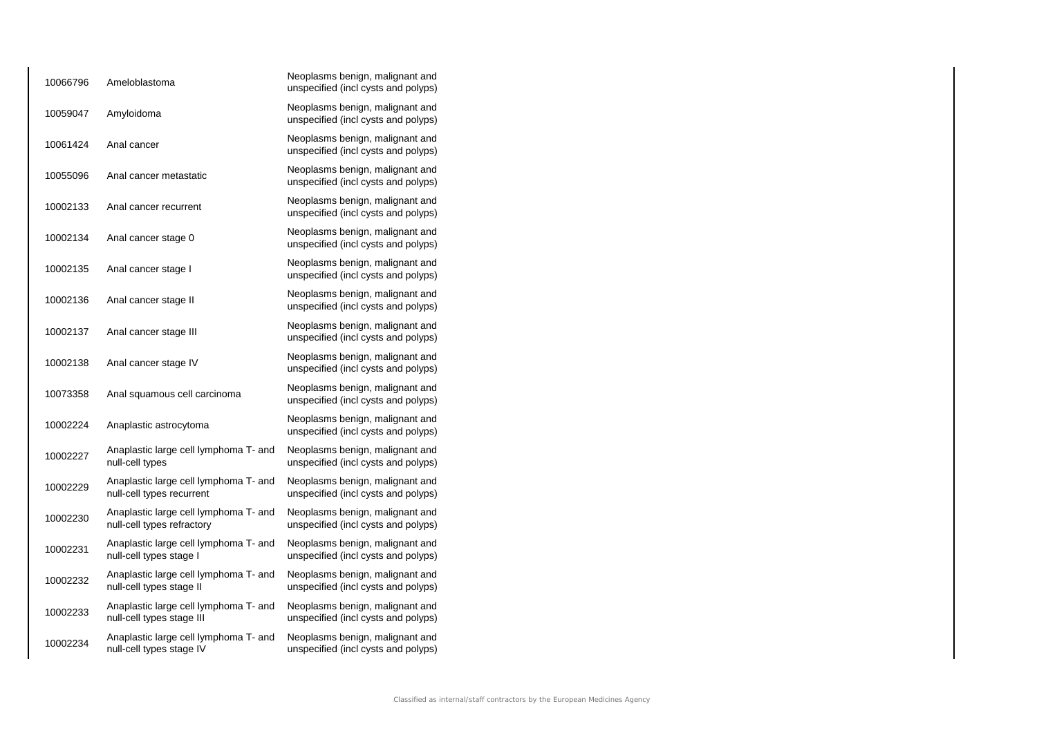| 10066796 | Ameloblastoma                                                       | Neoplasms benign, malignant and<br>unspecified (incl cysts and polyps) |
|----------|---------------------------------------------------------------------|------------------------------------------------------------------------|
| 10059047 | Amyloidoma                                                          | Neoplasms benign, malignant and<br>unspecified (incl cysts and polyps) |
| 10061424 | Anal cancer                                                         | Neoplasms benign, malignant and<br>unspecified (incl cysts and polyps) |
| 10055096 | Anal cancer metastatic                                              | Neoplasms benign, malignant and<br>unspecified (incl cysts and polyps) |
| 10002133 | Anal cancer recurrent                                               | Neoplasms benign, malignant and<br>unspecified (incl cysts and polyps) |
| 10002134 | Anal cancer stage 0                                                 | Neoplasms benign, malignant and<br>unspecified (incl cysts and polyps) |
| 10002135 | Anal cancer stage I                                                 | Neoplasms benign, malignant and<br>unspecified (incl cysts and polyps) |
| 10002136 | Anal cancer stage II                                                | Neoplasms benign, malignant and<br>unspecified (incl cysts and polyps) |
| 10002137 | Anal cancer stage III                                               | Neoplasms benign, malignant and<br>unspecified (incl cysts and polyps) |
| 10002138 | Anal cancer stage IV                                                | Neoplasms benign, malignant and<br>unspecified (incl cysts and polyps) |
| 10073358 | Anal squamous cell carcinoma                                        | Neoplasms benign, malignant and<br>unspecified (incl cysts and polyps) |
| 10002224 | Anaplastic astrocytoma                                              | Neoplasms benign, malignant and<br>unspecified (incl cysts and polyps) |
| 10002227 | Anaplastic large cell lymphoma T- and<br>null-cell types            | Neoplasms benign, malignant and<br>unspecified (incl cysts and polyps) |
| 10002229 | Anaplastic large cell lymphoma T- and<br>null-cell types recurrent  | Neoplasms benign, malignant and<br>unspecified (incl cysts and polyps) |
| 10002230 | Anaplastic large cell lymphoma T- and<br>null-cell types refractory | Neoplasms benign, malignant and<br>unspecified (incl cysts and polyps) |
| 10002231 | Anaplastic large cell lymphoma T- and<br>null-cell types stage I    | Neoplasms benign, malignant and<br>unspecified (incl cysts and polyps) |
| 10002232 | Anaplastic large cell lymphoma T- and<br>null-cell types stage II   | Neoplasms benign, malignant and<br>unspecified (incl cysts and polyps) |
| 10002233 | Anaplastic large cell lymphoma T- and<br>null-cell types stage III  | Neoplasms benign, malignant and<br>unspecified (incl cysts and polyps) |
| 10002234 | Anaplastic large cell lymphoma T- and<br>null-cell types stage IV   | Neoplasms benign, malignant and<br>unspecified (incl cysts and polyps) |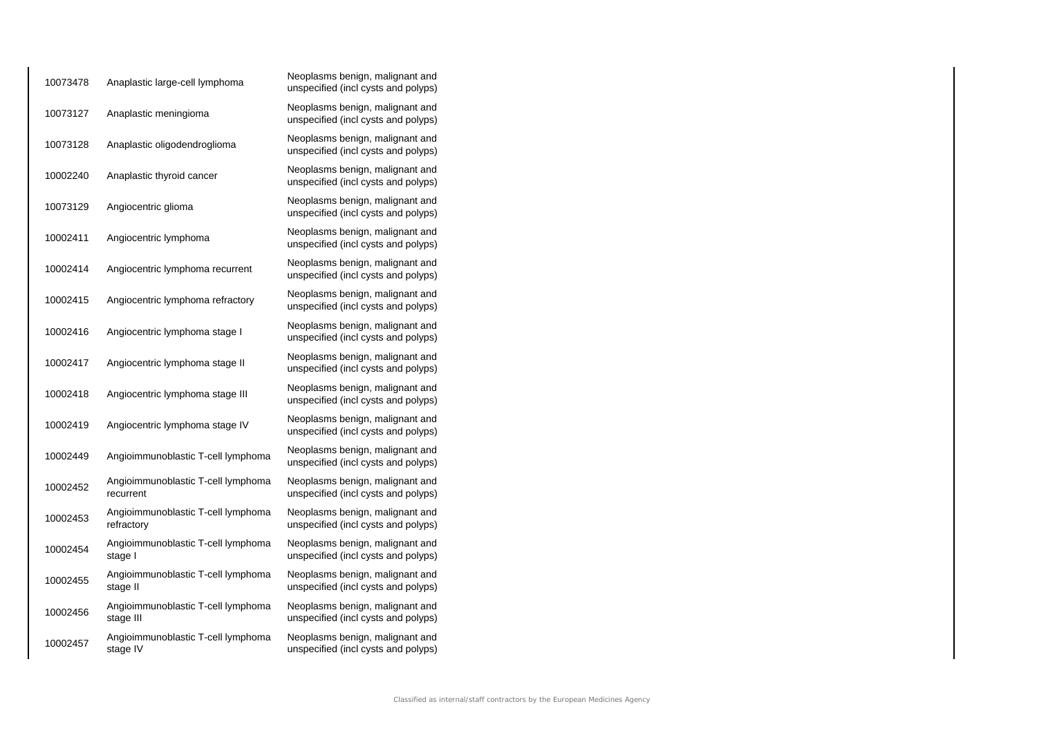| 10073478 | Anaplastic large-cell lymphoma                   | Neoplasms benign, malignant and<br>unspecified (incl cysts and polyps) |
|----------|--------------------------------------------------|------------------------------------------------------------------------|
| 10073127 | Anaplastic meningioma                            | Neoplasms benign, malignant and<br>unspecified (incl cysts and polyps) |
| 10073128 | Anaplastic oligodendroglioma                     | Neoplasms benign, malignant and<br>unspecified (incl cysts and polyps) |
| 10002240 | Anaplastic thyroid cancer                        | Neoplasms benign, malignant and<br>unspecified (incl cysts and polyps) |
| 10073129 | Angiocentric glioma                              | Neoplasms benign, malignant and<br>unspecified (incl cysts and polyps) |
| 10002411 | Angiocentric lymphoma                            | Neoplasms benign, malignant and<br>unspecified (incl cysts and polyps) |
| 10002414 | Angiocentric lymphoma recurrent                  | Neoplasms benign, malignant and<br>unspecified (incl cysts and polyps) |
| 10002415 | Angiocentric lymphoma refractory                 | Neoplasms benign, malignant and<br>unspecified (incl cysts and polyps) |
| 10002416 | Angiocentric lymphoma stage I                    | Neoplasms benign, malignant and<br>unspecified (incl cysts and polyps) |
| 10002417 | Angiocentric lymphoma stage II                   | Neoplasms benign, malignant and<br>unspecified (incl cysts and polyps) |
| 10002418 | Angiocentric lymphoma stage III                  | Neoplasms benign, malignant and<br>unspecified (incl cysts and polyps) |
| 10002419 | Angiocentric lymphoma stage IV                   | Neoplasms benign, malignant and<br>unspecified (incl cysts and polyps) |
| 10002449 | Angioimmunoblastic T-cell lymphoma               | Neoplasms benign, malignant and<br>unspecified (incl cysts and polyps) |
| 10002452 | Angioimmunoblastic T-cell lymphoma<br>recurrent  | Neoplasms benign, malignant and<br>unspecified (incl cysts and polyps) |
| 10002453 | Angioimmunoblastic T-cell lymphoma<br>refractory | Neoplasms benign, malignant and<br>unspecified (incl cysts and polyps) |
| 10002454 | Angioimmunoblastic T-cell lymphoma<br>stage I    | Neoplasms benign, malignant and<br>unspecified (incl cysts and polyps) |
| 10002455 | Angioimmunoblastic T-cell lymphoma<br>stage II   | Neoplasms benign, malignant and<br>unspecified (incl cysts and polyps) |
| 10002456 | Angioimmunoblastic T-cell lymphoma<br>stage III  | Neoplasms benign, malignant and<br>unspecified (incl cysts and polyps) |
| 10002457 | Angioimmunoblastic T-cell lymphoma<br>stage IV   | Neoplasms benign, malignant and<br>unspecified (incl cysts and polyps) |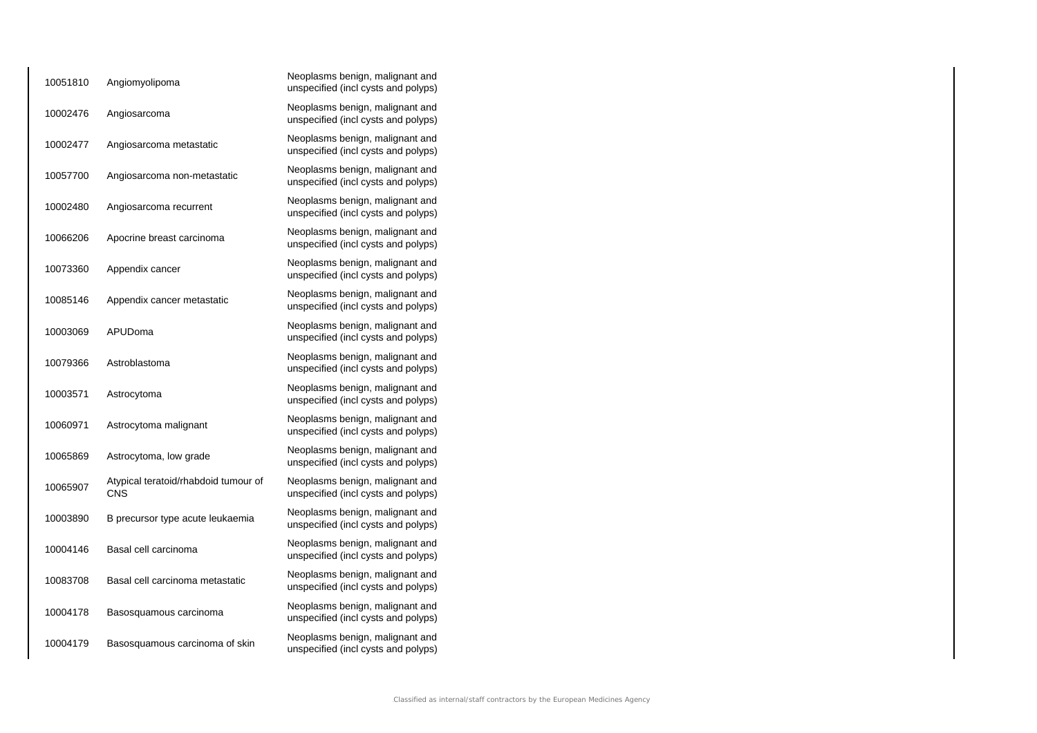| 10051810 | Angiomyolipoma                                     | Neoplasms benign, malignant and<br>unspecified (incl cysts and polyps) |
|----------|----------------------------------------------------|------------------------------------------------------------------------|
| 10002476 | Angiosarcoma                                       | Neoplasms benign, malignant and<br>unspecified (incl cysts and polyps) |
| 10002477 | Angiosarcoma metastatic                            | Neoplasms benign, malignant and<br>unspecified (incl cysts and polyps) |
| 10057700 | Angiosarcoma non-metastatic                        | Neoplasms benign, malignant and<br>unspecified (incl cysts and polyps) |
| 10002480 | Angiosarcoma recurrent                             | Neoplasms benign, malignant and<br>unspecified (incl cysts and polyps) |
| 10066206 | Apocrine breast carcinoma                          | Neoplasms benign, malignant and<br>unspecified (incl cysts and polyps) |
| 10073360 | Appendix cancer                                    | Neoplasms benign, malignant and<br>unspecified (incl cysts and polyps) |
| 10085146 | Appendix cancer metastatic                         | Neoplasms benign, malignant and<br>unspecified (incl cysts and polyps) |
| 10003069 | APUDoma                                            | Neoplasms benign, malignant and<br>unspecified (incl cysts and polyps) |
| 10079366 | Astroblastoma                                      | Neoplasms benign, malignant and<br>unspecified (incl cysts and polyps) |
| 10003571 | Astrocytoma                                        | Neoplasms benign, malignant and<br>unspecified (incl cysts and polyps) |
| 10060971 | Astrocytoma malignant                              | Neoplasms benign, malignant and<br>unspecified (incl cysts and polyps) |
| 10065869 | Astrocytoma, low grade                             | Neoplasms benign, malignant and<br>unspecified (incl cysts and polyps) |
| 10065907 | Atypical teratoid/rhabdoid tumour of<br><b>CNS</b> | Neoplasms benign, malignant and<br>unspecified (incl cysts and polyps) |
| 10003890 | B precursor type acute leukaemia                   | Neoplasms benign, malignant and<br>unspecified (incl cysts and polyps) |
| 10004146 | Basal cell carcinoma                               | Neoplasms benign, malignant and<br>unspecified (incl cysts and polyps) |
| 10083708 | Basal cell carcinoma metastatic                    | Neoplasms benign, malignant and<br>unspecified (incl cysts and polyps) |
| 10004178 | Basosquamous carcinoma                             | Neoplasms benign, malignant and<br>unspecified (incl cysts and polyps) |
| 10004179 | Basosquamous carcinoma of skin                     | Neoplasms benign, malignant and<br>unspecified (incl cysts and polyps) |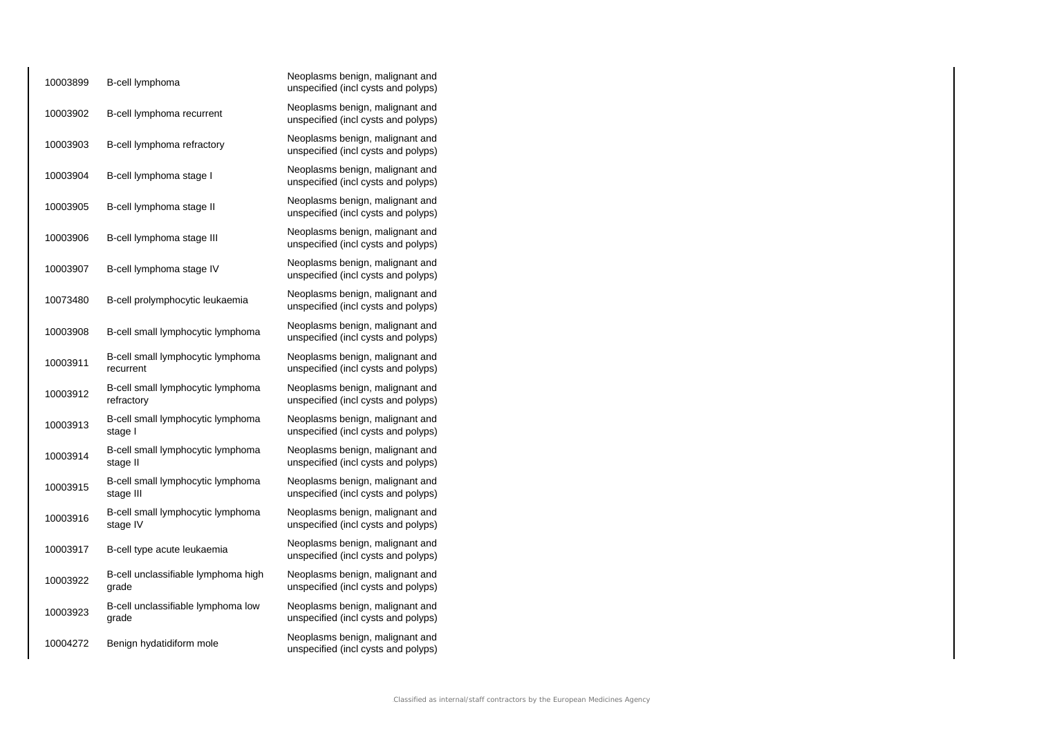| 10003899 | B-cell lymphoma                                 | Neoplasms benign, malignant and<br>unspecified (incl cysts and polyps) |
|----------|-------------------------------------------------|------------------------------------------------------------------------|
| 10003902 | B-cell lymphoma recurrent                       | Neoplasms benign, malignant and<br>unspecified (incl cysts and polyps) |
| 10003903 | B-cell lymphoma refractory                      | Neoplasms benign, malignant and<br>unspecified (incl cysts and polyps) |
| 10003904 | B-cell lymphoma stage I                         | Neoplasms benign, malignant and<br>unspecified (incl cysts and polyps) |
| 10003905 | B-cell lymphoma stage II                        | Neoplasms benign, malignant and<br>unspecified (incl cysts and polyps) |
| 10003906 | B-cell lymphoma stage III                       | Neoplasms benign, malignant and<br>unspecified (incl cysts and polyps) |
| 10003907 | B-cell lymphoma stage IV                        | Neoplasms benign, malignant and<br>unspecified (incl cysts and polyps) |
| 10073480 | B-cell prolymphocytic leukaemia                 | Neoplasms benign, malignant and<br>unspecified (incl cysts and polyps) |
| 10003908 | B-cell small lymphocytic lymphoma               | Neoplasms benign, malignant and<br>unspecified (incl cysts and polyps) |
| 10003911 | B-cell small lymphocytic lymphoma<br>recurrent  | Neoplasms benign, malignant and<br>unspecified (incl cysts and polyps) |
| 10003912 | B-cell small lymphocytic lymphoma<br>refractory | Neoplasms benign, malignant and<br>unspecified (incl cysts and polyps) |
| 10003913 | B-cell small lymphocytic lymphoma<br>stage I    | Neoplasms benign, malignant and<br>unspecified (incl cysts and polyps) |
| 10003914 | B-cell small lymphocytic lymphoma<br>stage II   | Neoplasms benign, malignant and<br>unspecified (incl cysts and polyps) |
| 10003915 | B-cell small lymphocytic lymphoma<br>stage III  | Neoplasms benign, malignant and<br>unspecified (incl cysts and polyps) |
| 10003916 | B-cell small lymphocytic lymphoma<br>stage IV   | Neoplasms benign, malignant and<br>unspecified (incl cysts and polyps) |
| 10003917 | B-cell type acute leukaemia                     | Neoplasms benign, malignant and<br>unspecified (incl cysts and polyps) |
| 10003922 | B-cell unclassifiable lymphoma high<br>grade    | Neoplasms benign, malignant and<br>unspecified (incl cysts and polyps) |
| 10003923 | B-cell unclassifiable lymphoma low<br>grade     | Neoplasms benign, malignant and<br>unspecified (incl cysts and polyps) |
| 10004272 | Benign hydatidiform mole                        | Neoplasms benign, malignant and<br>unspecified (incl cysts and polyps) |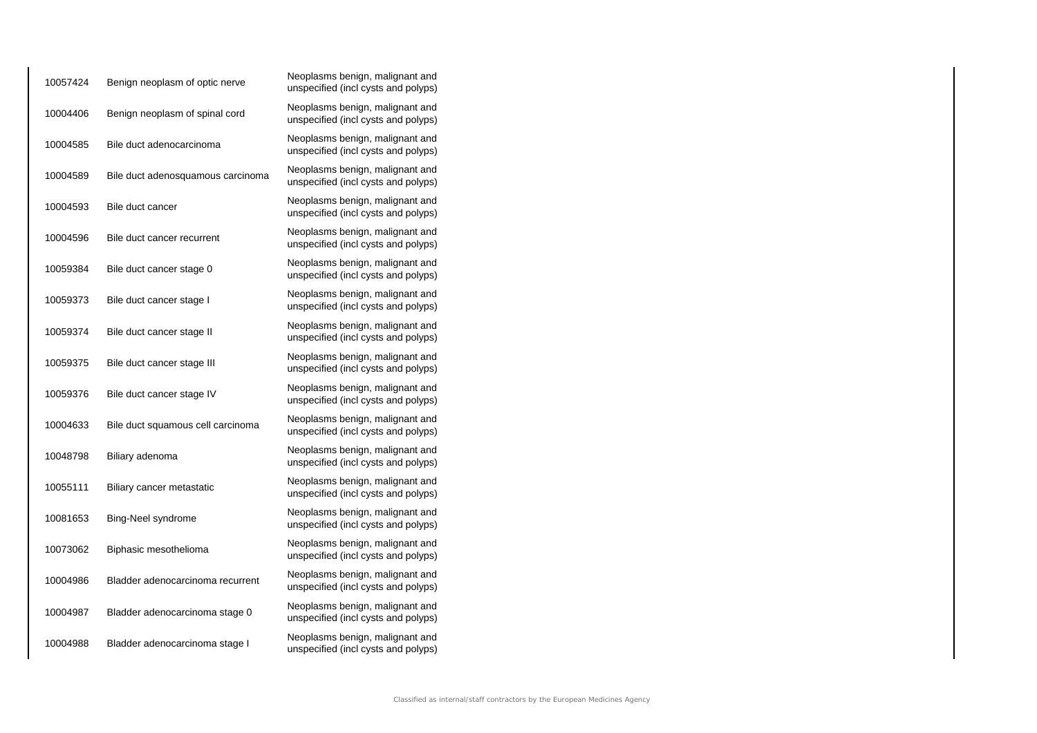| 10057424 | Benign neoplasm of optic nerve    | Neoplasms benign, malignant and<br>unspecified (incl cysts and polyps) |
|----------|-----------------------------------|------------------------------------------------------------------------|
| 10004406 | Benign neoplasm of spinal cord    | Neoplasms benign, malignant and<br>unspecified (incl cysts and polyps) |
| 10004585 | Bile duct adenocarcinoma          | Neoplasms benign, malignant and<br>unspecified (incl cysts and polyps) |
| 10004589 | Bile duct adenosquamous carcinoma | Neoplasms benign, malignant and<br>unspecified (incl cysts and polyps) |
| 10004593 | Bile duct cancer                  | Neoplasms benign, malignant and<br>unspecified (incl cysts and polyps) |
| 10004596 | Bile duct cancer recurrent        | Neoplasms benign, malignant and<br>unspecified (incl cysts and polyps) |
| 10059384 | Bile duct cancer stage 0          | Neoplasms benign, malignant and<br>unspecified (incl cysts and polyps) |
| 10059373 | Bile duct cancer stage I          | Neoplasms benign, malignant and<br>unspecified (incl cysts and polyps) |
| 10059374 | Bile duct cancer stage II         | Neoplasms benign, malignant and<br>unspecified (incl cysts and polyps) |
| 10059375 | Bile duct cancer stage III        | Neoplasms benign, malignant and<br>unspecified (incl cysts and polyps) |
| 10059376 | Bile duct cancer stage IV         | Neoplasms benign, malignant and<br>unspecified (incl cysts and polyps) |
| 10004633 | Bile duct squamous cell carcinoma | Neoplasms benign, malignant and<br>unspecified (incl cysts and polyps) |
| 10048798 | Biliary adenoma                   | Neoplasms benign, malignant and<br>unspecified (incl cysts and polyps) |
| 10055111 | Biliary cancer metastatic         | Neoplasms benign, malignant and<br>unspecified (incl cysts and polyps) |
| 10081653 | Bing-Neel syndrome                | Neoplasms benign, malignant and<br>unspecified (incl cysts and polyps) |
| 10073062 | Biphasic mesothelioma             | Neoplasms benign, malignant and<br>unspecified (incl cysts and polyps) |
| 10004986 | Bladder adenocarcinoma recurrent  | Neoplasms benign, malignant and<br>unspecified (incl cysts and polyps) |
| 10004987 | Bladder adenocarcinoma stage 0    | Neoplasms benign, malignant and<br>unspecified (incl cysts and polyps) |
| 10004988 | Bladder adenocarcinoma stage I    | Neoplasms benign, malignant and<br>unspecified (incl cysts and polyps) |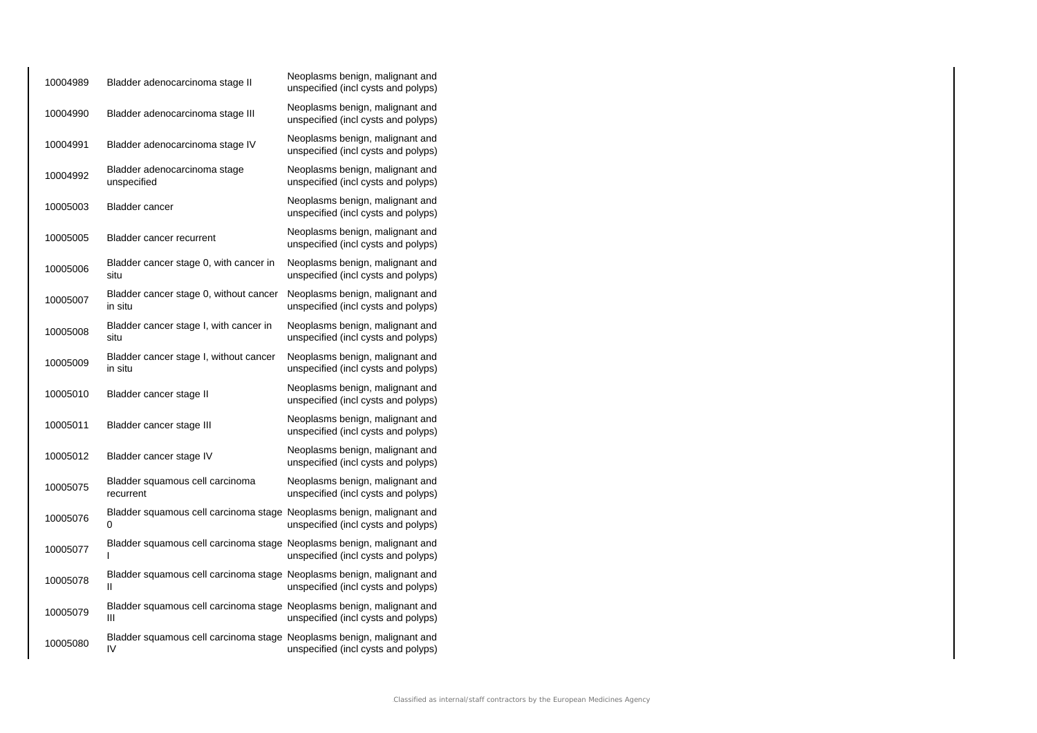| 10004989 | Bladder adenocarcinoma stage II                                             | Neoplasms benign, malignant and<br>unspecified (incl cysts and polyps) |
|----------|-----------------------------------------------------------------------------|------------------------------------------------------------------------|
| 10004990 | Bladder adenocarcinoma stage III                                            | Neoplasms benign, malignant and<br>unspecified (incl cysts and polyps) |
| 10004991 | Bladder adenocarcinoma stage IV                                             | Neoplasms benign, malignant and<br>unspecified (incl cysts and polyps) |
| 10004992 | Bladder adenocarcinoma stage<br>unspecified                                 | Neoplasms benign, malignant and<br>unspecified (incl cysts and polyps) |
| 10005003 | <b>Bladder cancer</b>                                                       | Neoplasms benign, malignant and<br>unspecified (incl cysts and polyps) |
| 10005005 | <b>Bladder cancer recurrent</b>                                             | Neoplasms benign, malignant and<br>unspecified (incl cysts and polyps) |
| 10005006 | Bladder cancer stage 0, with cancer in<br>situ                              | Neoplasms benign, malignant and<br>unspecified (incl cysts and polyps) |
| 10005007 | Bladder cancer stage 0, without cancer<br>in situ                           | Neoplasms benign, malignant and<br>unspecified (incl cysts and polyps) |
| 10005008 | Bladder cancer stage I, with cancer in<br>situ                              | Neoplasms benign, malignant and<br>unspecified (incl cysts and polyps) |
| 10005009 | Bladder cancer stage I, without cancer<br>in situ                           | Neoplasms benign, malignant and<br>unspecified (incl cysts and polyps) |
| 10005010 | Bladder cancer stage II                                                     | Neoplasms benign, malignant and<br>unspecified (incl cysts and polyps) |
| 10005011 | Bladder cancer stage III                                                    | Neoplasms benign, malignant and<br>unspecified (incl cysts and polyps) |
| 10005012 | Bladder cancer stage IV                                                     | Neoplasms benign, malignant and<br>unspecified (incl cysts and polyps) |
| 10005075 | Bladder squamous cell carcinoma<br>recurrent                                | Neoplasms benign, malignant and<br>unspecified (incl cysts and polyps) |
| 10005076 | Bladder squamous cell carcinoma stage Neoplasms benign, malignant and<br>0  | unspecified (incl cysts and polyps)                                    |
| 10005077 | Bladder squamous cell carcinoma stage Neoplasms benign, malignant and       | unspecified (incl cysts and polyps)                                    |
| 10005078 | Bladder squamous cell carcinoma stage Neoplasms benign, malignant and<br>Ш  | unspecified (incl cysts and polyps)                                    |
| 10005079 | Bladder squamous cell carcinoma stage Neoplasms benign, malignant and<br>Ш  | unspecified (incl cysts and polyps)                                    |
| 10005080 | Bladder squamous cell carcinoma stage Neoplasms benign, malignant and<br>IV | unspecified (incl cysts and polyps)                                    |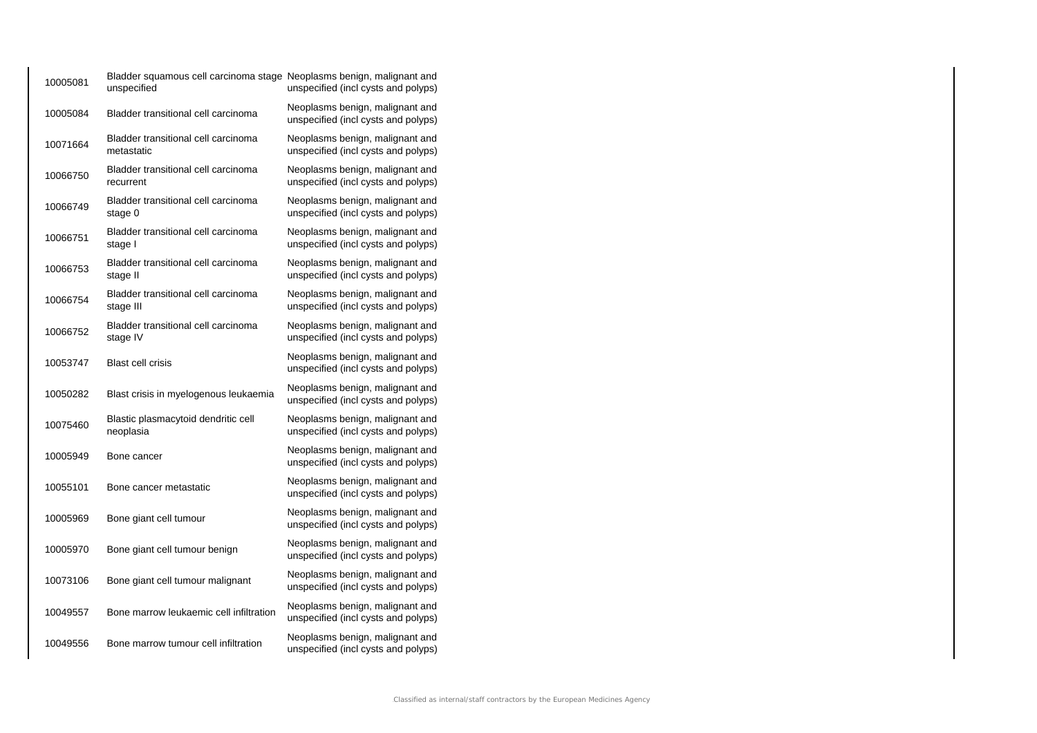| 10005081 | Bladder squamous cell carcinoma stage Neoplasms benign, malignant and<br>unspecified | unspecified (incl cysts and polyps)                                    |
|----------|--------------------------------------------------------------------------------------|------------------------------------------------------------------------|
| 10005084 | Bladder transitional cell carcinoma                                                  | Neoplasms benign, malignant and<br>unspecified (incl cysts and polyps) |
| 10071664 | Bladder transitional cell carcinoma<br>metastatic                                    | Neoplasms benign, malignant and<br>unspecified (incl cysts and polyps) |
| 10066750 | Bladder transitional cell carcinoma<br>recurrent                                     | Neoplasms benign, malignant and<br>unspecified (incl cysts and polyps) |
| 10066749 | Bladder transitional cell carcinoma<br>stage 0                                       | Neoplasms benign, malignant and<br>unspecified (incl cysts and polyps) |
| 10066751 | Bladder transitional cell carcinoma<br>stage I                                       | Neoplasms benign, malignant and<br>unspecified (incl cysts and polyps) |
| 10066753 | Bladder transitional cell carcinoma<br>stage II                                      | Neoplasms benign, malignant and<br>unspecified (incl cysts and polyps) |
| 10066754 | Bladder transitional cell carcinoma<br>stage III                                     | Neoplasms benign, malignant and<br>unspecified (incl cysts and polyps) |
| 10066752 | Bladder transitional cell carcinoma<br>stage IV                                      | Neoplasms benign, malignant and<br>unspecified (incl cysts and polyps) |
| 10053747 | <b>Blast cell crisis</b>                                                             | Neoplasms benign, malignant and<br>unspecified (incl cysts and polyps) |
| 10050282 | Blast crisis in myelogenous leukaemia                                                | Neoplasms benign, malignant and<br>unspecified (incl cysts and polyps) |
| 10075460 | Blastic plasmacytoid dendritic cell<br>neoplasia                                     | Neoplasms benign, malignant and<br>unspecified (incl cysts and polyps) |
| 10005949 | Bone cancer                                                                          | Neoplasms benign, malignant and<br>unspecified (incl cysts and polyps) |
| 10055101 | Bone cancer metastatic                                                               | Neoplasms benign, malignant and<br>unspecified (incl cysts and polyps) |
| 10005969 | Bone giant cell tumour                                                               | Neoplasms benign, malignant and<br>unspecified (incl cysts and polyps) |
| 10005970 | Bone giant cell tumour benign                                                        | Neoplasms benign, malignant and<br>unspecified (incl cysts and polyps) |
| 10073106 | Bone giant cell tumour malignant                                                     | Neoplasms benign, malignant and<br>unspecified (incl cysts and polyps) |
| 10049557 | Bone marrow leukaemic cell infiltration                                              | Neoplasms benign, malignant and<br>unspecified (incl cysts and polyps) |
| 10049556 | Bone marrow tumour cell infiltration                                                 | Neoplasms benign, malignant and<br>unspecified (incl cysts and polyps) |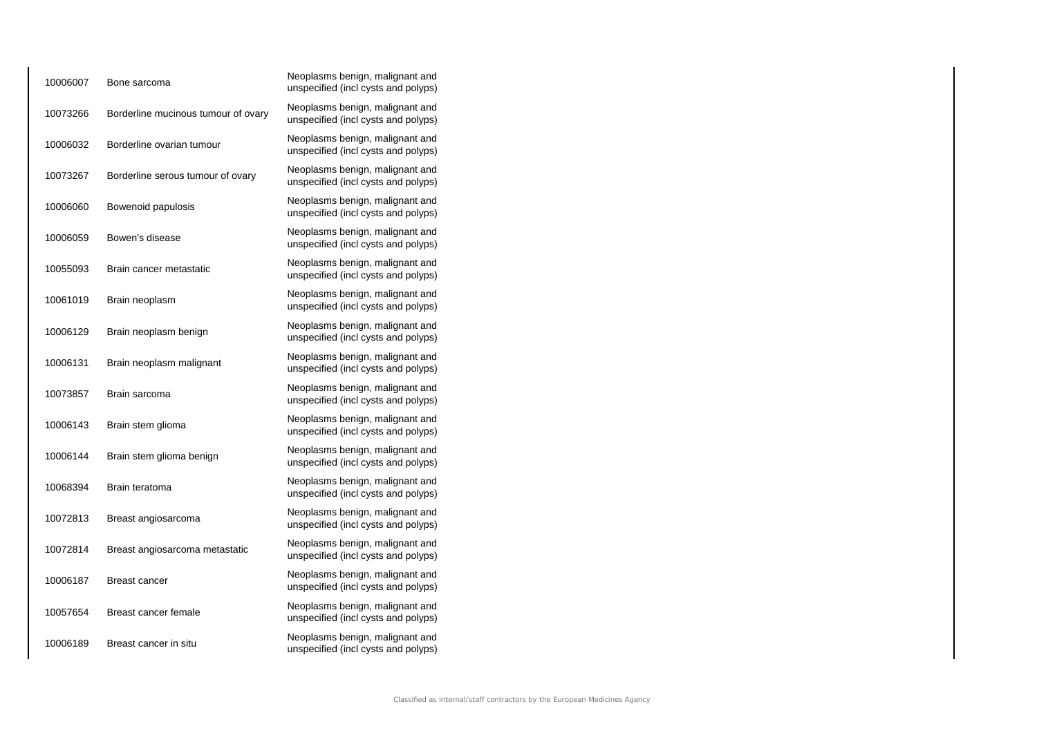| 10006007 | Bone sarcoma                        | Neoplasms benign, malignant and<br>unspecified (incl cysts and polyps) |
|----------|-------------------------------------|------------------------------------------------------------------------|
| 10073266 | Borderline mucinous tumour of ovary | Neoplasms benign, malignant and<br>unspecified (incl cysts and polyps) |
| 10006032 | Borderline ovarian tumour           | Neoplasms benign, malignant and<br>unspecified (incl cysts and polyps) |
| 10073267 | Borderline serous tumour of ovary   | Neoplasms benign, malignant and<br>unspecified (incl cysts and polyps) |
| 10006060 | Bowenoid papulosis                  | Neoplasms benign, malignant and<br>unspecified (incl cysts and polyps) |
| 10006059 | Bowen's disease                     | Neoplasms benign, malignant and<br>unspecified (incl cysts and polyps) |
| 10055093 | Brain cancer metastatic             | Neoplasms benign, malignant and<br>unspecified (incl cysts and polyps) |
| 10061019 | Brain neoplasm                      | Neoplasms benign, malignant and<br>unspecified (incl cysts and polyps) |
| 10006129 | Brain neoplasm benign               | Neoplasms benign, malignant and<br>unspecified (incl cysts and polyps) |
| 10006131 | Brain neoplasm malignant            | Neoplasms benign, malignant and<br>unspecified (incl cysts and polyps) |
| 10073857 | Brain sarcoma                       | Neoplasms benign, malignant and<br>unspecified (incl cysts and polyps) |
| 10006143 | Brain stem glioma                   | Neoplasms benign, malignant and<br>unspecified (incl cysts and polyps) |
| 10006144 | Brain stem glioma benign            | Neoplasms benign, malignant and<br>unspecified (incl cysts and polyps) |
| 10068394 | Brain teratoma                      | Neoplasms benign, malignant and<br>unspecified (incl cysts and polyps) |
| 10072813 | Breast angiosarcoma                 | Neoplasms benign, malignant and<br>unspecified (incl cysts and polyps) |
| 10072814 | Breast angiosarcoma metastatic      | Neoplasms benign, malignant and<br>unspecified (incl cysts and polyps) |
| 10006187 | Breast cancer                       | Neoplasms benign, malignant and<br>unspecified (incl cysts and polyps) |
| 10057654 | Breast cancer female                | Neoplasms benign, malignant and<br>unspecified (incl cysts and polyps) |
| 10006189 | Breast cancer in situ               | Neoplasms benign, malignant and<br>unspecified (incl cysts and polyps) |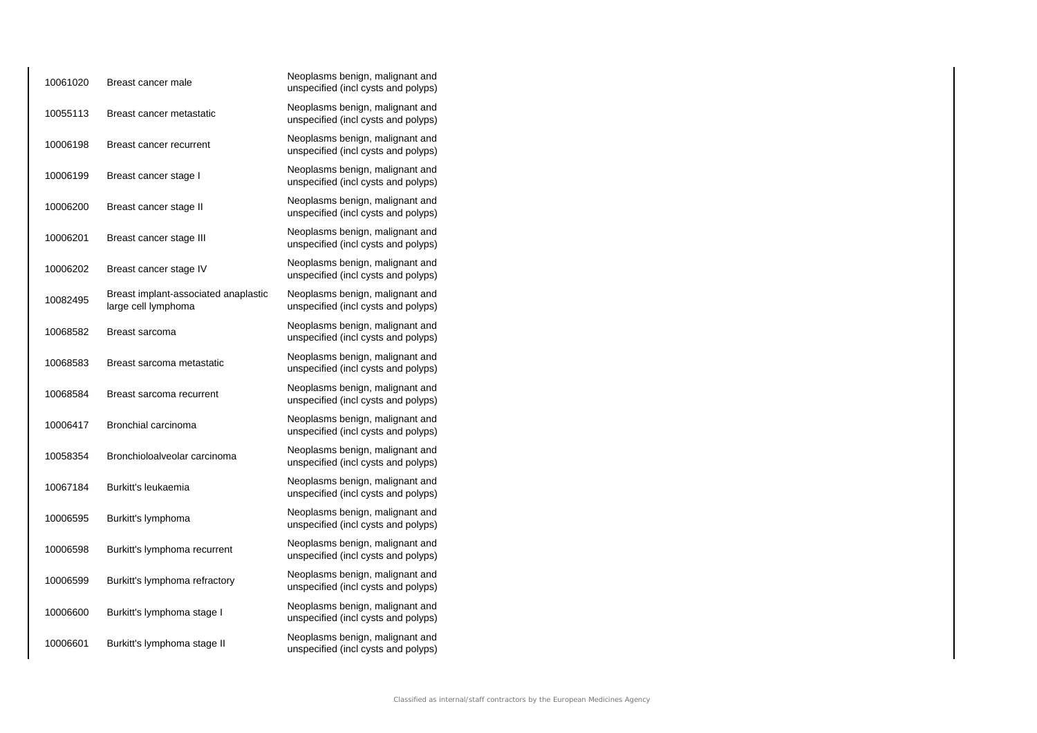| 10061020 | Breast cancer male                                          | Neoplasms benign, malignant and<br>unspecified (incl cysts and polyps) |
|----------|-------------------------------------------------------------|------------------------------------------------------------------------|
| 10055113 | Breast cancer metastatic                                    | Neoplasms benign, malignant and<br>unspecified (incl cysts and polyps) |
| 10006198 | Breast cancer recurrent                                     | Neoplasms benign, malignant and<br>unspecified (incl cysts and polyps) |
| 10006199 | Breast cancer stage I                                       | Neoplasms benign, malignant and<br>unspecified (incl cysts and polyps) |
| 10006200 | Breast cancer stage II                                      | Neoplasms benign, malignant and<br>unspecified (incl cysts and polyps) |
| 10006201 | Breast cancer stage III                                     | Neoplasms benign, malignant and<br>unspecified (incl cysts and polyps) |
| 10006202 | Breast cancer stage IV                                      | Neoplasms benign, malignant and<br>unspecified (incl cysts and polyps) |
| 10082495 | Breast implant-associated anaplastic<br>large cell lymphoma | Neoplasms benign, malignant and<br>unspecified (incl cysts and polyps) |
| 10068582 | Breast sarcoma                                              | Neoplasms benign, malignant and<br>unspecified (incl cysts and polyps) |
| 10068583 | Breast sarcoma metastatic                                   | Neoplasms benign, malignant and<br>unspecified (incl cysts and polyps) |
| 10068584 | Breast sarcoma recurrent                                    | Neoplasms benign, malignant and<br>unspecified (incl cysts and polyps) |
| 10006417 | Bronchial carcinoma                                         | Neoplasms benign, malignant and<br>unspecified (incl cysts and polyps) |
| 10058354 | Bronchioloalveolar carcinoma                                | Neoplasms benign, malignant and<br>unspecified (incl cysts and polyps) |
| 10067184 | Burkitt's leukaemia                                         | Neoplasms benign, malignant and<br>unspecified (incl cysts and polyps) |
| 10006595 | Burkitt's lymphoma                                          | Neoplasms benign, malignant and<br>unspecified (incl cysts and polyps) |
| 10006598 | Burkitt's lymphoma recurrent                                | Neoplasms benign, malignant and<br>unspecified (incl cysts and polyps) |
| 10006599 | Burkitt's lymphoma refractory                               | Neoplasms benign, malignant and<br>unspecified (incl cysts and polyps) |
| 10006600 | Burkitt's lymphoma stage I                                  | Neoplasms benign, malignant and<br>unspecified (incl cysts and polyps) |
| 10006601 | Burkitt's lymphoma stage II                                 | Neoplasms benign, malignant and<br>unspecified (incl cysts and polyps) |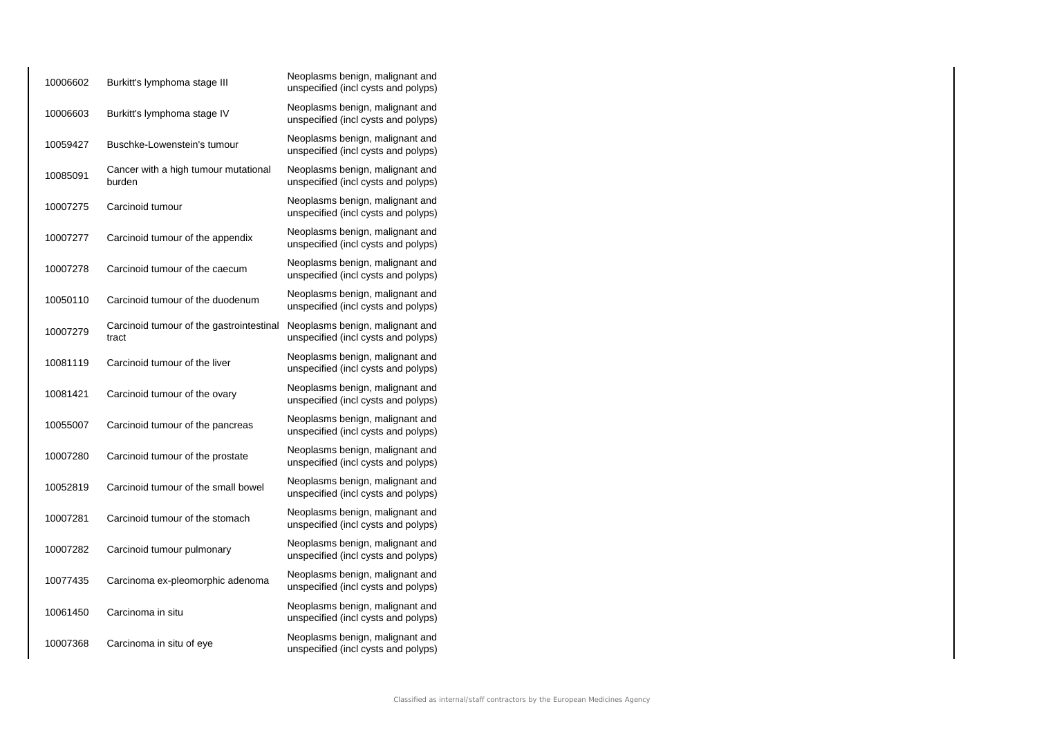| 10006602 | Burkitt's lymphoma stage III                      | Neoplasms benign, malignant and<br>unspecified (incl cysts and polyps) |
|----------|---------------------------------------------------|------------------------------------------------------------------------|
| 10006603 | Burkitt's lymphoma stage IV                       | Neoplasms benign, malignant and<br>unspecified (incl cysts and polyps) |
| 10059427 | Buschke-Lowenstein's tumour                       | Neoplasms benign, malignant and<br>unspecified (incl cysts and polyps) |
| 10085091 | Cancer with a high tumour mutational<br>burden    | Neoplasms benign, malignant and<br>unspecified (incl cysts and polyps) |
| 10007275 | Carcinoid tumour                                  | Neoplasms benign, malignant and<br>unspecified (incl cysts and polyps) |
| 10007277 | Carcinoid tumour of the appendix                  | Neoplasms benign, malignant and<br>unspecified (incl cysts and polyps) |
| 10007278 | Carcinoid tumour of the caecum                    | Neoplasms benign, malignant and<br>unspecified (incl cysts and polyps) |
| 10050110 | Carcinoid tumour of the duodenum                  | Neoplasms benign, malignant and<br>unspecified (incl cysts and polyps) |
| 10007279 | Carcinoid tumour of the gastrointestinal<br>tract | Neoplasms benign, malignant and<br>unspecified (incl cysts and polyps) |
| 10081119 | Carcinoid tumour of the liver                     | Neoplasms benign, malignant and<br>unspecified (incl cysts and polyps) |
| 10081421 | Carcinoid tumour of the ovary                     | Neoplasms benign, malignant and<br>unspecified (incl cysts and polyps) |
| 10055007 | Carcinoid tumour of the pancreas                  | Neoplasms benign, malignant and<br>unspecified (incl cysts and polyps) |
| 10007280 | Carcinoid tumour of the prostate                  | Neoplasms benign, malignant and<br>unspecified (incl cysts and polyps) |
| 10052819 | Carcinoid tumour of the small bowel               | Neoplasms benign, malignant and<br>unspecified (incl cysts and polyps) |
| 10007281 | Carcinoid tumour of the stomach                   | Neoplasms benign, malignant and<br>unspecified (incl cysts and polyps) |
| 10007282 | Carcinoid tumour pulmonary                        | Neoplasms benign, malignant and<br>unspecified (incl cysts and polyps) |
| 10077435 | Carcinoma ex-pleomorphic adenoma                  | Neoplasms benign, malignant and<br>unspecified (incl cysts and polyps) |
| 10061450 | Carcinoma in situ                                 | Neoplasms benign, malignant and<br>unspecified (incl cysts and polyps) |
| 10007368 | Carcinoma in situ of eye                          | Neoplasms benign, malignant and<br>unspecified (incl cysts and polyps) |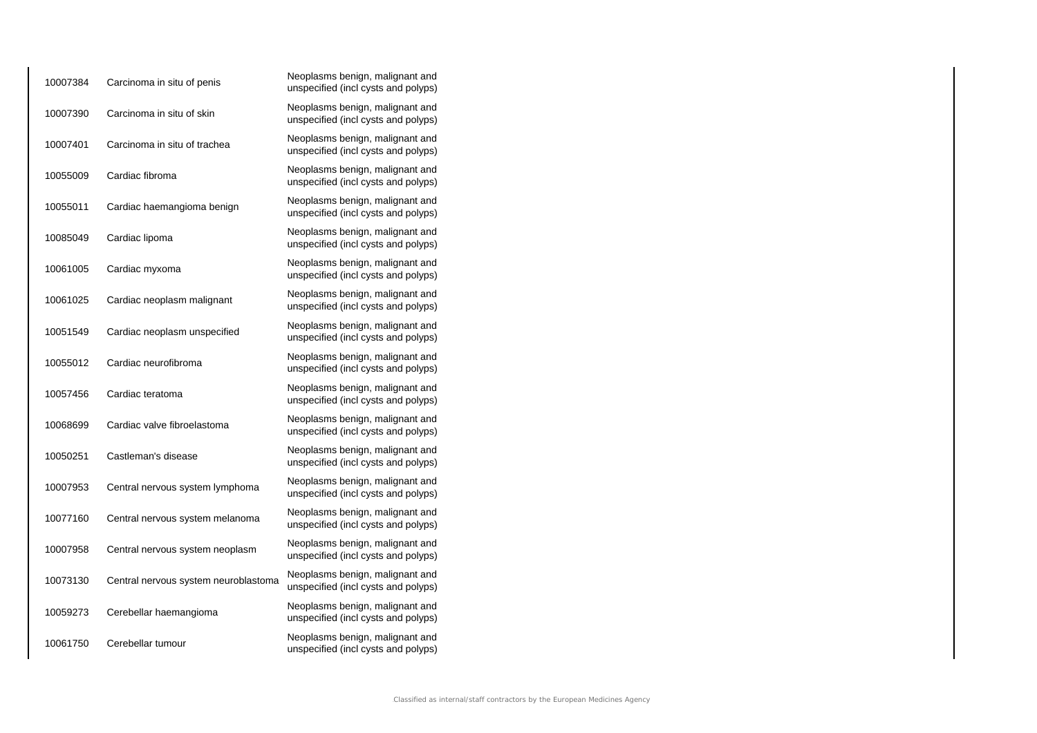| 10007384 | Carcinoma in situ of penis           | Neoplasms benign, malignant and<br>unspecified (incl cysts and polyps) |
|----------|--------------------------------------|------------------------------------------------------------------------|
| 10007390 | Carcinoma in situ of skin            | Neoplasms benign, malignant and<br>unspecified (incl cysts and polyps) |
| 10007401 | Carcinoma in situ of trachea         | Neoplasms benign, malignant and<br>unspecified (incl cysts and polyps) |
| 10055009 | Cardiac fibroma                      | Neoplasms benign, malignant and<br>unspecified (incl cysts and polyps) |
| 10055011 | Cardiac haemangioma benign           | Neoplasms benign, malignant and<br>unspecified (incl cysts and polyps) |
| 10085049 | Cardiac lipoma                       | Neoplasms benign, malignant and<br>unspecified (incl cysts and polyps) |
| 10061005 | Cardiac myxoma                       | Neoplasms benign, malignant and<br>unspecified (incl cysts and polyps) |
| 10061025 | Cardiac neoplasm malignant           | Neoplasms benign, malignant and<br>unspecified (incl cysts and polyps) |
| 10051549 | Cardiac neoplasm unspecified         | Neoplasms benign, malignant and<br>unspecified (incl cysts and polyps) |
| 10055012 | Cardiac neurofibroma                 | Neoplasms benign, malignant and<br>unspecified (incl cysts and polyps) |
| 10057456 | Cardiac teratoma                     | Neoplasms benign, malignant and<br>unspecified (incl cysts and polyps) |
| 10068699 | Cardiac valve fibroelastoma          | Neoplasms benign, malignant and<br>unspecified (incl cysts and polyps) |
| 10050251 | Castleman's disease                  | Neoplasms benign, malignant and<br>unspecified (incl cysts and polyps) |
| 10007953 | Central nervous system lymphoma      | Neoplasms benign, malignant and<br>unspecified (incl cysts and polyps) |
| 10077160 | Central nervous system melanoma      | Neoplasms benign, malignant and<br>unspecified (incl cysts and polyps) |
| 10007958 | Central nervous system neoplasm      | Neoplasms benign, malignant and<br>unspecified (incl cysts and polyps) |
| 10073130 | Central nervous system neuroblastoma | Neoplasms benign, malignant and<br>unspecified (incl cysts and polyps) |
| 10059273 | Cerebellar haemangioma               | Neoplasms benign, malignant and<br>unspecified (incl cysts and polyps) |
| 10061750 | Cerebellar tumour                    | Neoplasms benign, malignant and<br>unspecified (incl cysts and polyps) |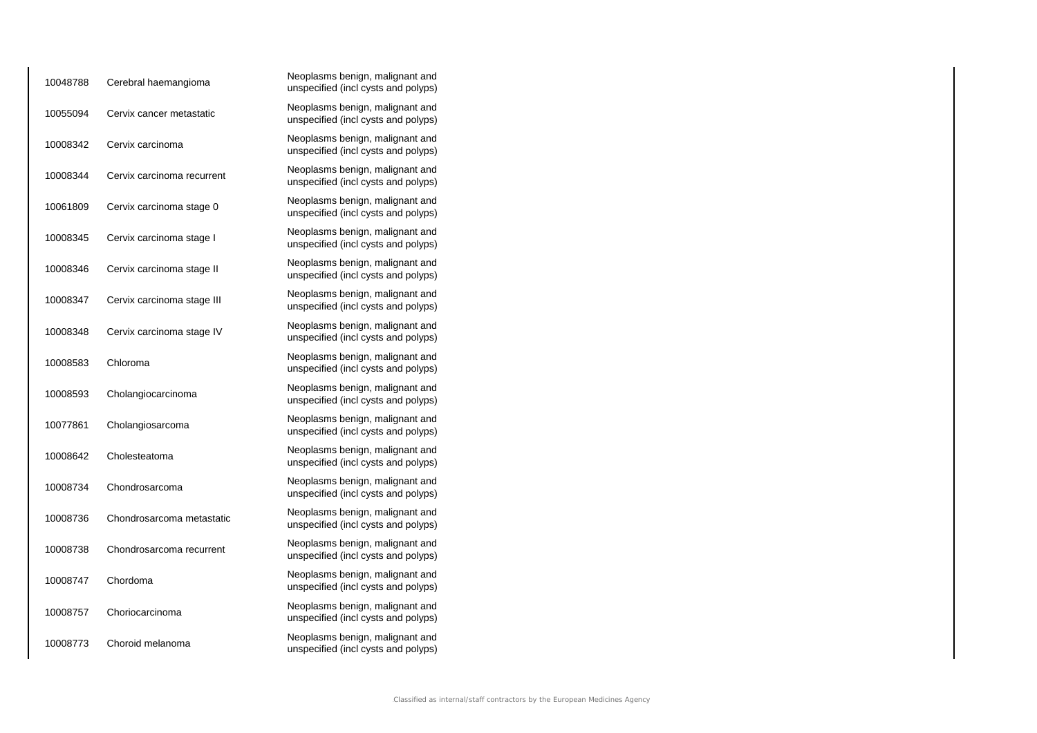| 10048788 | Cerebral haemangioma       | Neoplasms benign, malignant and<br>unspecified (incl cysts and polyps) |
|----------|----------------------------|------------------------------------------------------------------------|
| 10055094 | Cervix cancer metastatic   | Neoplasms benign, malignant and<br>unspecified (incl cysts and polyps) |
| 10008342 | Cervix carcinoma           | Neoplasms benign, malignant and<br>unspecified (incl cysts and polyps) |
| 10008344 | Cervix carcinoma recurrent | Neoplasms benign, malignant and<br>unspecified (incl cysts and polyps) |
| 10061809 | Cervix carcinoma stage 0   | Neoplasms benign, malignant and<br>unspecified (incl cysts and polyps) |
| 10008345 | Cervix carcinoma stage I   | Neoplasms benign, malignant and<br>unspecified (incl cysts and polyps) |
| 10008346 | Cervix carcinoma stage II  | Neoplasms benign, malignant and<br>unspecified (incl cysts and polyps) |
| 10008347 | Cervix carcinoma stage III | Neoplasms benign, malignant and<br>unspecified (incl cysts and polyps) |
| 10008348 | Cervix carcinoma stage IV  | Neoplasms benign, malignant and<br>unspecified (incl cysts and polyps) |
| 10008583 | Chloroma                   | Neoplasms benign, malignant and<br>unspecified (incl cysts and polyps) |
| 10008593 | Cholangiocarcinoma         | Neoplasms benign, malignant and<br>unspecified (incl cysts and polyps) |
| 10077861 | Cholangiosarcoma           | Neoplasms benign, malignant and<br>unspecified (incl cysts and polyps) |
| 10008642 | Cholesteatoma              | Neoplasms benign, malignant and<br>unspecified (incl cysts and polyps) |
| 10008734 | Chondrosarcoma             | Neoplasms benign, malignant and<br>unspecified (incl cysts and polyps) |
| 10008736 | Chondrosarcoma metastatic  | Neoplasms benign, malignant and<br>unspecified (incl cysts and polyps) |
| 10008738 | Chondrosarcoma recurrent   | Neoplasms benign, malignant and<br>unspecified (incl cysts and polyps) |
| 10008747 | Chordoma                   | Neoplasms benign, malignant and<br>unspecified (incl cysts and polyps) |
| 10008757 | Choriocarcinoma            | Neoplasms benign, malignant and<br>unspecified (incl cysts and polyps) |
| 10008773 | Choroid melanoma           | Neoplasms benign, malignant and<br>unspecified (incl cysts and polyps) |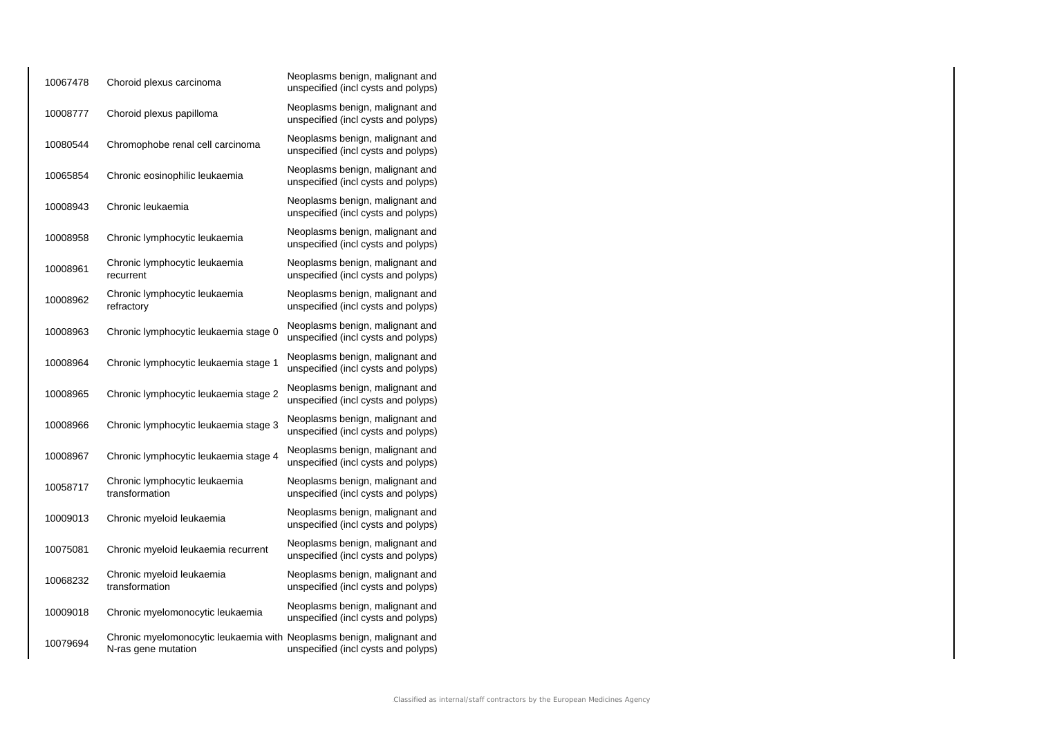| 10067478 | Choroid plexus carcinoma                                                                     | Neoplasms benign, malignant and<br>unspecified (incl cysts and polyps) |
|----------|----------------------------------------------------------------------------------------------|------------------------------------------------------------------------|
| 10008777 | Choroid plexus papilloma                                                                     | Neoplasms benign, malignant and<br>unspecified (incl cysts and polyps) |
| 10080544 | Chromophobe renal cell carcinoma                                                             | Neoplasms benign, malignant and<br>unspecified (incl cysts and polyps) |
| 10065854 | Chronic eosinophilic leukaemia                                                               | Neoplasms benign, malignant and<br>unspecified (incl cysts and polyps) |
| 10008943 | Chronic leukaemia                                                                            | Neoplasms benign, malignant and<br>unspecified (incl cysts and polyps) |
| 10008958 | Chronic lymphocytic leukaemia                                                                | Neoplasms benign, malignant and<br>unspecified (incl cysts and polyps) |
| 10008961 | Chronic lymphocytic leukaemia<br>recurrent                                                   | Neoplasms benign, malignant and<br>unspecified (incl cysts and polyps) |
| 10008962 | Chronic lymphocytic leukaemia<br>refractory                                                  | Neoplasms benign, malignant and<br>unspecified (incl cysts and polyps) |
| 10008963 | Chronic lymphocytic leukaemia stage 0                                                        | Neoplasms benign, malignant and<br>unspecified (incl cysts and polyps) |
| 10008964 | Chronic lymphocytic leukaemia stage 1                                                        | Neoplasms benign, malignant and<br>unspecified (incl cysts and polyps) |
| 10008965 | Chronic lymphocytic leukaemia stage 2                                                        | Neoplasms benign, malignant and<br>unspecified (incl cysts and polyps) |
| 10008966 | Chronic lymphocytic leukaemia stage 3                                                        | Neoplasms benign, malignant and<br>unspecified (incl cysts and polyps) |
| 10008967 | Chronic lymphocytic leukaemia stage 4                                                        | Neoplasms benign, malignant and<br>unspecified (incl cysts and polyps) |
| 10058717 | Chronic lymphocytic leukaemia<br>transformation                                              | Neoplasms benign, malignant and<br>unspecified (incl cysts and polyps) |
| 10009013 | Chronic myeloid leukaemia                                                                    | Neoplasms benign, malignant and<br>unspecified (incl cysts and polyps) |
| 10075081 | Chronic myeloid leukaemia recurrent                                                          | Neoplasms benign, malignant and<br>unspecified (incl cysts and polyps) |
| 10068232 | Chronic myeloid leukaemia<br>transformation                                                  | Neoplasms benign, malignant and<br>unspecified (incl cysts and polyps) |
| 10009018 | Chronic myelomonocytic leukaemia                                                             | Neoplasms benign, malignant and<br>unspecified (incl cysts and polyps) |
| 10079694 | Chronic myelomonocytic leukaemia with Neoplasms benign, malignant and<br>N-ras gene mutation | unspecified (incl cysts and polyps)                                    |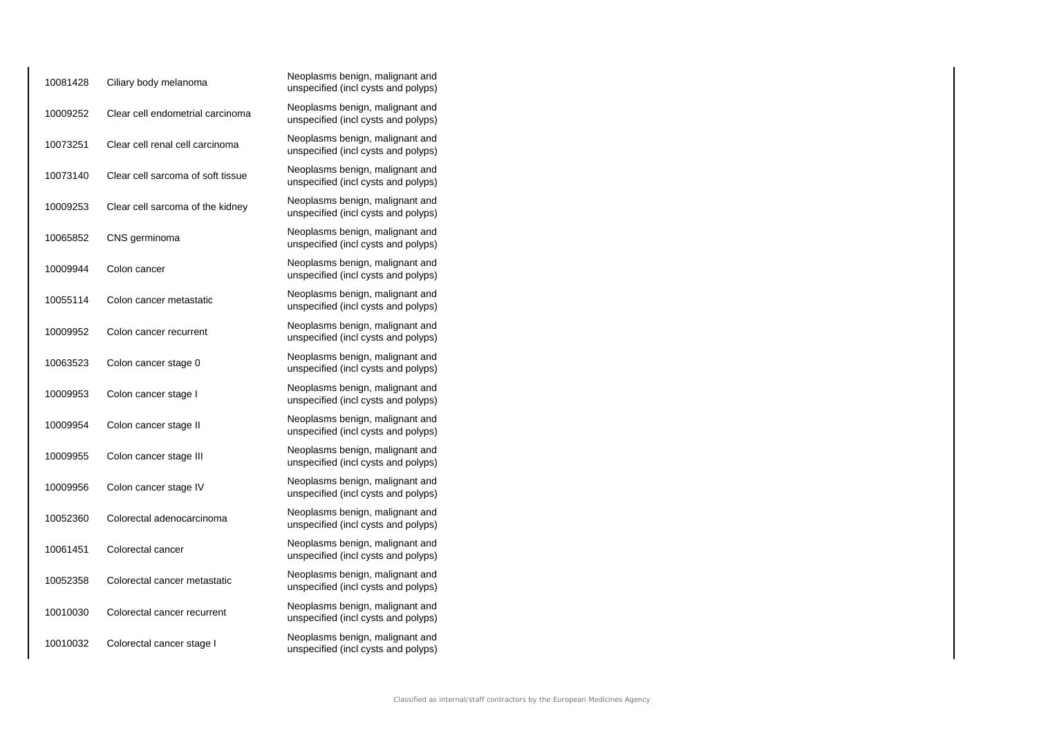| 10081428 | Ciliary body melanoma             | Neoplasms benign, malignant and<br>unspecified (incl cysts and polyps) |
|----------|-----------------------------------|------------------------------------------------------------------------|
| 10009252 | Clear cell endometrial carcinoma  | Neoplasms benign, malignant and<br>unspecified (incl cysts and polyps) |
| 10073251 | Clear cell renal cell carcinoma   | Neoplasms benign, malignant and<br>unspecified (incl cysts and polyps) |
| 10073140 | Clear cell sarcoma of soft tissue | Neoplasms benign, malignant and<br>unspecified (incl cysts and polyps) |
| 10009253 | Clear cell sarcoma of the kidney  | Neoplasms benign, malignant and<br>unspecified (incl cysts and polyps) |
| 10065852 | CNS germinoma                     | Neoplasms benign, malignant and<br>unspecified (incl cysts and polyps) |
| 10009944 | Colon cancer                      | Neoplasms benign, malignant and<br>unspecified (incl cysts and polyps) |
| 10055114 | Colon cancer metastatic           | Neoplasms benign, malignant and<br>unspecified (incl cysts and polyps) |
| 10009952 | Colon cancer recurrent            | Neoplasms benign, malignant and<br>unspecified (incl cysts and polyps) |
| 10063523 | Colon cancer stage 0              | Neoplasms benign, malignant and<br>unspecified (incl cysts and polyps) |
| 10009953 | Colon cancer stage I              | Neoplasms benign, malignant and<br>unspecified (incl cysts and polyps) |
| 10009954 | Colon cancer stage II             | Neoplasms benign, malignant and<br>unspecified (incl cysts and polyps) |
| 10009955 | Colon cancer stage III            | Neoplasms benign, malignant and<br>unspecified (incl cysts and polyps) |
| 10009956 | Colon cancer stage IV             | Neoplasms benign, malignant and<br>unspecified (incl cysts and polyps) |
| 10052360 | Colorectal adenocarcinoma         | Neoplasms benign, malignant and<br>unspecified (incl cysts and polyps) |
| 10061451 | Colorectal cancer                 | Neoplasms benign, malignant and<br>unspecified (incl cysts and polyps) |
| 10052358 | Colorectal cancer metastatic      | Neoplasms benign, malignant and<br>unspecified (incl cysts and polyps) |
| 10010030 | Colorectal cancer recurrent       | Neoplasms benign, malignant and<br>unspecified (incl cysts and polyps) |
| 10010032 | Colorectal cancer stage I         | Neoplasms benign, malignant and<br>unspecified (incl cysts and polyps) |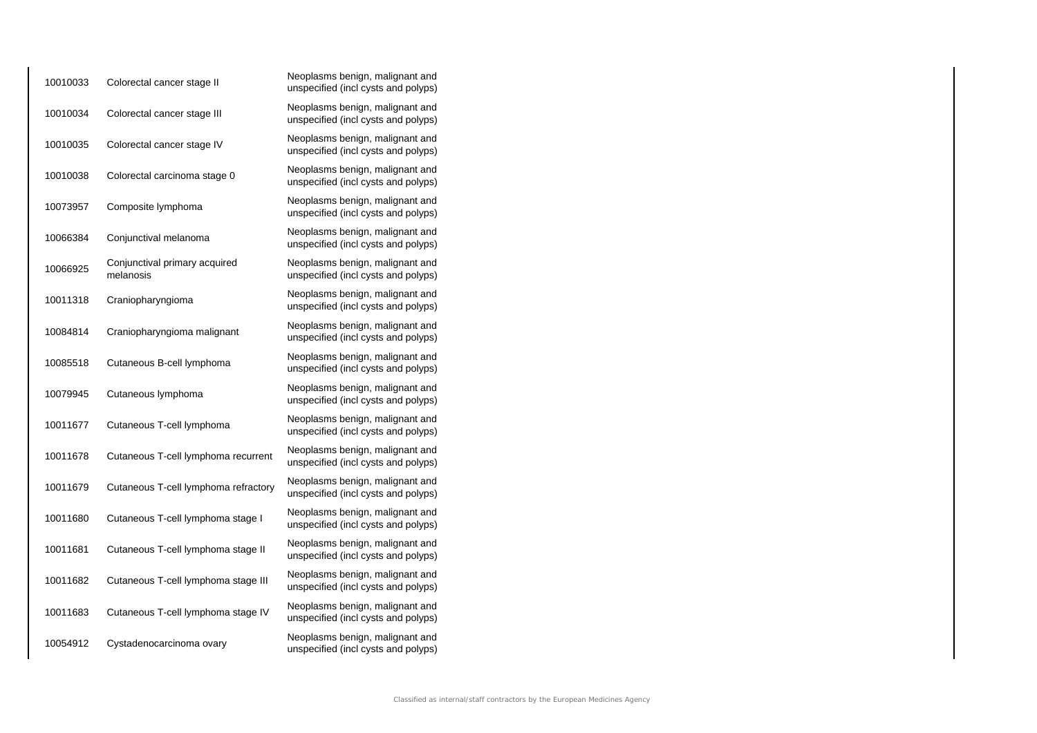| 10010033 | Colorectal cancer stage II                 | Neoplasms benign, malignant and<br>unspecified (incl cysts and polyps) |
|----------|--------------------------------------------|------------------------------------------------------------------------|
| 10010034 | Colorectal cancer stage III                | Neoplasms benign, malignant and<br>unspecified (incl cysts and polyps) |
| 10010035 | Colorectal cancer stage IV                 | Neoplasms benign, malignant and<br>unspecified (incl cysts and polyps) |
| 10010038 | Colorectal carcinoma stage 0               | Neoplasms benign, malignant and<br>unspecified (incl cysts and polyps) |
| 10073957 | Composite lymphoma                         | Neoplasms benign, malignant and<br>unspecified (incl cysts and polyps) |
| 10066384 | Conjunctival melanoma                      | Neoplasms benign, malignant and<br>unspecified (incl cysts and polyps) |
| 10066925 | Conjunctival primary acquired<br>melanosis | Neoplasms benign, malignant and<br>unspecified (incl cysts and polyps) |
| 10011318 | Craniopharyngioma                          | Neoplasms benign, malignant and<br>unspecified (incl cysts and polyps) |
| 10084814 | Craniopharyngioma malignant                | Neoplasms benign, malignant and<br>unspecified (incl cysts and polyps) |
| 10085518 | Cutaneous B-cell lymphoma                  | Neoplasms benign, malignant and<br>unspecified (incl cysts and polyps) |
| 10079945 | Cutaneous lymphoma                         | Neoplasms benign, malignant and<br>unspecified (incl cysts and polyps) |
| 10011677 | Cutaneous T-cell lymphoma                  | Neoplasms benign, malignant and<br>unspecified (incl cysts and polyps) |
| 10011678 | Cutaneous T-cell lymphoma recurrent        | Neoplasms benign, malignant and<br>unspecified (incl cysts and polyps) |
| 10011679 | Cutaneous T-cell lymphoma refractory       | Neoplasms benign, malignant and<br>unspecified (incl cysts and polyps) |
| 10011680 | Cutaneous T-cell lymphoma stage I          | Neoplasms benign, malignant and<br>unspecified (incl cysts and polyps) |
| 10011681 | Cutaneous T-cell lymphoma stage II         | Neoplasms benign, malignant and<br>unspecified (incl cysts and polyps) |
| 10011682 | Cutaneous T-cell lymphoma stage III        | Neoplasms benign, malignant and<br>unspecified (incl cysts and polyps) |
| 10011683 | Cutaneous T-cell lymphoma stage IV         | Neoplasms benign, malignant and<br>unspecified (incl cysts and polyps) |
| 10054912 | Cystadenocarcinoma ovary                   | Neoplasms benign, malignant and<br>unspecified (incl cysts and polyps) |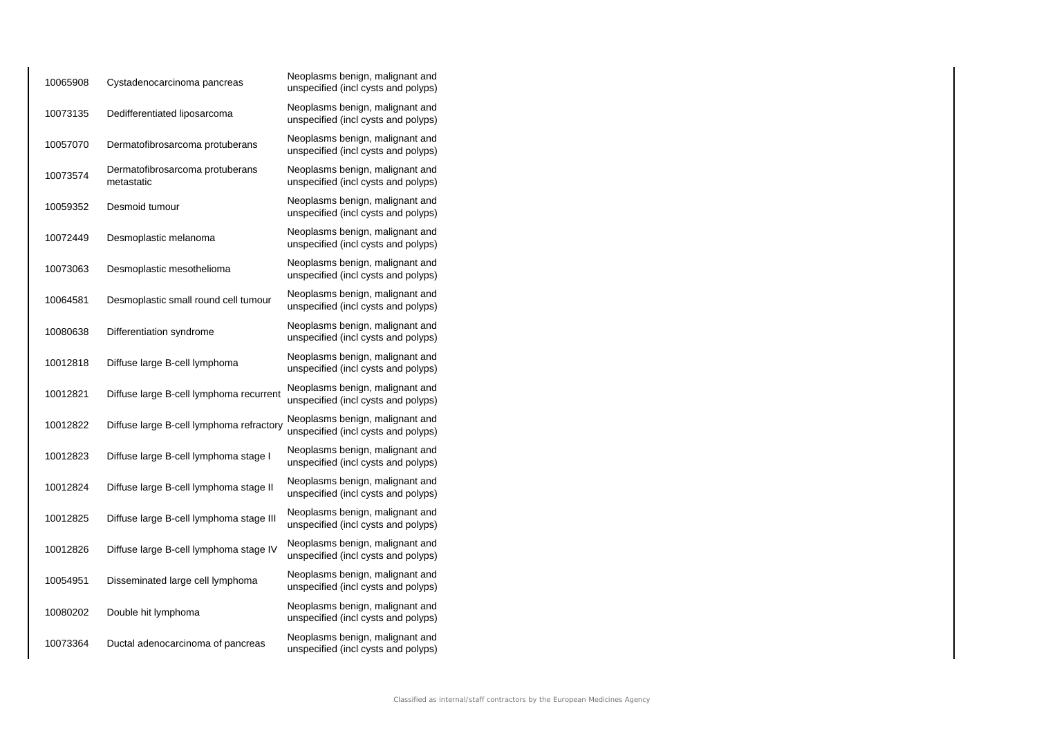| 10065908 | Cystadenocarcinoma pancreas                   | Neoplasms benign, malignant and<br>unspecified (incl cysts and polyps) |
|----------|-----------------------------------------------|------------------------------------------------------------------------|
| 10073135 | Dedifferentiated liposarcoma                  | Neoplasms benign, malignant and<br>unspecified (incl cysts and polyps) |
| 10057070 | Dermatofibrosarcoma protuberans               | Neoplasms benign, malignant and<br>unspecified (incl cysts and polyps) |
| 10073574 | Dermatofibrosarcoma protuberans<br>metastatic | Neoplasms benign, malignant and<br>unspecified (incl cysts and polyps) |
| 10059352 | Desmoid tumour                                | Neoplasms benign, malignant and<br>unspecified (incl cysts and polyps) |
| 10072449 | Desmoplastic melanoma                         | Neoplasms benign, malignant and<br>unspecified (incl cysts and polyps) |
| 10073063 | Desmoplastic mesothelioma                     | Neoplasms benign, malignant and<br>unspecified (incl cysts and polyps) |
| 10064581 | Desmoplastic small round cell tumour          | Neoplasms benign, malignant and<br>unspecified (incl cysts and polyps) |
| 10080638 | Differentiation syndrome                      | Neoplasms benign, malignant and<br>unspecified (incl cysts and polyps) |
| 10012818 | Diffuse large B-cell lymphoma                 | Neoplasms benign, malignant and<br>unspecified (incl cysts and polyps) |
| 10012821 | Diffuse large B-cell lymphoma recurrent       | Neoplasms benign, malignant and<br>unspecified (incl cysts and polyps) |
| 10012822 | Diffuse large B-cell lymphoma refractory      | Neoplasms benign, malignant and<br>unspecified (incl cysts and polyps) |
| 10012823 | Diffuse large B-cell lymphoma stage I         | Neoplasms benign, malignant and<br>unspecified (incl cysts and polyps) |
| 10012824 | Diffuse large B-cell lymphoma stage II        | Neoplasms benign, malignant and<br>unspecified (incl cysts and polyps) |
| 10012825 | Diffuse large B-cell lymphoma stage III       | Neoplasms benign, malignant and<br>unspecified (incl cysts and polyps) |
| 10012826 | Diffuse large B-cell lymphoma stage IV        | Neoplasms benign, malignant and<br>unspecified (incl cysts and polyps) |
| 10054951 | Disseminated large cell lymphoma              | Neoplasms benign, malignant and<br>unspecified (incl cysts and polyps) |
| 10080202 | Double hit lymphoma                           | Neoplasms benign, malignant and<br>unspecified (incl cysts and polyps) |
| 10073364 | Ductal adenocarcinoma of pancreas             | Neoplasms benign, malignant and<br>unspecified (incl cysts and polyps) |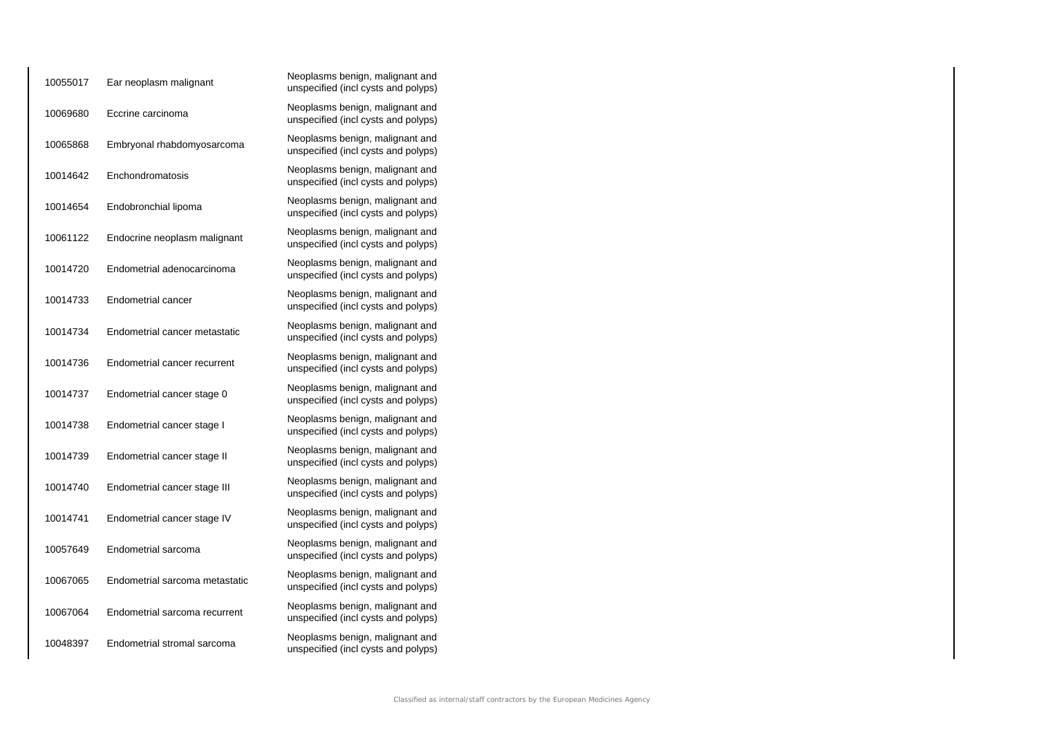| 10055017 | Ear neoplasm malignant         | Neoplasms benign, malignant and<br>unspecified (incl cysts and polyps) |
|----------|--------------------------------|------------------------------------------------------------------------|
| 10069680 | Eccrine carcinoma              | Neoplasms benign, malignant and<br>unspecified (incl cysts and polyps) |
| 10065868 | Embryonal rhabdomyosarcoma     | Neoplasms benign, malignant and<br>unspecified (incl cysts and polyps) |
| 10014642 | Enchondromatosis               | Neoplasms benign, malignant and<br>unspecified (incl cysts and polyps) |
| 10014654 | Endobronchial lipoma           | Neoplasms benign, malignant and<br>unspecified (incl cysts and polyps) |
| 10061122 | Endocrine neoplasm malignant   | Neoplasms benign, malignant and<br>unspecified (incl cysts and polyps) |
| 10014720 | Endometrial adenocarcinoma     | Neoplasms benign, malignant and<br>unspecified (incl cysts and polyps) |
| 10014733 | <b>Endometrial cancer</b>      | Neoplasms benign, malignant and<br>unspecified (incl cysts and polyps) |
| 10014734 | Endometrial cancer metastatic  | Neoplasms benign, malignant and<br>unspecified (incl cysts and polyps) |
| 10014736 | Endometrial cancer recurrent   | Neoplasms benign, malignant and<br>unspecified (incl cysts and polyps) |
| 10014737 | Endometrial cancer stage 0     | Neoplasms benign, malignant and<br>unspecified (incl cysts and polyps) |
| 10014738 | Endometrial cancer stage I     | Neoplasms benign, malignant and<br>unspecified (incl cysts and polyps) |
| 10014739 | Endometrial cancer stage II    | Neoplasms benign, malignant and<br>unspecified (incl cysts and polyps) |
| 10014740 | Endometrial cancer stage III   | Neoplasms benign, malignant and<br>unspecified (incl cysts and polyps) |
| 10014741 | Endometrial cancer stage IV    | Neoplasms benign, malignant and<br>unspecified (incl cysts and polyps) |
| 10057649 | Endometrial sarcoma            | Neoplasms benign, malignant and<br>unspecified (incl cysts and polyps) |
| 10067065 | Endometrial sarcoma metastatic | Neoplasms benign, malignant and<br>unspecified (incl cysts and polyps) |
| 10067064 | Endometrial sarcoma recurrent  | Neoplasms benign, malignant and<br>unspecified (incl cysts and polyps) |
| 10048397 | Endometrial stromal sarcoma    | Neoplasms benign, malignant and<br>unspecified (incl cysts and polyps) |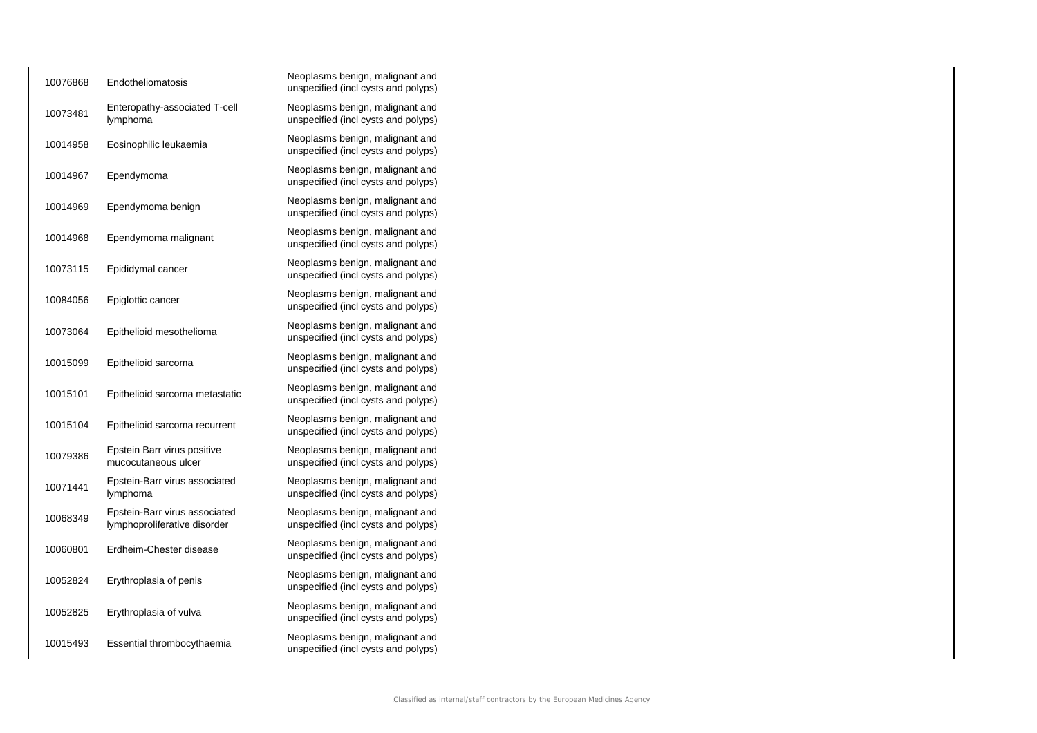| 10076868 | Endotheliomatosis                                             | Neoplasms benign, malignant and<br>unspecified (incl cysts and polyps) |
|----------|---------------------------------------------------------------|------------------------------------------------------------------------|
| 10073481 | Enteropathy-associated T-cell<br>lymphoma                     | Neoplasms benign, malignant and<br>unspecified (incl cysts and polyps) |
| 10014958 | Eosinophilic leukaemia                                        | Neoplasms benign, malignant and<br>unspecified (incl cysts and polyps) |
| 10014967 | Ependymoma                                                    | Neoplasms benign, malignant and<br>unspecified (incl cysts and polyps) |
| 10014969 | Ependymoma benign                                             | Neoplasms benign, malignant and<br>unspecified (incl cysts and polyps) |
| 10014968 | Ependymoma malignant                                          | Neoplasms benign, malignant and<br>unspecified (incl cysts and polyps) |
| 10073115 | Epididymal cancer                                             | Neoplasms benign, malignant and<br>unspecified (incl cysts and polyps) |
| 10084056 | Epiglottic cancer                                             | Neoplasms benign, malignant and<br>unspecified (incl cysts and polyps) |
| 10073064 | Epithelioid mesothelioma                                      | Neoplasms benign, malignant and<br>unspecified (incl cysts and polyps) |
| 10015099 | Epithelioid sarcoma                                           | Neoplasms benign, malignant and<br>unspecified (incl cysts and polyps) |
| 10015101 | Epithelioid sarcoma metastatic                                | Neoplasms benign, malignant and<br>unspecified (incl cysts and polyps) |
| 10015104 | Epithelioid sarcoma recurrent                                 | Neoplasms benign, malignant and<br>unspecified (incl cysts and polyps) |
| 10079386 | Epstein Barr virus positive<br>mucocutaneous ulcer            | Neoplasms benign, malignant and<br>unspecified (incl cysts and polyps) |
| 10071441 | Epstein-Barr virus associated<br>lymphoma                     | Neoplasms benign, malignant and<br>unspecified (incl cysts and polyps) |
| 10068349 | Epstein-Barr virus associated<br>lymphoproliferative disorder | Neoplasms benign, malignant and<br>unspecified (incl cysts and polyps) |
| 10060801 | Erdheim-Chester disease                                       | Neoplasms benign, malignant and<br>unspecified (incl cysts and polyps) |
| 10052824 | Erythroplasia of penis                                        | Neoplasms benign, malignant and<br>unspecified (incl cysts and polyps) |
| 10052825 | Erythroplasia of vulva                                        | Neoplasms benign, malignant and<br>unspecified (incl cysts and polyps) |
| 10015493 | Essential thrombocythaemia                                    | Neoplasms benign, malignant and<br>unspecified (incl cysts and polyps) |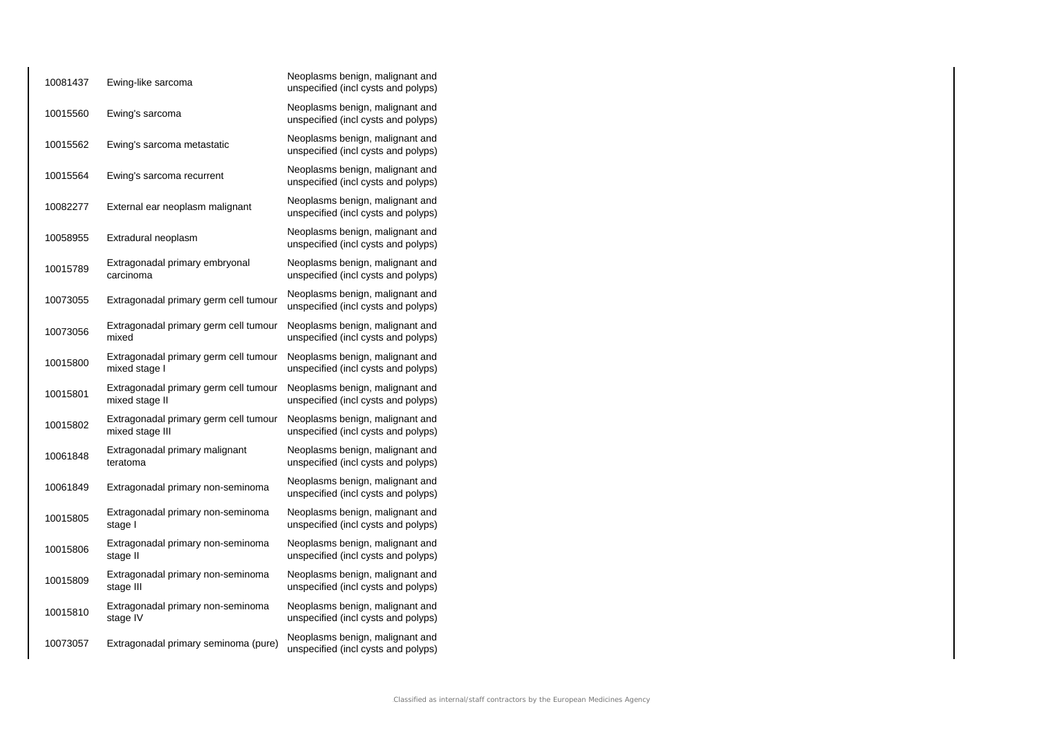| 10081437 | Ewing-like sarcoma                                       | Neoplasms benign, malignant and<br>unspecified (incl cysts and polyps) |
|----------|----------------------------------------------------------|------------------------------------------------------------------------|
| 10015560 | Ewing's sarcoma                                          | Neoplasms benign, malignant and<br>unspecified (incl cysts and polyps) |
| 10015562 | Ewing's sarcoma metastatic                               | Neoplasms benign, malignant and<br>unspecified (incl cysts and polyps) |
| 10015564 | Ewing's sarcoma recurrent                                | Neoplasms benign, malignant and<br>unspecified (incl cysts and polyps) |
| 10082277 | External ear neoplasm malignant                          | Neoplasms benign, malignant and<br>unspecified (incl cysts and polyps) |
| 10058955 | Extradural neoplasm                                      | Neoplasms benign, malignant and<br>unspecified (incl cysts and polyps) |
| 10015789 | Extragonadal primary embryonal<br>carcinoma              | Neoplasms benign, malignant and<br>unspecified (incl cysts and polyps) |
| 10073055 | Extragonadal primary germ cell tumour                    | Neoplasms benign, malignant and<br>unspecified (incl cysts and polyps) |
| 10073056 | Extragonadal primary germ cell tumour<br>mixed           | Neoplasms benign, malignant and<br>unspecified (incl cysts and polyps) |
| 10015800 | Extragonadal primary germ cell tumour<br>mixed stage I   | Neoplasms benign, malignant and<br>unspecified (incl cysts and polyps) |
| 10015801 | Extragonadal primary germ cell tumour<br>mixed stage II  | Neoplasms benign, malignant and<br>unspecified (incl cysts and polyps) |
| 10015802 | Extragonadal primary germ cell tumour<br>mixed stage III | Neoplasms benign, malignant and<br>unspecified (incl cysts and polyps) |
| 10061848 | Extragonadal primary malignant<br>teratoma               | Neoplasms benign, malignant and<br>unspecified (incl cysts and polyps) |
| 10061849 | Extragonadal primary non-seminoma                        | Neoplasms benign, malignant and<br>unspecified (incl cysts and polyps) |
| 10015805 | Extragonadal primary non-seminoma<br>stage I             | Neoplasms benign, malignant and<br>unspecified (incl cysts and polyps) |
| 10015806 | Extragonadal primary non-seminoma<br>stage II            | Neoplasms benign, malignant and<br>unspecified (incl cysts and polyps) |
| 10015809 | Extragonadal primary non-seminoma<br>stage III           | Neoplasms benign, malignant and<br>unspecified (incl cysts and polyps) |
| 10015810 | Extragonadal primary non-seminoma<br>stage IV            | Neoplasms benign, malignant and<br>unspecified (incl cysts and polyps) |
| 10073057 | Extragonadal primary seminoma (pure)                     | Neoplasms benign, malignant and<br>unspecified (incl cysts and polyps) |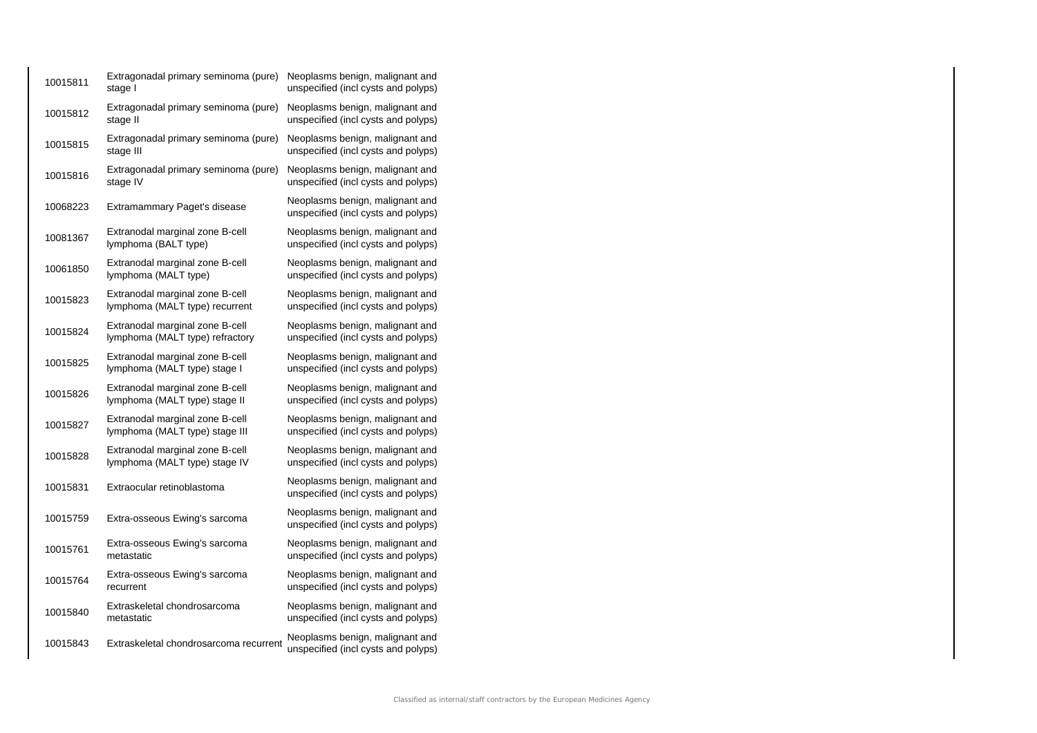| 10015811 | Extragonadal primary seminoma (pure)<br>stage I                    | Neoplasms benign, malignant and<br>unspecified (incl cysts and polyps) |
|----------|--------------------------------------------------------------------|------------------------------------------------------------------------|
| 10015812 | Extragonadal primary seminoma (pure)<br>stage II                   | Neoplasms benign, malignant and<br>unspecified (incl cysts and polyps) |
| 10015815 | Extragonadal primary seminoma (pure)<br>stage III                  | Neoplasms benign, malignant and<br>unspecified (incl cysts and polyps) |
| 10015816 | Extragonadal primary seminoma (pure)<br>stage IV                   | Neoplasms benign, malignant and<br>unspecified (incl cysts and polyps) |
| 10068223 | Extramammary Paget's disease                                       | Neoplasms benign, malignant and<br>unspecified (incl cysts and polyps) |
| 10081367 | Extranodal marginal zone B-cell<br>lymphoma (BALT type)            | Neoplasms benign, malignant and<br>unspecified (incl cysts and polyps) |
| 10061850 | Extranodal marginal zone B-cell<br>lymphoma (MALT type)            | Neoplasms benign, malignant and<br>unspecified (incl cysts and polyps) |
| 10015823 | Extranodal marginal zone B-cell<br>lymphoma (MALT type) recurrent  | Neoplasms benign, malignant and<br>unspecified (incl cysts and polyps) |
| 10015824 | Extranodal marginal zone B-cell<br>lymphoma (MALT type) refractory | Neoplasms benign, malignant and<br>unspecified (incl cysts and polyps) |
| 10015825 | Extranodal marginal zone B-cell<br>lymphoma (MALT type) stage I    | Neoplasms benign, malignant and<br>unspecified (incl cysts and polyps) |
| 10015826 | Extranodal marginal zone B-cell<br>lymphoma (MALT type) stage II   | Neoplasms benign, malignant and<br>unspecified (incl cysts and polyps) |
| 10015827 | Extranodal marginal zone B-cell<br>lymphoma (MALT type) stage III  | Neoplasms benign, malignant and<br>unspecified (incl cysts and polyps) |
| 10015828 | Extranodal marginal zone B-cell<br>lymphoma (MALT type) stage IV   | Neoplasms benign, malignant and<br>unspecified (incl cysts and polyps) |
| 10015831 | Extraocular retinoblastoma                                         | Neoplasms benign, malignant and<br>unspecified (incl cysts and polyps) |
| 10015759 | Extra-osseous Ewing's sarcoma                                      | Neoplasms benign, malignant and<br>unspecified (incl cysts and polyps) |
| 10015761 | Extra-osseous Ewing's sarcoma<br>metastatic                        | Neoplasms benign, malignant and<br>unspecified (incl cysts and polyps) |
| 10015764 | Extra-osseous Ewing's sarcoma<br>recurrent                         | Neoplasms benign, malignant and<br>unspecified (incl cysts and polyps) |
| 10015840 | Extraskeletal chondrosarcoma<br>metastatic                         | Neoplasms benign, malignant and<br>unspecified (incl cysts and polyps) |
| 10015843 | Extraskeletal chondrosarcoma recurrent                             | Neoplasms benign, malignant and<br>unspecified (incl cysts and polyps) |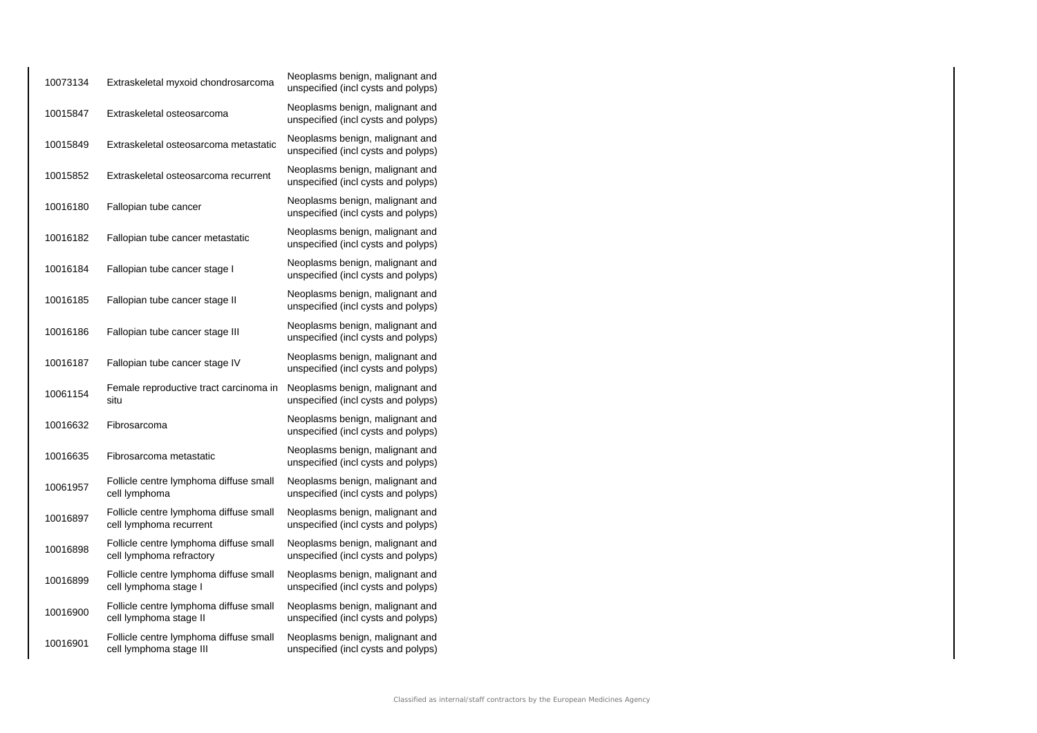| 10073134 | Extraskeletal myxoid chondrosarcoma                                | Neoplasms benign, malignant and<br>unspecified (incl cysts and polyps) |
|----------|--------------------------------------------------------------------|------------------------------------------------------------------------|
| 10015847 | Extraskeletal osteosarcoma                                         | Neoplasms benign, malignant and<br>unspecified (incl cysts and polyps) |
| 10015849 | Extraskeletal osteosarcoma metastatic                              | Neoplasms benign, malignant and<br>unspecified (incl cysts and polyps) |
| 10015852 | Extraskeletal osteosarcoma recurrent                               | Neoplasms benign, malignant and<br>unspecified (incl cysts and polyps) |
| 10016180 | Fallopian tube cancer                                              | Neoplasms benign, malignant and<br>unspecified (incl cysts and polyps) |
| 10016182 | Fallopian tube cancer metastatic                                   | Neoplasms benign, malignant and<br>unspecified (incl cysts and polyps) |
| 10016184 | Fallopian tube cancer stage I                                      | Neoplasms benign, malignant and<br>unspecified (incl cysts and polyps) |
| 10016185 | Fallopian tube cancer stage II                                     | Neoplasms benign, malignant and<br>unspecified (incl cysts and polyps) |
| 10016186 | Fallopian tube cancer stage III                                    | Neoplasms benign, malignant and<br>unspecified (incl cysts and polyps) |
| 10016187 | Fallopian tube cancer stage IV                                     | Neoplasms benign, malignant and<br>unspecified (incl cysts and polyps) |
| 10061154 | Female reproductive tract carcinoma in<br>situ                     | Neoplasms benign, malignant and<br>unspecified (incl cysts and polyps) |
| 10016632 | Fibrosarcoma                                                       | Neoplasms benign, malignant and<br>unspecified (incl cysts and polyps) |
| 10016635 | Fibrosarcoma metastatic                                            | Neoplasms benign, malignant and<br>unspecified (incl cysts and polyps) |
| 10061957 | Follicle centre lymphoma diffuse small<br>cell lymphoma            | Neoplasms benign, malignant and<br>unspecified (incl cysts and polyps) |
| 10016897 | Follicle centre lymphoma diffuse small<br>cell lymphoma recurrent  | Neoplasms benign, malignant and<br>unspecified (incl cysts and polyps) |
| 10016898 | Follicle centre lymphoma diffuse small<br>cell lymphoma refractory | Neoplasms benign, malignant and<br>unspecified (incl cysts and polyps) |
| 10016899 | Follicle centre lymphoma diffuse small<br>cell lymphoma stage I    | Neoplasms benign, malignant and<br>unspecified (incl cysts and polyps) |
| 10016900 | Follicle centre lymphoma diffuse small<br>cell lymphoma stage II   | Neoplasms benign, malignant and<br>unspecified (incl cysts and polyps) |
| 10016901 | Follicle centre lymphoma diffuse small<br>cell lymphoma stage III  | Neoplasms benign, malignant and<br>unspecified (incl cysts and polyps) |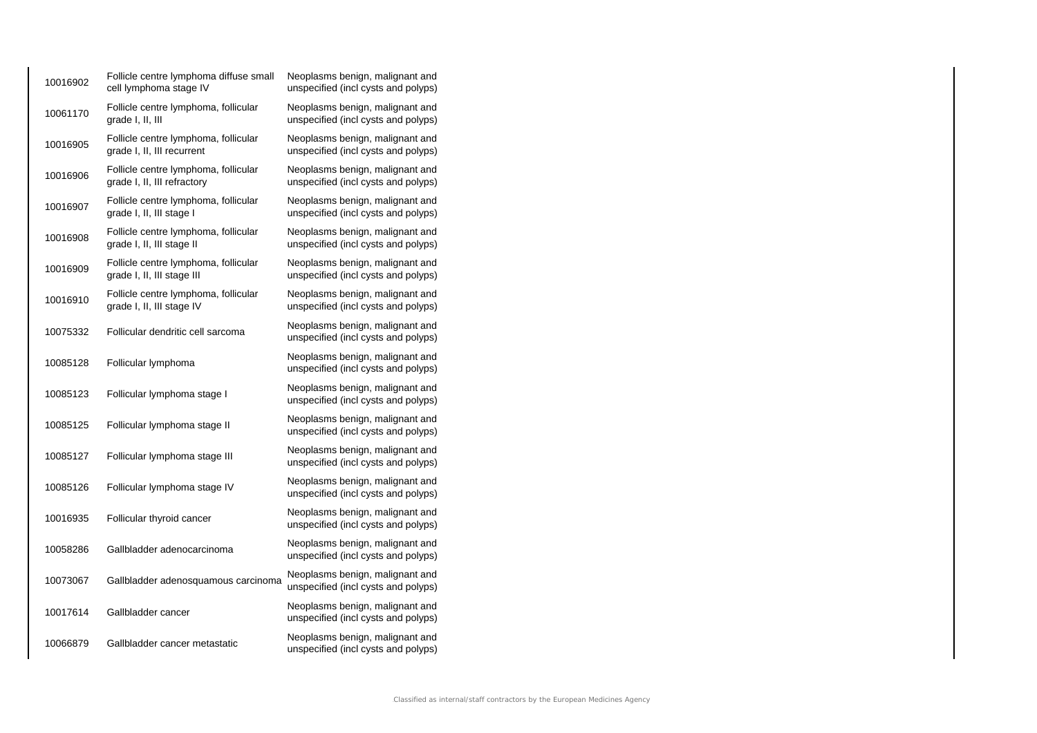| 10016902 | Follicle centre lymphoma diffuse small<br>cell lymphoma stage IV    | Neoplasms benign, malignant and<br>unspecified (incl cysts and polyps) |
|----------|---------------------------------------------------------------------|------------------------------------------------------------------------|
| 10061170 | Follicle centre lymphoma, follicular<br>grade I, II, III            | Neoplasms benign, malignant and<br>unspecified (incl cysts and polyps) |
| 10016905 | Follicle centre lymphoma, follicular<br>grade I, II, III recurrent  | Neoplasms benign, malignant and<br>unspecified (incl cysts and polyps) |
| 10016906 | Follicle centre lymphoma, follicular<br>grade I, II, III refractory | Neoplasms benign, malignant and<br>unspecified (incl cysts and polyps) |
| 10016907 | Follicle centre lymphoma, follicular<br>grade I, II, III stage I    | Neoplasms benign, malignant and<br>unspecified (incl cysts and polyps) |
| 10016908 | Follicle centre lymphoma, follicular<br>grade I, II, III stage II   | Neoplasms benign, malignant and<br>unspecified (incl cysts and polyps) |
| 10016909 | Follicle centre lymphoma, follicular<br>grade I, II, III stage III  | Neoplasms benign, malignant and<br>unspecified (incl cysts and polyps) |
| 10016910 | Follicle centre lymphoma, follicular<br>grade I, II, III stage IV   | Neoplasms benign, malignant and<br>unspecified (incl cysts and polyps) |
| 10075332 | Follicular dendritic cell sarcoma                                   | Neoplasms benign, malignant and<br>unspecified (incl cysts and polyps) |
| 10085128 | Follicular lymphoma                                                 | Neoplasms benign, malignant and<br>unspecified (incl cysts and polyps) |
| 10085123 | Follicular lymphoma stage I                                         | Neoplasms benign, malignant and<br>unspecified (incl cysts and polyps) |
| 10085125 | Follicular lymphoma stage II                                        | Neoplasms benign, malignant and<br>unspecified (incl cysts and polyps) |
| 10085127 | Follicular lymphoma stage III                                       | Neoplasms benign, malignant and<br>unspecified (incl cysts and polyps) |
| 10085126 | Follicular lymphoma stage IV                                        | Neoplasms benign, malignant and<br>unspecified (incl cysts and polyps) |
| 10016935 | Follicular thyroid cancer                                           | Neoplasms benign, malignant and<br>unspecified (incl cysts and polyps) |
| 10058286 | Gallbladder adenocarcinoma                                          | Neoplasms benign, malignant and<br>unspecified (incl cysts and polyps) |
| 10073067 | Gallbladder adenosquamous carcinoma                                 | Neoplasms benign, malignant and<br>unspecified (incl cysts and polyps) |
| 10017614 | Gallbladder cancer                                                  | Neoplasms benign, malignant and<br>unspecified (incl cysts and polyps) |
| 10066879 | Gallbladder cancer metastatic                                       | Neoplasms benign, malignant and<br>unspecified (incl cysts and polyps) |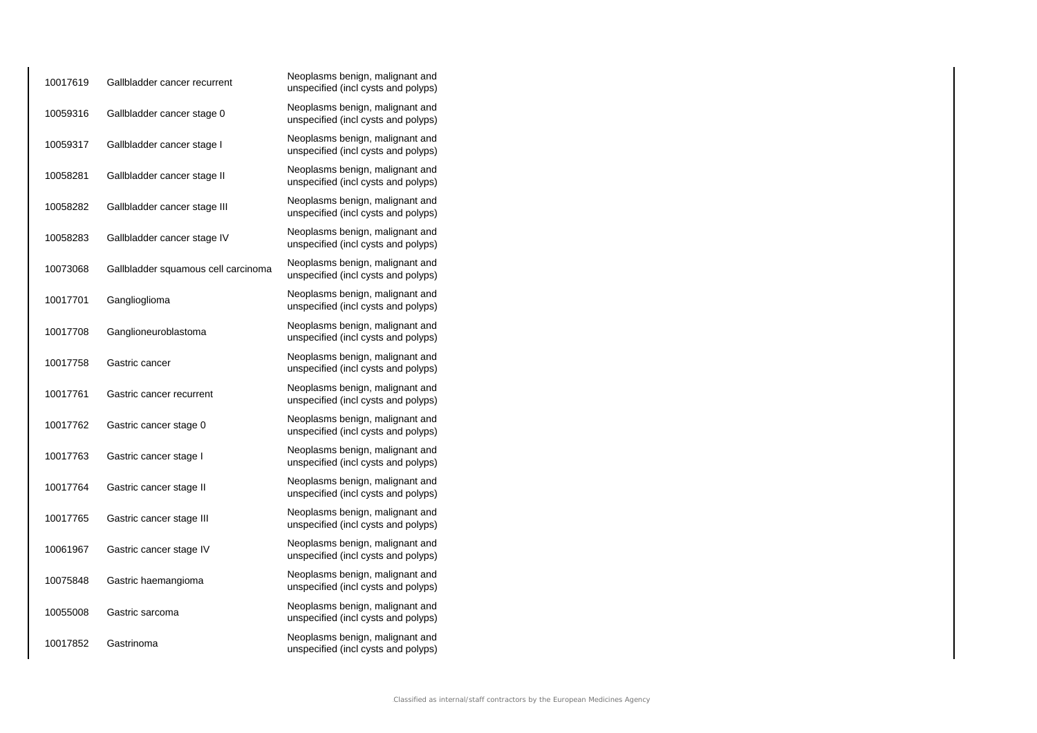| 10017619 | Gallbladder cancer recurrent        | Neoplasms benign, malignant and<br>unspecified (incl cysts and polyps) |
|----------|-------------------------------------|------------------------------------------------------------------------|
| 10059316 | Gallbladder cancer stage 0          | Neoplasms benign, malignant and<br>unspecified (incl cysts and polyps) |
| 10059317 | Gallbladder cancer stage I          | Neoplasms benign, malignant and<br>unspecified (incl cysts and polyps) |
| 10058281 | Gallbladder cancer stage II         | Neoplasms benign, malignant and<br>unspecified (incl cysts and polyps) |
| 10058282 | Gallbladder cancer stage III        | Neoplasms benign, malignant and<br>unspecified (incl cysts and polyps) |
| 10058283 | Gallbladder cancer stage IV         | Neoplasms benign, malignant and<br>unspecified (incl cysts and polyps) |
| 10073068 | Gallbladder squamous cell carcinoma | Neoplasms benign, malignant and<br>unspecified (incl cysts and polyps) |
| 10017701 | Ganglioglioma                       | Neoplasms benign, malignant and<br>unspecified (incl cysts and polyps) |
| 10017708 | Ganglioneuroblastoma                | Neoplasms benign, malignant and<br>unspecified (incl cysts and polyps) |
| 10017758 | Gastric cancer                      | Neoplasms benign, malignant and<br>unspecified (incl cysts and polyps) |
| 10017761 | Gastric cancer recurrent            | Neoplasms benign, malignant and<br>unspecified (incl cysts and polyps) |
| 10017762 | Gastric cancer stage 0              | Neoplasms benign, malignant and<br>unspecified (incl cysts and polyps) |
| 10017763 | Gastric cancer stage I              | Neoplasms benign, malignant and<br>unspecified (incl cysts and polyps) |
| 10017764 | Gastric cancer stage II             | Neoplasms benign, malignant and<br>unspecified (incl cysts and polyps) |
| 10017765 | Gastric cancer stage III            | Neoplasms benign, malignant and<br>unspecified (incl cysts and polyps) |
| 10061967 | Gastric cancer stage IV             | Neoplasms benign, malignant and<br>unspecified (incl cysts and polyps) |
| 10075848 | Gastric haemangioma                 | Neoplasms benign, malignant and<br>unspecified (incl cysts and polyps) |
| 10055008 | Gastric sarcoma                     | Neoplasms benign, malignant and<br>unspecified (incl cysts and polyps) |
| 10017852 | Gastrinoma                          | Neoplasms benign, malignant and<br>unspecified (incl cysts and polyps) |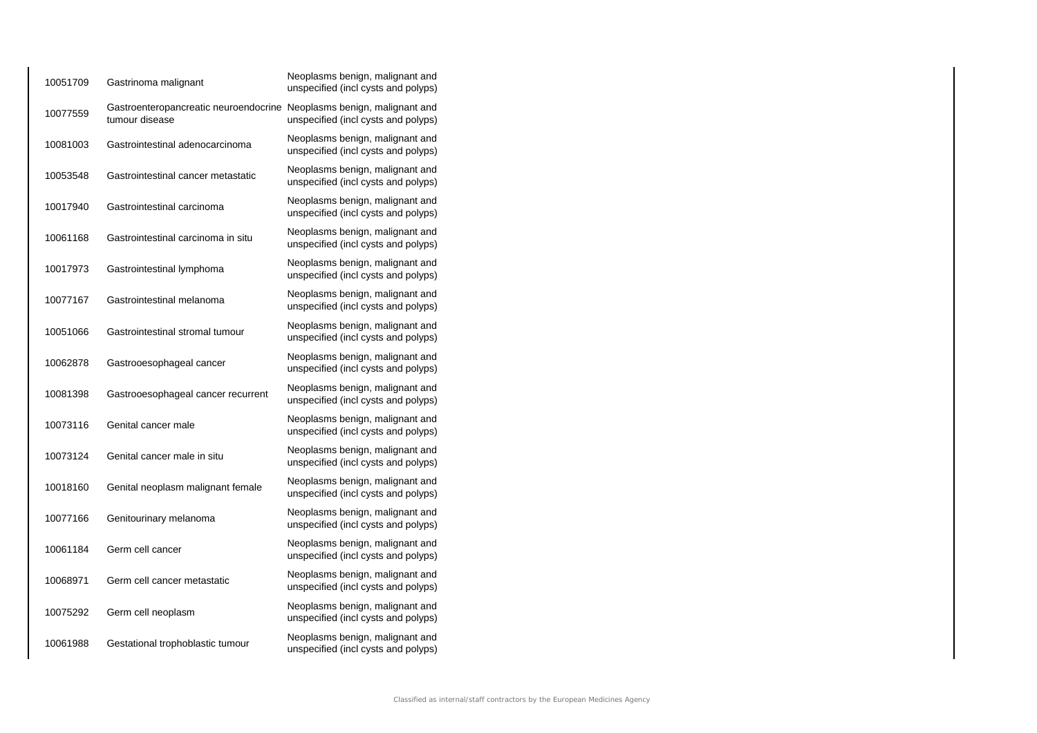| 10051709 | Gastrinoma malignant                                                                    | Neoplasms benign, malignant and<br>unspecified (incl cysts and polyps) |
|----------|-----------------------------------------------------------------------------------------|------------------------------------------------------------------------|
| 10077559 | Gastroenteropancreatic neuroendocrine Neoplasms benign, malignant and<br>tumour disease | unspecified (incl cysts and polyps)                                    |
| 10081003 | Gastrointestinal adenocarcinoma                                                         | Neoplasms benign, malignant and<br>unspecified (incl cysts and polyps) |
| 10053548 | Gastrointestinal cancer metastatic                                                      | Neoplasms benign, malignant and<br>unspecified (incl cysts and polyps) |
| 10017940 | Gastrointestinal carcinoma                                                              | Neoplasms benign, malignant and<br>unspecified (incl cysts and polyps) |
| 10061168 | Gastrointestinal carcinoma in situ                                                      | Neoplasms benign, malignant and<br>unspecified (incl cysts and polyps) |
| 10017973 | Gastrointestinal lymphoma                                                               | Neoplasms benign, malignant and<br>unspecified (incl cysts and polyps) |
| 10077167 | Gastrointestinal melanoma                                                               | Neoplasms benign, malignant and<br>unspecified (incl cysts and polyps) |
| 10051066 | Gastrointestinal stromal tumour                                                         | Neoplasms benign, malignant and<br>unspecified (incl cysts and polyps) |
| 10062878 | Gastrooesophageal cancer                                                                | Neoplasms benign, malignant and<br>unspecified (incl cysts and polyps) |
| 10081398 | Gastrooesophageal cancer recurrent                                                      | Neoplasms benign, malignant and<br>unspecified (incl cysts and polyps) |
| 10073116 | Genital cancer male                                                                     | Neoplasms benign, malignant and<br>unspecified (incl cysts and polyps) |
| 10073124 | Genital cancer male in situ                                                             | Neoplasms benign, malignant and<br>unspecified (incl cysts and polyps) |
| 10018160 | Genital neoplasm malignant female                                                       | Neoplasms benign, malignant and<br>unspecified (incl cysts and polyps) |
| 10077166 | Genitourinary melanoma                                                                  | Neoplasms benign, malignant and<br>unspecified (incl cysts and polyps) |
| 10061184 | Germ cell cancer                                                                        | Neoplasms benign, malignant and<br>unspecified (incl cysts and polyps) |
| 10068971 | Germ cell cancer metastatic                                                             | Neoplasms benign, malignant and<br>unspecified (incl cysts and polyps) |
| 10075292 | Germ cell neoplasm                                                                      | Neoplasms benign, malignant and<br>unspecified (incl cysts and polyps) |
| 10061988 | Gestational trophoblastic tumour                                                        | Neoplasms benign, malignant and<br>unspecified (incl cysts and polyps) |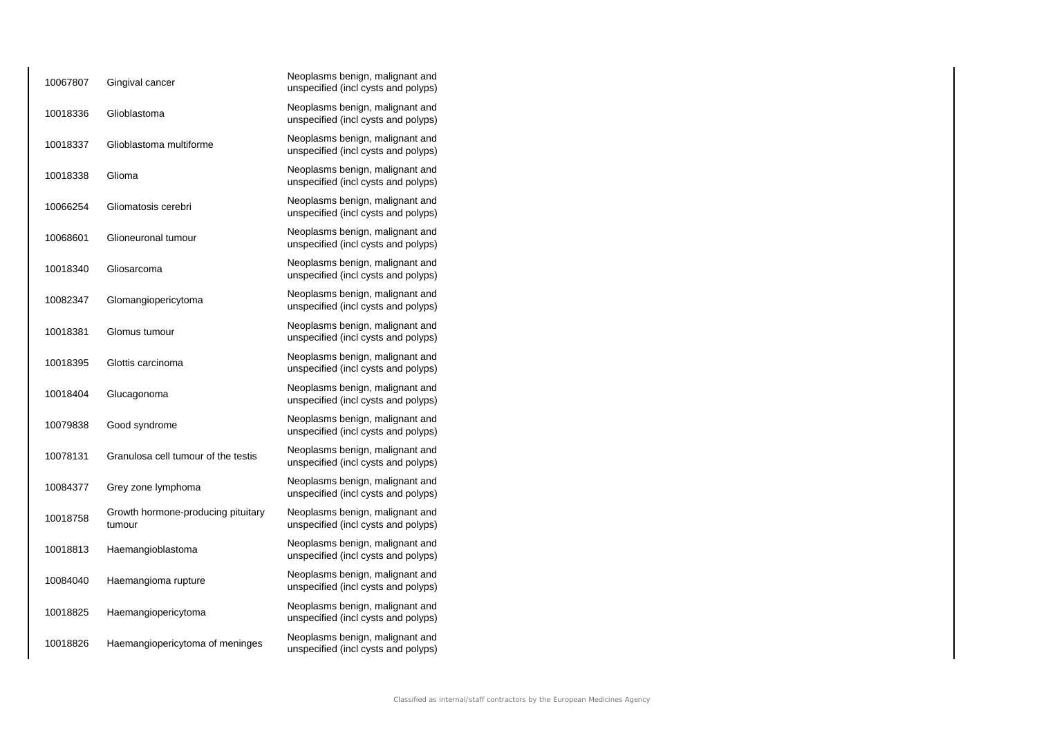| 10067807 | Gingival cancer                              | Neoplasms benign, malignant and<br>unspecified (incl cysts and polyps) |
|----------|----------------------------------------------|------------------------------------------------------------------------|
| 10018336 | Glioblastoma                                 | Neoplasms benign, malignant and<br>unspecified (incl cysts and polyps) |
| 10018337 | Glioblastoma multiforme                      | Neoplasms benign, malignant and<br>unspecified (incl cysts and polyps) |
| 10018338 | Glioma                                       | Neoplasms benign, malignant and<br>unspecified (incl cysts and polyps) |
| 10066254 | Gliomatosis cerebri                          | Neoplasms benign, malignant and<br>unspecified (incl cysts and polyps) |
| 10068601 | Glioneuronal tumour                          | Neoplasms benign, malignant and<br>unspecified (incl cysts and polyps) |
| 10018340 | Gliosarcoma                                  | Neoplasms benign, malignant and<br>unspecified (incl cysts and polyps) |
| 10082347 | Glomangiopericytoma                          | Neoplasms benign, malignant and<br>unspecified (incl cysts and polyps) |
| 10018381 | Glomus tumour                                | Neoplasms benign, malignant and<br>unspecified (incl cysts and polyps) |
| 10018395 | Glottis carcinoma                            | Neoplasms benign, malignant and<br>unspecified (incl cysts and polyps) |
| 10018404 | Glucagonoma                                  | Neoplasms benign, malignant and<br>unspecified (incl cysts and polyps) |
| 10079838 | Good syndrome                                | Neoplasms benign, malignant and<br>unspecified (incl cysts and polyps) |
| 10078131 | Granulosa cell tumour of the testis          | Neoplasms benign, malignant and<br>unspecified (incl cysts and polyps) |
| 10084377 | Grey zone lymphoma                           | Neoplasms benign, malignant and<br>unspecified (incl cysts and polyps) |
| 10018758 | Growth hormone-producing pituitary<br>tumour | Neoplasms benign, malignant and<br>unspecified (incl cysts and polyps) |
| 10018813 | Haemangioblastoma                            | Neoplasms benign, malignant and<br>unspecified (incl cysts and polyps) |
| 10084040 | Haemangioma rupture                          | Neoplasms benign, malignant and<br>unspecified (incl cysts and polyps) |
| 10018825 | Haemangiopericytoma                          | Neoplasms benign, malignant and<br>unspecified (incl cysts and polyps) |
| 10018826 | Haemangiopericytoma of meninges              | Neoplasms benign, malignant and<br>unspecified (incl cysts and polyps) |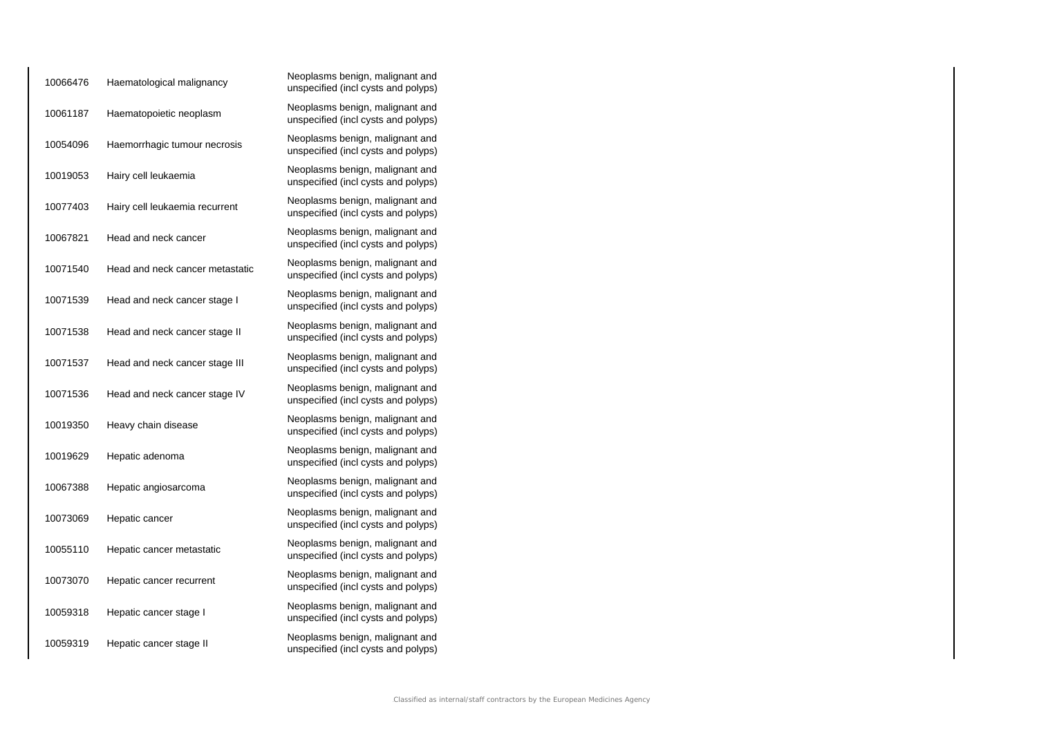| 10066476 | Haematological malignancy       | Neoplasms benign, malignant and<br>unspecified (incl cysts and polyps) |
|----------|---------------------------------|------------------------------------------------------------------------|
| 10061187 | Haematopoietic neoplasm         | Neoplasms benign, malignant and<br>unspecified (incl cysts and polyps) |
| 10054096 | Haemorrhagic tumour necrosis    | Neoplasms benign, malignant and<br>unspecified (incl cysts and polyps) |
| 10019053 | Hairy cell leukaemia            | Neoplasms benign, malignant and<br>unspecified (incl cysts and polyps) |
| 10077403 | Hairy cell leukaemia recurrent  | Neoplasms benign, malignant and<br>unspecified (incl cysts and polyps) |
| 10067821 | Head and neck cancer            | Neoplasms benign, malignant and<br>unspecified (incl cysts and polyps) |
| 10071540 | Head and neck cancer metastatic | Neoplasms benign, malignant and<br>unspecified (incl cysts and polyps) |
| 10071539 | Head and neck cancer stage I    | Neoplasms benign, malignant and<br>unspecified (incl cysts and polyps) |
| 10071538 | Head and neck cancer stage II   | Neoplasms benign, malignant and<br>unspecified (incl cysts and polyps) |
| 10071537 | Head and neck cancer stage III  | Neoplasms benign, malignant and<br>unspecified (incl cysts and polyps) |
| 10071536 | Head and neck cancer stage IV   | Neoplasms benign, malignant and<br>unspecified (incl cysts and polyps) |
| 10019350 | Heavy chain disease             | Neoplasms benign, malignant and<br>unspecified (incl cysts and polyps) |
| 10019629 | Hepatic adenoma                 | Neoplasms benign, malignant and<br>unspecified (incl cysts and polyps) |
| 10067388 | Hepatic angiosarcoma            | Neoplasms benign, malignant and<br>unspecified (incl cysts and polyps) |
| 10073069 | Hepatic cancer                  | Neoplasms benign, malignant and<br>unspecified (incl cysts and polyps) |
| 10055110 | Hepatic cancer metastatic       | Neoplasms benign, malignant and<br>unspecified (incl cysts and polyps) |
| 10073070 | Hepatic cancer recurrent        | Neoplasms benign, malignant and<br>unspecified (incl cysts and polyps) |
| 10059318 | Hepatic cancer stage I          | Neoplasms benign, malignant and<br>unspecified (incl cysts and polyps) |
| 10059319 | Hepatic cancer stage II         | Neoplasms benign, malignant and<br>unspecified (incl cysts and polyps) |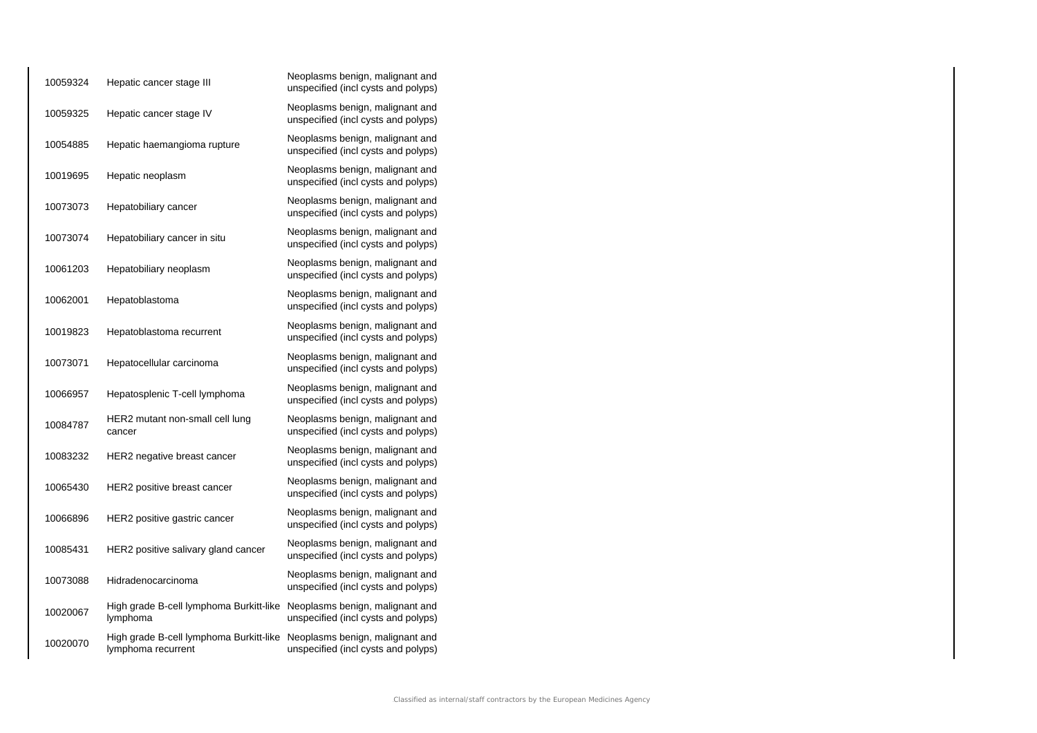| 10059324 | Hepatic cancer stage III                                      | Neoplasms benign, malignant and<br>unspecified (incl cysts and polyps) |
|----------|---------------------------------------------------------------|------------------------------------------------------------------------|
| 10059325 | Hepatic cancer stage IV                                       | Neoplasms benign, malignant and<br>unspecified (incl cysts and polyps) |
| 10054885 | Hepatic haemangioma rupture                                   | Neoplasms benign, malignant and<br>unspecified (incl cysts and polyps) |
| 10019695 | Hepatic neoplasm                                              | Neoplasms benign, malignant and<br>unspecified (incl cysts and polyps) |
| 10073073 | Hepatobiliary cancer                                          | Neoplasms benign, malignant and<br>unspecified (incl cysts and polyps) |
| 10073074 | Hepatobiliary cancer in situ                                  | Neoplasms benign, malignant and<br>unspecified (incl cysts and polyps) |
| 10061203 | Hepatobiliary neoplasm                                        | Neoplasms benign, malignant and<br>unspecified (incl cysts and polyps) |
| 10062001 | Hepatoblastoma                                                | Neoplasms benign, malignant and<br>unspecified (incl cysts and polyps) |
| 10019823 | Hepatoblastoma recurrent                                      | Neoplasms benign, malignant and<br>unspecified (incl cysts and polyps) |
| 10073071 | Hepatocellular carcinoma                                      | Neoplasms benign, malignant and<br>unspecified (incl cysts and polyps) |
| 10066957 | Hepatosplenic T-cell lymphoma                                 | Neoplasms benign, malignant and<br>unspecified (incl cysts and polyps) |
| 10084787 | HER2 mutant non-small cell lung<br>cancer                     | Neoplasms benign, malignant and<br>unspecified (incl cysts and polyps) |
| 10083232 | HER2 negative breast cancer                                   | Neoplasms benign, malignant and<br>unspecified (incl cysts and polyps) |
| 10065430 | HER2 positive breast cancer                                   | Neoplasms benign, malignant and<br>unspecified (incl cysts and polyps) |
| 10066896 | HER2 positive gastric cancer                                  | Neoplasms benign, malignant and<br>unspecified (incl cysts and polyps) |
| 10085431 | HER2 positive salivary gland cancer                           | Neoplasms benign, malignant and<br>unspecified (incl cysts and polyps) |
| 10073088 | Hidradenocarcinoma                                            | Neoplasms benign, malignant and<br>unspecified (incl cysts and polyps) |
| 10020067 | High grade B-cell lymphoma Burkitt-like<br>lymphoma           | Neoplasms benign, malignant and<br>unspecified (incl cysts and polyps) |
| 10020070 | High grade B-cell lymphoma Burkitt-like<br>lymphoma recurrent | Neoplasms benign, malignant and<br>unspecified (incl cysts and polyps) |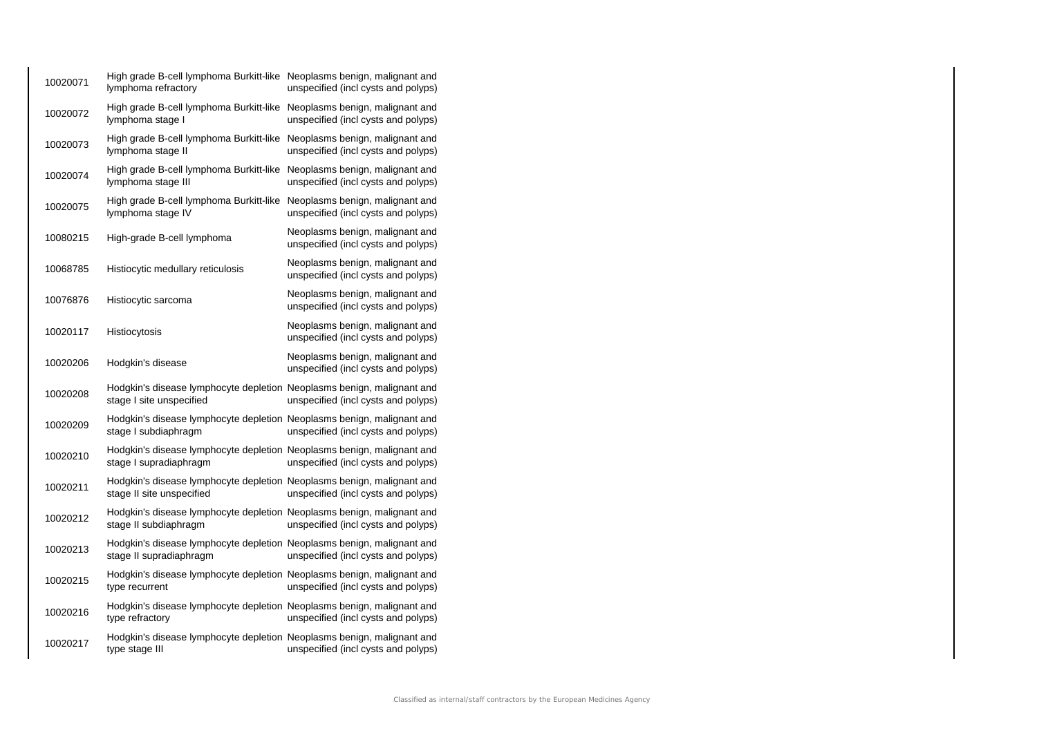| 10020071 | High grade B-cell lymphoma Burkitt-like Neoplasms benign, malignant and<br>lymphoma refractory      | unspecified (incl cysts and polyps)                                    |
|----------|-----------------------------------------------------------------------------------------------------|------------------------------------------------------------------------|
| 10020072 | High grade B-cell lymphoma Burkitt-like<br>lymphoma stage I                                         | Neoplasms benign, malignant and<br>unspecified (incl cysts and polyps) |
| 10020073 | High grade B-cell lymphoma Burkitt-like<br>lymphoma stage II                                        | Neoplasms benign, malignant and<br>unspecified (incl cysts and polyps) |
| 10020074 | High grade B-cell lymphoma Burkitt-like<br>lymphoma stage III                                       | Neoplasms benign, malignant and<br>unspecified (incl cysts and polyps) |
| 10020075 | High grade B-cell lymphoma Burkitt-like<br>lymphoma stage IV                                        | Neoplasms benign, malignant and<br>unspecified (incl cysts and polyps) |
| 10080215 | High-grade B-cell lymphoma                                                                          | Neoplasms benign, malignant and<br>unspecified (incl cysts and polyps) |
| 10068785 | Histiocytic medullary reticulosis                                                                   | Neoplasms benign, malignant and<br>unspecified (incl cysts and polyps) |
| 10076876 | Histiocytic sarcoma                                                                                 | Neoplasms benign, malignant and<br>unspecified (incl cysts and polyps) |
| 10020117 | Histiocytosis                                                                                       | Neoplasms benign, malignant and<br>unspecified (incl cysts and polyps) |
| 10020206 | Hodgkin's disease                                                                                   | Neoplasms benign, malignant and<br>unspecified (incl cysts and polyps) |
| 10020208 | Hodgkin's disease lymphocyte depletion Neoplasms benign, malignant and<br>stage I site unspecified  | unspecified (incl cysts and polyps)                                    |
| 10020209 | Hodgkin's disease lymphocyte depletion Neoplasms benign, malignant and<br>stage I subdiaphragm      | unspecified (incl cysts and polyps)                                    |
| 10020210 | Hodgkin's disease lymphocyte depletion Neoplasms benign, malignant and<br>stage I supradiaphragm    | unspecified (incl cysts and polyps)                                    |
| 10020211 | Hodgkin's disease lymphocyte depletion Neoplasms benign, malignant and<br>stage II site unspecified | unspecified (incl cysts and polyps)                                    |
| 10020212 | Hodgkin's disease lymphocyte depletion Neoplasms benign, malignant and<br>stage II subdiaphragm     | unspecified (incl cysts and polyps)                                    |
| 10020213 | Hodgkin's disease lymphocyte depletion Neoplasms benign, malignant and<br>stage II supradiaphragm   | unspecified (incl cysts and polyps)                                    |
| 10020215 | Hodgkin's disease lymphocyte depletion Neoplasms benign, malignant and<br>type recurrent            | unspecified (incl cysts and polyps)                                    |
| 10020216 | Hodgkin's disease lymphocyte depletion Neoplasms benign, malignant and<br>type refractory           | unspecified (incl cysts and polyps)                                    |
| 10020217 | Hodgkin's disease lymphocyte depletion Neoplasms benign, malignant and<br>type stage III            | unspecified (incl cysts and polyps)                                    |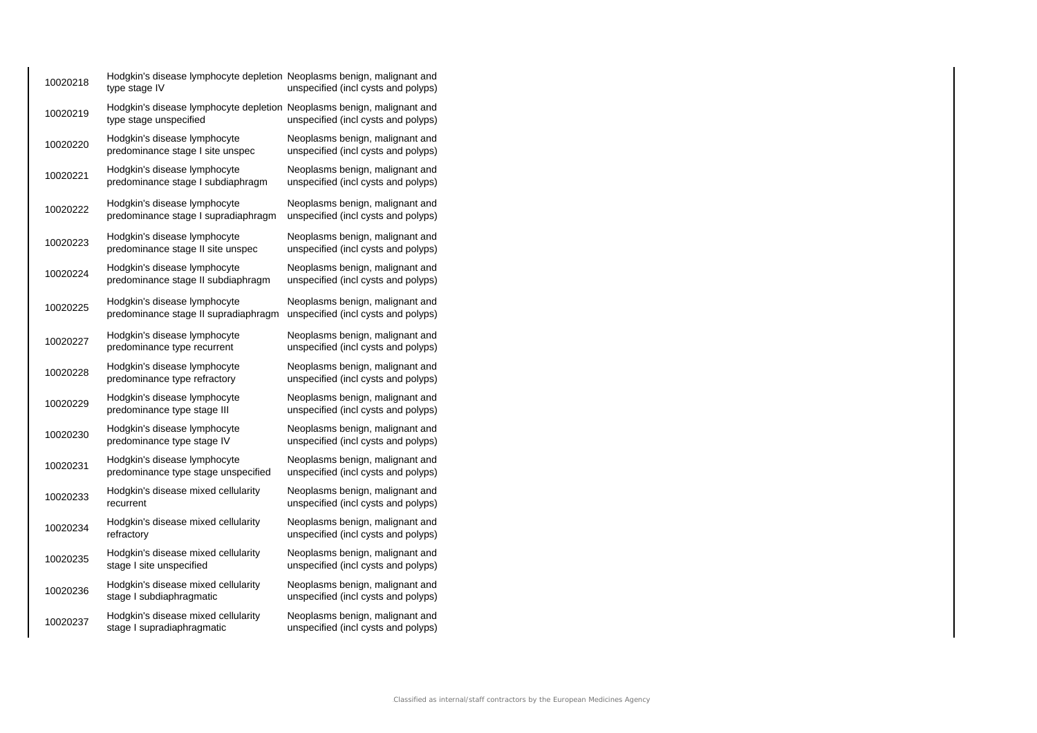| 10020218 | Hodgkin's disease lymphocyte depletion Neoplasms benign, malignant and<br>type stage IV          | unspecified (incl cysts and polyps)                                    |
|----------|--------------------------------------------------------------------------------------------------|------------------------------------------------------------------------|
| 10020219 | Hodgkin's disease lymphocyte depletion Neoplasms benign, malignant and<br>type stage unspecified | unspecified (incl cysts and polyps)                                    |
| 10020220 | Hodgkin's disease lymphocyte<br>predominance stage I site unspec                                 | Neoplasms benign, malignant and<br>unspecified (incl cysts and polyps) |
| 10020221 | Hodgkin's disease lymphocyte<br>predominance stage I subdiaphragm                                | Neoplasms benign, malignant and<br>unspecified (incl cysts and polyps) |
| 10020222 | Hodgkin's disease lymphocyte<br>predominance stage I supradiaphragm                              | Neoplasms benign, malignant and<br>unspecified (incl cysts and polyps) |
| 10020223 | Hodgkin's disease lymphocyte<br>predominance stage II site unspec                                | Neoplasms benign, malignant and<br>unspecified (incl cysts and polyps) |
| 10020224 | Hodgkin's disease lymphocyte<br>predominance stage II subdiaphragm                               | Neoplasms benign, malignant and<br>unspecified (incl cysts and polyps) |
| 10020225 | Hodgkin's disease lymphocyte<br>predominance stage II supradiaphragm                             | Neoplasms benign, malignant and<br>unspecified (incl cysts and polyps) |
| 10020227 | Hodgkin's disease lymphocyte<br>predominance type recurrent                                      | Neoplasms benign, malignant and<br>unspecified (incl cysts and polyps) |
| 10020228 | Hodgkin's disease lymphocyte<br>predominance type refractory                                     | Neoplasms benign, malignant and<br>unspecified (incl cysts and polyps) |
| 10020229 | Hodgkin's disease lymphocyte<br>predominance type stage III                                      | Neoplasms benign, malignant and<br>unspecified (incl cysts and polyps) |
| 10020230 | Hodgkin's disease lymphocyte<br>predominance type stage IV                                       | Neoplasms benign, malignant and<br>unspecified (incl cysts and polyps) |
| 10020231 | Hodgkin's disease lymphocyte<br>predominance type stage unspecified                              | Neoplasms benign, malignant and<br>unspecified (incl cysts and polyps) |
| 10020233 | Hodgkin's disease mixed cellularity<br>recurrent                                                 | Neoplasms benign, malignant and<br>unspecified (incl cysts and polyps) |
| 10020234 | Hodgkin's disease mixed cellularity<br>refractory                                                | Neoplasms benign, malignant and<br>unspecified (incl cysts and polyps) |
| 10020235 | Hodgkin's disease mixed cellularity<br>stage I site unspecified                                  | Neoplasms benign, malignant and<br>unspecified (incl cysts and polyps) |
| 10020236 | Hodgkin's disease mixed cellularity<br>stage I subdiaphragmatic                                  | Neoplasms benign, malignant and<br>unspecified (incl cysts and polyps) |
| 10020237 | Hodgkin's disease mixed cellularity<br>stage I supradiaphragmatic                                | Neoplasms benign, malignant and<br>unspecified (incl cysts and polyps) |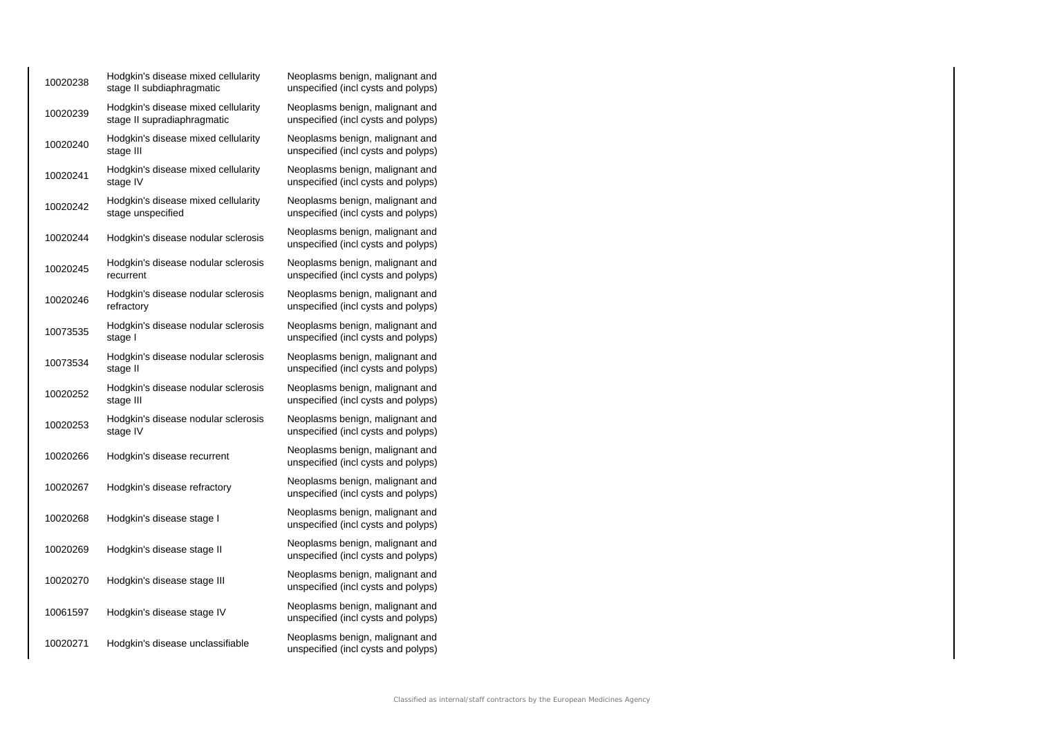| 10020238 | Hodgkin's disease mixed cellularity<br>stage II subdiaphragmatic   | Neoplasms benign, malignant and<br>unspecified (incl cysts and polyps) |
|----------|--------------------------------------------------------------------|------------------------------------------------------------------------|
| 10020239 | Hodgkin's disease mixed cellularity<br>stage II supradiaphragmatic | Neoplasms benign, malignant and<br>unspecified (incl cysts and polyps) |
| 10020240 | Hodgkin's disease mixed cellularity<br>stage III                   | Neoplasms benign, malignant and<br>unspecified (incl cysts and polyps) |
| 10020241 | Hodgkin's disease mixed cellularity<br>stage IV                    | Neoplasms benign, malignant and<br>unspecified (incl cysts and polyps) |
| 10020242 | Hodgkin's disease mixed cellularity<br>stage unspecified           | Neoplasms benign, malignant and<br>unspecified (incl cysts and polyps) |
| 10020244 | Hodgkin's disease nodular sclerosis                                | Neoplasms benign, malignant and<br>unspecified (incl cysts and polyps) |
| 10020245 | Hodgkin's disease nodular sclerosis<br>recurrent                   | Neoplasms benign, malignant and<br>unspecified (incl cysts and polyps) |
| 10020246 | Hodgkin's disease nodular sclerosis<br>refractory                  | Neoplasms benign, malignant and<br>unspecified (incl cysts and polyps) |
| 10073535 | Hodgkin's disease nodular sclerosis<br>stage I                     | Neoplasms benign, malignant and<br>unspecified (incl cysts and polyps) |
| 10073534 | Hodgkin's disease nodular sclerosis<br>stage II                    | Neoplasms benign, malignant and<br>unspecified (incl cysts and polyps) |
| 10020252 | Hodgkin's disease nodular sclerosis<br>stage III                   | Neoplasms benign, malignant and<br>unspecified (incl cysts and polyps) |
| 10020253 | Hodgkin's disease nodular sclerosis<br>stage IV                    | Neoplasms benign, malignant and<br>unspecified (incl cysts and polyps) |
| 10020266 | Hodgkin's disease recurrent                                        | Neoplasms benign, malignant and<br>unspecified (incl cysts and polyps) |
| 10020267 | Hodgkin's disease refractory                                       | Neoplasms benign, malignant and<br>unspecified (incl cysts and polyps) |
| 10020268 | Hodgkin's disease stage I                                          | Neoplasms benign, malignant and<br>unspecified (incl cysts and polyps) |
| 10020269 | Hodgkin's disease stage II                                         | Neoplasms benign, malignant and<br>unspecified (incl cysts and polyps) |
| 10020270 | Hodgkin's disease stage III                                        | Neoplasms benign, malignant and<br>unspecified (incl cysts and polyps) |
| 10061597 | Hodgkin's disease stage IV                                         | Neoplasms benign, malignant and<br>unspecified (incl cysts and polyps) |
| 10020271 | Hodgkin's disease unclassifiable                                   | Neoplasms benign, malignant and<br>unspecified (incl cysts and polyps) |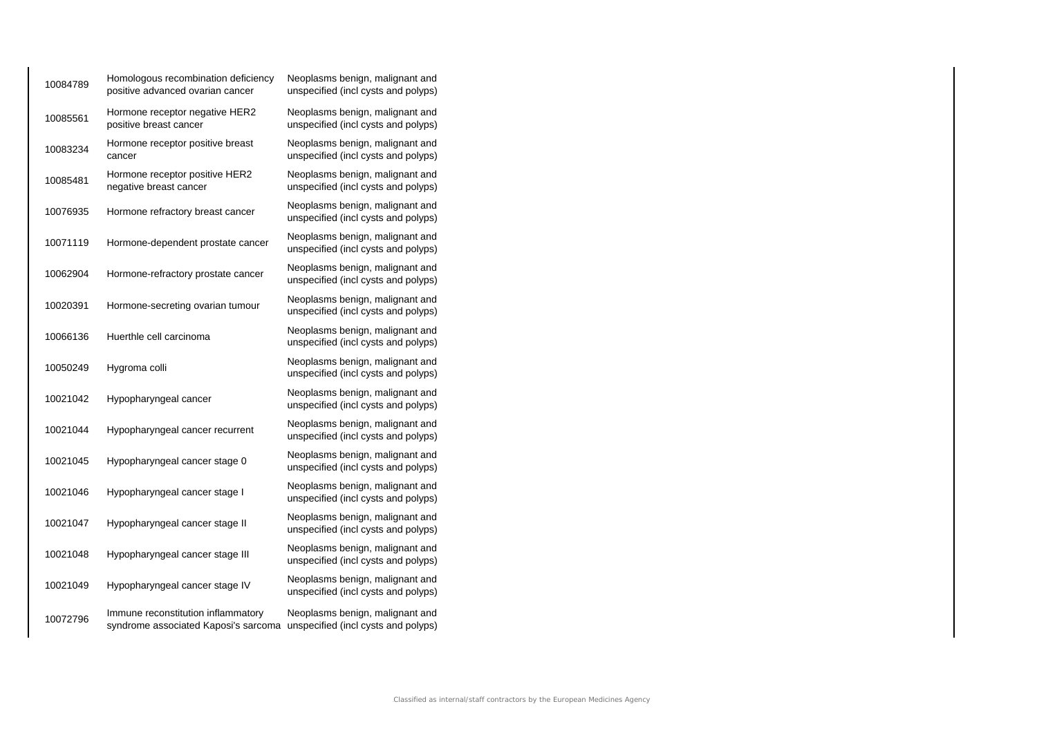| 10084789 | Homologous recombination deficiency<br>positive advanced ovarian cancer    | Neoplasms benign, malignant and<br>unspecified (incl cysts and polyps) |
|----------|----------------------------------------------------------------------------|------------------------------------------------------------------------|
| 10085561 | Hormone receptor negative HER2<br>positive breast cancer                   | Neoplasms benign, malignant and<br>unspecified (incl cysts and polyps) |
| 10083234 | Hormone receptor positive breast<br>cancer                                 | Neoplasms benign, malignant and<br>unspecified (incl cysts and polyps) |
| 10085481 | Hormone receptor positive HER2<br>negative breast cancer                   | Neoplasms benign, malignant and<br>unspecified (incl cysts and polyps) |
| 10076935 | Hormone refractory breast cancer                                           | Neoplasms benign, malignant and<br>unspecified (incl cysts and polyps) |
| 10071119 | Hormone-dependent prostate cancer                                          | Neoplasms benign, malignant and<br>unspecified (incl cysts and polyps) |
| 10062904 | Hormone-refractory prostate cancer                                         | Neoplasms benign, malignant and<br>unspecified (incl cysts and polyps) |
| 10020391 | Hormone-secreting ovarian tumour                                           | Neoplasms benign, malignant and<br>unspecified (incl cysts and polyps) |
| 10066136 | Huerthle cell carcinoma                                                    | Neoplasms benign, malignant and<br>unspecified (incl cysts and polyps) |
| 10050249 | Hygroma colli                                                              | Neoplasms benign, malignant and<br>unspecified (incl cysts and polyps) |
| 10021042 | Hypopharyngeal cancer                                                      | Neoplasms benign, malignant and<br>unspecified (incl cysts and polyps) |
| 10021044 | Hypopharyngeal cancer recurrent                                            | Neoplasms benign, malignant and<br>unspecified (incl cysts and polyps) |
| 10021045 | Hypopharyngeal cancer stage 0                                              | Neoplasms benign, malignant and<br>unspecified (incl cysts and polyps) |
| 10021046 | Hypopharyngeal cancer stage I                                              | Neoplasms benign, malignant and<br>unspecified (incl cysts and polyps) |
| 10021047 | Hypopharyngeal cancer stage II                                             | Neoplasms benign, malignant and<br>unspecified (incl cysts and polyps) |
| 10021048 | Hypopharyngeal cancer stage III                                            | Neoplasms benign, malignant and<br>unspecified (incl cysts and polyps) |
| 10021049 | Hypopharyngeal cancer stage IV                                             | Neoplasms benign, malignant and<br>unspecified (incl cysts and polyps) |
| 10072796 | Immune reconstitution inflammatory<br>syndrome associated Kaposi's sarcoma | Neoplasms benign, malignant and<br>unspecified (incl cysts and polyps) |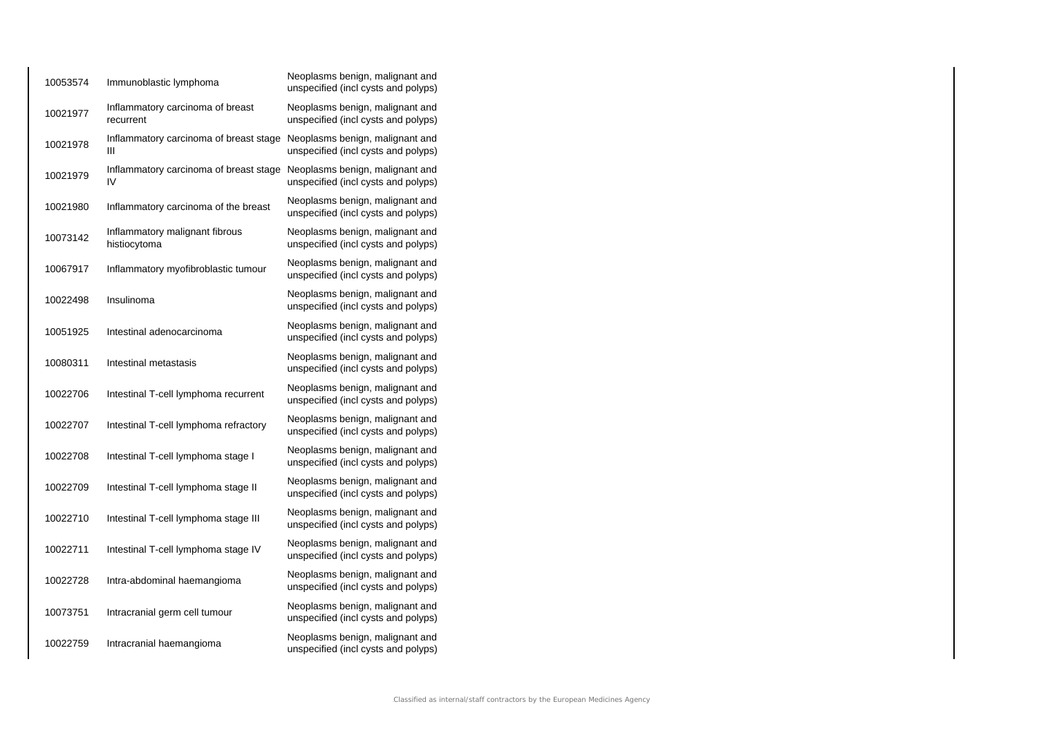| 10053574 | Immunoblastic lymphoma                         | Neoplasms benign, malignant and<br>unspecified (incl cysts and polyps) |
|----------|------------------------------------------------|------------------------------------------------------------------------|
| 10021977 | Inflammatory carcinoma of breast<br>recurrent  | Neoplasms benign, malignant and<br>unspecified (incl cysts and polyps) |
| 10021978 | Inflammatory carcinoma of breast stage<br>Ш    | Neoplasms benign, malignant and<br>unspecified (incl cysts and polyps) |
| 10021979 | Inflammatory carcinoma of breast stage<br>IV   | Neoplasms benign, malignant and<br>unspecified (incl cysts and polyps) |
| 10021980 | Inflammatory carcinoma of the breast           | Neoplasms benign, malignant and<br>unspecified (incl cysts and polyps) |
| 10073142 | Inflammatory malignant fibrous<br>histiocytoma | Neoplasms benign, malignant and<br>unspecified (incl cysts and polyps) |
| 10067917 | Inflammatory myofibroblastic tumour            | Neoplasms benign, malignant and<br>unspecified (incl cysts and polyps) |
| 10022498 | Insulinoma                                     | Neoplasms benign, malignant and<br>unspecified (incl cysts and polyps) |
| 10051925 | Intestinal adenocarcinoma                      | Neoplasms benign, malignant and<br>unspecified (incl cysts and polyps) |
| 10080311 | Intestinal metastasis                          | Neoplasms benign, malignant and<br>unspecified (incl cysts and polyps) |
| 10022706 | Intestinal T-cell lymphoma recurrent           | Neoplasms benign, malignant and<br>unspecified (incl cysts and polyps) |
| 10022707 | Intestinal T-cell lymphoma refractory          | Neoplasms benign, malignant and<br>unspecified (incl cysts and polyps) |
| 10022708 | Intestinal T-cell lymphoma stage I             | Neoplasms benign, malignant and<br>unspecified (incl cysts and polyps) |
| 10022709 | Intestinal T-cell lymphoma stage II            | Neoplasms benign, malignant and<br>unspecified (incl cysts and polyps) |
| 10022710 | Intestinal T-cell lymphoma stage III           | Neoplasms benign, malignant and<br>unspecified (incl cysts and polyps) |
| 10022711 | Intestinal T-cell lymphoma stage IV            | Neoplasms benign, malignant and<br>unspecified (incl cysts and polyps) |
| 10022728 | Intra-abdominal haemangioma                    | Neoplasms benign, malignant and<br>unspecified (incl cysts and polyps) |
| 10073751 | Intracranial germ cell tumour                  | Neoplasms benign, malignant and<br>unspecified (incl cysts and polyps) |
| 10022759 | Intracranial haemangioma                       | Neoplasms benign, malignant and<br>unspecified (incl cysts and polyps) |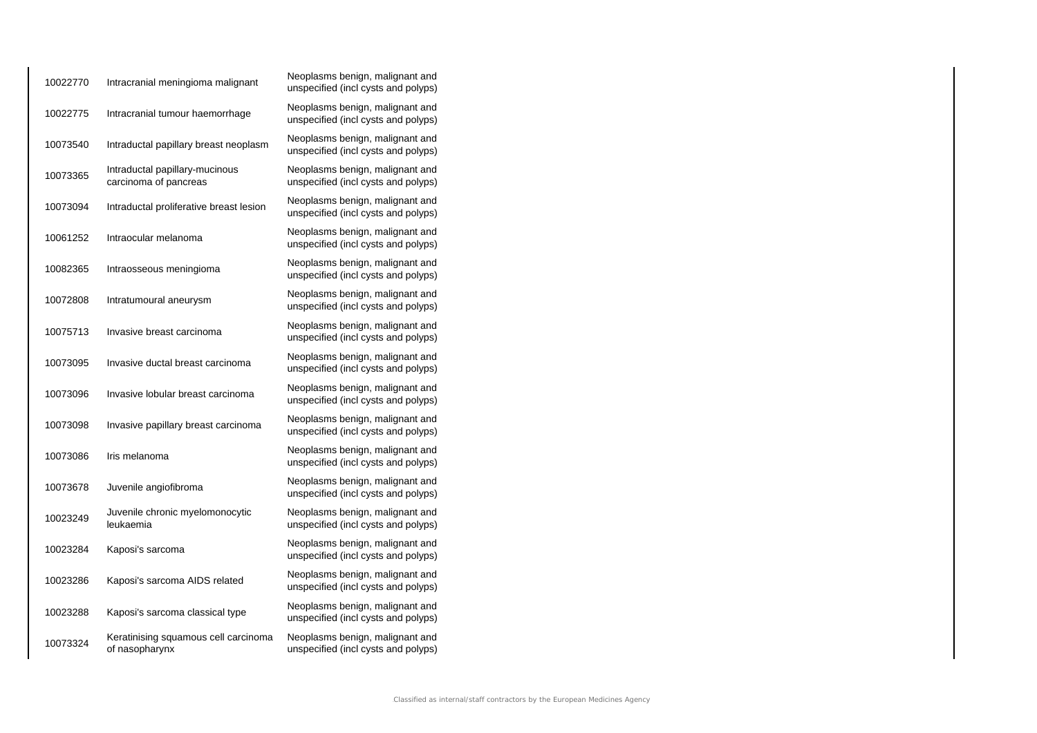| 10022770 | Intracranial meningioma malignant                       | Neoplasms benign, malignant and<br>unspecified (incl cysts and polyps) |
|----------|---------------------------------------------------------|------------------------------------------------------------------------|
| 10022775 | Intracranial tumour haemorrhage                         | Neoplasms benign, malignant and<br>unspecified (incl cysts and polyps) |
| 10073540 | Intraductal papillary breast neoplasm                   | Neoplasms benign, malignant and<br>unspecified (incl cysts and polyps) |
| 10073365 | Intraductal papillary-mucinous<br>carcinoma of pancreas | Neoplasms benign, malignant and<br>unspecified (incl cysts and polyps) |
| 10073094 | Intraductal proliferative breast lesion                 | Neoplasms benign, malignant and<br>unspecified (incl cysts and polyps) |
| 10061252 | Intraocular melanoma                                    | Neoplasms benign, malignant and<br>unspecified (incl cysts and polyps) |
| 10082365 | Intraosseous meningioma                                 | Neoplasms benign, malignant and<br>unspecified (incl cysts and polyps) |
| 10072808 | Intratumoural aneurysm                                  | Neoplasms benign, malignant and<br>unspecified (incl cysts and polyps) |
| 10075713 | Invasive breast carcinoma                               | Neoplasms benign, malignant and<br>unspecified (incl cysts and polyps) |
| 10073095 | Invasive ductal breast carcinoma                        | Neoplasms benign, malignant and<br>unspecified (incl cysts and polyps) |
| 10073096 | Invasive lobular breast carcinoma                       | Neoplasms benign, malignant and<br>unspecified (incl cysts and polyps) |
| 10073098 | Invasive papillary breast carcinoma                     | Neoplasms benign, malignant and<br>unspecified (incl cysts and polyps) |
| 10073086 | Iris melanoma                                           | Neoplasms benign, malignant and<br>unspecified (incl cysts and polyps) |
| 10073678 | Juvenile angiofibroma                                   | Neoplasms benign, malignant and<br>unspecified (incl cysts and polyps) |
| 10023249 | Juvenile chronic myelomonocytic<br>leukaemia            | Neoplasms benign, malignant and<br>unspecified (incl cysts and polyps) |
| 10023284 | Kaposi's sarcoma                                        | Neoplasms benign, malignant and<br>unspecified (incl cysts and polyps) |
| 10023286 | Kaposi's sarcoma AIDS related                           | Neoplasms benign, malignant and<br>unspecified (incl cysts and polyps) |
| 10023288 | Kaposi's sarcoma classical type                         | Neoplasms benign, malignant and<br>unspecified (incl cysts and polyps) |
| 10073324 | Keratinising squamous cell carcinoma<br>of nasopharynx  | Neoplasms benign, malignant and<br>unspecified (incl cysts and polyps) |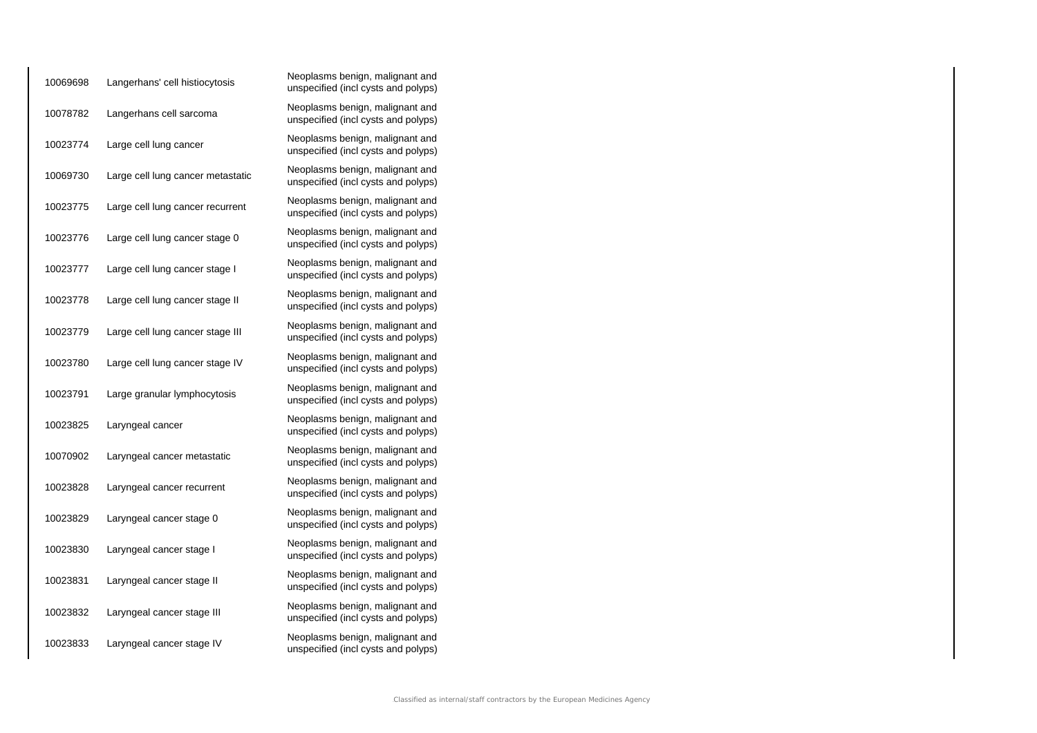| 10069698 | Langerhans' cell histiocytosis    | Neoplasms benign, malignant and<br>unspecified (incl cysts and polyps) |
|----------|-----------------------------------|------------------------------------------------------------------------|
| 10078782 | Langerhans cell sarcoma           | Neoplasms benign, malignant and<br>unspecified (incl cysts and polyps) |
| 10023774 | Large cell lung cancer            | Neoplasms benign, malignant and<br>unspecified (incl cysts and polyps) |
| 10069730 | Large cell lung cancer metastatic | Neoplasms benign, malignant and<br>unspecified (incl cysts and polyps) |
| 10023775 | Large cell lung cancer recurrent  | Neoplasms benign, malignant and<br>unspecified (incl cysts and polyps) |
| 10023776 | Large cell lung cancer stage 0    | Neoplasms benign, malignant and<br>unspecified (incl cysts and polyps) |
| 10023777 | Large cell lung cancer stage I    | Neoplasms benign, malignant and<br>unspecified (incl cysts and polyps) |
| 10023778 | Large cell lung cancer stage II   | Neoplasms benign, malignant and<br>unspecified (incl cysts and polyps) |
| 10023779 | Large cell lung cancer stage III  | Neoplasms benign, malignant and<br>unspecified (incl cysts and polyps) |
| 10023780 | Large cell lung cancer stage IV   | Neoplasms benign, malignant and<br>unspecified (incl cysts and polyps) |
| 10023791 | Large granular lymphocytosis      | Neoplasms benign, malignant and<br>unspecified (incl cysts and polyps) |
| 10023825 | Laryngeal cancer                  | Neoplasms benign, malignant and<br>unspecified (incl cysts and polyps) |
| 10070902 | Laryngeal cancer metastatic       | Neoplasms benign, malignant and<br>unspecified (incl cysts and polyps) |
| 10023828 | Laryngeal cancer recurrent        | Neoplasms benign, malignant and<br>unspecified (incl cysts and polyps) |
| 10023829 | Laryngeal cancer stage 0          | Neoplasms benign, malignant and<br>unspecified (incl cysts and polyps) |
| 10023830 | Laryngeal cancer stage I          | Neoplasms benign, malignant and<br>unspecified (incl cysts and polyps) |
| 10023831 | Laryngeal cancer stage II         | Neoplasms benign, malignant and<br>unspecified (incl cysts and polyps) |
| 10023832 | Laryngeal cancer stage III        | Neoplasms benign, malignant and<br>unspecified (incl cysts and polyps) |
| 10023833 | Laryngeal cancer stage IV         | Neoplasms benign, malignant and<br>unspecified (incl cysts and polyps) |

| Neoplasms benign, malignant and<br>unspecified (incl cysts and polyps) |
|------------------------------------------------------------------------|
| Neoplasms benign, malignant and<br>unspecified (incl cysts and polyps) |
| Neoplasms benign, malignant and<br>unspecified (incl cysts and polyps) |
| Neoplasms benign, malignant and<br>unspecified (incl cysts and polyps) |
| Neoplasms benign, malignant and<br>unspecified (incl cysts and polyps) |
| Neoplasms benign, malignant and<br>unspecified (incl cysts and polyps) |
| Neoplasms benign, malignant and<br>unspecified (incl cysts and polyps) |
| Neoplasms benign, malignant and<br>unspecified (incl cysts and polyps) |
| Neoplasms benign, malignant and<br>unspecified (incl cysts and polyps) |
| Neoplasms benign, malignant and<br>unspecified (incl cysts and polyps) |
| Neoplasms benign, malignant and<br>unspecified (incl cysts and polyps) |
| Neoplasms benign, malignant and<br>unspecified (incl cysts and polyps) |
| Neoplasms benign, malignant and<br>unspecified (incl cysts and polyps) |
| Neoplasms benign, malignant and<br>unspecified (incl cysts and polyps) |
| Neoplasms benign, malignant and<br>unspecified (incl cysts and polyps) |
| Neoplasms benign, malignant and<br>unspecified (incl cysts and polyps) |
| Neoplasms benign, malignant and<br>unspecified (incl cysts and polyps) |
| Neoplasms benign, malignant and<br>unspecified (incl cysts and polyps) |
| Neoplasms benign, malignant and<br>unspecified (incl cysts and polyps) |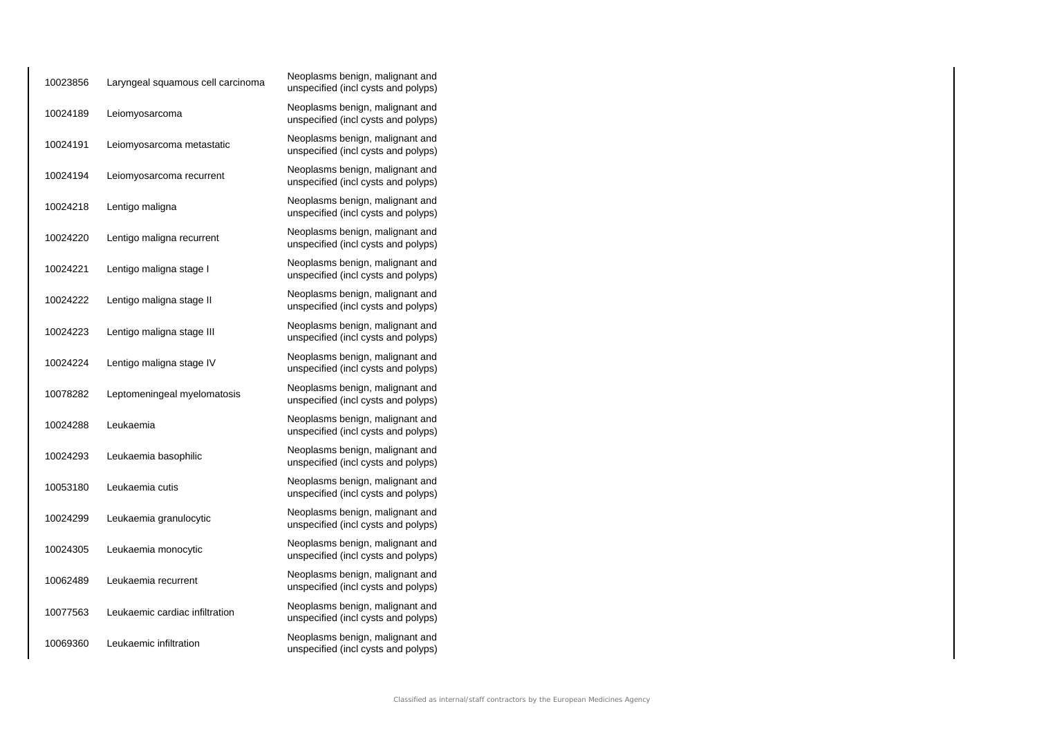| 10023856 | Laryngeal squamous cell carcinoma | Neoplasms benign, malignant and<br>unspecified (incl cysts and polyps) |
|----------|-----------------------------------|------------------------------------------------------------------------|
| 10024189 | Leiomyosarcoma                    | Neoplasms benign, malignant and<br>unspecified (incl cysts and polyps) |
| 10024191 | Leiomyosarcoma metastatic         | Neoplasms benign, malignant and<br>unspecified (incl cysts and polyps) |
| 10024194 | Leiomyosarcoma recurrent          | Neoplasms benign, malignant and<br>unspecified (incl cysts and polyps) |
| 10024218 | Lentigo maligna                   | Neoplasms benign, malignant and<br>unspecified (incl cysts and polyps) |
| 10024220 | Lentigo maligna recurrent         | Neoplasms benign, malignant and<br>unspecified (incl cysts and polyps) |
| 10024221 | Lentigo maligna stage I           | Neoplasms benign, malignant and<br>unspecified (incl cysts and polyps) |
| 10024222 | Lentigo maligna stage II          | Neoplasms benign, malignant and<br>unspecified (incl cysts and polyps) |
| 10024223 | Lentigo maligna stage III         | Neoplasms benign, malignant and<br>unspecified (incl cysts and polyps) |
| 10024224 | Lentigo maligna stage IV          | Neoplasms benign, malignant and<br>unspecified (incl cysts and polyps) |
| 10078282 | Leptomeningeal myelomatosis       | Neoplasms benign, malignant and<br>unspecified (incl cysts and polyps) |
| 10024288 | Leukaemia                         | Neoplasms benign, malignant and<br>unspecified (incl cysts and polyps) |
| 10024293 | Leukaemia basophilic              | Neoplasms benign, malignant and<br>unspecified (incl cysts and polyps) |
| 10053180 | Leukaemia cutis                   | Neoplasms benign, malignant and<br>unspecified (incl cysts and polyps) |
| 10024299 | Leukaemia granulocytic            | Neoplasms benign, malignant and<br>unspecified (incl cysts and polyps) |
| 10024305 | Leukaemia monocytic               | Neoplasms benign, malignant and<br>unspecified (incl cysts and polyps) |
| 10062489 | Leukaemia recurrent               | Neoplasms benign, malignant and<br>unspecified (incl cysts and polyps) |
| 10077563 | Leukaemic cardiac infiltration    | Neoplasms benign, malignant and<br>unspecified (incl cysts and polyps) |
| 10069360 | Leukaemic infiltration            | Neoplasms benign, malignant and<br>unspecified (incl cysts and polyps) |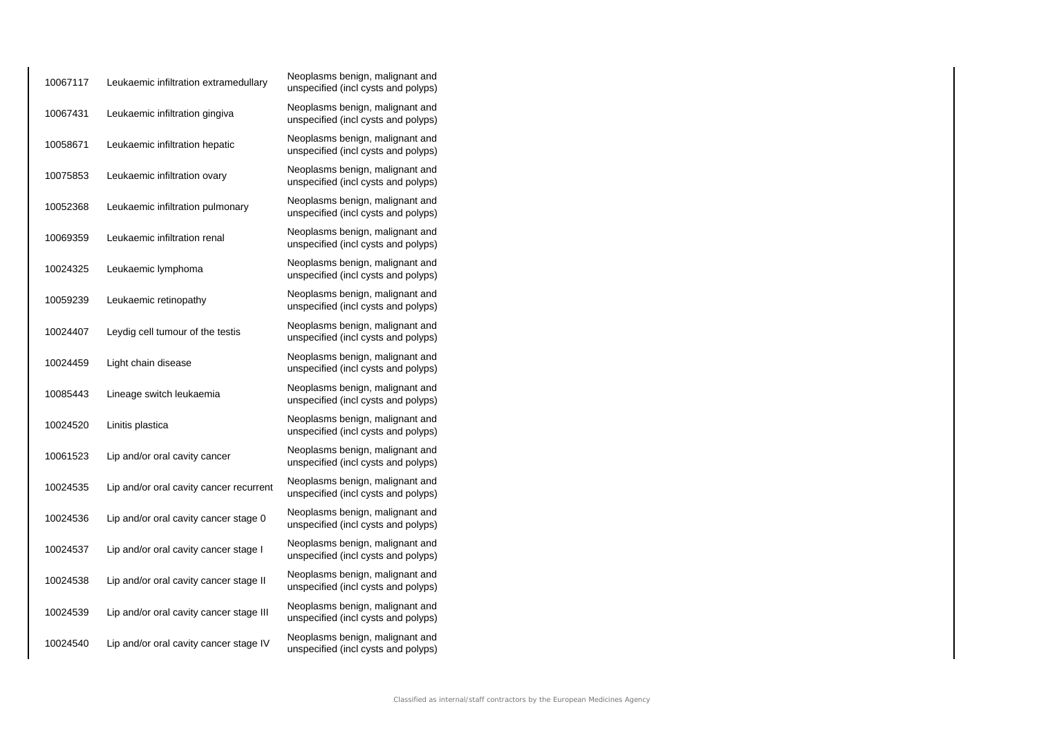| 10067117 | Leukaemic infiltration extramedullary   | Neoplasms benign, malignant and<br>unspecified (incl cysts and polyps) |
|----------|-----------------------------------------|------------------------------------------------------------------------|
| 10067431 | Leukaemic infiltration gingiva          | Neoplasms benign, malignant and<br>unspecified (incl cysts and polyps) |
| 10058671 | Leukaemic infiltration hepatic          | Neoplasms benign, malignant and<br>unspecified (incl cysts and polyps) |
| 10075853 | Leukaemic infiltration ovary            | Neoplasms benign, malignant and<br>unspecified (incl cysts and polyps) |
| 10052368 | Leukaemic infiltration pulmonary        | Neoplasms benign, malignant and<br>unspecified (incl cysts and polyps) |
| 10069359 | Leukaemic infiltration renal            | Neoplasms benign, malignant and<br>unspecified (incl cysts and polyps) |
| 10024325 | Leukaemic lymphoma                      | Neoplasms benign, malignant and<br>unspecified (incl cysts and polyps) |
| 10059239 | Leukaemic retinopathy                   | Neoplasms benign, malignant and<br>unspecified (incl cysts and polyps) |
| 10024407 | Leydig cell tumour of the testis        | Neoplasms benign, malignant and<br>unspecified (incl cysts and polyps) |
| 10024459 | Light chain disease                     | Neoplasms benign, malignant and<br>unspecified (incl cysts and polyps) |
| 10085443 | Lineage switch leukaemia                | Neoplasms benign, malignant and<br>unspecified (incl cysts and polyps) |
| 10024520 | Linitis plastica                        | Neoplasms benign, malignant and<br>unspecified (incl cysts and polyps) |
| 10061523 | Lip and/or oral cavity cancer           | Neoplasms benign, malignant and<br>unspecified (incl cysts and polyps) |
| 10024535 | Lip and/or oral cavity cancer recurrent | Neoplasms benign, malignant and<br>unspecified (incl cysts and polyps) |
| 10024536 | Lip and/or oral cavity cancer stage 0   | Neoplasms benign, malignant and<br>unspecified (incl cysts and polyps) |
| 10024537 | Lip and/or oral cavity cancer stage I   | Neoplasms benign, malignant and<br>unspecified (incl cysts and polyps) |
| 10024538 | Lip and/or oral cavity cancer stage II  | Neoplasms benign, malignant and<br>unspecified (incl cysts and polyps) |
| 10024539 | Lip and/or oral cavity cancer stage III | Neoplasms benign, malignant and<br>unspecified (incl cysts and polyps) |
| 10024540 | Lip and/or oral cavity cancer stage IV  | Neoplasms benign, malignant and<br>unspecified (incl cysts and polyps) |
|          |                                         |                                                                        |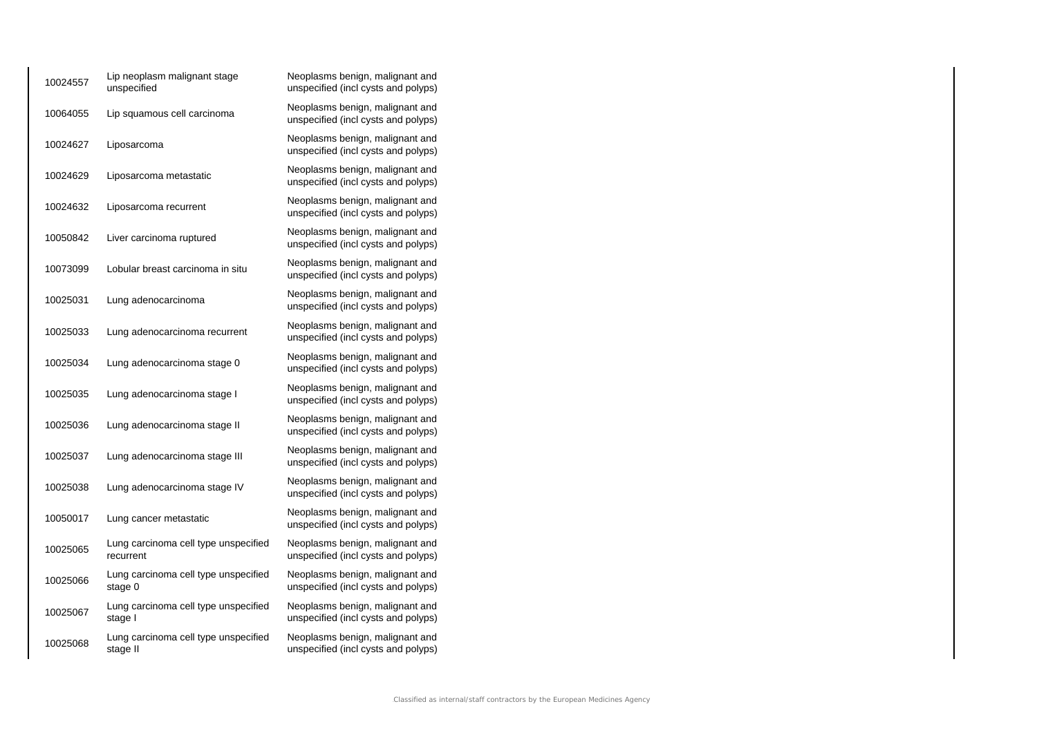| 10024557 | Lip neoplasm malignant stage<br>unspecified       | Neoplasms benign, malignant and<br>unspecified (incl cysts and polyps) |
|----------|---------------------------------------------------|------------------------------------------------------------------------|
| 10064055 | Lip squamous cell carcinoma                       | Neoplasms benign, malignant and<br>unspecified (incl cysts and polyps) |
| 10024627 | Liposarcoma                                       | Neoplasms benign, malignant and<br>unspecified (incl cysts and polyps) |
| 10024629 | Liposarcoma metastatic                            | Neoplasms benign, malignant and<br>unspecified (incl cysts and polyps) |
| 10024632 | Liposarcoma recurrent                             | Neoplasms benign, malignant and<br>unspecified (incl cysts and polyps) |
| 10050842 | Liver carcinoma ruptured                          | Neoplasms benign, malignant and<br>unspecified (incl cysts and polyps) |
| 10073099 | Lobular breast carcinoma in situ                  | Neoplasms benign, malignant and<br>unspecified (incl cysts and polyps) |
| 10025031 | Lung adenocarcinoma                               | Neoplasms benign, malignant and<br>unspecified (incl cysts and polyps) |
| 10025033 | Lung adenocarcinoma recurrent                     | Neoplasms benign, malignant and<br>unspecified (incl cysts and polyps) |
| 10025034 | Lung adenocarcinoma stage 0                       | Neoplasms benign, malignant and<br>unspecified (incl cysts and polyps) |
| 10025035 | Lung adenocarcinoma stage I                       | Neoplasms benign, malignant and<br>unspecified (incl cysts and polyps) |
| 10025036 | Lung adenocarcinoma stage II                      | Neoplasms benign, malignant and<br>unspecified (incl cysts and polyps) |
| 10025037 | Lung adenocarcinoma stage III                     | Neoplasms benign, malignant and<br>unspecified (incl cysts and polyps) |
| 10025038 | Lung adenocarcinoma stage IV                      | Neoplasms benign, malignant and<br>unspecified (incl cysts and polyps) |
| 10050017 | Lung cancer metastatic                            | Neoplasms benign, malignant and<br>unspecified (incl cysts and polyps) |
| 10025065 | Lung carcinoma cell type unspecified<br>recurrent | Neoplasms benign, malignant and<br>unspecified (incl cysts and polyps) |
| 10025066 | Lung carcinoma cell type unspecified<br>stage 0   | Neoplasms benign, malignant and<br>unspecified (incl cysts and polyps) |
| 10025067 | Lung carcinoma cell type unspecified<br>stage I   | Neoplasms benign, malignant and<br>unspecified (incl cysts and polyps) |
| 10025068 | Lung carcinoma cell type unspecified<br>stage II  | Neoplasms benign, malignant and<br>unspecified (incl cysts and polyps) |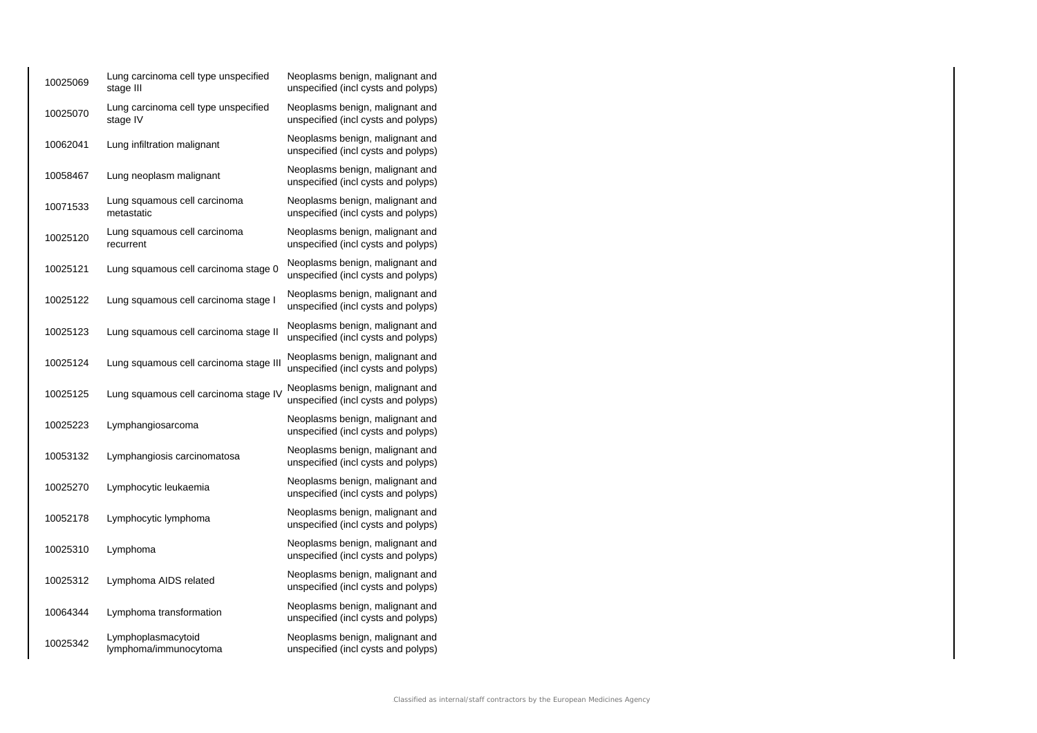| 10025069 | Lung carcinoma cell type unspecified<br>stage III | Neoplasms benign, malignant and<br>unspecified (incl cysts and polyps) |
|----------|---------------------------------------------------|------------------------------------------------------------------------|
| 10025070 | Lung carcinoma cell type unspecified<br>stage IV  | Neoplasms benign, malignant and<br>unspecified (incl cysts and polyps) |
| 10062041 | Lung infiltration malignant                       | Neoplasms benign, malignant and<br>unspecified (incl cysts and polyps) |
| 10058467 | Lung neoplasm malignant                           | Neoplasms benign, malignant and<br>unspecified (incl cysts and polyps) |
| 10071533 | Lung squamous cell carcinoma<br>metastatic        | Neoplasms benign, malignant and<br>unspecified (incl cysts and polyps) |
| 10025120 | Lung squamous cell carcinoma<br>recurrent         | Neoplasms benign, malignant and<br>unspecified (incl cysts and polyps) |
| 10025121 | Lung squamous cell carcinoma stage 0              | Neoplasms benign, malignant and<br>unspecified (incl cysts and polyps) |
| 10025122 | Lung squamous cell carcinoma stage I              | Neoplasms benign, malignant and<br>unspecified (incl cysts and polyps) |
| 10025123 | Lung squamous cell carcinoma stage II             | Neoplasms benign, malignant and<br>unspecified (incl cysts and polyps) |
| 10025124 | Lung squamous cell carcinoma stage III            | Neoplasms benign, malignant and<br>unspecified (incl cysts and polyps) |
| 10025125 | Lung squamous cell carcinoma stage IV             | Neoplasms benign, malignant and<br>unspecified (incl cysts and polyps) |
| 10025223 | Lymphangiosarcoma                                 | Neoplasms benign, malignant and<br>unspecified (incl cysts and polyps) |
| 10053132 | Lymphangiosis carcinomatosa                       | Neoplasms benign, malignant and<br>unspecified (incl cysts and polyps) |
| 10025270 | Lymphocytic leukaemia                             | Neoplasms benign, malignant and<br>unspecified (incl cysts and polyps) |
| 10052178 | Lymphocytic lymphoma                              | Neoplasms benign, malignant and<br>unspecified (incl cysts and polyps) |
| 10025310 | Lymphoma                                          | Neoplasms benign, malignant and<br>unspecified (incl cysts and polyps) |
| 10025312 | Lymphoma AIDS related                             | Neoplasms benign, malignant and<br>unspecified (incl cysts and polyps) |
| 10064344 | Lymphoma transformation                           | Neoplasms benign, malignant and<br>unspecified (incl cysts and polyps) |
| 10025342 | Lymphoplasmacytoid<br>lymphoma/immunocytoma       | Neoplasms benign, malignant and<br>unspecified (incl cysts and polyps) |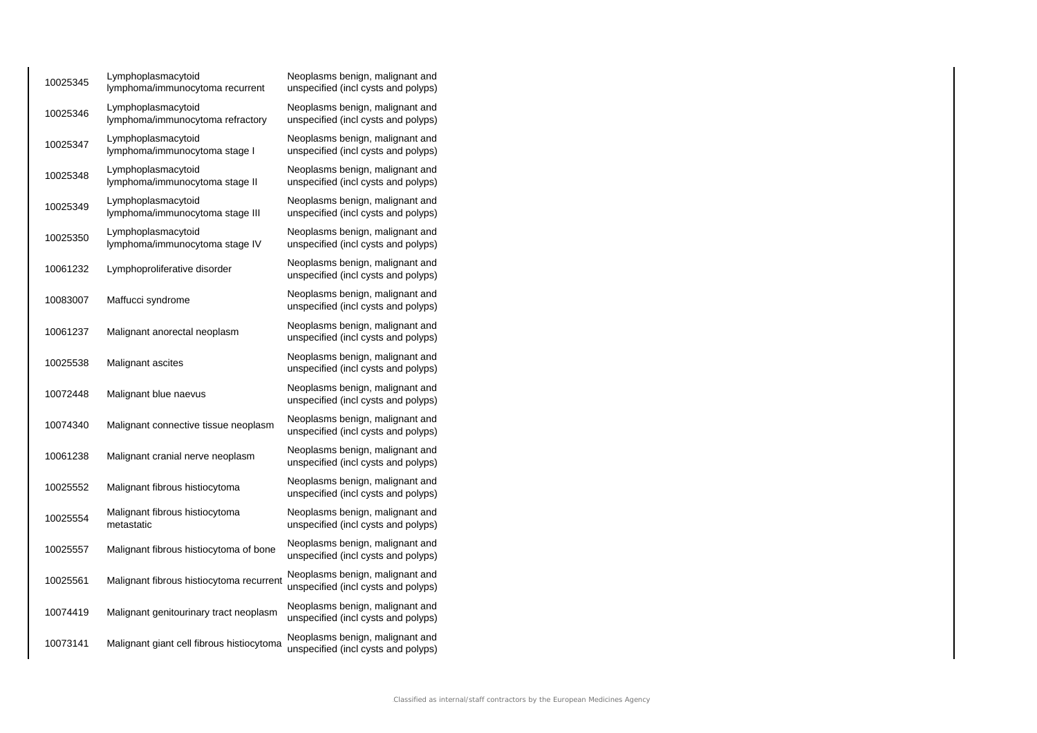| 10025345 | Lymphoplasmacytoid<br>lymphoma/immunocytoma recurrent  | Neoplasms benign, malignant and<br>unspecified (incl cysts and polyps) |
|----------|--------------------------------------------------------|------------------------------------------------------------------------|
| 10025346 | Lymphoplasmacytoid<br>lymphoma/immunocytoma refractory | Neoplasms benign, malignant and<br>unspecified (incl cysts and polyps) |
| 10025347 | Lymphoplasmacytoid<br>lymphoma/immunocytoma stage I    | Neoplasms benign, malignant and<br>unspecified (incl cysts and polyps) |
| 10025348 | Lymphoplasmacytoid<br>lymphoma/immunocytoma stage II   | Neoplasms benign, malignant and<br>unspecified (incl cysts and polyps) |
| 10025349 | Lymphoplasmacytoid<br>lymphoma/immunocytoma stage III  | Neoplasms benign, malignant and<br>unspecified (incl cysts and polyps) |
| 10025350 | Lymphoplasmacytoid<br>lymphoma/immunocytoma stage IV   | Neoplasms benign, malignant and<br>unspecified (incl cysts and polyps) |
| 10061232 | Lymphoproliferative disorder                           | Neoplasms benign, malignant and<br>unspecified (incl cysts and polyps) |
| 10083007 | Maffucci syndrome                                      | Neoplasms benign, malignant and<br>unspecified (incl cysts and polyps) |
| 10061237 | Malignant anorectal neoplasm                           | Neoplasms benign, malignant and<br>unspecified (incl cysts and polyps) |
| 10025538 | Malignant ascites                                      | Neoplasms benign, malignant and<br>unspecified (incl cysts and polyps) |
| 10072448 | Malignant blue naevus                                  | Neoplasms benign, malignant and<br>unspecified (incl cysts and polyps) |
| 10074340 | Malignant connective tissue neoplasm                   | Neoplasms benign, malignant and<br>unspecified (incl cysts and polyps) |
| 10061238 | Malignant cranial nerve neoplasm                       | Neoplasms benign, malignant and<br>unspecified (incl cysts and polyps) |
| 10025552 | Malignant fibrous histiocytoma                         | Neoplasms benign, malignant and<br>unspecified (incl cysts and polyps) |
| 10025554 | Malignant fibrous histiocytoma<br>metastatic           | Neoplasms benign, malignant and<br>unspecified (incl cysts and polyps) |
| 10025557 | Malignant fibrous histiocytoma of bone                 | Neoplasms benign, malignant and<br>unspecified (incl cysts and polyps) |
| 10025561 | Malignant fibrous histiocytoma recurrent               | Neoplasms benign, malignant and<br>unspecified (incl cysts and polyps) |
| 10074419 | Malignant genitourinary tract neoplasm                 | Neoplasms benign, malignant and<br>unspecified (incl cysts and polyps) |
| 10073141 | Malignant giant cell fibrous histiocytoma              | Neoplasms benign, malignant and<br>unspecified (incl cysts and polyps) |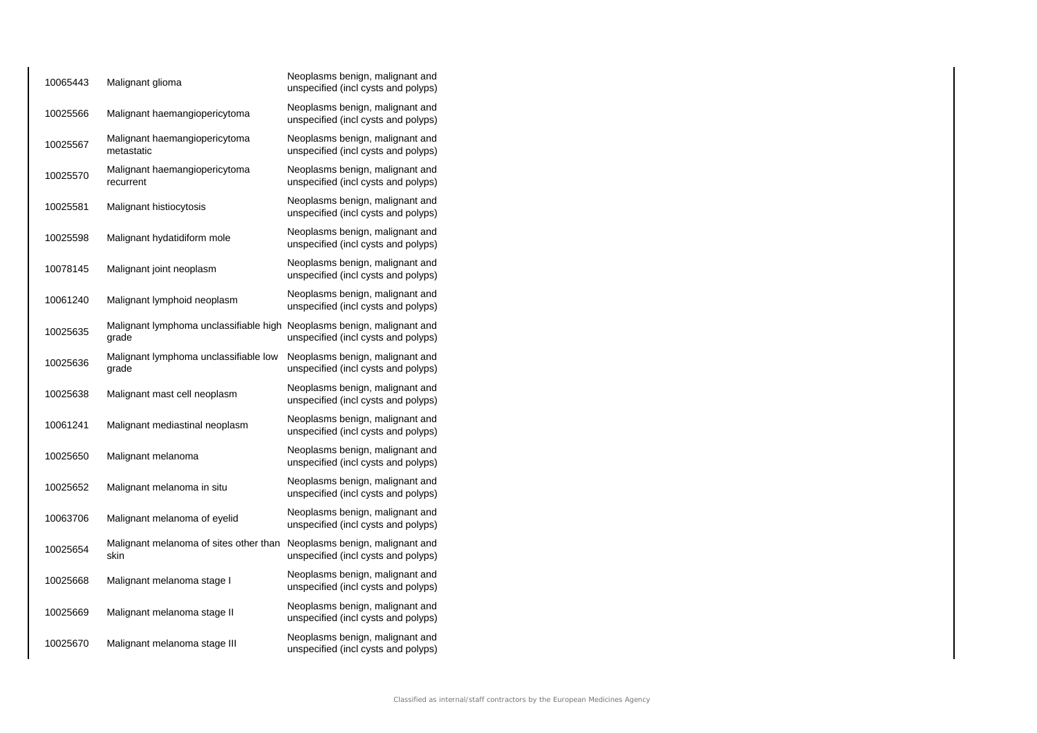| 10065443 | Malignant glioma                                                                | Neoplasms benign, malignant and<br>unspecified (incl cysts and polyps) |
|----------|---------------------------------------------------------------------------------|------------------------------------------------------------------------|
| 10025566 | Malignant haemangiopericytoma                                                   | Neoplasms benign, malignant and<br>unspecified (incl cysts and polyps) |
| 10025567 | Malignant haemangiopericytoma<br>metastatic                                     | Neoplasms benign, malignant and<br>unspecified (incl cysts and polyps) |
| 10025570 | Malignant haemangiopericytoma<br>recurrent                                      | Neoplasms benign, malignant and<br>unspecified (incl cysts and polyps) |
| 10025581 | Malignant histiocytosis                                                         | Neoplasms benign, malignant and<br>unspecified (incl cysts and polyps) |
| 10025598 | Malignant hydatidiform mole                                                     | Neoplasms benign, malignant and<br>unspecified (incl cysts and polyps) |
| 10078145 | Malignant joint neoplasm                                                        | Neoplasms benign, malignant and<br>unspecified (incl cysts and polyps) |
| 10061240 | Malignant lymphoid neoplasm                                                     | Neoplasms benign, malignant and<br>unspecified (incl cysts and polyps) |
| 10025635 | Malignant lymphoma unclassifiable high Neoplasms benign, malignant and<br>grade | unspecified (incl cysts and polyps)                                    |
| 10025636 | Malignant lymphoma unclassifiable low<br>grade                                  | Neoplasms benign, malignant and<br>unspecified (incl cysts and polyps) |
| 10025638 | Malignant mast cell neoplasm                                                    | Neoplasms benign, malignant and<br>unspecified (incl cysts and polyps) |
| 10061241 | Malignant mediastinal neoplasm                                                  | Neoplasms benign, malignant and<br>unspecified (incl cysts and polyps) |
| 10025650 | Malignant melanoma                                                              | Neoplasms benign, malignant and<br>unspecified (incl cysts and polyps) |
| 10025652 | Malignant melanoma in situ                                                      | Neoplasms benign, malignant and<br>unspecified (incl cysts and polyps) |
| 10063706 | Malignant melanoma of eyelid                                                    | Neoplasms benign, malignant and<br>unspecified (incl cysts and polyps) |
| 10025654 | Malignant melanoma of sites other than<br>skin                                  | Neoplasms benign, malignant and<br>unspecified (incl cysts and polyps) |
| 10025668 | Malignant melanoma stage I                                                      | Neoplasms benign, malignant and<br>unspecified (incl cysts and polyps) |
| 10025669 | Malignant melanoma stage II                                                     | Neoplasms benign, malignant and<br>unspecified (incl cysts and polyps) |
| 10025670 | Malignant melanoma stage III                                                    | Neoplasms benign, malignant and<br>unspecified (incl cysts and polyps) |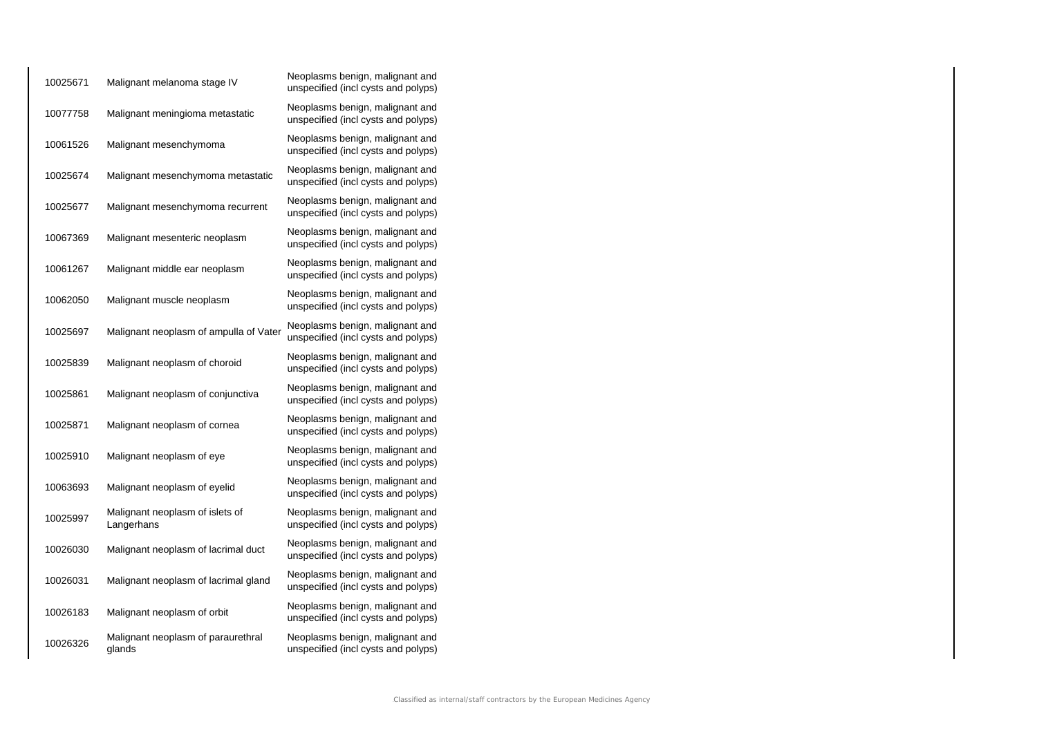| 10025671 | Malignant melanoma stage IV                   | Neoplasms benign, malignant and<br>unspecified (incl cysts and polyps) |
|----------|-----------------------------------------------|------------------------------------------------------------------------|
| 10077758 | Malignant meningioma metastatic               | Neoplasms benign, malignant and<br>unspecified (incl cysts and polyps) |
| 10061526 | Malignant mesenchymoma                        | Neoplasms benign, malignant and<br>unspecified (incl cysts and polyps) |
| 10025674 | Malignant mesenchymoma metastatic             | Neoplasms benign, malignant and<br>unspecified (incl cysts and polyps) |
| 10025677 | Malignant mesenchymoma recurrent              | Neoplasms benign, malignant and<br>unspecified (incl cysts and polyps) |
| 10067369 | Malignant mesenteric neoplasm                 | Neoplasms benign, malignant and<br>unspecified (incl cysts and polyps) |
| 10061267 | Malignant middle ear neoplasm                 | Neoplasms benign, malignant and<br>unspecified (incl cysts and polyps) |
| 10062050 | Malignant muscle neoplasm                     | Neoplasms benign, malignant and<br>unspecified (incl cysts and polyps) |
| 10025697 | Malignant neoplasm of ampulla of Vater        | Neoplasms benign, malignant and<br>unspecified (incl cysts and polyps) |
| 10025839 | Malignant neoplasm of choroid                 | Neoplasms benign, malignant and<br>unspecified (incl cysts and polyps) |
| 10025861 | Malignant neoplasm of conjunctiva             | Neoplasms benign, malignant and<br>unspecified (incl cysts and polyps) |
| 10025871 | Malignant neoplasm of cornea                  | Neoplasms benign, malignant and<br>unspecified (incl cysts and polyps) |
| 10025910 | Malignant neoplasm of eye                     | Neoplasms benign, malignant and<br>unspecified (incl cysts and polyps) |
| 10063693 | Malignant neoplasm of eyelid                  | Neoplasms benign, malignant and<br>unspecified (incl cysts and polyps) |
| 10025997 | Malignant neoplasm of islets of<br>Langerhans | Neoplasms benign, malignant and<br>unspecified (incl cysts and polyps) |
| 10026030 | Malignant neoplasm of lacrimal duct           | Neoplasms benign, malignant and<br>unspecified (incl cysts and polyps) |
| 10026031 | Malignant neoplasm of lacrimal gland          | Neoplasms benign, malignant and<br>unspecified (incl cysts and polyps) |
| 10026183 | Malignant neoplasm of orbit                   | Neoplasms benign, malignant and<br>unspecified (incl cysts and polyps) |
| 10026326 | Malignant neoplasm of paraurethral<br>glands  | Neoplasms benign, malignant and<br>unspecified (incl cysts and polyps) |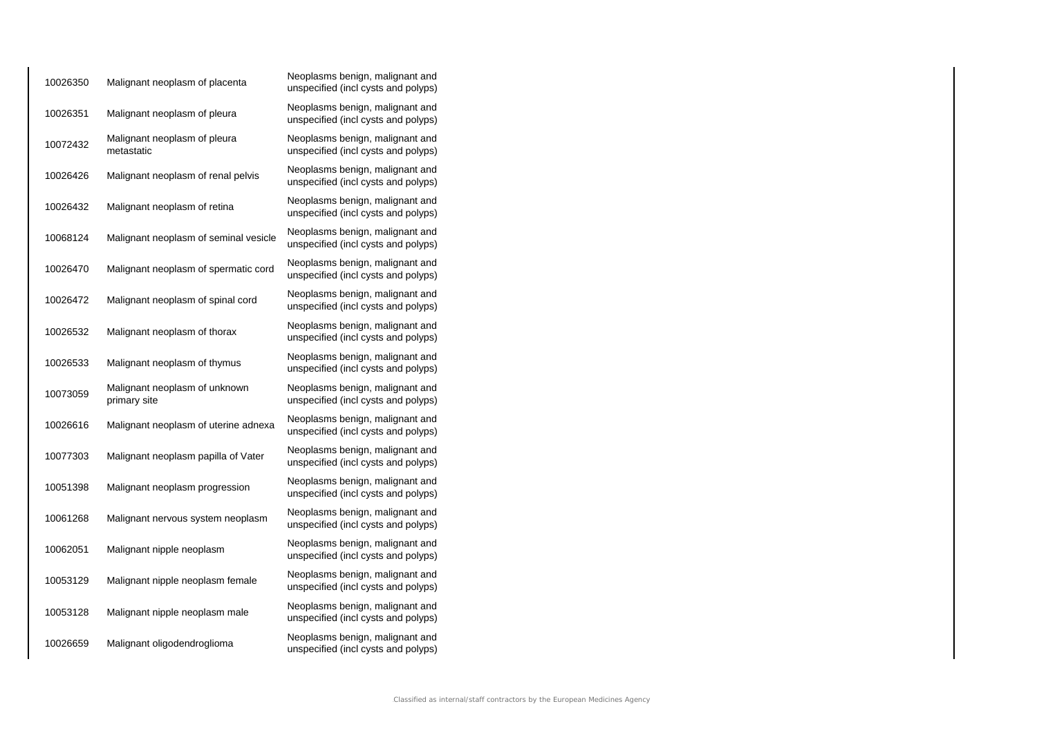| 10026350 | Malignant neoplasm of placenta                | Neoplasms benign, malignant and<br>unspecified (incl cysts and polyps) |
|----------|-----------------------------------------------|------------------------------------------------------------------------|
| 10026351 | Malignant neoplasm of pleura                  | Neoplasms benign, malignant and<br>unspecified (incl cysts and polyps) |
| 10072432 | Malignant neoplasm of pleura<br>metastatic    | Neoplasms benign, malignant and<br>unspecified (incl cysts and polyps) |
| 10026426 | Malignant neoplasm of renal pelvis            | Neoplasms benign, malignant and<br>unspecified (incl cysts and polyps) |
| 10026432 | Malignant neoplasm of retina                  | Neoplasms benign, malignant and<br>unspecified (incl cysts and polyps) |
| 10068124 | Malignant neoplasm of seminal vesicle         | Neoplasms benign, malignant and<br>unspecified (incl cysts and polyps) |
| 10026470 | Malignant neoplasm of spermatic cord          | Neoplasms benign, malignant and<br>unspecified (incl cysts and polyps) |
| 10026472 | Malignant neoplasm of spinal cord             | Neoplasms benign, malignant and<br>unspecified (incl cysts and polyps) |
| 10026532 | Malignant neoplasm of thorax                  | Neoplasms benign, malignant and<br>unspecified (incl cysts and polyps) |
| 10026533 | Malignant neoplasm of thymus                  | Neoplasms benign, malignant and<br>unspecified (incl cysts and polyps) |
| 10073059 | Malignant neoplasm of unknown<br>primary site | Neoplasms benign, malignant and<br>unspecified (incl cysts and polyps) |
| 10026616 | Malignant neoplasm of uterine adnexa          | Neoplasms benign, malignant and<br>unspecified (incl cysts and polyps) |
| 10077303 | Malignant neoplasm papilla of Vater           | Neoplasms benign, malignant and<br>unspecified (incl cysts and polyps) |
| 10051398 | Malignant neoplasm progression                | Neoplasms benign, malignant and<br>unspecified (incl cysts and polyps) |
| 10061268 | Malignant nervous system neoplasm             | Neoplasms benign, malignant and<br>unspecified (incl cysts and polyps) |
| 10062051 | Malignant nipple neoplasm                     | Neoplasms benign, malignant and<br>unspecified (incl cysts and polyps) |
| 10053129 | Malignant nipple neoplasm female              | Neoplasms benign, malignant and<br>unspecified (incl cysts and polyps) |
| 10053128 | Malignant nipple neoplasm male                | Neoplasms benign, malignant and<br>unspecified (incl cysts and polyps) |
| 10026659 | Malignant oligodendroglioma                   | Neoplasms benign, malignant and<br>unspecified (incl cysts and polyps) |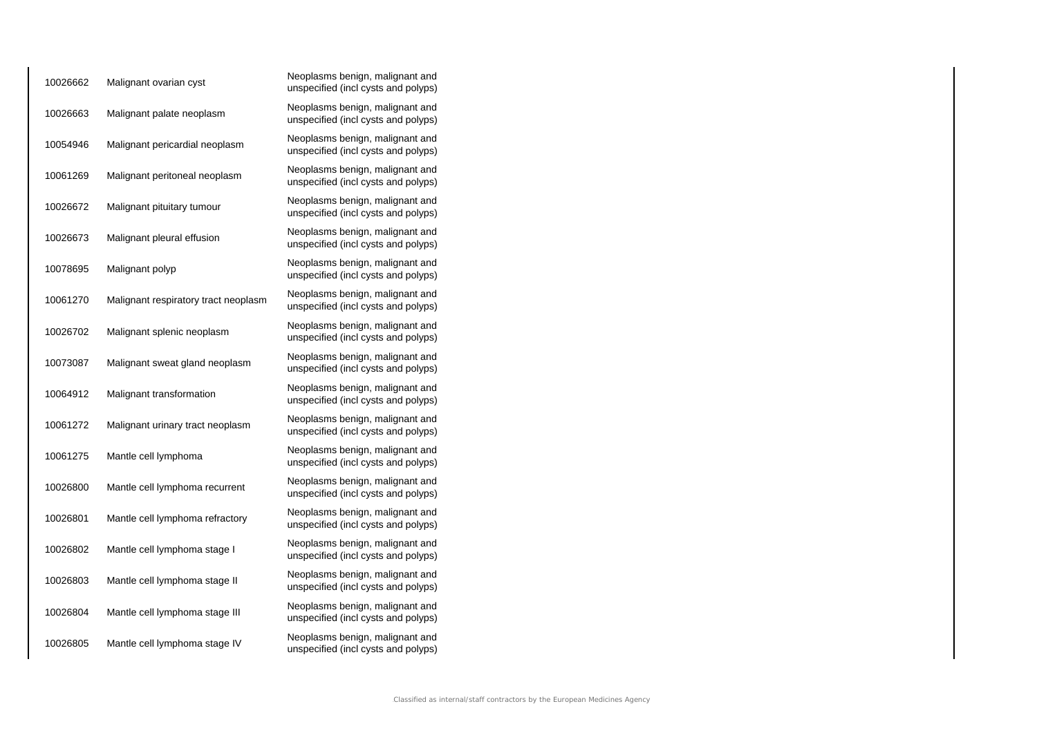| 10026662 | Malignant ovarian cyst               | Neoplasms benign, malignant and<br>unspecified (incl cysts and polyps) |
|----------|--------------------------------------|------------------------------------------------------------------------|
| 10026663 | Malignant palate neoplasm            | Neoplasms benign, malignant and<br>unspecified (incl cysts and polyps) |
| 10054946 | Malignant pericardial neoplasm       | Neoplasms benign, malignant and<br>unspecified (incl cysts and polyps) |
| 10061269 | Malignant peritoneal neoplasm        | Neoplasms benign, malignant and<br>unspecified (incl cysts and polyps) |
| 10026672 | Malignant pituitary tumour           | Neoplasms benign, malignant and<br>unspecified (incl cysts and polyps) |
| 10026673 | Malignant pleural effusion           | Neoplasms benign, malignant and<br>unspecified (incl cysts and polyps) |
| 10078695 | Malignant polyp                      | Neoplasms benign, malignant and<br>unspecified (incl cysts and polyps) |
| 10061270 | Malignant respiratory tract neoplasm | Neoplasms benign, malignant and<br>unspecified (incl cysts and polyps) |
| 10026702 | Malignant splenic neoplasm           | Neoplasms benign, malignant and<br>unspecified (incl cysts and polyps) |
| 10073087 | Malignant sweat gland neoplasm       | Neoplasms benign, malignant and<br>unspecified (incl cysts and polyps) |
| 10064912 | Malignant transformation             | Neoplasms benign, malignant and<br>unspecified (incl cysts and polyps) |
| 10061272 | Malignant urinary tract neoplasm     | Neoplasms benign, malignant and<br>unspecified (incl cysts and polyps) |
| 10061275 | Mantle cell lymphoma                 | Neoplasms benign, malignant and<br>unspecified (incl cysts and polyps) |
| 10026800 | Mantle cell lymphoma recurrent       | Neoplasms benign, malignant and<br>unspecified (incl cysts and polyps) |
| 10026801 | Mantle cell lymphoma refractory      | Neoplasms benign, malignant and<br>unspecified (incl cysts and polyps) |
| 10026802 | Mantle cell lymphoma stage I         | Neoplasms benign, malignant and<br>unspecified (incl cysts and polyps) |
| 10026803 | Mantle cell lymphoma stage II        | Neoplasms benign, malignant and<br>unspecified (incl cysts and polyps) |
| 10026804 | Mantle cell lymphoma stage III       | Neoplasms benign, malignant and<br>unspecified (incl cysts and polyps) |
| 10026805 | Mantle cell lymphoma stage IV        | Neoplasms benign, malignant and<br>unspecified (incl cysts and polyps) |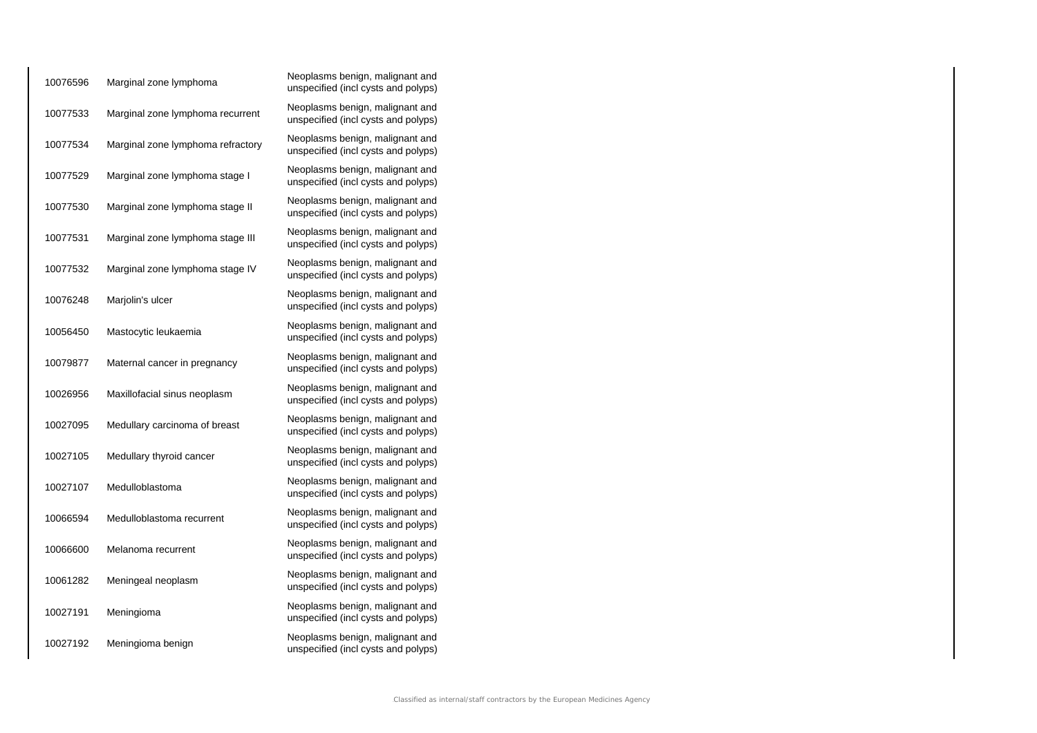| 10076596 | Marginal zone lymphoma            | Neoplasms benign, malignant and<br>unspecified (incl cysts and polyps) |
|----------|-----------------------------------|------------------------------------------------------------------------|
| 10077533 | Marginal zone lymphoma recurrent  | Neoplasms benign, malignant and<br>unspecified (incl cysts and polyps) |
| 10077534 | Marginal zone lymphoma refractory | Neoplasms benign, malignant and<br>unspecified (incl cysts and polyps) |
| 10077529 | Marginal zone lymphoma stage I    | Neoplasms benign, malignant and<br>unspecified (incl cysts and polyps) |
| 10077530 | Marginal zone lymphoma stage II   | Neoplasms benign, malignant and<br>unspecified (incl cysts and polyps) |
| 10077531 | Marginal zone lymphoma stage III  | Neoplasms benign, malignant and<br>unspecified (incl cysts and polyps) |
| 10077532 | Marginal zone lymphoma stage IV   | Neoplasms benign, malignant and<br>unspecified (incl cysts and polyps) |
| 10076248 | Marjolin's ulcer                  | Neoplasms benign, malignant and<br>unspecified (incl cysts and polyps) |
| 10056450 | Mastocytic leukaemia              | Neoplasms benign, malignant and<br>unspecified (incl cysts and polyps) |
| 10079877 | Maternal cancer in pregnancy      | Neoplasms benign, malignant and<br>unspecified (incl cysts and polyps) |
| 10026956 | Maxillofacial sinus neoplasm      | Neoplasms benign, malignant and<br>unspecified (incl cysts and polyps) |
| 10027095 | Medullary carcinoma of breast     | Neoplasms benign, malignant and<br>unspecified (incl cysts and polyps) |
| 10027105 | Medullary thyroid cancer          | Neoplasms benign, malignant and<br>unspecified (incl cysts and polyps) |
| 10027107 | Medulloblastoma                   | Neoplasms benign, malignant and<br>unspecified (incl cysts and polyps) |
| 10066594 | Medulloblastoma recurrent         | Neoplasms benign, malignant and<br>unspecified (incl cysts and polyps) |
| 10066600 | Melanoma recurrent                | Neoplasms benign, malignant and<br>unspecified (incl cysts and polyps) |
| 10061282 | Meningeal neoplasm                | Neoplasms benign, malignant and<br>unspecified (incl cysts and polyps) |
| 10027191 | Meningioma                        | Neoplasms benign, malignant and<br>unspecified (incl cysts and polyps) |
| 10027192 | Meningioma benign                 | Neoplasms benign, malignant and<br>unspecified (incl cysts and polyps) |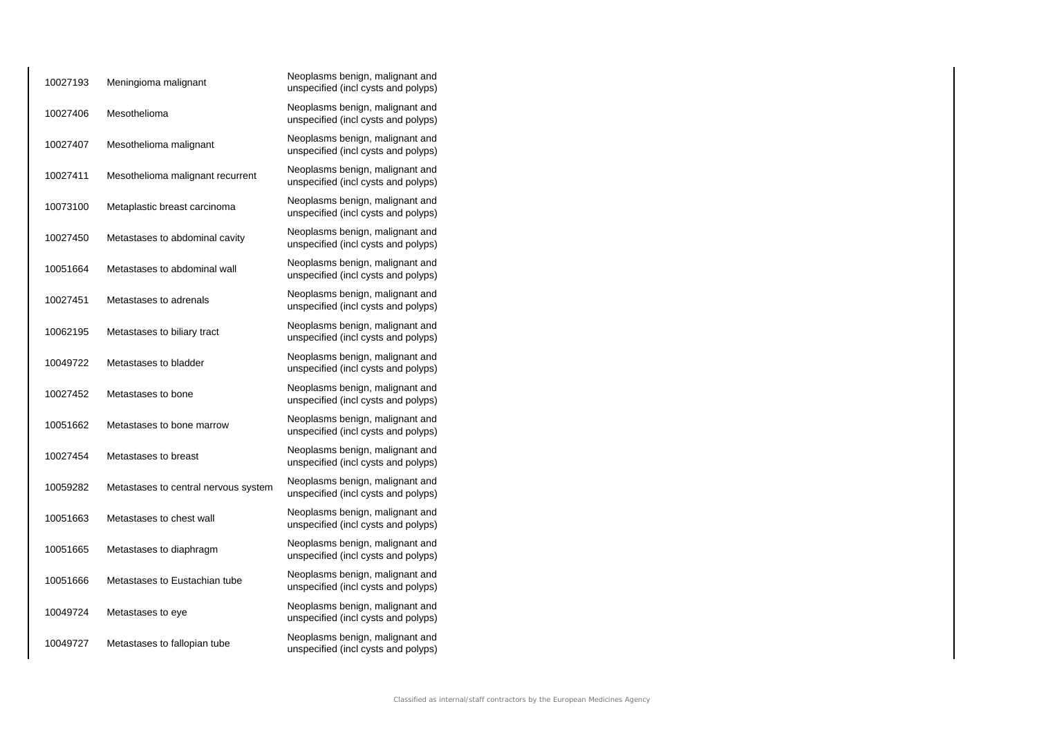| 10027193 | Meningioma malignant                 | Neoplasms benign, malignant and<br>unspecified (incl cysts and polyps) |
|----------|--------------------------------------|------------------------------------------------------------------------|
| 10027406 | Mesothelioma                         | Neoplasms benign, malignant and<br>unspecified (incl cysts and polyps) |
| 10027407 | Mesothelioma malignant               | Neoplasms benign, malignant and<br>unspecified (incl cysts and polyps) |
| 10027411 | Mesothelioma malignant recurrent     | Neoplasms benign, malignant and<br>unspecified (incl cysts and polyps) |
| 10073100 | Metaplastic breast carcinoma         | Neoplasms benign, malignant and<br>unspecified (incl cysts and polyps) |
| 10027450 | Metastases to abdominal cavity       | Neoplasms benign, malignant and<br>unspecified (incl cysts and polyps) |
| 10051664 | Metastases to abdominal wall         | Neoplasms benign, malignant and<br>unspecified (incl cysts and polyps) |
| 10027451 | Metastases to adrenals               | Neoplasms benign, malignant and<br>unspecified (incl cysts and polyps) |
| 10062195 | Metastases to biliary tract          | Neoplasms benign, malignant and<br>unspecified (incl cysts and polyps) |
| 10049722 | Metastases to bladder                | Neoplasms benign, malignant and<br>unspecified (incl cysts and polyps) |
| 10027452 | Metastases to bone                   | Neoplasms benign, malignant and<br>unspecified (incl cysts and polyps) |
| 10051662 | Metastases to bone marrow            | Neoplasms benign, malignant and<br>unspecified (incl cysts and polyps) |
| 10027454 | Metastases to breast                 | Neoplasms benign, malignant and<br>unspecified (incl cysts and polyps) |
| 10059282 | Metastases to central nervous system | Neoplasms benign, malignant and<br>unspecified (incl cysts and polyps) |
| 10051663 | Metastases to chest wall             | Neoplasms benign, malignant and<br>unspecified (incl cysts and polyps) |
| 10051665 | Metastases to diaphragm              | Neoplasms benign, malignant and<br>unspecified (incl cysts and polyps) |
| 10051666 | Metastases to Eustachian tube        | Neoplasms benign, malignant and<br>unspecified (incl cysts and polyps) |
| 10049724 | Metastases to eye                    | Neoplasms benign, malignant and<br>unspecified (incl cysts and polyps) |
| 10049727 | Metastases to fallopian tube         | Neoplasms benign, malignant and<br>unspecified (incl cysts and polyps) |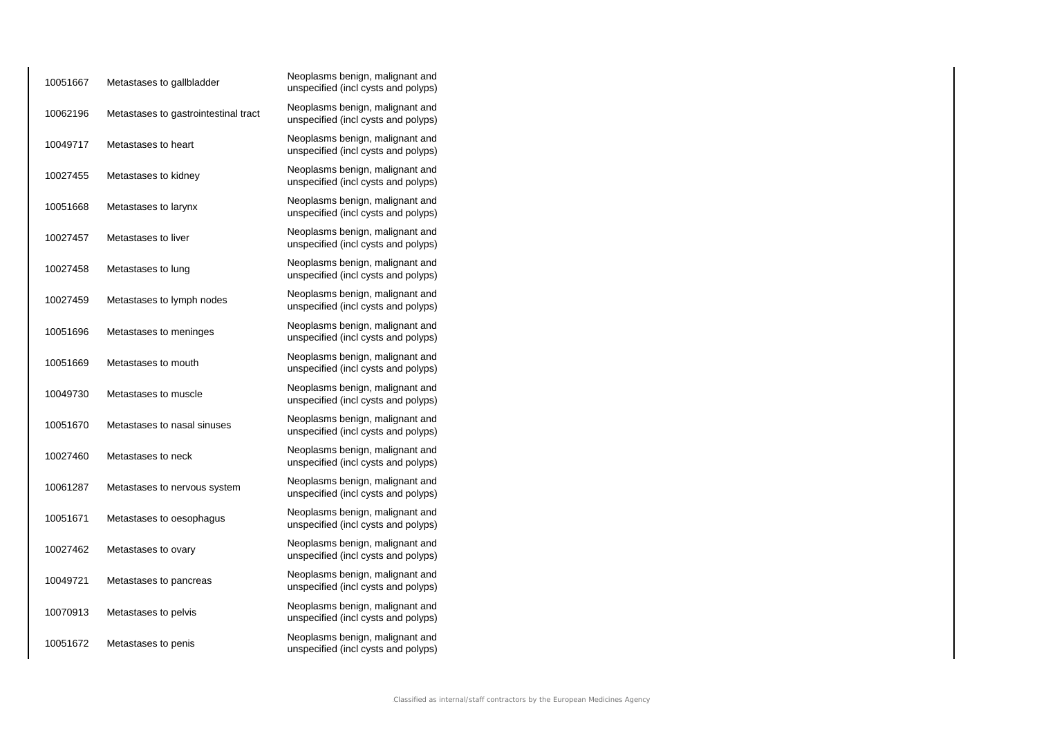| 10051667 | Metastases to gallbladder            | Neoplasms benign, malignant and<br>unspecified (incl cysts and polyps) |
|----------|--------------------------------------|------------------------------------------------------------------------|
| 10062196 | Metastases to gastrointestinal tract | Neoplasms benign, malignant and<br>unspecified (incl cysts and polyps) |
| 10049717 | Metastases to heart                  | Neoplasms benign, malignant and<br>unspecified (incl cysts and polyps) |
| 10027455 | Metastases to kidney                 | Neoplasms benign, malignant and<br>unspecified (incl cysts and polyps) |
| 10051668 | Metastases to larynx                 | Neoplasms benign, malignant and<br>unspecified (incl cysts and polyps) |
| 10027457 | Metastases to liver                  | Neoplasms benign, malignant and<br>unspecified (incl cysts and polyps) |
| 10027458 | Metastases to lung                   | Neoplasms benign, malignant and<br>unspecified (incl cysts and polyps) |
| 10027459 | Metastases to lymph nodes            | Neoplasms benign, malignant and<br>unspecified (incl cysts and polyps) |
| 10051696 | Metastases to meninges               | Neoplasms benign, malignant and<br>unspecified (incl cysts and polyps) |
| 10051669 | Metastases to mouth                  | Neoplasms benign, malignant and<br>unspecified (incl cysts and polyps) |
| 10049730 | Metastases to muscle                 | Neoplasms benign, malignant and<br>unspecified (incl cysts and polyps) |
| 10051670 | Metastases to nasal sinuses          | Neoplasms benign, malignant and<br>unspecified (incl cysts and polyps) |
| 10027460 | Metastases to neck                   | Neoplasms benign, malignant and<br>unspecified (incl cysts and polyps) |
| 10061287 | Metastases to nervous system         | Neoplasms benign, malignant and<br>unspecified (incl cysts and polyps) |
| 10051671 | Metastases to oesophagus             | Neoplasms benign, malignant and<br>unspecified (incl cysts and polyps) |
| 10027462 | Metastases to ovary                  | Neoplasms benign, malignant and<br>unspecified (incl cysts and polyps) |
| 10049721 | Metastases to pancreas               | Neoplasms benign, malignant and<br>unspecified (incl cysts and polyps) |
| 10070913 | Metastases to pelvis                 | Neoplasms benign, malignant and<br>unspecified (incl cysts and polyps) |
| 10051672 | Metastases to penis                  | Neoplasms benign, malignant and<br>unspecified (incl cysts and polyps) |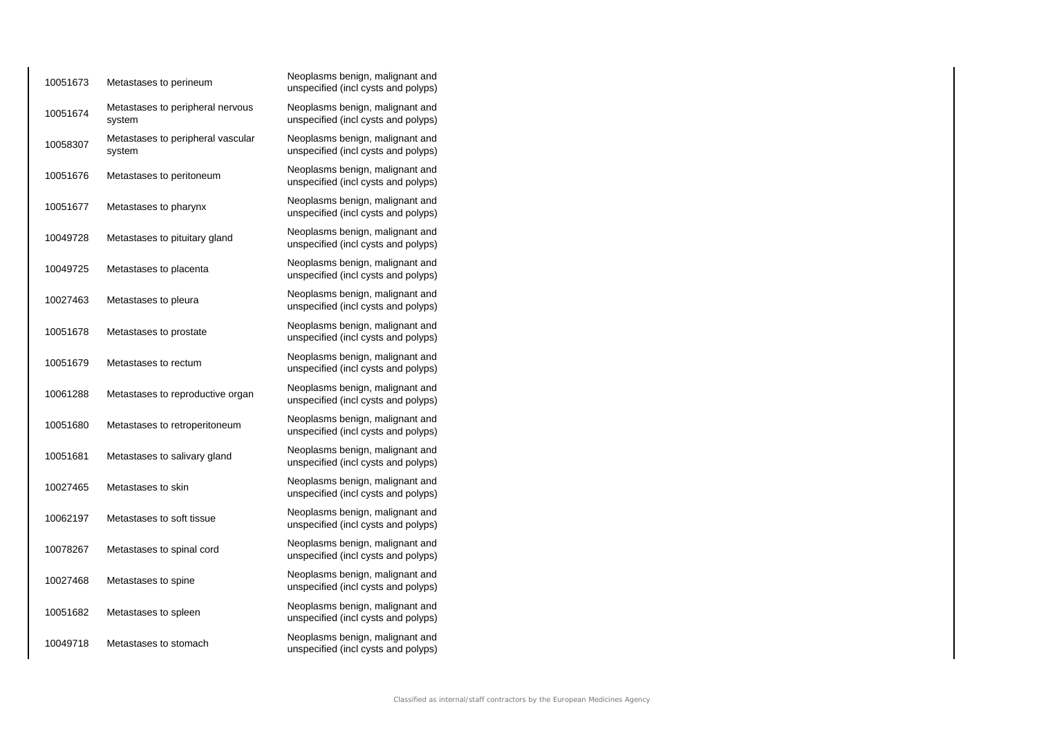| 10051673 | Metastases to perineum                      | Neoplasms benign, malignant and<br>unspecified (incl cysts and polyps) |
|----------|---------------------------------------------|------------------------------------------------------------------------|
| 10051674 | Metastases to peripheral nervous<br>system  | Neoplasms benign, malignant and<br>unspecified (incl cysts and polyps) |
| 10058307 | Metastases to peripheral vascular<br>system | Neoplasms benign, malignant and<br>unspecified (incl cysts and polyps) |
| 10051676 | Metastases to peritoneum                    | Neoplasms benign, malignant and<br>unspecified (incl cysts and polyps) |
| 10051677 | Metastases to pharynx                       | Neoplasms benign, malignant and<br>unspecified (incl cysts and polyps) |
| 10049728 | Metastases to pituitary gland               | Neoplasms benign, malignant and<br>unspecified (incl cysts and polyps) |
| 10049725 | Metastases to placenta                      | Neoplasms benign, malignant and<br>unspecified (incl cysts and polyps) |
| 10027463 | Metastases to pleura                        | Neoplasms benign, malignant and<br>unspecified (incl cysts and polyps) |
| 10051678 | Metastases to prostate                      | Neoplasms benign, malignant and<br>unspecified (incl cysts and polyps) |
| 10051679 | Metastases to rectum                        | Neoplasms benign, malignant and<br>unspecified (incl cysts and polyps) |
| 10061288 | Metastases to reproductive organ            | Neoplasms benign, malignant and<br>unspecified (incl cysts and polyps) |
| 10051680 | Metastases to retroperitoneum               | Neoplasms benign, malignant and<br>unspecified (incl cysts and polyps) |
| 10051681 | Metastases to salivary gland                | Neoplasms benign, malignant and<br>unspecified (incl cysts and polyps) |
| 10027465 | Metastases to skin                          | Neoplasms benign, malignant and<br>unspecified (incl cysts and polyps) |
| 10062197 | Metastases to soft tissue                   | Neoplasms benign, malignant and<br>unspecified (incl cysts and polyps) |
| 10078267 | Metastases to spinal cord                   | Neoplasms benign, malignant and<br>unspecified (incl cysts and polyps) |
| 10027468 | Metastases to spine                         | Neoplasms benign, malignant and<br>unspecified (incl cysts and polyps) |
| 10051682 | Metastases to spleen                        | Neoplasms benign, malignant and<br>unspecified (incl cysts and polyps) |
| 10049718 | Metastases to stomach                       | Neoplasms benign, malignant and<br>unspecified (incl cysts and polyps) |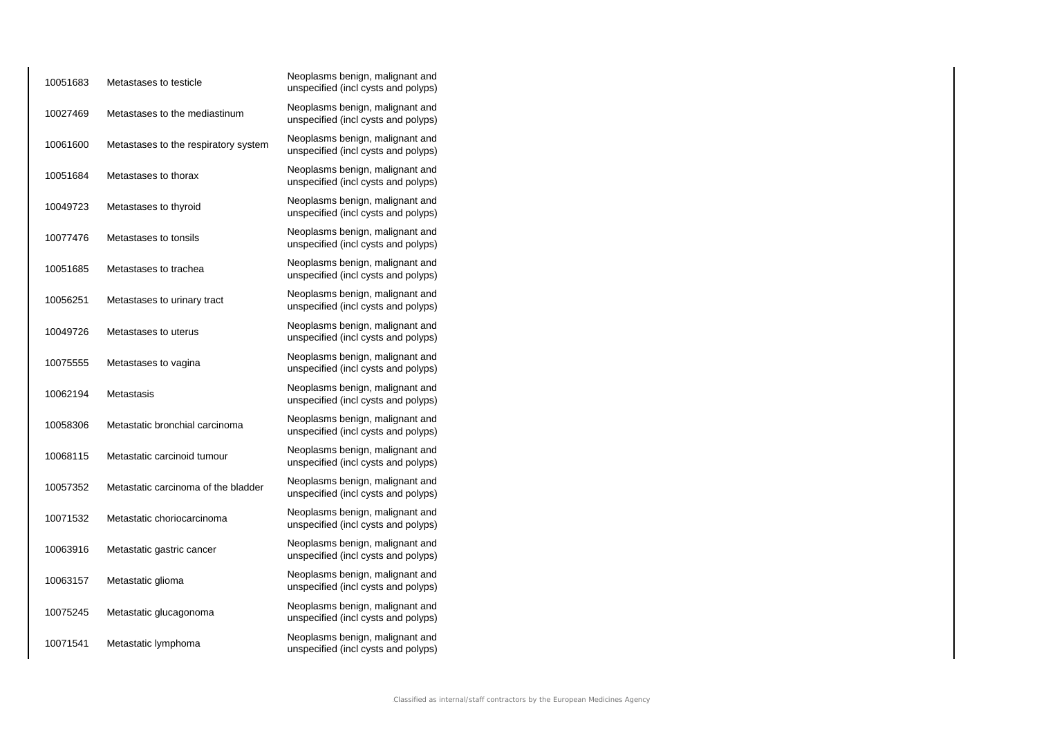| 10051683 | Metastases to testicle               | Neoplasms benign, malignant and<br>unspecified (incl cysts and polyps) |
|----------|--------------------------------------|------------------------------------------------------------------------|
| 10027469 | Metastases to the mediastinum        | Neoplasms benign, malignant and<br>unspecified (incl cysts and polyps) |
| 10061600 | Metastases to the respiratory system | Neoplasms benign, malignant and<br>unspecified (incl cysts and polyps) |
| 10051684 | Metastases to thorax                 | Neoplasms benign, malignant and<br>unspecified (incl cysts and polyps) |
| 10049723 | Metastases to thyroid                | Neoplasms benign, malignant and<br>unspecified (incl cysts and polyps) |
| 10077476 | Metastases to tonsils                | Neoplasms benign, malignant and<br>unspecified (incl cysts and polyps) |
| 10051685 | Metastases to trachea                | Neoplasms benign, malignant and<br>unspecified (incl cysts and polyps) |
| 10056251 | Metastases to urinary tract          | Neoplasms benign, malignant and<br>unspecified (incl cysts and polyps) |
| 10049726 | Metastases to uterus                 | Neoplasms benign, malignant and<br>unspecified (incl cysts and polyps) |
| 10075555 | Metastases to vagina                 | Neoplasms benign, malignant and<br>unspecified (incl cysts and polyps) |
| 10062194 | Metastasis                           | Neoplasms benign, malignant and<br>unspecified (incl cysts and polyps) |
| 10058306 | Metastatic bronchial carcinoma       | Neoplasms benign, malignant and<br>unspecified (incl cysts and polyps) |
| 10068115 | Metastatic carcinoid tumour          | Neoplasms benign, malignant and<br>unspecified (incl cysts and polyps) |
| 10057352 | Metastatic carcinoma of the bladder  | Neoplasms benign, malignant and<br>unspecified (incl cysts and polyps) |
| 10071532 | Metastatic choriocarcinoma           | Neoplasms benign, malignant and<br>unspecified (incl cysts and polyps) |
| 10063916 | Metastatic gastric cancer            | Neoplasms benign, malignant and<br>unspecified (incl cysts and polyps) |
| 10063157 | Metastatic glioma                    | Neoplasms benign, malignant and<br>unspecified (incl cysts and polyps) |
| 10075245 | Metastatic glucagonoma               | Neoplasms benign, malignant and<br>unspecified (incl cysts and polyps) |
| 10071541 | Metastatic lymphoma                  | Neoplasms benign, malignant and<br>unspecified (incl cysts and polyps) |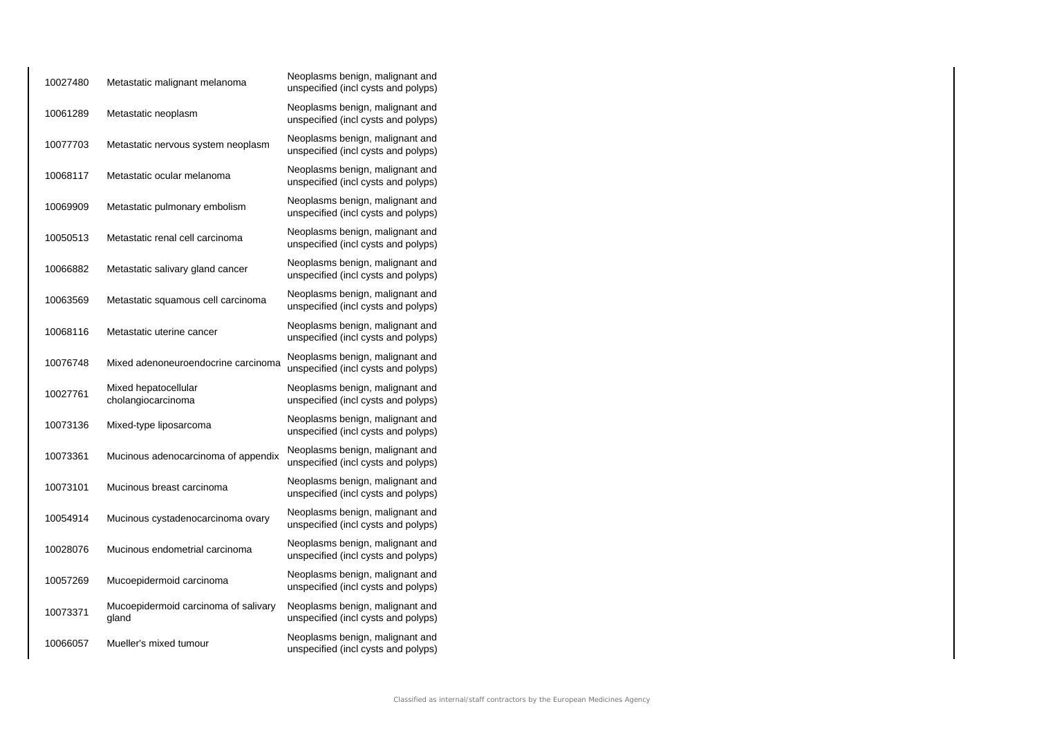| 10027480 | Metastatic malignant melanoma                 | Neoplasms benign, malignant and<br>unspecified (incl cysts and polyps) |
|----------|-----------------------------------------------|------------------------------------------------------------------------|
| 10061289 | Metastatic neoplasm                           | Neoplasms benign, malignant and<br>unspecified (incl cysts and polyps) |
| 10077703 | Metastatic nervous system neoplasm            | Neoplasms benign, malignant and<br>unspecified (incl cysts and polyps) |
| 10068117 | Metastatic ocular melanoma                    | Neoplasms benign, malignant and<br>unspecified (incl cysts and polyps) |
| 10069909 | Metastatic pulmonary embolism                 | Neoplasms benign, malignant and<br>unspecified (incl cysts and polyps) |
| 10050513 | Metastatic renal cell carcinoma               | Neoplasms benign, malignant and<br>unspecified (incl cysts and polyps) |
| 10066882 | Metastatic salivary gland cancer              | Neoplasms benign, malignant and<br>unspecified (incl cysts and polyps) |
| 10063569 | Metastatic squamous cell carcinoma            | Neoplasms benign, malignant and<br>unspecified (incl cysts and polyps) |
| 10068116 | Metastatic uterine cancer                     | Neoplasms benign, malignant and<br>unspecified (incl cysts and polyps) |
| 10076748 | Mixed adenoneuroendocrine carcinoma           | Neoplasms benign, malignant and<br>unspecified (incl cysts and polyps) |
| 10027761 | Mixed hepatocellular<br>cholangiocarcinoma    | Neoplasms benign, malignant and<br>unspecified (incl cysts and polyps) |
| 10073136 | Mixed-type liposarcoma                        | Neoplasms benign, malignant and<br>unspecified (incl cysts and polyps) |
| 10073361 | Mucinous adenocarcinoma of appendix           | Neoplasms benign, malignant and<br>unspecified (incl cysts and polyps) |
| 10073101 | Mucinous breast carcinoma                     | Neoplasms benign, malignant and<br>unspecified (incl cysts and polyps) |
| 10054914 | Mucinous cystadenocarcinoma ovary             | Neoplasms benign, malignant and<br>unspecified (incl cysts and polyps) |
| 10028076 | Mucinous endometrial carcinoma                | Neoplasms benign, malignant and<br>unspecified (incl cysts and polyps) |
| 10057269 | Mucoepidermoid carcinoma                      | Neoplasms benign, malignant and<br>unspecified (incl cysts and polyps) |
| 10073371 | Mucoepidermoid carcinoma of salivary<br>gland | Neoplasms benign, malignant and<br>unspecified (incl cysts and polyps) |
| 10066057 | Mueller's mixed tumour                        | Neoplasms benign, malignant and<br>unspecified (incl cysts and polyps) |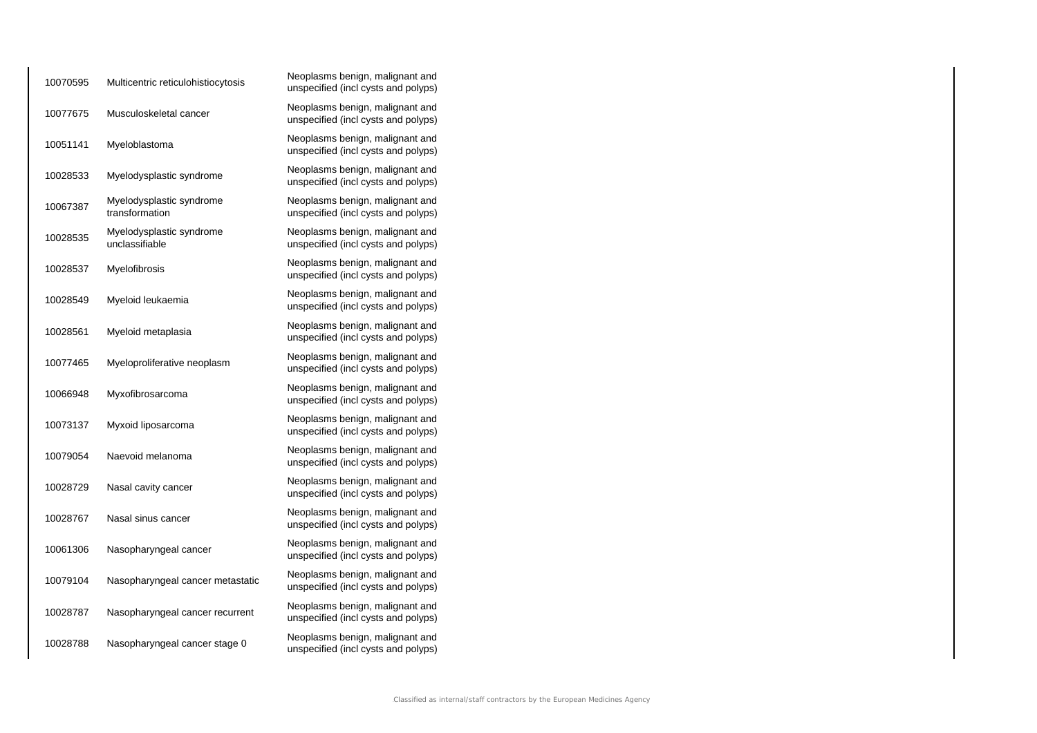| 10070595 | Multicentric reticulohistiocytosis         | Neoplasms benign, malignant and<br>unspecified (incl cysts and polyps) |
|----------|--------------------------------------------|------------------------------------------------------------------------|
| 10077675 | Musculoskeletal cancer                     | Neoplasms benign, malignant and<br>unspecified (incl cysts and polyps) |
| 10051141 | Myeloblastoma                              | Neoplasms benign, malignant and<br>unspecified (incl cysts and polyps) |
| 10028533 | Myelodysplastic syndrome                   | Neoplasms benign, malignant and<br>unspecified (incl cysts and polyps) |
| 10067387 | Myelodysplastic syndrome<br>transformation | Neoplasms benign, malignant and<br>unspecified (incl cysts and polyps) |
| 10028535 | Myelodysplastic syndrome<br>unclassifiable | Neoplasms benign, malignant and<br>unspecified (incl cysts and polyps) |
| 10028537 | Myelofibrosis                              | Neoplasms benign, malignant and<br>unspecified (incl cysts and polyps) |
| 10028549 | Myeloid leukaemia                          | Neoplasms benign, malignant and<br>unspecified (incl cysts and polyps) |
| 10028561 | Myeloid metaplasia                         | Neoplasms benign, malignant and<br>unspecified (incl cysts and polyps) |
| 10077465 | Myeloproliferative neoplasm                | Neoplasms benign, malignant and<br>unspecified (incl cysts and polyps) |
| 10066948 | Myxofibrosarcoma                           | Neoplasms benign, malignant and<br>unspecified (incl cysts and polyps) |
| 10073137 | Myxoid liposarcoma                         | Neoplasms benign, malignant and<br>unspecified (incl cysts and polyps) |
| 10079054 | Naevoid melanoma                           | Neoplasms benign, malignant and<br>unspecified (incl cysts and polyps) |
| 10028729 | Nasal cavity cancer                        | Neoplasms benign, malignant and<br>unspecified (incl cysts and polyps) |
| 10028767 | Nasal sinus cancer                         | Neoplasms benign, malignant and<br>unspecified (incl cysts and polyps) |
| 10061306 | Nasopharyngeal cancer                      | Neoplasms benign, malignant and<br>unspecified (incl cysts and polyps) |
| 10079104 | Nasopharyngeal cancer metastatic           | Neoplasms benign, malignant and<br>unspecified (incl cysts and polyps) |
| 10028787 | Nasopharyngeal cancer recurrent            | Neoplasms benign, malignant and<br>unspecified (incl cysts and polyps) |
| 10028788 | Nasopharyngeal cancer stage 0              | Neoplasms benign, malignant and<br>unspecified (incl cysts and polyps) |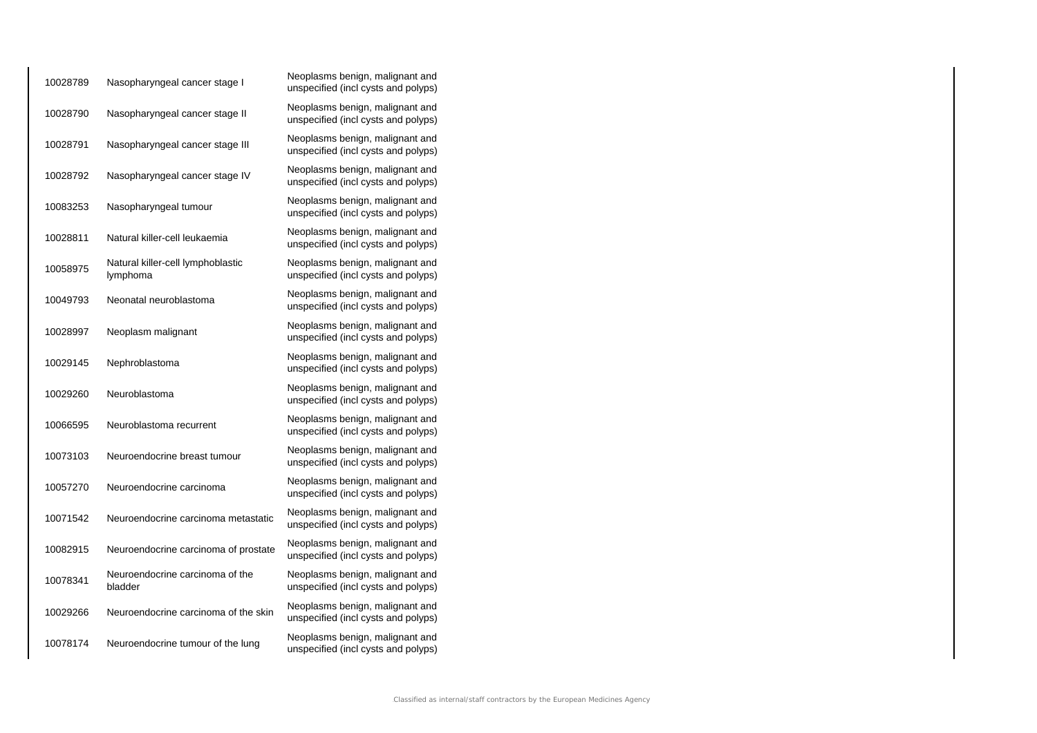| 10028789 | Nasopharyngeal cancer stage I                 | Neoplasms benign, malignant and<br>unspecified (incl cysts and polyps) |
|----------|-----------------------------------------------|------------------------------------------------------------------------|
| 10028790 | Nasopharyngeal cancer stage II                | Neoplasms benign, malignant and<br>unspecified (incl cysts and polyps) |
| 10028791 | Nasopharyngeal cancer stage III               | Neoplasms benign, malignant and<br>unspecified (incl cysts and polyps) |
| 10028792 | Nasopharyngeal cancer stage IV                | Neoplasms benign, malignant and<br>unspecified (incl cysts and polyps) |
| 10083253 | Nasopharyngeal tumour                         | Neoplasms benign, malignant and<br>unspecified (incl cysts and polyps) |
| 10028811 | Natural killer-cell leukaemia                 | Neoplasms benign, malignant and<br>unspecified (incl cysts and polyps) |
| 10058975 | Natural killer-cell lymphoblastic<br>lymphoma | Neoplasms benign, malignant and<br>unspecified (incl cysts and polyps) |
| 10049793 | Neonatal neuroblastoma                        | Neoplasms benign, malignant and<br>unspecified (incl cysts and polyps) |
| 10028997 | Neoplasm malignant                            | Neoplasms benign, malignant and<br>unspecified (incl cysts and polyps) |
| 10029145 | Nephroblastoma                                | Neoplasms benign, malignant and<br>unspecified (incl cysts and polyps) |
| 10029260 | Neuroblastoma                                 | Neoplasms benign, malignant and<br>unspecified (incl cysts and polyps) |
| 10066595 | Neuroblastoma recurrent                       | Neoplasms benign, malignant and<br>unspecified (incl cysts and polyps) |
| 10073103 | Neuroendocrine breast tumour                  | Neoplasms benign, malignant and<br>unspecified (incl cysts and polyps) |
| 10057270 | Neuroendocrine carcinoma                      | Neoplasms benign, malignant and<br>unspecified (incl cysts and polyps) |
| 10071542 | Neuroendocrine carcinoma metastatic           | Neoplasms benign, malignant and<br>unspecified (incl cysts and polyps) |
| 10082915 | Neuroendocrine carcinoma of prostate          | Neoplasms benign, malignant and<br>unspecified (incl cysts and polyps) |
| 10078341 | Neuroendocrine carcinoma of the<br>bladder    | Neoplasms benign, malignant and<br>unspecified (incl cysts and polyps) |
| 10029266 | Neuroendocrine carcinoma of the skin          | Neoplasms benign, malignant and<br>unspecified (incl cysts and polyps) |
| 10078174 | Neuroendocrine tumour of the lung             | Neoplasms benign, malignant and<br>unspecified (incl cysts and polyps) |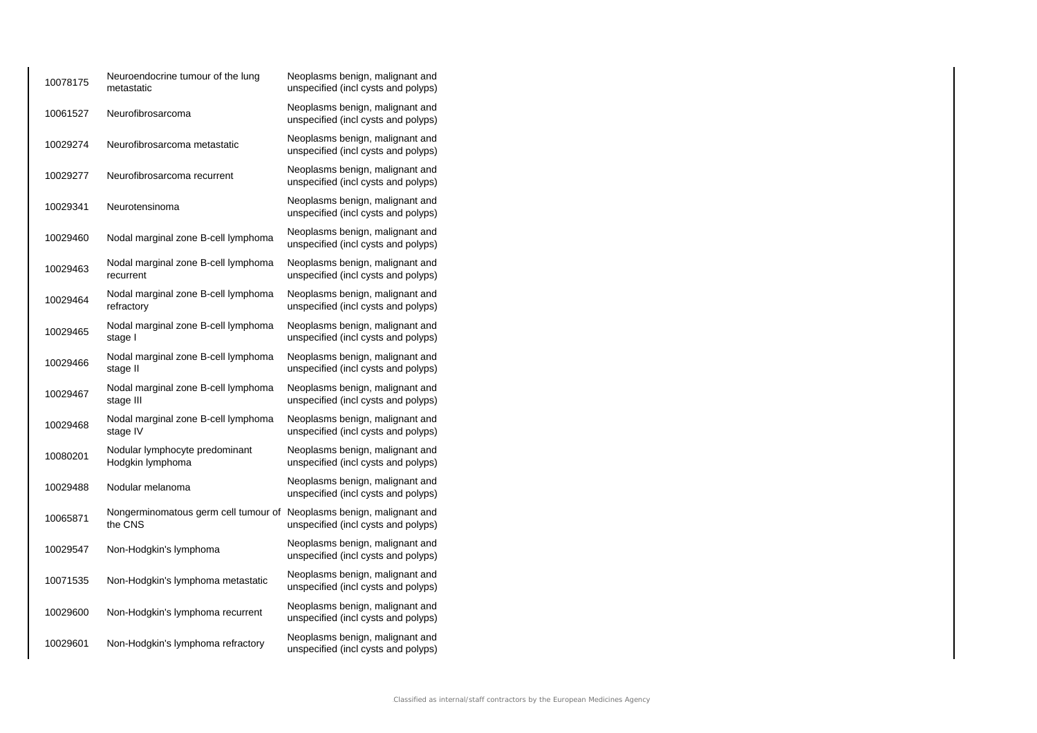| 10078175 | Neuroendocrine tumour of the lung<br>metastatic                                 | Neoplasms benign, malignant and<br>unspecified (incl cysts and polyps) |
|----------|---------------------------------------------------------------------------------|------------------------------------------------------------------------|
| 10061527 | Neurofibrosarcoma                                                               | Neoplasms benign, malignant and<br>unspecified (incl cysts and polyps) |
| 10029274 | Neurofibrosarcoma metastatic                                                    | Neoplasms benign, malignant and<br>unspecified (incl cysts and polyps) |
| 10029277 | Neurofibrosarcoma recurrent                                                     | Neoplasms benign, malignant and<br>unspecified (incl cysts and polyps) |
| 10029341 | Neurotensinoma                                                                  | Neoplasms benign, malignant and<br>unspecified (incl cysts and polyps) |
| 10029460 | Nodal marginal zone B-cell lymphoma                                             | Neoplasms benign, malignant and<br>unspecified (incl cysts and polyps) |
| 10029463 | Nodal marginal zone B-cell lymphoma<br>recurrent                                | Neoplasms benign, malignant and<br>unspecified (incl cysts and polyps) |
| 10029464 | Nodal marginal zone B-cell lymphoma<br>refractory                               | Neoplasms benign, malignant and<br>unspecified (incl cysts and polyps) |
| 10029465 | Nodal marginal zone B-cell lymphoma<br>stage I                                  | Neoplasms benign, malignant and<br>unspecified (incl cysts and polyps) |
| 10029466 | Nodal marginal zone B-cell lymphoma<br>stage II                                 | Neoplasms benign, malignant and<br>unspecified (incl cysts and polyps) |
| 10029467 | Nodal marginal zone B-cell lymphoma<br>stage III                                | Neoplasms benign, malignant and<br>unspecified (incl cysts and polyps) |
| 10029468 | Nodal marginal zone B-cell lymphoma<br>stage IV                                 | Neoplasms benign, malignant and<br>unspecified (incl cysts and polyps) |
| 10080201 | Nodular lymphocyte predominant<br>Hodgkin lymphoma                              | Neoplasms benign, malignant and<br>unspecified (incl cysts and polyps) |
| 10029488 | Nodular melanoma                                                                | Neoplasms benign, malignant and<br>unspecified (incl cysts and polyps) |
| 10065871 | Nongerminomatous germ cell tumour of Neoplasms benign, malignant and<br>the CNS | unspecified (incl cysts and polyps)                                    |
| 10029547 | Non-Hodgkin's lymphoma                                                          | Neoplasms benign, malignant and<br>unspecified (incl cysts and polyps) |
| 10071535 | Non-Hodgkin's lymphoma metastatic                                               | Neoplasms benign, malignant and<br>unspecified (incl cysts and polyps) |
| 10029600 | Non-Hodgkin's lymphoma recurrent                                                | Neoplasms benign, malignant and<br>unspecified (incl cysts and polyps) |
| 10029601 | Non-Hodgkin's lymphoma refractory                                               | Neoplasms benign, malignant and<br>unspecified (incl cysts and polyps) |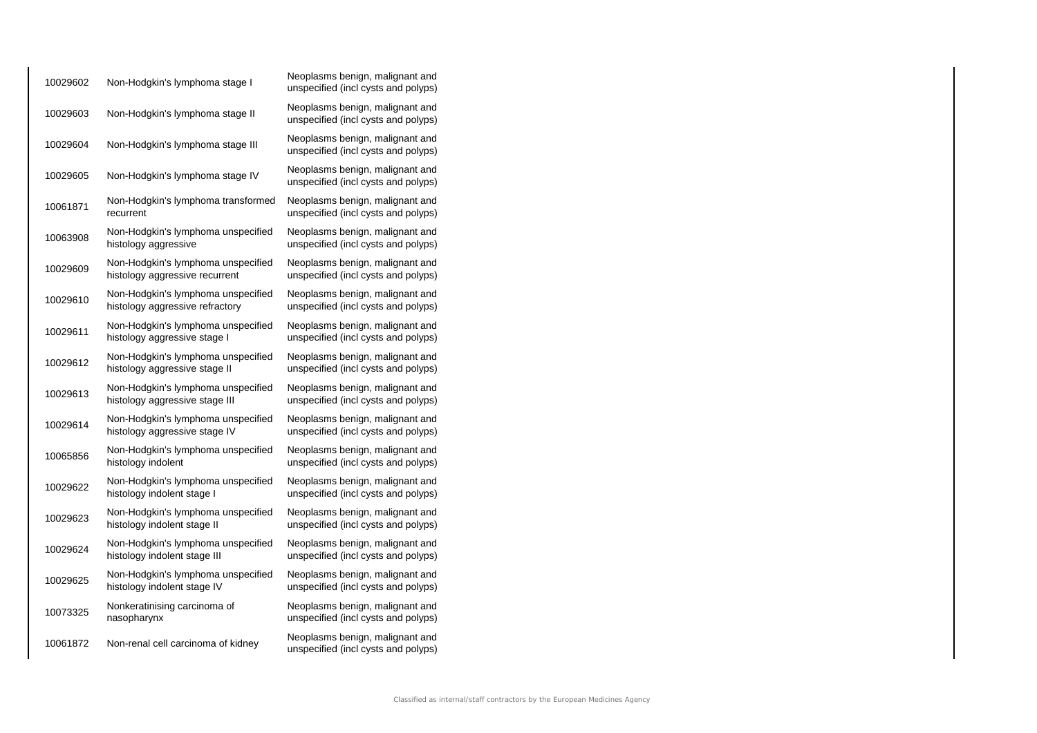| 10029602 | Non-Hodgkin's lymphoma stage I                                        | Neoplasms benign, malignant and<br>unspecified (incl cysts and polyps) |
|----------|-----------------------------------------------------------------------|------------------------------------------------------------------------|
| 10029603 | Non-Hodgkin's lymphoma stage II                                       | Neoplasms benign, malignant and<br>unspecified (incl cysts and polyps) |
| 10029604 | Non-Hodgkin's lymphoma stage III                                      | Neoplasms benign, malignant and<br>unspecified (incl cysts and polyps) |
| 10029605 | Non-Hodgkin's lymphoma stage IV                                       | Neoplasms benign, malignant and<br>unspecified (incl cysts and polyps) |
| 10061871 | Non-Hodgkin's lymphoma transformed<br>recurrent                       | Neoplasms benign, malignant and<br>unspecified (incl cysts and polyps) |
| 10063908 | Non-Hodgkin's lymphoma unspecified<br>histology aggressive            | Neoplasms benign, malignant and<br>unspecified (incl cysts and polyps) |
| 10029609 | Non-Hodgkin's lymphoma unspecified<br>histology aggressive recurrent  | Neoplasms benign, malignant and<br>unspecified (incl cysts and polyps) |
| 10029610 | Non-Hodgkin's lymphoma unspecified<br>histology aggressive refractory | Neoplasms benign, malignant and<br>unspecified (incl cysts and polyps) |
| 10029611 | Non-Hodgkin's lymphoma unspecified<br>histology aggressive stage I    | Neoplasms benign, malignant and<br>unspecified (incl cysts and polyps) |
| 10029612 | Non-Hodgkin's lymphoma unspecified<br>histology aggressive stage II   | Neoplasms benign, malignant and<br>unspecified (incl cysts and polyps) |
| 10029613 | Non-Hodgkin's lymphoma unspecified<br>histology aggressive stage III  | Neoplasms benign, malignant and<br>unspecified (incl cysts and polyps) |
| 10029614 | Non-Hodgkin's lymphoma unspecified<br>histology aggressive stage IV   | Neoplasms benign, malignant and<br>unspecified (incl cysts and polyps) |
| 10065856 | Non-Hodgkin's lymphoma unspecified<br>histology indolent              | Neoplasms benign, malignant and<br>unspecified (incl cysts and polyps) |
| 10029622 | Non-Hodgkin's lymphoma unspecified<br>histology indolent stage I      | Neoplasms benign, malignant and<br>unspecified (incl cysts and polyps) |
| 10029623 | Non-Hodgkin's lymphoma unspecified<br>histology indolent stage II     | Neoplasms benign, malignant and<br>unspecified (incl cysts and polyps) |
| 10029624 | Non-Hodgkin's lymphoma unspecified<br>histology indolent stage III    | Neoplasms benign, malignant and<br>unspecified (incl cysts and polyps) |
| 10029625 | Non-Hodgkin's lymphoma unspecified<br>histology indolent stage IV     | Neoplasms benign, malignant and<br>unspecified (incl cysts and polyps) |
| 10073325 | Nonkeratinising carcinoma of<br>nasopharynx                           | Neoplasms benign, malignant and<br>unspecified (incl cysts and polyps) |
| 10061872 | Non-renal cell carcinoma of kidney                                    | Neoplasms benign, malignant and<br>unspecified (incl cysts and polyps) |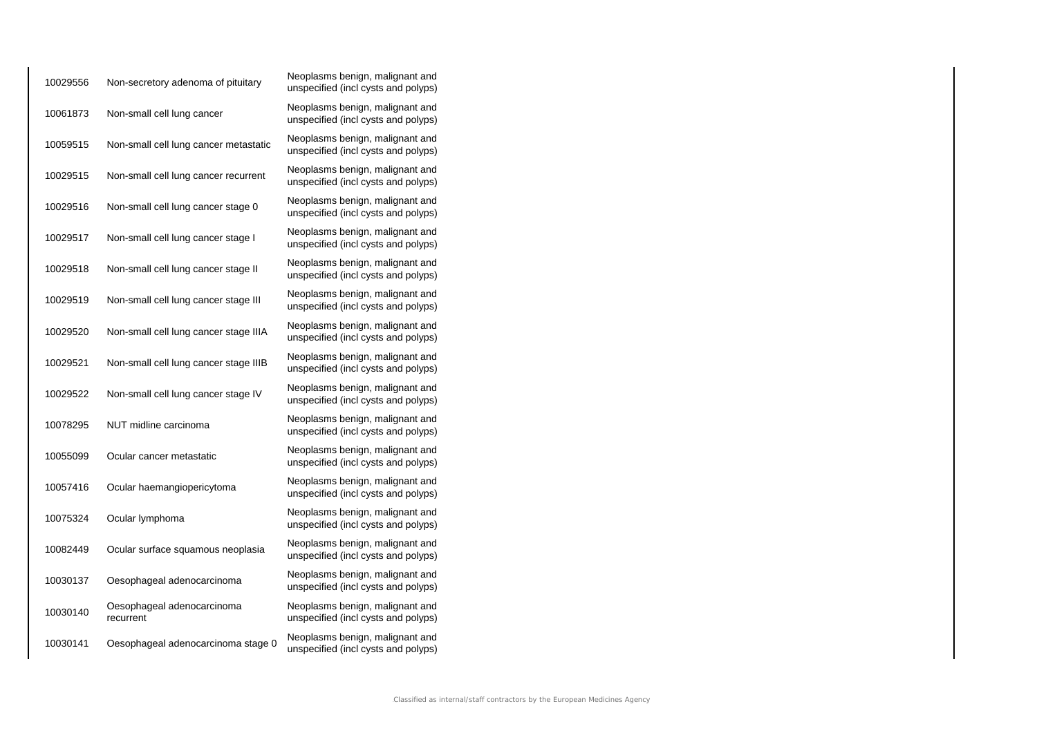| 10029556 | Non-secretory adenoma of pituitary      | Neoplasms benign, malignant and<br>unspecified (incl cysts and polyps) |
|----------|-----------------------------------------|------------------------------------------------------------------------|
| 10061873 | Non-small cell lung cancer              | Neoplasms benign, malignant and<br>unspecified (incl cysts and polyps) |
| 10059515 | Non-small cell lung cancer metastatic   | Neoplasms benign, malignant and<br>unspecified (incl cysts and polyps) |
| 10029515 | Non-small cell lung cancer recurrent    | Neoplasms benign, malignant and<br>unspecified (incl cysts and polyps) |
| 10029516 | Non-small cell lung cancer stage 0      | Neoplasms benign, malignant and<br>unspecified (incl cysts and polyps) |
| 10029517 | Non-small cell lung cancer stage I      | Neoplasms benign, malignant and<br>unspecified (incl cysts and polyps) |
| 10029518 | Non-small cell lung cancer stage II     | Neoplasms benign, malignant and<br>unspecified (incl cysts and polyps) |
| 10029519 | Non-small cell lung cancer stage III    | Neoplasms benign, malignant and<br>unspecified (incl cysts and polyps) |
| 10029520 | Non-small cell lung cancer stage IIIA   | Neoplasms benign, malignant and<br>unspecified (incl cysts and polyps) |
| 10029521 | Non-small cell lung cancer stage IIIB   | Neoplasms benign, malignant and<br>unspecified (incl cysts and polyps) |
| 10029522 | Non-small cell lung cancer stage IV     | Neoplasms benign, malignant and<br>unspecified (incl cysts and polyps) |
| 10078295 | NUT midline carcinoma                   | Neoplasms benign, malignant and<br>unspecified (incl cysts and polyps) |
| 10055099 | Ocular cancer metastatic                | Neoplasms benign, malignant and<br>unspecified (incl cysts and polyps) |
| 10057416 | Ocular haemangiopericytoma              | Neoplasms benign, malignant and<br>unspecified (incl cysts and polyps) |
| 10075324 | Ocular lymphoma                         | Neoplasms benign, malignant and<br>unspecified (incl cysts and polyps) |
| 10082449 | Ocular surface squamous neoplasia       | Neoplasms benign, malignant and<br>unspecified (incl cysts and polyps) |
| 10030137 | Oesophageal adenocarcinoma              | Neoplasms benign, malignant and<br>unspecified (incl cysts and polyps) |
| 10030140 | Oesophageal adenocarcinoma<br>recurrent | Neoplasms benign, malignant and<br>unspecified (incl cysts and polyps) |
| 10030141 | Oesophageal adenocarcinoma stage 0      | Neoplasms benign, malignant and<br>unspecified (incl cysts and polyps) |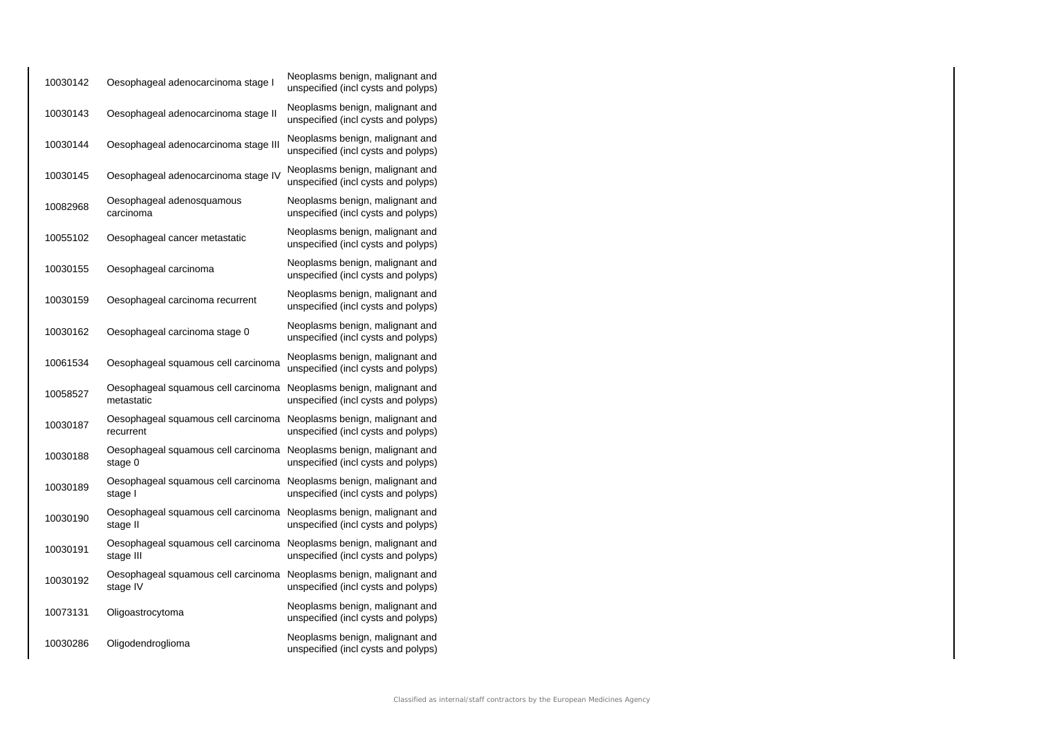| 10030142 | Oesophageal adenocarcinoma stage I                | Neoplasms benign, malignant and<br>unspecified (incl cysts and polyps) |
|----------|---------------------------------------------------|------------------------------------------------------------------------|
| 10030143 | Oesophageal adenocarcinoma stage II               | Neoplasms benign, malignant and<br>unspecified (incl cysts and polyps) |
| 10030144 | Oesophageal adenocarcinoma stage III              | Neoplasms benign, malignant and<br>unspecified (incl cysts and polyps) |
| 10030145 | Oesophageal adenocarcinoma stage IV               | Neoplasms benign, malignant and<br>unspecified (incl cysts and polyps) |
| 10082968 | Oesophageal adenosquamous<br>carcinoma            | Neoplasms benign, malignant and<br>unspecified (incl cysts and polyps) |
| 10055102 | Oesophageal cancer metastatic                     | Neoplasms benign, malignant and<br>unspecified (incl cysts and polyps) |
| 10030155 | Oesophageal carcinoma                             | Neoplasms benign, malignant and<br>unspecified (incl cysts and polyps) |
| 10030159 | Oesophageal carcinoma recurrent                   | Neoplasms benign, malignant and<br>unspecified (incl cysts and polyps) |
| 10030162 | Oesophageal carcinoma stage 0                     | Neoplasms benign, malignant and<br>unspecified (incl cysts and polyps) |
| 10061534 | Oesophageal squamous cell carcinoma               | Neoplasms benign, malignant and<br>unspecified (incl cysts and polyps) |
| 10058527 | Oesophageal squamous cell carcinoma<br>metastatic | Neoplasms benign, malignant and<br>unspecified (incl cysts and polyps) |
| 10030187 | Oesophageal squamous cell carcinoma<br>recurrent  | Neoplasms benign, malignant and<br>unspecified (incl cysts and polyps) |
| 10030188 | Oesophageal squamous cell carcinoma<br>stage 0    | Neoplasms benign, malignant and<br>unspecified (incl cysts and polyps) |
| 10030189 | Oesophageal squamous cell carcinoma<br>stage I    | Neoplasms benign, malignant and<br>unspecified (incl cysts and polyps) |
| 10030190 | Oesophageal squamous cell carcinoma<br>stage II   | Neoplasms benign, malignant and<br>unspecified (incl cysts and polyps) |
| 10030191 | Oesophageal squamous cell carcinoma<br>stage III  | Neoplasms benign, malignant and<br>unspecified (incl cysts and polyps) |
| 10030192 | Oesophageal squamous cell carcinoma<br>stage IV   | Neoplasms benign, malignant and<br>unspecified (incl cysts and polyps) |
| 10073131 | Oligoastrocytoma                                  | Neoplasms benign, malignant and<br>unspecified (incl cysts and polyps) |
| 10030286 | Oligodendroglioma                                 | Neoplasms benign, malignant and<br>unspecified (incl cysts and polyps) |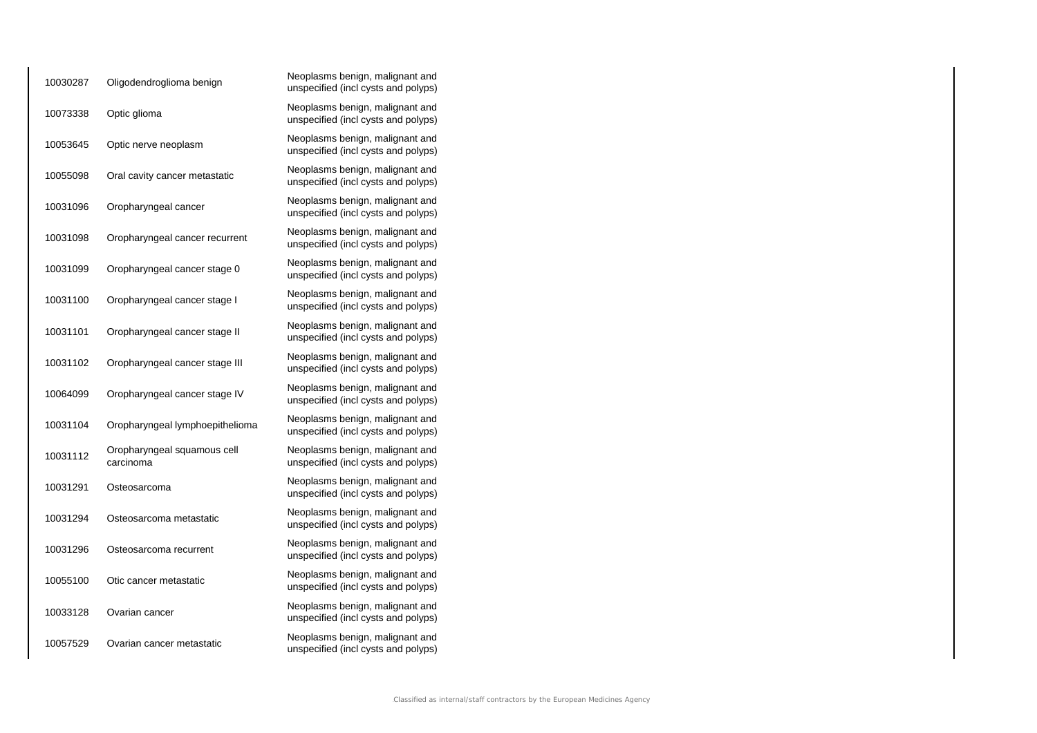| 10030287 | Oligodendroglioma benign                 | Neoplasms benign, malignant and<br>unspecified (incl cysts and polyps) |
|----------|------------------------------------------|------------------------------------------------------------------------|
| 10073338 | Optic glioma                             | Neoplasms benign, malignant and<br>unspecified (incl cysts and polyps) |
| 10053645 | Optic nerve neoplasm                     | Neoplasms benign, malignant and<br>unspecified (incl cysts and polyps) |
| 10055098 | Oral cavity cancer metastatic            | Neoplasms benign, malignant and<br>unspecified (incl cysts and polyps) |
| 10031096 | Oropharyngeal cancer                     | Neoplasms benign, malignant and<br>unspecified (incl cysts and polyps) |
| 10031098 | Oropharyngeal cancer recurrent           | Neoplasms benign, malignant and<br>unspecified (incl cysts and polyps) |
| 10031099 | Oropharyngeal cancer stage 0             | Neoplasms benign, malignant and<br>unspecified (incl cysts and polyps) |
| 10031100 | Oropharyngeal cancer stage I             | Neoplasms benign, malignant and<br>unspecified (incl cysts and polyps) |
| 10031101 | Oropharyngeal cancer stage II            | Neoplasms benign, malignant and<br>unspecified (incl cysts and polyps) |
| 10031102 | Oropharyngeal cancer stage III           | Neoplasms benign, malignant and<br>unspecified (incl cysts and polyps) |
| 10064099 | Oropharyngeal cancer stage IV            | Neoplasms benign, malignant and<br>unspecified (incl cysts and polyps) |
| 10031104 | Oropharyngeal lymphoepithelioma          | Neoplasms benign, malignant and<br>unspecified (incl cysts and polyps) |
| 10031112 | Oropharyngeal squamous cell<br>carcinoma | Neoplasms benign, malignant and<br>unspecified (incl cysts and polyps) |
| 10031291 | Osteosarcoma                             | Neoplasms benign, malignant and<br>unspecified (incl cysts and polyps) |
| 10031294 | Osteosarcoma metastatic                  | Neoplasms benign, malignant and<br>unspecified (incl cysts and polyps) |
| 10031296 | Osteosarcoma recurrent                   | Neoplasms benign, malignant and<br>unspecified (incl cysts and polyps) |
| 10055100 | Otic cancer metastatic                   | Neoplasms benign, malignant and<br>unspecified (incl cysts and polyps) |
| 10033128 | Ovarian cancer                           | Neoplasms benign, malignant and<br>unspecified (incl cysts and polyps) |
| 10057529 | Ovarian cancer metastatic                | Neoplasms benign, malignant and<br>unspecified (incl cysts and polyps) |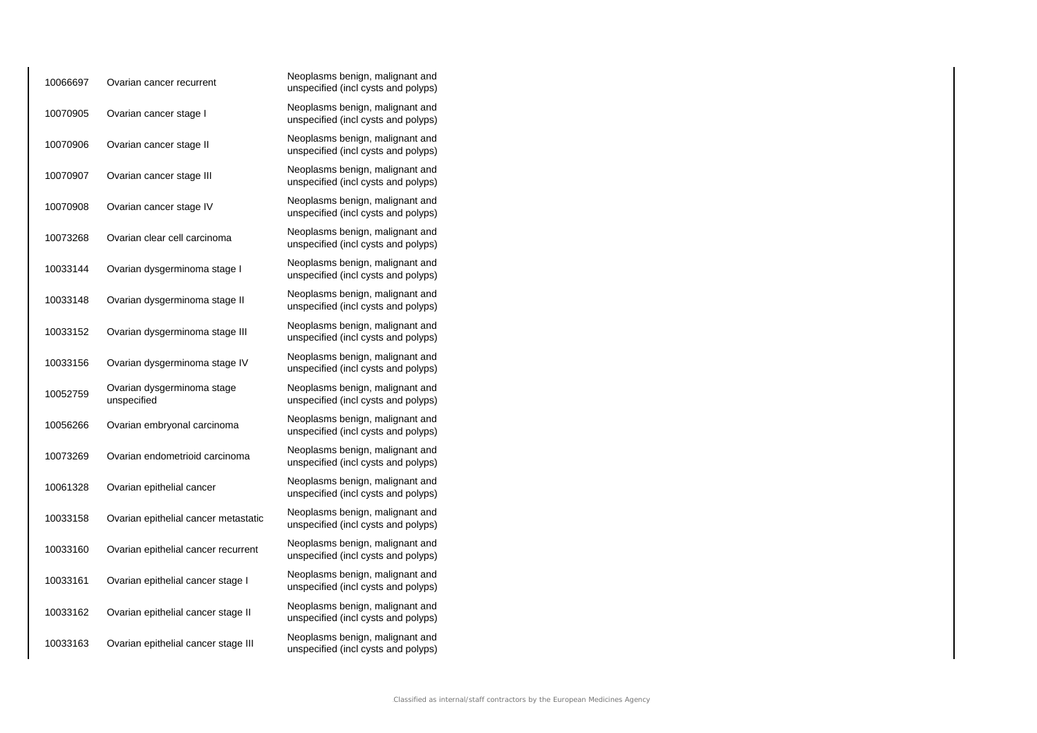| 10066697 | Ovarian cancer recurrent                  | Neoplasms benign, malignant and<br>unspecified (incl cysts and polyps) |
|----------|-------------------------------------------|------------------------------------------------------------------------|
| 10070905 | Ovarian cancer stage I                    | Neoplasms benign, malignant and<br>unspecified (incl cysts and polyps) |
| 10070906 | Ovarian cancer stage II                   | Neoplasms benign, malignant and<br>unspecified (incl cysts and polyps) |
| 10070907 | Ovarian cancer stage III                  | Neoplasms benign, malignant and<br>unspecified (incl cysts and polyps) |
| 10070908 | Ovarian cancer stage IV                   | Neoplasms benign, malignant and<br>unspecified (incl cysts and polyps) |
| 10073268 | Ovarian clear cell carcinoma              | Neoplasms benign, malignant and<br>unspecified (incl cysts and polyps) |
| 10033144 | Ovarian dysgerminoma stage I              | Neoplasms benign, malignant and<br>unspecified (incl cysts and polyps) |
| 10033148 | Ovarian dysgerminoma stage II             | Neoplasms benign, malignant and<br>unspecified (incl cysts and polyps) |
| 10033152 | Ovarian dysgerminoma stage III            | Neoplasms benign, malignant and<br>unspecified (incl cysts and polyps) |
| 10033156 | Ovarian dysgerminoma stage IV             | Neoplasms benign, malignant and<br>unspecified (incl cysts and polyps) |
| 10052759 | Ovarian dysgerminoma stage<br>unspecified | Neoplasms benign, malignant and<br>unspecified (incl cysts and polyps) |
| 10056266 | Ovarian embryonal carcinoma               | Neoplasms benign, malignant and<br>unspecified (incl cysts and polyps) |
| 10073269 | Ovarian endometrioid carcinoma            | Neoplasms benign, malignant and<br>unspecified (incl cysts and polyps) |
| 10061328 | Ovarian epithelial cancer                 | Neoplasms benign, malignant and<br>unspecified (incl cysts and polyps) |
| 10033158 | Ovarian epithelial cancer metastatic      | Neoplasms benign, malignant and<br>unspecified (incl cysts and polyps) |
| 10033160 | Ovarian epithelial cancer recurrent       | Neoplasms benign, malignant and<br>unspecified (incl cysts and polyps) |
| 10033161 | Ovarian epithelial cancer stage I         | Neoplasms benign, malignant and<br>unspecified (incl cysts and polyps) |
| 10033162 | Ovarian epithelial cancer stage II        | Neoplasms benign, malignant and<br>unspecified (incl cysts and polyps) |
| 10033163 | Ovarian epithelial cancer stage III       | Neoplasms benign, malignant and<br>unspecified (incl cysts and polyps) |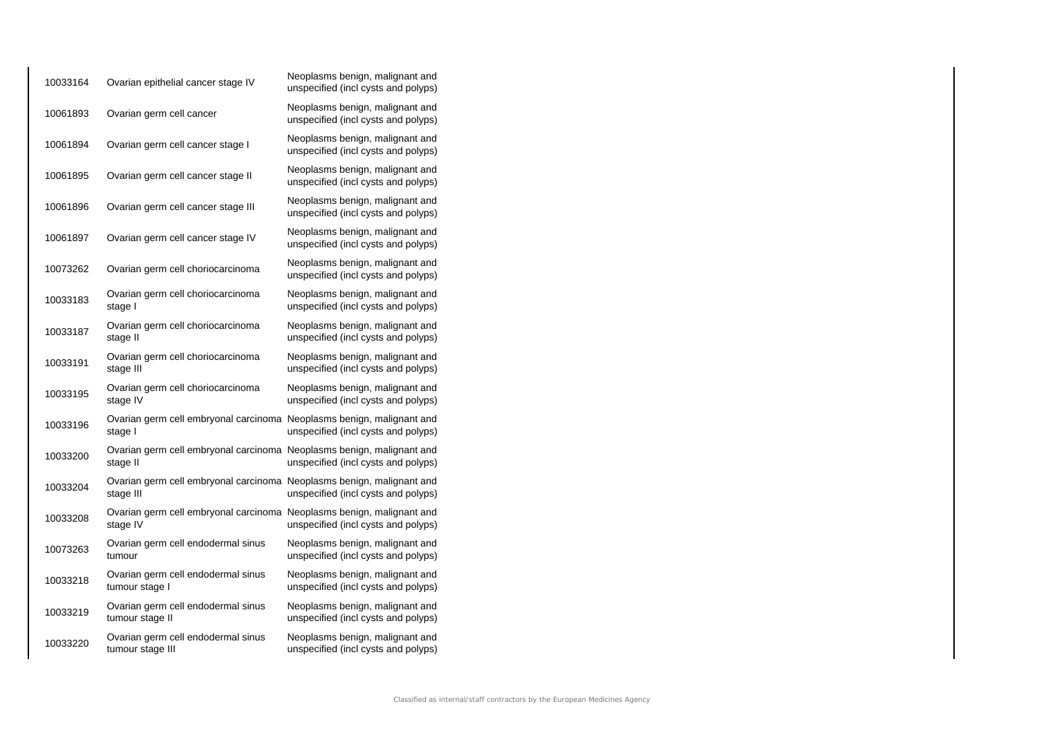| 10033164 | Ovarian epithelial cancer stage IV                                                 | Neoplasms benign, malignant and<br>unspecified (incl cysts and polyps) |
|----------|------------------------------------------------------------------------------------|------------------------------------------------------------------------|
| 10061893 | Ovarian germ cell cancer                                                           | Neoplasms benign, malignant and<br>unspecified (incl cysts and polyps) |
| 10061894 | Ovarian germ cell cancer stage I                                                   | Neoplasms benign, malignant and<br>unspecified (incl cysts and polyps) |
| 10061895 | Ovarian germ cell cancer stage II                                                  | Neoplasms benign, malignant and<br>unspecified (incl cysts and polyps) |
| 10061896 | Ovarian germ cell cancer stage III                                                 | Neoplasms benign, malignant and<br>unspecified (incl cysts and polyps) |
| 10061897 | Ovarian germ cell cancer stage IV                                                  | Neoplasms benign, malignant and<br>unspecified (incl cysts and polyps) |
| 10073262 | Ovarian germ cell choriocarcinoma                                                  | Neoplasms benign, malignant and<br>unspecified (incl cysts and polyps) |
| 10033183 | Ovarian germ cell choriocarcinoma<br>stage I                                       | Neoplasms benign, malignant and<br>unspecified (incl cysts and polyps) |
| 10033187 | Ovarian germ cell choriocarcinoma<br>stage II                                      | Neoplasms benign, malignant and<br>unspecified (incl cysts and polyps) |
| 10033191 | Ovarian germ cell choriocarcinoma<br>stage III                                     | Neoplasms benign, malignant and<br>unspecified (incl cysts and polyps) |
| 10033195 | Ovarian germ cell choriocarcinoma<br>stage IV                                      | Neoplasms benign, malignant and<br>unspecified (incl cysts and polyps) |
| 10033196 | Ovarian germ cell embryonal carcinoma Neoplasms benign, malignant and<br>stage I   | unspecified (incl cysts and polyps)                                    |
| 10033200 | Ovarian germ cell embryonal carcinoma Neoplasms benign, malignant and<br>stage II  | unspecified (incl cysts and polyps)                                    |
| 10033204 | Ovarian germ cell embryonal carcinoma Neoplasms benign, malignant and<br>stage III | unspecified (incl cysts and polyps)                                    |
| 10033208 | Ovarian germ cell embryonal carcinoma Neoplasms benign, malignant and<br>stage IV  | unspecified (incl cysts and polyps)                                    |
| 10073263 | Ovarian germ cell endodermal sinus<br>tumour                                       | Neoplasms benign, malignant and<br>unspecified (incl cysts and polyps) |
| 10033218 | Ovarian germ cell endodermal sinus<br>tumour stage I                               | Neoplasms benign, malignant and<br>unspecified (incl cysts and polyps) |
| 10033219 | Ovarian germ cell endodermal sinus<br>tumour stage II                              | Neoplasms benign, malignant and<br>unspecified (incl cysts and polyps) |
| 10033220 | Ovarian germ cell endodermal sinus<br>tumour stage III                             | Neoplasms benign, malignant and<br>unspecified (incl cysts and polyps) |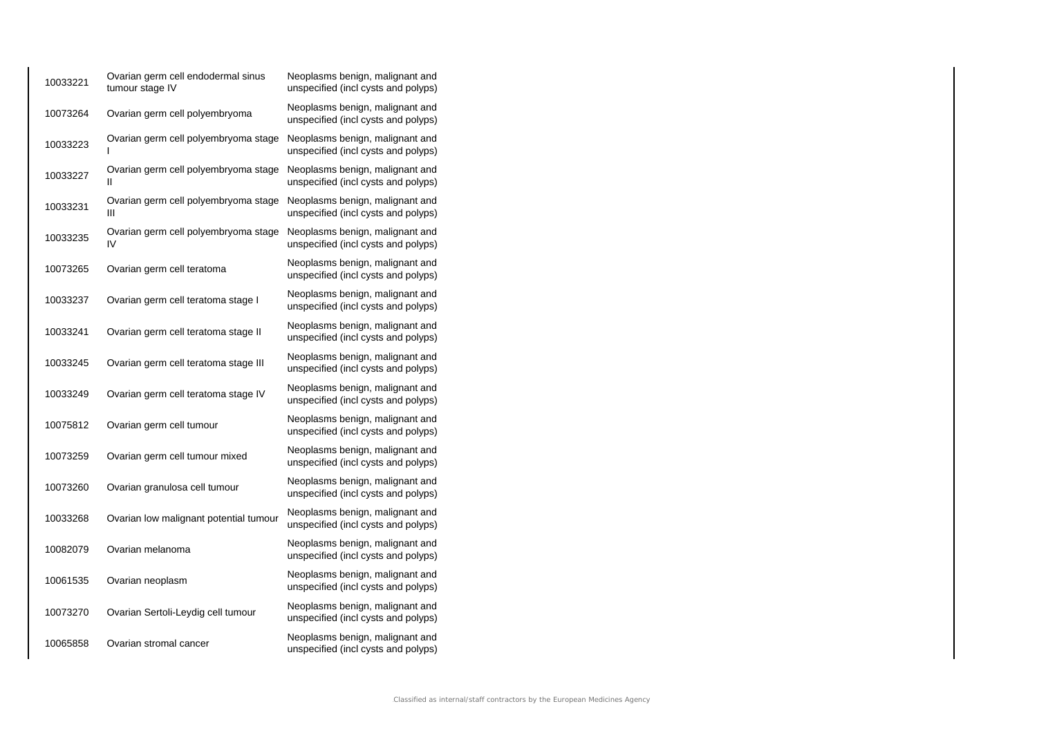| 10033221 | Ovarian germ cell endodermal sinus<br>tumour stage IV | Neoplasms benign, malignant and<br>unspecified (incl cysts and polyps) |
|----------|-------------------------------------------------------|------------------------------------------------------------------------|
| 10073264 | Ovarian germ cell polyembryoma                        | Neoplasms benign, malignant and<br>unspecified (incl cysts and polyps) |
| 10033223 | Ovarian germ cell polyembryoma stage                  | Neoplasms benign, malignant and<br>unspecified (incl cysts and polyps) |
| 10033227 | Ovarian germ cell polyembryoma stage<br>Ш             | Neoplasms benign, malignant and<br>unspecified (incl cysts and polyps) |
| 10033231 | Ovarian germ cell polyembryoma stage<br>Ш             | Neoplasms benign, malignant and<br>unspecified (incl cysts and polyps) |
| 10033235 | Ovarian germ cell polyembryoma stage<br>IV            | Neoplasms benign, malignant and<br>unspecified (incl cysts and polyps) |
| 10073265 | Ovarian germ cell teratoma                            | Neoplasms benign, malignant and<br>unspecified (incl cysts and polyps) |
| 10033237 | Ovarian germ cell teratoma stage I                    | Neoplasms benign, malignant and<br>unspecified (incl cysts and polyps) |
| 10033241 | Ovarian germ cell teratoma stage II                   | Neoplasms benign, malignant and<br>unspecified (incl cysts and polyps) |
| 10033245 | Ovarian germ cell teratoma stage III                  | Neoplasms benign, malignant and<br>unspecified (incl cysts and polyps) |
| 10033249 | Ovarian germ cell teratoma stage IV                   | Neoplasms benign, malignant and<br>unspecified (incl cysts and polyps) |
| 10075812 | Ovarian germ cell tumour                              | Neoplasms benign, malignant and<br>unspecified (incl cysts and polyps) |
| 10073259 | Ovarian germ cell tumour mixed                        | Neoplasms benign, malignant and<br>unspecified (incl cysts and polyps) |
| 10073260 | Ovarian granulosa cell tumour                         | Neoplasms benign, malignant and<br>unspecified (incl cysts and polyps) |
| 10033268 | Ovarian low malignant potential tumour                | Neoplasms benign, malignant and<br>unspecified (incl cysts and polyps) |
| 10082079 | Ovarian melanoma                                      | Neoplasms benign, malignant and<br>unspecified (incl cysts and polyps) |
| 10061535 | Ovarian neoplasm                                      | Neoplasms benign, malignant and<br>unspecified (incl cysts and polyps) |
| 10073270 | Ovarian Sertoli-Leydig cell tumour                    | Neoplasms benign, malignant and<br>unspecified (incl cysts and polyps) |
| 10065858 | Ovarian stromal cancer                                | Neoplasms benign, malignant and<br>unspecified (incl cysts and polyps) |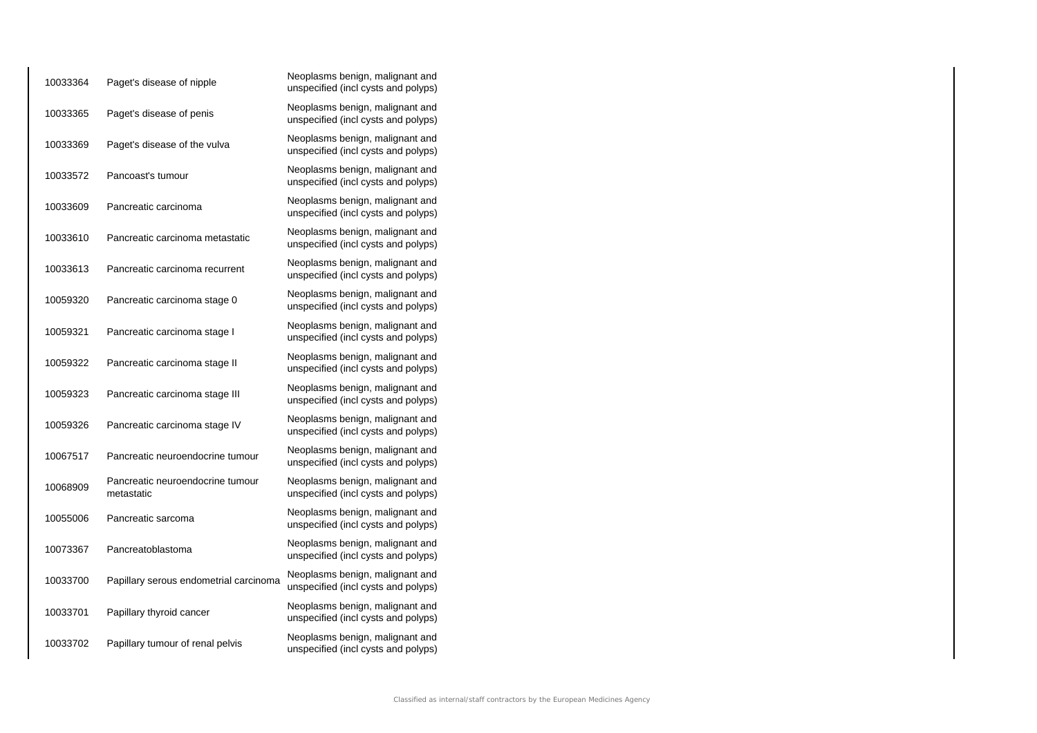| 10033364 | Paget's disease of nipple                      | Neoplasms benign, malignant and<br>unspecified (incl cysts and polyps) |
|----------|------------------------------------------------|------------------------------------------------------------------------|
| 10033365 | Paget's disease of penis                       | Neoplasms benign, malignant and<br>unspecified (incl cysts and polyps) |
| 10033369 | Paget's disease of the vulva                   | Neoplasms benign, malignant and<br>unspecified (incl cysts and polyps) |
| 10033572 | Pancoast's tumour                              | Neoplasms benign, malignant and<br>unspecified (incl cysts and polyps) |
| 10033609 | Pancreatic carcinoma                           | Neoplasms benign, malignant and<br>unspecified (incl cysts and polyps) |
| 10033610 | Pancreatic carcinoma metastatic                | Neoplasms benign, malignant and<br>unspecified (incl cysts and polyps) |
| 10033613 | Pancreatic carcinoma recurrent                 | Neoplasms benign, malignant and<br>unspecified (incl cysts and polyps) |
| 10059320 | Pancreatic carcinoma stage 0                   | Neoplasms benign, malignant and<br>unspecified (incl cysts and polyps) |
| 10059321 | Pancreatic carcinoma stage I                   | Neoplasms benign, malignant and<br>unspecified (incl cysts and polyps) |
| 10059322 | Pancreatic carcinoma stage II                  | Neoplasms benign, malignant and<br>unspecified (incl cysts and polyps) |
| 10059323 | Pancreatic carcinoma stage III                 | Neoplasms benign, malignant and<br>unspecified (incl cysts and polyps) |
| 10059326 | Pancreatic carcinoma stage IV                  | Neoplasms benign, malignant and<br>unspecified (incl cysts and polyps) |
| 10067517 | Pancreatic neuroendocrine tumour               | Neoplasms benign, malignant and<br>unspecified (incl cysts and polyps) |
| 10068909 | Pancreatic neuroendocrine tumour<br>metastatic | Neoplasms benign, malignant and<br>unspecified (incl cysts and polyps) |
| 10055006 | Pancreatic sarcoma                             | Neoplasms benign, malignant and<br>unspecified (incl cysts and polyps) |
| 10073367 | Pancreatoblastoma                              | Neoplasms benign, malignant and<br>unspecified (incl cysts and polyps) |
| 10033700 | Papillary serous endometrial carcinoma         | Neoplasms benign, malignant and<br>unspecified (incl cysts and polyps) |
| 10033701 | Papillary thyroid cancer                       | Neoplasms benign, malignant and<br>unspecified (incl cysts and polyps) |
| 10033702 | Papillary tumour of renal pelvis               | Neoplasms benign, malignant and<br>unspecified (incl cysts and polyps) |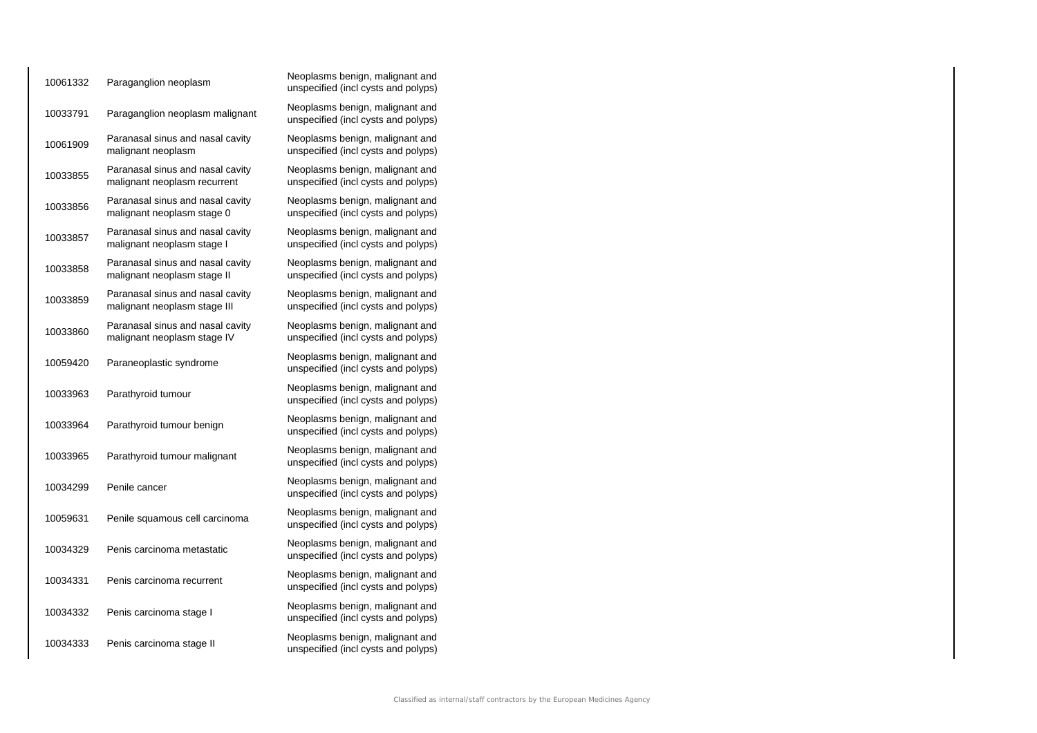| 10061332 | Paraganglion neoplasm                                            | Neoplasms benign, malignant and<br>unspecified (incl cysts and polyps) |
|----------|------------------------------------------------------------------|------------------------------------------------------------------------|
| 10033791 | Paraganglion neoplasm malignant                                  | Neoplasms benign, malignant and<br>unspecified (incl cysts and polyps) |
| 10061909 | Paranasal sinus and nasal cavity<br>malignant neoplasm           | Neoplasms benign, malignant and<br>unspecified (incl cysts and polyps) |
| 10033855 | Paranasal sinus and nasal cavity<br>malignant neoplasm recurrent | Neoplasms benign, malignant and<br>unspecified (incl cysts and polyps) |
| 10033856 | Paranasal sinus and nasal cavity<br>malignant neoplasm stage 0   | Neoplasms benign, malignant and<br>unspecified (incl cysts and polyps) |
| 10033857 | Paranasal sinus and nasal cavity<br>malignant neoplasm stage I   | Neoplasms benign, malignant and<br>unspecified (incl cysts and polyps) |
| 10033858 | Paranasal sinus and nasal cavity<br>malignant neoplasm stage II  | Neoplasms benign, malignant and<br>unspecified (incl cysts and polyps) |
| 10033859 | Paranasal sinus and nasal cavity<br>malignant neoplasm stage III | Neoplasms benign, malignant and<br>unspecified (incl cysts and polyps) |
| 10033860 | Paranasal sinus and nasal cavity<br>malignant neoplasm stage IV  | Neoplasms benign, malignant and<br>unspecified (incl cysts and polyps) |
| 10059420 | Paraneoplastic syndrome                                          | Neoplasms benign, malignant and<br>unspecified (incl cysts and polyps) |
| 10033963 | Parathyroid tumour                                               | Neoplasms benign, malignant and<br>unspecified (incl cysts and polyps) |
| 10033964 | Parathyroid tumour benign                                        | Neoplasms benign, malignant and<br>unspecified (incl cysts and polyps) |
| 10033965 | Parathyroid tumour malignant                                     | Neoplasms benign, malignant and<br>unspecified (incl cysts and polyps) |
| 10034299 | Penile cancer                                                    | Neoplasms benign, malignant and<br>unspecified (incl cysts and polyps) |
| 10059631 | Penile squamous cell carcinoma                                   | Neoplasms benign, malignant and<br>unspecified (incl cysts and polyps) |
| 10034329 | Penis carcinoma metastatic                                       | Neoplasms benign, malignant and<br>unspecified (incl cysts and polyps) |
| 10034331 | Penis carcinoma recurrent                                        | Neoplasms benign, malignant and<br>unspecified (incl cysts and polyps) |
| 10034332 | Penis carcinoma stage I                                          | Neoplasms benign, malignant and<br>unspecified (incl cysts and polyps) |
| 10034333 | Penis carcinoma stage II                                         | Neoplasms benign, malignant and<br>unspecified (incl cysts and polyps) |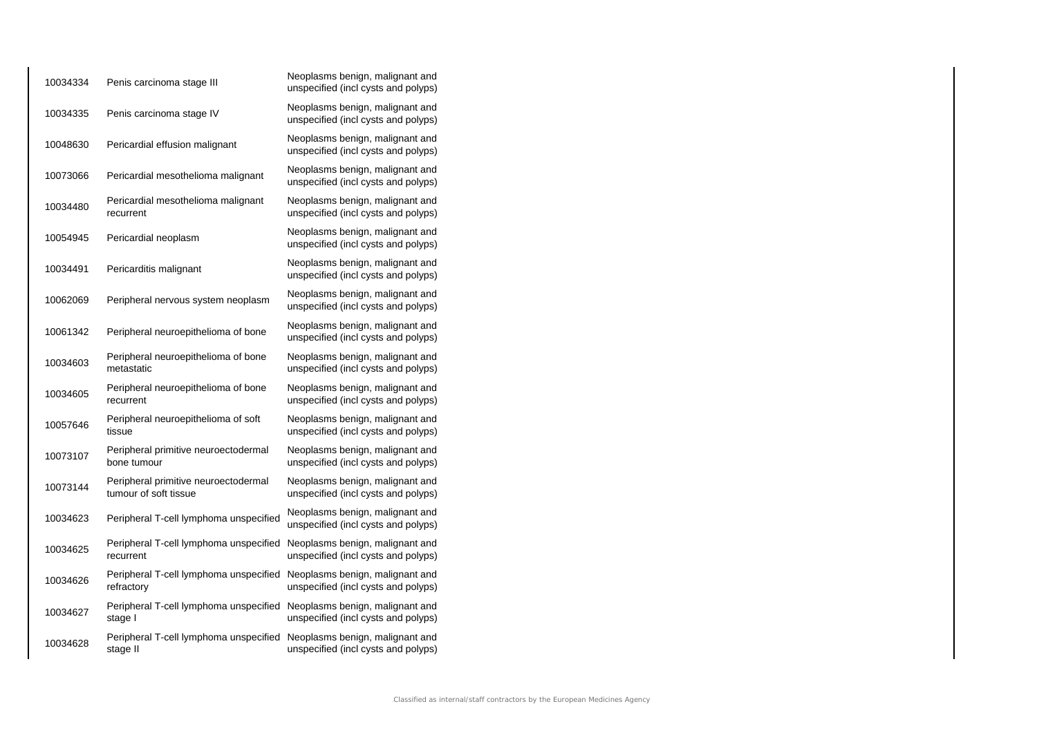| 10034334 | Penis carcinoma stage III                                     | Neoplasms benign, malignant and<br>unspecified (incl cysts and polyps) |
|----------|---------------------------------------------------------------|------------------------------------------------------------------------|
| 10034335 | Penis carcinoma stage IV                                      | Neoplasms benign, malignant and<br>unspecified (incl cysts and polyps) |
| 10048630 | Pericardial effusion malignant                                | Neoplasms benign, malignant and<br>unspecified (incl cysts and polyps) |
| 10073066 | Pericardial mesothelioma malignant                            | Neoplasms benign, malignant and<br>unspecified (incl cysts and polyps) |
| 10034480 | Pericardial mesothelioma malignant<br>recurrent               | Neoplasms benign, malignant and<br>unspecified (incl cysts and polyps) |
| 10054945 | Pericardial neoplasm                                          | Neoplasms benign, malignant and<br>unspecified (incl cysts and polyps) |
| 10034491 | Pericarditis malignant                                        | Neoplasms benign, malignant and<br>unspecified (incl cysts and polyps) |
| 10062069 | Peripheral nervous system neoplasm                            | Neoplasms benign, malignant and<br>unspecified (incl cysts and polyps) |
| 10061342 | Peripheral neuroepithelioma of bone                           | Neoplasms benign, malignant and<br>unspecified (incl cysts and polyps) |
| 10034603 | Peripheral neuroepithelioma of bone<br>metastatic             | Neoplasms benign, malignant and<br>unspecified (incl cysts and polyps) |
| 10034605 | Peripheral neuroepithelioma of bone<br>recurrent              | Neoplasms benign, malignant and<br>unspecified (incl cysts and polyps) |
| 10057646 | Peripheral neuroepithelioma of soft<br>tissue                 | Neoplasms benign, malignant and<br>unspecified (incl cysts and polyps) |
| 10073107 | Peripheral primitive neuroectodermal<br>bone tumour           | Neoplasms benign, malignant and<br>unspecified (incl cysts and polyps) |
| 10073144 | Peripheral primitive neuroectodermal<br>tumour of soft tissue | Neoplasms benign, malignant and<br>unspecified (incl cysts and polyps) |
| 10034623 | Peripheral T-cell lymphoma unspecified                        | Neoplasms benign, malignant and<br>unspecified (incl cysts and polyps) |
| 10034625 | Peripheral T-cell lymphoma unspecified<br>recurrent           | Neoplasms benign, malignant and<br>unspecified (incl cysts and polyps) |
| 10034626 | Peripheral T-cell lymphoma unspecified<br>refractory          | Neoplasms benign, malignant and<br>unspecified (incl cysts and polyps) |
| 10034627 | Peripheral T-cell lymphoma unspecified<br>stage I             | Neoplasms benign, malignant and<br>unspecified (incl cysts and polyps) |
| 10034628 | Peripheral T-cell lymphoma unspecified<br>stage II            | Neoplasms benign, malignant and<br>unspecified (incl cysts and polyps) |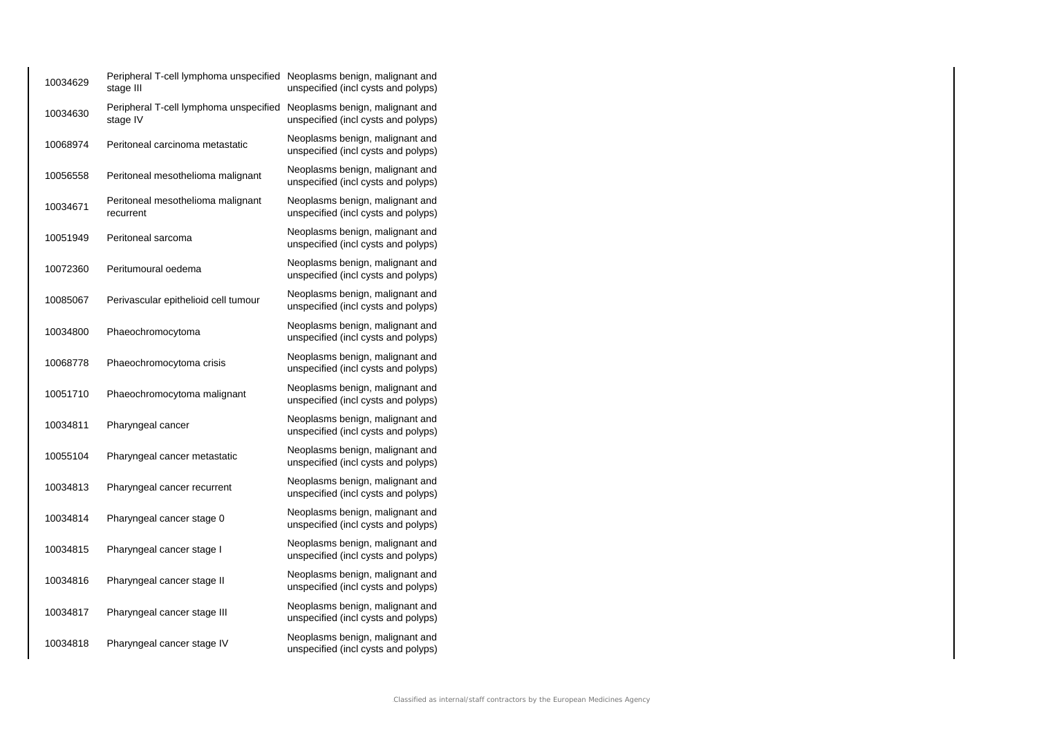| 10034629 | Peripheral T-cell lymphoma unspecified Neoplasms benign, malignant and<br>stage III | unspecified (incl cysts and polyps)                                    |
|----------|-------------------------------------------------------------------------------------|------------------------------------------------------------------------|
| 10034630 | Peripheral T-cell lymphoma unspecified<br>stage IV                                  | Neoplasms benign, malignant and<br>unspecified (incl cysts and polyps) |
| 10068974 | Peritoneal carcinoma metastatic                                                     | Neoplasms benign, malignant and<br>unspecified (incl cysts and polyps) |
| 10056558 | Peritoneal mesothelioma malignant                                                   | Neoplasms benign, malignant and<br>unspecified (incl cysts and polyps) |
| 10034671 | Peritoneal mesothelioma malignant<br>recurrent                                      | Neoplasms benign, malignant and<br>unspecified (incl cysts and polyps) |
| 10051949 | Peritoneal sarcoma                                                                  | Neoplasms benign, malignant and<br>unspecified (incl cysts and polyps) |
| 10072360 | Peritumoural oedema                                                                 | Neoplasms benign, malignant and<br>unspecified (incl cysts and polyps) |
| 10085067 | Perivascular epithelioid cell tumour                                                | Neoplasms benign, malignant and<br>unspecified (incl cysts and polyps) |
| 10034800 | Phaeochromocytoma                                                                   | Neoplasms benign, malignant and<br>unspecified (incl cysts and polyps) |
| 10068778 | Phaeochromocytoma crisis                                                            | Neoplasms benign, malignant and<br>unspecified (incl cysts and polyps) |
| 10051710 | Phaeochromocytoma malignant                                                         | Neoplasms benign, malignant and<br>unspecified (incl cysts and polyps) |
| 10034811 | Pharyngeal cancer                                                                   | Neoplasms benign, malignant and<br>unspecified (incl cysts and polyps) |
| 10055104 | Pharyngeal cancer metastatic                                                        | Neoplasms benign, malignant and<br>unspecified (incl cysts and polyps) |
| 10034813 | Pharyngeal cancer recurrent                                                         | Neoplasms benign, malignant and<br>unspecified (incl cysts and polyps) |
| 10034814 | Pharyngeal cancer stage 0                                                           | Neoplasms benign, malignant and<br>unspecified (incl cysts and polyps) |
| 10034815 | Pharyngeal cancer stage I                                                           | Neoplasms benign, malignant and<br>unspecified (incl cysts and polyps) |
| 10034816 | Pharyngeal cancer stage II                                                          | Neoplasms benign, malignant and<br>unspecified (incl cysts and polyps) |
| 10034817 | Pharyngeal cancer stage III                                                         | Neoplasms benign, malignant and<br>unspecified (incl cysts and polyps) |
| 10034818 | Pharyngeal cancer stage IV                                                          | Neoplasms benign, malignant and<br>unspecified (incl cysts and polyps) |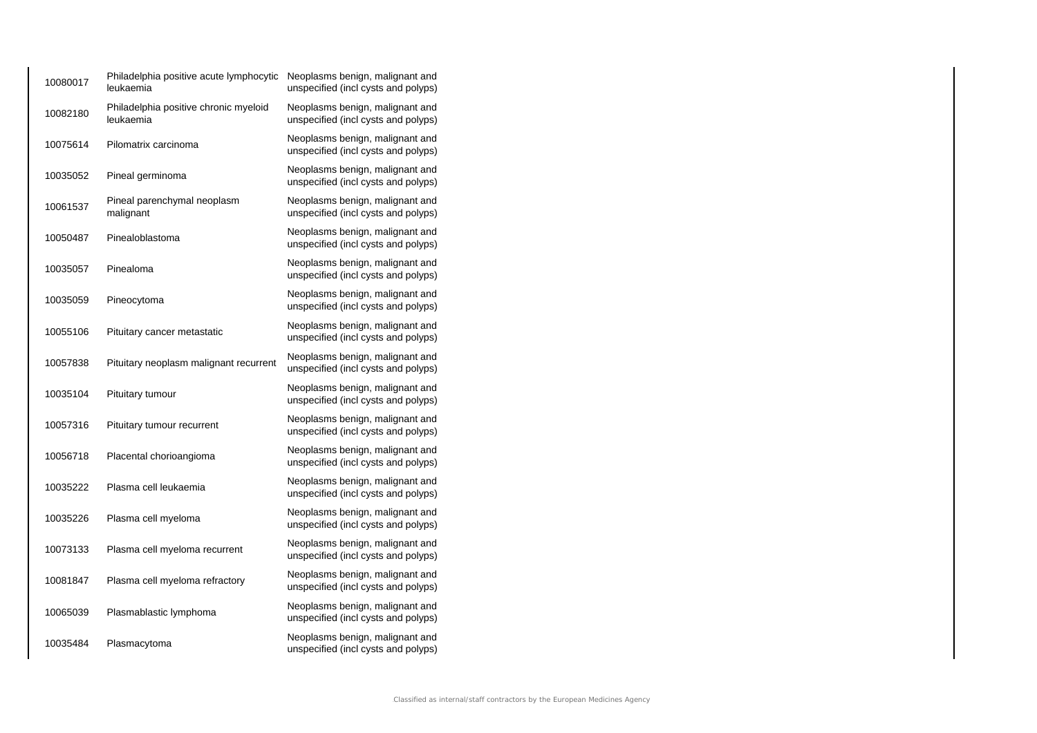| 10080017 | Philadelphia positive acute lymphocytic<br>leukaemia | Neoplasms benign, malignant and<br>unspecified (incl cysts and polyps) |
|----------|------------------------------------------------------|------------------------------------------------------------------------|
| 10082180 | Philadelphia positive chronic myeloid<br>leukaemia   | Neoplasms benign, malignant and<br>unspecified (incl cysts and polyps) |
| 10075614 | Pilomatrix carcinoma                                 | Neoplasms benign, malignant and<br>unspecified (incl cysts and polyps) |
| 10035052 | Pineal germinoma                                     | Neoplasms benign, malignant and<br>unspecified (incl cysts and polyps) |
| 10061537 | Pineal parenchymal neoplasm<br>malignant             | Neoplasms benign, malignant and<br>unspecified (incl cysts and polyps) |
| 10050487 | Pinealoblastoma                                      | Neoplasms benign, malignant and<br>unspecified (incl cysts and polyps) |
| 10035057 | Pinealoma                                            | Neoplasms benign, malignant and<br>unspecified (incl cysts and polyps) |
| 10035059 | Pineocytoma                                          | Neoplasms benign, malignant and<br>unspecified (incl cysts and polyps) |
| 10055106 | Pituitary cancer metastatic                          | Neoplasms benign, malignant and<br>unspecified (incl cysts and polyps) |
| 10057838 | Pituitary neoplasm malignant recurrent               | Neoplasms benign, malignant and<br>unspecified (incl cysts and polyps) |
| 10035104 | Pituitary tumour                                     | Neoplasms benign, malignant and<br>unspecified (incl cysts and polyps) |
| 10057316 | Pituitary tumour recurrent                           | Neoplasms benign, malignant and<br>unspecified (incl cysts and polyps) |
| 10056718 | Placental chorioangioma                              | Neoplasms benign, malignant and<br>unspecified (incl cysts and polyps) |
| 10035222 | Plasma cell leukaemia                                | Neoplasms benign, malignant and<br>unspecified (incl cysts and polyps) |
| 10035226 | Plasma cell myeloma                                  | Neoplasms benign, malignant and<br>unspecified (incl cysts and polyps) |
| 10073133 | Plasma cell myeloma recurrent                        | Neoplasms benign, malignant and<br>unspecified (incl cysts and polyps) |
| 10081847 | Plasma cell myeloma refractory                       | Neoplasms benign, malignant and<br>unspecified (incl cysts and polyps) |
| 10065039 | Plasmablastic lymphoma                               | Neoplasms benign, malignant and<br>unspecified (incl cysts and polyps) |
| 10035484 | Plasmacytoma                                         | Neoplasms benign, malignant and<br>unspecified (incl cysts and polyps) |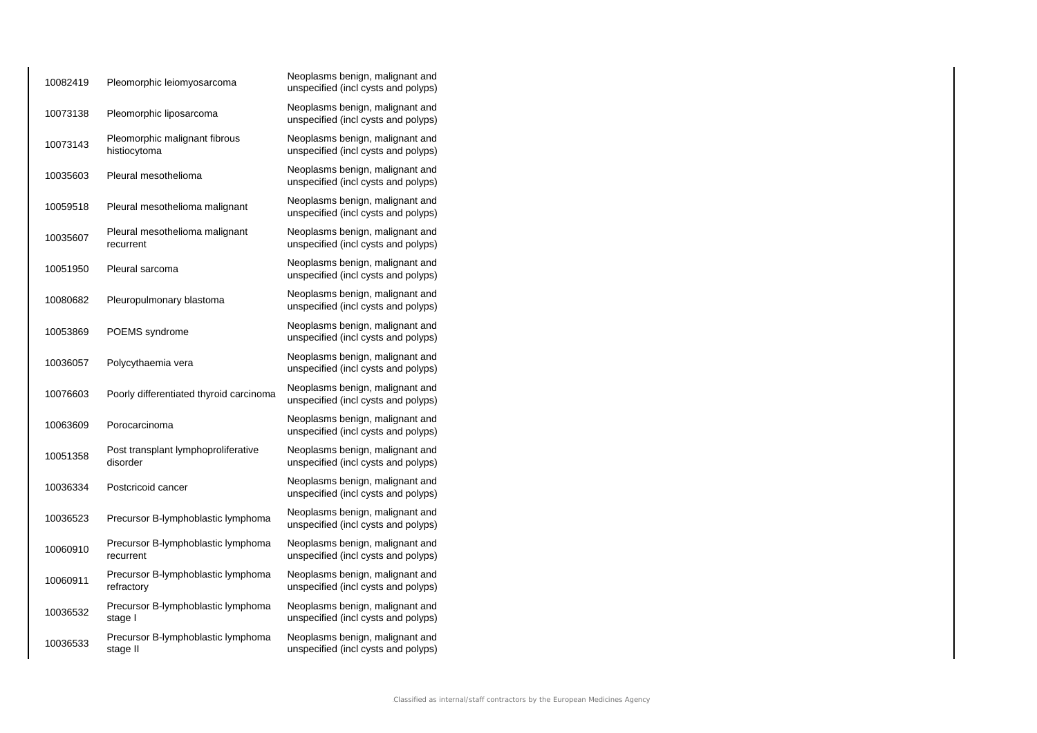| 10082419 | Pleomorphic leiomyosarcoma                       | Neoplasms benign, malignant and<br>unspecified (incl cysts and polyps) |
|----------|--------------------------------------------------|------------------------------------------------------------------------|
| 10073138 | Pleomorphic liposarcoma                          | Neoplasms benign, malignant and<br>unspecified (incl cysts and polyps) |
| 10073143 | Pleomorphic malignant fibrous<br>histiocytoma    | Neoplasms benign, malignant and<br>unspecified (incl cysts and polyps) |
| 10035603 | Pleural mesothelioma                             | Neoplasms benign, malignant and<br>unspecified (incl cysts and polyps) |
| 10059518 | Pleural mesothelioma malignant                   | Neoplasms benign, malignant and<br>unspecified (incl cysts and polyps) |
| 10035607 | Pleural mesothelioma malignant<br>recurrent      | Neoplasms benign, malignant and<br>unspecified (incl cysts and polyps) |
| 10051950 | Pleural sarcoma                                  | Neoplasms benign, malignant and<br>unspecified (incl cysts and polyps) |
| 10080682 | Pleuropulmonary blastoma                         | Neoplasms benign, malignant and<br>unspecified (incl cysts and polyps) |
| 10053869 | POEMS syndrome                                   | Neoplasms benign, malignant and<br>unspecified (incl cysts and polyps) |
| 10036057 | Polycythaemia vera                               | Neoplasms benign, malignant and<br>unspecified (incl cysts and polyps) |
| 10076603 | Poorly differentiated thyroid carcinoma          | Neoplasms benign, malignant and<br>unspecified (incl cysts and polyps) |
| 10063609 | Porocarcinoma                                    | Neoplasms benign, malignant and<br>unspecified (incl cysts and polyps) |
| 10051358 | Post transplant lymphoproliferative<br>disorder  | Neoplasms benign, malignant and<br>unspecified (incl cysts and polyps) |
| 10036334 | Postcricoid cancer                               | Neoplasms benign, malignant and<br>unspecified (incl cysts and polyps) |
| 10036523 | Precursor B-lymphoblastic lymphoma               | Neoplasms benign, malignant and<br>unspecified (incl cysts and polyps) |
| 10060910 | Precursor B-lymphoblastic lymphoma<br>recurrent  | Neoplasms benign, malignant and<br>unspecified (incl cysts and polyps) |
| 10060911 | Precursor B-lymphoblastic lymphoma<br>refractory | Neoplasms benign, malignant and<br>unspecified (incl cysts and polyps) |
| 10036532 | Precursor B-lymphoblastic lymphoma<br>stage I    | Neoplasms benign, malignant and<br>unspecified (incl cysts and polyps) |
| 10036533 | Precursor B-lymphoblastic lymphoma<br>stage II   | Neoplasms benign, malignant and<br>unspecified (incl cysts and polyps) |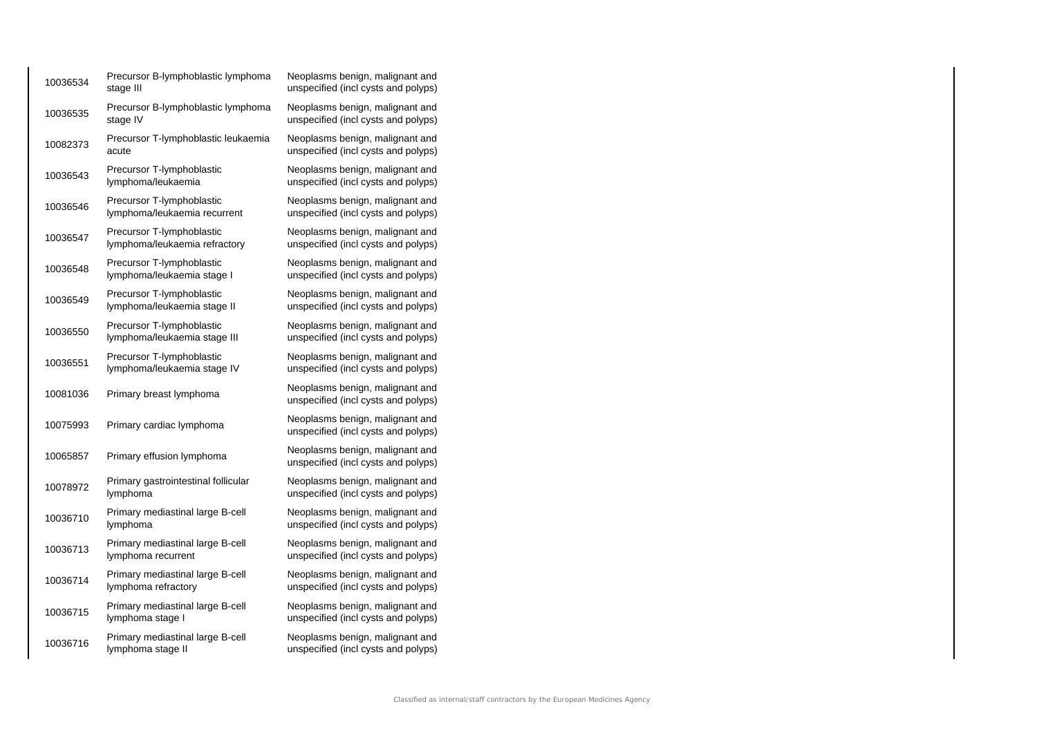| 10036534 | Precursor B-lymphoblastic lymphoma<br>stage III            | Neoplasms benign, malignant and<br>unspecified (incl cysts and polyps) |
|----------|------------------------------------------------------------|------------------------------------------------------------------------|
| 10036535 | Precursor B-lymphoblastic lymphoma<br>stage IV             | Neoplasms benign, malignant and<br>unspecified (incl cysts and polyps) |
| 10082373 | Precursor T-lymphoblastic leukaemia<br>acute               | Neoplasms benign, malignant and<br>unspecified (incl cysts and polyps) |
| 10036543 | Precursor T-lymphoblastic<br>lymphoma/leukaemia            | Neoplasms benign, malignant and<br>unspecified (incl cysts and polyps) |
| 10036546 | Precursor T-lymphoblastic<br>lymphoma/leukaemia recurrent  | Neoplasms benign, malignant and<br>unspecified (incl cysts and polyps) |
| 10036547 | Precursor T-lymphoblastic<br>lymphoma/leukaemia refractory | Neoplasms benign, malignant and<br>unspecified (incl cysts and polyps) |
| 10036548 | Precursor T-lymphoblastic<br>lymphoma/leukaemia stage I    | Neoplasms benign, malignant and<br>unspecified (incl cysts and polyps) |
| 10036549 | Precursor T-lymphoblastic<br>lymphoma/leukaemia stage II   | Neoplasms benign, malignant and<br>unspecified (incl cysts and polyps) |
| 10036550 | Precursor T-lymphoblastic<br>lymphoma/leukaemia stage III  | Neoplasms benign, malignant and<br>unspecified (incl cysts and polyps) |
| 10036551 | Precursor T-lymphoblastic<br>lymphoma/leukaemia stage IV   | Neoplasms benign, malignant and<br>unspecified (incl cysts and polyps) |
| 10081036 | Primary breast lymphoma                                    | Neoplasms benign, malignant and<br>unspecified (incl cysts and polyps) |
| 10075993 | Primary cardiac lymphoma                                   | Neoplasms benign, malignant and<br>unspecified (incl cysts and polyps) |
| 10065857 | Primary effusion lymphoma                                  | Neoplasms benign, malignant and<br>unspecified (incl cysts and polyps) |
| 10078972 | Primary gastrointestinal follicular<br>lymphoma            | Neoplasms benign, malignant and<br>unspecified (incl cysts and polyps) |
| 10036710 | Primary mediastinal large B-cell<br>lymphoma               | Neoplasms benign, malignant and<br>unspecified (incl cysts and polyps) |
| 10036713 | Primary mediastinal large B-cell<br>lymphoma recurrent     | Neoplasms benign, malignant and<br>unspecified (incl cysts and polyps) |
| 10036714 | Primary mediastinal large B-cell<br>lymphoma refractory    | Neoplasms benign, malignant and<br>unspecified (incl cysts and polyps) |
| 10036715 | Primary mediastinal large B-cell<br>lymphoma stage I       | Neoplasms benign, malignant and<br>unspecified (incl cysts and polyps) |
| 10036716 | Primary mediastinal large B-cell<br>lymphoma stage II      | Neoplasms benign, malignant and<br>unspecified (incl cysts and polyps) |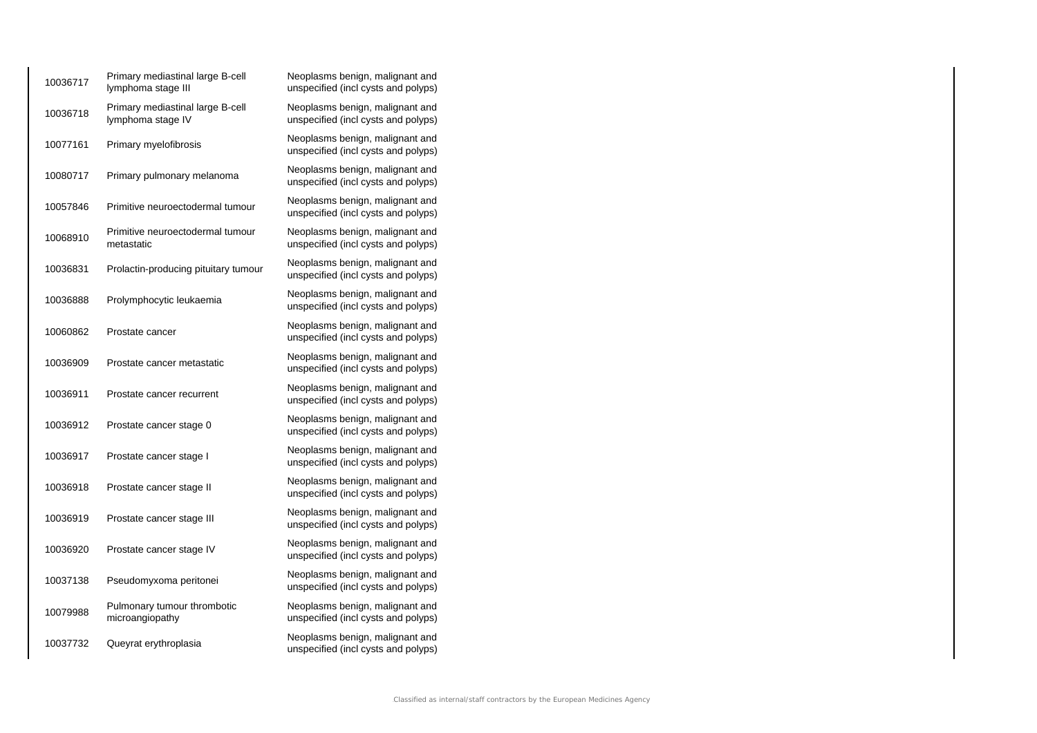| 10036717 | Primary mediastinal large B-cell<br>lymphoma stage III | Neoplasms benign, malignant and<br>unspecified (incl cysts and polyps) |
|----------|--------------------------------------------------------|------------------------------------------------------------------------|
| 10036718 | Primary mediastinal large B-cell<br>lymphoma stage IV  | Neoplasms benign, malignant and<br>unspecified (incl cysts and polyps) |
| 10077161 | Primary myelofibrosis                                  | Neoplasms benign, malignant and<br>unspecified (incl cysts and polyps) |
| 10080717 | Primary pulmonary melanoma                             | Neoplasms benign, malignant and<br>unspecified (incl cysts and polyps) |
| 10057846 | Primitive neuroectodermal tumour                       | Neoplasms benign, malignant and<br>unspecified (incl cysts and polyps) |
| 10068910 | Primitive neuroectodermal tumour<br>metastatic         | Neoplasms benign, malignant and<br>unspecified (incl cysts and polyps) |
| 10036831 | Prolactin-producing pituitary tumour                   | Neoplasms benign, malignant and<br>unspecified (incl cysts and polyps) |
| 10036888 | Prolymphocytic leukaemia                               | Neoplasms benign, malignant and<br>unspecified (incl cysts and polyps) |
| 10060862 | Prostate cancer                                        | Neoplasms benign, malignant and<br>unspecified (incl cysts and polyps) |
| 10036909 | Prostate cancer metastatic                             | Neoplasms benign, malignant and<br>unspecified (incl cysts and polyps) |
| 10036911 | Prostate cancer recurrent                              | Neoplasms benign, malignant and<br>unspecified (incl cysts and polyps) |
| 10036912 | Prostate cancer stage 0                                | Neoplasms benign, malignant and<br>unspecified (incl cysts and polyps) |
| 10036917 | Prostate cancer stage I                                | Neoplasms benign, malignant and<br>unspecified (incl cysts and polyps) |
| 10036918 | Prostate cancer stage II                               | Neoplasms benign, malignant and<br>unspecified (incl cysts and polyps) |
| 10036919 | Prostate cancer stage III                              | Neoplasms benign, malignant and<br>unspecified (incl cysts and polyps) |
| 10036920 | Prostate cancer stage IV                               | Neoplasms benign, malignant and<br>unspecified (incl cysts and polyps) |
| 10037138 | Pseudomyxoma peritonei                                 | Neoplasms benign, malignant and<br>unspecified (incl cysts and polyps) |
| 10079988 | Pulmonary tumour thrombotic<br>microangiopathy         | Neoplasms benign, malignant and<br>unspecified (incl cysts and polyps) |
| 10037732 | Queyrat erythroplasia                                  | Neoplasms benign, malignant and<br>unspecified (incl cysts and polyps) |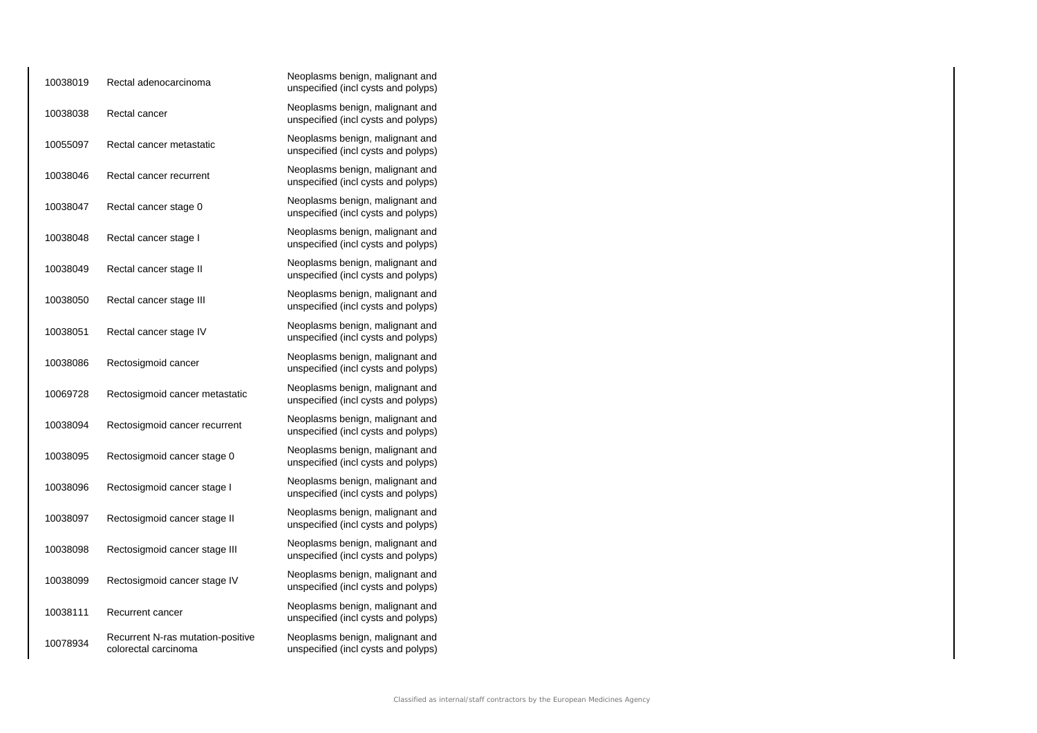| 10038019 | Rectal adenocarcinoma                                     | Neoplasms benign, malignant and<br>unspecified (incl cysts and polyps) |
|----------|-----------------------------------------------------------|------------------------------------------------------------------------|
| 10038038 | Rectal cancer                                             | Neoplasms benign, malignant and<br>unspecified (incl cysts and polyps) |
| 10055097 | Rectal cancer metastatic                                  | Neoplasms benign, malignant and<br>unspecified (incl cysts and polyps) |
| 10038046 | Rectal cancer recurrent                                   | Neoplasms benign, malignant and<br>unspecified (incl cysts and polyps) |
| 10038047 | Rectal cancer stage 0                                     | Neoplasms benign, malignant and<br>unspecified (incl cysts and polyps) |
| 10038048 | Rectal cancer stage I                                     | Neoplasms benign, malignant and<br>unspecified (incl cysts and polyps) |
| 10038049 | Rectal cancer stage II                                    | Neoplasms benign, malignant and<br>unspecified (incl cysts and polyps) |
| 10038050 | Rectal cancer stage III                                   | Neoplasms benign, malignant and<br>unspecified (incl cysts and polyps) |
| 10038051 | Rectal cancer stage IV                                    | Neoplasms benign, malignant and<br>unspecified (incl cysts and polyps) |
| 10038086 | Rectosigmoid cancer                                       | Neoplasms benign, malignant and<br>unspecified (incl cysts and polyps) |
| 10069728 | Rectosigmoid cancer metastatic                            | Neoplasms benign, malignant and<br>unspecified (incl cysts and polyps) |
| 10038094 | Rectosigmoid cancer recurrent                             | Neoplasms benign, malignant and<br>unspecified (incl cysts and polyps) |
| 10038095 | Rectosigmoid cancer stage 0                               | Neoplasms benign, malignant and<br>unspecified (incl cysts and polyps) |
| 10038096 | Rectosigmoid cancer stage I                               | Neoplasms benign, malignant and<br>unspecified (incl cysts and polyps) |
| 10038097 | Rectosigmoid cancer stage II                              | Neoplasms benign, malignant and<br>unspecified (incl cysts and polyps) |
| 10038098 | Rectosigmoid cancer stage III                             | Neoplasms benign, malignant and<br>unspecified (incl cysts and polyps) |
| 10038099 | Rectosigmoid cancer stage IV                              | Neoplasms benign, malignant and<br>unspecified (incl cysts and polyps) |
| 10038111 | Recurrent cancer                                          | Neoplasms benign, malignant and<br>unspecified (incl cysts and polyps) |
| 10078934 | Recurrent N-ras mutation-positive<br>colorectal carcinoma | Neoplasms benign, malignant and<br>unspecified (incl cysts and polyps) |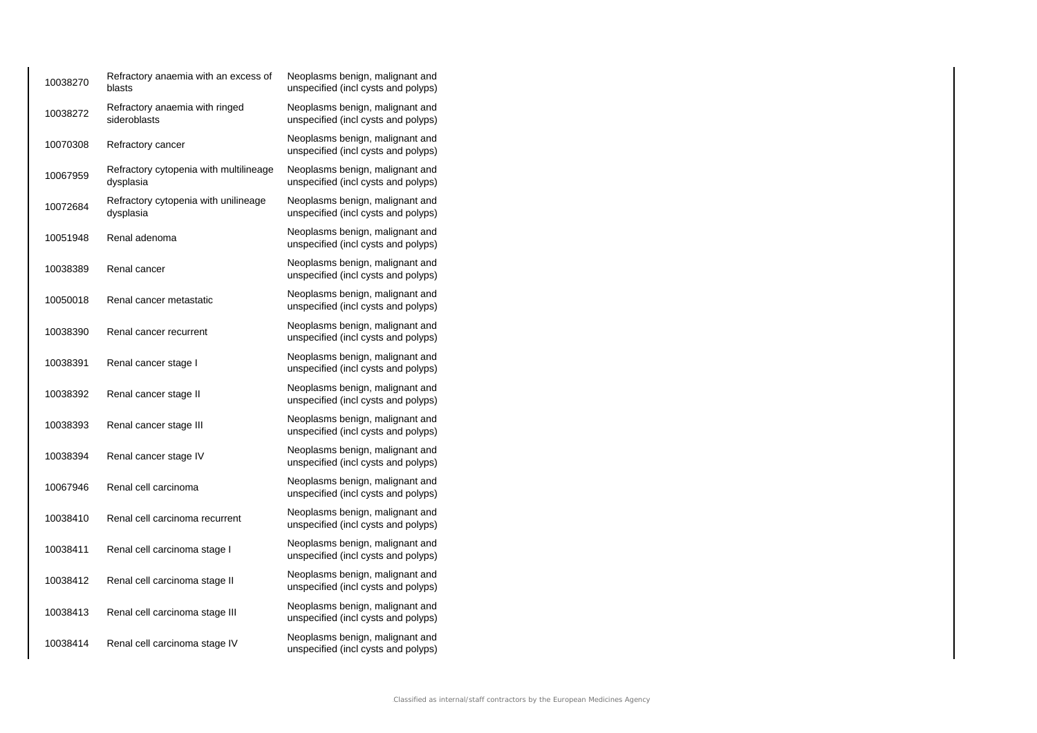| 10038270 | Refractory anaemia with an excess of<br>blasts      | Neoplasms benign, malignant and<br>unspecified (incl cysts and polyps) |
|----------|-----------------------------------------------------|------------------------------------------------------------------------|
| 10038272 | Refractory anaemia with ringed<br>sideroblasts      | Neoplasms benign, malignant and<br>unspecified (incl cysts and polyps) |
| 10070308 | Refractory cancer                                   | Neoplasms benign, malignant and<br>unspecified (incl cysts and polyps) |
| 10067959 | Refractory cytopenia with multilineage<br>dysplasia | Neoplasms benign, malignant and<br>unspecified (incl cysts and polyps) |
| 10072684 | Refractory cytopenia with unilineage<br>dysplasia   | Neoplasms benign, malignant and<br>unspecified (incl cysts and polyps) |
| 10051948 | Renal adenoma                                       | Neoplasms benign, malignant and<br>unspecified (incl cysts and polyps) |
| 10038389 | Renal cancer                                        | Neoplasms benign, malignant and<br>unspecified (incl cysts and polyps) |
| 10050018 | Renal cancer metastatic                             | Neoplasms benign, malignant and<br>unspecified (incl cysts and polyps) |
| 10038390 | Renal cancer recurrent                              | Neoplasms benign, malignant and<br>unspecified (incl cysts and polyps) |
| 10038391 | Renal cancer stage I                                | Neoplasms benign, malignant and<br>unspecified (incl cysts and polyps) |
| 10038392 | Renal cancer stage II                               | Neoplasms benign, malignant and<br>unspecified (incl cysts and polyps) |
| 10038393 | Renal cancer stage III                              | Neoplasms benign, malignant and<br>unspecified (incl cysts and polyps) |
| 10038394 | Renal cancer stage IV                               | Neoplasms benign, malignant and<br>unspecified (incl cysts and polyps) |
| 10067946 | Renal cell carcinoma                                | Neoplasms benign, malignant and<br>unspecified (incl cysts and polyps) |
| 10038410 | Renal cell carcinoma recurrent                      | Neoplasms benign, malignant and<br>unspecified (incl cysts and polyps) |
| 10038411 | Renal cell carcinoma stage I                        | Neoplasms benign, malignant and<br>unspecified (incl cysts and polyps) |
| 10038412 | Renal cell carcinoma stage II                       | Neoplasms benign, malignant and<br>unspecified (incl cysts and polyps) |
| 10038413 | Renal cell carcinoma stage III                      | Neoplasms benign, malignant and<br>unspecified (incl cysts and polyps) |
| 10038414 | Renal cell carcinoma stage IV                       | Neoplasms benign, malignant and<br>unspecified (incl cysts and polyps) |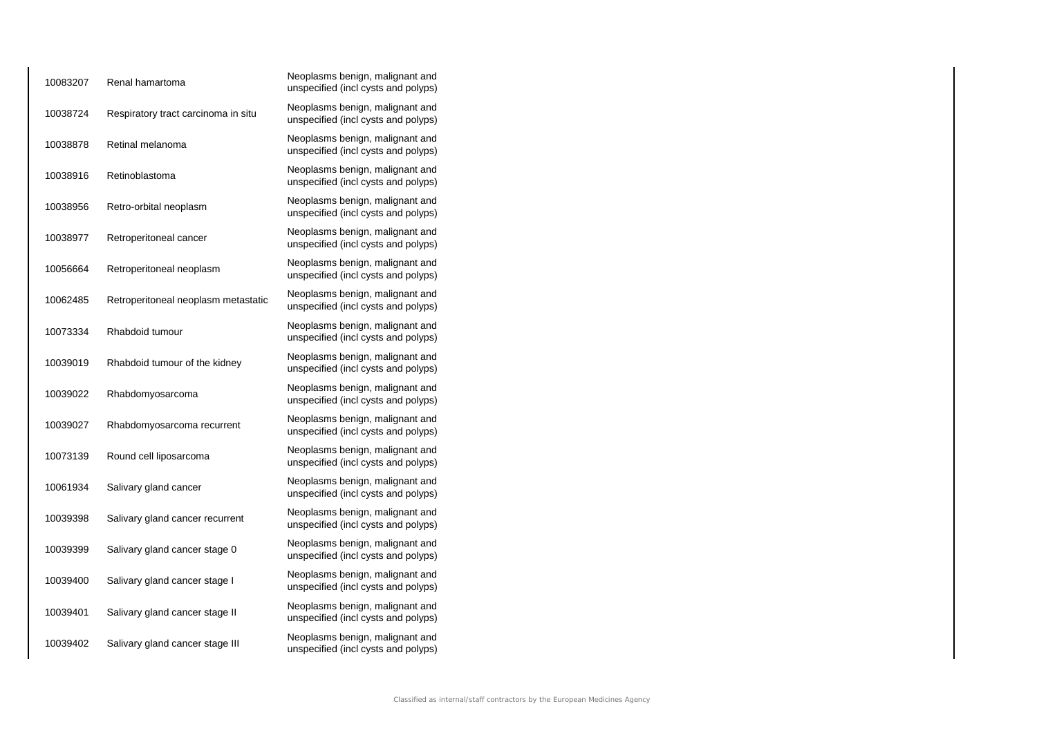| 10083207 | Renal hamartoma                     | Neoplasms benign, malignant and<br>unspecified (incl cysts and polyps) |
|----------|-------------------------------------|------------------------------------------------------------------------|
| 10038724 | Respiratory tract carcinoma in situ | Neoplasms benign, malignant and<br>unspecified (incl cysts and polyps) |
| 10038878 | Retinal melanoma                    | Neoplasms benign, malignant and<br>unspecified (incl cysts and polyps) |
| 10038916 | Retinoblastoma                      | Neoplasms benign, malignant and<br>unspecified (incl cysts and polyps) |
| 10038956 | Retro-orbital neoplasm              | Neoplasms benign, malignant and<br>unspecified (incl cysts and polyps) |
| 10038977 | Retroperitoneal cancer              | Neoplasms benign, malignant and<br>unspecified (incl cysts and polyps) |
| 10056664 | Retroperitoneal neoplasm            | Neoplasms benign, malignant and<br>unspecified (incl cysts and polyps) |
| 10062485 | Retroperitoneal neoplasm metastatic | Neoplasms benign, malignant and<br>unspecified (incl cysts and polyps) |
| 10073334 | Rhabdoid tumour                     | Neoplasms benign, malignant and<br>unspecified (incl cysts and polyps) |
| 10039019 | Rhabdoid tumour of the kidney       | Neoplasms benign, malignant and<br>unspecified (incl cysts and polyps) |
| 10039022 | Rhabdomyosarcoma                    | Neoplasms benign, malignant and<br>unspecified (incl cysts and polyps) |
| 10039027 | Rhabdomyosarcoma recurrent          | Neoplasms benign, malignant and<br>unspecified (incl cysts and polyps) |
| 10073139 | Round cell liposarcoma              | Neoplasms benign, malignant and<br>unspecified (incl cysts and polyps) |
| 10061934 | Salivary gland cancer               | Neoplasms benign, malignant and<br>unspecified (incl cysts and polyps) |
| 10039398 | Salivary gland cancer recurrent     | Neoplasms benign, malignant and<br>unspecified (incl cysts and polyps) |
| 10039399 | Salivary gland cancer stage 0       | Neoplasms benign, malignant and<br>unspecified (incl cysts and polyps) |
| 10039400 | Salivary gland cancer stage I       | Neoplasms benign, malignant and<br>unspecified (incl cysts and polyps) |
| 10039401 | Salivary gland cancer stage II      | Neoplasms benign, malignant and<br>unspecified (incl cysts and polyps) |
| 10039402 | Salivary gland cancer stage III     | Neoplasms benign, malignant and<br>unspecified (incl cysts and polyps) |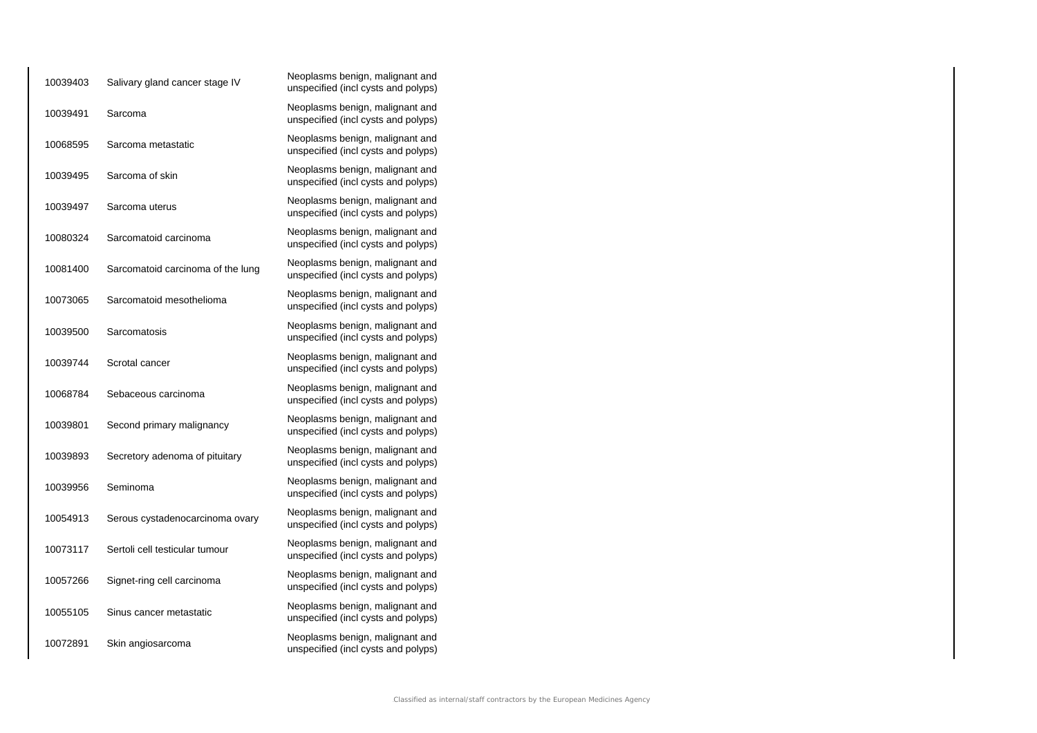| 10039403 | Salivary gland cancer stage IV    | Neoplasms benign, malignant and<br>unspecified (incl cysts and polyps) |
|----------|-----------------------------------|------------------------------------------------------------------------|
| 10039491 | Sarcoma                           | Neoplasms benign, malignant and<br>unspecified (incl cysts and polyps) |
| 10068595 | Sarcoma metastatic                | Neoplasms benign, malignant and<br>unspecified (incl cysts and polyps) |
| 10039495 | Sarcoma of skin                   | Neoplasms benign, malignant and<br>unspecified (incl cysts and polyps) |
| 10039497 | Sarcoma uterus                    | Neoplasms benign, malignant and<br>unspecified (incl cysts and polyps) |
| 10080324 | Sarcomatoid carcinoma             | Neoplasms benign, malignant and<br>unspecified (incl cysts and polyps) |
| 10081400 | Sarcomatoid carcinoma of the lung | Neoplasms benign, malignant and<br>unspecified (incl cysts and polyps) |
| 10073065 | Sarcomatoid mesothelioma          | Neoplasms benign, malignant and<br>unspecified (incl cysts and polyps) |
| 10039500 | Sarcomatosis                      | Neoplasms benign, malignant and<br>unspecified (incl cysts and polyps) |
| 10039744 | Scrotal cancer                    | Neoplasms benign, malignant and<br>unspecified (incl cysts and polyps) |
| 10068784 | Sebaceous carcinoma               | Neoplasms benign, malignant and<br>unspecified (incl cysts and polyps) |
| 10039801 | Second primary malignancy         | Neoplasms benign, malignant and<br>unspecified (incl cysts and polyps) |
| 10039893 | Secretory adenoma of pituitary    | Neoplasms benign, malignant and<br>unspecified (incl cysts and polyps) |
| 10039956 | Seminoma                          | Neoplasms benign, malignant and<br>unspecified (incl cysts and polyps) |
| 10054913 | Serous cystadenocarcinoma ovary   | Neoplasms benign, malignant and<br>unspecified (incl cysts and polyps) |
| 10073117 | Sertoli cell testicular tumour    | Neoplasms benign, malignant and<br>unspecified (incl cysts and polyps) |
| 10057266 | Signet-ring cell carcinoma        | Neoplasms benign, malignant and<br>unspecified (incl cysts and polyps) |
| 10055105 | Sinus cancer metastatic           | Neoplasms benign, malignant and<br>unspecified (incl cysts and polyps) |
| 10072891 | Skin angiosarcoma                 | Neoplasms benign, malignant and<br>unspecified (incl cysts and polyps) |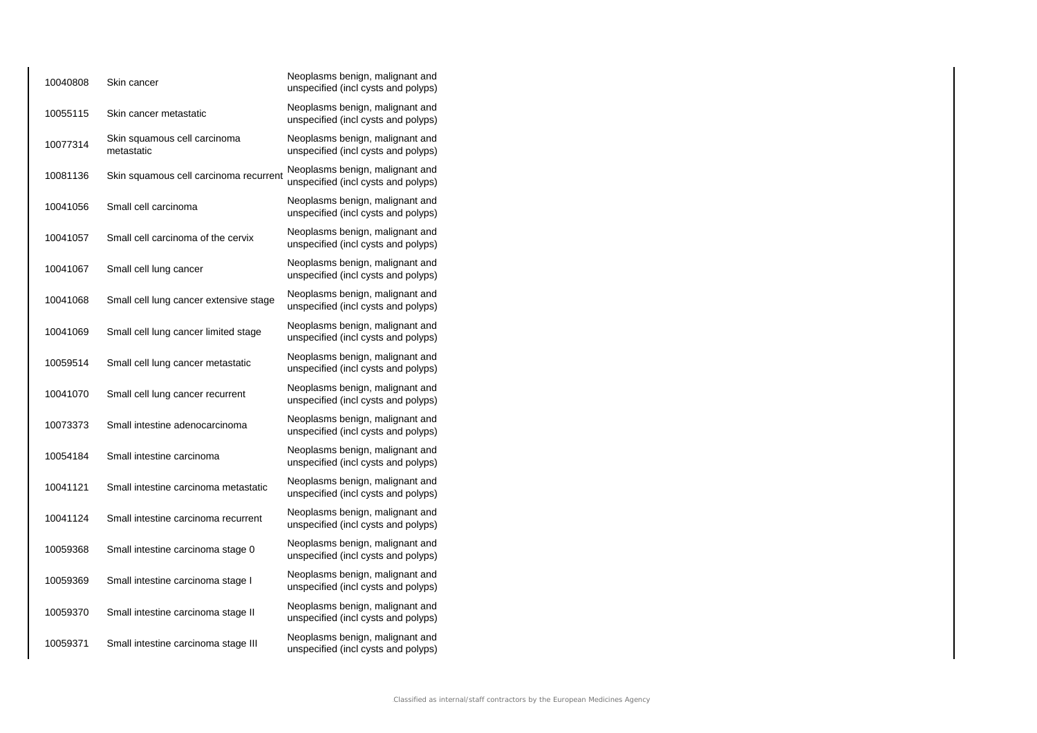| 10040808 | Skin cancer                                | Neoplasms benign, malignant and<br>unspecified (incl cysts and polyps) |
|----------|--------------------------------------------|------------------------------------------------------------------------|
| 10055115 | Skin cancer metastatic                     | Neoplasms benign, malignant and<br>unspecified (incl cysts and polyps) |
| 10077314 | Skin squamous cell carcinoma<br>metastatic | Neoplasms benign, malignant and<br>unspecified (incl cysts and polyps) |
| 10081136 | Skin squamous cell carcinoma recurrent     | Neoplasms benign, malignant and<br>unspecified (incl cysts and polyps) |
| 10041056 | Small cell carcinoma                       | Neoplasms benign, malignant and<br>unspecified (incl cysts and polyps) |
| 10041057 | Small cell carcinoma of the cervix         | Neoplasms benign, malignant and<br>unspecified (incl cysts and polyps) |
| 10041067 | Small cell lung cancer                     | Neoplasms benign, malignant and<br>unspecified (incl cysts and polyps) |
| 10041068 | Small cell lung cancer extensive stage     | Neoplasms benign, malignant and<br>unspecified (incl cysts and polyps) |
| 10041069 | Small cell lung cancer limited stage       | Neoplasms benign, malignant and<br>unspecified (incl cysts and polyps) |
| 10059514 | Small cell lung cancer metastatic          | Neoplasms benign, malignant and<br>unspecified (incl cysts and polyps) |
| 10041070 | Small cell lung cancer recurrent           | Neoplasms benign, malignant and<br>unspecified (incl cysts and polyps) |
| 10073373 | Small intestine adenocarcinoma             | Neoplasms benign, malignant and<br>unspecified (incl cysts and polyps) |
| 10054184 | Small intestine carcinoma                  | Neoplasms benign, malignant and<br>unspecified (incl cysts and polyps) |
| 10041121 | Small intestine carcinoma metastatic       | Neoplasms benign, malignant and<br>unspecified (incl cysts and polyps) |
| 10041124 | Small intestine carcinoma recurrent        | Neoplasms benign, malignant and<br>unspecified (incl cysts and polyps) |
| 10059368 | Small intestine carcinoma stage 0          | Neoplasms benign, malignant and<br>unspecified (incl cysts and polyps) |
| 10059369 | Small intestine carcinoma stage I          | Neoplasms benign, malignant and<br>unspecified (incl cysts and polyps) |
| 10059370 | Small intestine carcinoma stage II         | Neoplasms benign, malignant and<br>unspecified (incl cysts and polyps) |
| 10059371 | Small intestine carcinoma stage III        | Neoplasms benign, malignant and<br>unspecified (incl cysts and polyps) |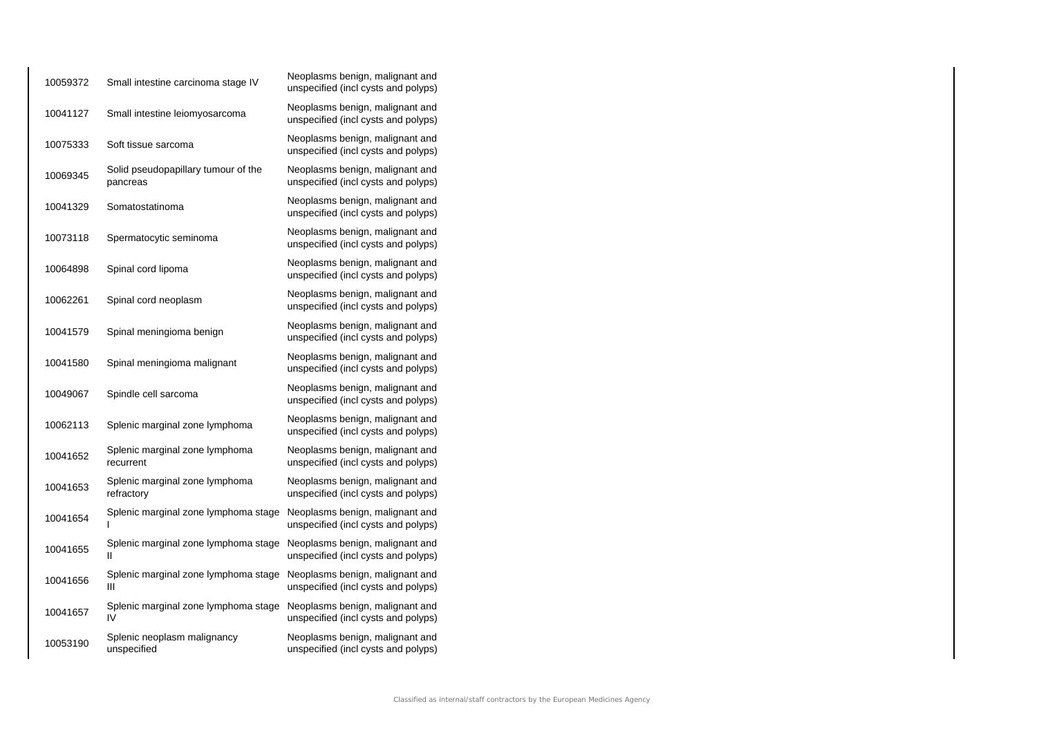| 10059372 | Small intestine carcinoma stage IV              | Neoplasms benign, malignant and<br>unspecified (incl cysts and polyps) |
|----------|-------------------------------------------------|------------------------------------------------------------------------|
| 10041127 | Small intestine leiomyosarcoma                  | Neoplasms benign, malignant and<br>unspecified (incl cysts and polyps) |
| 10075333 | Soft tissue sarcoma                             | Neoplasms benign, malignant and<br>unspecified (incl cysts and polyps) |
| 10069345 | Solid pseudopapillary tumour of the<br>pancreas | Neoplasms benign, malignant and<br>unspecified (incl cysts and polyps) |
| 10041329 | Somatostatinoma                                 | Neoplasms benign, malignant and<br>unspecified (incl cysts and polyps) |
| 10073118 | Spermatocytic seminoma                          | Neoplasms benign, malignant and<br>unspecified (incl cysts and polyps) |
| 10064898 | Spinal cord lipoma                              | Neoplasms benign, malignant and<br>unspecified (incl cysts and polyps) |
| 10062261 | Spinal cord neoplasm                            | Neoplasms benign, malignant and<br>unspecified (incl cysts and polyps) |
| 10041579 | Spinal meningioma benign                        | Neoplasms benign, malignant and<br>unspecified (incl cysts and polyps) |
| 10041580 | Spinal meningioma malignant                     | Neoplasms benign, malignant and<br>unspecified (incl cysts and polyps) |
| 10049067 | Spindle cell sarcoma                            | Neoplasms benign, malignant and<br>unspecified (incl cysts and polyps) |
| 10062113 | Splenic marginal zone lymphoma                  | Neoplasms benign, malignant and<br>unspecified (incl cysts and polyps) |
| 10041652 | Splenic marginal zone lymphoma<br>recurrent     | Neoplasms benign, malignant and<br>unspecified (incl cysts and polyps) |
| 10041653 | Splenic marginal zone lymphoma<br>refractory    | Neoplasms benign, malignant and<br>unspecified (incl cysts and polyps) |
| 10041654 | Splenic marginal zone lymphoma stage<br>ı       | Neoplasms benign, malignant and<br>unspecified (incl cysts and polyps) |
| 10041655 | Splenic marginal zone lymphoma stage<br>Ш       | Neoplasms benign, malignant and<br>unspecified (incl cysts and polyps) |
| 10041656 | Splenic marginal zone lymphoma stage<br>Ш       | Neoplasms benign, malignant and<br>unspecified (incl cysts and polyps) |
| 10041657 | Splenic marginal zone lymphoma stage<br>IV      | Neoplasms benign, malignant and<br>unspecified (incl cysts and polyps) |
| 10053190 | Splenic neoplasm malignancy<br>unspecified      | Neoplasms benign, malignant and<br>unspecified (incl cysts and polyps) |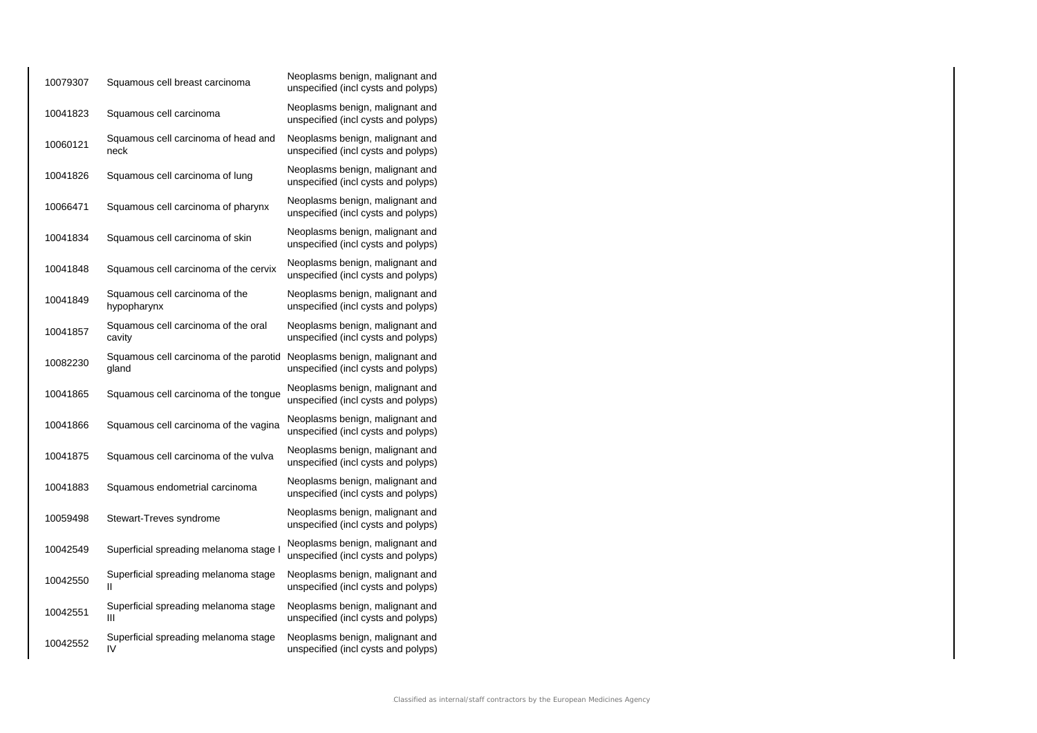| 10079307 | Squamous cell breast carcinoma                  | Neoplasms benign, malignant and<br>unspecified (incl cysts and polyps) |
|----------|-------------------------------------------------|------------------------------------------------------------------------|
| 10041823 | Squamous cell carcinoma                         | Neoplasms benign, malignant and<br>unspecified (incl cysts and polyps) |
| 10060121 | Squamous cell carcinoma of head and<br>neck     | Neoplasms benign, malignant and<br>unspecified (incl cysts and polyps) |
| 10041826 | Squamous cell carcinoma of lung                 | Neoplasms benign, malignant and<br>unspecified (incl cysts and polyps) |
| 10066471 | Squamous cell carcinoma of pharynx              | Neoplasms benign, malignant and<br>unspecified (incl cysts and polyps) |
| 10041834 | Squamous cell carcinoma of skin                 | Neoplasms benign, malignant and<br>unspecified (incl cysts and polyps) |
| 10041848 | Squamous cell carcinoma of the cervix           | Neoplasms benign, malignant and<br>unspecified (incl cysts and polyps) |
| 10041849 | Squamous cell carcinoma of the<br>hypopharynx   | Neoplasms benign, malignant and<br>unspecified (incl cysts and polyps) |
| 10041857 | Squamous cell carcinoma of the oral<br>cavity   | Neoplasms benign, malignant and<br>unspecified (incl cysts and polyps) |
| 10082230 | Squamous cell carcinoma of the parotid<br>gland | Neoplasms benign, malignant and<br>unspecified (incl cysts and polyps) |
| 10041865 | Squamous cell carcinoma of the tongue           | Neoplasms benign, malignant and<br>unspecified (incl cysts and polyps) |
| 10041866 | Squamous cell carcinoma of the vagina           | Neoplasms benign, malignant and<br>unspecified (incl cysts and polyps) |
| 10041875 | Squamous cell carcinoma of the vulva            | Neoplasms benign, malignant and<br>unspecified (incl cysts and polyps) |
| 10041883 | Squamous endometrial carcinoma                  | Neoplasms benign, malignant and<br>unspecified (incl cysts and polyps) |
| 10059498 | Stewart-Treves syndrome                         | Neoplasms benign, malignant and<br>unspecified (incl cysts and polyps) |
| 10042549 | Superficial spreading melanoma stage I          | Neoplasms benign, malignant and<br>unspecified (incl cysts and polyps) |
| 10042550 | Superficial spreading melanoma stage<br>Ш       | Neoplasms benign, malignant and<br>unspecified (incl cysts and polyps) |
| 10042551 | Superficial spreading melanoma stage<br>Ш       | Neoplasms benign, malignant and<br>unspecified (incl cysts and polyps) |
| 10042552 | Superficial spreading melanoma stage<br>IV      | Neoplasms benign, malignant and<br>unspecified (incl cysts and polyps) |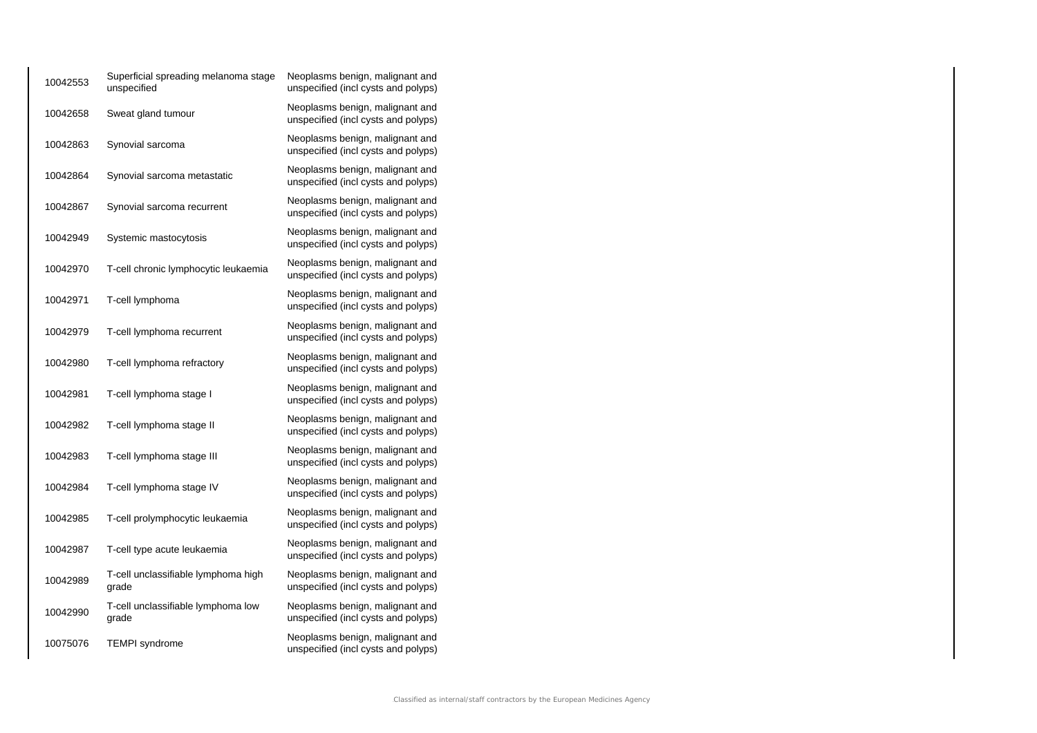| 10042553 | Superficial spreading melanoma stage<br>unspecified | Neoplasms benign, malignant and<br>unspecified (incl cysts and polyps) |
|----------|-----------------------------------------------------|------------------------------------------------------------------------|
| 10042658 | Sweat gland tumour                                  | Neoplasms benign, malignant and<br>unspecified (incl cysts and polyps) |
| 10042863 | Synovial sarcoma                                    | Neoplasms benign, malignant and<br>unspecified (incl cysts and polyps) |
| 10042864 | Synovial sarcoma metastatic                         | Neoplasms benign, malignant and<br>unspecified (incl cysts and polyps) |
| 10042867 | Synovial sarcoma recurrent                          | Neoplasms benign, malignant and<br>unspecified (incl cysts and polyps) |
| 10042949 | Systemic mastocytosis                               | Neoplasms benign, malignant and<br>unspecified (incl cysts and polyps) |
| 10042970 | T-cell chronic lymphocytic leukaemia                | Neoplasms benign, malignant and<br>unspecified (incl cysts and polyps) |
| 10042971 | T-cell lymphoma                                     | Neoplasms benign, malignant and<br>unspecified (incl cysts and polyps) |
| 10042979 | T-cell lymphoma recurrent                           | Neoplasms benign, malignant and<br>unspecified (incl cysts and polyps) |
| 10042980 | T-cell lymphoma refractory                          | Neoplasms benign, malignant and<br>unspecified (incl cysts and polyps) |
| 10042981 | T-cell lymphoma stage I                             | Neoplasms benign, malignant and<br>unspecified (incl cysts and polyps) |
| 10042982 | T-cell lymphoma stage II                            | Neoplasms benign, malignant and<br>unspecified (incl cysts and polyps) |
| 10042983 | T-cell lymphoma stage III                           | Neoplasms benign, malignant and<br>unspecified (incl cysts and polyps) |
| 10042984 | T-cell lymphoma stage IV                            | Neoplasms benign, malignant and<br>unspecified (incl cysts and polyps) |
| 10042985 | T-cell prolymphocytic leukaemia                     | Neoplasms benign, malignant and<br>unspecified (incl cysts and polyps) |
| 10042987 | T-cell type acute leukaemia                         | Neoplasms benign, malignant and<br>unspecified (incl cysts and polyps) |
| 10042989 | T-cell unclassifiable lymphoma high<br>grade        | Neoplasms benign, malignant and<br>unspecified (incl cysts and polyps) |
| 10042990 | T-cell unclassifiable lymphoma low<br>grade         | Neoplasms benign, malignant and<br>unspecified (incl cysts and polyps) |
| 10075076 | <b>TEMPI</b> syndrome                               | Neoplasms benign, malignant and<br>unspecified (incl cysts and polyps) |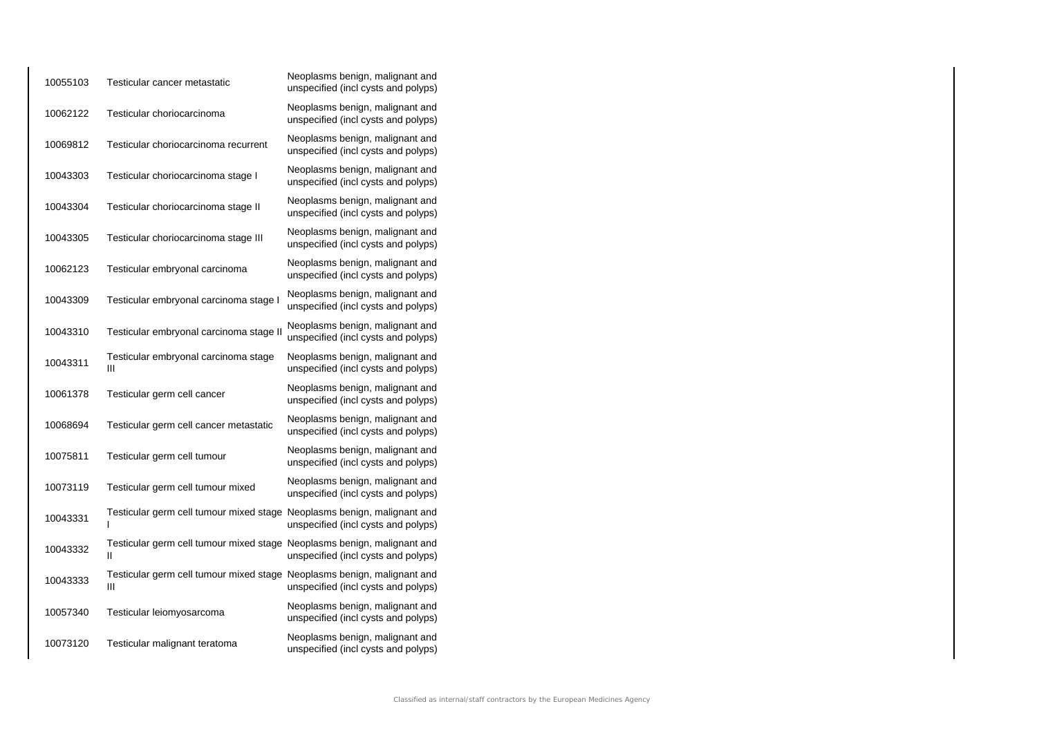| 10055103 | Testicular cancer metastatic                                                 | Neoplasms benign, malignant and<br>unspecified (incl cysts and polyps) |
|----------|------------------------------------------------------------------------------|------------------------------------------------------------------------|
| 10062122 | Testicular choriocarcinoma                                                   | Neoplasms benign, malignant and<br>unspecified (incl cysts and polyps) |
| 10069812 | Testicular choriocarcinoma recurrent                                         | Neoplasms benign, malignant and<br>unspecified (incl cysts and polyps) |
| 10043303 | Testicular choriocarcinoma stage I                                           | Neoplasms benign, malignant and<br>unspecified (incl cysts and polyps) |
| 10043304 | Testicular choriocarcinoma stage II                                          | Neoplasms benign, malignant and<br>unspecified (incl cysts and polyps) |
| 10043305 | Testicular choriocarcinoma stage III                                         | Neoplasms benign, malignant and<br>unspecified (incl cysts and polyps) |
| 10062123 | Testicular embryonal carcinoma                                               | Neoplasms benign, malignant and<br>unspecified (incl cysts and polyps) |
| 10043309 | Testicular embryonal carcinoma stage I                                       | Neoplasms benign, malignant and<br>unspecified (incl cysts and polyps) |
| 10043310 | Testicular embryonal carcinoma stage II                                      | Neoplasms benign, malignant and<br>unspecified (incl cysts and polyps) |
| 10043311 | Testicular embryonal carcinoma stage<br>Ш                                    | Neoplasms benign, malignant and<br>unspecified (incl cysts and polyps) |
| 10061378 | Testicular germ cell cancer                                                  | Neoplasms benign, malignant and<br>unspecified (incl cysts and polyps) |
| 10068694 | Testicular germ cell cancer metastatic                                       | Neoplasms benign, malignant and<br>unspecified (incl cysts and polyps) |
| 10075811 | Testicular germ cell tumour                                                  | Neoplasms benign, malignant and<br>unspecified (incl cysts and polyps) |
| 10073119 | Testicular germ cell tumour mixed                                            | Neoplasms benign, malignant and<br>unspecified (incl cysts and polyps) |
| 10043331 | Testicular germ cell tumour mixed stage Neoplasms benign, malignant and<br>ı | unspecified (incl cysts and polyps)                                    |
| 10043332 | Testicular germ cell tumour mixed stage Neoplasms benign, malignant and<br>н | unspecified (incl cysts and polyps)                                    |
| 10043333 | Testicular germ cell tumour mixed stage Neoplasms benign, malignant and<br>Ш | unspecified (incl cysts and polyps)                                    |
| 10057340 | Testicular leiomyosarcoma                                                    | Neoplasms benign, malignant and<br>unspecified (incl cysts and polyps) |
| 10073120 | Testicular malignant teratoma                                                | Neoplasms benign, malignant and<br>unspecified (incl cysts and polyps) |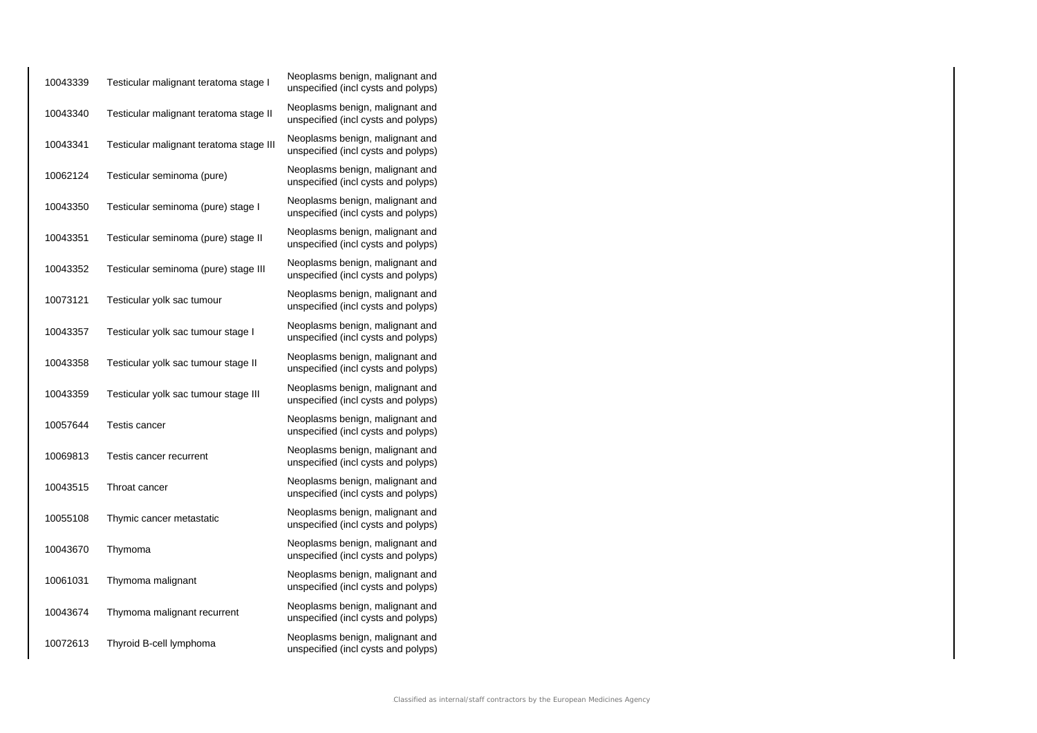| 10043339 | Testicular malignant teratoma stage I   | Neoplasms benign, malignant and<br>unspecified (incl cysts and polyps) |
|----------|-----------------------------------------|------------------------------------------------------------------------|
| 10043340 | Testicular malignant teratoma stage II  | Neoplasms benign, malignant and<br>unspecified (incl cysts and polyps) |
| 10043341 | Testicular malignant teratoma stage III | Neoplasms benign, malignant and<br>unspecified (incl cysts and polyps) |
| 10062124 | Testicular seminoma (pure)              | Neoplasms benign, malignant and<br>unspecified (incl cysts and polyps) |
| 10043350 | Testicular seminoma (pure) stage I      | Neoplasms benign, malignant and<br>unspecified (incl cysts and polyps) |
| 10043351 | Testicular seminoma (pure) stage II     | Neoplasms benign, malignant and<br>unspecified (incl cysts and polyps) |
| 10043352 | Testicular seminoma (pure) stage III    | Neoplasms benign, malignant and<br>unspecified (incl cysts and polyps) |
| 10073121 | Testicular yolk sac tumour              | Neoplasms benign, malignant and<br>unspecified (incl cysts and polyps) |
| 10043357 | Testicular yolk sac tumour stage I      | Neoplasms benign, malignant and<br>unspecified (incl cysts and polyps) |
| 10043358 | Testicular yolk sac tumour stage II     | Neoplasms benign, malignant and<br>unspecified (incl cysts and polyps) |
| 10043359 | Testicular yolk sac tumour stage III    | Neoplasms benign, malignant and<br>unspecified (incl cysts and polyps) |
| 10057644 | Testis cancer                           | Neoplasms benign, malignant and<br>unspecified (incl cysts and polyps) |
| 10069813 | Testis cancer recurrent                 | Neoplasms benign, malignant and<br>unspecified (incl cysts and polyps) |
| 10043515 | Throat cancer                           | Neoplasms benign, malignant and<br>unspecified (incl cysts and polyps) |
| 10055108 | Thymic cancer metastatic                | Neoplasms benign, malignant and<br>unspecified (incl cysts and polyps) |
| 10043670 | Thymoma                                 | Neoplasms benign, malignant and<br>unspecified (incl cysts and polyps) |
| 10061031 | Thymoma malignant                       | Neoplasms benign, malignant and<br>unspecified (incl cysts and polyps) |
| 10043674 | Thymoma malignant recurrent             | Neoplasms benign, malignant and<br>unspecified (incl cysts and polyps) |
| 10072613 | Thyroid B-cell lymphoma                 | Neoplasms benign, malignant and<br>unspecified (incl cysts and polyps) |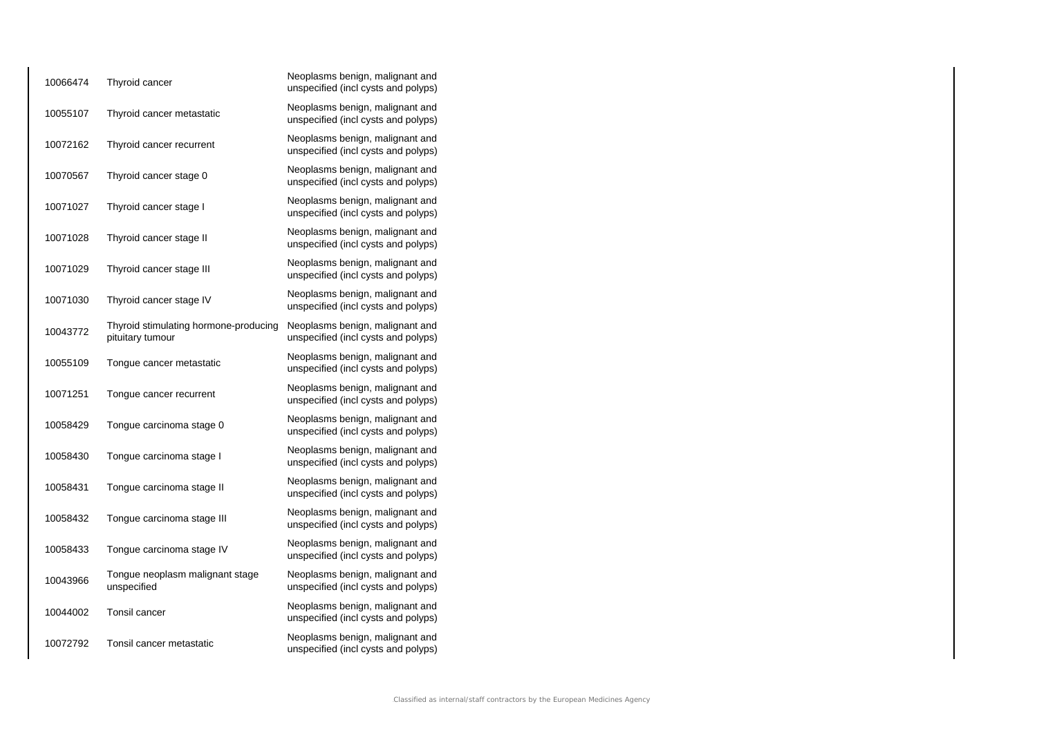| 10066474 | Thyroid cancer                                            | Neoplasms benign, malignant and<br>unspecified (incl cysts and polyps) |
|----------|-----------------------------------------------------------|------------------------------------------------------------------------|
| 10055107 | Thyroid cancer metastatic                                 | Neoplasms benign, malignant and<br>unspecified (incl cysts and polyps) |
| 10072162 | Thyroid cancer recurrent                                  | Neoplasms benign, malignant and<br>unspecified (incl cysts and polyps) |
| 10070567 | Thyroid cancer stage 0                                    | Neoplasms benign, malignant and<br>unspecified (incl cysts and polyps) |
| 10071027 | Thyroid cancer stage I                                    | Neoplasms benign, malignant and<br>unspecified (incl cysts and polyps) |
| 10071028 | Thyroid cancer stage II                                   | Neoplasms benign, malignant and<br>unspecified (incl cysts and polyps) |
| 10071029 | Thyroid cancer stage III                                  | Neoplasms benign, malignant and<br>unspecified (incl cysts and polyps) |
| 10071030 | Thyroid cancer stage IV                                   | Neoplasms benign, malignant and<br>unspecified (incl cysts and polyps) |
| 10043772 | Thyroid stimulating hormone-producing<br>pituitary tumour | Neoplasms benign, malignant and<br>unspecified (incl cysts and polyps) |
| 10055109 | Tongue cancer metastatic                                  | Neoplasms benign, malignant and<br>unspecified (incl cysts and polyps) |
| 10071251 | Tongue cancer recurrent                                   | Neoplasms benign, malignant and<br>unspecified (incl cysts and polyps) |
| 10058429 | Tongue carcinoma stage 0                                  | Neoplasms benign, malignant and<br>unspecified (incl cysts and polyps) |
| 10058430 | Tongue carcinoma stage I                                  | Neoplasms benign, malignant and<br>unspecified (incl cysts and polyps) |
| 10058431 | Tongue carcinoma stage II                                 | Neoplasms benign, malignant and<br>unspecified (incl cysts and polyps) |
| 10058432 | Tongue carcinoma stage III                                | Neoplasms benign, malignant and<br>unspecified (incl cysts and polyps) |
| 10058433 | Tongue carcinoma stage IV                                 | Neoplasms benign, malignant and<br>unspecified (incl cysts and polyps) |
| 10043966 | Tongue neoplasm malignant stage<br>unspecified            | Neoplasms benign, malignant and<br>unspecified (incl cysts and polyps) |
| 10044002 | <b>Tonsil cancer</b>                                      | Neoplasms benign, malignant and<br>unspecified (incl cysts and polyps) |
| 10072792 | Tonsil cancer metastatic                                  | Neoplasms benign, malignant and<br>unspecified (incl cysts and polyps) |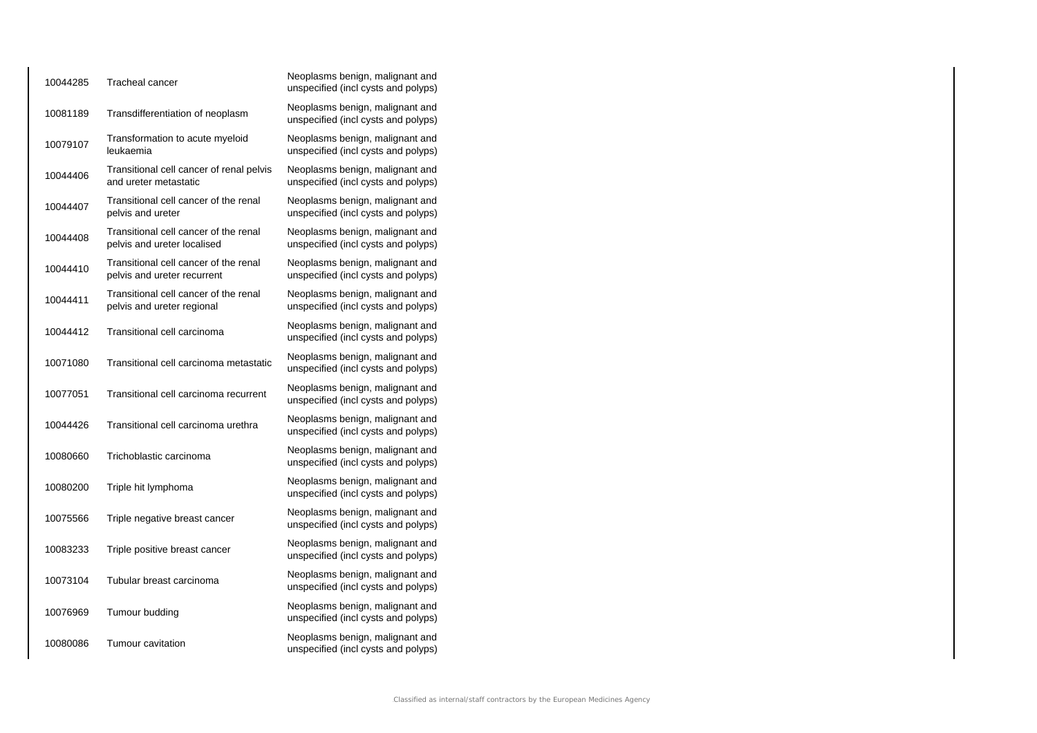| 10044285 | Tracheal cancer                                                      | Neoplasms benign, malignant and<br>unspecified (incl cysts and polyps) |
|----------|----------------------------------------------------------------------|------------------------------------------------------------------------|
| 10081189 | Transdifferentiation of neoplasm                                     | Neoplasms benign, malignant and<br>unspecified (incl cysts and polyps) |
| 10079107 | Transformation to acute myeloid<br>leukaemia                         | Neoplasms benign, malignant and<br>unspecified (incl cysts and polyps) |
| 10044406 | Transitional cell cancer of renal pelvis<br>and ureter metastatic    | Neoplasms benign, malignant and<br>unspecified (incl cysts and polyps) |
| 10044407 | Transitional cell cancer of the renal<br>pelvis and ureter           | Neoplasms benign, malignant and<br>unspecified (incl cysts and polyps) |
| 10044408 | Transitional cell cancer of the renal<br>pelvis and ureter localised | Neoplasms benign, malignant and<br>unspecified (incl cysts and polyps) |
| 10044410 | Transitional cell cancer of the renal<br>pelvis and ureter recurrent | Neoplasms benign, malignant and<br>unspecified (incl cysts and polyps) |
| 10044411 | Transitional cell cancer of the renal<br>pelvis and ureter regional  | Neoplasms benign, malignant and<br>unspecified (incl cysts and polyps) |
| 10044412 | Transitional cell carcinoma                                          | Neoplasms benign, malignant and<br>unspecified (incl cysts and polyps) |
| 10071080 | Transitional cell carcinoma metastatic                               | Neoplasms benign, malignant and<br>unspecified (incl cysts and polyps) |
| 10077051 | Transitional cell carcinoma recurrent                                | Neoplasms benign, malignant and<br>unspecified (incl cysts and polyps) |
| 10044426 | Transitional cell carcinoma urethra                                  | Neoplasms benign, malignant and<br>unspecified (incl cysts and polyps) |
| 10080660 | Trichoblastic carcinoma                                              | Neoplasms benign, malignant and<br>unspecified (incl cysts and polyps) |
| 10080200 | Triple hit lymphoma                                                  | Neoplasms benign, malignant and<br>unspecified (incl cysts and polyps) |
| 10075566 | Triple negative breast cancer                                        | Neoplasms benign, malignant and<br>unspecified (incl cysts and polyps) |
| 10083233 | Triple positive breast cancer                                        | Neoplasms benign, malignant and<br>unspecified (incl cysts and polyps) |
| 10073104 | Tubular breast carcinoma                                             | Neoplasms benign, malignant and<br>unspecified (incl cysts and polyps) |
| 10076969 | Tumour budding                                                       | Neoplasms benign, malignant and<br>unspecified (incl cysts and polyps) |
| 10080086 | Tumour cavitation                                                    | Neoplasms benign, malignant and<br>unspecified (incl cysts and polyps) |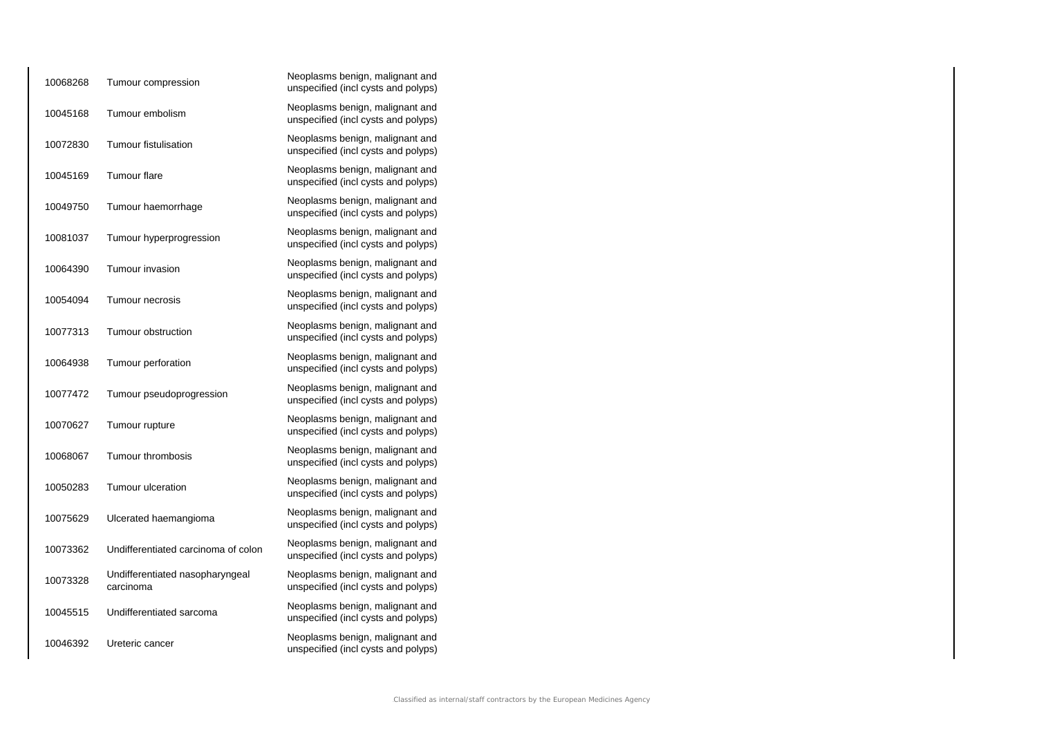| 10068268 | Tumour compression                           | Neoplasms benign, malignant and<br>unspecified (incl cysts and polyps) |
|----------|----------------------------------------------|------------------------------------------------------------------------|
| 10045168 | Tumour embolism                              | Neoplasms benign, malignant and<br>unspecified (incl cysts and polyps) |
| 10072830 | <b>Tumour fistulisation</b>                  | Neoplasms benign, malignant and<br>unspecified (incl cysts and polyps) |
| 10045169 | <b>Tumour flare</b>                          | Neoplasms benign, malignant and<br>unspecified (incl cysts and polyps) |
| 10049750 | Tumour haemorrhage                           | Neoplasms benign, malignant and<br>unspecified (incl cysts and polyps) |
| 10081037 | Tumour hyperprogression                      | Neoplasms benign, malignant and<br>unspecified (incl cysts and polyps) |
| 10064390 | Tumour invasion                              | Neoplasms benign, malignant and<br>unspecified (incl cysts and polyps) |
| 10054094 | Tumour necrosis                              | Neoplasms benign, malignant and<br>unspecified (incl cysts and polyps) |
| 10077313 | Tumour obstruction                           | Neoplasms benign, malignant and<br>unspecified (incl cysts and polyps) |
| 10064938 | Tumour perforation                           | Neoplasms benign, malignant and<br>unspecified (incl cysts and polyps) |
| 10077472 | Tumour pseudoprogression                     | Neoplasms benign, malignant and<br>unspecified (incl cysts and polyps) |
| 10070627 | Tumour rupture                               | Neoplasms benign, malignant and<br>unspecified (incl cysts and polyps) |
| 10068067 | Tumour thrombosis                            | Neoplasms benign, malignant and<br>unspecified (incl cysts and polyps) |
| 10050283 | Tumour ulceration                            | Neoplasms benign, malignant and<br>unspecified (incl cysts and polyps) |
| 10075629 | Ulcerated haemangioma                        | Neoplasms benign, malignant and<br>unspecified (incl cysts and polyps) |
| 10073362 | Undifferentiated carcinoma of colon          | Neoplasms benign, malignant and<br>unspecified (incl cysts and polyps) |
| 10073328 | Undifferentiated nasopharyngeal<br>carcinoma | Neoplasms benign, malignant and<br>unspecified (incl cysts and polyps) |
| 10045515 | Undifferentiated sarcoma                     | Neoplasms benign, malignant and<br>unspecified (incl cysts and polyps) |
| 10046392 | Ureteric cancer                              | Neoplasms benign, malignant and<br>unspecified (incl cysts and polyps) |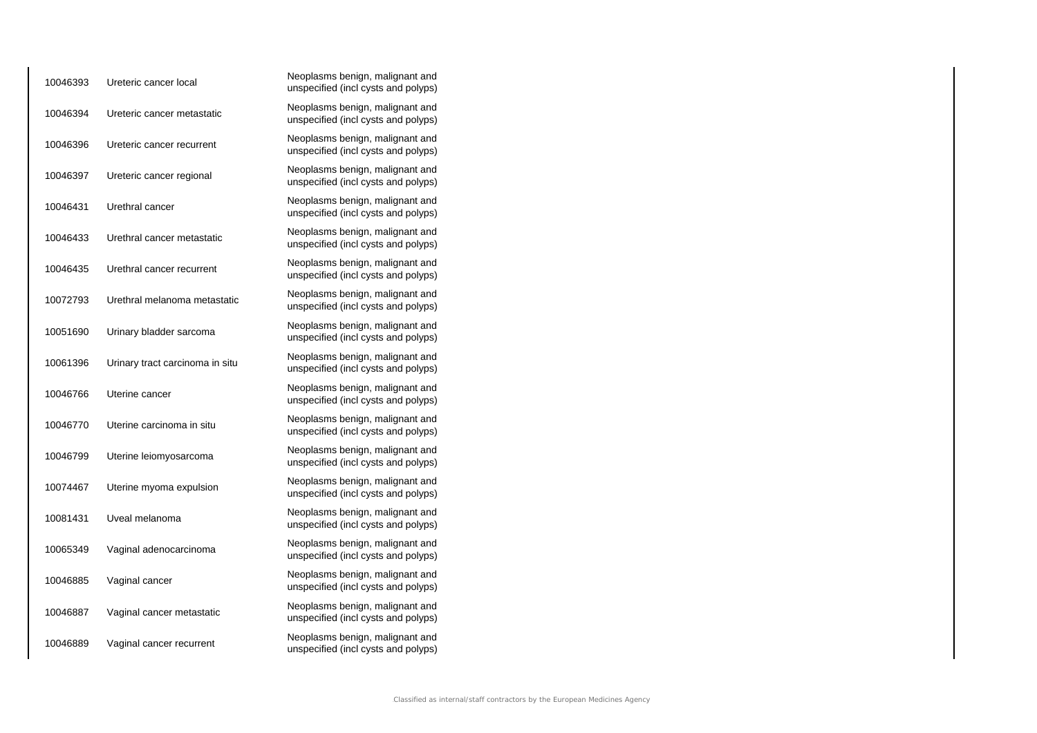| 10046393 | Ureteric cancer local           | Neoplasms benign, malignant and<br>unspecified (incl cysts and polyps) |
|----------|---------------------------------|------------------------------------------------------------------------|
| 10046394 | Ureteric cancer metastatic      | Neoplasms benign, malignant and<br>unspecified (incl cysts and polyps) |
| 10046396 | Ureteric cancer recurrent       | Neoplasms benign, malignant and<br>unspecified (incl cysts and polyps) |
| 10046397 | Ureteric cancer regional        | Neoplasms benign, malignant and<br>unspecified (incl cysts and polyps) |
| 10046431 | Urethral cancer                 | Neoplasms benign, malignant and<br>unspecified (incl cysts and polyps) |
| 10046433 | Urethral cancer metastatic      | Neoplasms benign, malignant and<br>unspecified (incl cysts and polyps) |
| 10046435 | Urethral cancer recurrent       | Neoplasms benign, malignant and<br>unspecified (incl cysts and polyps) |
| 10072793 | Urethral melanoma metastatic    | Neoplasms benign, malignant and<br>unspecified (incl cysts and polyps) |
| 10051690 | Urinary bladder sarcoma         | Neoplasms benign, malignant and<br>unspecified (incl cysts and polyps) |
| 10061396 | Urinary tract carcinoma in situ | Neoplasms benign, malignant and<br>unspecified (incl cysts and polyps) |
| 10046766 | Uterine cancer                  | Neoplasms benign, malignant and<br>unspecified (incl cysts and polyps) |
| 10046770 | Uterine carcinoma in situ       | Neoplasms benign, malignant and<br>unspecified (incl cysts and polyps) |
| 10046799 | Uterine leiomyosarcoma          | Neoplasms benign, malignant and<br>unspecified (incl cysts and polyps) |
| 10074467 | Uterine myoma expulsion         | Neoplasms benign, malignant and<br>unspecified (incl cysts and polyps) |
| 10081431 | Uveal melanoma                  | Neoplasms benign, malignant and<br>unspecified (incl cysts and polyps) |
| 10065349 | Vaginal adenocarcinoma          | Neoplasms benign, malignant and<br>unspecified (incl cysts and polyps) |
| 10046885 | Vaginal cancer                  | Neoplasms benign, malignant and<br>unspecified (incl cysts and polyps) |
| 10046887 | Vaginal cancer metastatic       | Neoplasms benign, malignant and<br>unspecified (incl cysts and polyps) |
| 10046889 | Vaginal cancer recurrent        | Neoplasms benign, malignant and<br>unspecified (incl cysts and polyps) |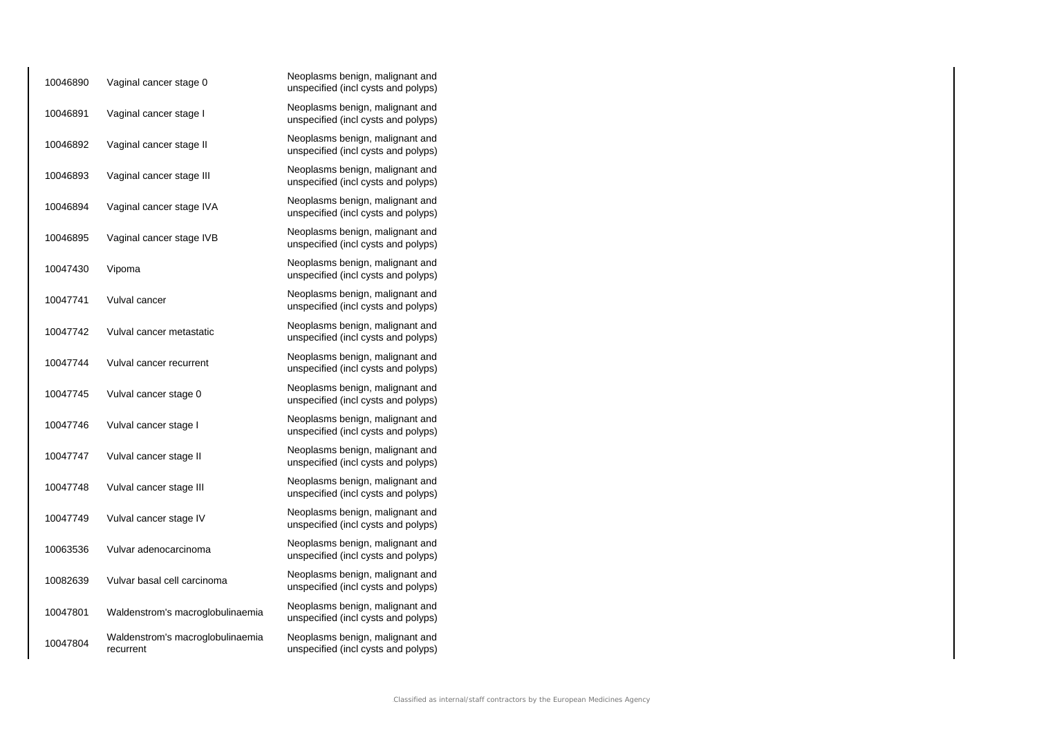| 10046890 | Vaginal cancer stage 0                        | Neoplasms benign, malignant and<br>unspecified (incl cysts and polyps) |
|----------|-----------------------------------------------|------------------------------------------------------------------------|
| 10046891 | Vaginal cancer stage I                        | Neoplasms benign, malignant and<br>unspecified (incl cysts and polyps) |
| 10046892 | Vaginal cancer stage II                       | Neoplasms benign, malignant and<br>unspecified (incl cysts and polyps) |
| 10046893 | Vaginal cancer stage III                      | Neoplasms benign, malignant and<br>unspecified (incl cysts and polyps) |
| 10046894 | Vaginal cancer stage IVA                      | Neoplasms benign, malignant and<br>unspecified (incl cysts and polyps) |
| 10046895 | Vaginal cancer stage IVB                      | Neoplasms benign, malignant and<br>unspecified (incl cysts and polyps) |
| 10047430 | Vipoma                                        | Neoplasms benign, malignant and<br>unspecified (incl cysts and polyps) |
| 10047741 | Vulval cancer                                 | Neoplasms benign, malignant and<br>unspecified (incl cysts and polyps) |
| 10047742 | Vulval cancer metastatic                      | Neoplasms benign, malignant and<br>unspecified (incl cysts and polyps) |
| 10047744 | Vulval cancer recurrent                       | Neoplasms benign, malignant and<br>unspecified (incl cysts and polyps) |
| 10047745 | Vulval cancer stage 0                         | Neoplasms benign, malignant and<br>unspecified (incl cysts and polyps) |
| 10047746 | Vulval cancer stage I                         | Neoplasms benign, malignant and<br>unspecified (incl cysts and polyps) |
| 10047747 | Vulval cancer stage II                        | Neoplasms benign, malignant and<br>unspecified (incl cysts and polyps) |
| 10047748 | Vulval cancer stage III                       | Neoplasms benign, malignant and<br>unspecified (incl cysts and polyps) |
| 10047749 | Vulval cancer stage IV                        | Neoplasms benign, malignant and<br>unspecified (incl cysts and polyps) |
| 10063536 | Vulvar adenocarcinoma                         | Neoplasms benign, malignant and<br>unspecified (incl cysts and polyps) |
| 10082639 | Vulvar basal cell carcinoma                   | Neoplasms benign, malignant and<br>unspecified (incl cysts and polyps) |
| 10047801 | Waldenstrom's macroglobulinaemia              | Neoplasms benign, malignant and<br>unspecified (incl cysts and polyps) |
| 10047804 | Waldenstrom's macroglobulinaemia<br>recurrent | Neoplasms benign, malignant and<br>unspecified (incl cysts and polyps) |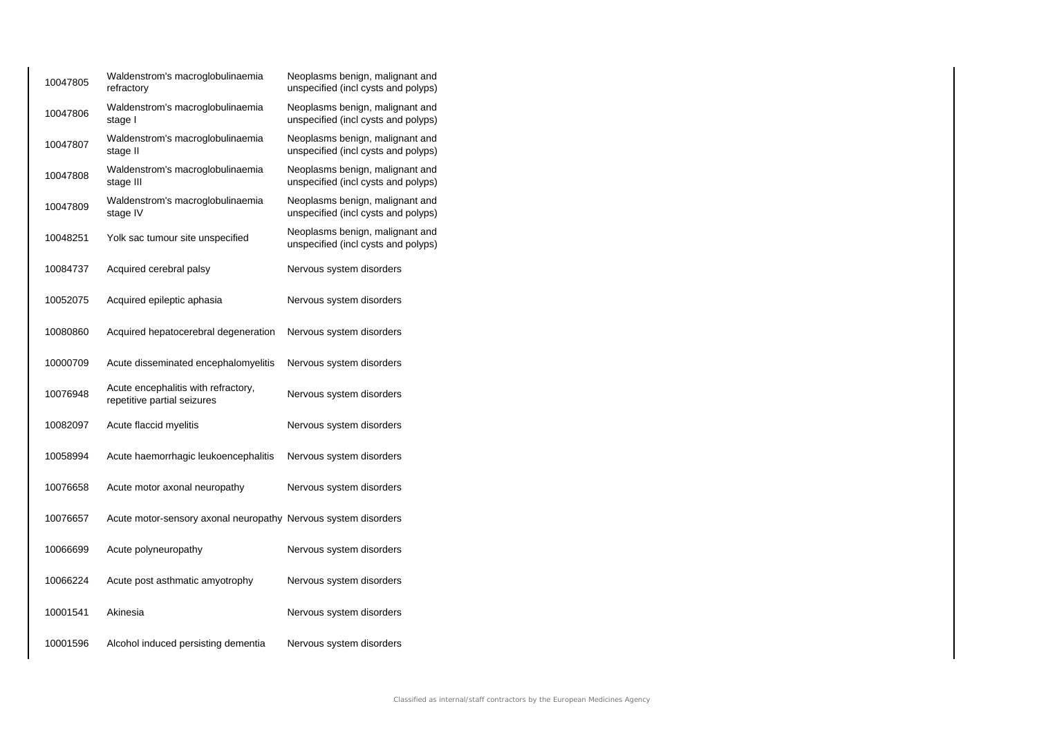| 10047805 | Waldenstrom's macroglobulinaemia<br>refractory                     | Neoplasms benign, malignant and<br>unspecified (incl cysts and polyps) |
|----------|--------------------------------------------------------------------|------------------------------------------------------------------------|
| 10047806 | Waldenstrom's macroglobulinaemia<br>stage I                        | Neoplasms benign, malignant and<br>unspecified (incl cysts and polyps) |
| 10047807 | Waldenstrom's macroglobulinaemia<br>stage II                       | Neoplasms benign, malignant and<br>unspecified (incl cysts and polyps) |
| 10047808 | Waldenstrom's macroglobulinaemia<br>stage III                      | Neoplasms benign, malignant and<br>unspecified (incl cysts and polyps) |
| 10047809 | Waldenstrom's macroglobulinaemia<br>stage IV                       | Neoplasms benign, malignant and<br>unspecified (incl cysts and polyps) |
| 10048251 | Yolk sac tumour site unspecified                                   | Neoplasms benign, malignant and<br>unspecified (incl cysts and polyps) |
| 10084737 | Acquired cerebral palsy                                            | Nervous system disorders                                               |
| 10052075 | Acquired epileptic aphasia                                         | Nervous system disorders                                               |
| 10080860 | Acquired hepatocerebral degeneration                               | Nervous system disorders                                               |
| 10000709 | Acute disseminated encephalomyelitis                               | Nervous system disorders                                               |
| 10076948 | Acute encephalitis with refractory,<br>repetitive partial seizures | Nervous system disorders                                               |
| 10082097 | Acute flaccid myelitis                                             | Nervous system disorders                                               |
| 10058994 | Acute haemorrhagic leukoencephalitis                               | Nervous system disorders                                               |
| 10076658 | Acute motor axonal neuropathy                                      | Nervous system disorders                                               |
| 10076657 | Acute motor-sensory axonal neuropathy Nervous system disorders     |                                                                        |
| 10066699 | Acute polyneuropathy                                               | Nervous system disorders                                               |
| 10066224 | Acute post asthmatic amyotrophy                                    | Nervous system disorders                                               |
| 10001541 | Akinesia                                                           | Nervous system disorders                                               |
| 10001596 | Alcohol induced persisting dementia                                | Nervous system disorders                                               |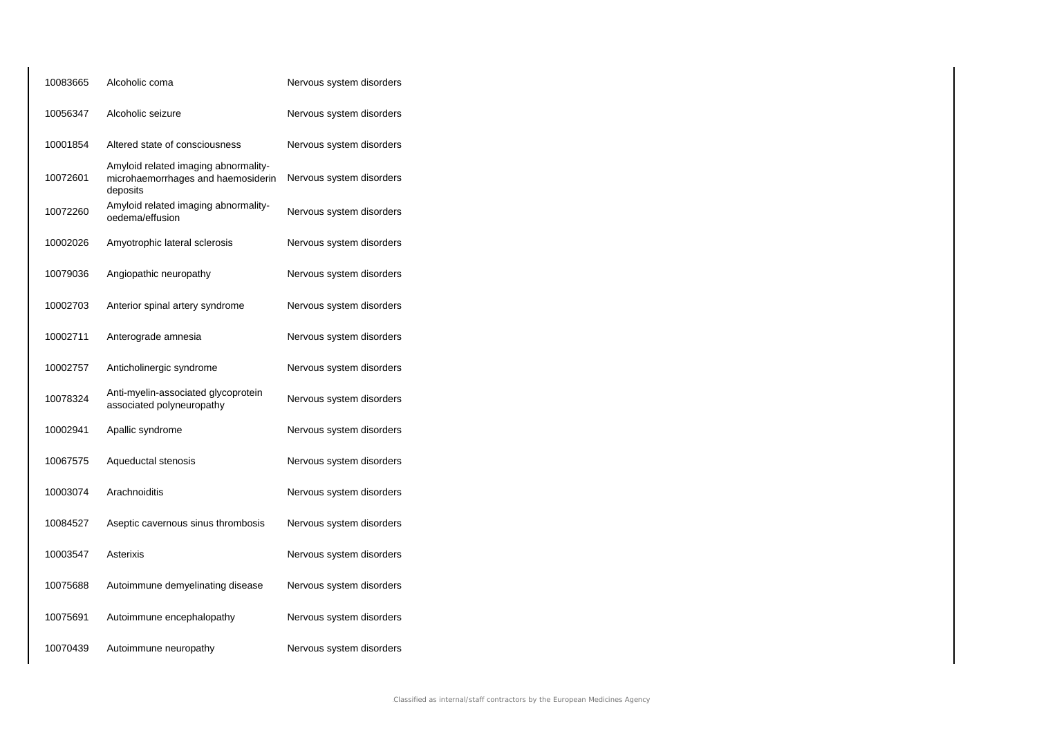| 10083665 | Alcoholic coma                                                                         | Nervous system disorders |
|----------|----------------------------------------------------------------------------------------|--------------------------|
| 10056347 | Alcoholic seizure                                                                      | Nervous system disorders |
| 10001854 | Altered state of consciousness                                                         | Nervous system disorders |
| 10072601 | Amyloid related imaging abnormality-<br>microhaemorrhages and haemosiderin<br>deposits | Nervous system disorders |
| 10072260 | Amyloid related imaging abnormality-<br>oedema/effusion                                | Nervous system disorders |
| 10002026 | Amyotrophic lateral sclerosis                                                          | Nervous system disorders |
| 10079036 | Angiopathic neuropathy                                                                 | Nervous system disorders |
| 10002703 | Anterior spinal artery syndrome                                                        | Nervous system disorders |
| 10002711 | Anterograde amnesia                                                                    | Nervous system disorders |
| 10002757 | Anticholinergic syndrome                                                               | Nervous system disorders |
| 10078324 | Anti-myelin-associated glycoprotein<br>associated polyneuropathy                       | Nervous system disorders |
| 10002941 | Apallic syndrome                                                                       | Nervous system disorders |
| 10067575 | Aqueductal stenosis                                                                    | Nervous system disorders |
| 10003074 | Arachnoiditis                                                                          | Nervous system disorders |
| 10084527 | Aseptic cavernous sinus thrombosis                                                     | Nervous system disorders |
| 10003547 | Asterixis                                                                              | Nervous system disorders |
| 10075688 | Autoimmune demyelinating disease                                                       | Nervous system disorders |
| 10075691 | Autoimmune encephalopathy                                                              | Nervous system disorders |
| 10070439 | Autoimmune neuropathy                                                                  | Nervous system disorders |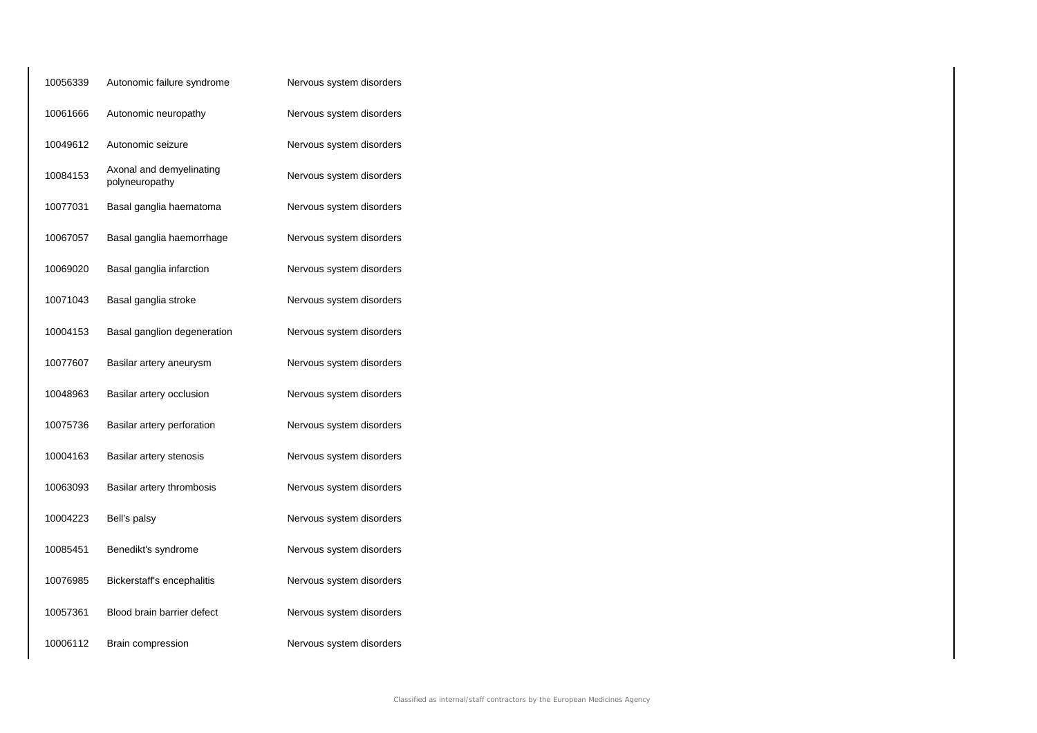| 10056339 | Autonomic failure syndrome                 | Nervous system disorders |
|----------|--------------------------------------------|--------------------------|
| 10061666 | Autonomic neuropathy                       | Nervous system disorders |
| 10049612 | Autonomic seizure                          | Nervous system disorders |
| 10084153 | Axonal and demyelinating<br>polyneuropathy | Nervous system disorders |
| 10077031 | Basal ganglia haematoma                    | Nervous system disorders |
| 10067057 | Basal ganglia haemorrhage                  | Nervous system disorders |
| 10069020 | Basal ganglia infarction                   | Nervous system disorders |
| 10071043 | Basal ganglia stroke                       | Nervous system disorders |
| 10004153 | Basal ganglion degeneration                | Nervous system disorders |
| 10077607 | Basilar artery aneurysm                    | Nervous system disorders |
| 10048963 | Basilar artery occlusion                   | Nervous system disorders |
| 10075736 | Basilar artery perforation                 | Nervous system disorders |
| 10004163 | Basilar artery stenosis                    | Nervous system disorders |
| 10063093 | Basilar artery thrombosis                  | Nervous system disorders |
| 10004223 | Bell's palsy                               | Nervous system disorders |
| 10085451 | Benedikt's syndrome                        | Nervous system disorders |
| 10076985 | Bickerstaff's encephalitis                 | Nervous system disorders |
| 10057361 | Blood brain barrier defect                 | Nervous system disorders |
| 10006112 | Brain compression                          | Nervous system disorders |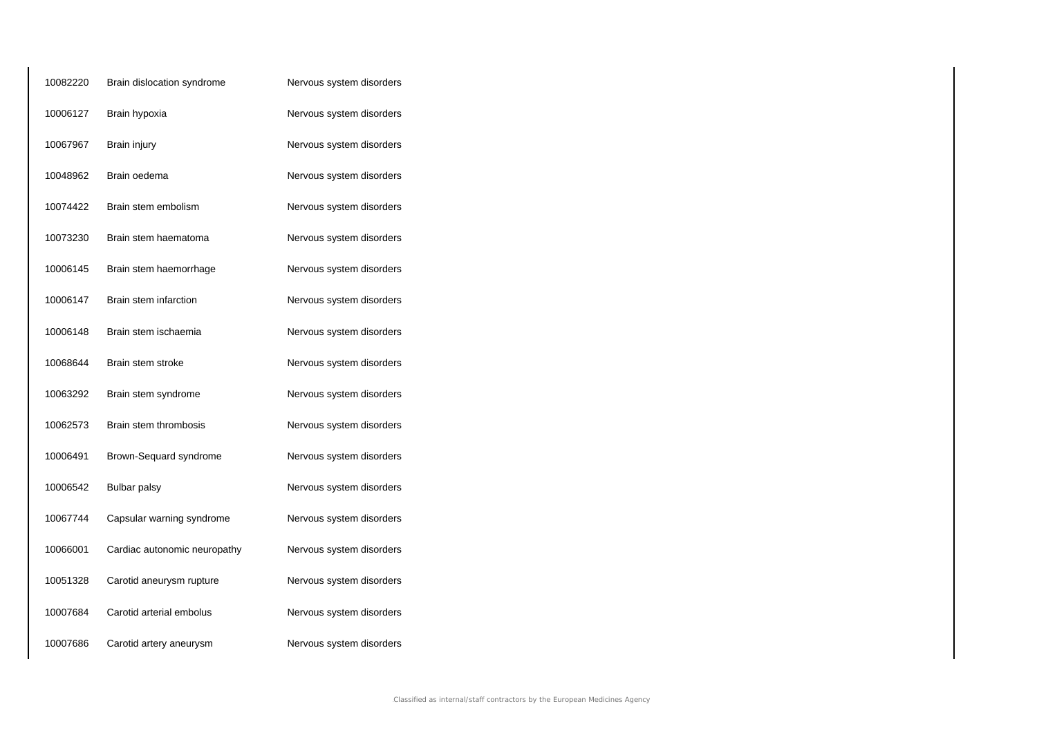| 10082220 | Brain dislocation syndrome   | Nervous system disorders |
|----------|------------------------------|--------------------------|
| 10006127 | Brain hypoxia                | Nervous system disorders |
| 10067967 | Brain injury                 | Nervous system disorders |
| 10048962 | Brain oedema                 | Nervous system disorders |
| 10074422 | Brain stem embolism          | Nervous system disorders |
| 10073230 | Brain stem haematoma         | Nervous system disorders |
| 10006145 | Brain stem haemorrhage       | Nervous system disorders |
| 10006147 | Brain stem infarction        | Nervous system disorders |
| 10006148 | Brain stem ischaemia         | Nervous system disorders |
| 10068644 | Brain stem stroke            | Nervous system disorders |
| 10063292 | Brain stem syndrome          | Nervous system disorders |
| 10062573 | Brain stem thrombosis        | Nervous system disorders |
| 10006491 | Brown-Sequard syndrome       | Nervous system disorders |
| 10006542 | <b>Bulbar palsy</b>          | Nervous system disorders |
| 10067744 | Capsular warning syndrome    | Nervous system disorders |
| 10066001 | Cardiac autonomic neuropathy | Nervous system disorders |
| 10051328 | Carotid aneurysm rupture     | Nervous system disorders |
| 10007684 | Carotid arterial embolus     | Nervous system disorders |
| 10007686 | Carotid artery aneurysm      | Nervous system disorders |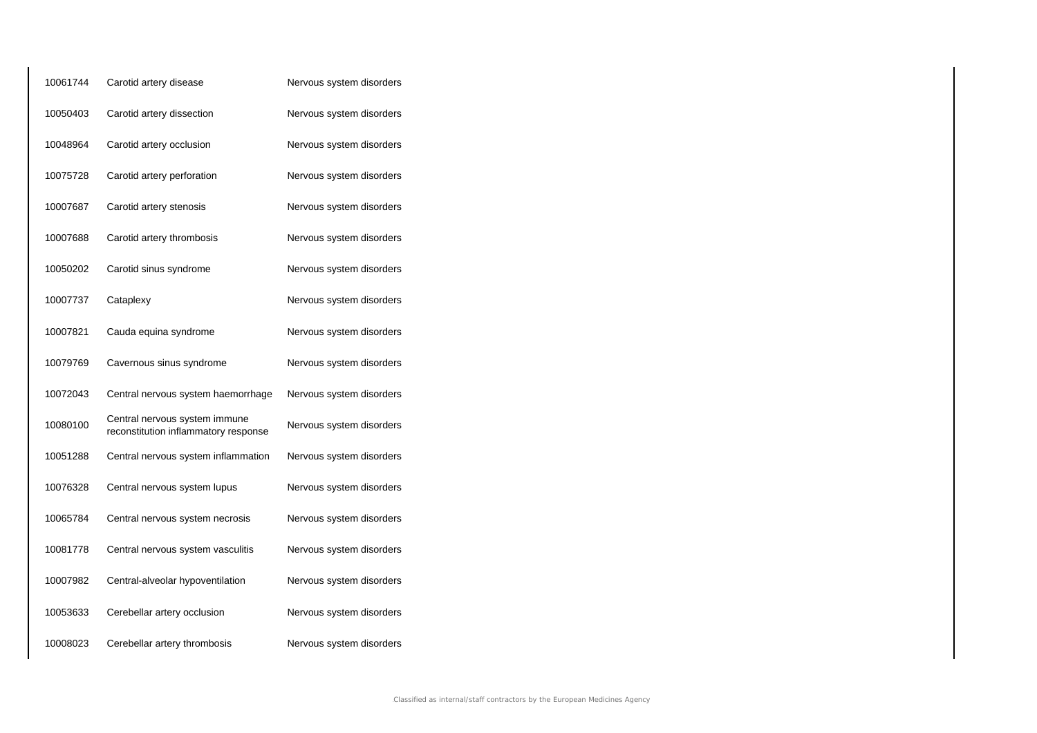| 10061744 | Carotid artery disease                                                | Nervous system disorders |
|----------|-----------------------------------------------------------------------|--------------------------|
| 10050403 | Carotid artery dissection                                             | Nervous system disorders |
| 10048964 | Carotid artery occlusion                                              | Nervous system disorders |
| 10075728 | Carotid artery perforation                                            | Nervous system disorders |
| 10007687 | Carotid artery stenosis                                               | Nervous system disorders |
| 10007688 | Carotid artery thrombosis                                             | Nervous system disorders |
| 10050202 | Carotid sinus syndrome                                                | Nervous system disorders |
| 10007737 | Cataplexy                                                             | Nervous system disorders |
| 10007821 | Cauda equina syndrome                                                 | Nervous system disorders |
| 10079769 | Cavernous sinus syndrome                                              | Nervous system disorders |
| 10072043 | Central nervous system haemorrhage                                    | Nervous system disorders |
| 10080100 | Central nervous system immune<br>reconstitution inflammatory response | Nervous system disorders |
| 10051288 | Central nervous system inflammation                                   | Nervous system disorders |
| 10076328 | Central nervous system lupus                                          | Nervous system disorders |
| 10065784 | Central nervous system necrosis                                       | Nervous system disorders |
| 10081778 | Central nervous system vasculitis                                     | Nervous system disorders |
| 10007982 | Central-alveolar hypoventilation                                      | Nervous system disorders |
| 10053633 | Cerebellar artery occlusion                                           | Nervous system disorders |
| 10008023 | Cerebellar artery thrombosis                                          | Nervous system disorders |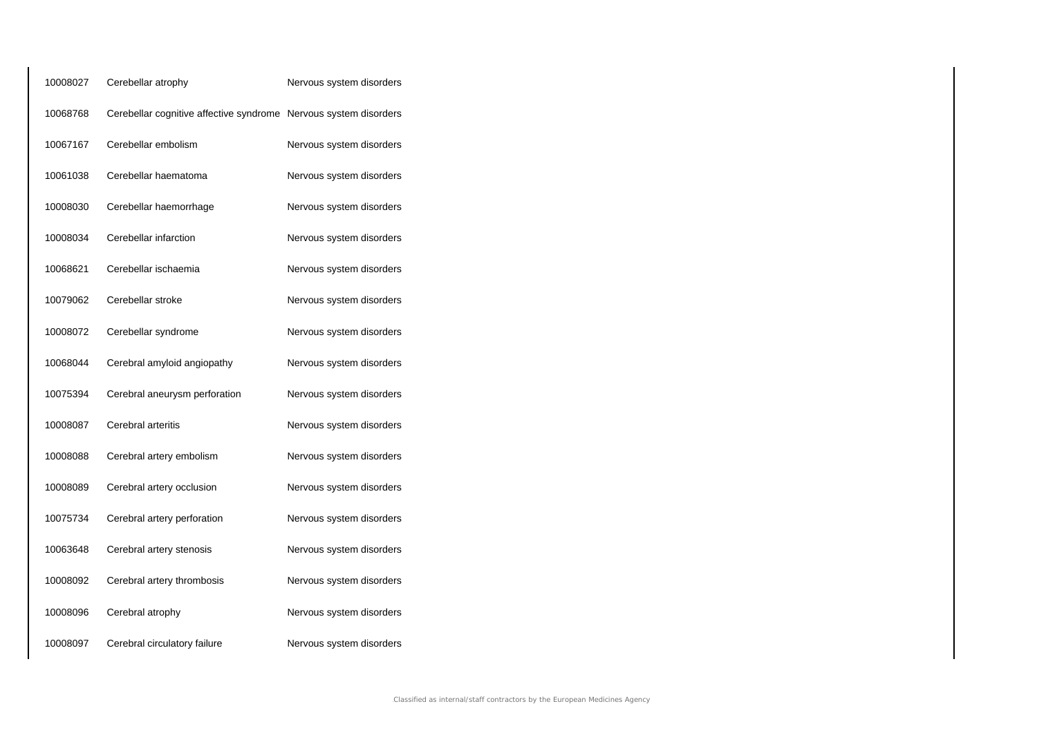| 10008027 | Cerebellar atrophy                                               | Nervous system disorders |
|----------|------------------------------------------------------------------|--------------------------|
| 10068768 | Cerebellar cognitive affective syndrome Nervous system disorders |                          |
| 10067167 | Cerebellar embolism                                              | Nervous system disorders |
| 10061038 | Cerebellar haematoma                                             | Nervous system disorders |
| 10008030 | Cerebellar haemorrhage                                           | Nervous system disorders |
| 10008034 | Cerebellar infarction                                            | Nervous system disorders |
| 10068621 | Cerebellar ischaemia                                             | Nervous system disorders |
| 10079062 | Cerebellar stroke                                                | Nervous system disorders |
| 10008072 | Cerebellar syndrome                                              | Nervous system disorders |
| 10068044 | Cerebral amyloid angiopathy                                      | Nervous system disorders |
| 10075394 | Cerebral aneurysm perforation                                    | Nervous system disorders |
| 10008087 | Cerebral arteritis                                               | Nervous system disorders |
| 10008088 | Cerebral artery embolism                                         | Nervous system disorders |
| 10008089 | Cerebral artery occlusion                                        | Nervous system disorders |
| 10075734 | Cerebral artery perforation                                      | Nervous system disorders |
| 10063648 | Cerebral artery stenosis                                         | Nervous system disorders |
| 10008092 | Cerebral artery thrombosis                                       | Nervous system disorders |
| 10008096 | Cerebral atrophy                                                 | Nervous system disorders |
| 10008097 | Cerebral circulatory failure                                     | Nervous system disorders |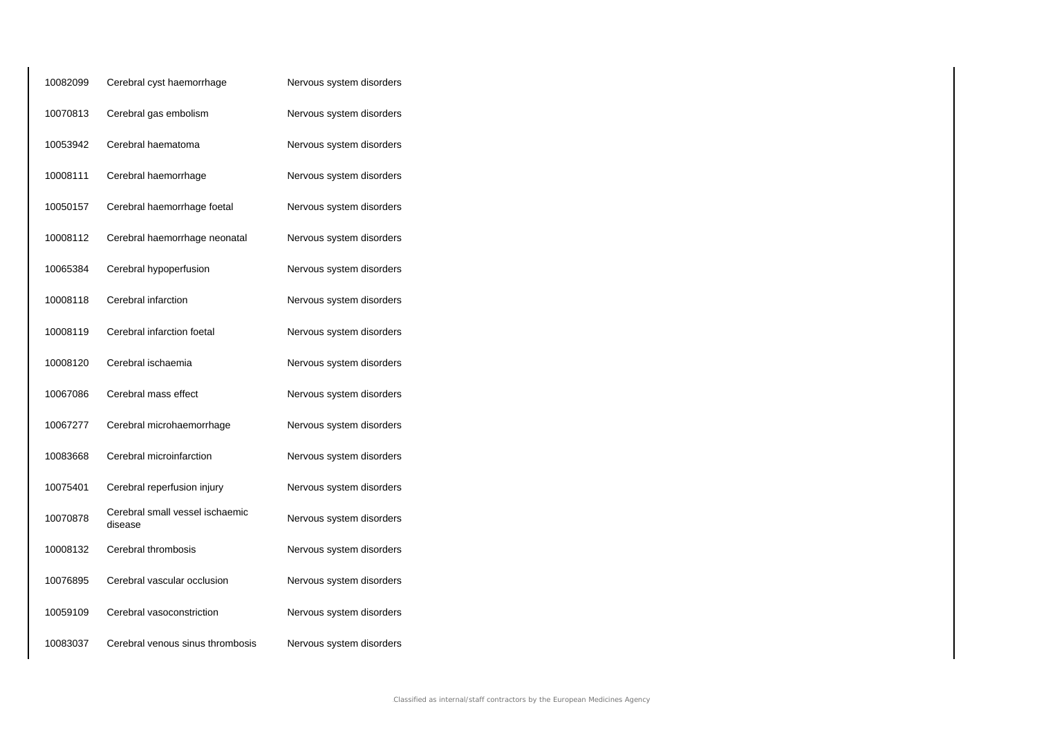| 10082099 | Cerebral cyst haemorrhage                  | Nervous system disorders |
|----------|--------------------------------------------|--------------------------|
| 10070813 | Cerebral gas embolism                      | Nervous system disorders |
| 10053942 | Cerebral haematoma                         | Nervous system disorders |
| 10008111 | Cerebral haemorrhage                       | Nervous system disorders |
| 10050157 | Cerebral haemorrhage foetal                | Nervous system disorders |
| 10008112 | Cerebral haemorrhage neonatal              | Nervous system disorders |
| 10065384 | Cerebral hypoperfusion                     | Nervous system disorders |
| 10008118 | Cerebral infarction                        | Nervous system disorders |
| 10008119 | Cerebral infarction foetal                 | Nervous system disorders |
| 10008120 | Cerebral ischaemia                         | Nervous system disorders |
| 10067086 | Cerebral mass effect                       | Nervous system disorders |
| 10067277 | Cerebral microhaemorrhage                  | Nervous system disorders |
| 10083668 | Cerebral microinfarction                   | Nervous system disorders |
| 10075401 | Cerebral reperfusion injury                | Nervous system disorders |
| 10070878 | Cerebral small vessel ischaemic<br>disease | Nervous system disorders |
| 10008132 | Cerebral thrombosis                        | Nervous system disorders |
| 10076895 | Cerebral vascular occlusion                | Nervous system disorders |
| 10059109 | Cerebral vasoconstriction                  | Nervous system disorders |
| 10083037 | Cerebral venous sinus thrombosis           | Nervous system disorders |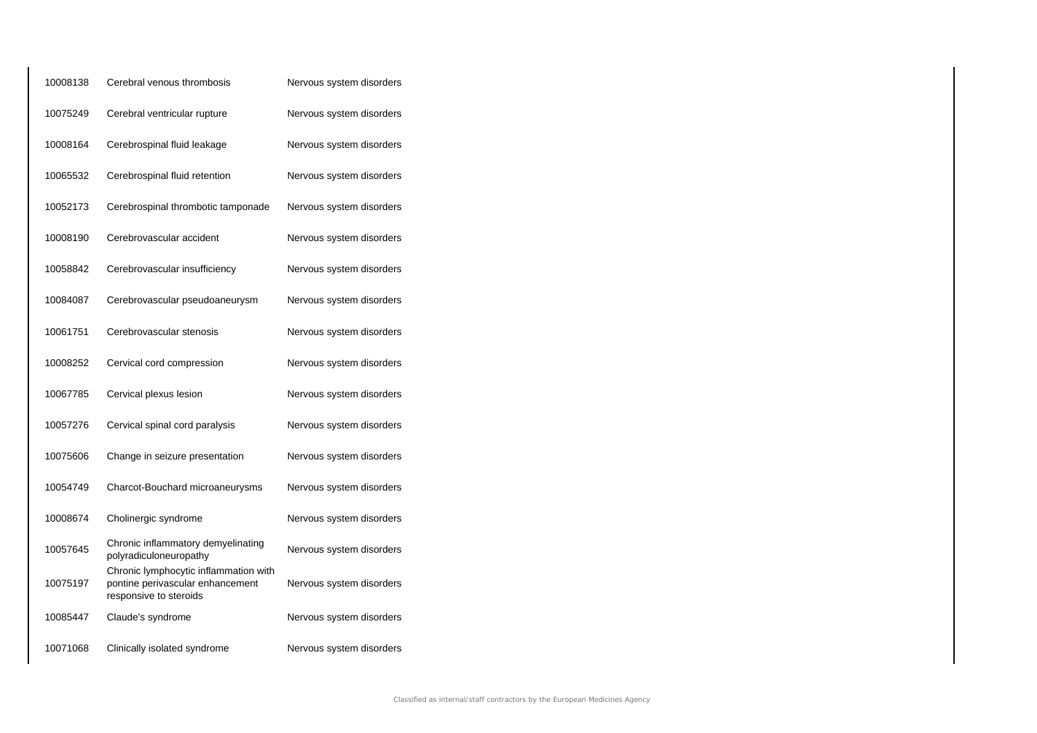| 10008138 | Cerebral venous thrombosis                                                                          | Nervous system disorders |
|----------|-----------------------------------------------------------------------------------------------------|--------------------------|
| 10075249 | Cerebral ventricular rupture                                                                        | Nervous system disorders |
| 10008164 | Cerebrospinal fluid leakage                                                                         | Nervous system disorders |
| 10065532 | Cerebrospinal fluid retention                                                                       | Nervous system disorders |
| 10052173 | Cerebrospinal thrombotic tamponade                                                                  | Nervous system disorders |
| 10008190 | Cerebrovascular accident                                                                            | Nervous system disorders |
| 10058842 | Cerebrovascular insufficiency                                                                       | Nervous system disorders |
| 10084087 | Cerebrovascular pseudoaneurysm                                                                      | Nervous system disorders |
| 10061751 | Cerebrovascular stenosis                                                                            | Nervous system disorders |
| 10008252 | Cervical cord compression                                                                           | Nervous system disorders |
| 10067785 | Cervical plexus lesion                                                                              | Nervous system disorders |
| 10057276 | Cervical spinal cord paralysis                                                                      | Nervous system disorders |
| 10075606 | Change in seizure presentation                                                                      | Nervous system disorders |
| 10054749 | Charcot-Bouchard microaneurysms                                                                     | Nervous system disorders |
| 10008674 | Cholinergic syndrome                                                                                | Nervous system disorders |
| 10057645 | Chronic inflammatory demyelinating<br>polyradiculoneuropathy                                        | Nervous system disorders |
| 10075197 | Chronic lymphocytic inflammation with<br>pontine perivascular enhancement<br>responsive to steroids | Nervous system disorders |
| 10085447 | Claude's syndrome                                                                                   | Nervous system disorders |
| 10071068 | Clinically isolated syndrome                                                                        | Nervous system disorders |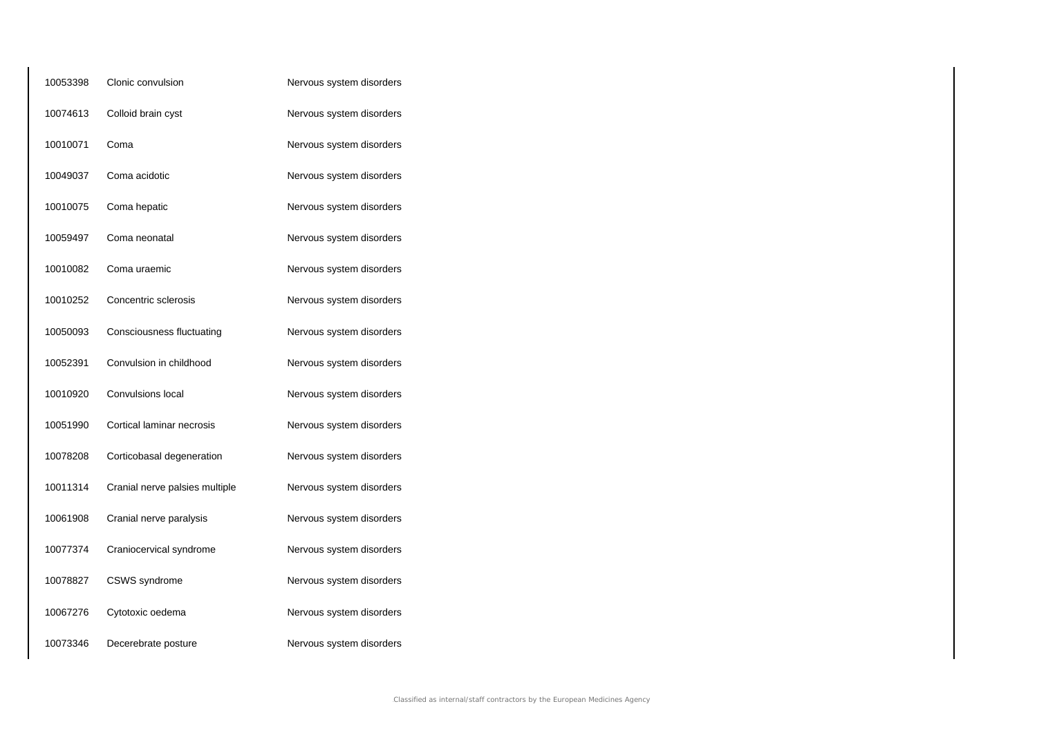| 10053398 | Clonic convulsion              | Nervous system disorders |
|----------|--------------------------------|--------------------------|
| 10074613 | Colloid brain cyst             | Nervous system disorders |
| 10010071 | Coma                           | Nervous system disorders |
| 10049037 | Coma acidotic                  | Nervous system disorders |
| 10010075 | Coma hepatic                   | Nervous system disorders |
| 10059497 | Coma neonatal                  | Nervous system disorders |
| 10010082 | Coma uraemic                   | Nervous system disorders |
| 10010252 | Concentric sclerosis           | Nervous system disorders |
| 10050093 | Consciousness fluctuating      | Nervous system disorders |
| 10052391 | Convulsion in childhood        | Nervous system disorders |
| 10010920 | Convulsions local              | Nervous system disorders |
| 10051990 | Cortical laminar necrosis      | Nervous system disorders |
| 10078208 | Corticobasal degeneration      | Nervous system disorders |
| 10011314 | Cranial nerve palsies multiple | Nervous system disorders |
| 10061908 | Cranial nerve paralysis        | Nervous system disorders |
| 10077374 | Craniocervical syndrome        | Nervous system disorders |
| 10078827 | CSWS syndrome                  | Nervous system disorders |
| 10067276 | Cytotoxic oedema               | Nervous system disorders |
| 10073346 | Decerebrate posture            | Nervous system disorders |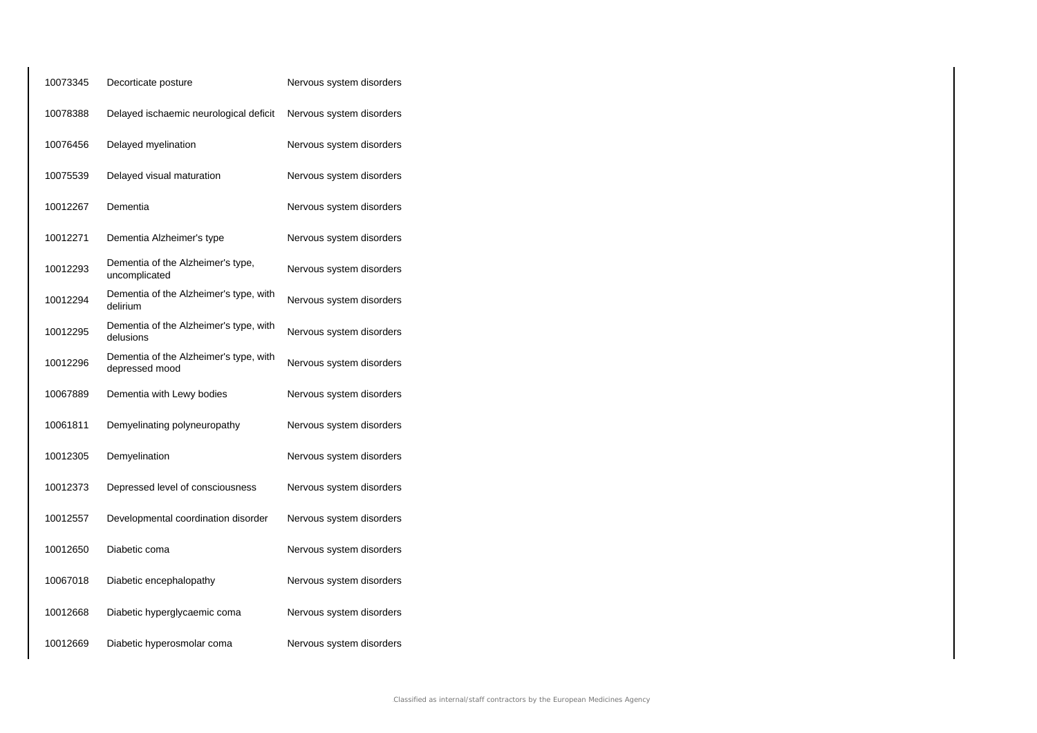| 10073345 | Decorticate posture                                      | Nervous system disorders |
|----------|----------------------------------------------------------|--------------------------|
| 10078388 | Delayed ischaemic neurological deficit                   | Nervous system disorders |
| 10076456 | Delayed myelination                                      | Nervous system disorders |
| 10075539 | Delayed visual maturation                                | Nervous system disorders |
| 10012267 | Dementia                                                 | Nervous system disorders |
| 10012271 | Dementia Alzheimer's type                                | Nervous system disorders |
| 10012293 | Dementia of the Alzheimer's type,<br>uncomplicated       | Nervous system disorders |
| 10012294 | Dementia of the Alzheimer's type, with<br>delirium       | Nervous system disorders |
| 10012295 | Dementia of the Alzheimer's type, with<br>delusions      | Nervous system disorders |
| 10012296 | Dementia of the Alzheimer's type, with<br>depressed mood | Nervous system disorders |
| 10067889 | Dementia with Lewy bodies                                | Nervous system disorders |
| 10061811 | Demyelinating polyneuropathy                             | Nervous system disorders |
| 10012305 | Demyelination                                            | Nervous system disorders |
| 10012373 | Depressed level of consciousness                         | Nervous system disorders |
| 10012557 | Developmental coordination disorder                      | Nervous system disorders |
| 10012650 | Diabetic coma                                            | Nervous system disorders |
| 10067018 | Diabetic encephalopathy                                  | Nervous system disorders |
| 10012668 | Diabetic hyperglycaemic coma                             | Nervous system disorders |
| 10012669 | Diabetic hyperosmolar coma                               | Nervous system disorders |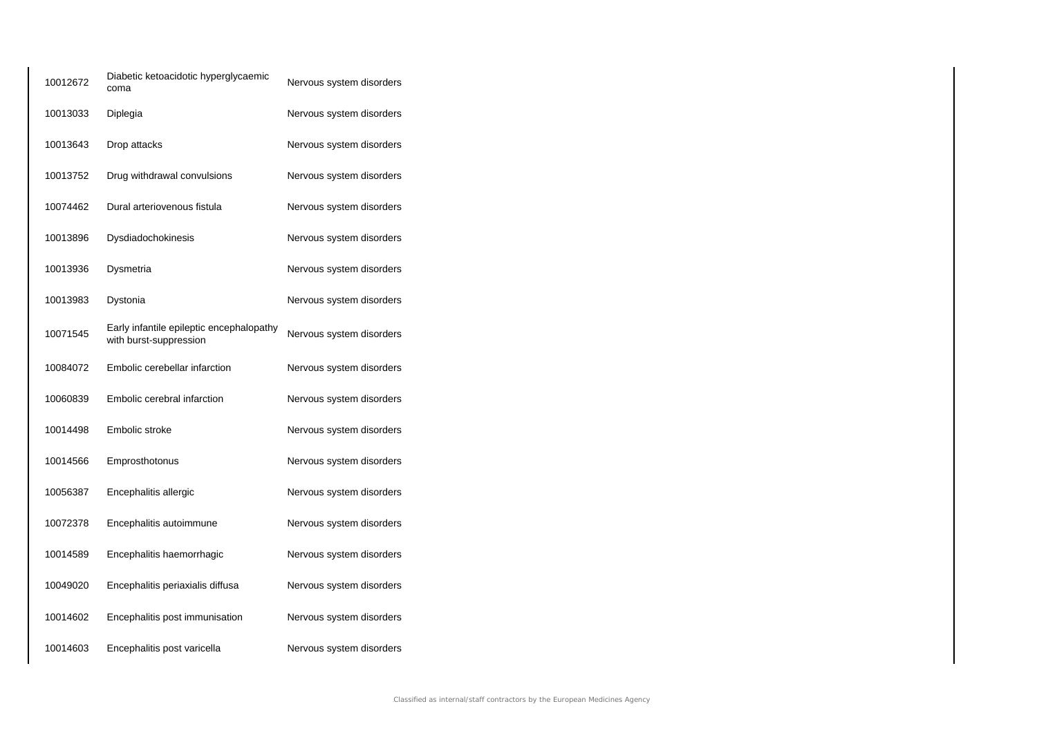| 10012672 | Diabetic ketoacidotic hyperglycaemic<br>coma                       | Nervous system disorders |
|----------|--------------------------------------------------------------------|--------------------------|
| 10013033 | Diplegia                                                           | Nervous system disorders |
| 10013643 | Drop attacks                                                       | Nervous system disorders |
| 10013752 | Drug withdrawal convulsions                                        | Nervous system disorders |
| 10074462 | Dural arteriovenous fistula                                        | Nervous system disorders |
| 10013896 | Dysdiadochokinesis                                                 | Nervous system disorders |
| 10013936 | Dysmetria                                                          | Nervous system disorders |
| 10013983 | Dystonia                                                           | Nervous system disorders |
| 10071545 | Early infantile epileptic encephalopathy<br>with burst-suppression | Nervous system disorders |
| 10084072 | Embolic cerebellar infarction                                      | Nervous system disorders |
| 10060839 | Embolic cerebral infarction                                        | Nervous system disorders |
| 10014498 | Embolic stroke                                                     | Nervous system disorders |
| 10014566 | Emprosthotonus                                                     | Nervous system disorders |
| 10056387 | Encephalitis allergic                                              | Nervous system disorders |
| 10072378 | Encephalitis autoimmune                                            | Nervous system disorders |
| 10014589 | Encephalitis haemorrhagic                                          | Nervous system disorders |
| 10049020 | Encephalitis periaxialis diffusa                                   | Nervous system disorders |
| 10014602 | Encephalitis post immunisation                                     | Nervous system disorders |
| 10014603 | Encephalitis post varicella                                        | Nervous system disorders |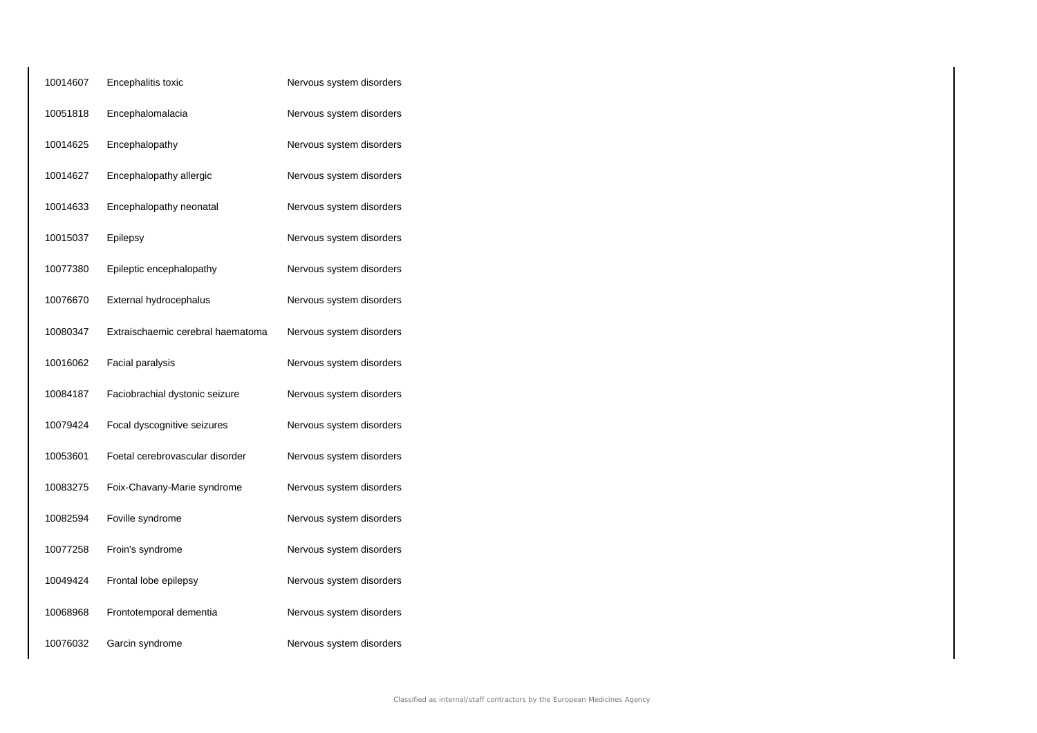| 10014607 | Encephalitis toxic                | Nervous system disorders |
|----------|-----------------------------------|--------------------------|
| 10051818 | Encephalomalacia                  | Nervous system disorders |
| 10014625 | Encephalopathy                    | Nervous system disorders |
| 10014627 | Encephalopathy allergic           | Nervous system disorders |
| 10014633 | Encephalopathy neonatal           | Nervous system disorders |
| 10015037 | Epilepsy                          | Nervous system disorders |
| 10077380 | Epileptic encephalopathy          | Nervous system disorders |
| 10076670 | External hydrocephalus            | Nervous system disorders |
| 10080347 | Extraischaemic cerebral haematoma | Nervous system disorders |
| 10016062 | Facial paralysis                  | Nervous system disorders |
| 10084187 | Faciobrachial dystonic seizure    | Nervous system disorders |
| 10079424 | Focal dyscognitive seizures       | Nervous system disorders |
| 10053601 | Foetal cerebrovascular disorder   | Nervous system disorders |
| 10083275 | Foix-Chavany-Marie syndrome       | Nervous system disorders |
| 10082594 | Foville syndrome                  | Nervous system disorders |
| 10077258 | Froin's syndrome                  | Nervous system disorders |
| 10049424 | Frontal lobe epilepsy             | Nervous system disorders |
| 10068968 | Frontotemporal dementia           | Nervous system disorders |
| 10076032 | Garcin syndrome                   | Nervous system disorders |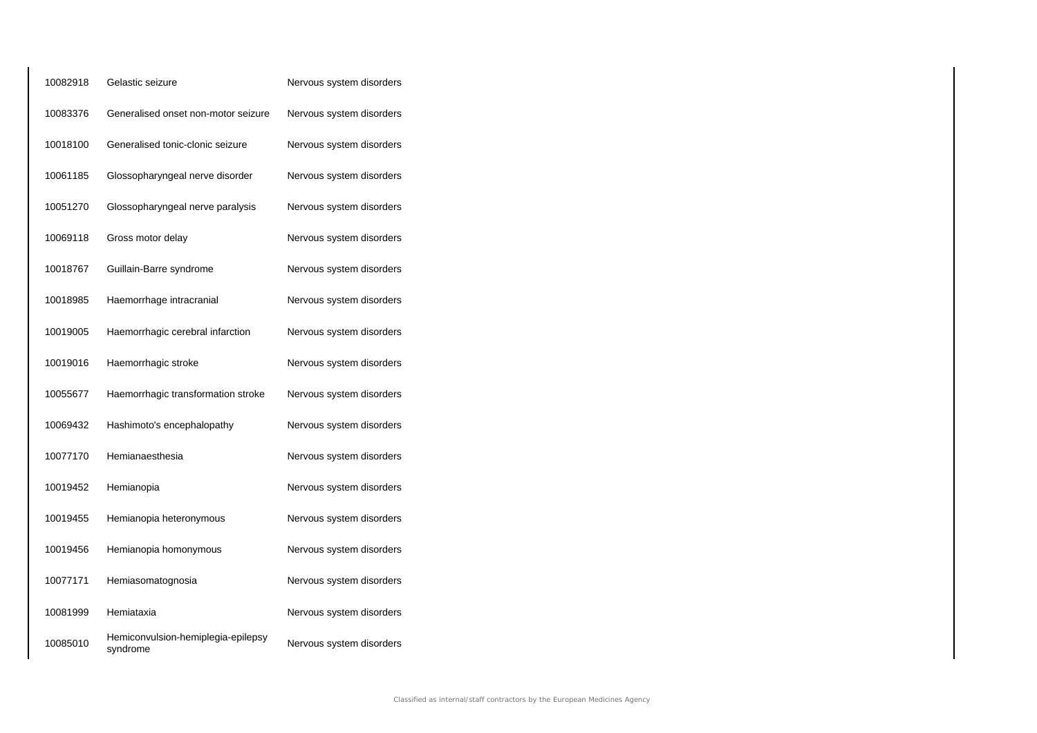| 10082918 | Gelastic seizure                               | Nervous system disorders |
|----------|------------------------------------------------|--------------------------|
| 10083376 | Generalised onset non-motor seizure            | Nervous system disorders |
| 10018100 | Generalised tonic-clonic seizure               | Nervous system disorders |
| 10061185 | Glossopharyngeal nerve disorder                | Nervous system disorders |
| 10051270 | Glossopharyngeal nerve paralysis               | Nervous system disorders |
| 10069118 | Gross motor delay                              | Nervous system disorders |
| 10018767 | Guillain-Barre syndrome                        | Nervous system disorders |
| 10018985 | Haemorrhage intracranial                       | Nervous system disorders |
| 10019005 | Haemorrhagic cerebral infarction               | Nervous system disorders |
| 10019016 | Haemorrhagic stroke                            | Nervous system disorders |
| 10055677 | Haemorrhagic transformation stroke             | Nervous system disorders |
| 10069432 | Hashimoto's encephalopathy                     | Nervous system disorders |
| 10077170 | Hemianaesthesia                                | Nervous system disorders |
| 10019452 | Hemianopia                                     | Nervous system disorders |
| 10019455 | Hemianopia heteronymous                        | Nervous system disorders |
| 10019456 | Hemianopia homonymous                          | Nervous system disorders |
| 10077171 | Hemiasomatognosia                              | Nervous system disorders |
| 10081999 | Hemiataxia                                     | Nervous system disorders |
| 10085010 | Hemiconvulsion-hemiplegia-epilepsy<br>syndrome | Nervous system disorders |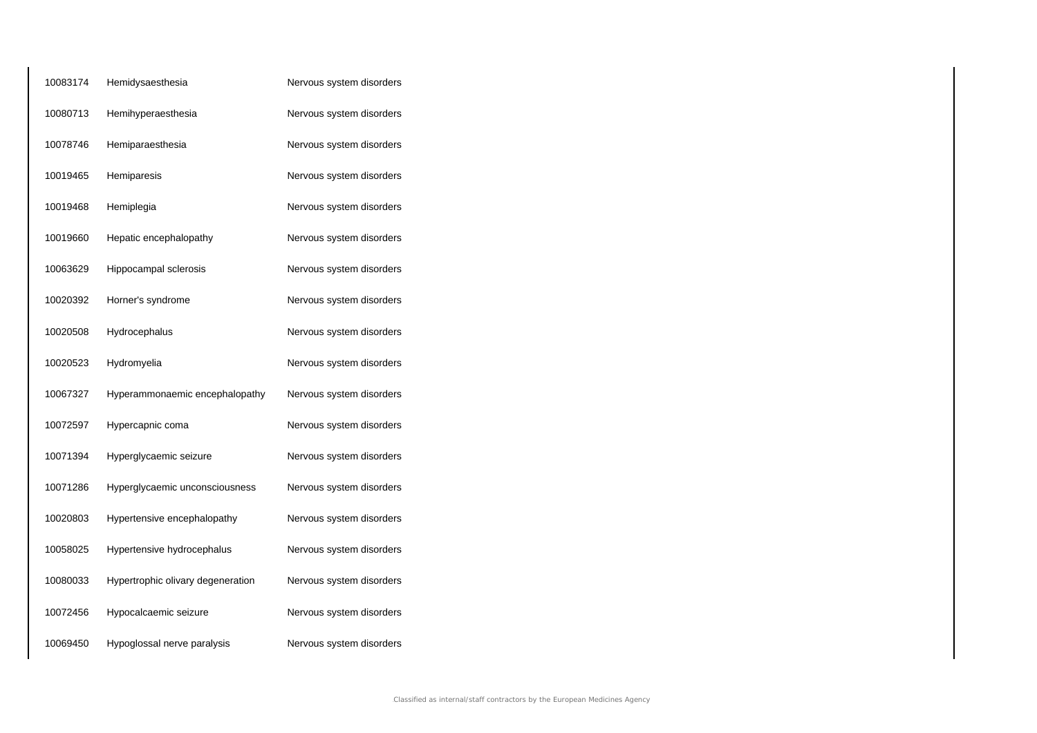| 10083174 | Hemidysaesthesia                  | Nervous system disorders |
|----------|-----------------------------------|--------------------------|
| 10080713 | Hemihyperaesthesia                | Nervous system disorders |
| 10078746 | Hemiparaesthesia                  | Nervous system disorders |
| 10019465 | Hemiparesis                       | Nervous system disorders |
| 10019468 | Hemiplegia                        | Nervous system disorders |
| 10019660 | Hepatic encephalopathy            | Nervous system disorders |
| 10063629 | Hippocampal sclerosis             | Nervous system disorders |
| 10020392 | Horner's syndrome                 | Nervous system disorders |
| 10020508 | Hydrocephalus                     | Nervous system disorders |
| 10020523 | Hydromyelia                       | Nervous system disorders |
| 10067327 | Hyperammonaemic encephalopathy    | Nervous system disorders |
| 10072597 | Hypercapnic coma                  | Nervous system disorders |
| 10071394 | Hyperglycaemic seizure            | Nervous system disorders |
| 10071286 | Hyperglycaemic unconsciousness    | Nervous system disorders |
| 10020803 | Hypertensive encephalopathy       | Nervous system disorders |
| 10058025 | Hypertensive hydrocephalus        | Nervous system disorders |
| 10080033 | Hypertrophic olivary degeneration | Nervous system disorders |
| 10072456 | Hypocalcaemic seizure             | Nervous system disorders |
| 10069450 | Hypoglossal nerve paralysis       | Nervous system disorders |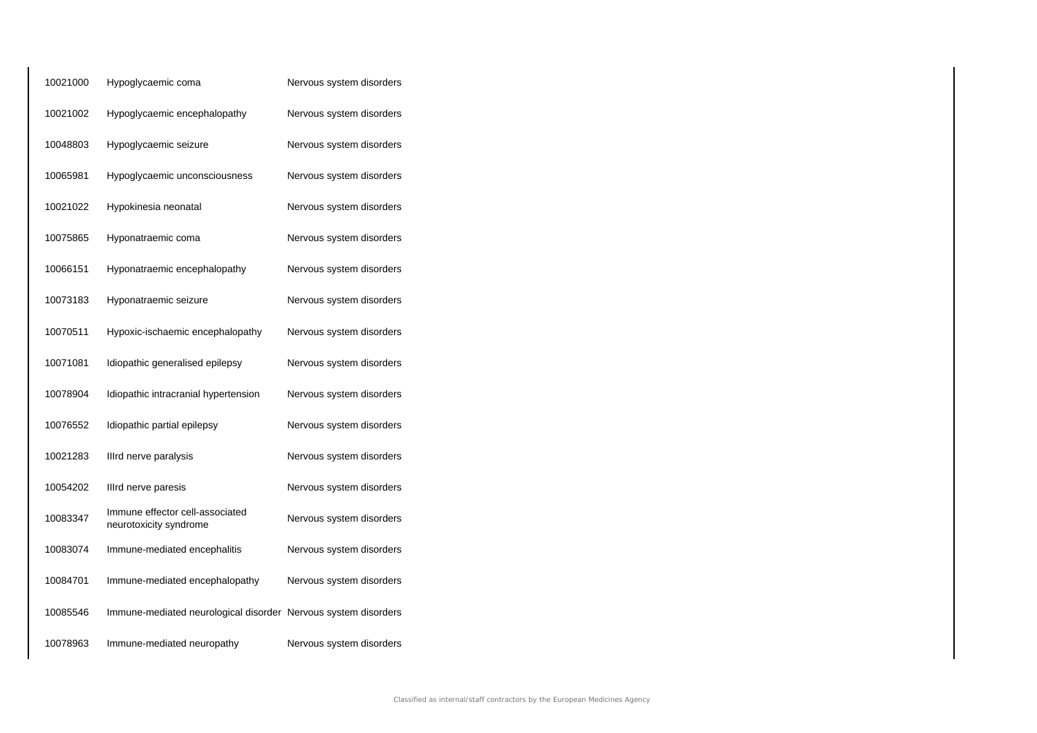| 10021000 | Hypoglycaemic coma                                             | Nervous system disorders |
|----------|----------------------------------------------------------------|--------------------------|
| 10021002 | Hypoglycaemic encephalopathy                                   | Nervous system disorders |
| 10048803 | Hypoglycaemic seizure                                          | Nervous system disorders |
| 10065981 | Hypoglycaemic unconsciousness                                  | Nervous system disorders |
| 10021022 | Hypokinesia neonatal                                           | Nervous system disorders |
| 10075865 | Hyponatraemic coma                                             | Nervous system disorders |
| 10066151 | Hyponatraemic encephalopathy                                   | Nervous system disorders |
| 10073183 | Hyponatraemic seizure                                          | Nervous system disorders |
| 10070511 | Hypoxic-ischaemic encephalopathy                               | Nervous system disorders |
| 10071081 | Idiopathic generalised epilepsy                                | Nervous system disorders |
| 10078904 | Idiopathic intracranial hypertension                           | Nervous system disorders |
| 10076552 | Idiopathic partial epilepsy                                    | Nervous system disorders |
| 10021283 | Illrd nerve paralysis                                          | Nervous system disorders |
| 10054202 | Illrd nerve paresis                                            | Nervous system disorders |
| 10083347 | Immune effector cell-associated<br>neurotoxicity syndrome      | Nervous system disorders |
| 10083074 | Immune-mediated encephalitis                                   | Nervous system disorders |
| 10084701 | Immune-mediated encephalopathy                                 | Nervous system disorders |
| 10085546 | Immune-mediated neurological disorder Nervous system disorders |                          |
| 10078963 | Immune-mediated neuropathy                                     | Nervous system disorders |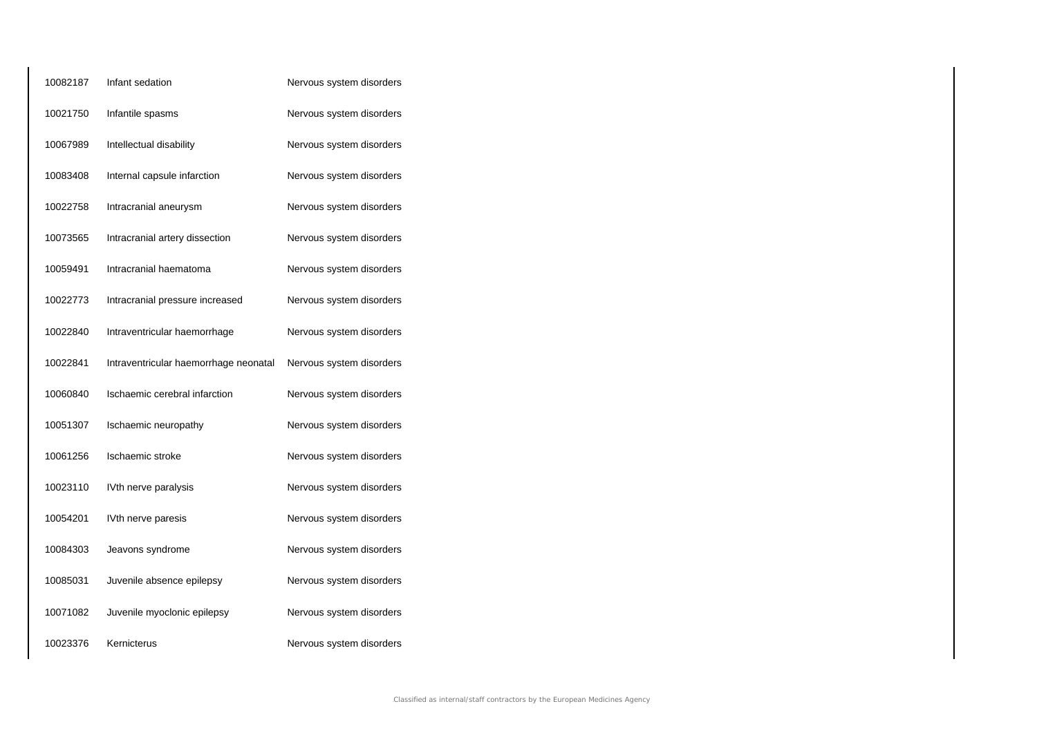| 10082187 | Infant sedation                       | Nervous system disorders |
|----------|---------------------------------------|--------------------------|
| 10021750 | Infantile spasms                      | Nervous system disorders |
| 10067989 | Intellectual disability               | Nervous system disorders |
| 10083408 | Internal capsule infarction           | Nervous system disorders |
| 10022758 | Intracranial aneurysm                 | Nervous system disorders |
| 10073565 | Intracranial artery dissection        | Nervous system disorders |
| 10059491 | Intracranial haematoma                | Nervous system disorders |
| 10022773 | Intracranial pressure increased       | Nervous system disorders |
| 10022840 | Intraventricular haemorrhage          | Nervous system disorders |
| 10022841 | Intraventricular haemorrhage neonatal | Nervous system disorders |
| 10060840 | Ischaemic cerebral infarction         | Nervous system disorders |
| 10051307 | Ischaemic neuropathy                  | Nervous system disorders |
| 10061256 | Ischaemic stroke                      | Nervous system disorders |
| 10023110 | IVth nerve paralysis                  | Nervous system disorders |
| 10054201 | IVth nerve paresis                    | Nervous system disorders |
| 10084303 | Jeavons syndrome                      | Nervous system disorders |
| 10085031 | Juvenile absence epilepsy             | Nervous system disorders |
| 10071082 | Juvenile myoclonic epilepsy           | Nervous system disorders |
| 10023376 | Kernicterus                           | Nervous system disorders |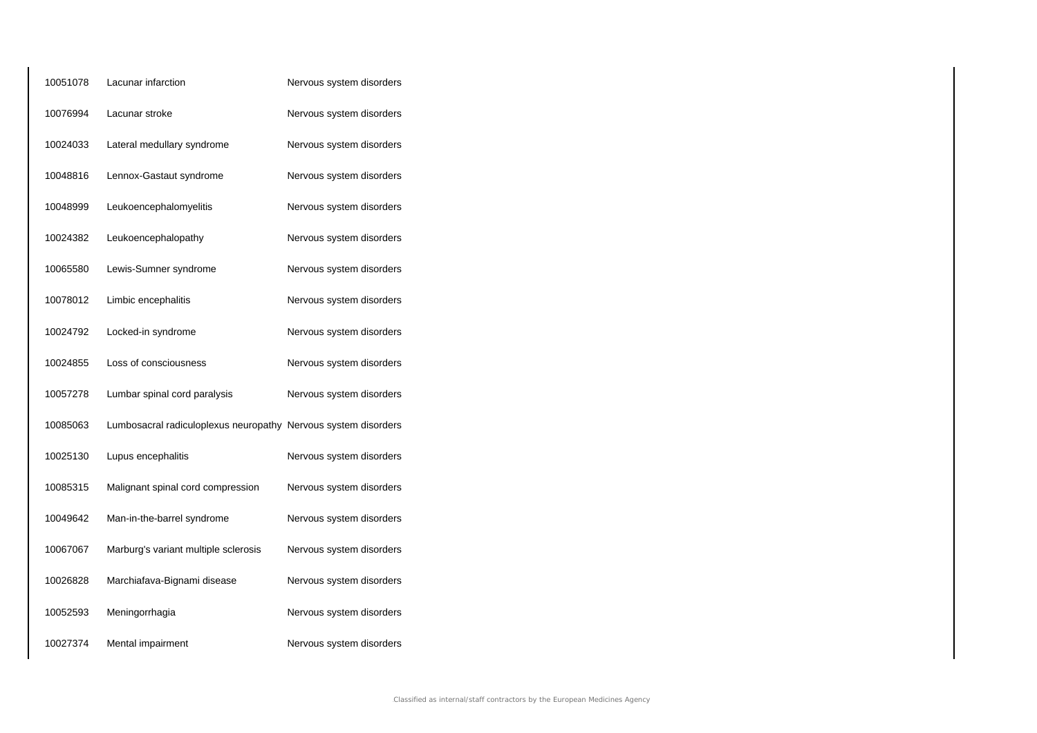| 10051078 | Lacunar infarction                                             | Nervous system disorders |
|----------|----------------------------------------------------------------|--------------------------|
| 10076994 | Lacunar stroke                                                 | Nervous system disorders |
| 10024033 | Lateral medullary syndrome                                     | Nervous system disorders |
| 10048816 | Lennox-Gastaut syndrome                                        | Nervous system disorders |
| 10048999 | Leukoencephalomyelitis                                         | Nervous system disorders |
| 10024382 | Leukoencephalopathy                                            | Nervous system disorders |
| 10065580 | Lewis-Sumner syndrome                                          | Nervous system disorders |
| 10078012 | Limbic encephalitis                                            | Nervous system disorders |
| 10024792 | Locked-in syndrome                                             | Nervous system disorders |
| 10024855 | Loss of consciousness                                          | Nervous system disorders |
| 10057278 | Lumbar spinal cord paralysis                                   | Nervous system disorders |
| 10085063 | Lumbosacral radiculoplexus neuropathy Nervous system disorders |                          |
| 10025130 | Lupus encephalitis                                             | Nervous system disorders |
| 10085315 | Malignant spinal cord compression                              | Nervous system disorders |
| 10049642 | Man-in-the-barrel syndrome                                     | Nervous system disorders |
| 10067067 | Marburg's variant multiple sclerosis                           | Nervous system disorders |
| 10026828 | Marchiafava-Bignami disease                                    | Nervous system disorders |
| 10052593 | Meningorrhagia                                                 | Nervous system disorders |
| 10027374 | Mental impairment                                              | Nervous system disorders |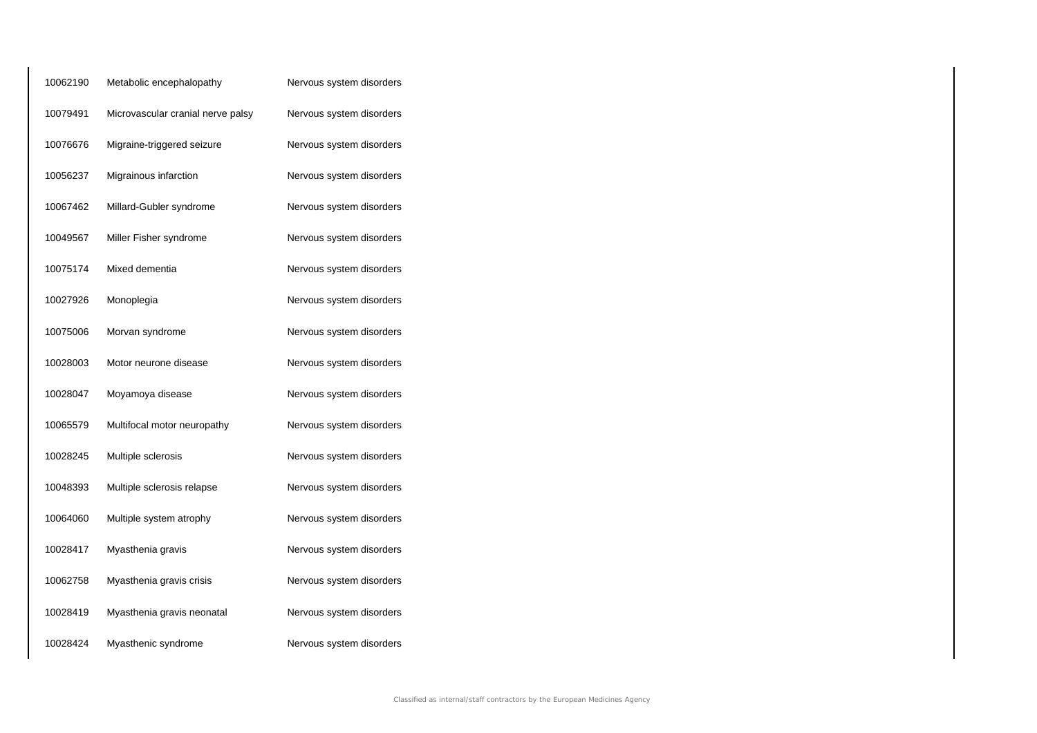| 10062190 | Metabolic encephalopathy          | Nervous system disorders |
|----------|-----------------------------------|--------------------------|
| 10079491 | Microvascular cranial nerve palsy | Nervous system disorders |
| 10076676 | Migraine-triggered seizure        | Nervous system disorders |
| 10056237 | Migrainous infarction             | Nervous system disorders |
| 10067462 | Millard-Gubler syndrome           | Nervous system disorders |
| 10049567 | Miller Fisher syndrome            | Nervous system disorders |
| 10075174 | Mixed dementia                    | Nervous system disorders |
| 10027926 | Monoplegia                        | Nervous system disorders |
| 10075006 | Morvan syndrome                   | Nervous system disorders |
| 10028003 | Motor neurone disease             | Nervous system disorders |
| 10028047 | Moyamoya disease                  | Nervous system disorders |
| 10065579 | Multifocal motor neuropathy       | Nervous system disorders |
| 10028245 | Multiple sclerosis                | Nervous system disorders |
| 10048393 | Multiple sclerosis relapse        | Nervous system disorders |
| 10064060 | Multiple system atrophy           | Nervous system disorders |
| 10028417 | Myasthenia gravis                 | Nervous system disorders |
| 10062758 | Myasthenia gravis crisis          | Nervous system disorders |
| 10028419 | Myasthenia gravis neonatal        | Nervous system disorders |
| 10028424 | Myasthenic syndrome               | Nervous system disorders |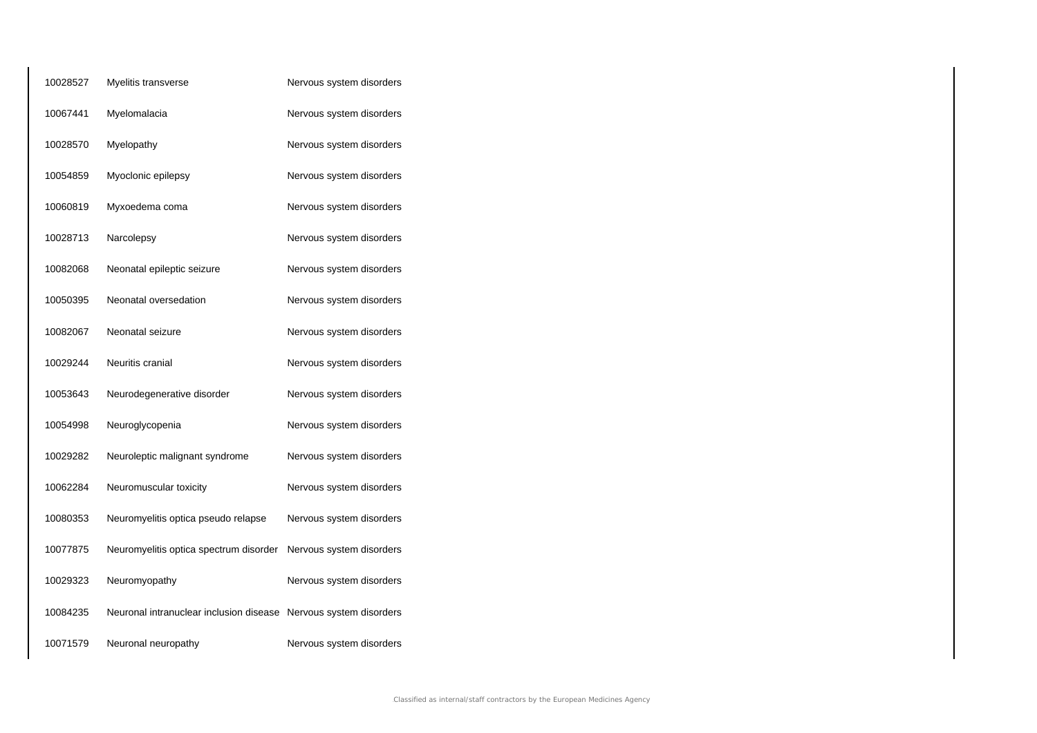| 10028527 | Myelitis transverse                                              | Nervous system disorders |
|----------|------------------------------------------------------------------|--------------------------|
| 10067441 | Myelomalacia                                                     | Nervous system disorders |
| 10028570 | Myelopathy                                                       | Nervous system disorders |
| 10054859 | Myoclonic epilepsy                                               | Nervous system disorders |
| 10060819 | Myxoedema coma                                                   | Nervous system disorders |
| 10028713 | Narcolepsy                                                       | Nervous system disorders |
| 10082068 | Neonatal epileptic seizure                                       | Nervous system disorders |
| 10050395 | Neonatal oversedation                                            | Nervous system disorders |
| 10082067 | Neonatal seizure                                                 | Nervous system disorders |
| 10029244 | Neuritis cranial                                                 | Nervous system disorders |
| 10053643 | Neurodegenerative disorder                                       | Nervous system disorders |
| 10054998 | Neuroglycopenia                                                  | Nervous system disorders |
| 10029282 | Neuroleptic malignant syndrome                                   | Nervous system disorders |
| 10062284 | Neuromuscular toxicity                                           | Nervous system disorders |
| 10080353 | Neuromyelitis optica pseudo relapse                              | Nervous system disorders |
| 10077875 | Neuromyelitis optica spectrum disorder                           | Nervous system disorders |
| 10029323 | Neuromyopathy                                                    | Nervous system disorders |
| 10084235 | Neuronal intranuclear inclusion disease Nervous system disorders |                          |
| 10071579 | Neuronal neuropathy                                              | Nervous system disorders |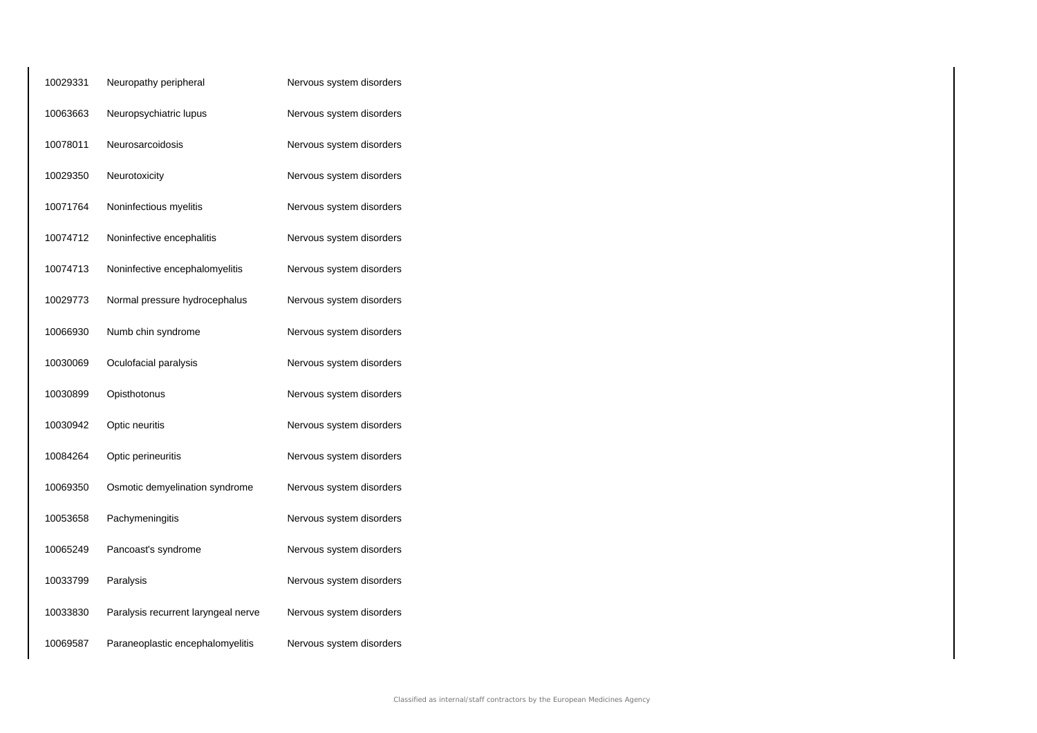| 10029331 | Neuropathy peripheral               | Nervous system disorders |
|----------|-------------------------------------|--------------------------|
| 10063663 | Neuropsychiatric lupus              | Nervous system disorders |
| 10078011 | Neurosarcoidosis                    | Nervous system disorders |
| 10029350 | Neurotoxicity                       | Nervous system disorders |
| 10071764 | Noninfectious myelitis              | Nervous system disorders |
| 10074712 | Noninfective encephalitis           | Nervous system disorders |
| 10074713 | Noninfective encephalomyelitis      | Nervous system disorders |
| 10029773 | Normal pressure hydrocephalus       | Nervous system disorders |
| 10066930 | Numb chin syndrome                  | Nervous system disorders |
| 10030069 | Oculofacial paralysis               | Nervous system disorders |
| 10030899 | Opisthotonus                        | Nervous system disorders |
| 10030942 | Optic neuritis                      | Nervous system disorders |
| 10084264 | Optic perineuritis                  | Nervous system disorders |
| 10069350 | Osmotic demyelination syndrome      | Nervous system disorders |
| 10053658 | Pachymeningitis                     | Nervous system disorders |
| 10065249 | Pancoast's syndrome                 | Nervous system disorders |
| 10033799 | Paralysis                           | Nervous system disorders |
| 10033830 | Paralysis recurrent laryngeal nerve | Nervous system disorders |
| 10069587 | Paraneoplastic encephalomyelitis    | Nervous system disorders |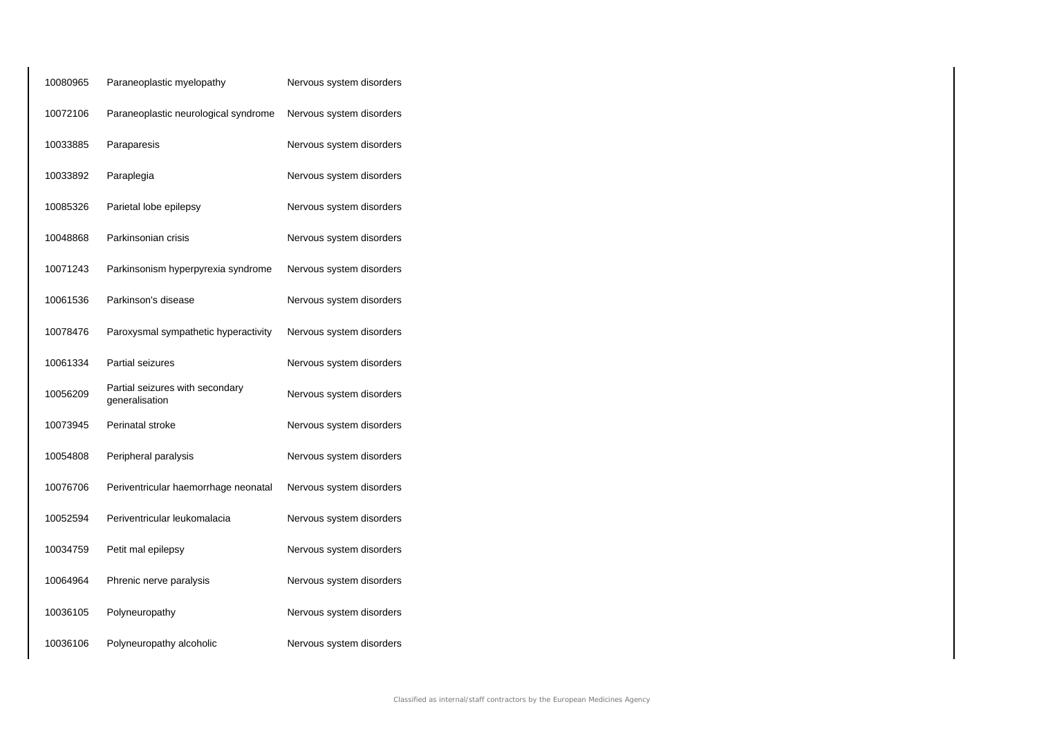| 10080965 | Paraneoplastic myelopathy                         | Nervous system disorders |
|----------|---------------------------------------------------|--------------------------|
| 10072106 | Paraneoplastic neurological syndrome              | Nervous system disorders |
| 10033885 | Paraparesis                                       | Nervous system disorders |
| 10033892 | Paraplegia                                        | Nervous system disorders |
| 10085326 | Parietal lobe epilepsy                            | Nervous system disorders |
| 10048868 | Parkinsonian crisis                               | Nervous system disorders |
| 10071243 | Parkinsonism hyperpyrexia syndrome                | Nervous system disorders |
| 10061536 | Parkinson's disease                               | Nervous system disorders |
| 10078476 | Paroxysmal sympathetic hyperactivity              | Nervous system disorders |
| 10061334 | Partial seizures                                  | Nervous system disorders |
| 10056209 | Partial seizures with secondary<br>generalisation | Nervous system disorders |
| 10073945 | Perinatal stroke                                  | Nervous system disorders |
| 10054808 | Peripheral paralysis                              | Nervous system disorders |
| 10076706 | Periventricular haemorrhage neonatal              | Nervous system disorders |
| 10052594 | Periventricular leukomalacia                      | Nervous system disorders |
| 10034759 | Petit mal epilepsy                                | Nervous system disorders |
| 10064964 | Phrenic nerve paralysis                           | Nervous system disorders |
| 10036105 | Polyneuropathy                                    | Nervous system disorders |
| 10036106 | Polyneuropathy alcoholic                          | Nervous system disorders |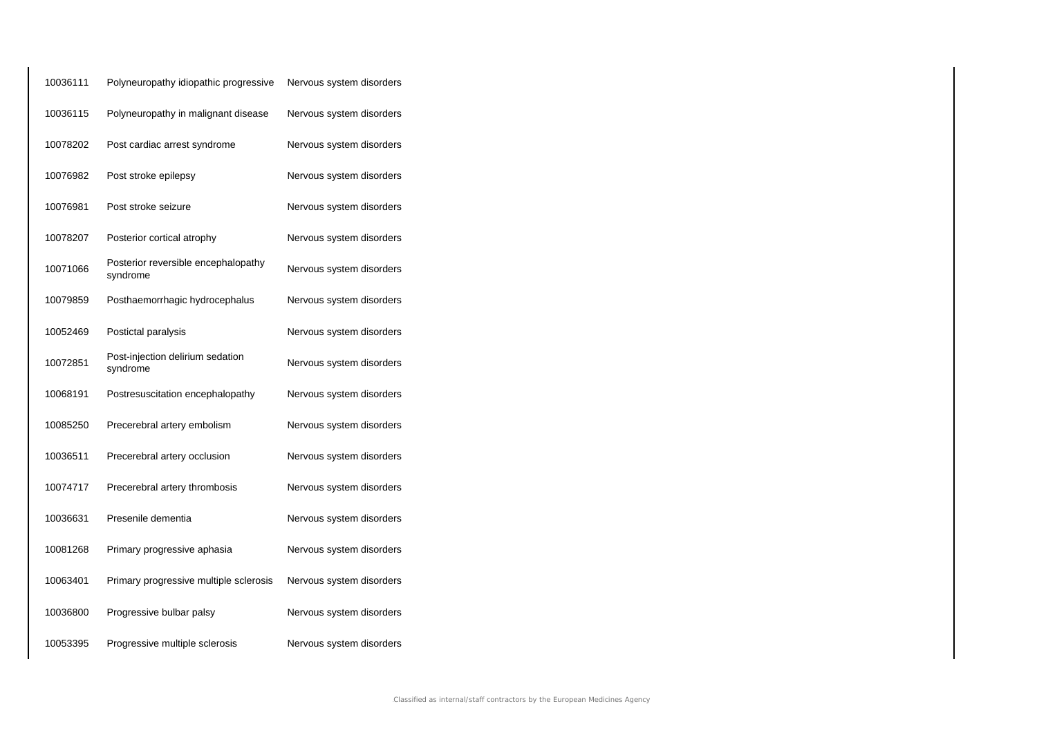| 10036111 | Polyneuropathy idiopathic progressive           | Nervous system disorders |
|----------|-------------------------------------------------|--------------------------|
| 10036115 | Polyneuropathy in malignant disease             | Nervous system disorders |
| 10078202 | Post cardiac arrest syndrome                    | Nervous system disorders |
| 10076982 | Post stroke epilepsy                            | Nervous system disorders |
| 10076981 | Post stroke seizure                             | Nervous system disorders |
| 10078207 | Posterior cortical atrophy                      | Nervous system disorders |
| 10071066 | Posterior reversible encephalopathy<br>syndrome | Nervous system disorders |
| 10079859 | Posthaemorrhagic hydrocephalus                  | Nervous system disorders |
| 10052469 | Postictal paralysis                             | Nervous system disorders |
| 10072851 | Post-injection delirium sedation<br>syndrome    | Nervous system disorders |
| 10068191 | Postresuscitation encephalopathy                | Nervous system disorders |
| 10085250 | Precerebral artery embolism                     | Nervous system disorders |
| 10036511 | Precerebral artery occlusion                    | Nervous system disorders |
| 10074717 | Precerebral artery thrombosis                   | Nervous system disorders |
| 10036631 | Presenile dementia                              | Nervous system disorders |
| 10081268 | Primary progressive aphasia                     | Nervous system disorders |
| 10063401 | Primary progressive multiple sclerosis          | Nervous system disorders |
| 10036800 | Progressive bulbar palsy                        | Nervous system disorders |
| 10053395 | Progressive multiple sclerosis                  | Nervous system disorders |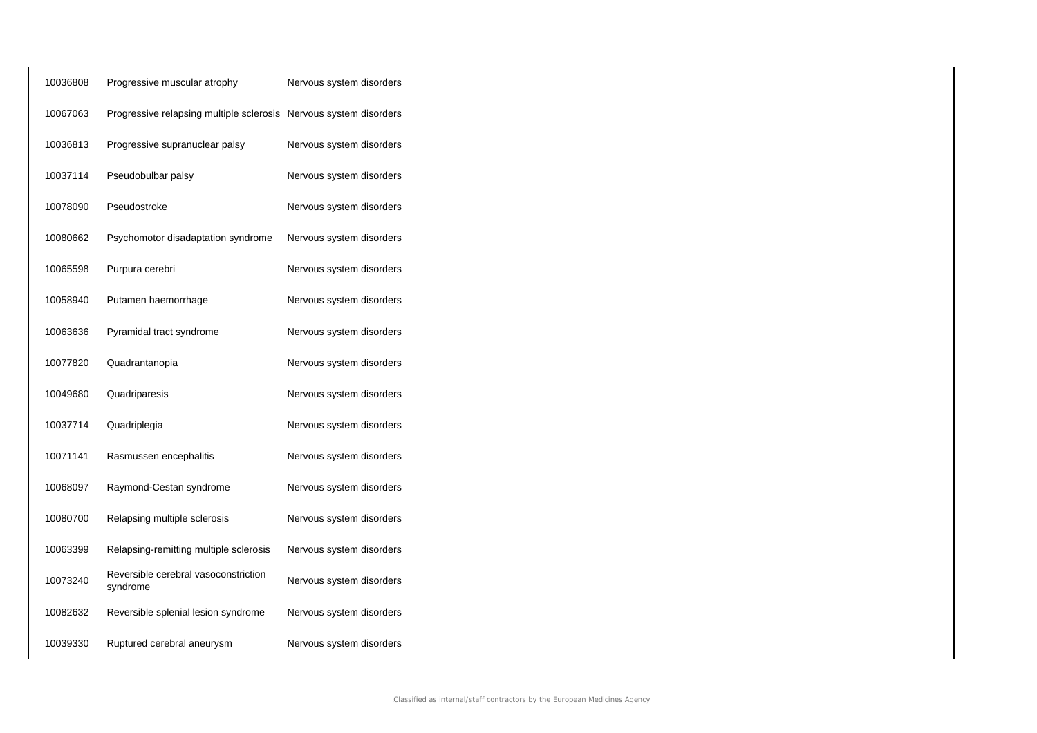| 10036808 | Progressive muscular atrophy                                      | Nervous system disorders |
|----------|-------------------------------------------------------------------|--------------------------|
| 10067063 | Progressive relapsing multiple sclerosis Nervous system disorders |                          |
| 10036813 | Progressive supranuclear palsy                                    | Nervous system disorders |
| 10037114 | Pseudobulbar palsy                                                | Nervous system disorders |
| 10078090 | Pseudostroke                                                      | Nervous system disorders |
| 10080662 | Psychomotor disadaptation syndrome                                | Nervous system disorders |
| 10065598 | Purpura cerebri                                                   | Nervous system disorders |
| 10058940 | Putamen haemorrhage                                               | Nervous system disorders |
| 10063636 | Pyramidal tract syndrome                                          | Nervous system disorders |
| 10077820 | Quadrantanopia                                                    | Nervous system disorders |
| 10049680 | Quadriparesis                                                     | Nervous system disorders |
| 10037714 | Quadriplegia                                                      | Nervous system disorders |
| 10071141 | Rasmussen encephalitis                                            | Nervous system disorders |
| 10068097 | Raymond-Cestan syndrome                                           | Nervous system disorders |
| 10080700 | Relapsing multiple sclerosis                                      | Nervous system disorders |
| 10063399 | Relapsing-remitting multiple sclerosis                            | Nervous system disorders |
| 10073240 | Reversible cerebral vasoconstriction<br>syndrome                  | Nervous system disorders |
| 10082632 | Reversible splenial lesion syndrome                               | Nervous system disorders |
| 10039330 | Ruptured cerebral aneurysm                                        | Nervous system disorders |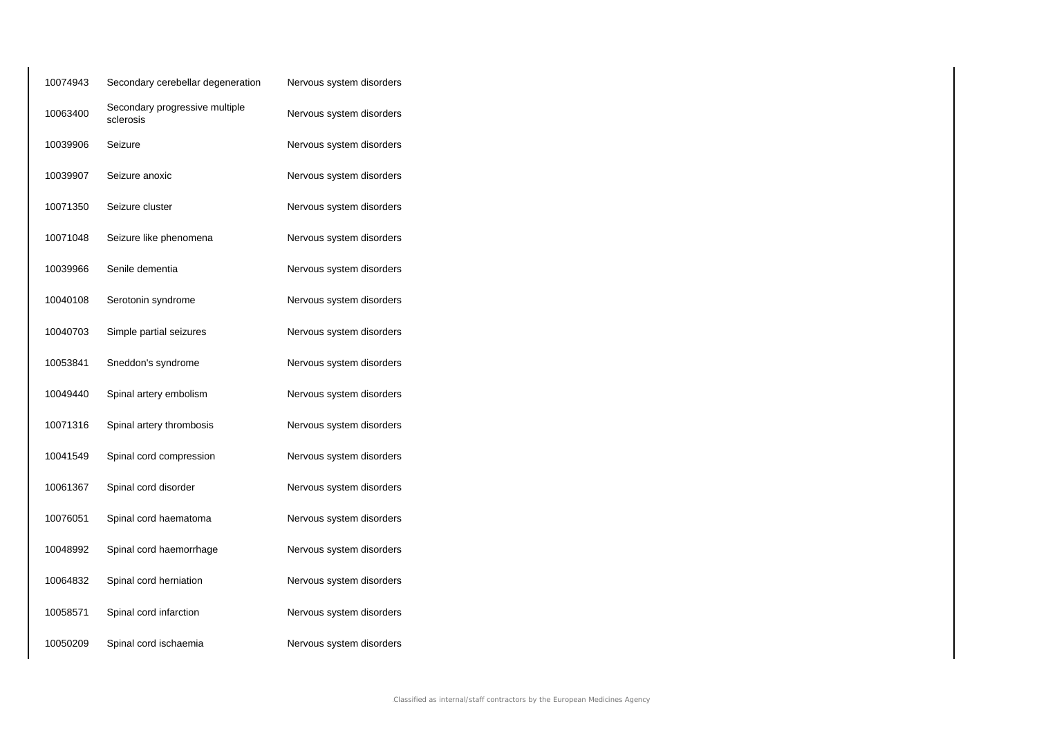| 10074943 | Secondary cerebellar degeneration           | Nervous system disorders |
|----------|---------------------------------------------|--------------------------|
| 10063400 | Secondary progressive multiple<br>sclerosis | Nervous system disorders |
| 10039906 | Seizure                                     | Nervous system disorders |
| 10039907 | Seizure anoxic                              | Nervous system disorders |
| 10071350 | Seizure cluster                             | Nervous system disorders |
| 10071048 | Seizure like phenomena                      | Nervous system disorders |
| 10039966 | Senile dementia                             | Nervous system disorders |
| 10040108 | Serotonin syndrome                          | Nervous system disorders |
| 10040703 | Simple partial seizures                     | Nervous system disorders |
| 10053841 | Sneddon's syndrome                          | Nervous system disorders |
| 10049440 | Spinal artery embolism                      | Nervous system disorders |
| 10071316 | Spinal artery thrombosis                    | Nervous system disorders |
| 10041549 | Spinal cord compression                     | Nervous system disorders |
| 10061367 | Spinal cord disorder                        | Nervous system disorders |
| 10076051 | Spinal cord haematoma                       | Nervous system disorders |
| 10048992 | Spinal cord haemorrhage                     | Nervous system disorders |
| 10064832 | Spinal cord herniation                      | Nervous system disorders |
| 10058571 | Spinal cord infarction                      | Nervous system disorders |
| 10050209 | Spinal cord ischaemia                       | Nervous system disorders |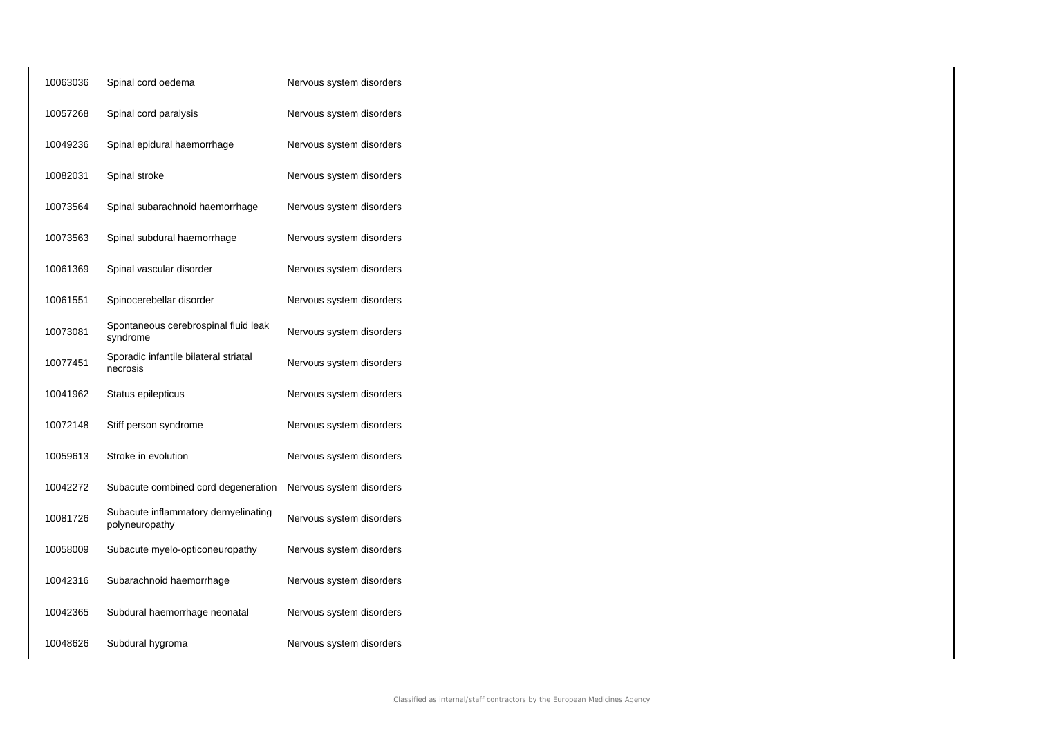| 10063036 | Spinal cord oedema                                    | Nervous system disorders |
|----------|-------------------------------------------------------|--------------------------|
| 10057268 | Spinal cord paralysis                                 | Nervous system disorders |
| 10049236 | Spinal epidural haemorrhage                           | Nervous system disorders |
| 10082031 | Spinal stroke                                         | Nervous system disorders |
| 10073564 | Spinal subarachnoid haemorrhage                       | Nervous system disorders |
| 10073563 | Spinal subdural haemorrhage                           | Nervous system disorders |
| 10061369 | Spinal vascular disorder                              | Nervous system disorders |
| 10061551 | Spinocerebellar disorder                              | Nervous system disorders |
| 10073081 | Spontaneous cerebrospinal fluid leak<br>syndrome      | Nervous system disorders |
| 10077451 | Sporadic infantile bilateral striatal<br>necrosis     | Nervous system disorders |
| 10041962 | Status epilepticus                                    | Nervous system disorders |
| 10072148 | Stiff person syndrome                                 | Nervous system disorders |
| 10059613 | Stroke in evolution                                   | Nervous system disorders |
| 10042272 | Subacute combined cord degeneration                   | Nervous system disorders |
| 10081726 | Subacute inflammatory demyelinating<br>polyneuropathy | Nervous system disorders |
| 10058009 | Subacute myelo-opticoneuropathy                       | Nervous system disorders |
| 10042316 | Subarachnoid haemorrhage                              | Nervous system disorders |
| 10042365 | Subdural haemorrhage neonatal                         | Nervous system disorders |
| 10048626 | Subdural hygroma                                      | Nervous system disorders |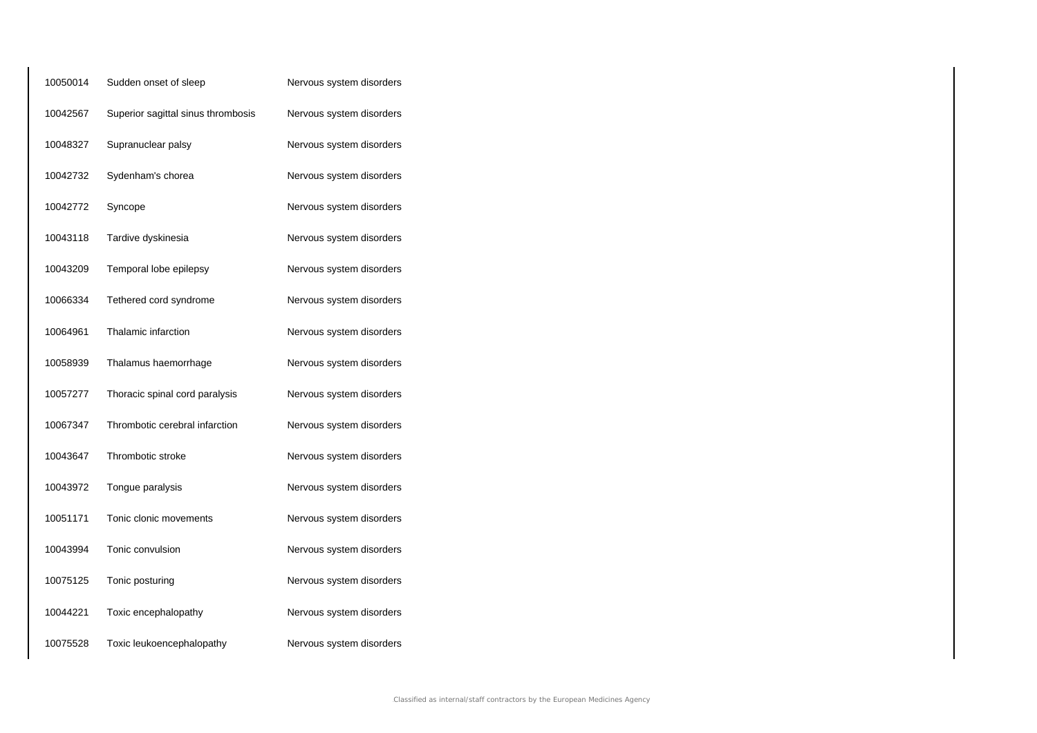| 10050014 | Sudden onset of sleep              | Nervous system disorders |
|----------|------------------------------------|--------------------------|
| 10042567 | Superior sagittal sinus thrombosis | Nervous system disorders |
| 10048327 | Supranuclear palsy                 | Nervous system disorders |
| 10042732 | Sydenham's chorea                  | Nervous system disorders |
| 10042772 | Syncope                            | Nervous system disorders |
| 10043118 | Tardive dyskinesia                 | Nervous system disorders |
| 10043209 | Temporal lobe epilepsy             | Nervous system disorders |
| 10066334 | Tethered cord syndrome             | Nervous system disorders |
| 10064961 | Thalamic infarction                | Nervous system disorders |
| 10058939 | Thalamus haemorrhage               | Nervous system disorders |
| 10057277 | Thoracic spinal cord paralysis     | Nervous system disorders |
| 10067347 | Thrombotic cerebral infarction     | Nervous system disorders |
| 10043647 | Thrombotic stroke                  | Nervous system disorders |
| 10043972 | Tongue paralysis                   | Nervous system disorders |
| 10051171 | Tonic clonic movements             | Nervous system disorders |
| 10043994 | Tonic convulsion                   | Nervous system disorders |
| 10075125 | Tonic posturing                    | Nervous system disorders |
| 10044221 | Toxic encephalopathy               | Nervous system disorders |
| 10075528 | Toxic leukoencephalopathy          | Nervous system disorders |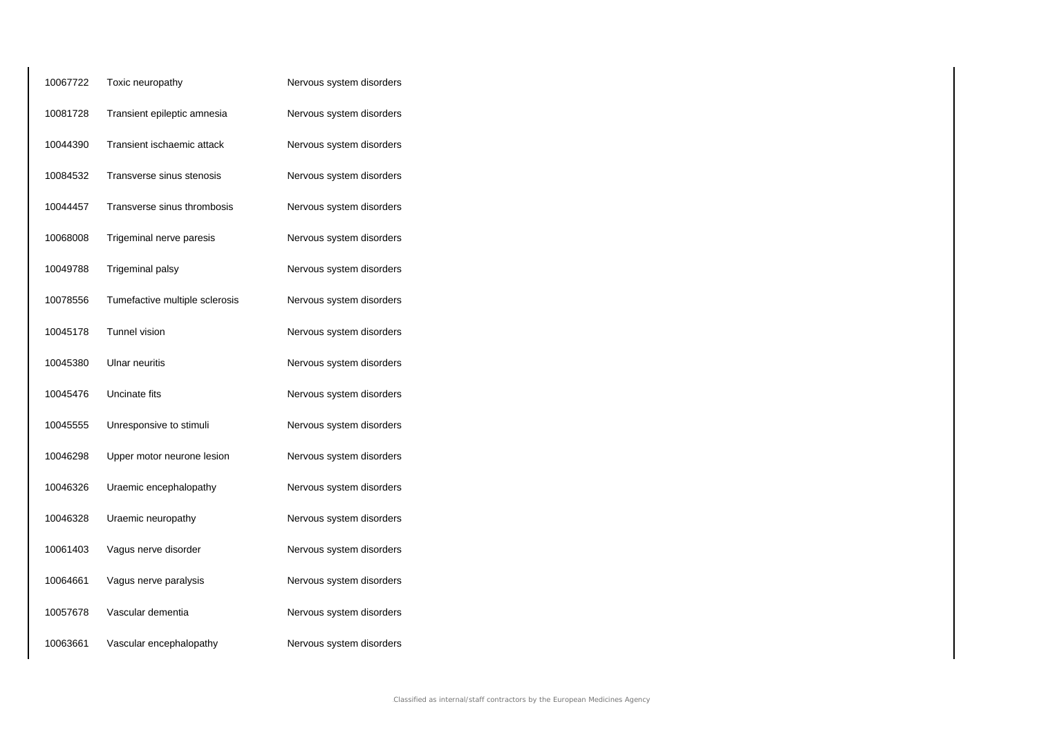| 10067722 | Toxic neuropathy               | Nervous system disorders |
|----------|--------------------------------|--------------------------|
| 10081728 | Transient epileptic amnesia    | Nervous system disorders |
| 10044390 | Transient ischaemic attack     | Nervous system disorders |
| 10084532 | Transverse sinus stenosis      | Nervous system disorders |
| 10044457 | Transverse sinus thrombosis    | Nervous system disorders |
| 10068008 | Trigeminal nerve paresis       | Nervous system disorders |
| 10049788 | Trigeminal palsy               | Nervous system disorders |
| 10078556 | Tumefactive multiple sclerosis | Nervous system disorders |
| 10045178 | Tunnel vision                  | Nervous system disorders |
| 10045380 | Ulnar neuritis                 | Nervous system disorders |
| 10045476 | Uncinate fits                  | Nervous system disorders |
| 10045555 | Unresponsive to stimuli        | Nervous system disorders |
| 10046298 | Upper motor neurone lesion     | Nervous system disorders |
| 10046326 | Uraemic encephalopathy         | Nervous system disorders |
| 10046328 | Uraemic neuropathy             | Nervous system disorders |
| 10061403 | Vagus nerve disorder           | Nervous system disorders |
| 10064661 | Vagus nerve paralysis          | Nervous system disorders |
| 10057678 | Vascular dementia              | Nervous system disorders |
| 10063661 | Vascular encephalopathy        | Nervous system disorders |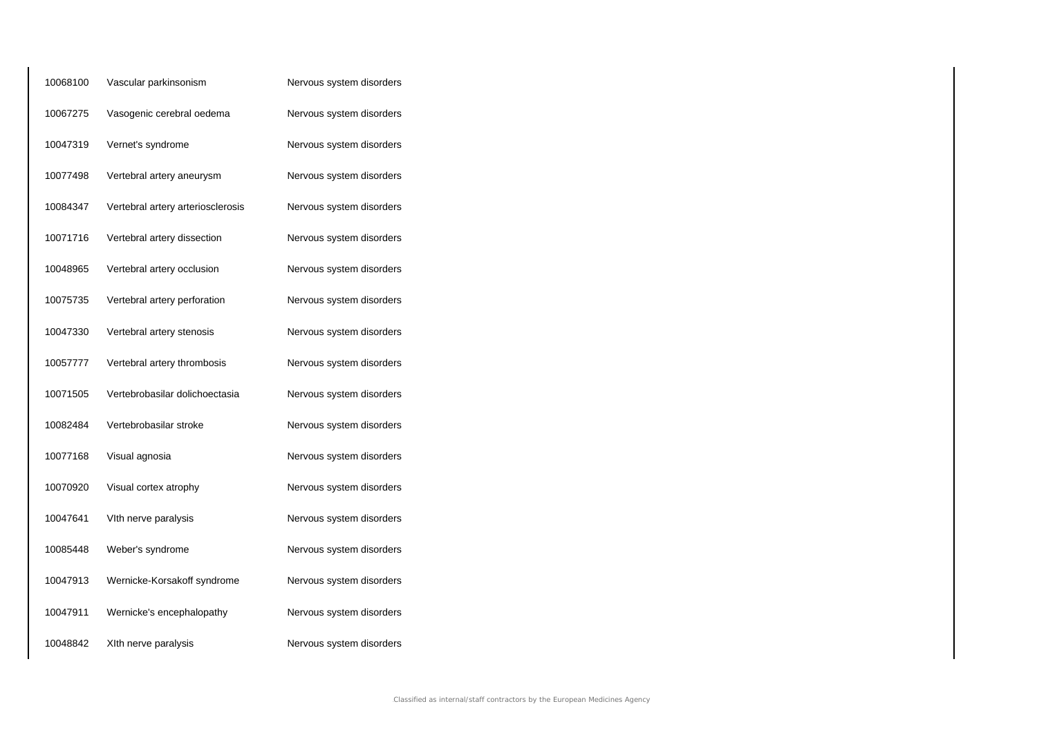| 10068100 | Vascular parkinsonism             | Nervous system disorders |
|----------|-----------------------------------|--------------------------|
| 10067275 | Vasogenic cerebral oedema         | Nervous system disorders |
| 10047319 | Vernet's syndrome                 | Nervous system disorders |
| 10077498 | Vertebral artery aneurysm         | Nervous system disorders |
| 10084347 | Vertebral artery arteriosclerosis | Nervous system disorders |
| 10071716 | Vertebral artery dissection       | Nervous system disorders |
| 10048965 | Vertebral artery occlusion        | Nervous system disorders |
| 10075735 | Vertebral artery perforation      | Nervous system disorders |
| 10047330 | Vertebral artery stenosis         | Nervous system disorders |
| 10057777 | Vertebral artery thrombosis       | Nervous system disorders |
| 10071505 | Vertebrobasilar dolichoectasia    | Nervous system disorders |
| 10082484 | Vertebrobasilar stroke            | Nervous system disorders |
| 10077168 | Visual agnosia                    | Nervous system disorders |
| 10070920 | Visual cortex atrophy             | Nervous system disorders |
| 10047641 | VIth nerve paralysis              | Nervous system disorders |
| 10085448 | Weber's syndrome                  | Nervous system disorders |
| 10047913 | Wernicke-Korsakoff syndrome       | Nervous system disorders |
| 10047911 | Wernicke's encephalopathy         | Nervous system disorders |
| 10048842 | XIth nerve paralysis              | Nervous system disorders |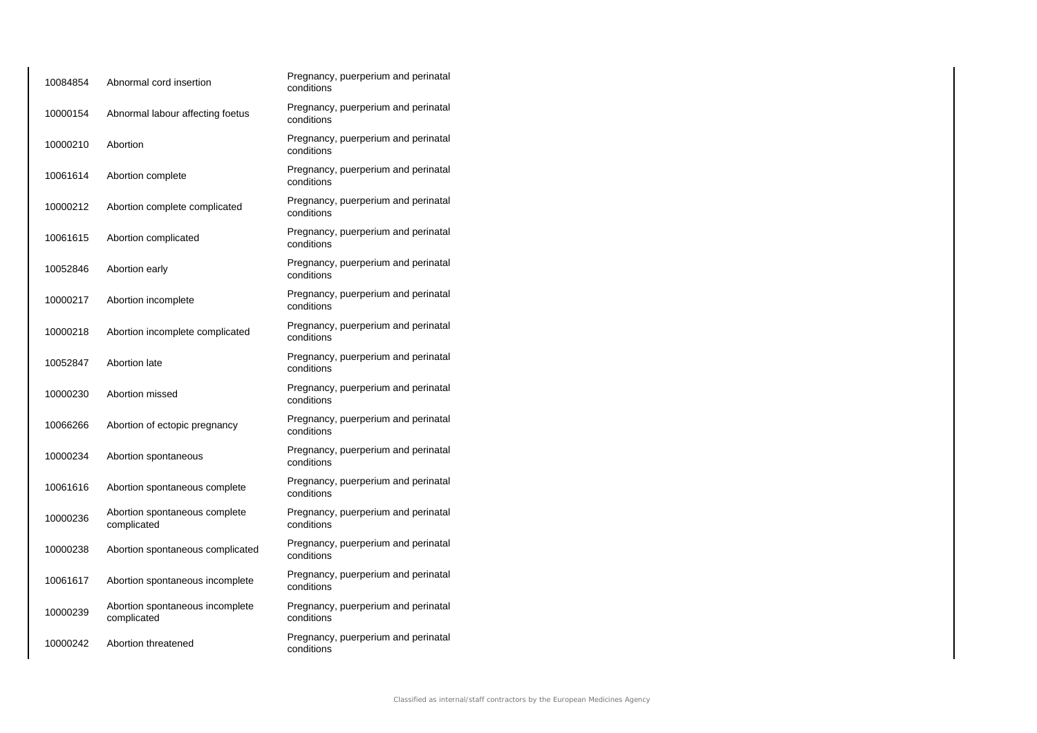| 10084854 | Abnormal cord insertion                        | Pregnancy, puerperium and perinatal<br>conditions |
|----------|------------------------------------------------|---------------------------------------------------|
| 10000154 | Abnormal labour affecting foetus               | Pregnancy, puerperium and perinatal<br>conditions |
| 10000210 | Abortion                                       | Pregnancy, puerperium and perinatal<br>conditions |
| 10061614 | Abortion complete                              | Pregnancy, puerperium and perinatal<br>conditions |
| 10000212 | Abortion complete complicated                  | Pregnancy, puerperium and perinatal<br>conditions |
| 10061615 | Abortion complicated                           | Pregnancy, puerperium and perinatal<br>conditions |
| 10052846 | Abortion early                                 | Pregnancy, puerperium and perinatal<br>conditions |
| 10000217 | Abortion incomplete                            | Pregnancy, puerperium and perinatal<br>conditions |
| 10000218 | Abortion incomplete complicated                | Pregnancy, puerperium and perinatal<br>conditions |
| 10052847 | Abortion late                                  | Pregnancy, puerperium and perinatal<br>conditions |
| 10000230 | Abortion missed                                | Pregnancy, puerperium and perinatal<br>conditions |
| 10066266 | Abortion of ectopic pregnancy                  | Pregnancy, puerperium and perinatal<br>conditions |
| 10000234 | Abortion spontaneous                           | Pregnancy, puerperium and perinatal<br>conditions |
| 10061616 | Abortion spontaneous complete                  | Pregnancy, puerperium and perinatal<br>conditions |
| 10000236 | Abortion spontaneous complete<br>complicated   | Pregnancy, puerperium and perinatal<br>conditions |
| 10000238 | Abortion spontaneous complicated               | Pregnancy, puerperium and perinatal<br>conditions |
| 10061617 | Abortion spontaneous incomplete                | Pregnancy, puerperium and perinatal<br>conditions |
| 10000239 | Abortion spontaneous incomplete<br>complicated | Pregnancy, puerperium and perinatal<br>conditions |
| 10000242 | Abortion threatened                            | Pregnancy, puerperium and perinatal<br>conditions |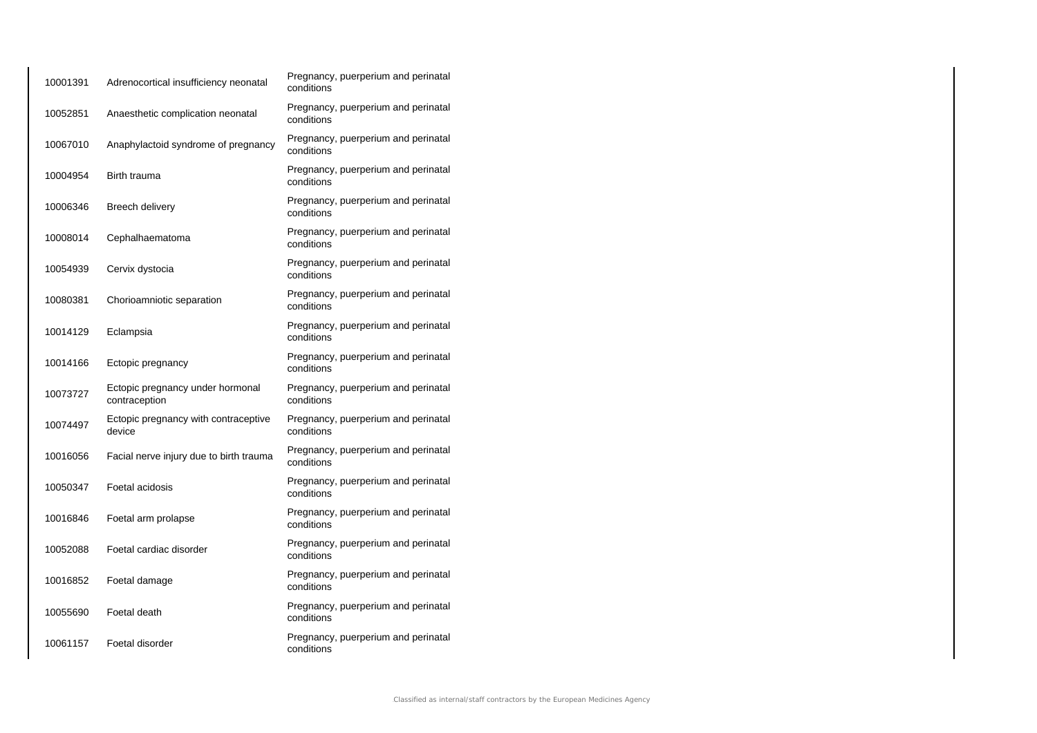| 10001391 | Adrenocortical insufficiency neonatal             | Pregnancy, puerperium and perinatal<br>conditions |
|----------|---------------------------------------------------|---------------------------------------------------|
| 10052851 | Anaesthetic complication neonatal                 | Pregnancy, puerperium and perinatal<br>conditions |
| 10067010 | Anaphylactoid syndrome of pregnancy               | Pregnancy, puerperium and perinatal<br>conditions |
| 10004954 | Birth trauma                                      | Pregnancy, puerperium and perinatal<br>conditions |
| 10006346 | Breech delivery                                   | Pregnancy, puerperium and perinatal<br>conditions |
| 10008014 | Cephalhaematoma                                   | Pregnancy, puerperium and perinatal<br>conditions |
| 10054939 | Cervix dystocia                                   | Pregnancy, puerperium and perinatal<br>conditions |
| 10080381 | Chorioamniotic separation                         | Pregnancy, puerperium and perinatal<br>conditions |
| 10014129 | Eclampsia                                         | Pregnancy, puerperium and perinatal<br>conditions |
| 10014166 | Ectopic pregnancy                                 | Pregnancy, puerperium and perinatal<br>conditions |
| 10073727 | Ectopic pregnancy under hormonal<br>contraception | Pregnancy, puerperium and perinatal<br>conditions |
| 10074497 | Ectopic pregnancy with contraceptive<br>device    | Pregnancy, puerperium and perinatal<br>conditions |
| 10016056 | Facial nerve injury due to birth trauma           | Pregnancy, puerperium and perinatal<br>conditions |
| 10050347 | Foetal acidosis                                   | Pregnancy, puerperium and perinatal<br>conditions |
| 10016846 | Foetal arm prolapse                               | Pregnancy, puerperium and perinatal<br>conditions |
| 10052088 | Foetal cardiac disorder                           | Pregnancy, puerperium and perinatal<br>conditions |
| 10016852 | Foetal damage                                     | Pregnancy, puerperium and perinatal<br>conditions |
| 10055690 | Foetal death                                      | Pregnancy, puerperium and perinatal<br>conditions |
| 10061157 | Foetal disorder                                   | Pregnancy, puerperium and perinatal<br>conditions |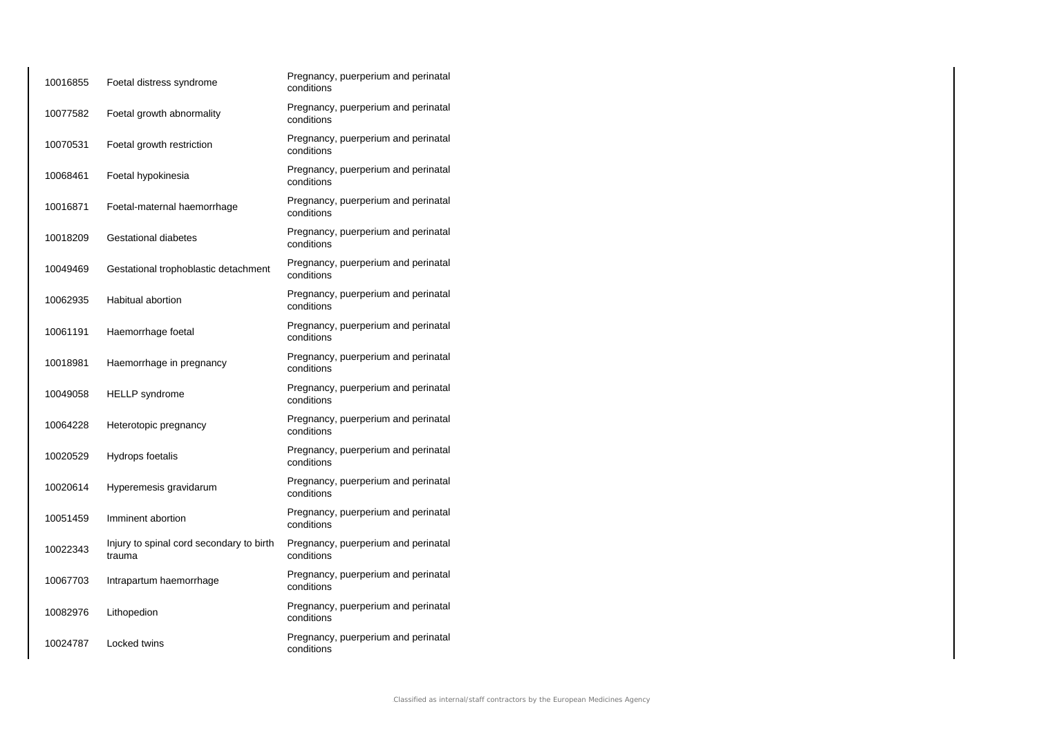| 10016855 | Foetal distress syndrome                           | Pregnancy, puerperium and perinatal<br>conditions |
|----------|----------------------------------------------------|---------------------------------------------------|
| 10077582 | Foetal growth abnormality                          | Pregnancy, puerperium and perinatal<br>conditions |
| 10070531 | Foetal growth restriction                          | Pregnancy, puerperium and perinatal<br>conditions |
| 10068461 | Foetal hypokinesia                                 | Pregnancy, puerperium and perinatal<br>conditions |
| 10016871 | Foetal-maternal haemorrhage                        | Pregnancy, puerperium and perinatal<br>conditions |
| 10018209 | Gestational diabetes                               | Pregnancy, puerperium and perinatal<br>conditions |
| 10049469 | Gestational trophoblastic detachment               | Pregnancy, puerperium and perinatal<br>conditions |
| 10062935 | Habitual abortion                                  | Pregnancy, puerperium and perinatal<br>conditions |
| 10061191 | Haemorrhage foetal                                 | Pregnancy, puerperium and perinatal<br>conditions |
| 10018981 | Haemorrhage in pregnancy                           | Pregnancy, puerperium and perinatal<br>conditions |
| 10049058 | <b>HELLP</b> syndrome                              | Pregnancy, puerperium and perinatal<br>conditions |
| 10064228 | Heterotopic pregnancy                              | Pregnancy, puerperium and perinatal<br>conditions |
| 10020529 | Hydrops foetalis                                   | Pregnancy, puerperium and perinatal<br>conditions |
| 10020614 | Hyperemesis gravidarum                             | Pregnancy, puerperium and perinatal<br>conditions |
| 10051459 | Imminent abortion                                  | Pregnancy, puerperium and perinatal<br>conditions |
| 10022343 | Injury to spinal cord secondary to birth<br>trauma | Pregnancy, puerperium and perinatal<br>conditions |
| 10067703 | Intrapartum haemorrhage                            | Pregnancy, puerperium and perinatal<br>conditions |
| 10082976 | Lithopedion                                        | Pregnancy, puerperium and perinatal<br>conditions |
| 10024787 | Locked twins                                       | Pregnancy, puerperium and perinatal<br>conditions |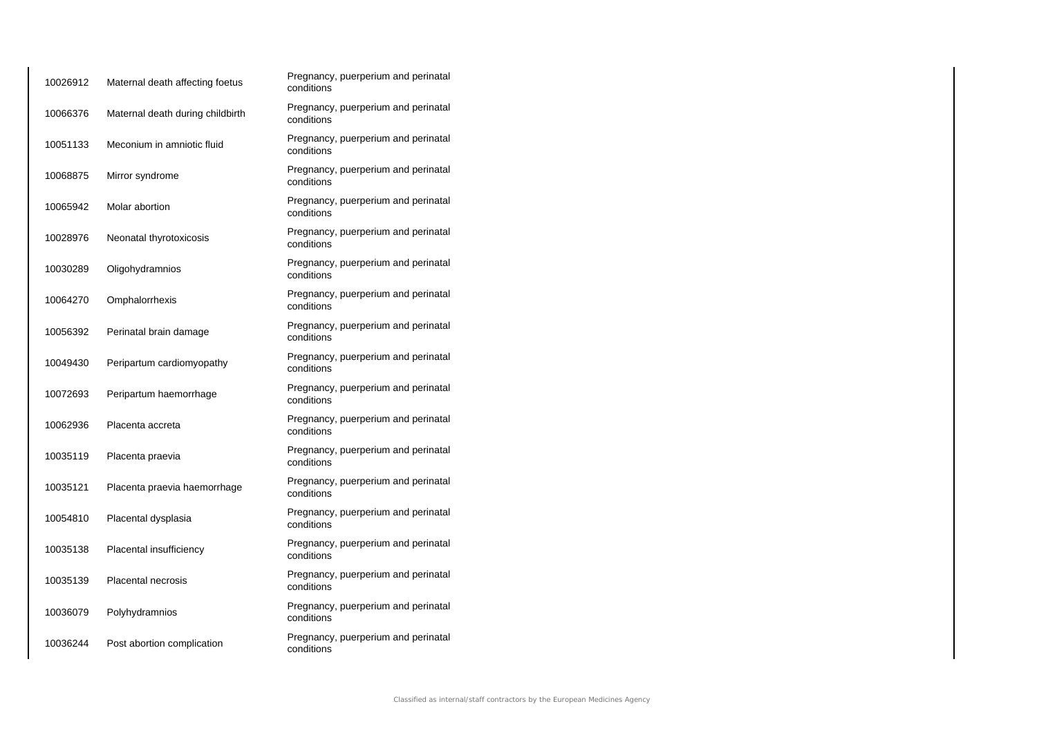| 10026912 | Maternal death affecting foetus  | Pregnancy, puerperium and perinatal<br>conditions |
|----------|----------------------------------|---------------------------------------------------|
| 10066376 | Maternal death during childbirth | Pregnancy, puerperium and perinatal<br>conditions |
| 10051133 | Meconium in amniotic fluid       | Pregnancy, puerperium and perinatal<br>conditions |
| 10068875 | Mirror syndrome                  | Pregnancy, puerperium and perinatal<br>conditions |
| 10065942 | Molar abortion                   | Pregnancy, puerperium and perinatal<br>conditions |
| 10028976 | Neonatal thyrotoxicosis          | Pregnancy, puerperium and perinatal<br>conditions |
| 10030289 | Oligohydramnios                  | Pregnancy, puerperium and perinatal<br>conditions |
| 10064270 | Omphalorrhexis                   | Pregnancy, puerperium and perinatal<br>conditions |
| 10056392 | Perinatal brain damage           | Pregnancy, puerperium and perinatal<br>conditions |
| 10049430 | Peripartum cardiomyopathy        | Pregnancy, puerperium and perinatal<br>conditions |
| 10072693 | Peripartum haemorrhage           | Pregnancy, puerperium and perinatal<br>conditions |
| 10062936 | Placenta accreta                 | Pregnancy, puerperium and perinatal<br>conditions |
| 10035119 | Placenta praevia                 | Pregnancy, puerperium and perinatal<br>conditions |
| 10035121 | Placenta praevia haemorrhage     | Pregnancy, puerperium and perinatal<br>conditions |
| 10054810 | Placental dysplasia              | Pregnancy, puerperium and perinatal<br>conditions |
| 10035138 | Placental insufficiency          | Pregnancy, puerperium and perinatal<br>conditions |
| 10035139 | <b>Placental necrosis</b>        | Pregnancy, puerperium and perinatal<br>conditions |
| 10036079 | Polyhydramnios                   | Pregnancy, puerperium and perinatal<br>conditions |
| 10036244 | Post abortion complication       | Pregnancy, puerperium and perinatal<br>conditions |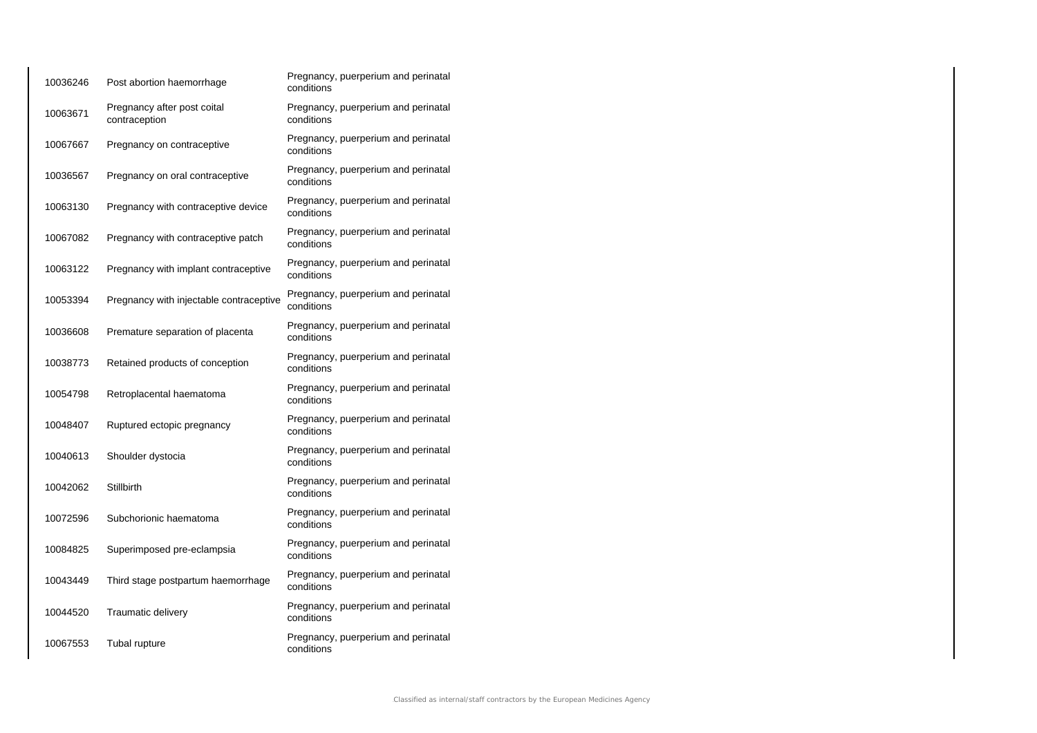| 10036246 | Post abortion haemorrhage                    | Pregnancy, puerperium and perinatal<br>conditions |
|----------|----------------------------------------------|---------------------------------------------------|
| 10063671 | Pregnancy after post coital<br>contraception | Pregnancy, puerperium and perinatal<br>conditions |
| 10067667 | Pregnancy on contraceptive                   | Pregnancy, puerperium and perinatal<br>conditions |
| 10036567 | Pregnancy on oral contraceptive              | Pregnancy, puerperium and perinatal<br>conditions |
| 10063130 | Pregnancy with contraceptive device          | Pregnancy, puerperium and perinatal<br>conditions |
| 10067082 | Pregnancy with contraceptive patch           | Pregnancy, puerperium and perinatal<br>conditions |
| 10063122 | Pregnancy with implant contraceptive         | Pregnancy, puerperium and perinatal<br>conditions |
| 10053394 | Pregnancy with injectable contraceptive      | Pregnancy, puerperium and perinatal<br>conditions |
| 10036608 | Premature separation of placenta             | Pregnancy, puerperium and perinatal<br>conditions |
| 10038773 | Retained products of conception              | Pregnancy, puerperium and perinatal<br>conditions |
| 10054798 | Retroplacental haematoma                     | Pregnancy, puerperium and perinatal<br>conditions |
| 10048407 | Ruptured ectopic pregnancy                   | Pregnancy, puerperium and perinatal<br>conditions |
| 10040613 | Shoulder dystocia                            | Pregnancy, puerperium and perinatal<br>conditions |
| 10042062 | <b>Stillbirth</b>                            | Pregnancy, puerperium and perinatal<br>conditions |
| 10072596 | Subchorionic haematoma                       | Pregnancy, puerperium and perinatal<br>conditions |
| 10084825 | Superimposed pre-eclampsia                   | Pregnancy, puerperium and perinatal<br>conditions |
| 10043449 | Third stage postpartum haemorrhage           | Pregnancy, puerperium and perinatal<br>conditions |
| 10044520 | Traumatic delivery                           | Pregnancy, puerperium and perinatal<br>conditions |
| 10067553 | Tubal rupture                                | Pregnancy, puerperium and perinatal<br>conditions |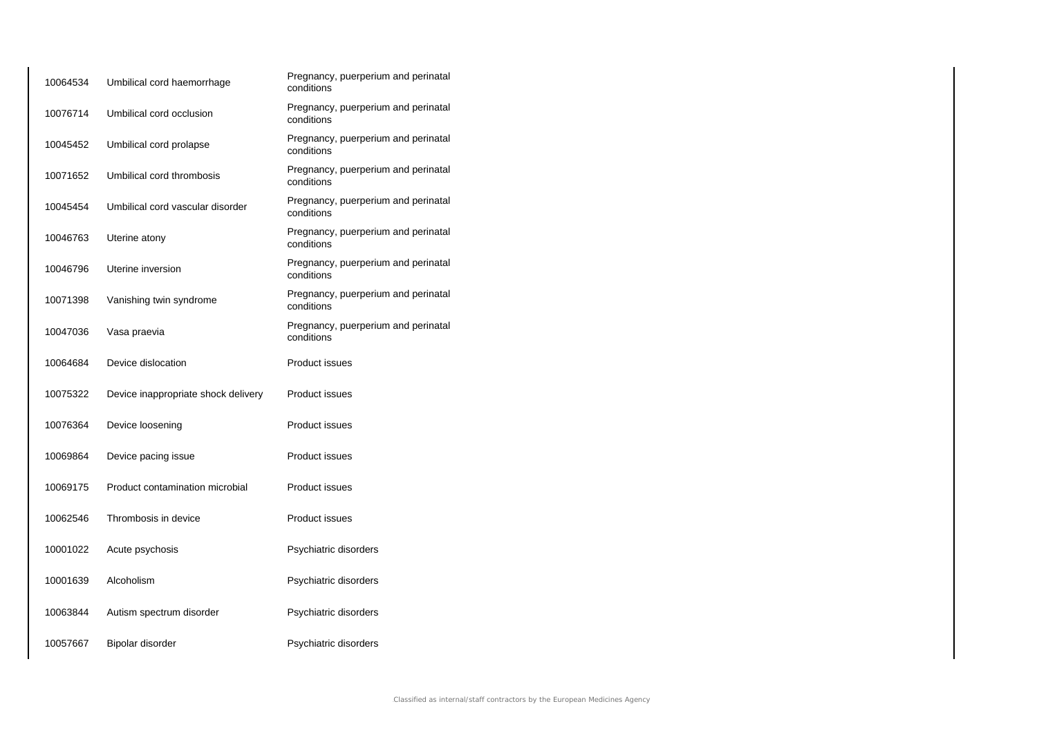| 10064534 | Umbilical cord haemorrhage          | Pregnancy, puerperium and perinatal<br>conditions |
|----------|-------------------------------------|---------------------------------------------------|
| 10076714 | Umbilical cord occlusion            | Pregnancy, puerperium and perinatal<br>conditions |
| 10045452 | Umbilical cord prolapse             | Pregnancy, puerperium and perinatal<br>conditions |
| 10071652 | Umbilical cord thrombosis           | Pregnancy, puerperium and perinatal<br>conditions |
| 10045454 | Umbilical cord vascular disorder    | Pregnancy, puerperium and perinatal<br>conditions |
| 10046763 | Uterine atony                       | Pregnancy, puerperium and perinatal<br>conditions |
| 10046796 | Uterine inversion                   | Pregnancy, puerperium and perinatal<br>conditions |
| 10071398 | Vanishing twin syndrome             | Pregnancy, puerperium and perinatal<br>conditions |
| 10047036 | Vasa praevia                        | Pregnancy, puerperium and perinatal<br>conditions |
| 10064684 | Device dislocation                  | <b>Product issues</b>                             |
| 10075322 | Device inappropriate shock delivery | <b>Product issues</b>                             |
| 10076364 | Device loosening                    | <b>Product issues</b>                             |
| 10069864 | Device pacing issue                 | <b>Product issues</b>                             |
| 10069175 | Product contamination microbial     | <b>Product issues</b>                             |
| 10062546 | Thrombosis in device                | <b>Product issues</b>                             |
| 10001022 | Acute psychosis                     | Psychiatric disorders                             |
| 10001639 | Alcoholism                          | Psychiatric disorders                             |
| 10063844 | Autism spectrum disorder            | Psychiatric disorders                             |
| 10057667 | Bipolar disorder                    | Psychiatric disorders                             |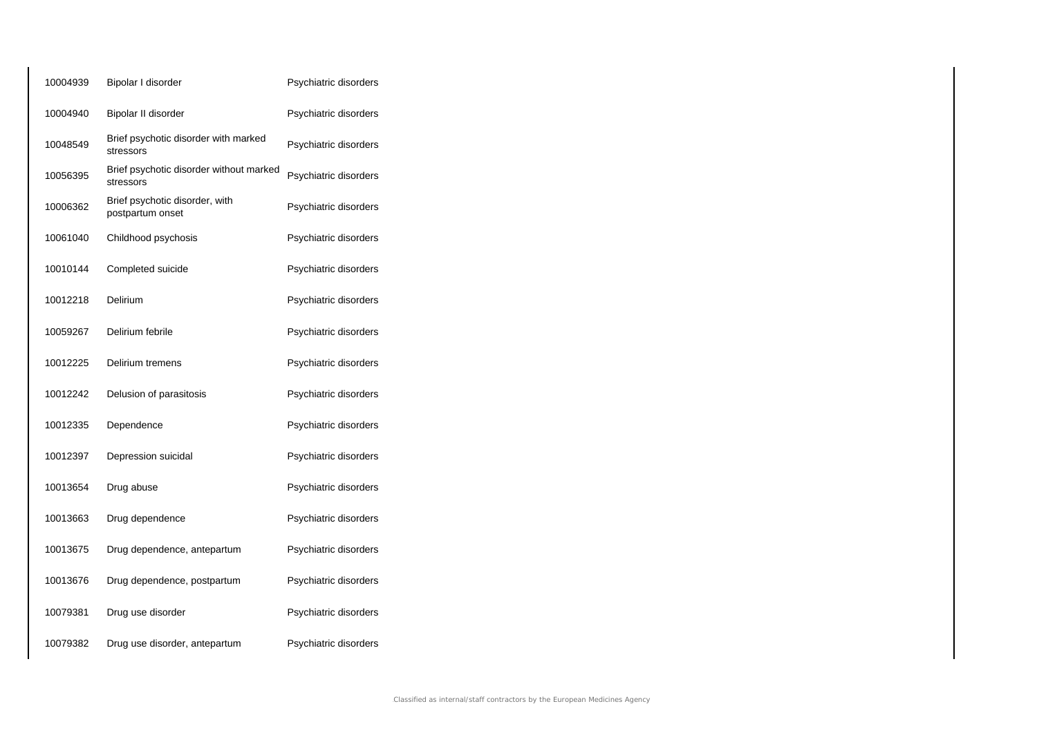| 10004939 | Bipolar I disorder                                   | Psychiatric disorders |
|----------|------------------------------------------------------|-----------------------|
| 10004940 | Bipolar II disorder                                  | Psychiatric disorders |
| 10048549 | Brief psychotic disorder with marked<br>stressors    | Psychiatric disorders |
| 10056395 | Brief psychotic disorder without marked<br>stressors | Psychiatric disorders |
| 10006362 | Brief psychotic disorder, with<br>postpartum onset   | Psychiatric disorders |
| 10061040 | Childhood psychosis                                  | Psychiatric disorders |
| 10010144 | Completed suicide                                    | Psychiatric disorders |
| 10012218 | Delirium                                             | Psychiatric disorders |
| 10059267 | Delirium febrile                                     | Psychiatric disorders |
| 10012225 | Delirium tremens                                     | Psychiatric disorders |
| 10012242 | Delusion of parasitosis                              | Psychiatric disorders |
| 10012335 | Dependence                                           | Psychiatric disorders |
| 10012397 | Depression suicidal                                  | Psychiatric disorders |
| 10013654 | Drug abuse                                           | Psychiatric disorders |
| 10013663 | Drug dependence                                      | Psychiatric disorders |
| 10013675 | Drug dependence, antepartum                          | Psychiatric disorders |
| 10013676 | Drug dependence, postpartum                          | Psychiatric disorders |
| 10079381 | Drug use disorder                                    | Psychiatric disorders |
| 10079382 | Drug use disorder, antepartum                        | Psychiatric disorders |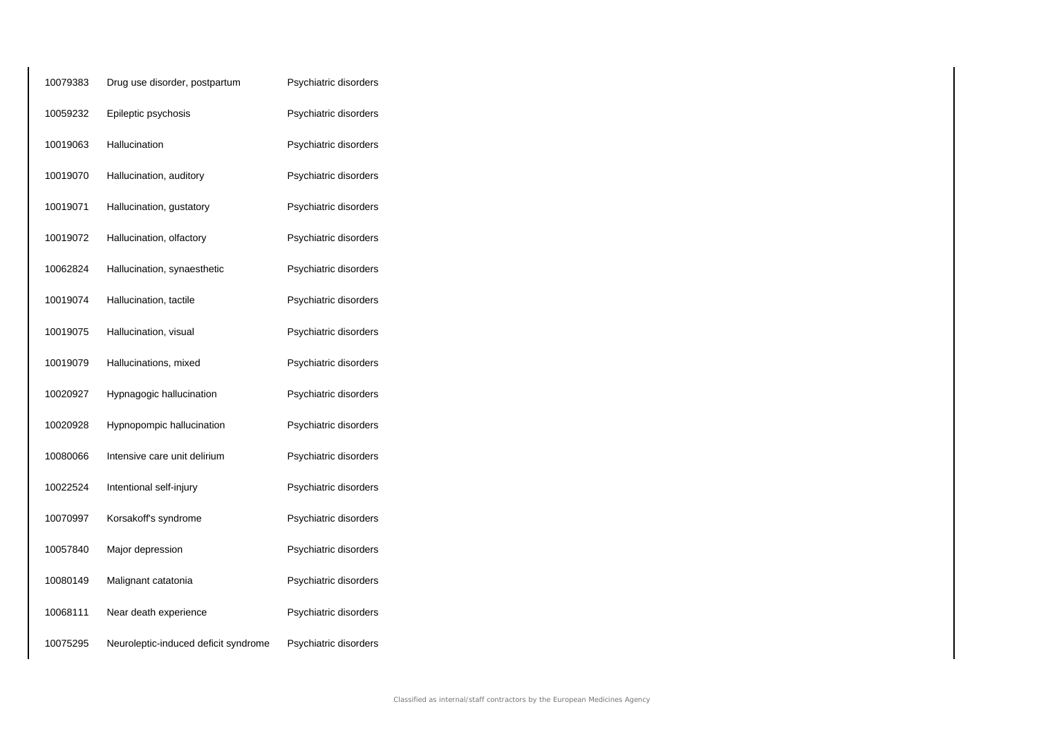| 10079383 | Drug use disorder, postpartum        | Psychiatric disorders |
|----------|--------------------------------------|-----------------------|
| 10059232 | Epileptic psychosis                  | Psychiatric disorders |
| 10019063 | Hallucination                        | Psychiatric disorders |
| 10019070 | Hallucination, auditory              | Psychiatric disorders |
| 10019071 | Hallucination, gustatory             | Psychiatric disorders |
| 10019072 | Hallucination, olfactory             | Psychiatric disorders |
| 10062824 | Hallucination, synaesthetic          | Psychiatric disorders |
| 10019074 | Hallucination, tactile               | Psychiatric disorders |
| 10019075 | Hallucination, visual                | Psychiatric disorders |
| 10019079 | Hallucinations, mixed                | Psychiatric disorders |
| 10020927 | Hypnagogic hallucination             | Psychiatric disorders |
| 10020928 | Hypnopompic hallucination            | Psychiatric disorders |
| 10080066 | Intensive care unit delirium         | Psychiatric disorders |
| 10022524 | Intentional self-injury              | Psychiatric disorders |
| 10070997 | Korsakoff's syndrome                 | Psychiatric disorders |
| 10057840 | Major depression                     | Psychiatric disorders |
| 10080149 | Malignant catatonia                  | Psychiatric disorders |
| 10068111 | Near death experience                | Psychiatric disorders |
| 10075295 | Neuroleptic-induced deficit syndrome | Psychiatric disorders |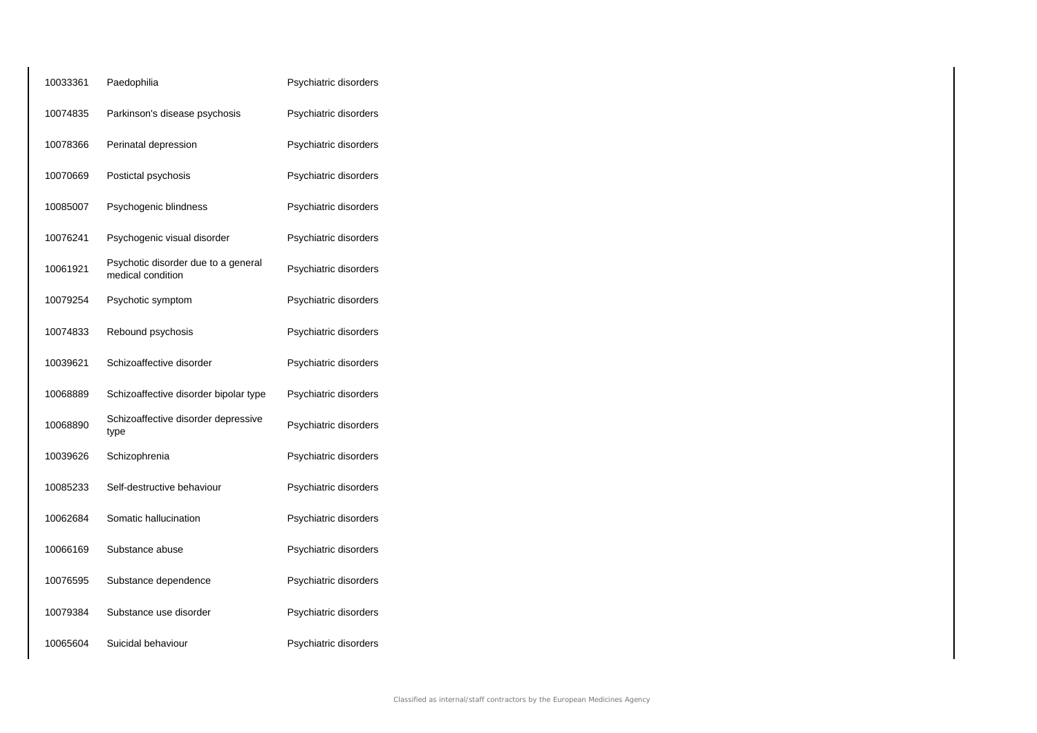| 10033361 | Paedophilia                                              | Psychiatric disorders |
|----------|----------------------------------------------------------|-----------------------|
| 10074835 | Parkinson's disease psychosis                            | Psychiatric disorders |
| 10078366 | Perinatal depression                                     | Psychiatric disorders |
| 10070669 | Postictal psychosis                                      | Psychiatric disorders |
| 10085007 | Psychogenic blindness                                    | Psychiatric disorders |
| 10076241 | Psychogenic visual disorder                              | Psychiatric disorders |
| 10061921 | Psychotic disorder due to a general<br>medical condition | Psychiatric disorders |
| 10079254 | Psychotic symptom                                        | Psychiatric disorders |
| 10074833 | Rebound psychosis                                        | Psychiatric disorders |
| 10039621 | Schizoaffective disorder                                 | Psychiatric disorders |
| 10068889 | Schizoaffective disorder bipolar type                    | Psychiatric disorders |
| 10068890 | Schizoaffective disorder depressive<br>type              | Psychiatric disorders |
| 10039626 | Schizophrenia                                            | Psychiatric disorders |
| 10085233 | Self-destructive behaviour                               | Psychiatric disorders |
| 10062684 | Somatic hallucination                                    | Psychiatric disorders |
| 10066169 | Substance abuse                                          | Psychiatric disorders |
| 10076595 | Substance dependence                                     | Psychiatric disorders |
| 10079384 | Substance use disorder                                   | Psychiatric disorders |
| 10065604 | Suicidal behaviour                                       | Psychiatric disorders |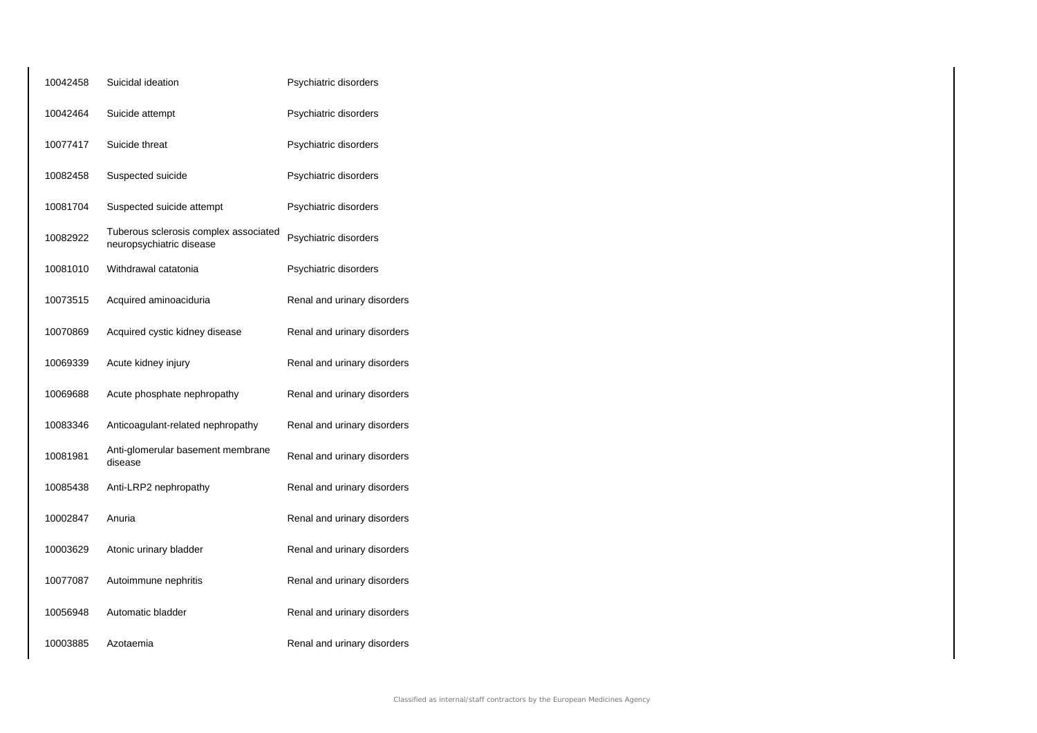| 10042458 | Suicidal ideation                                                 | Psychiatric disorders       |
|----------|-------------------------------------------------------------------|-----------------------------|
| 10042464 | Suicide attempt                                                   | Psychiatric disorders       |
| 10077417 | Suicide threat                                                    | Psychiatric disorders       |
| 10082458 | Suspected suicide                                                 | Psychiatric disorders       |
| 10081704 | Suspected suicide attempt                                         | Psychiatric disorders       |
| 10082922 | Tuberous sclerosis complex associated<br>neuropsychiatric disease | Psychiatric disorders       |
| 10081010 | Withdrawal catatonia                                              | Psychiatric disorders       |
| 10073515 | Acquired aminoaciduria                                            | Renal and urinary disorders |
| 10070869 | Acquired cystic kidney disease                                    | Renal and urinary disorders |
| 10069339 | Acute kidney injury                                               | Renal and urinary disorders |
| 10069688 | Acute phosphate nephropathy                                       | Renal and urinary disorders |
| 10083346 | Anticoagulant-related nephropathy                                 | Renal and urinary disorders |
| 10081981 | Anti-glomerular basement membrane<br>disease                      | Renal and urinary disorders |
| 10085438 | Anti-LRP2 nephropathy                                             | Renal and urinary disorders |
| 10002847 | Anuria                                                            | Renal and urinary disorders |
| 10003629 | Atonic urinary bladder                                            | Renal and urinary disorders |
| 10077087 | Autoimmune nephritis                                              | Renal and urinary disorders |
| 10056948 | Automatic bladder                                                 | Renal and urinary disorders |
| 10003885 | Azotaemia                                                         | Renal and urinary disorders |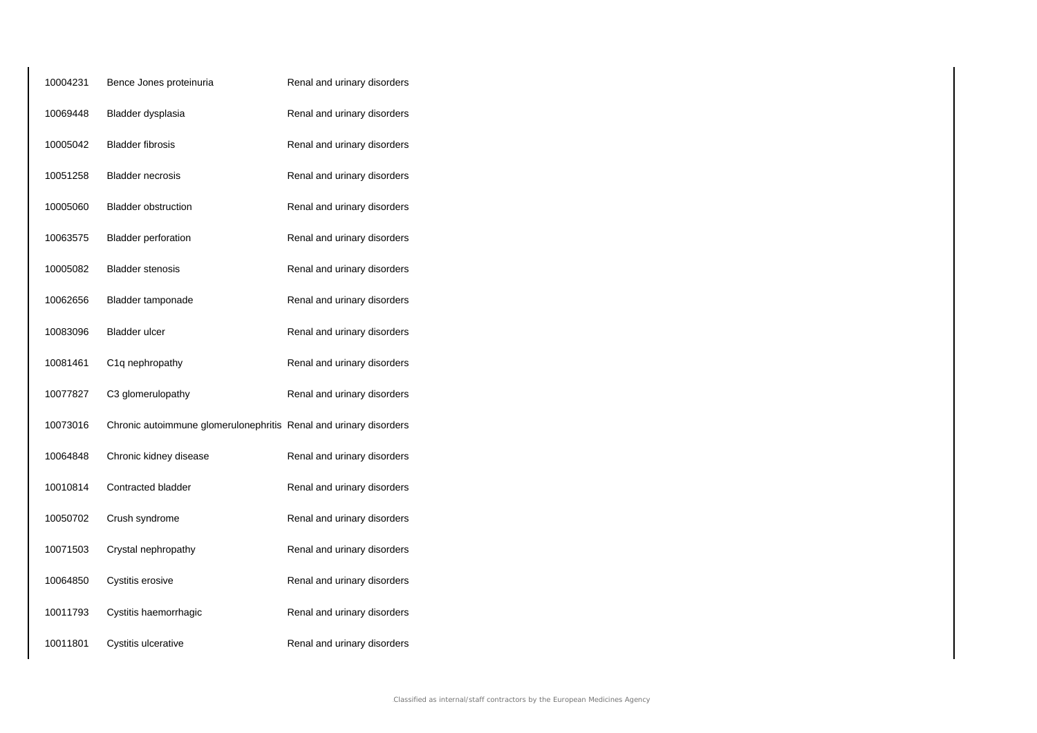| 10004231 | Bence Jones proteinuria                                           | Renal and urinary disorders |
|----------|-------------------------------------------------------------------|-----------------------------|
| 10069448 | Bladder dysplasia                                                 | Renal and urinary disorders |
| 10005042 | <b>Bladder fibrosis</b>                                           | Renal and urinary disorders |
| 10051258 | <b>Bladder necrosis</b>                                           | Renal and urinary disorders |
| 10005060 | <b>Bladder obstruction</b>                                        | Renal and urinary disorders |
| 10063575 | <b>Bladder perforation</b>                                        | Renal and urinary disorders |
| 10005082 | <b>Bladder stenosis</b>                                           | Renal and urinary disorders |
| 10062656 | Bladder tamponade                                                 | Renal and urinary disorders |
| 10083096 | <b>Bladder ulcer</b>                                              | Renal and urinary disorders |
| 10081461 | C1q nephropathy                                                   | Renal and urinary disorders |
| 10077827 | C3 glomerulopathy                                                 | Renal and urinary disorders |
| 10073016 | Chronic autoimmune glomerulonephritis Renal and urinary disorders |                             |
| 10064848 | Chronic kidney disease                                            | Renal and urinary disorders |
| 10010814 | Contracted bladder                                                | Renal and urinary disorders |
| 10050702 | Crush syndrome                                                    | Renal and urinary disorders |
| 10071503 | Crystal nephropathy                                               | Renal and urinary disorders |
| 10064850 | Cystitis erosive                                                  | Renal and urinary disorders |
| 10011793 | Cystitis haemorrhagic                                             | Renal and urinary disorders |
| 10011801 | Cystitis ulcerative                                               | Renal and urinary disorders |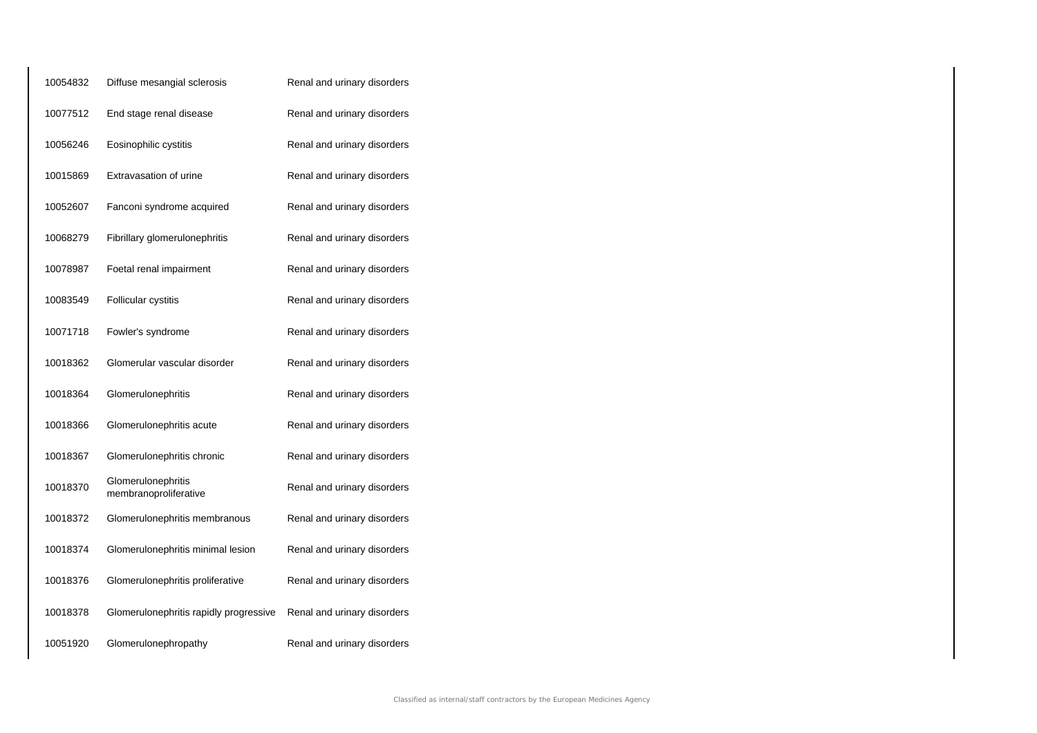| 10054832 | Diffuse mesangial sclerosis                 | Renal and urinary disorders |
|----------|---------------------------------------------|-----------------------------|
| 10077512 | End stage renal disease                     | Renal and urinary disorders |
| 10056246 | Eosinophilic cystitis                       | Renal and urinary disorders |
| 10015869 | Extravasation of urine                      | Renal and urinary disorders |
| 10052607 | Fanconi syndrome acquired                   | Renal and urinary disorders |
| 10068279 | Fibrillary glomerulonephritis               | Renal and urinary disorders |
| 10078987 | Foetal renal impairment                     | Renal and urinary disorders |
| 10083549 | Follicular cystitis                         | Renal and urinary disorders |
| 10071718 | Fowler's syndrome                           | Renal and urinary disorders |
| 10018362 | Glomerular vascular disorder                | Renal and urinary disorders |
| 10018364 | Glomerulonephritis                          | Renal and urinary disorders |
| 10018366 | Glomerulonephritis acute                    | Renal and urinary disorders |
| 10018367 | Glomerulonephritis chronic                  | Renal and urinary disorders |
| 10018370 | Glomerulonephritis<br>membranoproliferative | Renal and urinary disorders |
| 10018372 | Glomerulonephritis membranous               | Renal and urinary disorders |
| 10018374 | Glomerulonephritis minimal lesion           | Renal and urinary disorders |
| 10018376 | Glomerulonephritis proliferative            | Renal and urinary disorders |
| 10018378 | Glomerulonephritis rapidly progressive      | Renal and urinary disorders |
| 10051920 | Glomerulonephropathy                        | Renal and urinary disorders |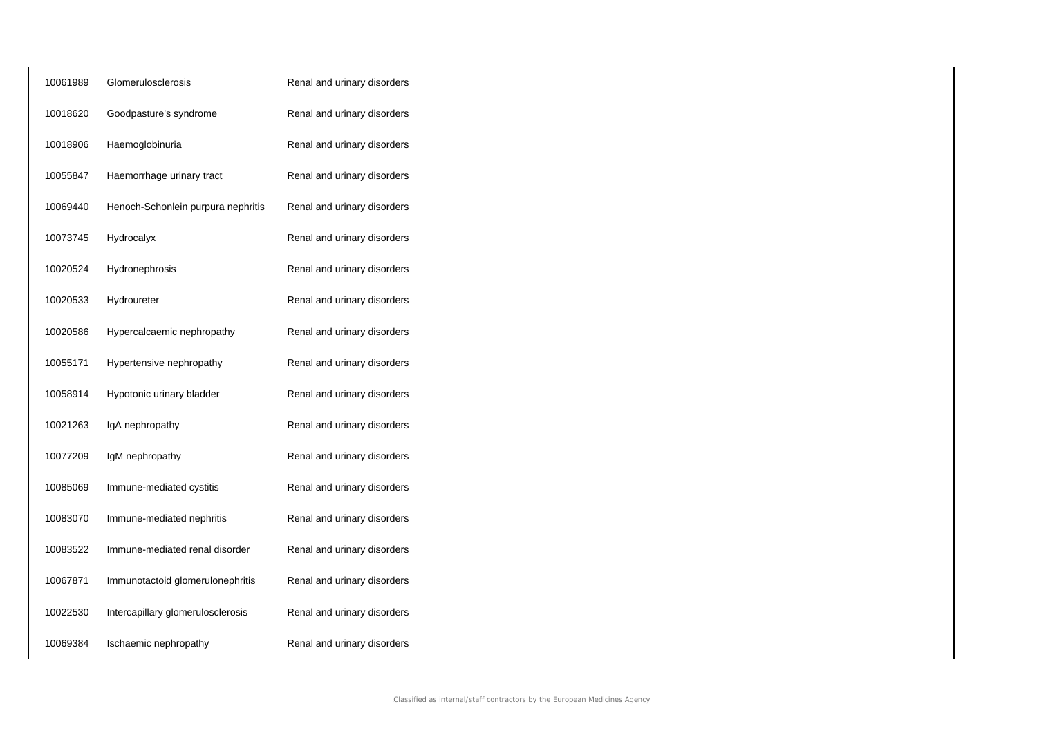| 10061989 | Glomerulosclerosis                 | Renal and urinary disorders |
|----------|------------------------------------|-----------------------------|
| 10018620 | Goodpasture's syndrome             | Renal and urinary disorders |
| 10018906 | Haemoglobinuria                    | Renal and urinary disorders |
| 10055847 | Haemorrhage urinary tract          | Renal and urinary disorders |
| 10069440 | Henoch-Schonlein purpura nephritis | Renal and urinary disorders |
| 10073745 | Hydrocalyx                         | Renal and urinary disorders |
| 10020524 | Hydronephrosis                     | Renal and urinary disorders |
| 10020533 | Hydroureter                        | Renal and urinary disorders |
| 10020586 | Hypercalcaemic nephropathy         | Renal and urinary disorders |
| 10055171 | Hypertensive nephropathy           | Renal and urinary disorders |
| 10058914 | Hypotonic urinary bladder          | Renal and urinary disorders |
| 10021263 | IgA nephropathy                    | Renal and urinary disorders |
| 10077209 | IgM nephropathy                    | Renal and urinary disorders |
| 10085069 | Immune-mediated cystitis           | Renal and urinary disorders |
| 10083070 | Immune-mediated nephritis          | Renal and urinary disorders |
| 10083522 | Immune-mediated renal disorder     | Renal and urinary disorders |
| 10067871 | Immunotactoid glomerulonephritis   | Renal and urinary disorders |
| 10022530 | Intercapillary glomerulosclerosis  | Renal and urinary disorders |
| 10069384 | Ischaemic nephropathy              | Renal and urinary disorders |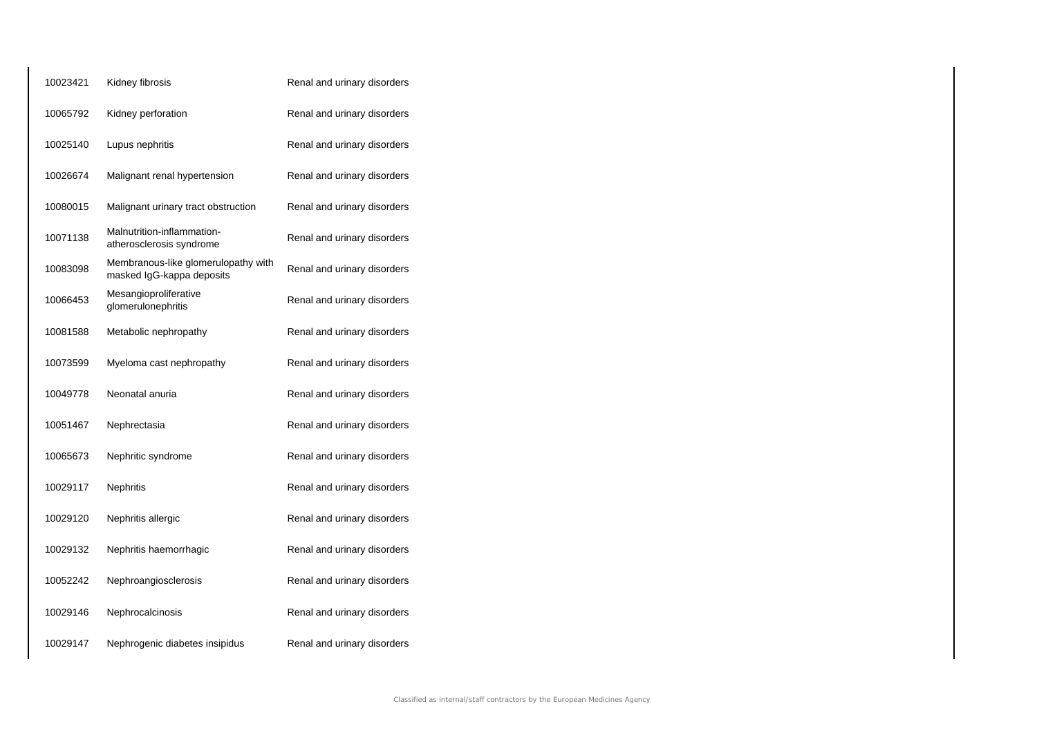| 10023421 | Kidney fibrosis                                                  | Renal and urinary disorders |
|----------|------------------------------------------------------------------|-----------------------------|
| 10065792 | Kidney perforation                                               | Renal and urinary disorders |
| 10025140 | Lupus nephritis                                                  | Renal and urinary disorders |
| 10026674 | Malignant renal hypertension                                     | Renal and urinary disorders |
| 10080015 | Malignant urinary tract obstruction                              | Renal and urinary disorders |
| 10071138 | Malnutrition-inflammation-<br>atherosclerosis syndrome           | Renal and urinary disorders |
| 10083098 | Membranous-like glomerulopathy with<br>masked IgG-kappa deposits | Renal and urinary disorders |
| 10066453 | Mesangioproliferative<br>glomerulonephritis                      | Renal and urinary disorders |
| 10081588 | Metabolic nephropathy                                            | Renal and urinary disorders |
| 10073599 | Myeloma cast nephropathy                                         | Renal and urinary disorders |
| 10049778 | Neonatal anuria                                                  | Renal and urinary disorders |
| 10051467 | Nephrectasia                                                     | Renal and urinary disorders |
| 10065673 | Nephritic syndrome                                               | Renal and urinary disorders |
| 10029117 | <b>Nephritis</b>                                                 | Renal and urinary disorders |
| 10029120 | Nephritis allergic                                               | Renal and urinary disorders |
| 10029132 | Nephritis haemorrhagic                                           | Renal and urinary disorders |
| 10052242 | Nephroangiosclerosis                                             | Renal and urinary disorders |
| 10029146 | Nephrocalcinosis                                                 | Renal and urinary disorders |
| 10029147 | Nephrogenic diabetes insipidus                                   | Renal and urinary disorders |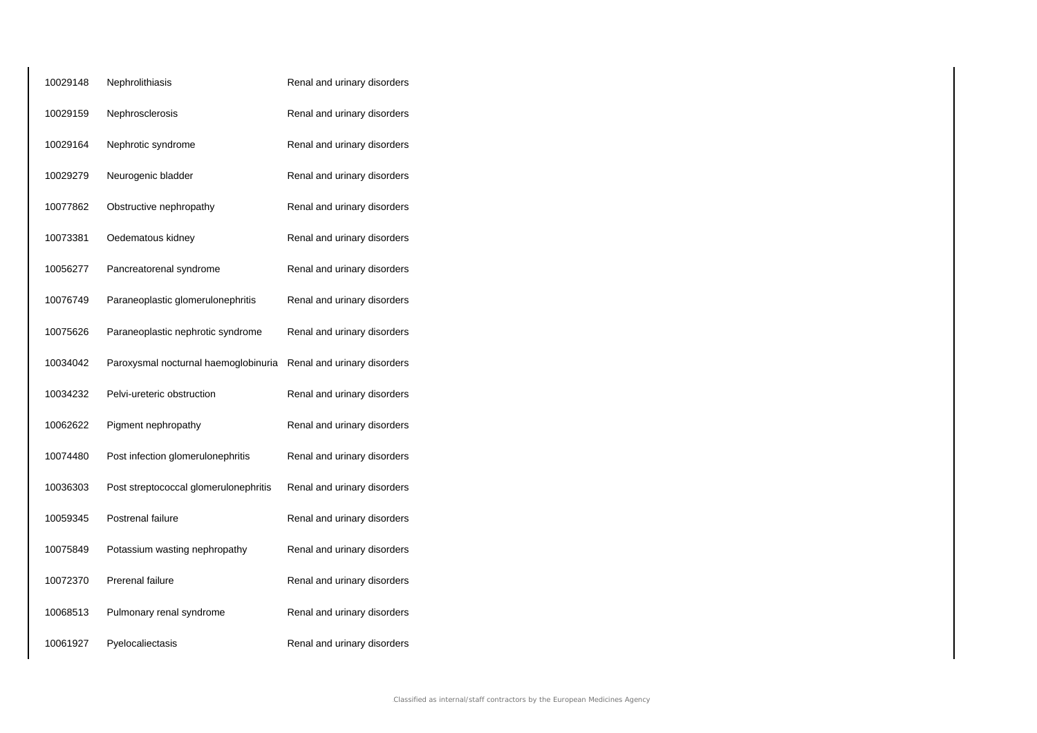| 10029148 | Nephrolithiasis                       | Renal and urinary disorders |
|----------|---------------------------------------|-----------------------------|
| 10029159 | Nephrosclerosis                       | Renal and urinary disorders |
| 10029164 | Nephrotic syndrome                    | Renal and urinary disorders |
| 10029279 | Neurogenic bladder                    | Renal and urinary disorders |
| 10077862 | Obstructive nephropathy               | Renal and urinary disorders |
| 10073381 | Oedematous kidney                     | Renal and urinary disorders |
| 10056277 | Pancreatorenal syndrome               | Renal and urinary disorders |
| 10076749 | Paraneoplastic glomerulonephritis     | Renal and urinary disorders |
| 10075626 | Paraneoplastic nephrotic syndrome     | Renal and urinary disorders |
| 10034042 | Paroxysmal nocturnal haemoglobinuria  | Renal and urinary disorders |
| 10034232 | Pelvi-ureteric obstruction            | Renal and urinary disorders |
| 10062622 | Pigment nephropathy                   | Renal and urinary disorders |
| 10074480 | Post infection glomerulonephritis     | Renal and urinary disorders |
| 10036303 | Post streptococcal glomerulonephritis | Renal and urinary disorders |
| 10059345 | Postrenal failure                     | Renal and urinary disorders |
| 10075849 | Potassium wasting nephropathy         | Renal and urinary disorders |
| 10072370 | <b>Prerenal failure</b>               | Renal and urinary disorders |
| 10068513 | Pulmonary renal syndrome              | Renal and urinary disorders |
| 10061927 | Pyelocaliectasis                      | Renal and urinary disorders |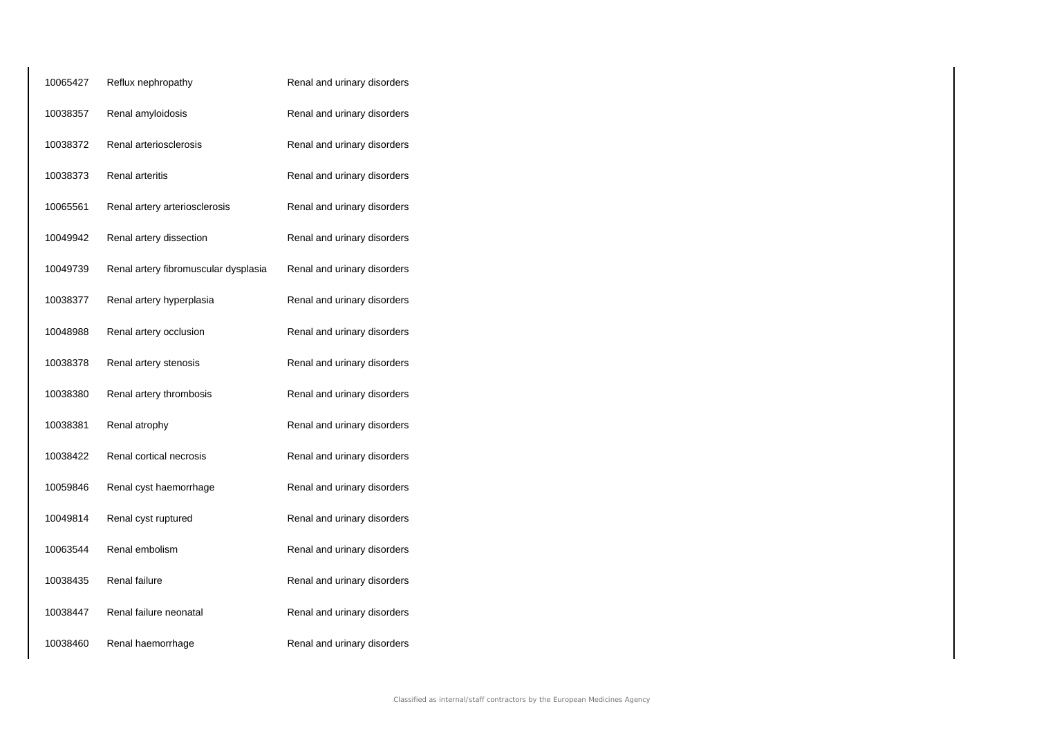| 10065427 | Reflux nephropathy                   | Renal and urinary disorders |
|----------|--------------------------------------|-----------------------------|
| 10038357 | Renal amyloidosis                    | Renal and urinary disorders |
| 10038372 | Renal arteriosclerosis               | Renal and urinary disorders |
| 10038373 | Renal arteritis                      | Renal and urinary disorders |
| 10065561 | Renal artery arteriosclerosis        | Renal and urinary disorders |
| 10049942 | Renal artery dissection              | Renal and urinary disorders |
| 10049739 | Renal artery fibromuscular dysplasia | Renal and urinary disorders |
| 10038377 | Renal artery hyperplasia             | Renal and urinary disorders |
| 10048988 | Renal artery occlusion               | Renal and urinary disorders |
| 10038378 | Renal artery stenosis                | Renal and urinary disorders |
| 10038380 | Renal artery thrombosis              | Renal and urinary disorders |
| 10038381 | Renal atrophy                        | Renal and urinary disorders |
| 10038422 | Renal cortical necrosis              | Renal and urinary disorders |
| 10059846 | Renal cyst haemorrhage               | Renal and urinary disorders |
| 10049814 | Renal cyst ruptured                  | Renal and urinary disorders |
| 10063544 | Renal embolism                       | Renal and urinary disorders |
| 10038435 | Renal failure                        | Renal and urinary disorders |
| 10038447 | Renal failure neonatal               | Renal and urinary disorders |
| 10038460 | Renal haemorrhage                    | Renal and urinary disorders |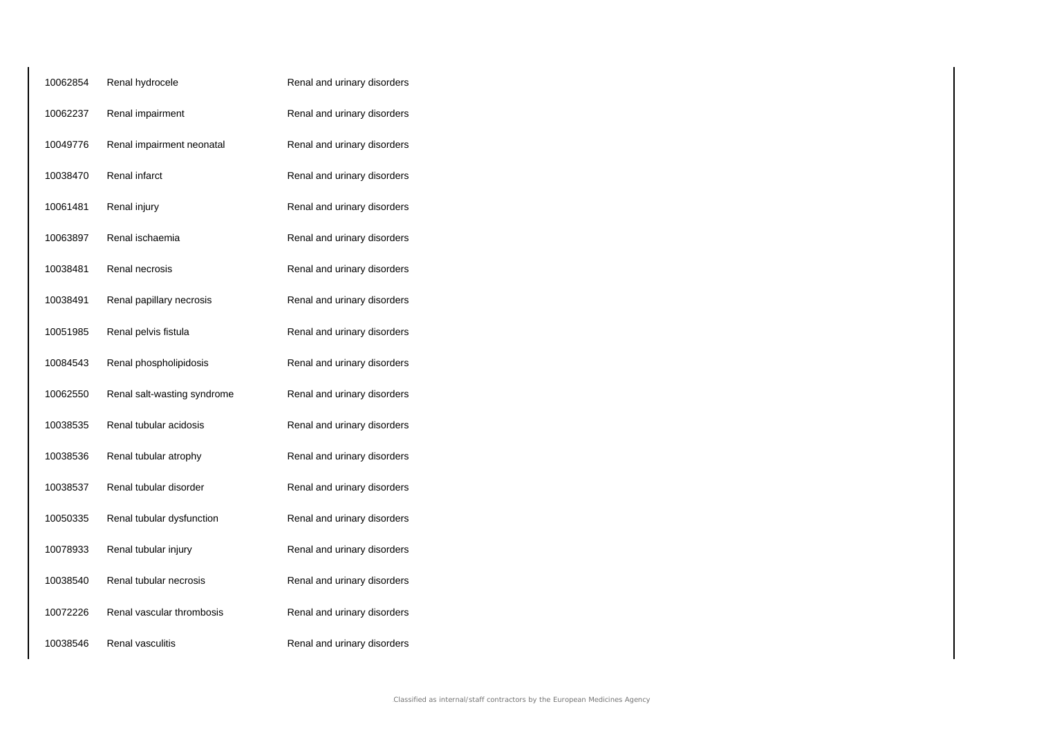| 10062854 | Renal hydrocele             | Renal and urinary disorders |
|----------|-----------------------------|-----------------------------|
| 10062237 | Renal impairment            | Renal and urinary disorders |
| 10049776 | Renal impairment neonatal   | Renal and urinary disorders |
| 10038470 | Renal infarct               | Renal and urinary disorders |
| 10061481 | Renal injury                | Renal and urinary disorders |
| 10063897 | Renal ischaemia             | Renal and urinary disorders |
| 10038481 | Renal necrosis              | Renal and urinary disorders |
| 10038491 | Renal papillary necrosis    | Renal and urinary disorders |
| 10051985 | Renal pelvis fistula        | Renal and urinary disorders |
| 10084543 | Renal phospholipidosis      | Renal and urinary disorders |
| 10062550 | Renal salt-wasting syndrome | Renal and urinary disorders |
| 10038535 | Renal tubular acidosis      | Renal and urinary disorders |
| 10038536 | Renal tubular atrophy       | Renal and urinary disorders |
| 10038537 | Renal tubular disorder      | Renal and urinary disorders |
| 10050335 | Renal tubular dysfunction   | Renal and urinary disorders |
| 10078933 | Renal tubular injury        | Renal and urinary disorders |
| 10038540 | Renal tubular necrosis      | Renal and urinary disorders |
| 10072226 | Renal vascular thrombosis   | Renal and urinary disorders |
| 10038546 | Renal vasculitis            | Renal and urinary disorders |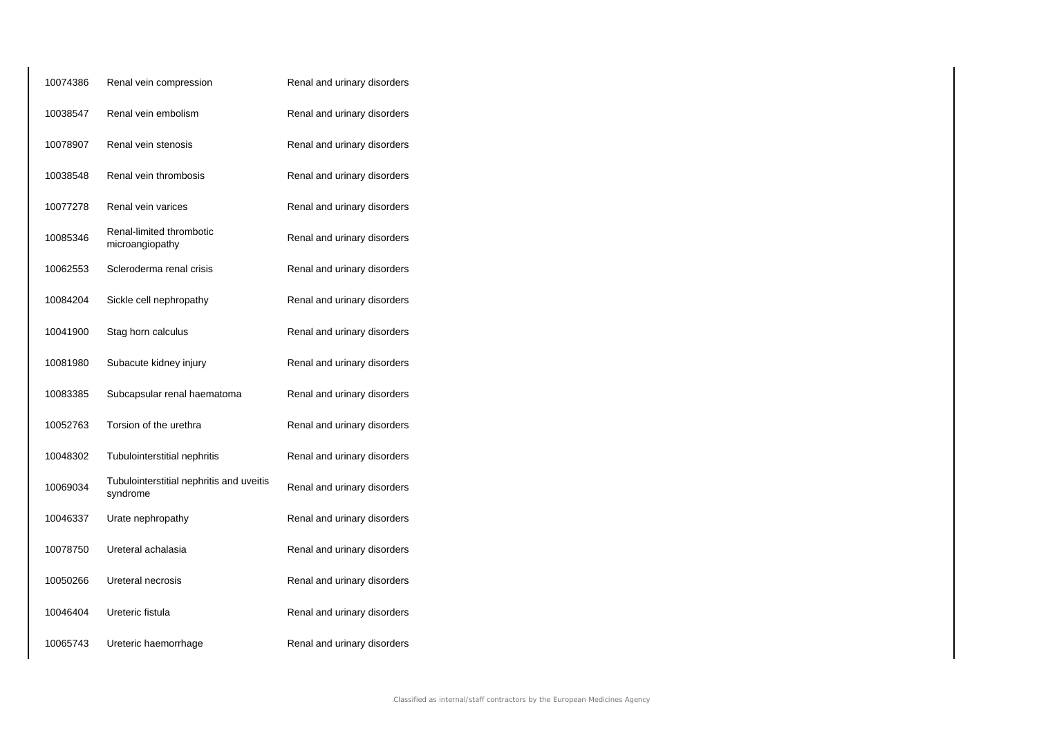| 10074386 | Renal vein compression                               | Renal and urinary disorders |
|----------|------------------------------------------------------|-----------------------------|
| 10038547 | Renal vein embolism                                  | Renal and urinary disorders |
| 10078907 | Renal vein stenosis                                  | Renal and urinary disorders |
| 10038548 | Renal vein thrombosis                                | Renal and urinary disorders |
| 10077278 | Renal vein varices                                   | Renal and urinary disorders |
| 10085346 | Renal-limited thrombotic<br>microangiopathy          | Renal and urinary disorders |
| 10062553 | Scleroderma renal crisis                             | Renal and urinary disorders |
| 10084204 | Sickle cell nephropathy                              | Renal and urinary disorders |
| 10041900 | Stag horn calculus                                   | Renal and urinary disorders |
| 10081980 | Subacute kidney injury                               | Renal and urinary disorders |
| 10083385 | Subcapsular renal haematoma                          | Renal and urinary disorders |
| 10052763 | Torsion of the urethra                               | Renal and urinary disorders |
| 10048302 | Tubulointerstitial nephritis                         | Renal and urinary disorders |
| 10069034 | Tubulointerstitial nephritis and uveitis<br>syndrome | Renal and urinary disorders |
| 10046337 | Urate nephropathy                                    | Renal and urinary disorders |
| 10078750 | Ureteral achalasia                                   | Renal and urinary disorders |
| 10050266 | Ureteral necrosis                                    | Renal and urinary disorders |
| 10046404 | Ureteric fistula                                     | Renal and urinary disorders |
| 10065743 | Ureteric haemorrhage                                 | Renal and urinary disorders |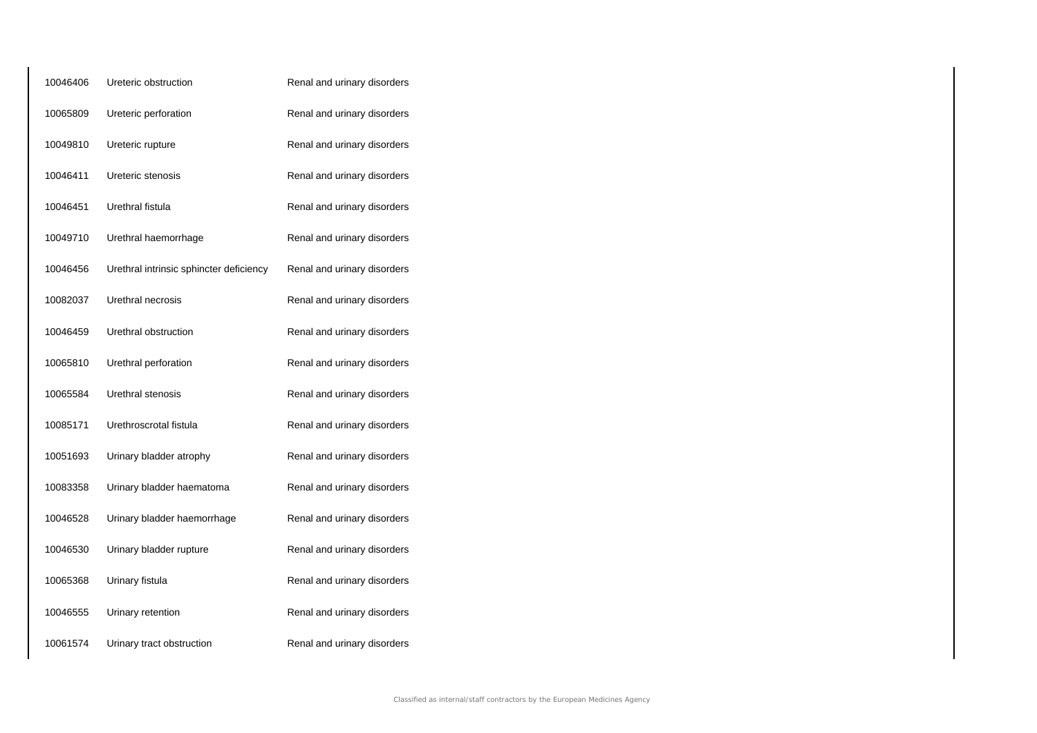| 10046406 | Ureteric obstruction                    | Renal and urinary disorders |
|----------|-----------------------------------------|-----------------------------|
| 10065809 | Ureteric perforation                    | Renal and urinary disorders |
| 10049810 | Ureteric rupture                        | Renal and urinary disorders |
| 10046411 | Ureteric stenosis                       | Renal and urinary disorders |
| 10046451 | Urethral fistula                        | Renal and urinary disorders |
| 10049710 | Urethral haemorrhage                    | Renal and urinary disorders |
| 10046456 | Urethral intrinsic sphincter deficiency | Renal and urinary disorders |
| 10082037 | Urethral necrosis                       | Renal and urinary disorders |
| 10046459 | Urethral obstruction                    | Renal and urinary disorders |
| 10065810 | Urethral perforation                    | Renal and urinary disorders |
| 10065584 | Urethral stenosis                       | Renal and urinary disorders |
| 10085171 | Urethroscrotal fistula                  | Renal and urinary disorders |
| 10051693 | Urinary bladder atrophy                 | Renal and urinary disorders |
| 10083358 | Urinary bladder haematoma               | Renal and urinary disorders |
| 10046528 | Urinary bladder haemorrhage             | Renal and urinary disorders |
| 10046530 | Urinary bladder rupture                 | Renal and urinary disorders |
| 10065368 | Urinary fistula                         | Renal and urinary disorders |
| 10046555 | Urinary retention                       | Renal and urinary disorders |
| 10061574 | Urinary tract obstruction               | Renal and urinary disorders |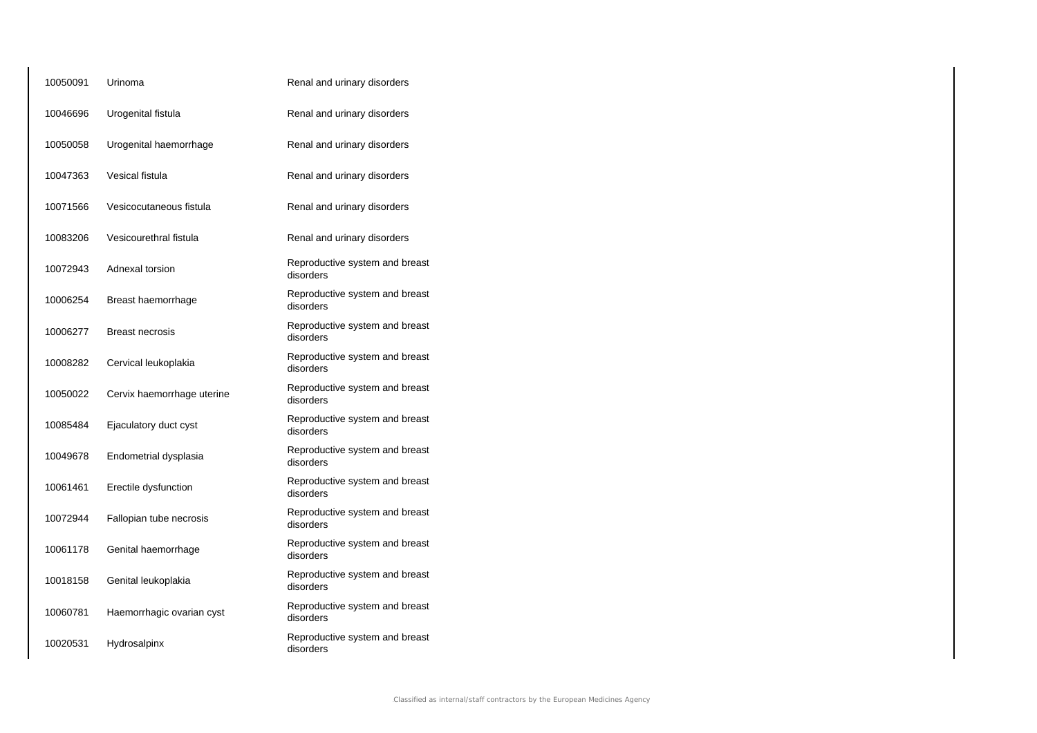| 10050091 | Urinoma                    | Renal and urinary disorders                 |
|----------|----------------------------|---------------------------------------------|
| 10046696 | Urogenital fistula         | Renal and urinary disorders                 |
| 10050058 | Urogenital haemorrhage     | Renal and urinary disorders                 |
| 10047363 | Vesical fistula            | Renal and urinary disorders                 |
| 10071566 | Vesicocutaneous fistula    | Renal and urinary disorders                 |
| 10083206 | Vesicourethral fistula     | Renal and urinary disorders                 |
| 10072943 | Adnexal torsion            | Reproductive system and breast<br>disorders |
| 10006254 | Breast haemorrhage         | Reproductive system and breast<br>disorders |
| 10006277 | <b>Breast necrosis</b>     | Reproductive system and breast<br>disorders |
| 10008282 | Cervical leukoplakia       | Reproductive system and breast<br>disorders |
| 10050022 | Cervix haemorrhage uterine | Reproductive system and breast<br>disorders |
| 10085484 | Ejaculatory duct cyst      | Reproductive system and breast<br>disorders |
| 10049678 | Endometrial dysplasia      | Reproductive system and breast<br>disorders |
| 10061461 | Erectile dysfunction       | Reproductive system and breast<br>disorders |
| 10072944 | Fallopian tube necrosis    | Reproductive system and breast<br>disorders |
| 10061178 | Genital haemorrhage        | Reproductive system and breast<br>disorders |
| 10018158 | Genital leukoplakia        | Reproductive system and breast<br>disorders |
| 10060781 | Haemorrhagic ovarian cyst  | Reproductive system and breast<br>disorders |
| 10020531 | Hydrosalpinx               | Reproductive system and breast<br>disorders |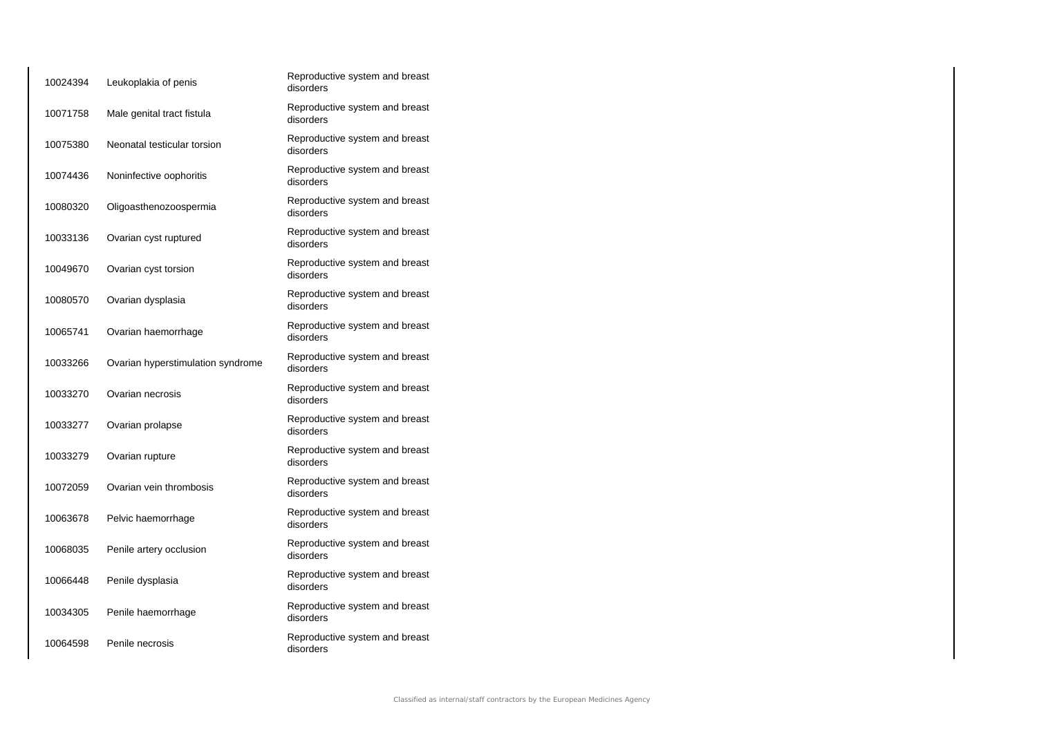| 10024394 | Leukoplakia of penis              | Reproductive system and breast<br>disorders |
|----------|-----------------------------------|---------------------------------------------|
| 10071758 | Male genital tract fistula        | Reproductive system and breast<br>disorders |
| 10075380 | Neonatal testicular torsion       | Reproductive system and breast<br>disorders |
| 10074436 | Noninfective oophoritis           | Reproductive system and breast<br>disorders |
| 10080320 | Oligoasthenozoospermia            | Reproductive system and breast<br>disorders |
| 10033136 | Ovarian cyst ruptured             | Reproductive system and breast<br>disorders |
| 10049670 | Ovarian cyst torsion              | Reproductive system and breast<br>disorders |
| 10080570 | Ovarian dysplasia                 | Reproductive system and breast<br>disorders |
| 10065741 | Ovarian haemorrhage               | Reproductive system and breast<br>disorders |
| 10033266 | Ovarian hyperstimulation syndrome | Reproductive system and breast<br>disorders |
| 10033270 | Ovarian necrosis                  | Reproductive system and breast<br>disorders |
| 10033277 | Ovarian prolapse                  | Reproductive system and breast<br>disorders |
| 10033279 | Ovarian rupture                   | Reproductive system and breast<br>disorders |
| 10072059 | Ovarian vein thrombosis           | Reproductive system and breast<br>disorders |
| 10063678 | Pelvic haemorrhage                | Reproductive system and breast<br>disorders |
| 10068035 | Penile artery occlusion           | Reproductive system and breast<br>disorders |
| 10066448 | Penile dysplasia                  | Reproductive system and breast<br>disorders |
| 10034305 | Penile haemorrhage                | Reproductive system and breast<br>disorders |
| 10064598 | Penile necrosis                   | Reproductive system and breast<br>disorders |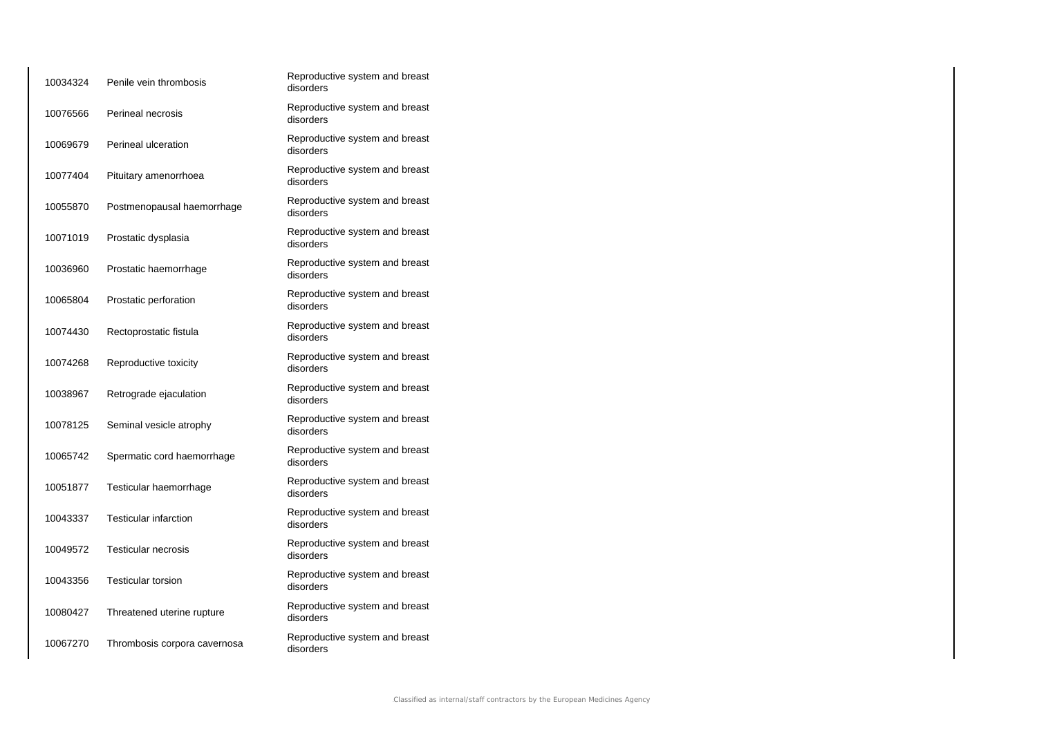| 10034324 | Penile vein thrombosis       | Reproductive system and breast<br>disorders |
|----------|------------------------------|---------------------------------------------|
| 10076566 | Perineal necrosis            | Reproductive system and breast<br>disorders |
| 10069679 | Perineal ulceration          | Reproductive system and breast<br>disorders |
| 10077404 | Pituitary amenorrhoea        | Reproductive system and breast<br>disorders |
| 10055870 | Postmenopausal haemorrhage   | Reproductive system and breast<br>disorders |
| 10071019 | Prostatic dysplasia          | Reproductive system and breast<br>disorders |
| 10036960 | Prostatic haemorrhage        | Reproductive system and breast<br>disorders |
| 10065804 | Prostatic perforation        | Reproductive system and breast<br>disorders |
| 10074430 | Rectoprostatic fistula       | Reproductive system and breast<br>disorders |
| 10074268 | Reproductive toxicity        | Reproductive system and breast<br>disorders |
| 10038967 | Retrograde ejaculation       | Reproductive system and breast<br>disorders |
| 10078125 | Seminal vesicle atrophy      | Reproductive system and breast<br>disorders |
| 10065742 | Spermatic cord haemorrhage   | Reproductive system and breast<br>disorders |
| 10051877 | Testicular haemorrhage       | Reproductive system and breast<br>disorders |
| 10043337 | <b>Testicular infarction</b> | Reproductive system and breast<br>disorders |
| 10049572 | Testicular necrosis          | Reproductive system and breast<br>disorders |
| 10043356 | <b>Testicular torsion</b>    | Reproductive system and breast<br>disorders |
| 10080427 | Threatened uterine rupture   | Reproductive system and breast<br>disorders |
| 10067270 | Thrombosis corpora cavernosa | Reproductive system and breast<br>disorders |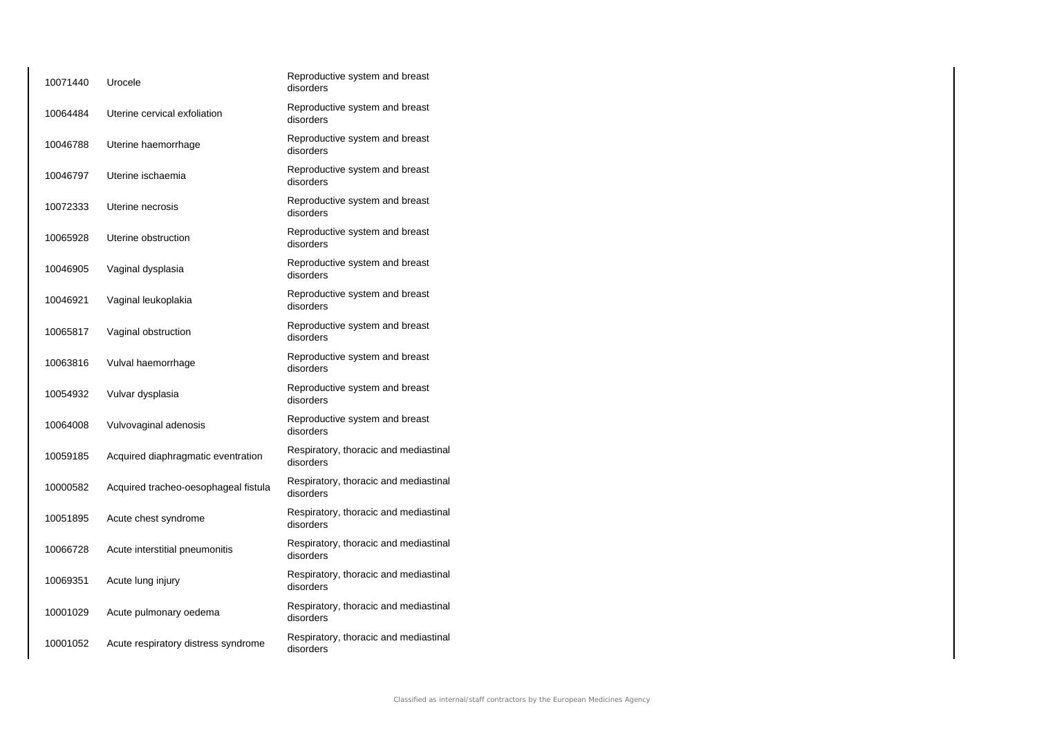| Urocele                              | Reproductive system and breast<br>disorders        |
|--------------------------------------|----------------------------------------------------|
| Uterine cervical exfoliation         | Reproductive system and breast<br>disorders        |
| Uterine haemorrhage                  | Reproductive system and breast<br>disorders        |
| Uterine ischaemia                    | Reproductive system and breast<br>disorders        |
| Uterine necrosis                     | Reproductive system and breast<br>disorders        |
| Uterine obstruction                  | Reproductive system and breast<br>disorders        |
| Vaginal dysplasia                    | Reproductive system and breast<br>disorders        |
| Vaginal leukoplakia                  | Reproductive system and breast<br>disorders        |
| Vaginal obstruction                  | Reproductive system and breast<br>disorders        |
| Vulval haemorrhage                   | Reproductive system and breast<br>disorders        |
| Vulvar dysplasia                     | Reproductive system and breast<br>disorders        |
| Vulvovaginal adenosis                | Reproductive system and breast<br>disorders        |
| Acquired diaphragmatic eventration   | Respiratory, thoracic and mediastinal<br>disorders |
| Acquired tracheo-oesophageal fistula | Respiratory, thoracic and mediastinal<br>disorders |
| Acute chest syndrome                 | Respiratory, thoracic and mediastinal<br>disorders |
| Acute interstitial pneumonitis       | Respiratory, thoracic and mediastinal<br>disorders |
| Acute lung injury                    | Respiratory, thoracic and mediastinal<br>disorders |
| Acute pulmonary oedema               | Respiratory, thoracic and mediastinal<br>disorders |
| Acute respiratory distress syndrome  | Respiratory, thoracic and mediastinal<br>disorders |
|                                      |                                                    |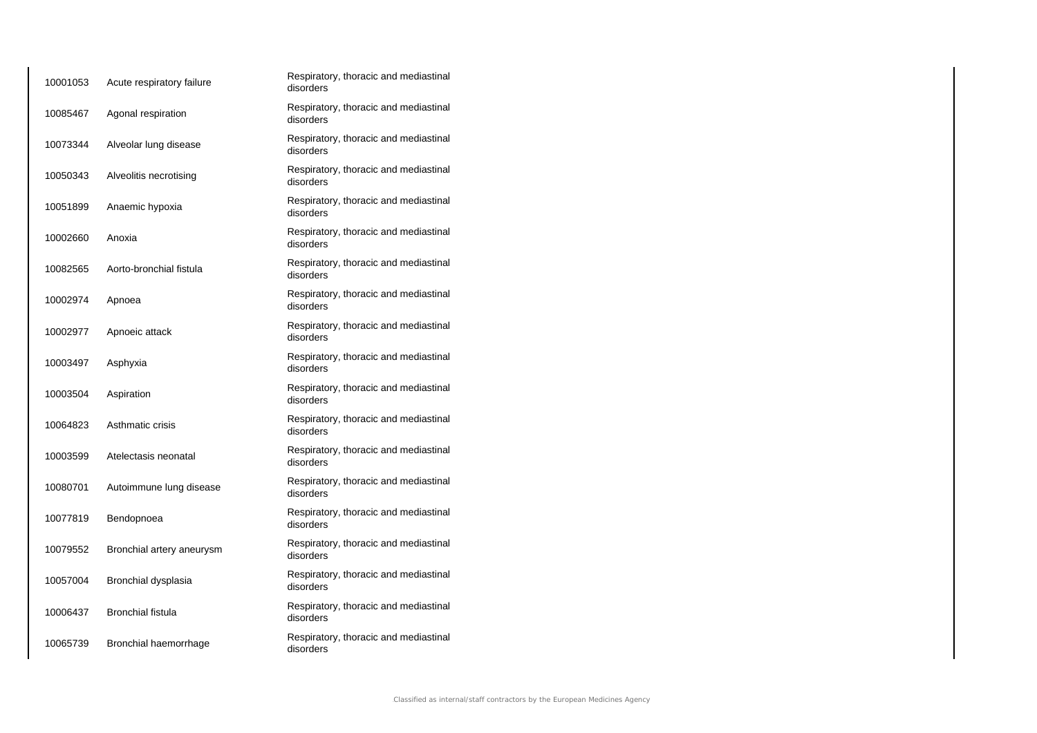| 10001053 | Acute respiratory failure | Respiratory, thoracic and mediastinal<br>disorders |
|----------|---------------------------|----------------------------------------------------|
| 10085467 | Agonal respiration        | Respiratory, thoracic and mediastinal<br>disorders |
| 10073344 | Alveolar lung disease     | Respiratory, thoracic and mediastinal<br>disorders |
| 10050343 | Alveolitis necrotising    | Respiratory, thoracic and mediastinal<br>disorders |
| 10051899 | Anaemic hypoxia           | Respiratory, thoracic and mediastinal<br>disorders |
| 10002660 | Anoxia                    | Respiratory, thoracic and mediastinal<br>disorders |
| 10082565 | Aorto-bronchial fistula   | Respiratory, thoracic and mediastinal<br>disorders |
| 10002974 | Apnoea                    | Respiratory, thoracic and mediastinal<br>disorders |
| 10002977 | Apnoeic attack            | Respiratory, thoracic and mediastinal<br>disorders |
| 10003497 | Asphyxia                  | Respiratory, thoracic and mediastinal<br>disorders |
| 10003504 | Aspiration                | Respiratory, thoracic and mediastinal<br>disorders |
| 10064823 | Asthmatic crisis          | Respiratory, thoracic and mediastinal<br>disorders |
| 10003599 | Atelectasis neonatal      | Respiratory, thoracic and mediastinal<br>disorders |
| 10080701 | Autoimmune lung disease   | Respiratory, thoracic and mediastinal<br>disorders |
| 10077819 | Bendopnoea                | Respiratory, thoracic and mediastinal<br>disorders |
| 10079552 | Bronchial artery aneurysm | Respiratory, thoracic and mediastinal<br>disorders |
| 10057004 | Bronchial dysplasia       | Respiratory, thoracic and mediastinal<br>disorders |
| 10006437 | <b>Bronchial fistula</b>  | Respiratory, thoracic and mediastinal<br>disorders |
| 10065739 | Bronchial haemorrhage     | Respiratory, thoracic and mediastinal<br>disorders |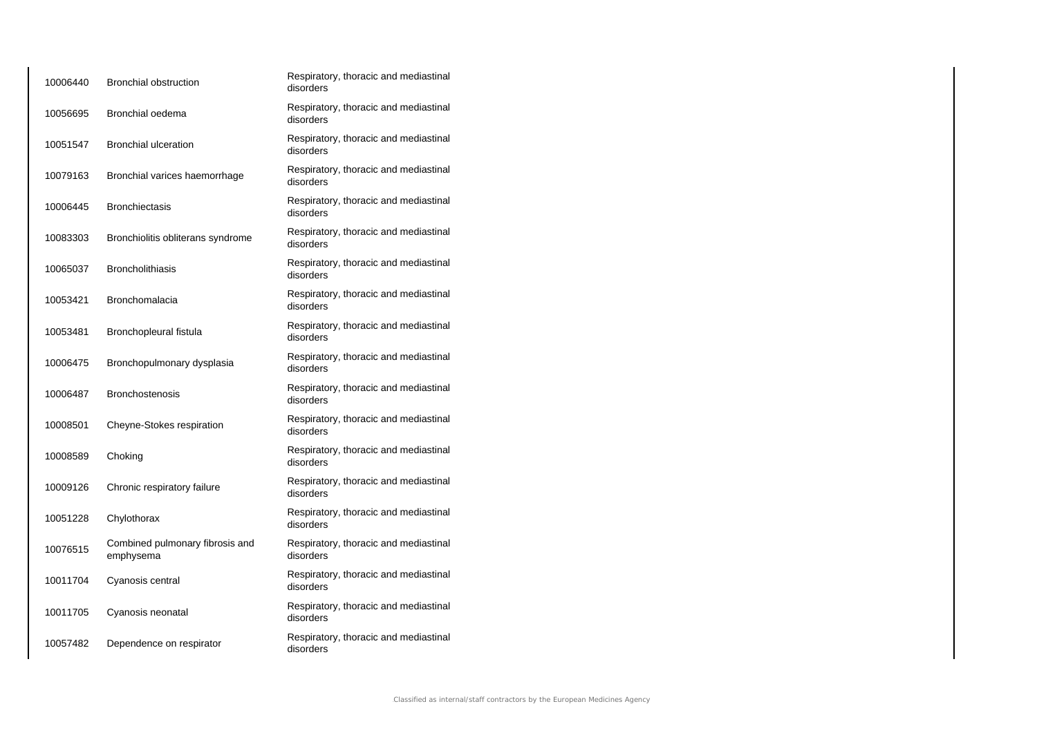| 10006440 | <b>Bronchial obstruction</b>                 | Respiratory, thoracic and mediastinal<br>disorders |
|----------|----------------------------------------------|----------------------------------------------------|
| 10056695 | Bronchial oedema                             | Respiratory, thoracic and mediastinal<br>disorders |
| 10051547 | <b>Bronchial ulceration</b>                  | Respiratory, thoracic and mediastinal<br>disorders |
| 10079163 | Bronchial varices haemorrhage                | Respiratory, thoracic and mediastinal<br>disorders |
| 10006445 | <b>Bronchiectasis</b>                        | Respiratory, thoracic and mediastinal<br>disorders |
| 10083303 | Bronchiolitis obliterans syndrome            | Respiratory, thoracic and mediastinal<br>disorders |
| 10065037 | <b>Broncholithiasis</b>                      | Respiratory, thoracic and mediastinal<br>disorders |
| 10053421 | <b>Bronchomalacia</b>                        | Respiratory, thoracic and mediastinal<br>disorders |
| 10053481 | Bronchopleural fistula                       | Respiratory, thoracic and mediastinal<br>disorders |
| 10006475 | Bronchopulmonary dysplasia                   | Respiratory, thoracic and mediastinal<br>disorders |
| 10006487 | <b>Bronchostenosis</b>                       | Respiratory, thoracic and mediastinal<br>disorders |
| 10008501 | Cheyne-Stokes respiration                    | Respiratory, thoracic and mediastinal<br>disorders |
| 10008589 | Choking                                      | Respiratory, thoracic and mediastinal<br>disorders |
| 10009126 | Chronic respiratory failure                  | Respiratory, thoracic and mediastinal<br>disorders |
| 10051228 | Chylothorax                                  | Respiratory, thoracic and mediastinal<br>disorders |
| 10076515 | Combined pulmonary fibrosis and<br>emphysema | Respiratory, thoracic and mediastinal<br>disorders |
| 10011704 | Cyanosis central                             | Respiratory, thoracic and mediastinal<br>disorders |
| 10011705 | Cyanosis neonatal                            | Respiratory, thoracic and mediastinal<br>disorders |
| 10057482 | Dependence on respirator                     | Respiratory, thoracic and mediastinal<br>disorders |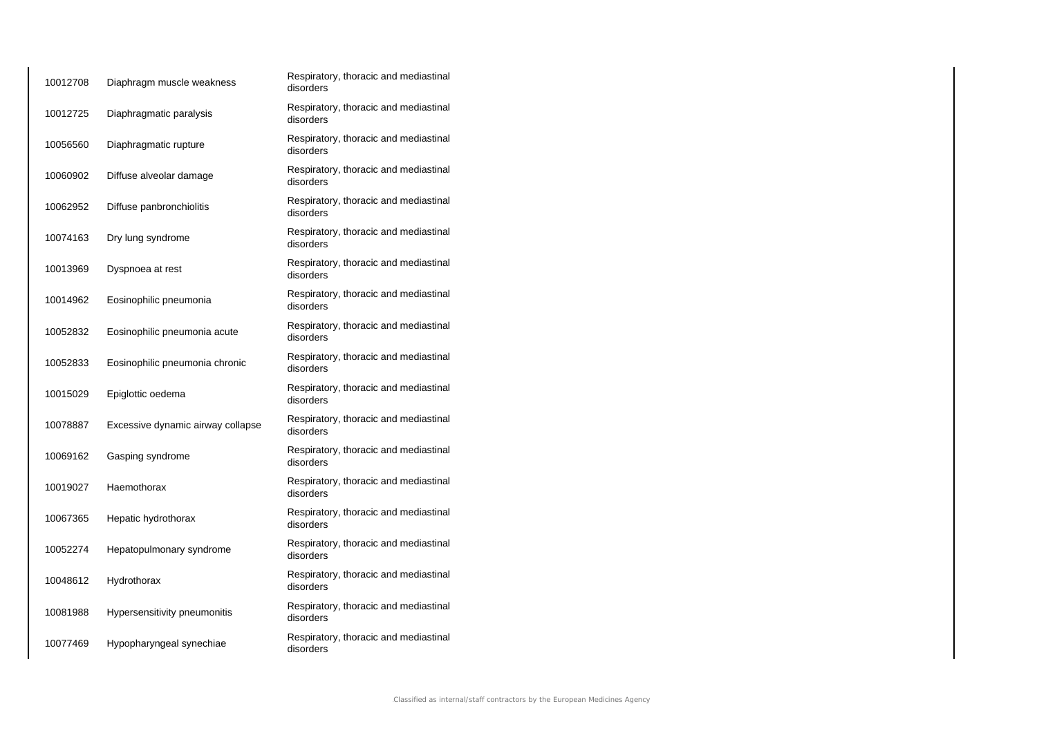| 10012708 | Diaphragm muscle weakness         | Respiratory, thoracic and mediastinal<br>disorders |
|----------|-----------------------------------|----------------------------------------------------|
| 10012725 | Diaphragmatic paralysis           | Respiratory, thoracic and mediastinal<br>disorders |
| 10056560 | Diaphragmatic rupture             | Respiratory, thoracic and mediastinal<br>disorders |
| 10060902 | Diffuse alveolar damage           | Respiratory, thoracic and mediastinal<br>disorders |
| 10062952 | Diffuse panbronchiolitis          | Respiratory, thoracic and mediastinal<br>disorders |
| 10074163 | Dry lung syndrome                 | Respiratory, thoracic and mediastinal<br>disorders |
| 10013969 | Dyspnoea at rest                  | Respiratory, thoracic and mediastinal<br>disorders |
| 10014962 | Eosinophilic pneumonia            | Respiratory, thoracic and mediastinal<br>disorders |
| 10052832 | Eosinophilic pneumonia acute      | Respiratory, thoracic and mediastinal<br>disorders |
| 10052833 | Eosinophilic pneumonia chronic    | Respiratory, thoracic and mediastinal<br>disorders |
| 10015029 | Epiglottic oedema                 | Respiratory, thoracic and mediastinal<br>disorders |
| 10078887 | Excessive dynamic airway collapse | Respiratory, thoracic and mediastinal<br>disorders |
| 10069162 | Gasping syndrome                  | Respiratory, thoracic and mediastinal<br>disorders |
| 10019027 | Haemothorax                       | Respiratory, thoracic and mediastinal<br>disorders |
| 10067365 | Hepatic hydrothorax               | Respiratory, thoracic and mediastinal<br>disorders |
| 10052274 | Hepatopulmonary syndrome          | Respiratory, thoracic and mediastinal<br>disorders |
| 10048612 | Hydrothorax                       | Respiratory, thoracic and mediastinal<br>disorders |
| 10081988 | Hypersensitivity pneumonitis      | Respiratory, thoracic and mediastinal<br>disorders |
| 10077469 | Hypopharyngeal synechiae          | Respiratory, thoracic and mediastinal<br>disorders |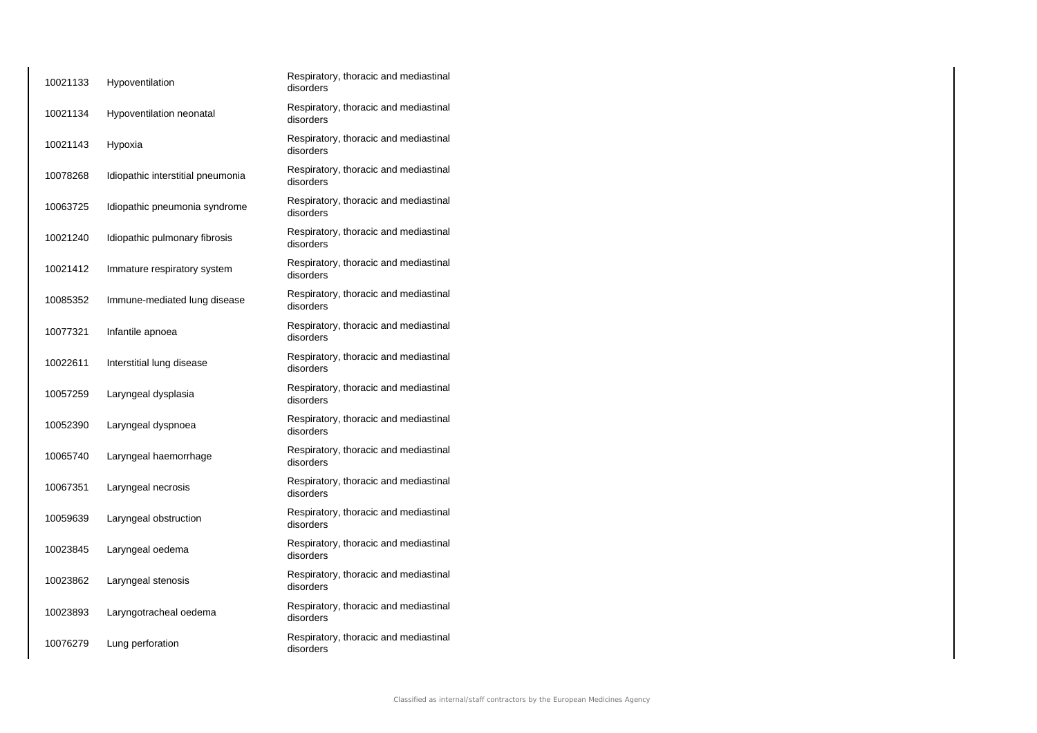| 10021133 | Hypoventilation                   | Respiratory, thoracic and mediastinal<br>disorders |
|----------|-----------------------------------|----------------------------------------------------|
| 10021134 | Hypoventilation neonatal          | Respiratory, thoracic and mediastinal<br>disorders |
| 10021143 | Hypoxia                           | Respiratory, thoracic and mediastinal<br>disorders |
| 10078268 | Idiopathic interstitial pneumonia | Respiratory, thoracic and mediastinal<br>disorders |
| 10063725 | Idiopathic pneumonia syndrome     | Respiratory, thoracic and mediastinal<br>disorders |
| 10021240 | Idiopathic pulmonary fibrosis     | Respiratory, thoracic and mediastinal<br>disorders |
| 10021412 | Immature respiratory system       | Respiratory, thoracic and mediastinal<br>disorders |
| 10085352 | Immune-mediated lung disease      | Respiratory, thoracic and mediastinal<br>disorders |
| 10077321 | Infantile apnoea                  | Respiratory, thoracic and mediastinal<br>disorders |
| 10022611 | Interstitial lung disease         | Respiratory, thoracic and mediastinal<br>disorders |
| 10057259 | Laryngeal dysplasia               | Respiratory, thoracic and mediastinal<br>disorders |
| 10052390 | Laryngeal dyspnoea                | Respiratory, thoracic and mediastinal<br>disorders |
| 10065740 | Laryngeal haemorrhage             | Respiratory, thoracic and mediastinal<br>disorders |
| 10067351 | Laryngeal necrosis                | Respiratory, thoracic and mediastinal<br>disorders |
| 10059639 | Laryngeal obstruction             | Respiratory, thoracic and mediastinal<br>disorders |
| 10023845 | Laryngeal oedema                  | Respiratory, thoracic and mediastinal<br>disorders |
| 10023862 | Laryngeal stenosis                | Respiratory, thoracic and mediastinal<br>disorders |
| 10023893 | Laryngotracheal oedema            | Respiratory, thoracic and mediastinal<br>disorders |
| 10076279 | Lung perforation                  | Respiratory, thoracic and mediastinal<br>disorders |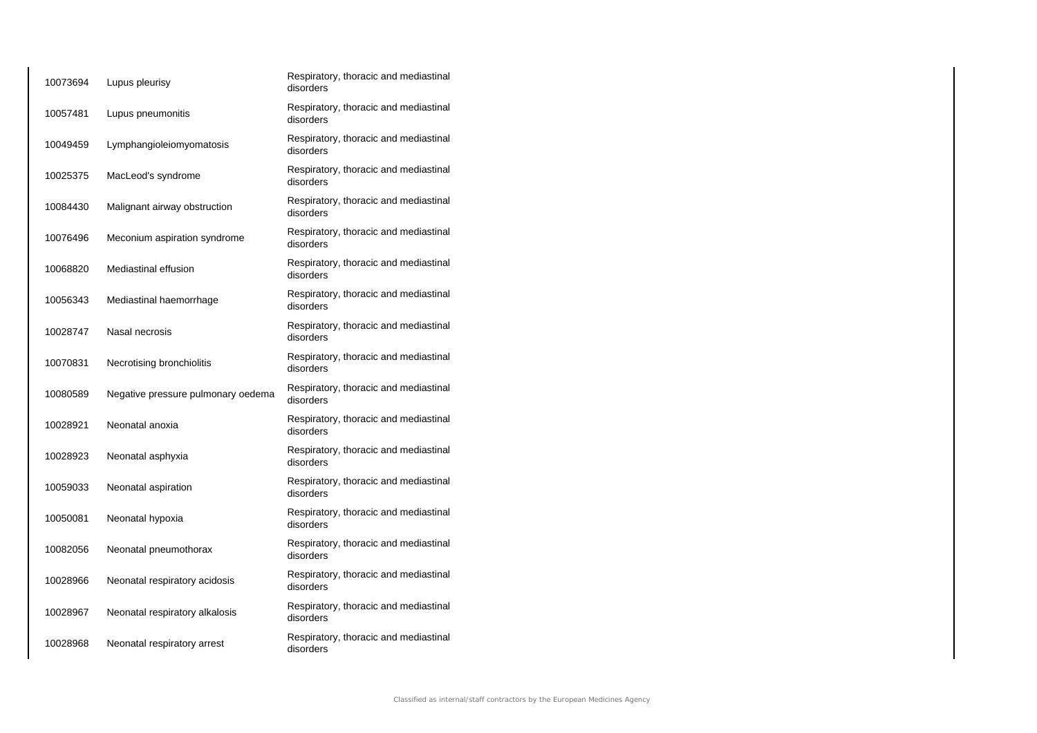| 10073694 | Lupus pleurisy                     | Respiratory, thoracic and mediastinal<br>disorders |
|----------|------------------------------------|----------------------------------------------------|
| 10057481 | Lupus pneumonitis                  | Respiratory, thoracic and mediastinal<br>disorders |
| 10049459 | Lymphangioleiomyomatosis           | Respiratory, thoracic and mediastinal<br>disorders |
| 10025375 | MacLeod's syndrome                 | Respiratory, thoracic and mediastinal<br>disorders |
| 10084430 | Malignant airway obstruction       | Respiratory, thoracic and mediastinal<br>disorders |
| 10076496 | Meconium aspiration syndrome       | Respiratory, thoracic and mediastinal<br>disorders |
| 10068820 | Mediastinal effusion               | Respiratory, thoracic and mediastinal<br>disorders |
| 10056343 | Mediastinal haemorrhage            | Respiratory, thoracic and mediastinal<br>disorders |
| 10028747 | Nasal necrosis                     | Respiratory, thoracic and mediastinal<br>disorders |
| 10070831 | Necrotising bronchiolitis          | Respiratory, thoracic and mediastinal<br>disorders |
| 10080589 | Negative pressure pulmonary oedema | Respiratory, thoracic and mediastinal<br>disorders |
| 10028921 | Neonatal anoxia                    | Respiratory, thoracic and mediastinal<br>disorders |
| 10028923 | Neonatal asphyxia                  | Respiratory, thoracic and mediastinal<br>disorders |
| 10059033 | Neonatal aspiration                | Respiratory, thoracic and mediastinal<br>disorders |
| 10050081 | Neonatal hypoxia                   | Respiratory, thoracic and mediastinal<br>disorders |
| 10082056 | Neonatal pneumothorax              | Respiratory, thoracic and mediastinal<br>disorders |
| 10028966 | Neonatal respiratory acidosis      | Respiratory, thoracic and mediastinal<br>disorders |
| 10028967 | Neonatal respiratory alkalosis     | Respiratory, thoracic and mediastinal<br>disorders |
| 10028968 | Neonatal respiratory arrest        | Respiratory, thoracic and mediastinal<br>disorders |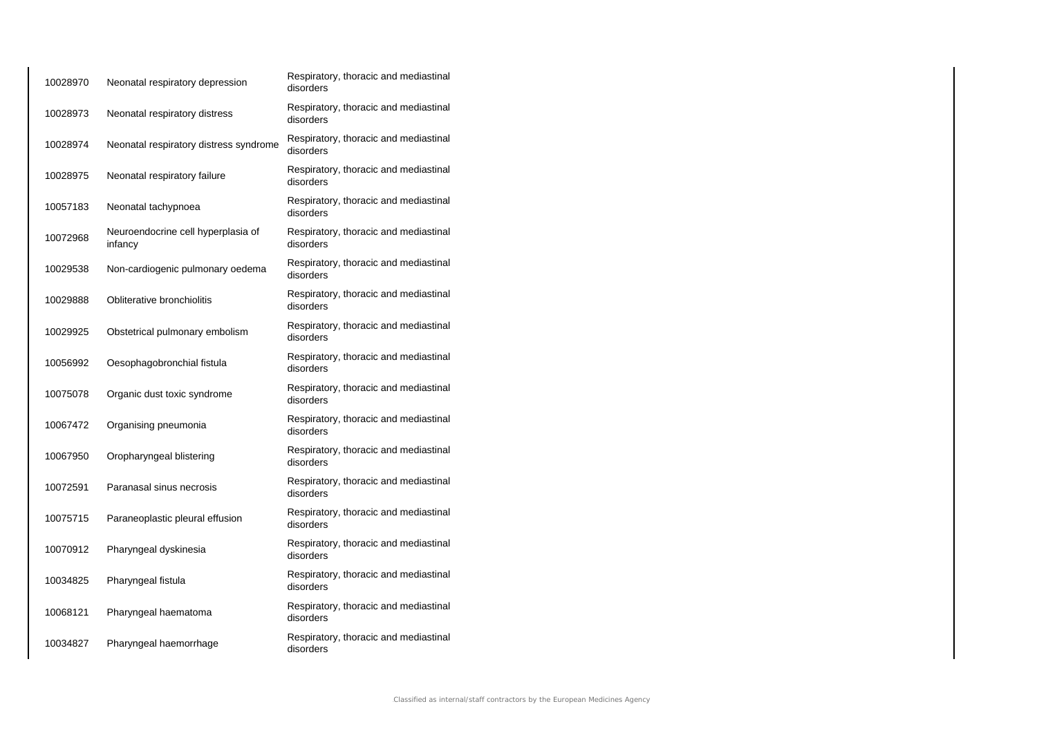| 10028970 | Neonatal respiratory depression               | Respiratory, thoracic and mediastinal<br>disorders |
|----------|-----------------------------------------------|----------------------------------------------------|
| 10028973 | Neonatal respiratory distress                 | Respiratory, thoracic and mediastinal<br>disorders |
| 10028974 | Neonatal respiratory distress syndrome        | Respiratory, thoracic and mediastinal<br>disorders |
| 10028975 | Neonatal respiratory failure                  | Respiratory, thoracic and mediastinal<br>disorders |
| 10057183 | Neonatal tachypnoea                           | Respiratory, thoracic and mediastinal<br>disorders |
| 10072968 | Neuroendocrine cell hyperplasia of<br>infancy | Respiratory, thoracic and mediastinal<br>disorders |
| 10029538 | Non-cardiogenic pulmonary oedema              | Respiratory, thoracic and mediastinal<br>disorders |
| 10029888 | Obliterative bronchiolitis                    | Respiratory, thoracic and mediastinal<br>disorders |
| 10029925 | Obstetrical pulmonary embolism                | Respiratory, thoracic and mediastinal<br>disorders |
| 10056992 | Oesophagobronchial fistula                    | Respiratory, thoracic and mediastinal<br>disorders |
| 10075078 | Organic dust toxic syndrome                   | Respiratory, thoracic and mediastinal<br>disorders |
| 10067472 | Organising pneumonia                          | Respiratory, thoracic and mediastinal<br>disorders |
| 10067950 | Oropharyngeal blistering                      | Respiratory, thoracic and mediastinal<br>disorders |
| 10072591 | Paranasal sinus necrosis                      | Respiratory, thoracic and mediastinal<br>disorders |
| 10075715 | Paraneoplastic pleural effusion               | Respiratory, thoracic and mediastinal<br>disorders |
| 10070912 | Pharyngeal dyskinesia                         | Respiratory, thoracic and mediastinal<br>disorders |
| 10034825 | Pharyngeal fistula                            | Respiratory, thoracic and mediastinal<br>disorders |
| 10068121 | Pharyngeal haematoma                          | Respiratory, thoracic and mediastinal<br>disorders |
| 10034827 | Pharyngeal haemorrhage                        | Respiratory, thoracic and mediastinal<br>disorders |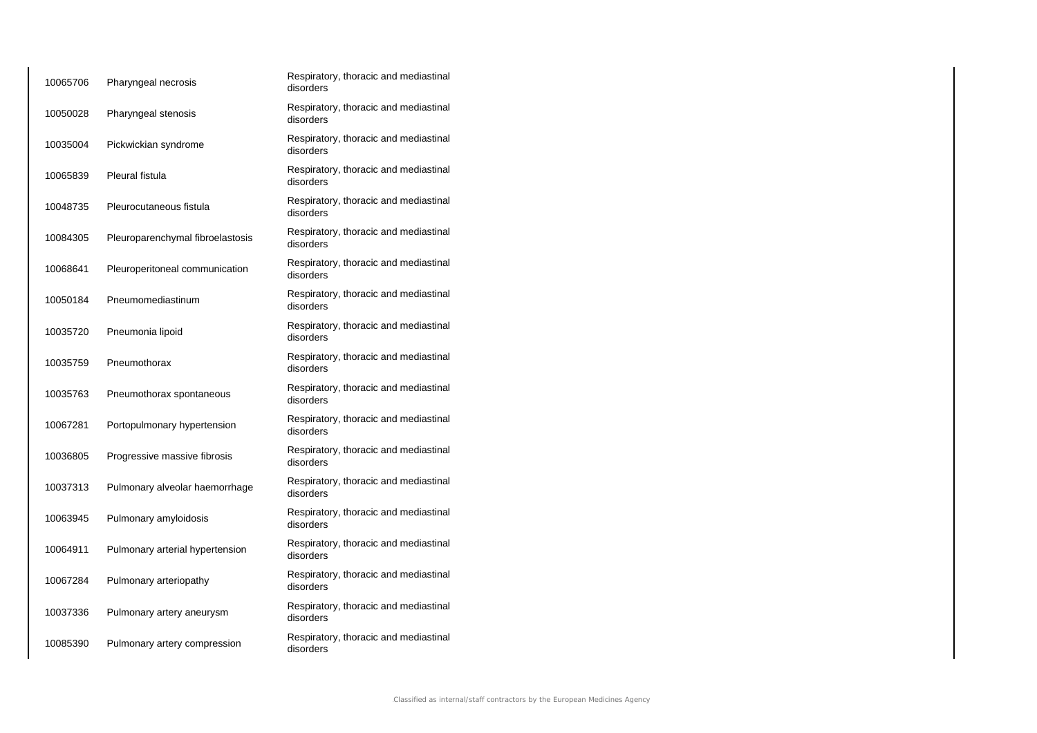| 10065706 | Pharyngeal necrosis              | Respiratory, thoracic and mediastinal<br>disorders |
|----------|----------------------------------|----------------------------------------------------|
| 10050028 | Pharyngeal stenosis              | Respiratory, thoracic and mediastinal<br>disorders |
| 10035004 | Pickwickian syndrome             | Respiratory, thoracic and mediastinal<br>disorders |
| 10065839 | Pleural fistula                  | Respiratory, thoracic and mediastinal<br>disorders |
| 10048735 | Pleurocutaneous fistula          | Respiratory, thoracic and mediastinal<br>disorders |
| 10084305 | Pleuroparenchymal fibroelastosis | Respiratory, thoracic and mediastinal<br>disorders |
| 10068641 | Pleuroperitoneal communication   | Respiratory, thoracic and mediastinal<br>disorders |
| 10050184 | Pneumomediastinum                | Respiratory, thoracic and mediastinal<br>disorders |
| 10035720 | Pneumonia lipoid                 | Respiratory, thoracic and mediastinal<br>disorders |
| 10035759 | Pneumothorax                     | Respiratory, thoracic and mediastinal<br>disorders |
| 10035763 | Pneumothorax spontaneous         | Respiratory, thoracic and mediastinal<br>disorders |
| 10067281 | Portopulmonary hypertension      | Respiratory, thoracic and mediastinal<br>disorders |
| 10036805 | Progressive massive fibrosis     | Respiratory, thoracic and mediastinal<br>disorders |
| 10037313 | Pulmonary alveolar haemorrhage   | Respiratory, thoracic and mediastinal<br>disorders |
| 10063945 | Pulmonary amyloidosis            | Respiratory, thoracic and mediastinal<br>disorders |
| 10064911 | Pulmonary arterial hypertension  | Respiratory, thoracic and mediastinal<br>disorders |
| 10067284 | Pulmonary arteriopathy           | Respiratory, thoracic and mediastinal<br>disorders |
| 10037336 | Pulmonary artery aneurysm        | Respiratory, thoracic and mediastinal<br>disorders |
| 10085390 | Pulmonary artery compression     | Respiratory, thoracic and mediastinal<br>disorders |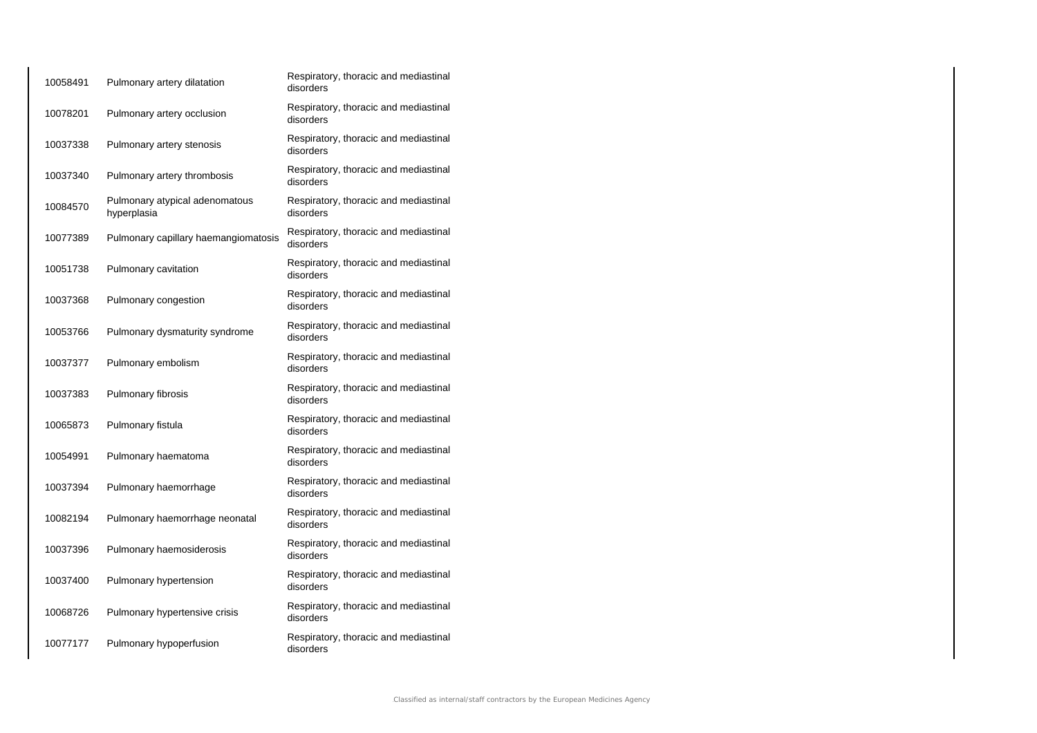| 10058491 | Pulmonary artery dilatation                   | Respiratory, thoracic and mediastinal<br>disorders |
|----------|-----------------------------------------------|----------------------------------------------------|
| 10078201 | Pulmonary artery occlusion                    | Respiratory, thoracic and mediastinal<br>disorders |
| 10037338 | Pulmonary artery stenosis                     | Respiratory, thoracic and mediastinal<br>disorders |
| 10037340 | Pulmonary artery thrombosis                   | Respiratory, thoracic and mediastinal<br>disorders |
| 10084570 | Pulmonary atypical adenomatous<br>hyperplasia | Respiratory, thoracic and mediastinal<br>disorders |
| 10077389 | Pulmonary capillary haemangiomatosis          | Respiratory, thoracic and mediastinal<br>disorders |
| 10051738 | Pulmonary cavitation                          | Respiratory, thoracic and mediastinal<br>disorders |
| 10037368 | Pulmonary congestion                          | Respiratory, thoracic and mediastinal<br>disorders |
| 10053766 | Pulmonary dysmaturity syndrome                | Respiratory, thoracic and mediastinal<br>disorders |
| 10037377 | Pulmonary embolism                            | Respiratory, thoracic and mediastinal<br>disorders |
| 10037383 | Pulmonary fibrosis                            | Respiratory, thoracic and mediastinal<br>disorders |
| 10065873 | Pulmonary fistula                             | Respiratory, thoracic and mediastinal<br>disorders |
| 10054991 | Pulmonary haematoma                           | Respiratory, thoracic and mediastinal<br>disorders |
| 10037394 | Pulmonary haemorrhage                         | Respiratory, thoracic and mediastinal<br>disorders |
| 10082194 | Pulmonary haemorrhage neonatal                | Respiratory, thoracic and mediastinal<br>disorders |
| 10037396 | Pulmonary haemosiderosis                      | Respiratory, thoracic and mediastinal<br>disorders |
| 10037400 | Pulmonary hypertension                        | Respiratory, thoracic and mediastinal<br>disorders |
| 10068726 | Pulmonary hypertensive crisis                 | Respiratory, thoracic and mediastinal<br>disorders |
| 10077177 | Pulmonary hypoperfusion                       | Respiratory, thoracic and mediastinal<br>disorders |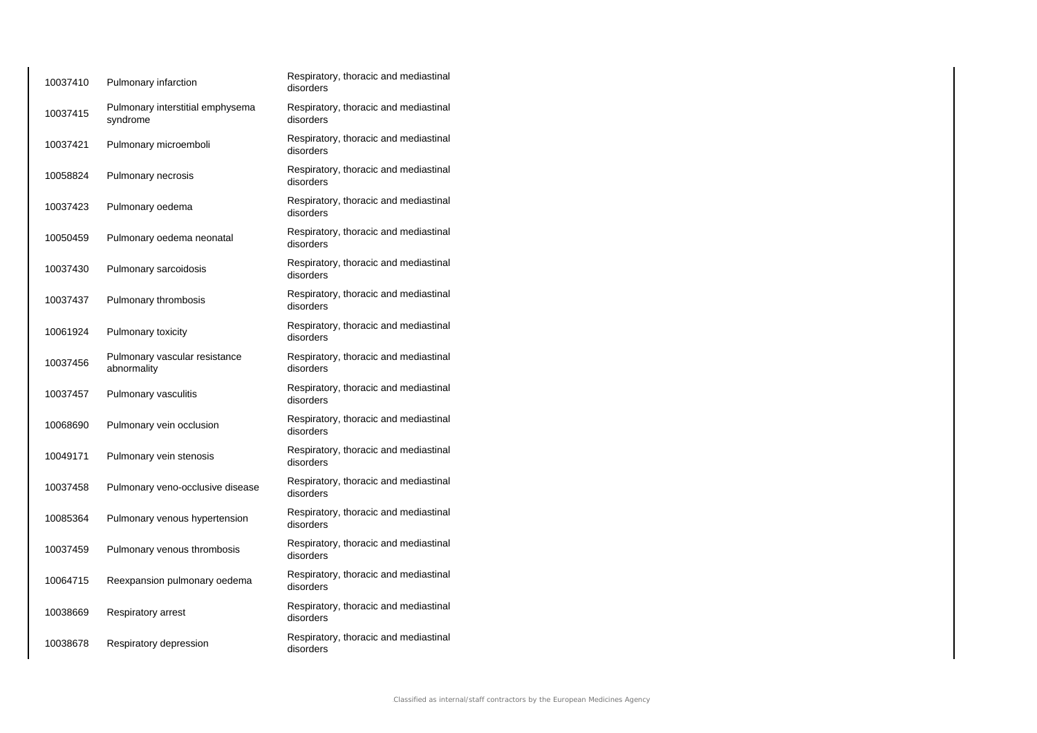| 10037410 | Pulmonary infarction                         | Respiratory, thoracic and mediastinal<br>disorders |
|----------|----------------------------------------------|----------------------------------------------------|
| 10037415 | Pulmonary interstitial emphysema<br>syndrome | Respiratory, thoracic and mediastinal<br>disorders |
| 10037421 | Pulmonary microemboli                        | Respiratory, thoracic and mediastinal<br>disorders |
| 10058824 | Pulmonary necrosis                           | Respiratory, thoracic and mediastinal<br>disorders |
| 10037423 | Pulmonary oedema                             | Respiratory, thoracic and mediastinal<br>disorders |
| 10050459 | Pulmonary oedema neonatal                    | Respiratory, thoracic and mediastinal<br>disorders |
| 10037430 | Pulmonary sarcoidosis                        | Respiratory, thoracic and mediastinal<br>disorders |
| 10037437 | Pulmonary thrombosis                         | Respiratory, thoracic and mediastinal<br>disorders |
| 10061924 | Pulmonary toxicity                           | Respiratory, thoracic and mediastinal<br>disorders |
| 10037456 | Pulmonary vascular resistance<br>abnormality | Respiratory, thoracic and mediastinal<br>disorders |
| 10037457 | Pulmonary vasculitis                         | Respiratory, thoracic and mediastinal<br>disorders |
| 10068690 | Pulmonary vein occlusion                     | Respiratory, thoracic and mediastinal<br>disorders |
| 10049171 | Pulmonary vein stenosis                      | Respiratory, thoracic and mediastinal<br>disorders |
| 10037458 | Pulmonary veno-occlusive disease             | Respiratory, thoracic and mediastinal<br>disorders |
| 10085364 | Pulmonary venous hypertension                | Respiratory, thoracic and mediastinal<br>disorders |
| 10037459 | Pulmonary venous thrombosis                  | Respiratory, thoracic and mediastinal<br>disorders |
| 10064715 | Reexpansion pulmonary oedema                 | Respiratory, thoracic and mediastinal<br>disorders |
| 10038669 | Respiratory arrest                           | Respiratory, thoracic and mediastinal<br>disorders |
| 10038678 | Respiratory depression                       | Respiratory, thoracic and mediastinal<br>disorders |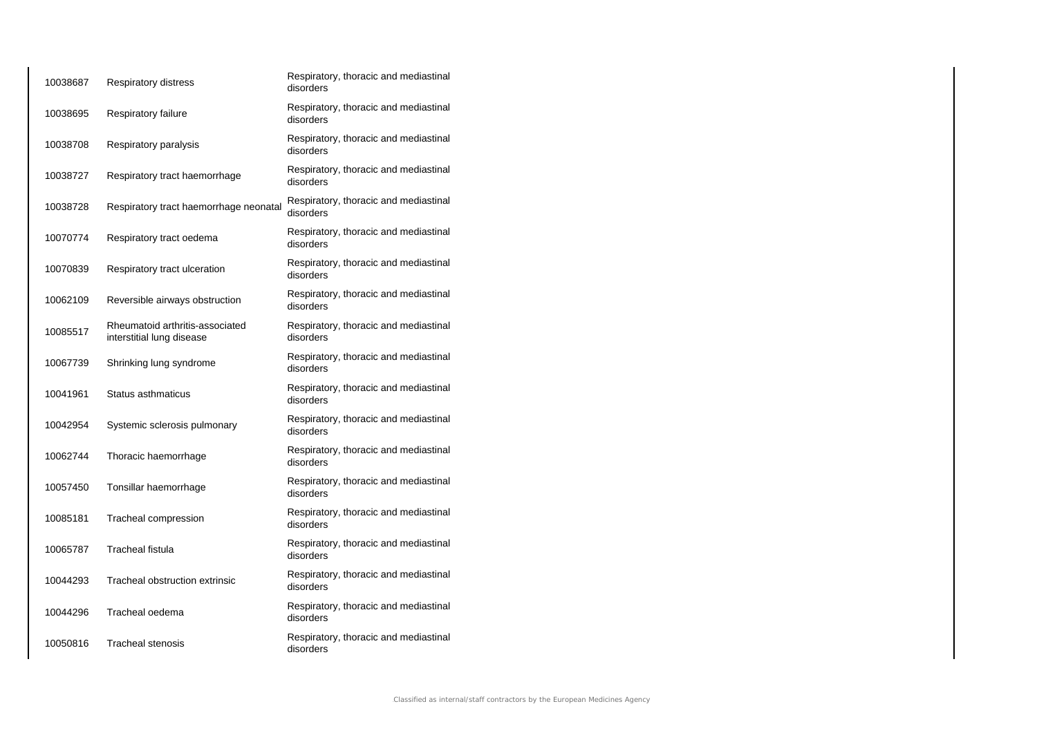| 10038687 | <b>Respiratory distress</b>                                  | Respiratory, thoracic and mediastinal<br>disorders |
|----------|--------------------------------------------------------------|----------------------------------------------------|
| 10038695 | Respiratory failure                                          | Respiratory, thoracic and mediastinal<br>disorders |
| 10038708 | Respiratory paralysis                                        | Respiratory, thoracic and mediastinal<br>disorders |
| 10038727 | Respiratory tract haemorrhage                                | Respiratory, thoracic and mediastinal<br>disorders |
| 10038728 | Respiratory tract haemorrhage neonatal                       | Respiratory, thoracic and mediastinal<br>disorders |
| 10070774 | Respiratory tract oedema                                     | Respiratory, thoracic and mediastinal<br>disorders |
| 10070839 | Respiratory tract ulceration                                 | Respiratory, thoracic and mediastinal<br>disorders |
| 10062109 | Reversible airways obstruction                               | Respiratory, thoracic and mediastinal<br>disorders |
| 10085517 | Rheumatoid arthritis-associated<br>interstitial lung disease | Respiratory, thoracic and mediastinal<br>disorders |
| 10067739 | Shrinking lung syndrome                                      | Respiratory, thoracic and mediastinal<br>disorders |
| 10041961 | Status asthmaticus                                           | Respiratory, thoracic and mediastinal<br>disorders |
| 10042954 | Systemic sclerosis pulmonary                                 | Respiratory, thoracic and mediastinal<br>disorders |
| 10062744 | Thoracic haemorrhage                                         | Respiratory, thoracic and mediastinal<br>disorders |
| 10057450 | Tonsillar haemorrhage                                        | Respiratory, thoracic and mediastinal<br>disorders |
| 10085181 | Tracheal compression                                         | Respiratory, thoracic and mediastinal<br>disorders |
| 10065787 | <b>Tracheal fistula</b>                                      | Respiratory, thoracic and mediastinal<br>disorders |
| 10044293 | Tracheal obstruction extrinsic                               | Respiratory, thoracic and mediastinal<br>disorders |
| 10044296 | Tracheal oedema                                              | Respiratory, thoracic and mediastinal<br>disorders |
| 10050816 | <b>Tracheal stenosis</b>                                     | Respiratory, thoracic and mediastinal<br>disorders |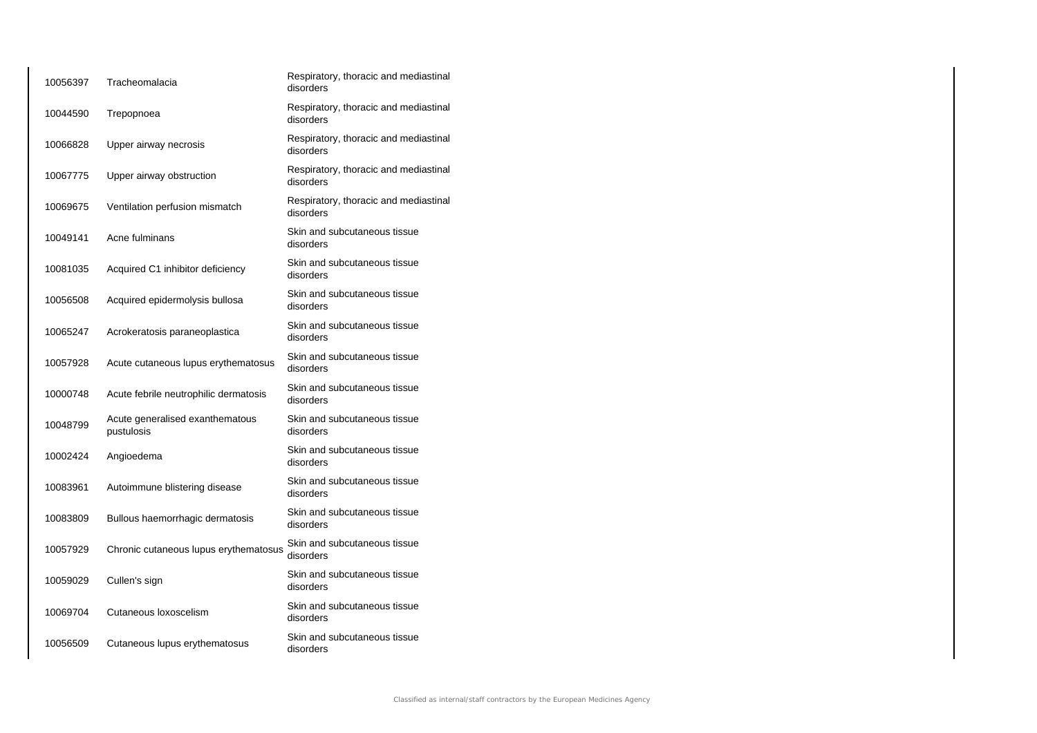| 10056397 | Tracheomalacia                                | Respiratory, thoracic and mediastinal<br>disorders |
|----------|-----------------------------------------------|----------------------------------------------------|
| 10044590 | Trepopnoea                                    | Respiratory, thoracic and mediastinal<br>disorders |
| 10066828 | Upper airway necrosis                         | Respiratory, thoracic and mediastinal<br>disorders |
| 10067775 | Upper airway obstruction                      | Respiratory, thoracic and mediastinal<br>disorders |
| 10069675 | Ventilation perfusion mismatch                | Respiratory, thoracic and mediastinal<br>disorders |
| 10049141 | Acne fulminans                                | Skin and subcutaneous tissue<br>disorders          |
| 10081035 | Acquired C1 inhibitor deficiency              | Skin and subcutaneous tissue<br>disorders          |
| 10056508 | Acquired epidermolysis bullosa                | Skin and subcutaneous tissue<br>disorders          |
| 10065247 | Acrokeratosis paraneoplastica                 | Skin and subcutaneous tissue<br>disorders          |
| 10057928 | Acute cutaneous lupus erythematosus           | Skin and subcutaneous tissue<br>disorders          |
| 10000748 | Acute febrile neutrophilic dermatosis         | Skin and subcutaneous tissue<br>disorders          |
| 10048799 | Acute generalised exanthematous<br>pustulosis | Skin and subcutaneous tissue<br>disorders          |
| 10002424 | Angioedema                                    | Skin and subcutaneous tissue<br>disorders          |
| 10083961 | Autoimmune blistering disease                 | Skin and subcutaneous tissue<br>disorders          |
| 10083809 | Bullous haemorrhagic dermatosis               | Skin and subcutaneous tissue<br>disorders          |
| 10057929 | Chronic cutaneous lupus erythematosus         | Skin and subcutaneous tissue<br>disorders          |
| 10059029 | Cullen's sign                                 | Skin and subcutaneous tissue<br>disorders          |
| 10069704 | Cutaneous loxoscelism                         | Skin and subcutaneous tissue<br>disorders          |
| 10056509 | Cutaneous lupus erythematosus                 | Skin and subcutaneous tissue<br>disorders          |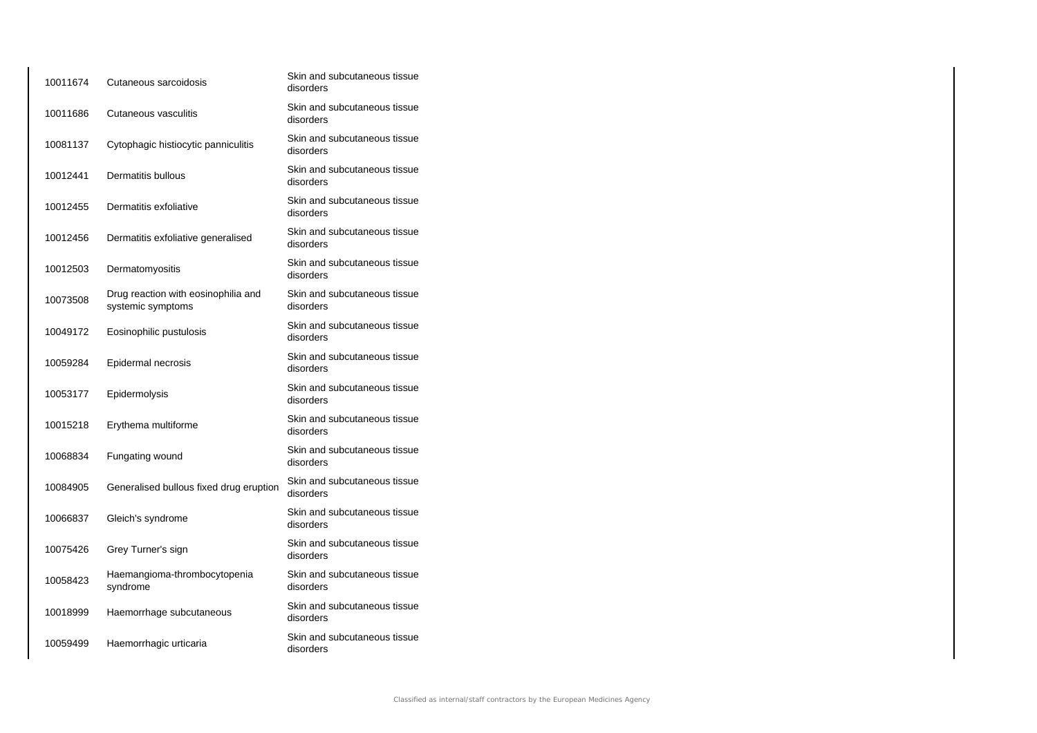| 10011674 | Cutaneous sarcoidosis                                    | Skin and subcutaneous tissue<br>disorders |
|----------|----------------------------------------------------------|-------------------------------------------|
| 10011686 | Cutaneous vasculitis                                     | Skin and subcutaneous tissue<br>disorders |
| 10081137 | Cytophagic histiocytic panniculitis                      | Skin and subcutaneous tissue<br>disorders |
| 10012441 | Dermatitis bullous                                       | Skin and subcutaneous tissue<br>disorders |
| 10012455 | Dermatitis exfoliative                                   | Skin and subcutaneous tissue<br>disorders |
| 10012456 | Dermatitis exfoliative generalised                       | Skin and subcutaneous tissue<br>disorders |
| 10012503 | Dermatomyositis                                          | Skin and subcutaneous tissue<br>disorders |
| 10073508 | Drug reaction with eosinophilia and<br>systemic symptoms | Skin and subcutaneous tissue<br>disorders |
| 10049172 | Eosinophilic pustulosis                                  | Skin and subcutaneous tissue<br>disorders |
| 10059284 | Epidermal necrosis                                       | Skin and subcutaneous tissue<br>disorders |
| 10053177 | Epidermolysis                                            | Skin and subcutaneous tissue<br>disorders |
| 10015218 | Erythema multiforme                                      | Skin and subcutaneous tissue<br>disorders |
| 10068834 | Fungating wound                                          | Skin and subcutaneous tissue<br>disorders |
| 10084905 | Generalised bullous fixed drug eruption                  | Skin and subcutaneous tissue<br>disorders |
| 10066837 | Gleich's syndrome                                        | Skin and subcutaneous tissue<br>disorders |
| 10075426 | Grey Turner's sign                                       | Skin and subcutaneous tissue<br>disorders |
| 10058423 | Haemangioma-thrombocytopenia<br>syndrome                 | Skin and subcutaneous tissue<br>disorders |
| 10018999 | Haemorrhage subcutaneous                                 | Skin and subcutaneous tissue<br>disorders |
| 10059499 | Haemorrhagic urticaria                                   | Skin and subcutaneous tissue<br>disorders |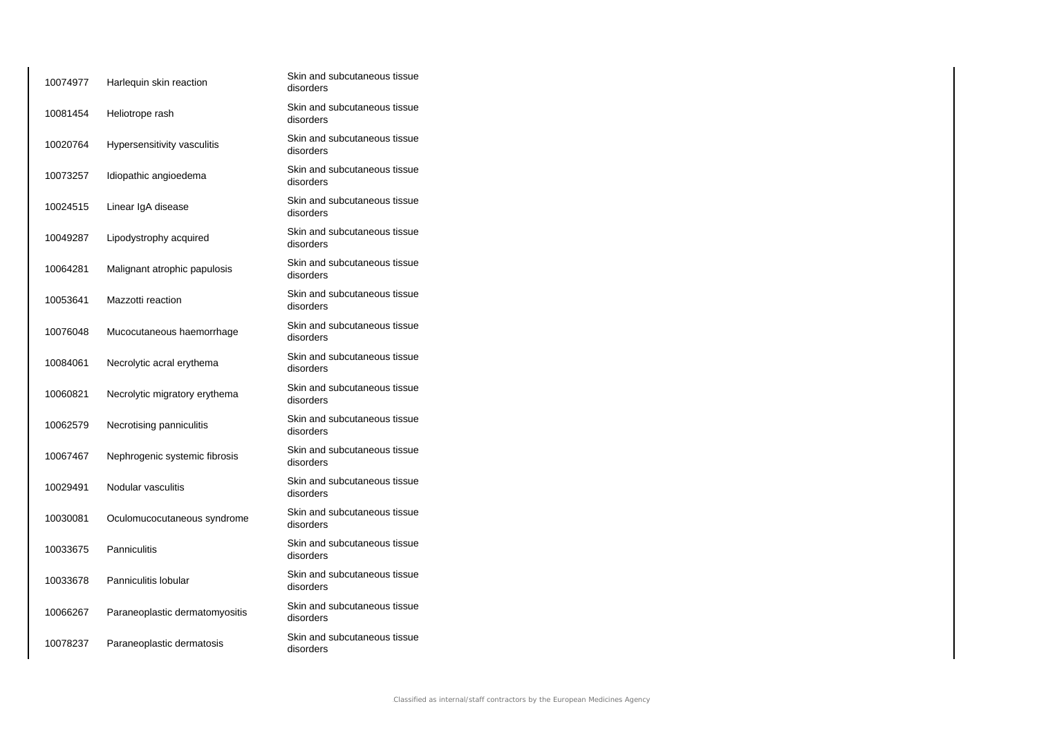| 10074977 | Harlequin skin reaction        | Skin and subcutaneous tissue<br>disorders |
|----------|--------------------------------|-------------------------------------------|
| 10081454 | Heliotrope rash                | Skin and subcutaneous tissue<br>disorders |
| 10020764 | Hypersensitivity vasculitis    | Skin and subcutaneous tissue<br>disorders |
| 10073257 | Idiopathic angioedema          | Skin and subcutaneous tissue<br>disorders |
| 10024515 | Linear IgA disease             | Skin and subcutaneous tissue<br>disorders |
| 10049287 | Lipodystrophy acquired         | Skin and subcutaneous tissue<br>disorders |
| 10064281 | Malignant atrophic papulosis   | Skin and subcutaneous tissue<br>disorders |
| 10053641 | Mazzotti reaction              | Skin and subcutaneous tissue<br>disorders |
| 10076048 | Mucocutaneous haemorrhage      | Skin and subcutaneous tissue<br>disorders |
| 10084061 | Necrolytic acral erythema      | Skin and subcutaneous tissue<br>disorders |
| 10060821 | Necrolytic migratory erythema  | Skin and subcutaneous tissue<br>disorders |
| 10062579 | Necrotising panniculitis       | Skin and subcutaneous tissue<br>disorders |
| 10067467 | Nephrogenic systemic fibrosis  | Skin and subcutaneous tissue<br>disorders |
| 10029491 | Nodular vasculitis             | Skin and subcutaneous tissue<br>disorders |
| 10030081 | Oculomucocutaneous syndrome    | Skin and subcutaneous tissue<br>disorders |
| 10033675 | Panniculitis                   | Skin and subcutaneous tissue<br>disorders |
| 10033678 | Panniculitis lobular           | Skin and subcutaneous tissue<br>disorders |
| 10066267 | Paraneoplastic dermatomyositis | Skin and subcutaneous tissue<br>disorders |
| 10078237 | Paraneoplastic dermatosis      | Skin and subcutaneous tissue<br>disorders |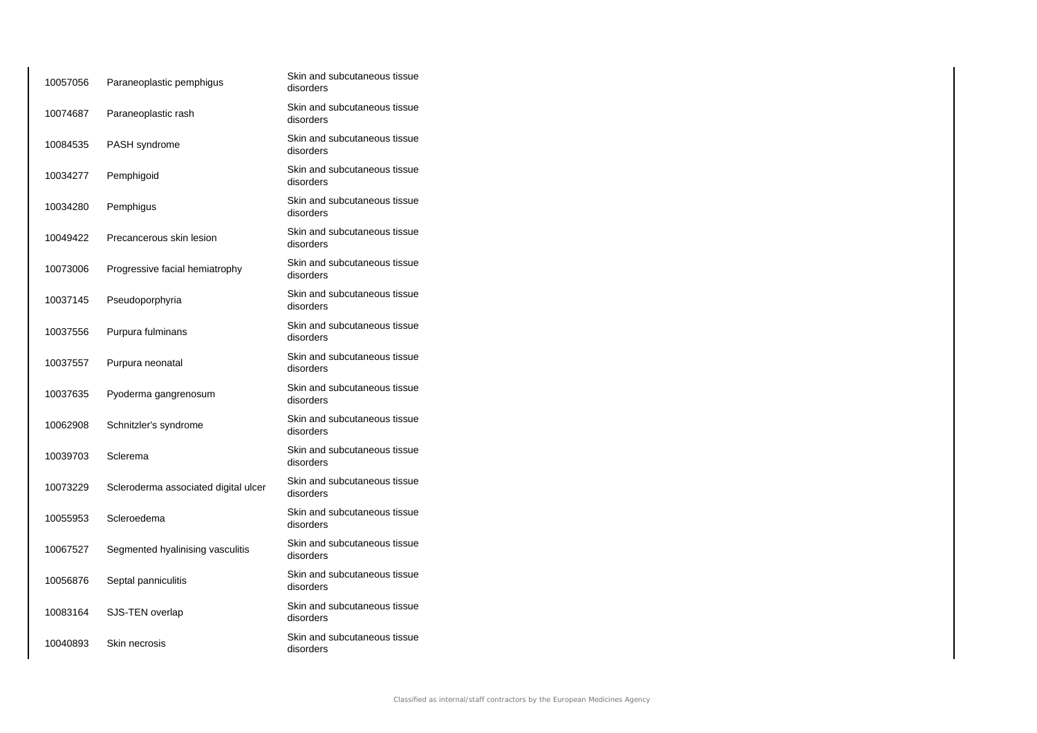| 10057056 | Paraneoplastic pemphigus             | Skin and subcutaneous tissue<br>disorders |
|----------|--------------------------------------|-------------------------------------------|
| 10074687 | Paraneoplastic rash                  | Skin and subcutaneous tissue<br>disorders |
| 10084535 | PASH syndrome                        | Skin and subcutaneous tissue<br>disorders |
| 10034277 | Pemphigoid                           | Skin and subcutaneous tissue<br>disorders |
| 10034280 | Pemphigus                            | Skin and subcutaneous tissue<br>disorders |
| 10049422 | Precancerous skin lesion             | Skin and subcutaneous tissue<br>disorders |
| 10073006 | Progressive facial hemiatrophy       | Skin and subcutaneous tissue<br>disorders |
| 10037145 | Pseudoporphyria                      | Skin and subcutaneous tissue<br>disorders |
| 10037556 | Purpura fulminans                    | Skin and subcutaneous tissue<br>disorders |
| 10037557 | Purpura neonatal                     | Skin and subcutaneous tissue<br>disorders |
| 10037635 | Pyoderma gangrenosum                 | Skin and subcutaneous tissue<br>disorders |
| 10062908 | Schnitzler's syndrome                | Skin and subcutaneous tissue<br>disorders |
| 10039703 | Sclerema                             | Skin and subcutaneous tissue<br>disorders |
| 10073229 | Scleroderma associated digital ulcer | Skin and subcutaneous tissue<br>disorders |
| 10055953 | Scleroedema                          | Skin and subcutaneous tissue<br>disorders |
| 10067527 | Segmented hyalinising vasculitis     | Skin and subcutaneous tissue<br>disorders |
| 10056876 | Septal panniculitis                  | Skin and subcutaneous tissue<br>disorders |
| 10083164 | SJS-TEN overlap                      | Skin and subcutaneous tissue<br>disorders |
| 10040893 | Skin necrosis                        | Skin and subcutaneous tissue<br>disorders |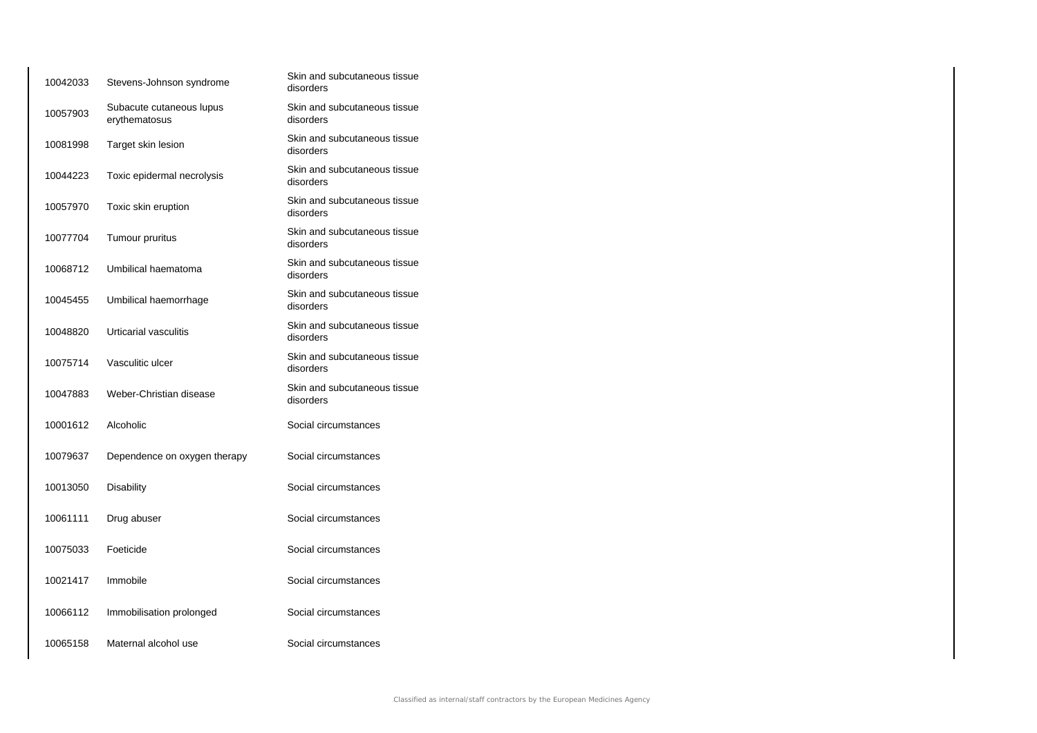| 10042033 | Stevens-Johnson syndrome                  | Skin and subcutaneous tissue<br>disorders |
|----------|-------------------------------------------|-------------------------------------------|
| 10057903 | Subacute cutaneous lupus<br>erythematosus | Skin and subcutaneous tissue<br>disorders |
| 10081998 | Target skin lesion                        | Skin and subcutaneous tissue<br>disorders |
| 10044223 | Toxic epidermal necrolysis                | Skin and subcutaneous tissue<br>disorders |
| 10057970 | Toxic skin eruption                       | Skin and subcutaneous tissue<br>disorders |
| 10077704 | Tumour pruritus                           | Skin and subcutaneous tissue<br>disorders |
| 10068712 | Umbilical haematoma                       | Skin and subcutaneous tissue<br>disorders |
| 10045455 | Umbilical haemorrhage                     | Skin and subcutaneous tissue<br>disorders |
| 10048820 | Urticarial vasculitis                     | Skin and subcutaneous tissue<br>disorders |
| 10075714 | Vasculitic ulcer                          | Skin and subcutaneous tissue<br>disorders |
| 10047883 | Weber-Christian disease                   | Skin and subcutaneous tissue<br>disorders |
| 10001612 | Alcoholic                                 | Social circumstances                      |
| 10079637 | Dependence on oxygen therapy              | Social circumstances                      |
| 10013050 | Disability                                | Social circumstances                      |
| 10061111 | Drug abuser                               | Social circumstances                      |
| 10075033 | Foeticide                                 | Social circumstances                      |
| 10021417 | Immobile                                  | Social circumstances                      |
| 10066112 | Immobilisation prolonged                  | Social circumstances                      |
| 10065158 | Maternal alcohol use                      | Social circumstances                      |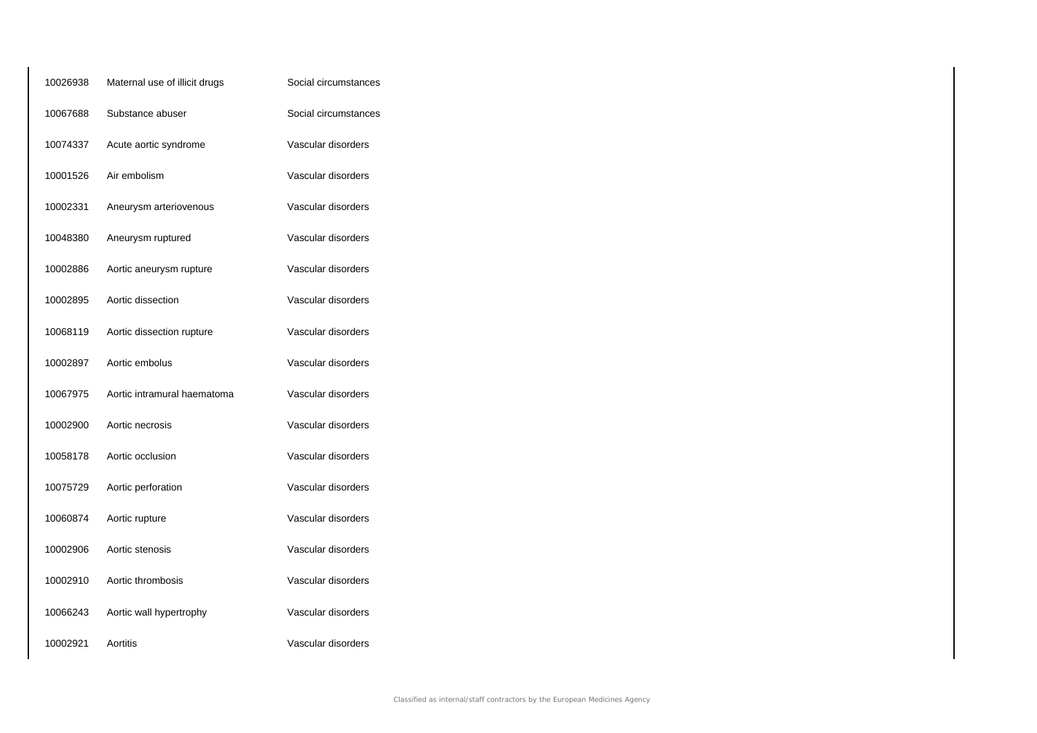| 10026938 | Maternal use of illicit drugs | Social circumstances |
|----------|-------------------------------|----------------------|
| 10067688 | Substance abuser              | Social circumstances |
| 10074337 | Acute aortic syndrome         | Vascular disorders   |
| 10001526 | Air embolism                  | Vascular disorders   |
| 10002331 | Aneurysm arteriovenous        | Vascular disorders   |
| 10048380 | Aneurysm ruptured             | Vascular disorders   |
| 10002886 | Aortic aneurysm rupture       | Vascular disorders   |
| 10002895 | Aortic dissection             | Vascular disorders   |
| 10068119 | Aortic dissection rupture     | Vascular disorders   |
| 10002897 | Aortic embolus                | Vascular disorders   |
| 10067975 | Aortic intramural haematoma   | Vascular disorders   |
| 10002900 | Aortic necrosis               | Vascular disorders   |
| 10058178 | Aortic occlusion              | Vascular disorders   |
| 10075729 | Aortic perforation            | Vascular disorders   |
| 10060874 | Aortic rupture                | Vascular disorders   |
| 10002906 | Aortic stenosis               | Vascular disorders   |
| 10002910 | Aortic thrombosis             | Vascular disorders   |
| 10066243 | Aortic wall hypertrophy       | Vascular disorders   |
| 10002921 | Aortitis                      | Vascular disorders   |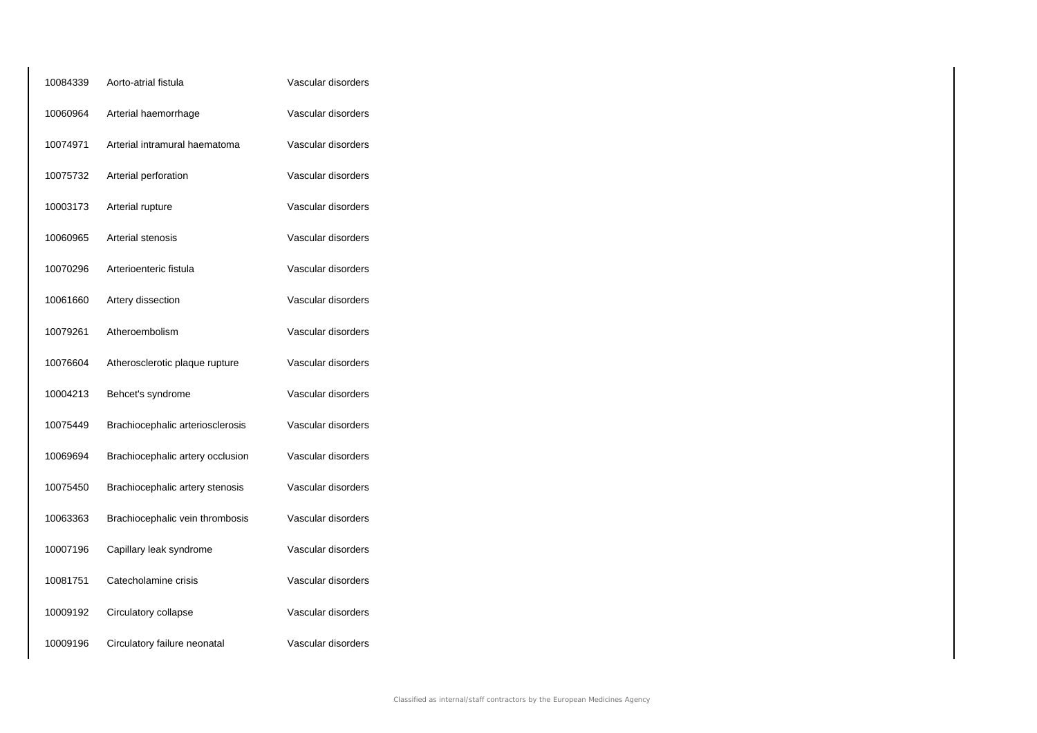| 10084339 | Aorto-atrial fistula             | Vascular disorders |
|----------|----------------------------------|--------------------|
| 10060964 | Arterial haemorrhage             | Vascular disorders |
| 10074971 | Arterial intramural haematoma    | Vascular disorders |
| 10075732 | Arterial perforation             | Vascular disorders |
| 10003173 | Arterial rupture                 | Vascular disorders |
| 10060965 | Arterial stenosis                | Vascular disorders |
| 10070296 | Arterioenteric fistula           | Vascular disorders |
| 10061660 | Artery dissection                | Vascular disorders |
| 10079261 | Atheroembolism                   | Vascular disorders |
| 10076604 | Atherosclerotic plaque rupture   | Vascular disorders |
| 10004213 | Behcet's syndrome                | Vascular disorders |
| 10075449 | Brachiocephalic arteriosclerosis | Vascular disorders |
| 10069694 | Brachiocephalic artery occlusion | Vascular disorders |
| 10075450 | Brachiocephalic artery stenosis  | Vascular disorders |
| 10063363 | Brachiocephalic vein thrombosis  | Vascular disorders |
| 10007196 | Capillary leak syndrome          | Vascular disorders |
| 10081751 | Catecholamine crisis             | Vascular disorders |
| 10009192 | Circulatory collapse             | Vascular disorders |
| 10009196 | Circulatory failure neonatal     | Vascular disorders |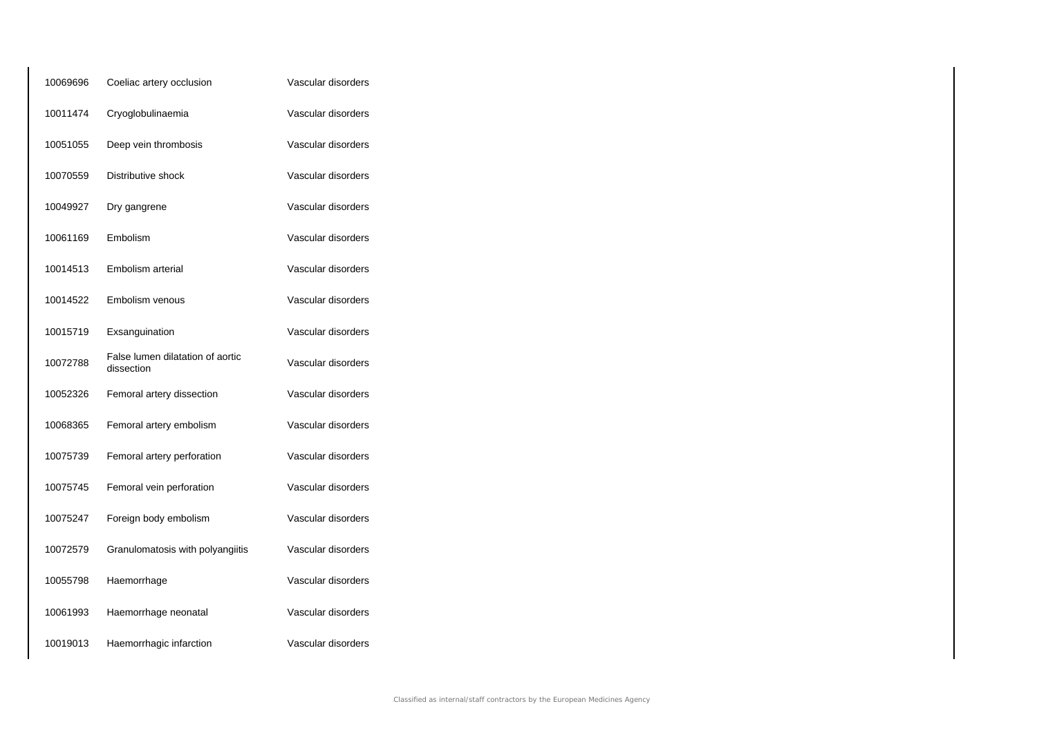| 10069696 | Coeliac artery occlusion                       | Vascular disorders |
|----------|------------------------------------------------|--------------------|
| 10011474 | Cryoglobulinaemia                              | Vascular disorders |
| 10051055 | Deep vein thrombosis                           | Vascular disorders |
| 10070559 | Distributive shock                             | Vascular disorders |
| 10049927 | Dry gangrene                                   | Vascular disorders |
| 10061169 | Embolism                                       | Vascular disorders |
| 10014513 | Embolism arterial                              | Vascular disorders |
| 10014522 | Embolism venous                                | Vascular disorders |
| 10015719 | Exsanguination                                 | Vascular disorders |
| 10072788 | False lumen dilatation of aortic<br>dissection | Vascular disorders |
| 10052326 | Femoral artery dissection                      | Vascular disorders |
| 10068365 | Femoral artery embolism                        | Vascular disorders |
| 10075739 | Femoral artery perforation                     | Vascular disorders |
| 10075745 | Femoral vein perforation                       | Vascular disorders |
| 10075247 | Foreign body embolism                          | Vascular disorders |
| 10072579 | Granulomatosis with polyangiitis               | Vascular disorders |
| 10055798 | Haemorrhage                                    | Vascular disorders |
| 10061993 | Haemorrhage neonatal                           | Vascular disorders |
| 10019013 | Haemorrhagic infarction                        | Vascular disorders |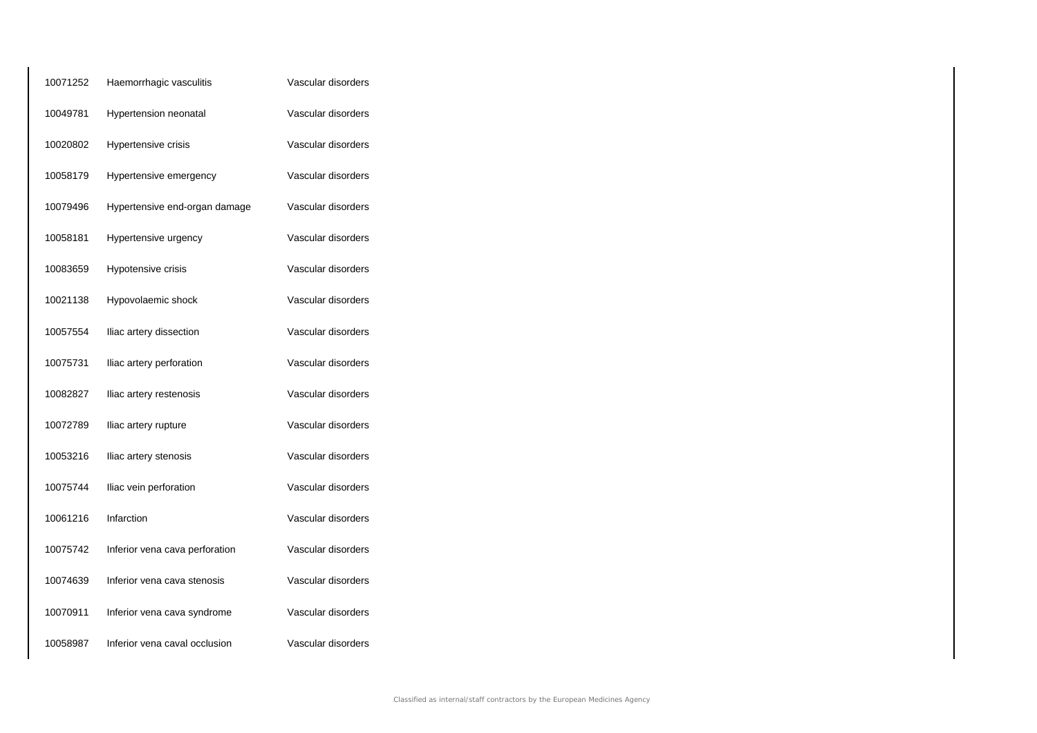| 10071252 | Haemorrhagic vasculitis        | Vascular disorders |
|----------|--------------------------------|--------------------|
| 10049781 | Hypertension neonatal          | Vascular disorders |
| 10020802 | Hypertensive crisis            | Vascular disorders |
| 10058179 | Hypertensive emergency         | Vascular disorders |
| 10079496 | Hypertensive end-organ damage  | Vascular disorders |
| 10058181 | Hypertensive urgency           | Vascular disorders |
| 10083659 | Hypotensive crisis             | Vascular disorders |
| 10021138 | Hypovolaemic shock             | Vascular disorders |
| 10057554 | Iliac artery dissection        | Vascular disorders |
| 10075731 | Iliac artery perforation       | Vascular disorders |
| 10082827 | Iliac artery restenosis        | Vascular disorders |
| 10072789 | Iliac artery rupture           | Vascular disorders |
| 10053216 | Iliac artery stenosis          | Vascular disorders |
| 10075744 | Iliac vein perforation         | Vascular disorders |
| 10061216 | Infarction                     | Vascular disorders |
| 10075742 | Inferior vena cava perforation | Vascular disorders |
| 10074639 | Inferior vena cava stenosis    | Vascular disorders |
| 10070911 | Inferior vena cava syndrome    | Vascular disorders |
| 10058987 | Inferior vena caval occlusion  | Vascular disorders |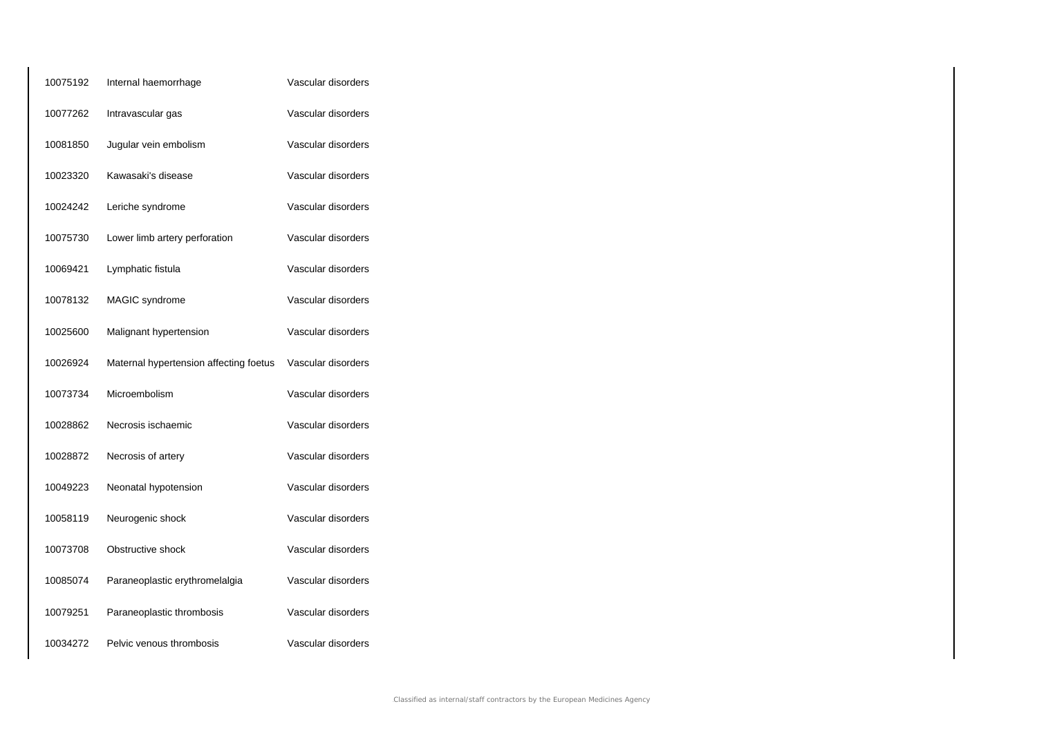| 10075192 | Internal haemorrhage                   | Vascular disorders |
|----------|----------------------------------------|--------------------|
| 10077262 | Intravascular gas                      | Vascular disorders |
| 10081850 | Jugular vein embolism                  | Vascular disorders |
| 10023320 | Kawasaki's disease                     | Vascular disorders |
| 10024242 | Leriche syndrome                       | Vascular disorders |
| 10075730 | Lower limb artery perforation          | Vascular disorders |
| 10069421 | Lymphatic fistula                      | Vascular disorders |
| 10078132 | MAGIC syndrome                         | Vascular disorders |
| 10025600 | Malignant hypertension                 | Vascular disorders |
| 10026924 | Maternal hypertension affecting foetus | Vascular disorders |
| 10073734 | Microembolism                          | Vascular disorders |
| 10028862 | Necrosis ischaemic                     | Vascular disorders |
| 10028872 | Necrosis of artery                     | Vascular disorders |
| 10049223 | Neonatal hypotension                   | Vascular disorders |
| 10058119 | Neurogenic shock                       | Vascular disorders |
| 10073708 | Obstructive shock                      | Vascular disorders |
| 10085074 | Paraneoplastic erythromelalgia         | Vascular disorders |
| 10079251 | Paraneoplastic thrombosis              | Vascular disorders |
| 10034272 | Pelvic venous thrombosis               | Vascular disorders |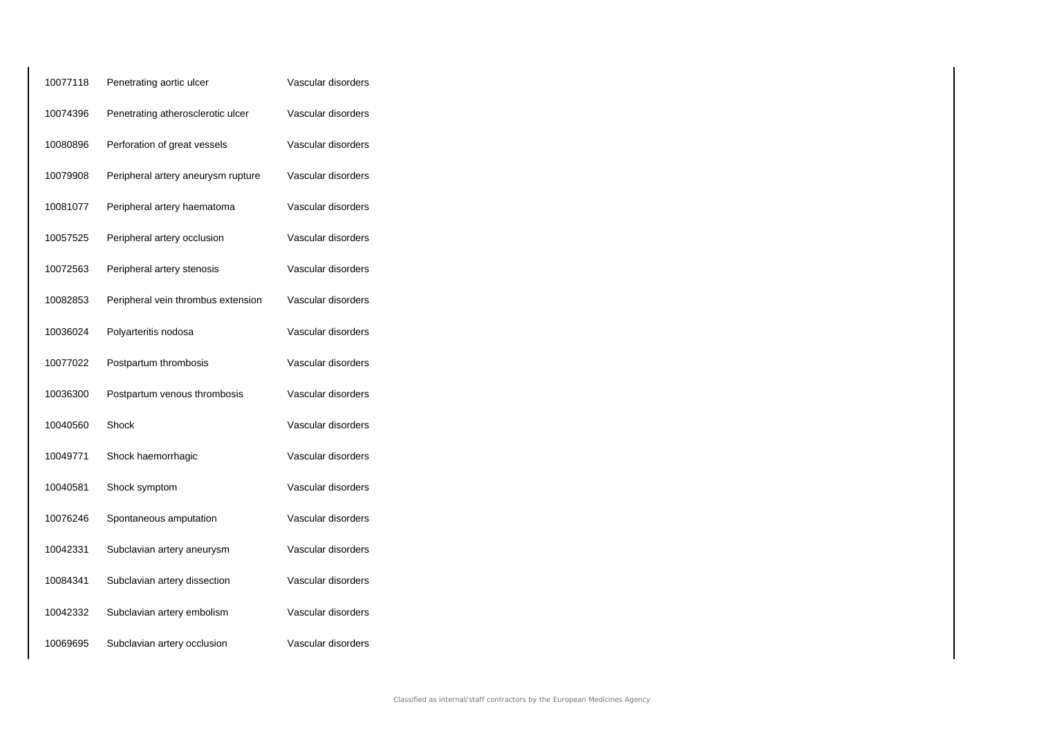| 10077118 | Penetrating aortic ulcer           | Vascular disorders |
|----------|------------------------------------|--------------------|
| 10074396 | Penetrating atherosclerotic ulcer  | Vascular disorders |
| 10080896 | Perforation of great vessels       | Vascular disorders |
| 10079908 | Peripheral artery aneurysm rupture | Vascular disorders |
| 10081077 | Peripheral artery haematoma        | Vascular disorders |
| 10057525 | Peripheral artery occlusion        | Vascular disorders |
| 10072563 | Peripheral artery stenosis         | Vascular disorders |
| 10082853 | Peripheral vein thrombus extension | Vascular disorders |
| 10036024 | Polyarteritis nodosa               | Vascular disorders |
| 10077022 | Postpartum thrombosis              | Vascular disorders |
| 10036300 | Postpartum venous thrombosis       | Vascular disorders |
| 10040560 | Shock                              | Vascular disorders |
| 10049771 | Shock haemorrhagic                 | Vascular disorders |
| 10040581 | Shock symptom                      | Vascular disorders |
| 10076246 | Spontaneous amputation             | Vascular disorders |
| 10042331 | Subclavian artery aneurysm         | Vascular disorders |
| 10084341 | Subclavian artery dissection       | Vascular disorders |
| 10042332 | Subclavian artery embolism         | Vascular disorders |
| 10069695 | Subclavian artery occlusion        | Vascular disorders |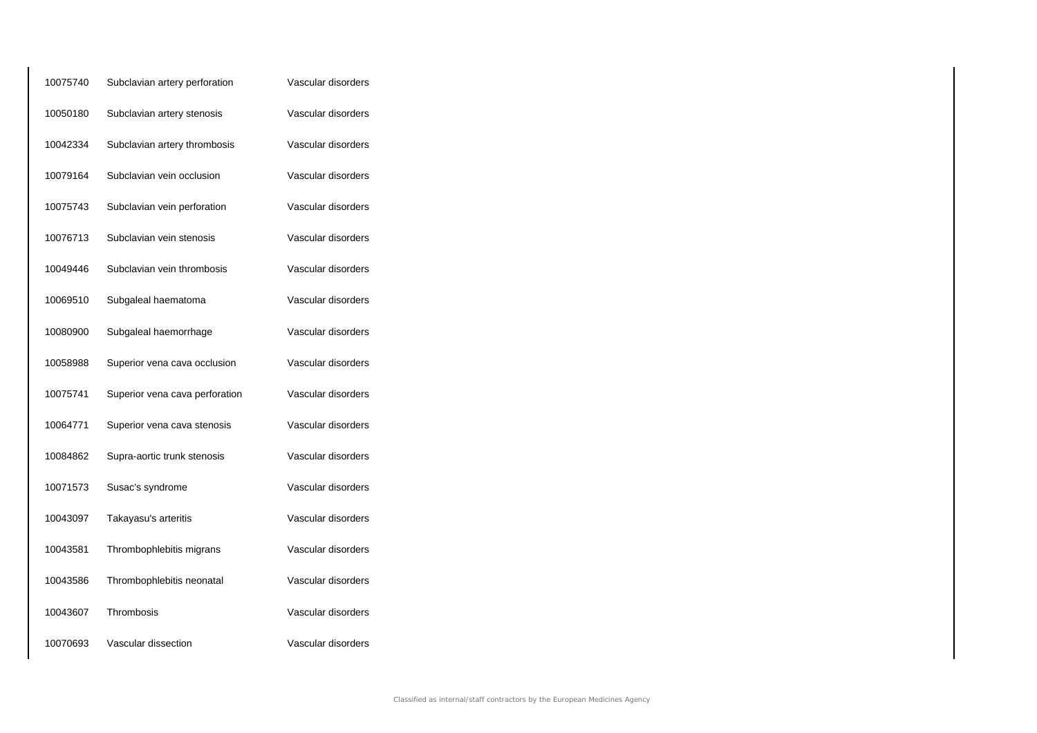| 10075740 | Subclavian artery perforation  | Vascular disorders |
|----------|--------------------------------|--------------------|
| 10050180 | Subclavian artery stenosis     | Vascular disorders |
| 10042334 | Subclavian artery thrombosis   | Vascular disorders |
| 10079164 | Subclavian vein occlusion      | Vascular disorders |
| 10075743 | Subclavian vein perforation    | Vascular disorders |
| 10076713 | Subclavian vein stenosis       | Vascular disorders |
| 10049446 | Subclavian vein thrombosis     | Vascular disorders |
| 10069510 | Subgaleal haematoma            | Vascular disorders |
| 10080900 | Subgaleal haemorrhage          | Vascular disorders |
| 10058988 | Superior vena cava occlusion   | Vascular disorders |
| 10075741 | Superior vena cava perforation | Vascular disorders |
| 10064771 | Superior vena cava stenosis    | Vascular disorders |
| 10084862 | Supra-aortic trunk stenosis    | Vascular disorders |
| 10071573 | Susac's syndrome               | Vascular disorders |
| 10043097 | Takayasu's arteritis           | Vascular disorders |
| 10043581 | Thrombophlebitis migrans       | Vascular disorders |
| 10043586 | Thrombophlebitis neonatal      | Vascular disorders |
| 10043607 | Thrombosis                     | Vascular disorders |
| 10070693 | Vascular dissection            | Vascular disorders |